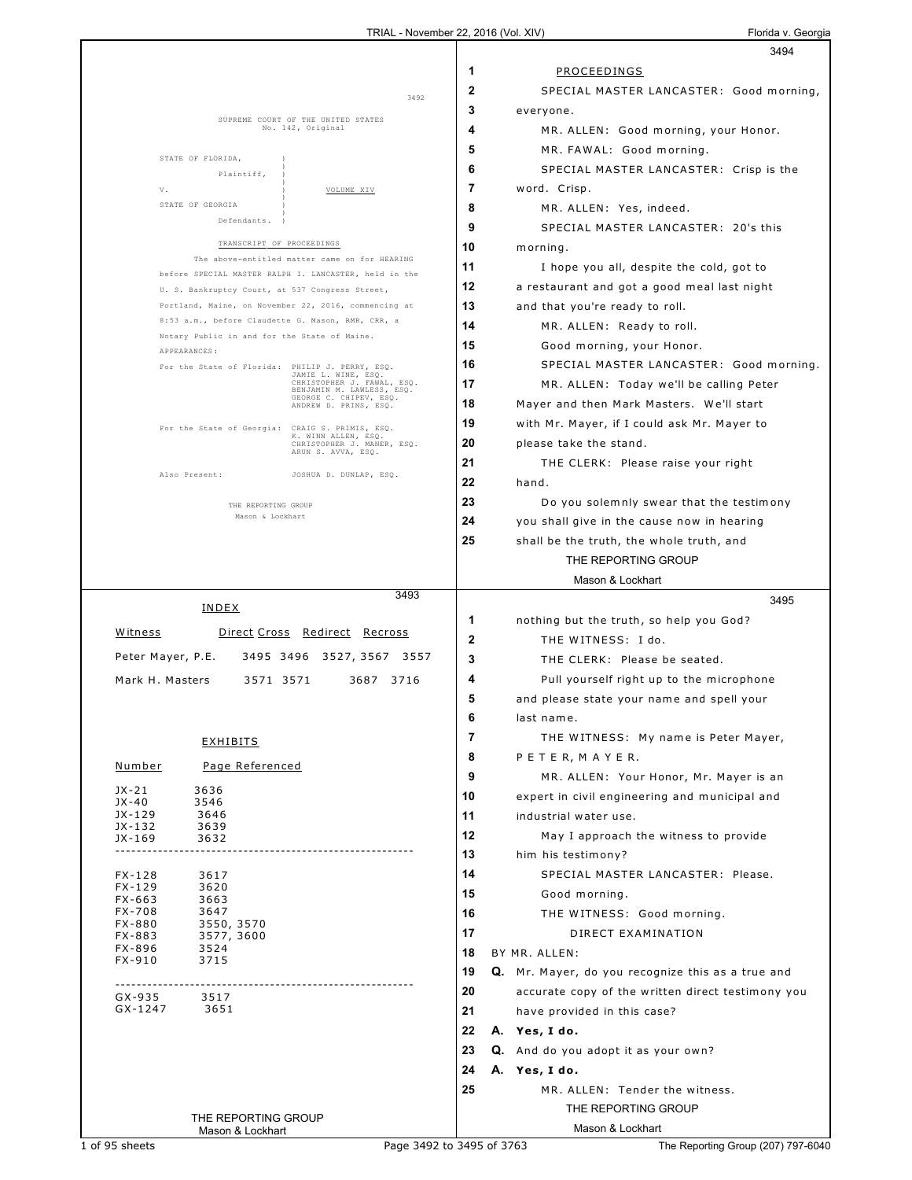|                                                                                                   | 3494                                                    |
|---------------------------------------------------------------------------------------------------|---------------------------------------------------------|
|                                                                                                   | 1<br>PROCEEDINGS                                        |
|                                                                                                   | $\mathbf{2}$<br>SPECIAL MASTER LANCASTER: Good morning, |
| 3492                                                                                              | 3<br>everyone.                                          |
| SUPREME COURT OF THE UNITED STATES<br>No. 142, Original                                           | 4<br>MR. ALLEN: Good morning, your Honor.               |
|                                                                                                   | 5<br>MR. FAWAL: Good morning.                           |
| STATE OF FLORIDA,                                                                                 | 6<br>SPECIAL MASTER LANCASTER: Crisp is the             |
| Plaintiff,                                                                                        | 7<br>word. Crisp.                                       |
| V.<br>VOLUME XIV<br>STATE OF GEORGIA                                                              |                                                         |
| Defendants.                                                                                       | 8<br>MR. ALLEN: Yes, indeed.                            |
| TRANSCRIPT OF PROCEEDINGS                                                                         | 9<br>SPECIAL MASTER LANCASTER: 20's this                |
| The above-entitled matter came on for HEARING                                                     | 10<br>morning.                                          |
| before SPECIAL MASTER RALPH I. LANCASTER, held in the                                             | 11<br>I hope you all, despite the cold, got to          |
| U. S. Bankruptcy Court, at 537 Congress Street,                                                   | 12<br>a restaurant and got a good meal last night       |
| Portland, Maine, on November 22, 2016, commencing at                                              | 13<br>and that you're ready to roll.                    |
| 8:53 a.m., before Claudette G. Mason, RMR, CRR, a<br>Notary Public in and for the State of Maine. | 14<br>MR. ALLEN: Ready to roll.                         |
| APPEARANCES:                                                                                      | 15<br>Good morning, your Honor.                         |
| For the State of Florida: PHILIP J. PERRY, ESQ.<br>JAMIE L. WINE, ESQ.                            | 16<br>SPECIAL MASTER LANCASTER: Good morning.           |
| CHRISTOPHER J. FAWAL, ESQ.<br>BENJAMIN M. LAWLESS, ESQ.                                           | 17<br>MR. ALLEN: Today we'll be calling Peter           |
| GEORGE C. CHIPEV, ESQ.<br>ANDREW D. PRINS, ESQ.                                                   | 18<br>Mayer and then Mark Masters. We'll start          |
| For the State of Georgia: CRAIG S. PRIMIS, ESQ.                                                   | 19<br>with Mr. Mayer, if I could ask Mr. Mayer to       |
| K. WINN ALLEN, ESQ.<br>CHRISTOPHER J. MANER, ESQ.                                                 | 20<br>please take the stand.                            |
| ARUN S. AVVA, ESQ.                                                                                | 21<br>THE CLERK: Please raise your right                |
| Also Present:<br>JOSHUA D. DUNLAP, ESQ.                                                           | 22<br>hand.                                             |
| THE REPORTING GROUP                                                                               | 23<br>Do you solemnly swear that the testimony          |
| Mason & Lockhart                                                                                  | 24<br>you shall give in the cause now in hearing        |
|                                                                                                   | 25<br>shall be the truth, the whole truth, and          |
|                                                                                                   | THE REPORTING GROUP                                     |
|                                                                                                   | Mason & Lockhart                                        |
| 3493                                                                                              | 3495                                                    |
| INDEX                                                                                             | 1                                                       |
| Witness<br>Direct Cross Redirect Recross                                                          | nothing but the truth, so help you God?<br>$\mathbf{2}$ |
| Peter Mayer, P.E.<br>3527, 3567<br>3495 3496<br>3557                                              | THE WITNESS: I do.                                      |
|                                                                                                   | 3<br>THE CLERK: Please be seated.                       |
| Mark H. Masters<br>3571 3571<br>3687 3716                                                         | 4<br>Pull yourself right up to the microphone           |
|                                                                                                   | 5<br>and please state your name and spell your          |
|                                                                                                   | 6<br>last name.                                         |
| <u>EXHIBITS</u>                                                                                   | 7<br>THE WITNESS: My name is Peter Mayer,               |
| <u>Number</u><br>Page Referenced                                                                  | 8<br>PETER, MAYER.                                      |
| $JX-21$<br>3636                                                                                   | 9<br>MR. ALLEN: Your Honor, Mr. Mayer is an             |
| JX-40<br>3546                                                                                     | 10<br>expert in civil engineering and municipal and     |
| JX-129<br>3646<br>$JX-132$<br>3639                                                                | 11<br>industrial water use.                             |
| JX-169<br>3632                                                                                    | 12<br>May I approach the witness to provide             |
|                                                                                                   | 13<br>him his testimony?                                |
| $FX - 128$<br>3617                                                                                | 14<br>SPECIAL MASTER LANCASTER: Please.                 |
| $FX - 129$<br>3620<br>FX-663<br>3663                                                              | 15<br>Good morning.                                     |
| FX-708<br>3647                                                                                    | 16<br>THE WITNESS: Good morning.                        |
| FX-880<br>3550, 3570<br>FX-883<br>3577, 3600                                                      | 17<br>DIRECT EXAMINATION                                |
| FX-896<br>3524<br>3715<br>FX-910                                                                  | BY MR. ALLEN:<br>18                                     |
|                                                                                                   | 19<br>Q. Mr. Mayer, do you recognize this as a true and |
| --------------------------------<br>3517<br>GX-935                                                | 20<br>accurate copy of the written direct testimony you |
| GX-1247<br>3651                                                                                   | 21<br>have provided in this case?                       |
|                                                                                                   | 22<br>A. Yes, I do.                                     |
|                                                                                                   | 23<br>Q. And do you adopt it as your own?               |
|                                                                                                   |                                                         |
|                                                                                                   | 24                                                      |
|                                                                                                   | A. Yes, I do.                                           |
|                                                                                                   | 25<br>MR. ALLEN: Tender the witness.                    |
| THE REPORTING GROUP<br>Mason & Lockhart                                                           | THE REPORTING GROUP<br>Mason & Lockhart                 |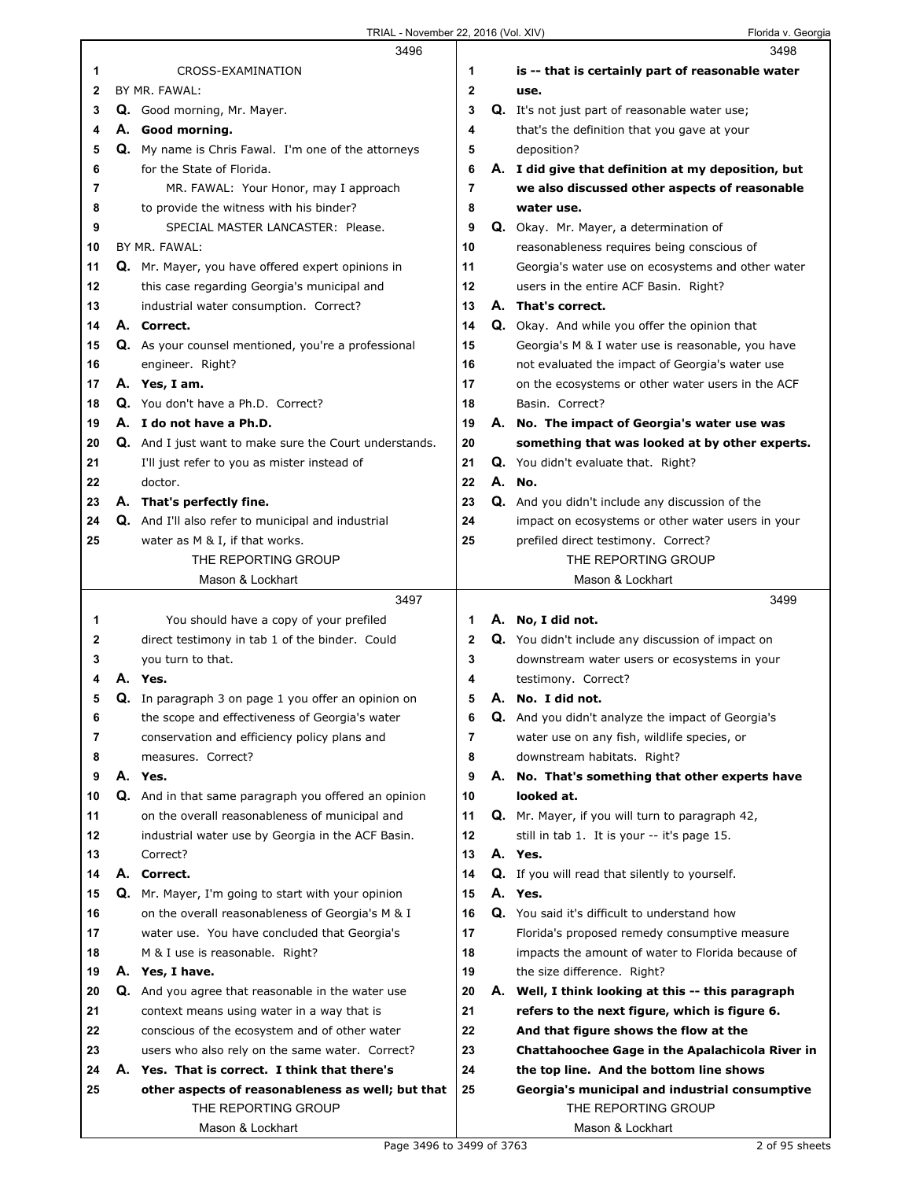|    |    | 3496                                                          |                | 3498                                                       |
|----|----|---------------------------------------------------------------|----------------|------------------------------------------------------------|
| 1  |    | CROSS-EXAMINATION                                             | 1              | is -- that is certainly part of reasonable water           |
| 2  |    | BY MR. FAWAL:                                                 | 2              | use.                                                       |
| 3  |    | Q. Good morning, Mr. Mayer.                                   | 3              | <b>Q.</b> It's not just part of reasonable water use;      |
| 4  |    | A. Good morning.                                              | 4              | that's the definition that you gave at your                |
| 5  |    | Q. My name is Chris Fawal. I'm one of the attorneys           | 5              | deposition?                                                |
| 6  |    | for the State of Florida.                                     | 6              | A. I did give that definition at my deposition, but        |
| 7  |    | MR. FAWAL: Your Honor, may I approach                         | $\overline{7}$ | we also discussed other aspects of reasonable              |
| 8  |    | to provide the witness with his binder?                       | 8              | water use.                                                 |
| 9  |    | SPECIAL MASTER LANCASTER: Please.                             | 9              | Q. Okay. Mr. Mayer, a determination of                     |
| 10 |    | BY MR. FAWAL:                                                 | 10             | reasonableness requires being conscious of                 |
| 11 |    | Q. Mr. Mayer, you have offered expert opinions in             | 11             | Georgia's water use on ecosystems and other water          |
| 12 |    | this case regarding Georgia's municipal and                   | 12             | users in the entire ACF Basin. Right?                      |
| 13 |    | industrial water consumption. Correct?                        | 13             | A. That's correct.                                         |
| 14 |    | A. Correct.                                                   | 14             | <b>Q.</b> Okay. And while you offer the opinion that       |
| 15 |    | Q. As your counsel mentioned, you're a professional           | 15             | Georgia's M & I water use is reasonable, you have          |
| 16 |    | engineer. Right?                                              | 16             | not evaluated the impact of Georgia's water use            |
| 17 |    | A. Yes, I am.                                                 | 17             | on the ecosystems or other water users in the ACF          |
| 18 |    | Q. You don't have a Ph.D. Correct?                            | 18             | Basin. Correct?                                            |
| 19 |    | A. I do not have a Ph.D.                                      | 19             | A. No. The impact of Georgia's water use was               |
| 20 |    | <b>Q.</b> And I just want to make sure the Court understands. | 20             | something that was looked at by other experts.             |
| 21 |    | I'll just refer to you as mister instead of                   | 21             | Q. You didn't evaluate that. Right?                        |
| 22 |    | doctor.                                                       | 22             | A. No.                                                     |
| 23 |    | A. That's perfectly fine.                                     | 23             | Q. And you didn't include any discussion of the            |
| 24 |    | <b>Q.</b> And I'll also refer to municipal and industrial     | 24             | impact on ecosystems or other water users in your          |
|    |    |                                                               |                |                                                            |
| 25 |    | water as M & I, if that works.<br>THE REPORTING GROUP         | 25             | prefiled direct testimony. Correct?<br>THE REPORTING GROUP |
|    |    | Mason & Lockhart                                              |                | Mason & Lockhart                                           |
|    |    |                                                               |                |                                                            |
|    |    |                                                               |                |                                                            |
|    |    | 3497                                                          |                | 3499                                                       |
| 1  |    | You should have a copy of your prefiled                       | 1              | A. No, I did not.                                          |
| 2  |    | direct testimony in tab 1 of the binder. Could                | 2              | Q. You didn't include any discussion of impact on          |
| 3  |    | you turn to that.                                             | 3              | downstream water users or ecosystems in your               |
| 4  |    | A. Yes.                                                       | 4              | testimony. Correct?                                        |
| 5  |    | Q. In paragraph 3 on page 1 you offer an opinion on           | 5              | A. No. I did not.                                          |
| 6  |    | the scope and effectiveness of Georgia's water                | 6              | <b>Q.</b> And you didn't analyze the impact of Georgia's   |
| 7  |    | conservation and efficiency policy plans and                  | 7              | water use on any fish, wildlife species, or                |
| 8  |    | measures. Correct?                                            | 8              | downstream habitats. Right?                                |
| 9  |    | A. Yes.                                                       | 9              | A. No. That's something that other experts have            |
| 10 |    | Q. And in that same paragraph you offered an opinion          | 10             | looked at.                                                 |
| 11 |    | on the overall reasonableness of municipal and                | 11             | Q. Mr. Mayer, if you will turn to paragraph 42,            |
| 12 |    | industrial water use by Georgia in the ACF Basin.             | 12             | still in tab 1. It is your -- it's page 15.                |
| 13 |    | Correct?                                                      | 13             | A. Yes.                                                    |
| 14 |    | A. Correct.                                                   | 14             | Q. If you will read that silently to yourself.             |
| 15 |    | Q. Mr. Mayer, I'm going to start with your opinion            | 15             | A. Yes.                                                    |
| 16 |    | on the overall reasonableness of Georgia's M & I              | 16             | Q. You said it's difficult to understand how               |
| 17 |    | water use. You have concluded that Georgia's                  | 17             | Florida's proposed remedy consumptive measure              |
| 18 |    | M & I use is reasonable. Right?                               | 18             | impacts the amount of water to Florida because of          |
| 19 |    | A. Yes, I have.                                               | 19             | the size difference. Right?                                |
| 20 |    | Q. And you agree that reasonable in the water use             | 20             | A. Well, I think looking at this -- this paragraph         |
| 21 |    | context means using water in a way that is                    | 21             | refers to the next figure, which is figure 6.              |
| 22 |    | conscious of the ecosystem and of other water                 | 22             | And that figure shows the flow at the                      |
| 23 |    | users who also rely on the same water. Correct?               | 23             | Chattahoochee Gage in the Apalachicola River in            |
| 24 | А. | Yes. That is correct. I think that there's                    | 24             | the top line. And the bottom line shows                    |
| 25 |    | other aspects of reasonableness as well; but that             | 25             | Georgia's municipal and industrial consumptive             |
|    |    | THE REPORTING GROUP<br>Mason & Lockhart                       |                | THE REPORTING GROUP<br>Mason & Lockhart                    |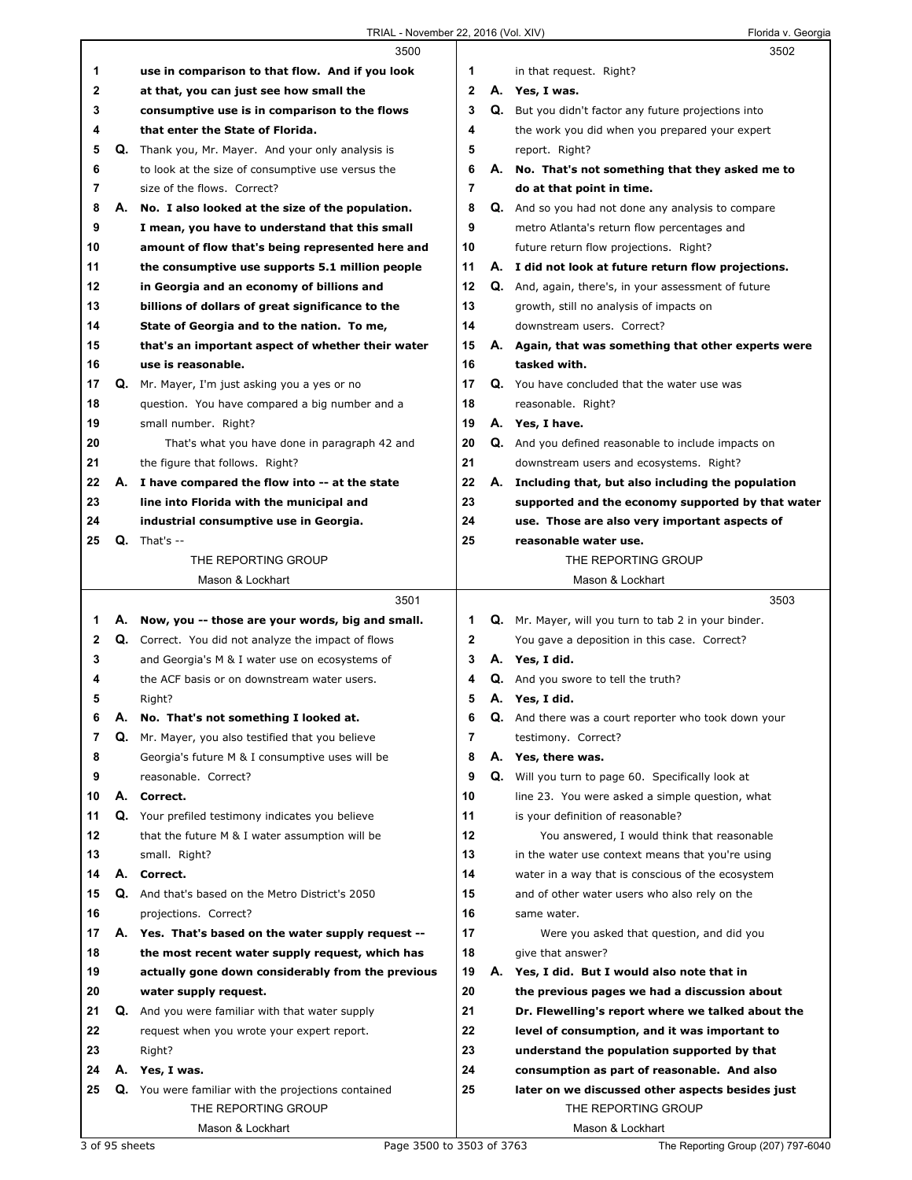|    |    | 3500                                                |                |    | 3502                                                        |
|----|----|-----------------------------------------------------|----------------|----|-------------------------------------------------------------|
| 1  |    | use in comparison to that flow. And if you look     | 1              |    | in that request. Right?                                     |
| 2  |    | at that, you can just see how small the             | $\mathbf{2}$   |    | A. Yes, I was.                                              |
| 3  |    | consumptive use is in comparison to the flows       | 3              |    | <b>Q.</b> But you didn't factor any future projections into |
| 4  |    | that enter the State of Florida.                    | 4              |    | the work you did when you prepared your expert              |
| 5  |    | Q. Thank you, Mr. Mayer. And your only analysis is  | 5              |    | report. Right?                                              |
| 6  |    | to look at the size of consumptive use versus the   | 6              |    | A. No. That's not something that they asked me to           |
| 7  |    | size of the flows. Correct?                         | $\overline{7}$ |    | do at that point in time.                                   |
| 8  | А. | No. I also looked at the size of the population.    | 8              |    | <b>Q.</b> And so you had not done any analysis to compare   |
| 9  |    | I mean, you have to understand that this small      | 9              |    | metro Atlanta's return flow percentages and                 |
| 10 |    | amount of flow that's being represented here and    | 10             |    | future return flow projections. Right?                      |
| 11 |    | the consumptive use supports 5.1 million people     | 11             |    | A. I did not look at future return flow projections.        |
| 12 |    | in Georgia and an economy of billions and           | 12             |    | <b>Q.</b> And, again, there's, in your assessment of future |
| 13 |    | billions of dollars of great significance to the    | 13             |    | growth, still no analysis of impacts on                     |
| 14 |    | State of Georgia and to the nation. To me,          | 14             |    | downstream users. Correct?                                  |
| 15 |    | that's an important aspect of whether their water   | 15             |    | A. Again, that was something that other experts were        |
| 16 |    | use is reasonable.                                  | 16             |    | tasked with.                                                |
| 17 |    | Q. Mr. Mayer, I'm just asking you a yes or no       | 17             |    | Q. You have concluded that the water use was                |
| 18 |    | question. You have compared a big number and a      | 18             |    | reasonable. Right?                                          |
| 19 |    | small number. Right?                                | 19             |    | A. Yes, I have.                                             |
| 20 |    | That's what you have done in paragraph 42 and       | 20             |    | <b>Q.</b> And you defined reasonable to include impacts on  |
| 21 |    | the figure that follows. Right?                     | 21             |    | downstream users and ecosystems. Right?                     |
| 22 |    | A. I have compared the flow into -- at the state    | 22             |    | A. Including that, but also including the population        |
| 23 |    | line into Florida with the municipal and            | 23             |    | supported and the economy supported by that water           |
| 24 |    | industrial consumptive use in Georgia.              | 24             |    | use. Those are also very important aspects of               |
| 25 | Q. | That's $-$                                          | 25             |    | reasonable water use.                                       |
|    |    | THE REPORTING GROUP                                 |                |    | THE REPORTING GROUP                                         |
|    |    | Mason & Lockhart                                    |                |    | Mason & Lockhart                                            |
|    |    |                                                     |                |    |                                                             |
|    |    |                                                     |                |    |                                                             |
|    |    | 3501                                                |                |    | 3503                                                        |
| 1. |    | A. Now, you -- those are your words, big and small. | 1              |    | Q. Mr. Mayer, will you turn to tab 2 in your binder.        |
| 2  |    | Q. Correct. You did not analyze the impact of flows | $\mathbf 2$    |    | You gave a deposition in this case. Correct?                |
| 3  |    | and Georgia's M & I water use on ecosystems of      | 3              |    | A. Yes, I did.                                              |
| 4  |    | the ACF basis or on downstream water users.         | 4              |    | <b>Q.</b> And you swore to tell the truth?                  |
| 5  |    | Right?                                              | 5              |    | A. Yes, I did.                                              |
| 6  | Α. | No. That's not something I looked at.               | 6              |    | <b>Q.</b> And there was a court reporter who took down your |
| 7  | Q. | Mr. Mayer, you also testified that you believe      | 7              |    | testimony. Correct?                                         |
| 8  |    | Georgia's future M & I consumptive uses will be     | 8              |    | A. Yes, there was.                                          |
| 9  |    | reasonable. Correct?                                | 9              | Q. | Will you turn to page 60. Specifically look at              |
| 10 |    | A. Correct.                                         | 10             |    | line 23. You were asked a simple question, what             |
| 11 | Q. | Your prefiled testimony indicates you believe       | 11             |    | is your definition of reasonable?                           |
| 12 |    | that the future M & I water assumption will be      | 12             |    | You answered, I would think that reasonable                 |
| 13 |    | small. Right?                                       | 13             |    | in the water use context means that you're using            |
| 14 | А. | Correct.                                            | 14             |    | water in a way that is conscious of the ecosystem           |
| 15 |    | Q. And that's based on the Metro District's 2050    | 15             |    | and of other water users who also rely on the               |
| 16 |    | projections. Correct?                               | 16             |    | same water.                                                 |
| 17 |    | A. Yes. That's based on the water supply request -- | 17             |    | Were you asked that question, and did you                   |
| 18 |    | the most recent water supply request, which has     | 18             |    | give that answer?                                           |
| 19 |    | actually gone down considerably from the previous   | 19             |    | A. Yes, I did. But I would also note that in                |
| 20 |    | water supply request.                               | 20             |    | the previous pages we had a discussion about                |
| 21 | Q. | And you were familiar with that water supply        | 21             |    | Dr. Flewelling's report where we talked about the           |
| 22 |    | request when you wrote your expert report.          | 22             |    | level of consumption, and it was important to               |
| 23 |    | Right?                                              | 23             |    | understand the population supported by that                 |
| 24 |    | A. Yes, I was.                                      | 24             |    | consumption as part of reasonable. And also                 |
| 25 |    | Q. You were familiar with the projections contained | 25             |    | later on we discussed other aspects besides just            |
|    |    | THE REPORTING GROUP                                 |                |    | THE REPORTING GROUP                                         |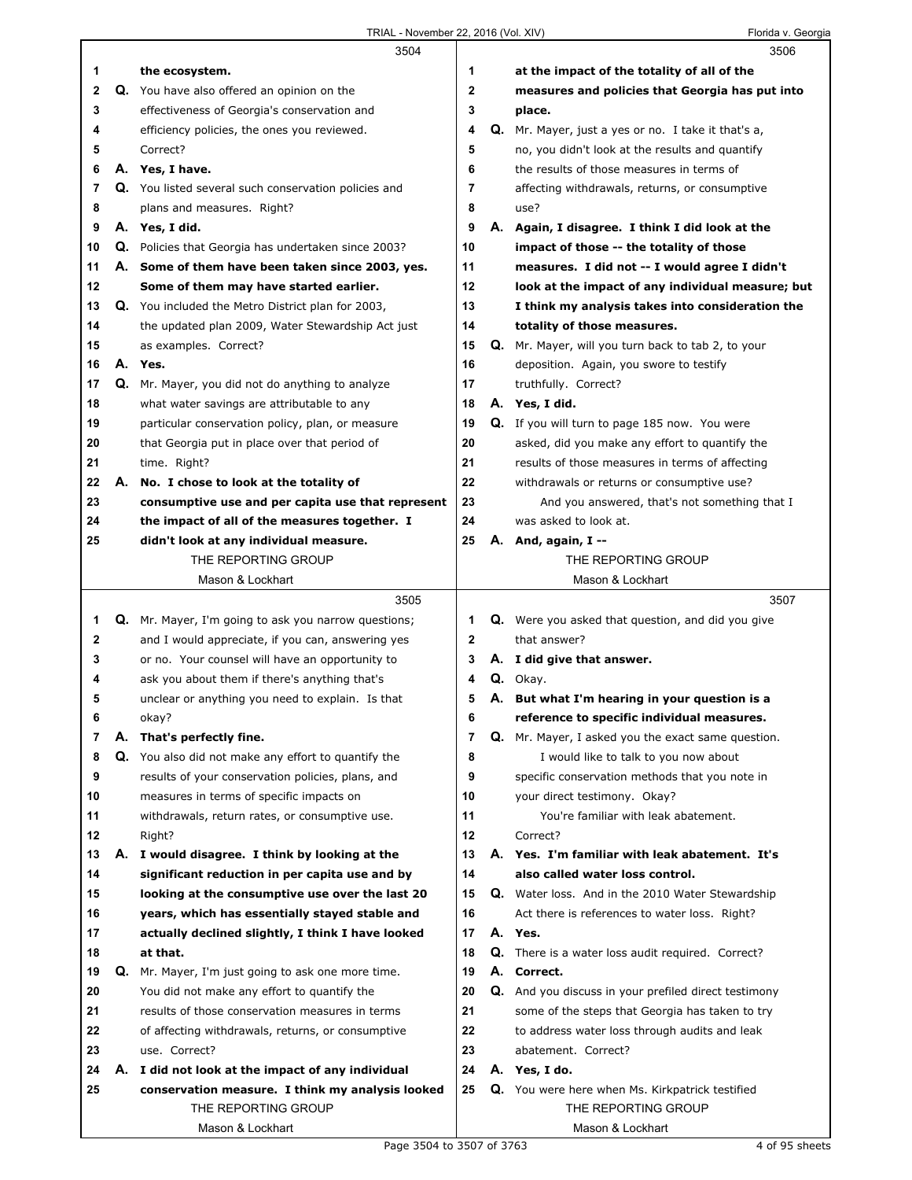|              |    | 3504                                                 |                |    | 3506                                                     |
|--------------|----|------------------------------------------------------|----------------|----|----------------------------------------------------------|
| 1            |    | the ecosystem.                                       | 1              |    | at the impact of the totality of all of the              |
| $\mathbf{2}$ |    | Q. You have also offered an opinion on the           | $\overline{2}$ |    | measures and policies that Georgia has put into          |
| 3            |    | effectiveness of Georgia's conservation and          | 3              |    | place.                                                   |
| 4            |    | efficiency policies, the ones you reviewed.          | 4              | Q. | Mr. Mayer, just a yes or no. I take it that's a,         |
| 5            |    | Correct?                                             | 5              |    | no, you didn't look at the results and quantify          |
| 6            |    | A. Yes, I have.                                      | 6              |    | the results of those measures in terms of                |
| 7            |    | Q. You listed several such conservation policies and | 7              |    | affecting withdrawals, returns, or consumptive           |
| 8            |    | plans and measures. Right?                           | 8              |    | use?                                                     |
| 9            |    | A. Yes, I did.                                       | 9              |    | A. Again, I disagree. I think I did look at the          |
| 10           | Q. | Policies that Georgia has undertaken since 2003?     | 10             |    | impact of those -- the totality of those                 |
| 11           |    | A. Some of them have been taken since 2003, yes.     | 11             |    | measures. I did not -- I would agree I didn't            |
| 12           |    | Some of them may have started earlier.               | 12             |    | look at the impact of any individual measure; but        |
| 13           |    | Q. You included the Metro District plan for 2003,    | 13             |    | I think my analysis takes into consideration the         |
| 14           |    | the updated plan 2009, Water Stewardship Act just    | 14             |    | totality of those measures.                              |
| 15           |    | as examples. Correct?                                | 15             |    | Q. Mr. Mayer, will you turn back to tab 2, to your       |
| 16           |    | A. Yes.                                              | 16             |    | deposition. Again, you swore to testify                  |
| 17           |    | Q. Mr. Mayer, you did not do anything to analyze     | 17             |    | truthfully. Correct?                                     |
| 18           |    | what water savings are attributable to any           | 18             |    | A. Yes, I did.                                           |
| 19           |    | particular conservation policy, plan, or measure     | 19             |    | Q. If you will turn to page 185 now. You were            |
| 20           |    | that Georgia put in place over that period of        | 20             |    | asked, did you make any effort to quantify the           |
| 21           |    | time. Right?                                         | 21             |    | results of those measures in terms of affecting          |
| 22           | А. | No. I chose to look at the totality of               | 22             |    | withdrawals or returns or consumptive use?               |
| 23           |    | consumptive use and per capita use that represent    | 23             |    | And you answered, that's not something that I            |
| 24           |    | the impact of all of the measures together. I        | 24             |    | was asked to look at.                                    |
| 25           |    | didn't look at any individual measure.               | 25             |    | A. And, again, I --                                      |
|              |    | THE REPORTING GROUP                                  |                |    | THE REPORTING GROUP                                      |
|              |    | Mason & Lockhart                                     |                |    | Mason & Lockhart                                         |
|              |    | 3505                                                 |                |    |                                                          |
|              |    |                                                      |                |    | 3507                                                     |
| 1            |    | Q. Mr. Mayer, I'm going to ask you narrow questions; | 1              |    | Q. Were you asked that question, and did you give        |
| 2            |    | and I would appreciate, if you can, answering yes    | $\mathbf{2}$   |    | that answer?                                             |
| 3            |    | or no. Your counsel will have an opportunity to      | 3              |    | A. I did give that answer.                               |
| 4            |    | ask you about them if there's anything that's        | 4              |    | Q. Okay.                                                 |
| 5            |    | unclear or anything you need to explain. Is that     | 5              |    | A. But what I'm hearing in your question is a            |
| 6            |    | okay?                                                | 6              |    | reference to specific individual measures.               |
| 7            | А. | That's perfectly fine.                               | 7              | Q. | Mr. Mayer, I asked you the exact same question.          |
| 8            | Q. | You also did not make any effort to quantify the     | 8              |    | I would like to talk to you now about                    |
| 9            |    | results of your conservation policies, plans, and    | 9              |    | specific conservation methods that you note in           |
| 10           |    | measures in terms of specific impacts on             | 10             |    | your direct testimony. Okay?                             |
| 11           |    | withdrawals, return rates, or consumptive use.       | 11             |    | You're familiar with leak abatement.                     |
| 12           |    | Right?                                               | 12             |    | Correct?                                                 |
| 13           | А. | I would disagree. I think by looking at the          | 13             |    | A. Yes. I'm familiar with leak abatement. It's           |
| 14           |    | significant reduction in per capita use and by       | 14             |    | also called water loss control.                          |
| 15           |    | looking at the consumptive use over the last 20      | 15             |    | <b>Q.</b> Water loss. And in the 2010 Water Stewardship  |
| 16           |    | years, which has essentially stayed stable and       | 16             |    | Act there is references to water loss. Right?            |
| 17           |    | actually declined slightly, I think I have looked    | 17             |    | A. Yes.                                                  |
| 18           |    | at that.                                             | 18             |    | <b>Q.</b> There is a water loss audit required. Correct? |
| 19           | Q. | Mr. Mayer, I'm just going to ask one more time.      | 19             |    | A. Correct.                                              |
| 20           |    | You did not make any effort to quantify the          | 20             |    | Q. And you discuss in your prefiled direct testimony     |
| 21           |    | results of those conservation measures in terms      | 21             |    | some of the steps that Georgia has taken to try          |
| 22           |    | of affecting withdrawals, returns, or consumptive    | 22             |    | to address water loss through audits and leak            |
| 23           |    | use. Correct?                                        | 23             |    | abatement. Correct?                                      |
| 24           | А. | I did not look at the impact of any individual       | 24             |    | A. Yes, I do.                                            |
| 25           |    | conservation measure. I think my analysis looked     | 25             |    | Q. You were here when Ms. Kirkpatrick testified          |
|              |    | THE REPORTING GROUP<br>Mason & Lockhart              |                |    | THE REPORTING GROUP<br>Mason & Lockhart                  |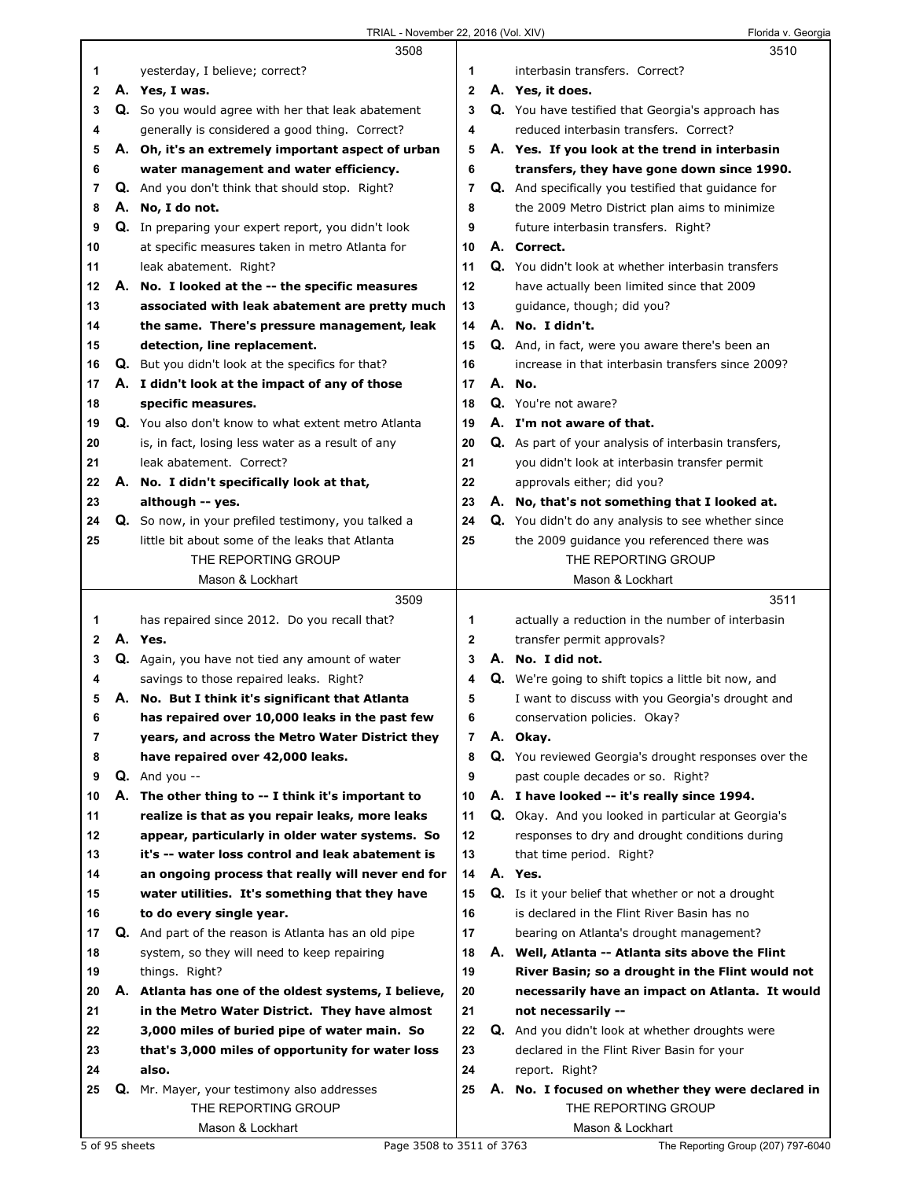|    | 3508                                                 |                | 3510                                                        |
|----|------------------------------------------------------|----------------|-------------------------------------------------------------|
| 1. | yesterday, I believe; correct?                       | 1              | interbasin transfers. Correct?                              |
| 2  | A. Yes, I was.                                       | $\mathbf{2}$   | A. Yes, it does.                                            |
| 3  | Q. So you would agree with her that leak abatement   | 3              | Q. You have testified that Georgia's approach has           |
| 4  | generally is considered a good thing. Correct?       | 4              | reduced interbasin transfers. Correct?                      |
| 5  | A. Oh, it's an extremely important aspect of urban   | 5              | A. Yes. If you look at the trend in interbasin              |
| 6  | water management and water efficiency.               | 6              | transfers, they have gone down since 1990.                  |
| 7  | Q. And you don't think that should stop. Right?      | $\overline{7}$ | Q. And specifically you testified that guidance for         |
| 8  | A. No, I do not.                                     | 8              | the 2009 Metro District plan aims to minimize               |
| 9  | Q. In preparing your expert report, you didn't look  | 9              | future interbasin transfers. Right?                         |
| 10 | at specific measures taken in metro Atlanta for      | 10             | A. Correct.                                                 |
| 11 | leak abatement. Right?                               | 11             | Q. You didn't look at whether interbasin transfers          |
| 12 | A. No. I looked at the -- the specific measures      | 12             | have actually been limited since that 2009                  |
| 13 | associated with leak abatement are pretty much       | 13             | guidance, though; did you?                                  |
| 14 | the same. There's pressure management, leak          | 14             | A. No. I didn't.                                            |
| 15 | detection, line replacement.                         | 15             | Q. And, in fact, were you aware there's been an             |
| 16 | Q. But you didn't look at the specifics for that?    | 16             | increase in that interbasin transfers since 2009?           |
| 17 | A. I didn't look at the impact of any of those       | 17             | A. No.                                                      |
| 18 | specific measures.                                   | 18             | Q. You're not aware?                                        |
| 19 | Q. You also don't know to what extent metro Atlanta  | 19             | A. I'm not aware of that.                                   |
| 20 | is, in fact, losing less water as a result of any    | 20             | Q. As part of your analysis of interbasin transfers,        |
| 21 | leak abatement. Correct?                             | 21             | you didn't look at interbasin transfer permit               |
| 22 | A. No. I didn't specifically look at that,           | 22             | approvals either; did you?                                  |
| 23 | although -- yes.                                     | 23             | A. No, that's not something that I looked at.               |
| 24 | Q. So now, in your prefiled testimony, you talked a  | 24             | Q. You didn't do any analysis to see whether since          |
| 25 | little bit about some of the leaks that Atlanta      | 25             | the 2009 guidance you referenced there was                  |
|    | THE REPORTING GROUP                                  |                | THE REPORTING GROUP                                         |
|    | Mason & Lockhart                                     |                | Mason & Lockhart                                            |
|    |                                                      |                |                                                             |
|    | 3509                                                 |                | 3511                                                        |
| 1  | has repaired since 2012. Do you recall that?         | 1              | actually a reduction in the number of interbasin            |
| 2  | A. Yes.                                              | $\mathbf{2}$   | transfer permit approvals?                                  |
| 3  | Q. Again, you have not tied any amount of water      | 3              | A. No. I did not.                                           |
| 4  | savings to those repaired leaks. Right?              | 4              | <b>Q.</b> We're going to shift topics a little bit now, and |
| 5  | A. No. But I think it's significant that Atlanta     | 5              | I want to discuss with you Georgia's drought and            |
| 6  | has repaired over 10,000 leaks in the past few       | 6              | conservation policies. Okay?                                |
| 7  | years, and across the Metro Water District they      | 7              | A. Okay.                                                    |
| 8  | have repaired over 42,000 leaks.                     | 8              | Q. You reviewed Georgia's drought responses over the        |
| 9  | $Q.$ And you --                                      | 9              | past couple decades or so. Right?                           |
| 10 | A. The other thing to -- I think it's important to   | 10             | A. I have looked -- it's really since 1994.                 |
| 11 | realize is that as you repair leaks, more leaks      | 11             | Q. Okay. And you looked in particular at Georgia's          |
| 12 | appear, particularly in older water systems. So      | 12             | responses to dry and drought conditions during              |
| 13 | it's -- water loss control and leak abatement is     | 13             | that time period. Right?                                    |
| 14 | an ongoing process that really will never end for    | 14             | A. Yes.                                                     |
| 15 | water utilities. It's something that they have       | 15             | Q. Is it your belief that whether or not a drought          |
| 16 | to do every single year.                             | 16             | is declared in the Flint River Basin has no                 |
| 17 | Q. And part of the reason is Atlanta has an old pipe | 17             | bearing on Atlanta's drought management?                    |
| 18 | system, so they will need to keep repairing          | 18             | A. Well, Atlanta -- Atlanta sits above the Flint            |
| 19 | things. Right?                                       | 19             | River Basin; so a drought in the Flint would not            |
| 20 | A. Atlanta has one of the oldest systems, I believe, | 20             | necessarily have an impact on Atlanta. It would             |
| 21 | in the Metro Water District. They have almost        | 21             | not necessarily --                                          |
| 22 | 3,000 miles of buried pipe of water main. So         | 22             | Q. And you didn't look at whether droughts were             |
| 23 | that's 3,000 miles of opportunity for water loss     | 23             | declared in the Flint River Basin for your                  |
| 24 | also.                                                | 24             | report. Right?                                              |
| 25 | Q. Mr. Mayer, your testimony also addresses          | 25             | A. No. I focused on whether they were declared in           |
|    | THE REPORTING GROUP                                  |                | THE REPORTING GROUP                                         |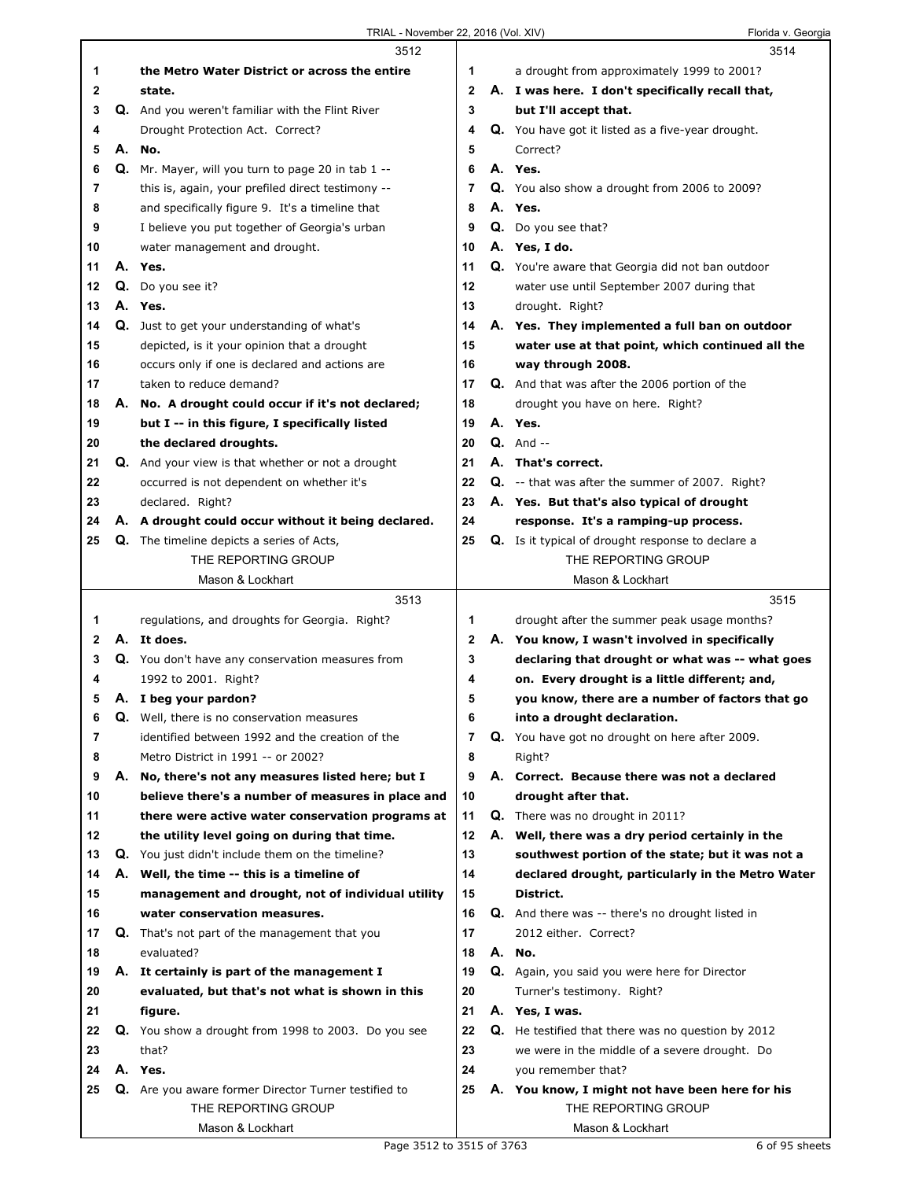|    |    | 3512                                                     |                |    | 3514                                                      |
|----|----|----------------------------------------------------------|----------------|----|-----------------------------------------------------------|
| 1  |    | the Metro Water District or across the entire            | 1              |    | a drought from approximately 1999 to 2001?                |
| 2  |    | state.                                                   | $\mathbf{2}$   |    | A. I was here. I don't specifically recall that,          |
| 3  |    | Q. And you weren't familiar with the Flint River         | 3              |    | but I'll accept that.                                     |
| 4  |    | Drought Protection Act. Correct?                         | 4              |    | Q. You have got it listed as a five-year drought.         |
| 5  | А. | No.                                                      | 5              |    | Correct?                                                  |
| 6  |    | Q. Mr. Mayer, will you turn to page 20 in tab 1 --       | 6              |    | A. Yes.                                                   |
| 7  |    | this is, again, your prefiled direct testimony --        | 7              |    | Q. You also show a drought from 2006 to 2009?             |
| 8  |    | and specifically figure 9. It's a timeline that          | 8              |    | A. Yes.                                                   |
| 9  |    | I believe you put together of Georgia's urban            | 9              |    | Q. Do you see that?                                       |
| 10 |    | water management and drought.                            | 10             |    | A. Yes, I do.                                             |
| 11 |    | A. Yes.                                                  | 11             |    | Q. You're aware that Georgia did not ban outdoor          |
| 12 | Q. | Do you see it?                                           | 12             |    | water use until September 2007 during that                |
| 13 |    | A. Yes.                                                  | 13             |    | drought. Right?                                           |
| 14 |    | Q. Just to get your understanding of what's              | 14             |    | A. Yes. They implemented a full ban on outdoor            |
| 15 |    | depicted, is it your opinion that a drought              | 15             |    | water use at that point, which continued all the          |
| 16 |    | occurs only if one is declared and actions are           | 16             |    | way through 2008.                                         |
| 17 |    | taken to reduce demand?                                  | 17             |    | Q. And that was after the 2006 portion of the             |
| 18 |    | A. No. A drought could occur if it's not declared;       | 18             |    | drought you have on here. Right?                          |
| 19 |    | but I -- in this figure, I specifically listed           | 19             |    | A. Yes.                                                   |
| 20 |    | the declared droughts.                                   | 20             |    | $Q.$ And $-$                                              |
| 21 |    | <b>Q.</b> And your view is that whether or not a drought | 21             |    | A. That's correct.                                        |
| 22 |    | occurred is not dependent on whether it's                | 22             |    | <b>Q.</b> -- that was after the summer of 2007. Right?    |
| 23 |    | declared. Right?                                         | 23             |    | A. Yes. But that's also typical of drought                |
| 24 |    | A. A drought could occur without it being declared.      | 24             |    | response. It's a ramping-up process.                      |
| 25 |    | <b>Q.</b> The timeline depicts a series of Acts,         | 25             |    | <b>Q.</b> Is it typical of drought response to declare a  |
|    |    | THE REPORTING GROUP                                      |                |    | THE REPORTING GROUP                                       |
|    |    | Mason & Lockhart                                         |                |    | Mason & Lockhart                                          |
|    |    |                                                          |                |    |                                                           |
|    |    | 3513                                                     |                |    | 3515                                                      |
| 1  |    | regulations, and droughts for Georgia. Right?            | 1              |    | drought after the summer peak usage months?               |
| 2  |    | A. It does.                                              | $\mathbf{2}$   |    | A. You know, I wasn't involved in specifically            |
| 3  |    | Q. You don't have any conservation measures from         | 3              |    | declaring that drought or what was -- what goes           |
| 4  |    | 1992 to 2001. Right?                                     | 4              |    | on. Every drought is a little different; and,             |
| 5  |    | A. I beg your pardon?                                    | 5              |    | you know, there are a number of factors that go           |
| 6  |    | <b>Q.</b> Well, there is no conservation measures        | 6              |    | into a drought declaration.                               |
| 7  |    | identified between 1992 and the creation of the          | $\overline{7}$ |    | Q. You have got no drought on here after 2009.            |
| 8  |    | Metro District in 1991 -- or 2002?                       | 8              |    | Right?                                                    |
| 9  | А. | No, there's not any measures listed here; but I          | 9              | А. | Correct. Because there was not a declared                 |
| 10 |    | believe there's a number of measures in place and        | 10             |    | drought after that.                                       |
| 11 |    | there were active water conservation programs at         | 11             |    | Q. There was no drought in 2011?                          |
| 12 |    | the utility level going on during that time.             | 12             |    | A. Well, there was a dry period certainly in the          |
| 13 |    | Q. You just didn't include them on the timeline?         | 13             |    | southwest portion of the state; but it was not a          |
| 14 |    | A. Well, the time -- this is a timeline of               | 14             |    | declared drought, particularly in the Metro Water         |
| 15 |    | management and drought, not of individual utility        | 15             |    | District.                                                 |
| 16 |    | water conservation measures.                             | 16             |    | <b>Q.</b> And there was -- there's no drought listed in   |
| 17 |    | Q. That's not part of the management that you            | 17             |    | 2012 either. Correct?                                     |
| 18 |    | evaluated?                                               | 18             |    | A. No.                                                    |
| 19 |    | A. It certainly is part of the management I              | 19             |    | Q. Again, you said you were here for Director             |
| 20 |    | evaluated, but that's not what is shown in this          | 20             |    | Turner's testimony. Right?                                |
| 21 |    | figure.                                                  | 21             |    | A. Yes, I was.                                            |
| 22 |    | Q. You show a drought from 1998 to 2003. Do you see      | 22             |    | <b>Q.</b> He testified that there was no question by 2012 |
| 23 |    | that?                                                    | 23             |    | we were in the middle of a severe drought. Do             |
| 24 |    | A. Yes.                                                  | 24             |    | you remember that?                                        |
| 25 |    | Q. Are you aware former Director Turner testified to     | 25             |    | A. You know, I might not have been here for his           |
|    |    | THE REPORTING GROUP                                      |                |    | THE REPORTING GROUP                                       |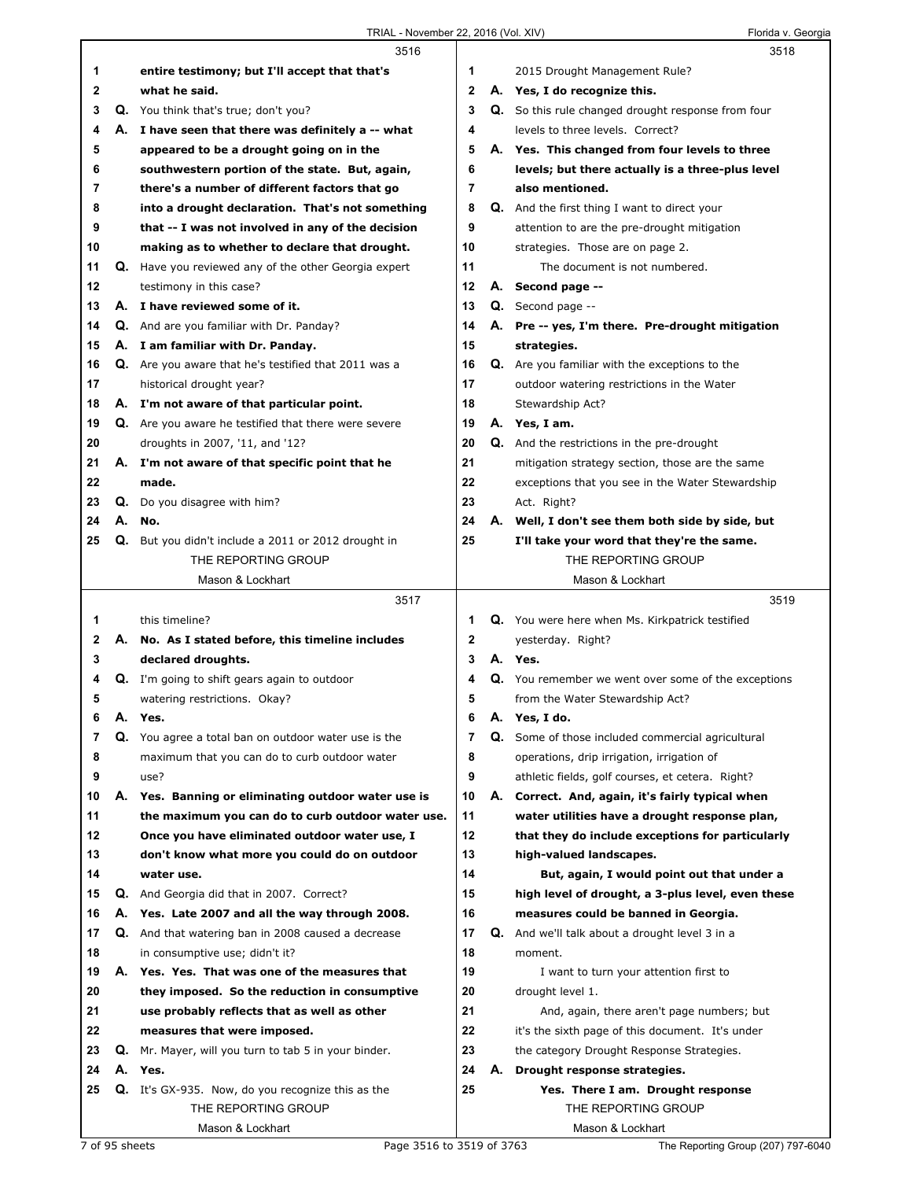|    |    | 3516                                                 |                |    | 3518                                                |  |
|----|----|------------------------------------------------------|----------------|----|-----------------------------------------------------|--|
| 1  |    | entire testimony; but I'll accept that that's        | 1              |    | 2015 Drought Management Rule?                       |  |
| 2  |    | what he said.                                        | 2              |    | A. Yes, I do recognize this.                        |  |
| 3  |    | Q. You think that's true; don't you?                 | 3              |    | Q. So this rule changed drought response from four  |  |
| 4  |    | A. I have seen that there was definitely a -- what   | 4              |    | levels to three levels. Correct?                    |  |
| 5  |    | appeared to be a drought going on in the             | 5              | А. | Yes. This changed from four levels to three         |  |
| 6  |    | southwestern portion of the state. But, again,       | 6              |    | levels; but there actually is a three-plus level    |  |
| 7  |    | there's a number of different factors that go        | 7              |    | also mentioned.                                     |  |
| 8  |    | into a drought declaration. That's not something     | 8              |    | <b>Q.</b> And the first thing I want to direct your |  |
| 9  |    | that -- I was not involved in any of the decision    | 9              |    | attention to are the pre-drought mitigation         |  |
| 10 |    | making as to whether to declare that drought.        | 10             |    | strategies. Those are on page 2.                    |  |
| 11 |    | Q. Have you reviewed any of the other Georgia expert | 11             |    | The document is not numbered.                       |  |
| 12 |    | testimony in this case?                              | 12             |    | A. Second page --                                   |  |
| 13 |    | A. I have reviewed some of it.                       | 13             |    | Q. Second page --                                   |  |
| 14 |    | <b>Q.</b> And are you familiar with Dr. Panday?      | 14             | А. | Pre -- yes, I'm there. Pre-drought mitigation       |  |
| 15 |    | A. I am familiar with Dr. Panday.                    | 15             |    | strategies.                                         |  |
| 16 |    | Q. Are you aware that he's testified that 2011 was a | 16             | Q. | Are you familiar with the exceptions to the         |  |
| 17 |    | historical drought year?                             | 17             |    | outdoor watering restrictions in the Water          |  |
| 18 |    | A. I'm not aware of that particular point.           | 18             |    | Stewardship Act?                                    |  |
| 19 |    | Q. Are you aware he testified that there were severe | 19             |    | A. Yes, I am.                                       |  |
| 20 |    | droughts in 2007, '11, and '12?                      | 20             |    |                                                     |  |
|    |    |                                                      | 21             |    | <b>Q.</b> And the restrictions in the pre-drought   |  |
| 21 |    | A. I'm not aware of that specific point that he      |                |    | mitigation strategy section, those are the same     |  |
| 22 |    | made.                                                | 22             |    | exceptions that you see in the Water Stewardship    |  |
| 23 |    | Q. Do you disagree with him?                         | 23             |    | Act. Right?                                         |  |
| 24 | А. | No.                                                  | 24             |    | A. Well, I don't see them both side by side, but    |  |
| 25 |    | Q. But you didn't include a 2011 or 2012 drought in  | 25             |    | I'll take your word that they're the same.          |  |
|    |    | THE REPORTING GROUP                                  |                |    | THE REPORTING GROUP                                 |  |
|    |    | Mason & Lockhart                                     |                |    | Mason & Lockhart                                    |  |
|    |    |                                                      |                |    |                                                     |  |
|    |    | 3517                                                 |                |    | 3519                                                |  |
| 1  |    | this timeline?                                       | 1              |    | Q. You were here when Ms. Kirkpatrick testified     |  |
| 2  |    | A. No. As I stated before, this timeline includes    | 2              |    | yesterday. Right?                                   |  |
| 3  |    | declared droughts.                                   | 3              |    | A. Yes.                                             |  |
| 4  |    | Q. I'm going to shift gears again to outdoor         | 4              |    | Q. You remember we went over some of the exceptions |  |
| 5  |    | watering restrictions. Okay?                         | 5              |    | from the Water Stewardship Act?                     |  |
| 6  | Α. | Yes.                                                 | 6              | А. | Yes, I do.                                          |  |
| 7  |    | Q. You agree a total ban on outdoor water use is the | $\overline{7}$ | Q. | Some of those included commercial agricultural      |  |
| 8  |    | maximum that you can do to curb outdoor water        | 8              |    | operations, drip irrigation, irrigation of          |  |
| 9  |    | use?                                                 | 9              |    | athletic fields, golf courses, et cetera. Right?    |  |
| 10 |    | A. Yes. Banning or eliminating outdoor water use is  | 10             |    | A. Correct. And, again, it's fairly typical when    |  |
| 11 |    | the maximum you can do to curb outdoor water use.    | 11             |    | water utilities have a drought response plan,       |  |
| 12 |    | Once you have eliminated outdoor water use, I        | 12             |    | that they do include exceptions for particularly    |  |
| 13 |    | don't know what more you could do on outdoor         | 13             |    | high-valued landscapes.                             |  |
| 14 |    | water use.                                           | 14             |    | But, again, I would point out that under a          |  |
| 15 | Q. | And Georgia did that in 2007. Correct?               | 15             |    | high level of drought, a 3-plus level, even these   |  |
| 16 | А. | Yes. Late 2007 and all the way through 2008.         | 16             |    | measures could be banned in Georgia.                |  |
| 17 |    | Q. And that watering ban in 2008 caused a decrease   | 17             | Q. | And we'll talk about a drought level 3 in a         |  |
| 18 |    | in consumptive use; didn't it?                       | 18             |    | moment.                                             |  |
| 19 |    | A. Yes. Yes. That was one of the measures that       | 19             |    | I want to turn your attention first to              |  |
| 20 |    | they imposed. So the reduction in consumptive        | 20             |    | drought level 1.                                    |  |
| 21 |    | use probably reflects that as well as other          | 21             |    | And, again, there aren't page numbers; but          |  |
| 22 |    | measures that were imposed.                          | 22             |    | it's the sixth page of this document. It's under    |  |
| 23 | Q. | Mr. Mayer, will you turn to tab 5 in your binder.    | 23             |    | the category Drought Response Strategies.           |  |
| 24 |    | A. Yes.                                              | 24             | А. | Drought response strategies.                        |  |
| 25 |    | Q. It's GX-935. Now, do you recognize this as the    | 25             |    | Yes. There I am. Drought response                   |  |
|    |    | THE REPORTING GROUP                                  |                |    | THE REPORTING GROUP                                 |  |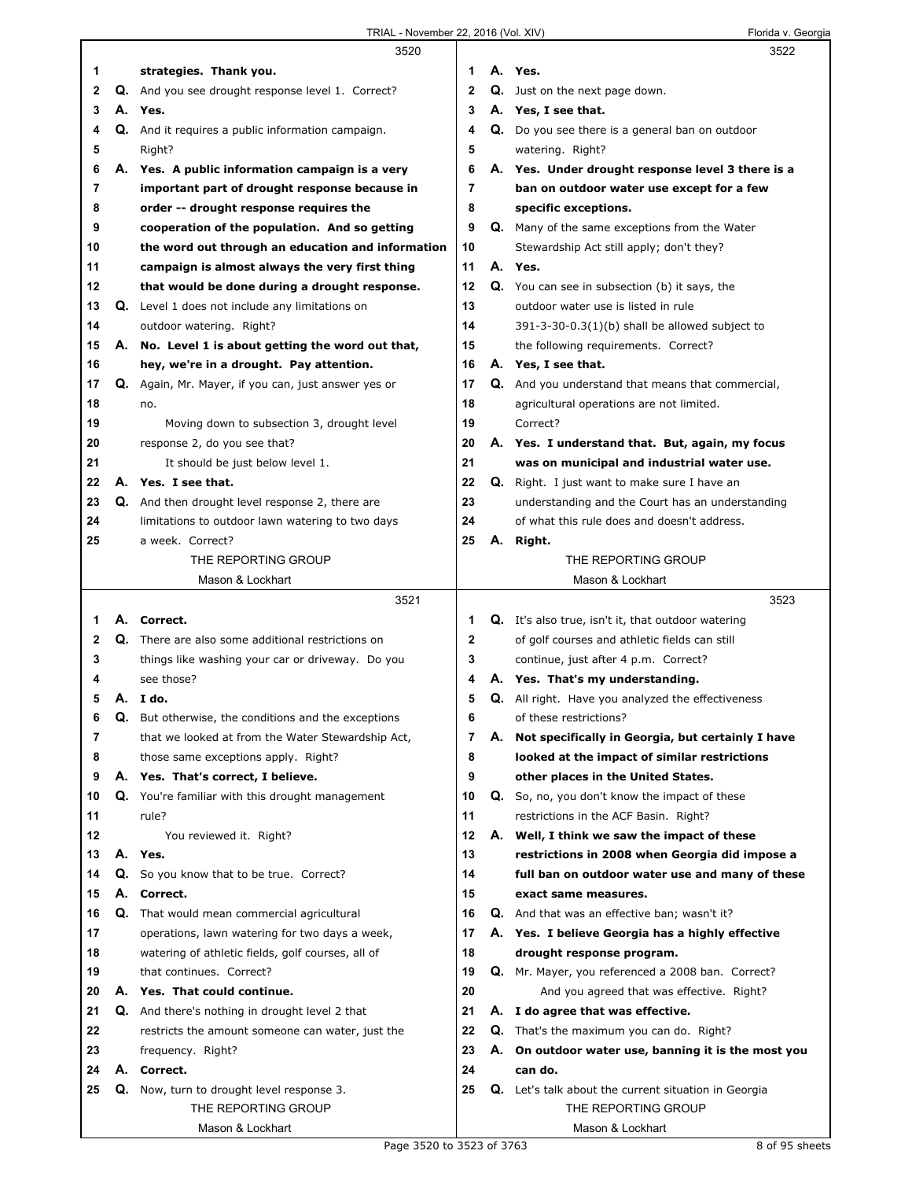|    |    | 3520                                                       |    |    | 3522                                                        |
|----|----|------------------------------------------------------------|----|----|-------------------------------------------------------------|
| 1  |    | strategies. Thank you.                                     | 1  |    | A. Yes.                                                     |
| 2  |    | Q. And you see drought response level 1. Correct?          | 2  |    | Q. Just on the next page down.                              |
| 3  |    | A. Yes.                                                    | 3  |    | A. Yes, I see that.                                         |
| 4  |    | Q. And it requires a public information campaign.          | 4  |    | Q. Do you see there is a general ban on outdoor             |
| 5  |    | Right?                                                     | 5  |    | watering. Right?                                            |
| 6  |    | A. Yes. A public information campaign is a very            | 6  |    | A. Yes. Under drought response level 3 there is a           |
| 7  |    | important part of drought response because in              | 7  |    | ban on outdoor water use except for a few                   |
| 8  |    | order -- drought response requires the                     | 8  |    | specific exceptions.                                        |
| 9  |    | cooperation of the population. And so getting              | 9  |    | <b>Q.</b> Many of the same exceptions from the Water        |
| 10 |    | the word out through an education and information          | 10 |    | Stewardship Act still apply; don't they?                    |
| 11 |    | campaign is almost always the very first thing             | 11 |    | A. Yes.                                                     |
| 12 |    | that would be done during a drought response.              | 12 |    | Q. You can see in subsection (b) it says, the               |
| 13 |    | Q. Level 1 does not include any limitations on             | 13 |    | outdoor water use is listed in rule                         |
| 14 |    | outdoor watering. Right?                                   | 14 |    | 391-3-30-0.3(1)(b) shall be allowed subject to              |
| 15 | А. | No. Level 1 is about getting the word out that,            | 15 |    | the following requirements. Correct?                        |
| 16 |    | hey, we're in a drought. Pay attention.                    | 16 |    | A. Yes, I see that.                                         |
| 17 |    | Q. Again, Mr. Mayer, if you can, just answer yes or        | 17 |    | Q. And you understand that means that commercial,           |
| 18 |    | no.                                                        | 18 |    | agricultural operations are not limited.                    |
| 19 |    | Moving down to subsection 3, drought level                 | 19 |    | Correct?                                                    |
| 20 |    | response 2, do you see that?                               | 20 |    | A. Yes. I understand that. But, again, my focus             |
| 21 |    | It should be just below level 1.                           | 21 |    | was on municipal and industrial water use.                  |
| 22 |    | A. Yes. I see that.                                        | 22 | Q. | Right. I just want to make sure I have an                   |
| 23 |    | Q. And then drought level response 2, there are            | 23 |    | understanding and the Court has an understanding            |
| 24 |    | limitations to outdoor lawn watering to two days           | 24 |    | of what this rule does and doesn't address.                 |
| 25 |    | a week. Correct?                                           | 25 | А. | Right.                                                      |
|    |    | THE REPORTING GROUP                                        |    |    | THE REPORTING GROUP                                         |
|    |    | Mason & Lockhart                                           |    |    | Mason & Lockhart                                            |
|    |    |                                                            |    |    |                                                             |
|    |    | 3521                                                       |    |    | 3523                                                        |
| 1  |    | A. Correct.                                                | 1  |    | <b>Q.</b> It's also true, isn't it, that outdoor watering   |
| 2  |    | <b>Q.</b> There are also some additional restrictions on   | 2  |    | of golf courses and athletic fields can still               |
| 3  |    | things like washing your car or driveway. Do you           | 3  |    | continue, just after 4 p.m. Correct?                        |
| 4  |    | see those?                                                 | 4  |    | A. Yes. That's my understanding.                            |
| 5  |    | A. Ido.                                                    | 5  |    | Q. All right. Have you analyzed the effectiveness           |
| 6  |    | <b>Q.</b> But otherwise, the conditions and the exceptions | 6  |    | of these restrictions?                                      |
| 7  |    | that we looked at from the Water Stewardship Act,          | 7  | А. | Not specifically in Georgia, but certainly I have           |
| 8  |    | those same exceptions apply. Right?                        | 8  |    | looked at the impact of similar restrictions                |
| 9  |    | A. Yes. That's correct, I believe.                         | 9  |    | other places in the United States.                          |
| 10 |    | Q. You're familiar with this drought management            | 10 | Q. | So, no, you don't know the impact of these                  |
| 11 |    | rule?                                                      | 11 |    | restrictions in the ACF Basin. Right?                       |
| 12 |    | You reviewed it. Right?                                    | 12 | А. | Well, I think we saw the impact of these                    |
| 13 | А. | Yes.                                                       | 13 |    | restrictions in 2008 when Georgia did impose a              |
| 14 |    | Q. So you know that to be true. Correct?                   | 14 |    | full ban on outdoor water use and many of these             |
| 15 | А. | Correct.                                                   | 15 |    | exact same measures.                                        |
| 16 |    | Q. That would mean commercial agricultural                 | 16 |    | Q. And that was an effective ban; wasn't it?                |
| 17 |    | operations, lawn watering for two days a week,             | 17 |    | A. Yes. I believe Georgia has a highly effective            |
| 18 |    | watering of athletic fields, golf courses, all of          | 18 |    | drought response program.                                   |
| 19 |    | that continues. Correct?                                   | 19 |    | Q. Mr. Mayer, you referenced a 2008 ban. Correct?           |
| 20 |    | A. Yes. That could continue.                               | 20 |    | And you agreed that was effective. Right?                   |
| 21 |    | Q. And there's nothing in drought level 2 that             | 21 |    | A. I do agree that was effective.                           |
| 22 |    | restricts the amount someone can water, just the           | 22 |    | <b>Q.</b> That's the maximum you can do. Right?             |
| 23 |    | frequency. Right?                                          | 23 | А. | On outdoor water use, banning it is the most you            |
| 24 |    | A. Correct.                                                | 24 |    | can do.                                                     |
| 25 |    | Q. Now, turn to drought level response 3.                  | 25 |    | <b>Q.</b> Let's talk about the current situation in Georgia |
|    |    | THE REPORTING GROUP<br>Mason & Lockhart                    |    |    | THE REPORTING GROUP<br>Mason & Lockhart                     |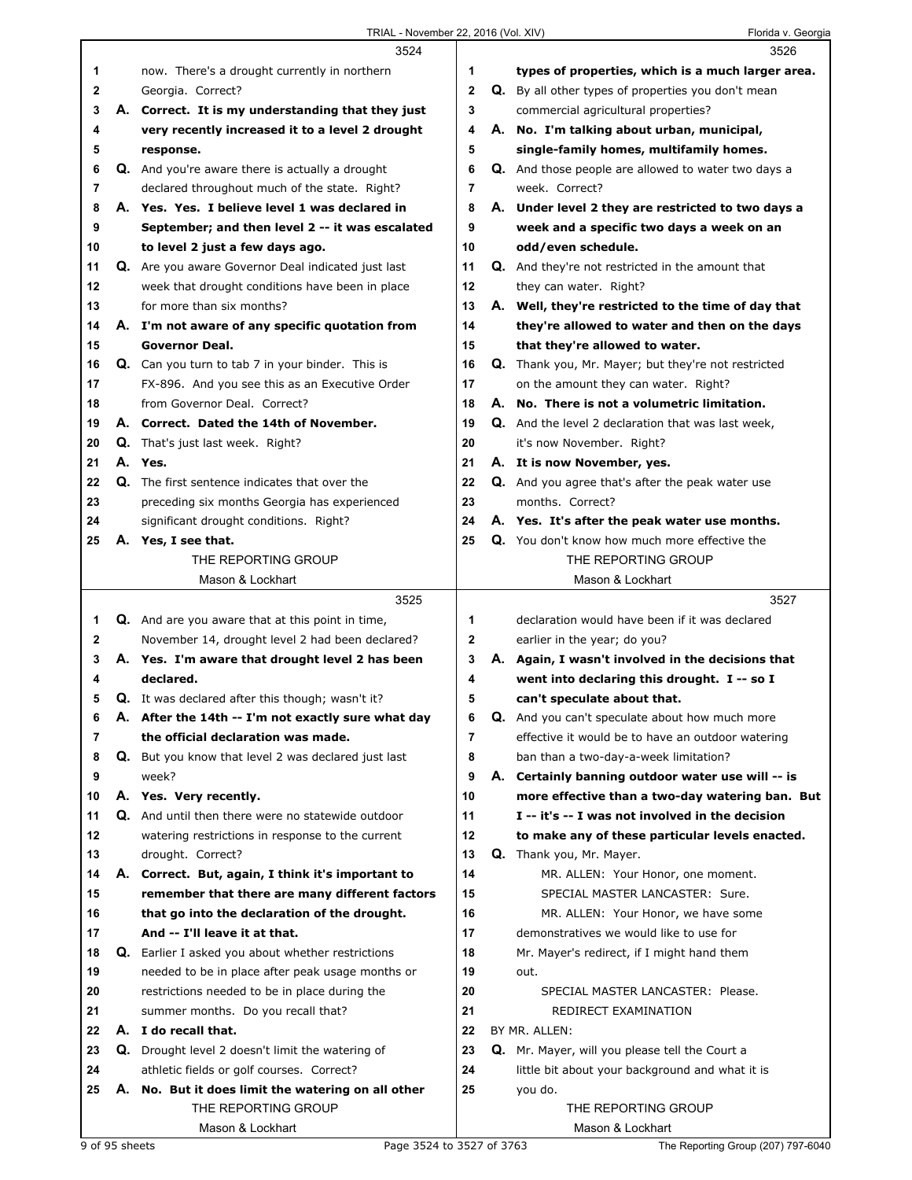|    |    | 3524                                                       |              | 3526                                                    |
|----|----|------------------------------------------------------------|--------------|---------------------------------------------------------|
| 1  |    | now. There's a drought currently in northern               | 1            | types of properties, which is a much larger area.       |
| 2  |    | Georgia. Correct?                                          | $\mathbf{2}$ | Q. By all other types of properties you don't mean      |
| 3  |    | A. Correct. It is my understanding that they just          | 3            | commercial agricultural properties?                     |
| 4  |    | very recently increased it to a level 2 drought            | 4            | A. No. I'm talking about urban, municipal,              |
| 5  |    | response.                                                  | 5            | single-family homes, multifamily homes.                 |
| 6  |    | <b>Q.</b> And you're aware there is actually a drought     | 6            | Q. And those people are allowed to water two days a     |
| 7  |    | declared throughout much of the state. Right?              | 7            | week. Correct?                                          |
| 8  |    | A. Yes. Yes. I believe level 1 was declared in             | 8            | A. Under level 2 they are restricted to two days a      |
| 9  |    | September; and then level 2 -- it was escalated            | 9            | week and a specific two days a week on an               |
| 10 |    | to level 2 just a few days ago.                            | 10           | odd/even schedule.                                      |
| 11 |    | Q. Are you aware Governor Deal indicated just last         | 11           | <b>Q.</b> And they're not restricted in the amount that |
| 12 |    | week that drought conditions have been in place            | 12           | they can water. Right?                                  |
| 13 |    | for more than six months?                                  | 13           | A. Well, they're restricted to the time of day that     |
| 14 |    | A. I'm not aware of any specific quotation from            | 14           | they're allowed to water and then on the days           |
| 15 |    | <b>Governor Deal.</b>                                      | 15           | that they're allowed to water.                          |
| 16 |    | <b>Q.</b> Can you turn to tab 7 in your binder. This is    | 16           | Q. Thank you, Mr. Mayer; but they're not restricted     |
| 17 |    | FX-896. And you see this as an Executive Order             | 17           | on the amount they can water. Right?                    |
| 18 |    | from Governor Deal. Correct?                               | 18           | A. No. There is not a volumetric limitation.            |
| 19 |    | A. Correct. Dated the 14th of November.                    | 19           | Q. And the level 2 declaration that was last week,      |
| 20 |    | Q. That's just last week. Right?                           | 20           | it's now November. Right?                               |
| 21 |    | A. Yes.                                                    | 21           | A. It is now November, yes.                             |
| 22 |    | Q. The first sentence indicates that over the              | 22           | <b>Q.</b> And you agree that's after the peak water use |
| 23 |    | preceding six months Georgia has experienced               | 23           | months. Correct?                                        |
| 24 |    | significant drought conditions. Right?                     | 24           | A. Yes. It's after the peak water use months.           |
| 25 |    | A. Yes, I see that.                                        | 25           | Q. You don't know how much more effective the           |
|    |    | THE REPORTING GROUP                                        |              | THE REPORTING GROUP                                     |
|    |    | Mason & Lockhart                                           |              | Mason & Lockhart                                        |
|    |    | 3525                                                       |              | 3527                                                    |
| 1  |    | <b>Q.</b> And are you aware that at this point in time,    | 1            | declaration would have been if it was declared          |
| 2  |    | November 14, drought level 2 had been declared?            | $\mathbf 2$  | earlier in the year; do you?                            |
| 3  |    | A. Yes. I'm aware that drought level 2 has been            | 3            | A. Again, I wasn't involved in the decisions that       |
| 4  |    | declared.                                                  | 4            | went into declaring this drought. I -- so I             |
| 5  |    |                                                            |              |                                                         |
| 6  |    | <b>Q.</b> It was declared after this though; wasn't it?    | 5            | can't speculate about that.                             |
|    | А. | After the 14th -- I'm not exactly sure what day            | 6            | Q. And you can't speculate about how much more          |
| 7  |    | the official declaration was made.                         | 7            | effective it would be to have an outdoor watering       |
| 8  |    | <b>Q.</b> But you know that level 2 was declared just last | 8            | ban than a two-day-a-week limitation?                   |
| 9  |    | week?                                                      | 9            | A. Certainly banning outdoor water use will -- is       |
| 10 |    | A. Yes. Very recently.                                     | 10           | more effective than a two-day watering ban. But         |
| 11 |    | Q. And until then there were no statewide outdoor          | 11           | I -- it's -- I was not involved in the decision         |
| 12 |    | watering restrictions in response to the current           | 12           | to make any of these particular levels enacted.         |
| 13 |    | drought. Correct?                                          | 13           | Q. Thank you, Mr. Mayer.                                |
| 14 |    | A. Correct. But, again, I think it's important to          | 14           | MR. ALLEN: Your Honor, one moment.                      |
| 15 |    | remember that there are many different factors             | 15           | SPECIAL MASTER LANCASTER: Sure.                         |
| 16 |    | that go into the declaration of the drought.               | 16           | MR. ALLEN: Your Honor, we have some                     |
| 17 |    | And -- I'll leave it at that.                              | 17           | demonstratives we would like to use for                 |
| 18 |    | <b>Q.</b> Earlier I asked you about whether restrictions   | 18           | Mr. Mayer's redirect, if I might hand them              |
| 19 |    | needed to be in place after peak usage months or           | 19           | out.                                                    |
| 20 |    | restrictions needed to be in place during the              | 20           | SPECIAL MASTER LANCASTER: Please.                       |
| 21 |    | summer months. Do you recall that?                         | 21           | REDIRECT EXAMINATION                                    |
| 22 |    | A. I do recall that.                                       | 22           | BY MR. ALLEN:                                           |
| 23 |    | Q. Drought level 2 doesn't limit the watering of           | 23           | Q. Mr. Mayer, will you please tell the Court a          |
| 24 |    | athletic fields or golf courses. Correct?                  | 24           | little bit about your background and what it is         |
| 25 |    | A. No. But it does limit the watering on all other         | 25           | you do.                                                 |
|    |    | THE REPORTING GROUP<br>Mason & Lockhart                    |              | THE REPORTING GROUP<br>Mason & Lockhart                 |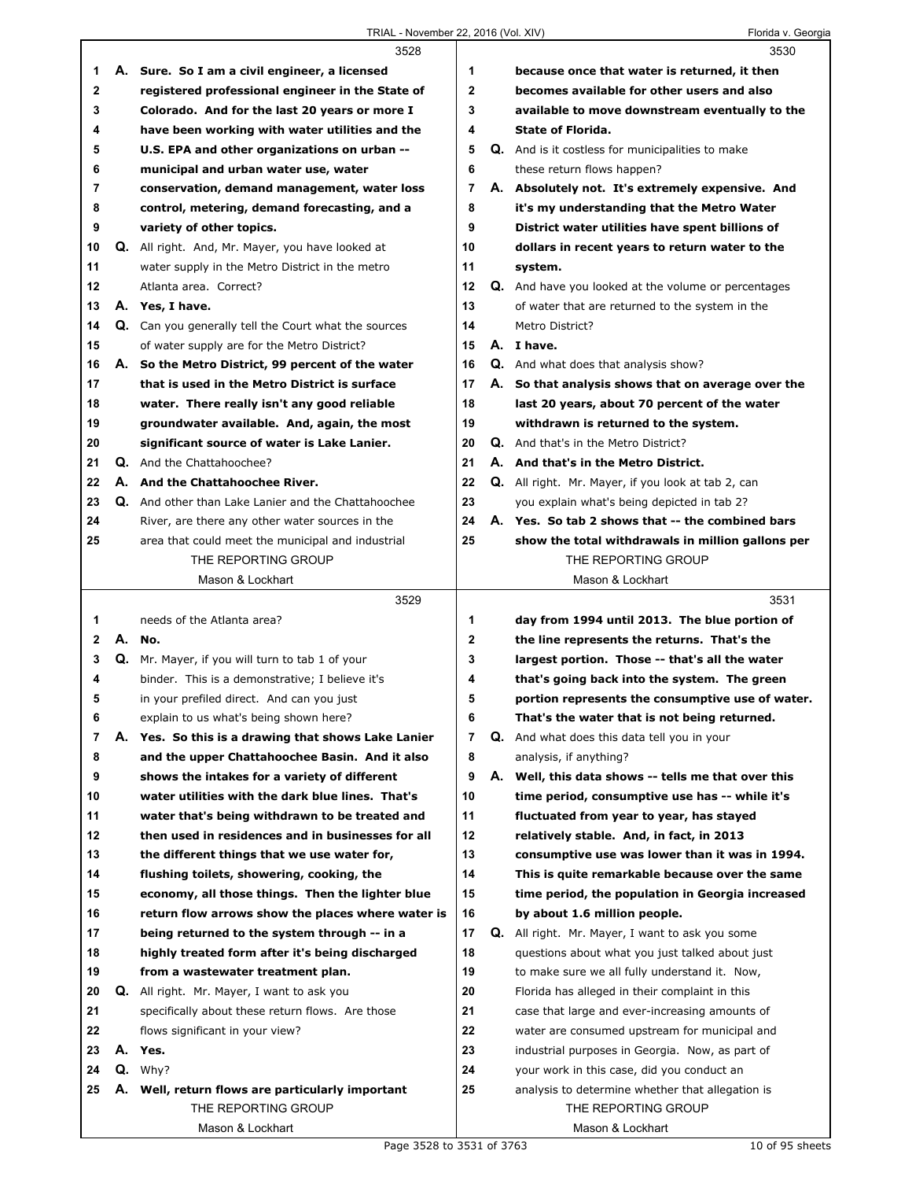|                |    | 3528                                                 |                |    | 3530                                                    |
|----------------|----|------------------------------------------------------|----------------|----|---------------------------------------------------------|
| 1              |    | A. Sure. So I am a civil engineer, a licensed        | 1              |    | because once that water is returned, it then            |
| $\mathbf 2$    |    | registered professional engineer in the State of     | $\overline{2}$ |    | becomes available for other users and also              |
| 3              |    | Colorado. And for the last 20 years or more I        | 3              |    | available to move downstream eventually to the          |
| 4              |    | have been working with water utilities and the       | 4              |    | <b>State of Florida.</b>                                |
| 5              |    | U.S. EPA and other organizations on urban --         | 5              |    | <b>Q.</b> And is it costless for municipalities to make |
| 6              |    | municipal and urban water use, water                 | 6              |    | these return flows happen?                              |
| $\overline{7}$ |    | conservation, demand management, water loss          | 7              |    | A. Absolutely not. It's extremely expensive. And        |
| 8              |    | control, metering, demand forecasting, and a         | 8              |    | it's my understanding that the Metro Water              |
| 9              |    | variety of other topics.                             | 9              |    | District water utilities have spent billions of         |
| 10             |    | Q. All right. And, Mr. Mayer, you have looked at     | 10             |    | dollars in recent years to return water to the          |
| 11             |    | water supply in the Metro District in the metro      | 11             |    | system.                                                 |
| 12             |    | Atlanta area. Correct?                               | 12             |    | Q. And have you looked at the volume or percentages     |
| 13             |    | A. Yes, I have.                                      | 13             |    | of water that are returned to the system in the         |
| 14             |    | Q. Can you generally tell the Court what the sources | 14             |    | Metro District?                                         |
| 15             |    | of water supply are for the Metro District?          | 15             |    | A. I have.                                              |
| 16             |    | A. So the Metro District, 99 percent of the water    | 16             |    | <b>Q.</b> And what does that analysis show?             |
| 17             |    | that is used in the Metro District is surface        | 17             |    | A. So that analysis shows that on average over the      |
| 18             |    | water. There really isn't any good reliable          | 18             |    | last 20 years, about 70 percent of the water            |
| 19             |    | groundwater available. And, again, the most          | 19             |    | withdrawn is returned to the system.                    |
| 20             |    | significant source of water is Lake Lanier.          | 20             |    | Q. And that's in the Metro District?                    |
| 21             |    | Q. And the Chattahoochee?                            | 21             |    | A. And that's in the Metro District.                    |
| 22             |    | A. And the Chattahoochee River.                      | 22             |    | Q. All right. Mr. Mayer, if you look at tab 2, can      |
| 23             |    | Q. And other than Lake Lanier and the Chattahoochee  | 23             |    | you explain what's being depicted in tab 2?             |
| 24             |    | River, are there any other water sources in the      | 24             |    | A. Yes. So tab 2 shows that -- the combined bars        |
| 25             |    | area that could meet the municipal and industrial    | 25             |    | show the total withdrawals in million gallons per       |
|                |    | THE REPORTING GROUP                                  |                |    | THE REPORTING GROUP                                     |
|                |    | Mason & Lockhart                                     |                |    | Mason & Lockhart                                        |
|                |    |                                                      |                |    |                                                         |
|                |    | 3529                                                 |                |    | 3531                                                    |
| 1              |    | needs of the Atlanta area?                           | 1              |    | day from 1994 until 2013. The blue portion of           |
| $\mathbf{2}$   |    | A. No.                                               | $\mathbf{2}$   |    | the line represents the returns. That's the             |
| 3              |    | Q. Mr. Mayer, if you will turn to tab 1 of your      | 3              |    | largest portion. Those -- that's all the water          |
| 4              |    | binder. This is a demonstrative; I believe it's      | 4              |    | that's going back into the system. The green            |
| 5              |    | in your prefiled direct. And can you just            | 5              |    | portion represents the consumptive use of water.        |
| 6              |    | explain to us what's being shown here?               | 6              |    | That's the water that is not being returned.            |
| $\overline{7}$ |    | A. Yes. So this is a drawing that shows Lake Lanier  | $\overline{7}$ |    | Q. And what does this data tell you in your             |
| 8              |    | and the upper Chattahoochee Basin. And it also       | 8              |    | analysis, if anything?                                  |
| 9              |    | shows the intakes for a variety of different         | 9              |    | A. Well, this data shows -- tells me that over this     |
| 10             |    | water utilities with the dark blue lines. That's     | 10             |    | time period, consumptive use has -- while it's          |
| 11             |    | water that's being withdrawn to be treated and       | 11             |    | fluctuated from year to year, has stayed                |
| 12             |    | then used in residences and in businesses for all    | 12             |    | relatively stable. And, in fact, in 2013                |
| 13             |    | the different things that we use water for,          | 13             |    | consumptive use was lower than it was in 1994.          |
| 14             |    | flushing toilets, showering, cooking, the            | 14             |    | This is quite remarkable because over the same          |
| 15             |    | economy, all those things. Then the lighter blue     | 15             |    | time period, the population in Georgia increased        |
| 16             |    | return flow arrows show the places where water is    | 16             |    | by about 1.6 million people.                            |
| 17             |    | being returned to the system through -- in a         | 17             | Q. | All right. Mr. Mayer, I want to ask you some            |
| 18             |    | highly treated form after it's being discharged      | 18             |    | questions about what you just talked about just         |
| 19             |    | from a wastewater treatment plan.                    | 19             |    | to make sure we all fully understand it. Now,           |
| 20             |    | Q. All right. Mr. Mayer, I want to ask you           | 20             |    | Florida has alleged in their complaint in this          |
| 21             |    | specifically about these return flows. Are those     | 21             |    | case that large and ever-increasing amounts of          |
| 22             |    | flows significant in your view?                      | 22             |    | water are consumed upstream for municipal and           |
| 23             | А. | Yes.                                                 | 23             |    | industrial purposes in Georgia. Now, as part of         |
| 24             | Q. | Why?                                                 | 24             |    | your work in this case, did you conduct an              |
| 25             |    | A. Well, return flows are particularly important     | 25             |    | analysis to determine whether that allegation is        |
|                |    | THE REPORTING GROUP                                  |                |    | THE REPORTING GROUP                                     |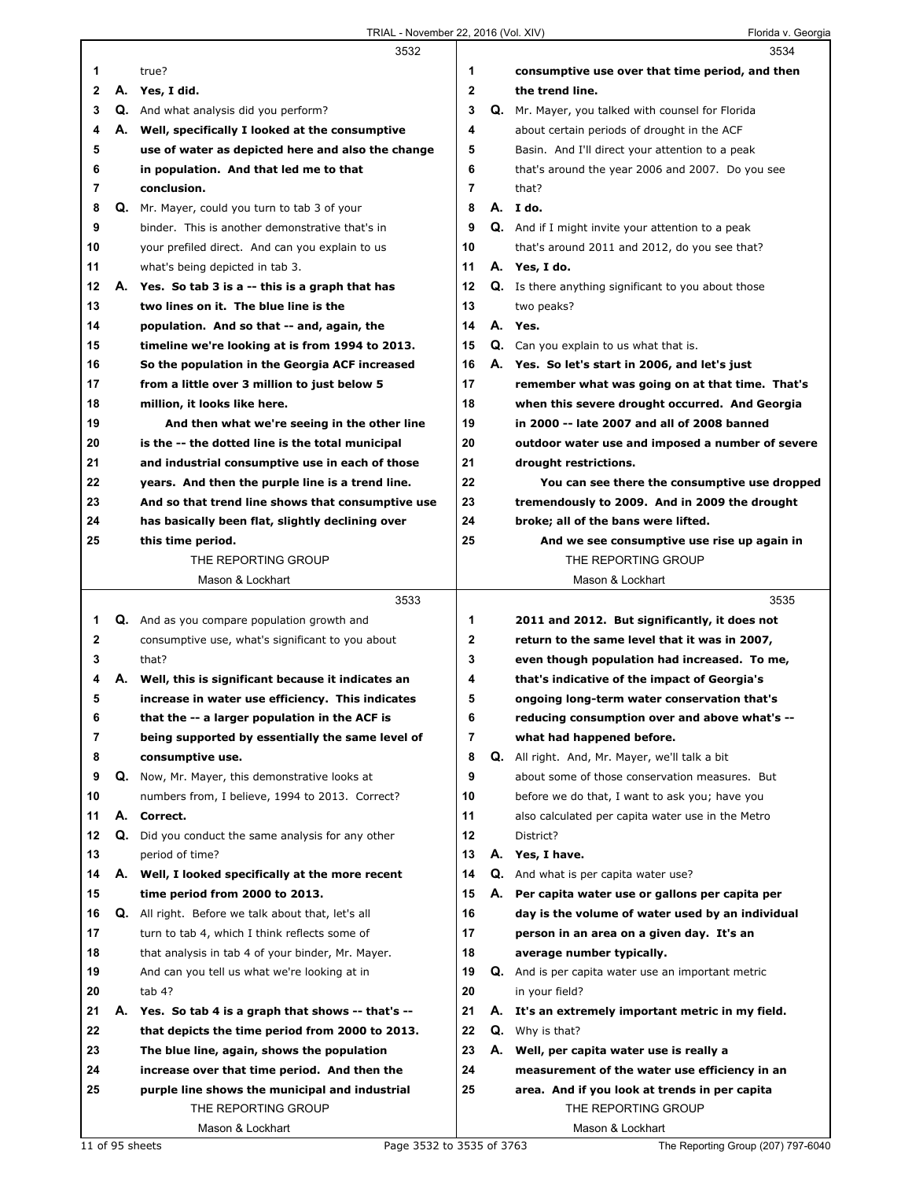|    |    | 3532                                                |                |    | 3534                                                       |
|----|----|-----------------------------------------------------|----------------|----|------------------------------------------------------------|
| 1  |    | true?                                               | 1              |    | consumptive use over that time period, and then            |
| 2  |    | A. Yes, I did.                                      | $\mathbf 2$    |    | the trend line.                                            |
| 3  |    | Q. And what analysis did you perform?               | 3              |    | <b>Q.</b> Mr. Mayer, you talked with counsel for Florida   |
| 4  |    | A. Well, specifically I looked at the consumptive   | 4              |    | about certain periods of drought in the ACF                |
| 5  |    | use of water as depicted here and also the change   | 5              |    | Basin. And I'll direct your attention to a peak            |
| 6  |    | in population. And that led me to that              | 6              |    | that's around the year 2006 and 2007. Do you see           |
| 7  |    | conclusion.                                         | $\overline{7}$ |    | that?                                                      |
| 8  |    | Q. Mr. Mayer, could you turn to tab 3 of your       | 8              |    | A. I do.                                                   |
| 9  |    | binder. This is another demonstrative that's in     | 9              |    | Q. And if I might invite your attention to a peak          |
| 10 |    | your prefiled direct. And can you explain to us     | 10             |    | that's around 2011 and 2012, do you see that?              |
| 11 |    | what's being depicted in tab 3.                     | 11             |    | A. Yes, I do.                                              |
| 12 |    | A. Yes. So tab 3 is a -- this is a graph that has   | 12             |    | <b>Q.</b> Is there anything significant to you about those |
| 13 |    | two lines on it. The blue line is the               | 13             |    | two peaks?                                                 |
| 14 |    | population. And so that -- and, again, the          | 14             |    | A. Yes.                                                    |
| 15 |    | timeline we're looking at is from 1994 to 2013.     | 15             |    | Q. Can you explain to us what that is.                     |
| 16 |    | So the population in the Georgia ACF increased      | 16             |    | A. Yes. So let's start in 2006, and let's just             |
| 17 |    | from a little over 3 million to just below 5        | 17             |    | remember what was going on at that time. That's            |
| 18 |    | million, it looks like here.                        | 18             |    | when this severe drought occurred. And Georgia             |
| 19 |    | And then what we're seeing in the other line        | 19             |    | in 2000 -- late 2007 and all of 2008 banned                |
| 20 |    | is the -- the dotted line is the total municipal    | 20             |    | outdoor water use and imposed a number of severe           |
| 21 |    | and industrial consumptive use in each of those     | 21             |    | drought restrictions.                                      |
| 22 |    | years. And then the purple line is a trend line.    | 22             |    | You can see there the consumptive use dropped              |
| 23 |    | And so that trend line shows that consumptive use   | 23             |    | tremendously to 2009. And in 2009 the drought              |
| 24 |    | has basically been flat, slightly declining over    | 24             |    | broke; all of the bans were lifted.                        |
| 25 |    | this time period.                                   | 25             |    | And we see consumptive use rise up again in                |
|    |    | THE REPORTING GROUP                                 |                |    | THE REPORTING GROUP                                        |
|    |    | Mason & Lockhart                                    |                |    | Mason & Lockhart                                           |
|    |    |                                                     |                |    |                                                            |
|    |    |                                                     |                |    |                                                            |
|    |    | 3533                                                |                |    | 3535                                                       |
| 1  |    | <b>Q.</b> And as you compare population growth and  | 1              |    | 2011 and 2012. But significantly, it does not              |
| 2  |    | consumptive use, what's significant to you about    | 2              |    | return to the same level that it was in 2007,              |
| 3  |    | that?                                               | 3              |    | even though population had increased. To me,               |
| 4  | А. | Well, this is significant because it indicates an   | 4              |    | that's indicative of the impact of Georgia's               |
| 5  |    | increase in water use efficiency. This indicates    | 5              |    | ongoing long-term water conservation that's                |
| 6  |    | that the -- a larger population in the ACF is       | 6              |    | reducing consumption over and above what's --              |
| 7  |    | being supported by essentially the same level of    | 7              |    | what had happened before.                                  |
| 8  |    | consumptive use.                                    | 8              | Q. | All right. And, Mr. Mayer, we'll talk a bit                |
| 9  |    | Q. Now, Mr. Mayer, this demonstrative looks at      | 9              |    | about some of those conservation measures. But             |
| 10 |    | numbers from, I believe, 1994 to 2013. Correct?     | 10             |    | before we do that, I want to ask you; have you             |
| 11 | А. | Correct.                                            | 11             |    | also calculated per capita water use in the Metro          |
| 12 | Q. | Did you conduct the same analysis for any other     | 12             |    | District?                                                  |
| 13 |    | period of time?                                     | 13             |    | A. Yes, I have.                                            |
| 14 | А. | Well, I looked specifically at the more recent      | 14             |    | <b>Q.</b> And what is per capita water use?                |
| 15 |    | time period from 2000 to 2013.                      | 15             | А. | Per capita water use or gallons per capita per             |
| 16 |    | Q. All right. Before we talk about that, let's all  | 16             |    | day is the volume of water used by an individual           |
| 17 |    | turn to tab 4, which I think reflects some of       | 17             |    | person in an area on a given day. It's an                  |
| 18 |    | that analysis in tab 4 of your binder, Mr. Mayer.   | 18             |    | average number typically.                                  |
| 19 |    | And can you tell us what we're looking at in        | 19             |    | Q. And is per capita water use an important metric         |
| 20 |    | tab 4?                                              | 20             |    | in your field?                                             |
| 21 |    | A. Yes. So tab 4 is a graph that shows -- that's -- | 21             |    | A. It's an extremely important metric in my field.         |
| 22 |    | that depicts the time period from 2000 to 2013.     | 22             |    | Q. Why is that?                                            |
| 23 |    | The blue line, again, shows the population          | 23             | А. | Well, per capita water use is really a                     |
| 24 |    | increase over that time period. And then the        | 24             |    | measurement of the water use efficiency in an              |
| 25 |    | purple line shows the municipal and industrial      | 25             |    | area. And if you look at trends in per capita              |
|    |    | THE REPORTING GROUP                                 |                |    | THE REPORTING GROUP                                        |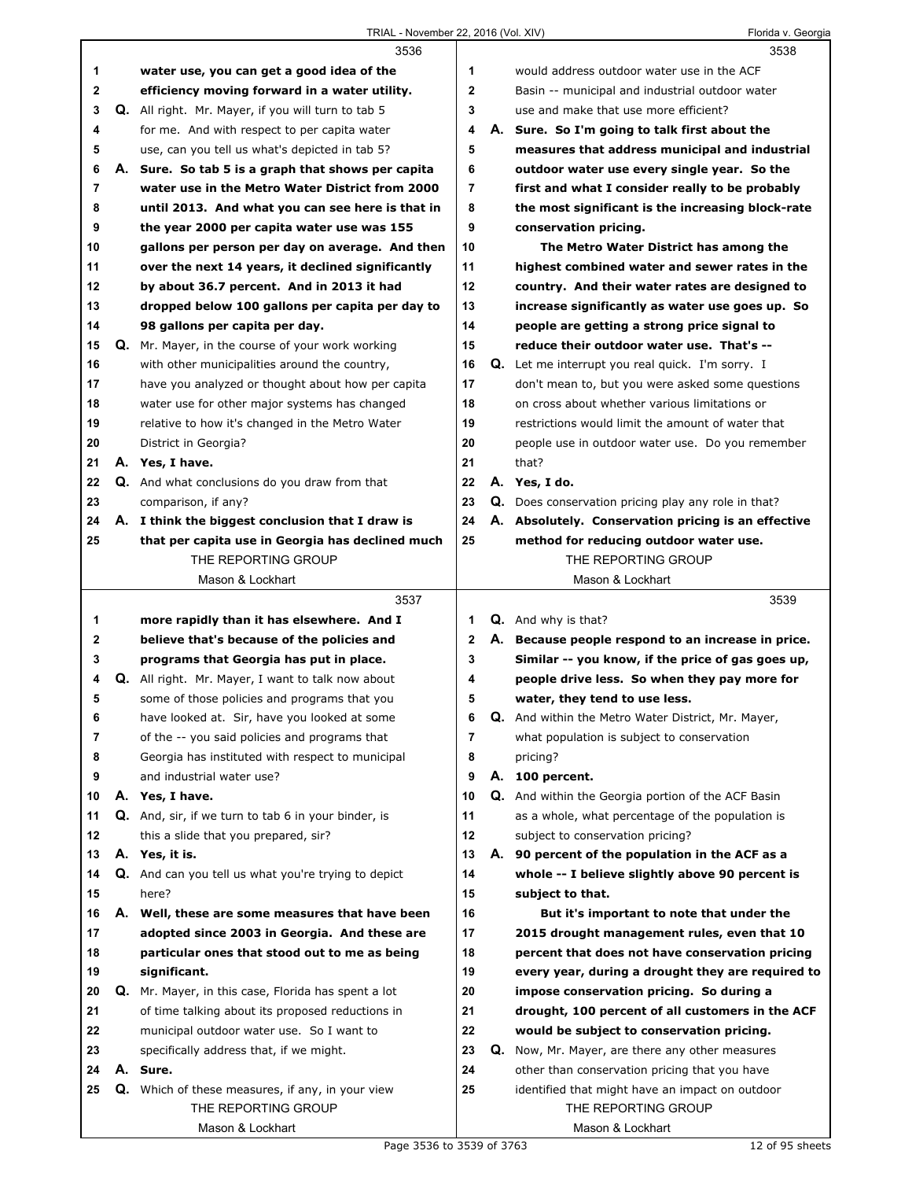|             |    | 3536                                                                          |                |    | 3538                                                                                 |
|-------------|----|-------------------------------------------------------------------------------|----------------|----|--------------------------------------------------------------------------------------|
| 1           |    | water use, you can get a good idea of the                                     | 1              |    | would address outdoor water use in the ACF                                           |
| $\mathbf 2$ |    | efficiency moving forward in a water utility.                                 | $\mathbf{2}$   |    | Basin -- municipal and industrial outdoor water                                      |
| 3           |    | Q. All right. Mr. Mayer, if you will turn to tab 5                            | 3              |    | use and make that use more efficient?                                                |
| 4           |    | for me. And with respect to per capita water                                  | 4              |    | A. Sure. So I'm going to talk first about the                                        |
| 5           |    | use, can you tell us what's depicted in tab 5?                                | 5              |    | measures that address municipal and industrial                                       |
| 6           |    | A. Sure. So tab 5 is a graph that shows per capita                            | 6              |    | outdoor water use every single year. So the                                          |
| 7           |    | water use in the Metro Water District from 2000                               | $\overline{7}$ |    | first and what I consider really to be probably                                      |
| 8           |    | until 2013. And what you can see here is that in                              | 8              |    | the most significant is the increasing block-rate                                    |
| 9           |    | the year 2000 per capita water use was 155                                    | 9              |    | conservation pricing.                                                                |
| 10          |    | gallons per person per day on average. And then                               | 10             |    | The Metro Water District has among the                                               |
| 11          |    | over the next 14 years, it declined significantly                             | 11             |    | highest combined water and sewer rates in the                                        |
| 12          |    | by about 36.7 percent. And in 2013 it had                                     | 12             |    | country. And their water rates are designed to                                       |
| 13          |    | dropped below 100 gallons per capita per day to                               | 13             |    | increase significantly as water use goes up. So                                      |
| 14          |    | 98 gallons per capita per day.                                                | 14             |    | people are getting a strong price signal to                                          |
| 15          |    | <b>Q.</b> Mr. Mayer, in the course of your work working                       | 15             |    | reduce their outdoor water use. That's --                                            |
| 16          |    | with other municipalities around the country,                                 | 16             |    | <b>Q.</b> Let me interrupt you real quick. I'm sorry. I                              |
| 17          |    | have you analyzed or thought about how per capita                             | 17             |    | don't mean to, but you were asked some questions                                     |
| 18          |    | water use for other major systems has changed                                 | 18             |    | on cross about whether various limitations or                                        |
| 19          |    | relative to how it's changed in the Metro Water                               | 19             |    | restrictions would limit the amount of water that                                    |
| 20          |    | District in Georgia?                                                          | 20             |    | people use in outdoor water use. Do you remember                                     |
|             |    | A. Yes, I have.                                                               | 21             |    | that?                                                                                |
| 21<br>22    |    | <b>Q.</b> And what conclusions do you draw from that                          | 22             |    | A. Yes, I do.                                                                        |
| 23          |    | comparison, if any?                                                           | 23             |    | <b>Q.</b> Does conservation pricing play any role in that?                           |
| 24          |    | A. I think the biggest conclusion that I draw is                              | 24             |    | A. Absolutely. Conservation pricing is an effective                                  |
| 25          |    | that per capita use in Georgia has declined much                              | 25             |    | method for reducing outdoor water use.                                               |
|             |    | THE REPORTING GROUP                                                           |                |    | THE REPORTING GROUP                                                                  |
|             |    | Mason & Lockhart                                                              |                |    | Mason & Lockhart                                                                     |
|             |    |                                                                               |                |    |                                                                                      |
|             |    |                                                                               |                |    |                                                                                      |
|             |    | 3537                                                                          |                |    | 3539                                                                                 |
| 1           |    | more rapidly than it has elsewhere. And I                                     | 1              |    | <b>Q.</b> And why is that?                                                           |
| 2           |    | believe that's because of the policies and                                    | $\mathbf{2}$   |    | A. Because people respond to an increase in price.                                   |
| 3           |    | programs that Georgia has put in place.                                       | 3              |    | Similar -- you know, if the price of gas goes up,                                    |
| 4           |    | <b>Q.</b> All right. Mr. Mayer, I want to talk now about                      | 4              |    | people drive less. So when they pay more for                                         |
| 5           |    | some of those policies and programs that you                                  | 5              |    | water, they tend to use less.                                                        |
| 6<br>7      |    | have looked at. Sir, have you looked at some                                  | 6<br>7         |    | Q. And within the Metro Water District, Mr. Mayer,                                   |
|             |    | of the -- you said policies and programs that                                 |                |    | what population is subject to conservation                                           |
| 8<br>9      |    | Georgia has instituted with respect to municipal<br>and industrial water use? | 8<br>9         |    | pricing?<br>A. 100 percent.                                                          |
|             |    |                                                                               | 10             | Q. |                                                                                      |
| 10<br>11    | А. | Yes, I have.                                                                  | 11             |    | And within the Georgia portion of the ACF Basin                                      |
| 12          |    | Q. And, sir, if we turn to tab 6 in your binder, is                           | 12             |    | as a whole, what percentage of the population is<br>subject to conservation pricing? |
| 13          |    | this a slide that you prepared, sir?<br>A. Yes, it is.                        | 13             | А. | 90 percent of the population in the ACF as a                                         |
| 14          |    | Q. And can you tell us what you're trying to depict                           | 14             |    | whole -- I believe slightly above 90 percent is                                      |
| 15          |    | here?                                                                         | 15             |    | subject to that.                                                                     |
| 16          |    | A. Well, these are some measures that have been                               | 16             |    | But it's important to note that under the                                            |
| 17          |    | adopted since 2003 in Georgia. And these are                                  | 17             |    | 2015 drought management rules, even that 10                                          |
| 18          |    | particular ones that stood out to me as being                                 | 18             |    | percent that does not have conservation pricing                                      |
| 19          |    | significant.                                                                  | 19             |    | every year, during a drought they are required to                                    |
| 20          | Q. | Mr. Mayer, in this case, Florida has spent a lot                              | 20             |    | impose conservation pricing. So during a                                             |
| 21          |    | of time talking about its proposed reductions in                              | 21             |    | drought, 100 percent of all customers in the ACF                                     |
| 22          |    | municipal outdoor water use. So I want to                                     | 22             |    | would be subject to conservation pricing.                                            |
| 23          |    | specifically address that, if we might.                                       | 23             |    | <b>Q.</b> Now, Mr. Mayer, are there any other measures                               |
| 24          |    | A. Sure.                                                                      | 24             |    | other than conservation pricing that you have                                        |
| 25          |    | Q. Which of these measures, if any, in your view                              | 25             |    | identified that might have an impact on outdoor                                      |
|             |    | THE REPORTING GROUP                                                           |                |    | THE REPORTING GROUP                                                                  |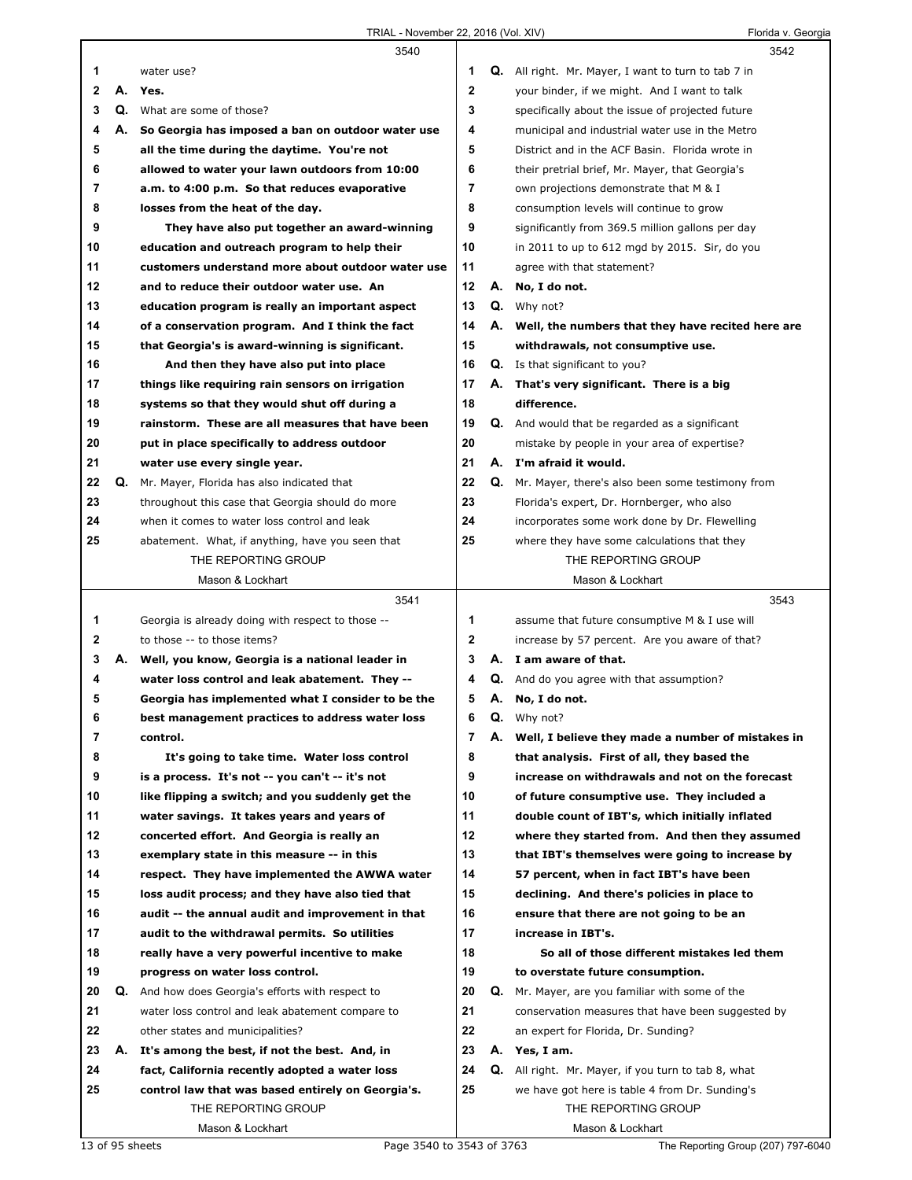|    |    | 3540                                                     |              |    | 3542                                                       |
|----|----|----------------------------------------------------------|--------------|----|------------------------------------------------------------|
| 1  |    | water use?                                               | 1            |    | <b>Q.</b> All right. Mr. Mayer, I want to turn to tab 7 in |
| 2  | А. | Yes.                                                     | $\mathbf 2$  |    | your binder, if we might. And I want to talk               |
| 3  |    | <b>Q.</b> What are some of those?                        | 3            |    | specifically about the issue of projected future           |
| 4  | А. | So Georgia has imposed a ban on outdoor water use        | 4            |    | municipal and industrial water use in the Metro            |
| 5  |    | all the time during the daytime. You're not              | 5            |    | District and in the ACF Basin. Florida wrote in            |
| 6  |    | allowed to water your lawn outdoors from 10:00           | 6            |    | their pretrial brief, Mr. Mayer, that Georgia's            |
| 7  |    | a.m. to 4:00 p.m. So that reduces evaporative            | 7            |    | own projections demonstrate that M & I                     |
| 8  |    | losses from the heat of the day.                         | 8            |    | consumption levels will continue to grow                   |
| 9  |    | They have also put together an award-winning             | 9            |    | significantly from 369.5 million gallons per day           |
| 10 |    | education and outreach program to help their             | 10           |    | in 2011 to up to 612 mgd by 2015. Sir, do you              |
| 11 |    | customers understand more about outdoor water use        | 11           |    | agree with that statement?                                 |
| 12 |    | and to reduce their outdoor water use. An                | 12           |    | A. No, I do not.                                           |
| 13 |    | education program is really an important aspect          | 13           |    | <b>Q.</b> Why not?                                         |
| 14 |    |                                                          | 14           |    |                                                            |
|    |    | of a conservation program. And I think the fact          | 15           |    | A. Well, the numbers that they have recited here are       |
| 15 |    | that Georgia's is award-winning is significant.          |              |    | withdrawals, not consumptive use.                          |
| 16 |    | And then they have also put into place                   | 16           |    | <b>Q.</b> Is that significant to you?                      |
| 17 |    | things like requiring rain sensors on irrigation         | 17           | А. | That's very significant. There is a big                    |
| 18 |    | systems so that they would shut off during a             | 18           |    | difference.                                                |
| 19 |    | rainstorm. These are all measures that have been         | 19           |    | <b>Q.</b> And would that be regarded as a significant      |
| 20 |    | put in place specifically to address outdoor             | 20           |    | mistake by people in your area of expertise?               |
| 21 |    | water use every single year.                             | 21           |    | A. I'm afraid it would.                                    |
| 22 | Q. | Mr. Mayer, Florida has also indicated that               | 22           | Q. | Mr. Mayer, there's also been some testimony from           |
| 23 |    | throughout this case that Georgia should do more         | 23           |    | Florida's expert, Dr. Hornberger, who also                 |
| 24 |    | when it comes to water loss control and leak             | 24           |    | incorporates some work done by Dr. Flewelling              |
| 25 |    | abatement. What, if anything, have you seen that         | 25           |    | where they have some calculations that they                |
|    |    | THE REPORTING GROUP                                      |              |    | THE REPORTING GROUP                                        |
|    |    | Mason & Lockhart                                         |              |    | Mason & Lockhart                                           |
|    |    |                                                          |              |    |                                                            |
|    |    | 3541                                                     |              |    | 3543                                                       |
| 1  |    | Georgia is already doing with respect to those --        | 1            |    | assume that future consumptive M & I use will              |
| 2  |    | to those -- to those items?                              | $\mathbf{2}$ |    | increase by 57 percent. Are you aware of that?             |
| 3  | А. | Well, you know, Georgia is a national leader in          | 3            |    | A. I am aware of that.                                     |
| 4  |    | water loss control and leak abatement. They --           | 4            |    | <b>Q.</b> And do you agree with that assumption?           |
| 5  |    | Georgia has implemented what I consider to be the        | 5            |    | A. No, I do not.                                           |
| 6  |    | best management practices to address water loss          | 6            | Q. | Why not?                                                   |
| 7  |    | control.                                                 | 7            |    | A. Well, I believe they made a number of mistakes in       |
| 8  |    | It's going to take time. Water loss control              | 8            |    | that analysis. First of all, they based the                |
| 9  |    | is a process. It's not -- you can't -- it's not          | 9            |    | increase on withdrawals and not on the forecast            |
| 10 |    | like flipping a switch; and you suddenly get the         | 10           |    | of future consumptive use. They included a                 |
| 11 |    | water savings. It takes years and years of               | 11           |    | double count of IBT's, which initially inflated            |
| 12 |    | concerted effort. And Georgia is really an               | 12           |    | where they started from. And then they assumed             |
| 13 |    | exemplary state in this measure -- in this               | 13           |    | that IBT's themselves were going to increase by            |
| 14 |    | respect. They have implemented the AWWA water            | 14           |    | 57 percent, when in fact IBT's have been                   |
| 15 |    | loss audit process; and they have also tied that         | 15           |    | declining. And there's policies in place to                |
| 16 |    | audit -- the annual audit and improvement in that        | 16           |    | ensure that there are not going to be an                   |
| 17 |    | audit to the withdrawal permits. So utilities            | 17           |    | increase in IBT's.                                         |
| 18 |    | really have a very powerful incentive to make            | 18           |    | So all of those different mistakes led them                |
| 19 |    | progress on water loss control.                          | 19           |    | to overstate future consumption.                           |
| 20 |    | <b>Q.</b> And how does Georgia's efforts with respect to | 20           | Q. | Mr. Mayer, are you familiar with some of the               |
| 21 |    | water loss control and leak abatement compare to         | 21           |    | conservation measures that have been suggested by          |
| 22 |    | other states and municipalities?                         | 22           |    | an expert for Florida, Dr. Sunding?                        |
| 23 |    | A. It's among the best, if not the best. And, in         | 23           |    | A. Yes, I am.                                              |
| 24 |    | fact, California recently adopted a water loss           | 24           |    | Q. All right. Mr. Mayer, if you turn to tab 8, what        |
| 25 |    | control law that was based entirely on Georgia's.        | 25           |    | we have got here is table 4 from Dr. Sunding's             |
|    |    | THE REPORTING GROUP                                      |              |    | THE REPORTING GROUP                                        |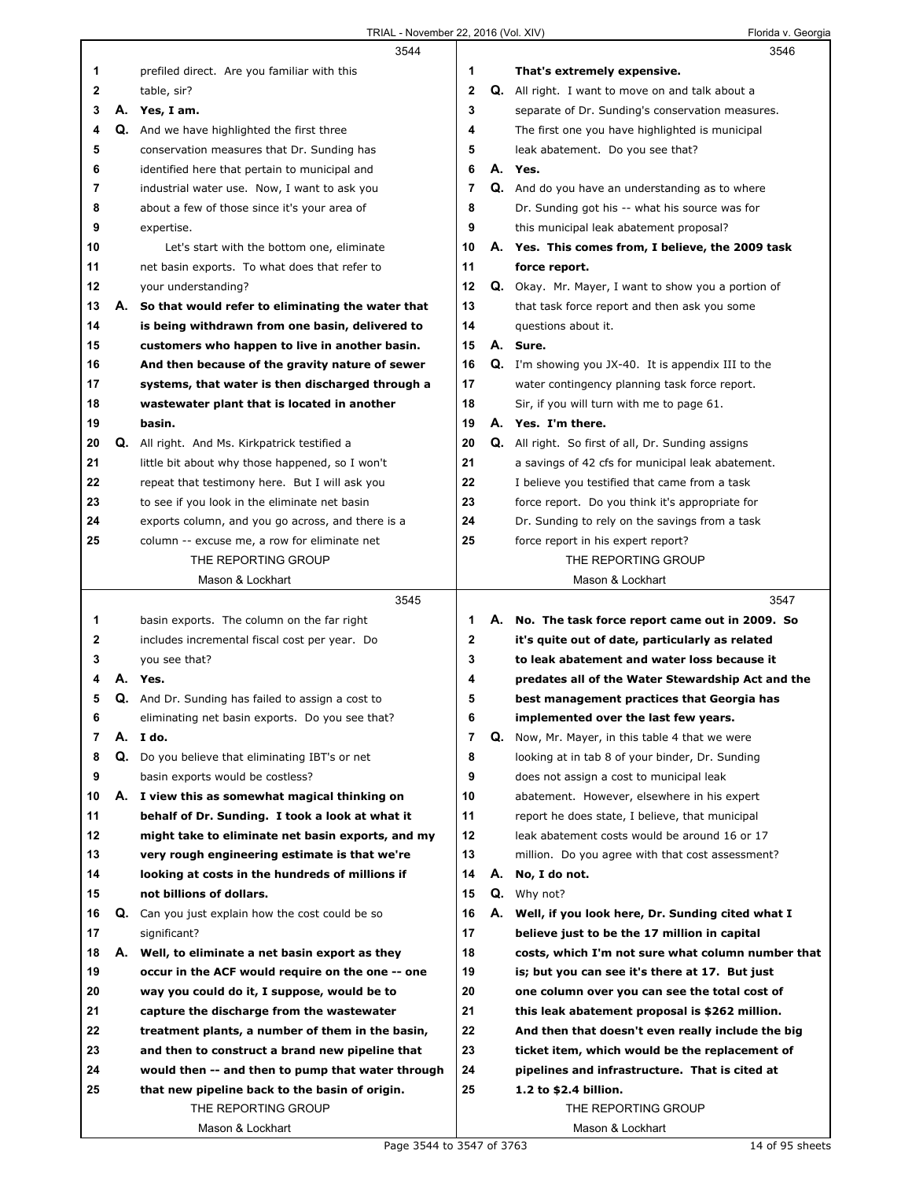|    |    | 3544                                                                                                 |                |    | 3546                                                                                                |
|----|----|------------------------------------------------------------------------------------------------------|----------------|----|-----------------------------------------------------------------------------------------------------|
| 1  |    | prefiled direct. Are you familiar with this                                                          | 1              |    | That's extremely expensive.                                                                         |
| 2  |    | table, sir?                                                                                          | $\mathbf{2}$   |    | <b>Q.</b> All right. I want to move on and talk about a                                             |
| 3  |    | A. Yes, I am.                                                                                        | 3              |    | separate of Dr. Sunding's conservation measures.                                                    |
| 4  |    | Q. And we have highlighted the first three                                                           | 4              |    | The first one you have highlighted is municipal                                                     |
| 5  |    | conservation measures that Dr. Sunding has                                                           | 5              |    | leak abatement. Do you see that?                                                                    |
| 6  |    | identified here that pertain to municipal and                                                        | 6              |    | A. Yes.                                                                                             |
| 7  |    | industrial water use. Now, I want to ask you                                                         | $\overline{7}$ |    | Q. And do you have an understanding as to where                                                     |
| 8  |    | about a few of those since it's your area of                                                         | 8              |    | Dr. Sunding got his -- what his source was for                                                      |
| 9  |    | expertise.                                                                                           | 9              |    | this municipal leak abatement proposal?                                                             |
| 10 |    | Let's start with the bottom one, eliminate                                                           | 10             |    | A. Yes. This comes from, I believe, the 2009 task                                                   |
| 11 |    | net basin exports. To what does that refer to                                                        | 11             |    | force report.                                                                                       |
| 12 |    | your understanding?                                                                                  | 12             |    | <b>Q.</b> Okay. Mr. Mayer, I want to show you a portion of                                          |
| 13 | А. | So that would refer to eliminating the water that                                                    | 13             |    | that task force report and then ask you some                                                        |
| 14 |    | is being withdrawn from one basin, delivered to                                                      | 14             |    | questions about it.                                                                                 |
| 15 |    | customers who happen to live in another basin.                                                       | 15             |    | A. Sure.                                                                                            |
|    |    |                                                                                                      |                |    |                                                                                                     |
| 16 |    | And then because of the gravity nature of sewer                                                      | 16             |    | <b>Q.</b> I'm showing you JX-40. It is appendix III to the                                          |
| 17 |    | systems, that water is then discharged through a                                                     | 17             |    | water contingency planning task force report.                                                       |
| 18 |    | wastewater plant that is located in another                                                          | 18             |    | Sir, if you will turn with me to page 61.                                                           |
| 19 |    | basin.                                                                                               | 19             |    | A. Yes. I'm there.                                                                                  |
| 20 | Q. | All right. And Ms. Kirkpatrick testified a                                                           | 20             |    | <b>Q.</b> All right. So first of all, Dr. Sunding assigns                                           |
| 21 |    | little bit about why those happened, so I won't                                                      | 21             |    | a savings of 42 cfs for municipal leak abatement.                                                   |
| 22 |    | repeat that testimony here. But I will ask you                                                       | 22             |    | I believe you testified that came from a task                                                       |
| 23 |    | to see if you look in the eliminate net basin                                                        | 23             |    | force report. Do you think it's appropriate for                                                     |
| 24 |    | exports column, and you go across, and there is a                                                    | 24             |    | Dr. Sunding to rely on the savings from a task                                                      |
| 25 |    | column -- excuse me, a row for eliminate net                                                         | 25             |    | force report in his expert report?                                                                  |
|    |    | THE REPORTING GROUP                                                                                  |                |    | THE REPORTING GROUP                                                                                 |
|    |    | Mason & Lockhart                                                                                     |                |    | Mason & Lockhart                                                                                    |
|    |    |                                                                                                      |                |    |                                                                                                     |
|    |    | 3545                                                                                                 |                |    | 3547                                                                                                |
| 1  |    | basin exports. The column on the far right                                                           | 1              |    | A. No. The task force report came out in 2009. So                                                   |
| 2  |    | includes incremental fiscal cost per year. Do                                                        | 2              |    | it's quite out of date, particularly as related                                                     |
| 3  |    | you see that?                                                                                        | 3              |    | to leak abatement and water loss because it                                                         |
| 4  | А. | Yes.                                                                                                 | 4              |    | predates all of the Water Stewardship Act and the                                                   |
| 5  |    | Q. And Dr. Sunding has failed to assign a cost to                                                    | 5              |    | best management practices that Georgia has                                                          |
| 6  |    | eliminating net basin exports. Do you see that?                                                      | o              |    | implemented over the last few years.                                                                |
| 7  | А. | I do.                                                                                                | 7              | Q. | Now, Mr. Mayer, in this table 4 that we were                                                        |
| 8  | Q. | Do you believe that eliminating IBT's or net                                                         | 8              |    | looking at in tab 8 of your binder, Dr. Sunding                                                     |
| 9  |    | basin exports would be costless?                                                                     | 9              |    | does not assign a cost to municipal leak                                                            |
| 10 | А. | I view this as somewhat magical thinking on                                                          | 10             |    | abatement. However, elsewhere in his expert                                                         |
| 11 |    | behalf of Dr. Sunding. I took a look at what it                                                      | 11             |    | report he does state, I believe, that municipal                                                     |
| 12 |    | might take to eliminate net basin exports, and my                                                    | 12             |    | leak abatement costs would be around 16 or 17                                                       |
| 13 |    | very rough engineering estimate is that we're                                                        | 13             |    | million. Do you agree with that cost assessment?                                                    |
| 14 |    | looking at costs in the hundreds of millions if                                                      | 14             | А. | No, I do not.                                                                                       |
| 15 |    | not billions of dollars.                                                                             | 15             |    | <b>Q.</b> Why not?                                                                                  |
| 16 | Q. | Can you just explain how the cost could be so                                                        | 16             |    | A. Well, if you look here, Dr. Sunding cited what I                                                 |
| 17 |    | significant?                                                                                         | 17             |    | believe just to be the 17 million in capital                                                        |
| 18 |    |                                                                                                      | 18             |    |                                                                                                     |
| 19 |    | A. Well, to eliminate a net basin export as they<br>occur in the ACF would require on the one -- one | 19             |    | costs, which I'm not sure what column number that<br>is; but you can see it's there at 17. But just |
|    |    |                                                                                                      |                |    |                                                                                                     |
| 20 |    | way you could do it, I suppose, would be to                                                          | 20             |    | one column over you can see the total cost of                                                       |
| 21 |    | capture the discharge from the wastewater                                                            | 21             |    | this leak abatement proposal is \$262 million.                                                      |
| 22 |    | treatment plants, a number of them in the basin,                                                     | 22             |    | And then that doesn't even really include the big                                                   |
| 23 |    | and then to construct a brand new pipeline that                                                      | 23             |    | ticket item, which would be the replacement of                                                      |
| 24 |    | would then -- and then to pump that water through                                                    | 24             |    | pipelines and infrastructure. That is cited at                                                      |
| 25 |    | that new pipeline back to the basin of origin.                                                       | 25             |    | 1.2 to \$2.4 billion.                                                                               |
|    |    | THE REPORTING GROUP<br>Mason & Lockhart                                                              |                |    | THE REPORTING GROUP<br>Mason & Lockhart                                                             |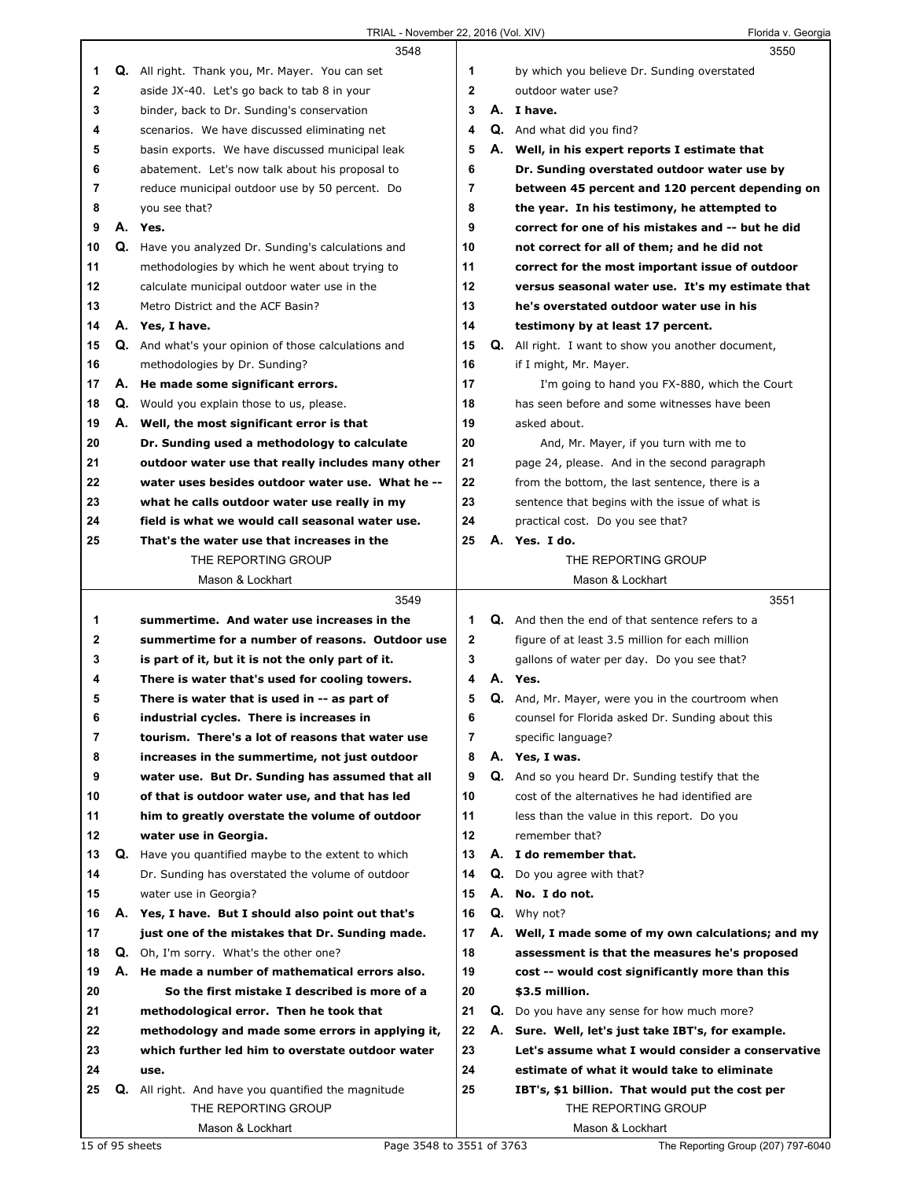|              |    | 3548                                                        |                | 3550                                                      |
|--------------|----|-------------------------------------------------------------|----------------|-----------------------------------------------------------|
| 1            |    | Q. All right. Thank you, Mr. Mayer. You can set             | 1              | by which you believe Dr. Sunding overstated               |
| $\mathbf{2}$ |    | aside JX-40. Let's go back to tab 8 in your                 | $\mathbf{2}$   | outdoor water use?                                        |
| 3            |    | binder, back to Dr. Sunding's conservation                  | 3              | A. I have.                                                |
| 4            |    | scenarios. We have discussed eliminating net                | 4              | Q. And what did you find?                                 |
| 5            |    | basin exports. We have discussed municipal leak             | 5              | A. Well, in his expert reports I estimate that            |
| 6            |    | abatement. Let's now talk about his proposal to             | 6              | Dr. Sunding overstated outdoor water use by               |
| 7            |    | reduce municipal outdoor use by 50 percent. Do              | $\overline{7}$ | between 45 percent and 120 percent depending on           |
| 8            |    | you see that?                                               | 8              | the year. In his testimony, he attempted to               |
| 9            |    | A. Yes.                                                     | 9              | correct for one of his mistakes and -- but he did         |
| 10           |    | Q. Have you analyzed Dr. Sunding's calculations and         | 10             | not correct for all of them; and he did not               |
| 11           |    | methodologies by which he went about trying to              | 11             | correct for the most important issue of outdoor           |
| 12           |    | calculate municipal outdoor water use in the                | 12             | versus seasonal water use. It's my estimate that          |
| 13           |    | Metro District and the ACF Basin?                           | 13             | he's overstated outdoor water use in his                  |
| 14           |    | A. Yes, I have.                                             | 14             | testimony by at least 17 percent.                         |
| 15           |    | <b>Q.</b> And what's your opinion of those calculations and | 15             | <b>Q.</b> All right. I want to show you another document, |
| 16           |    | methodologies by Dr. Sunding?                               | 16             | if I might, Mr. Mayer.                                    |
| 17           |    | A. He made some significant errors.                         | 17             | I'm going to hand you FX-880, which the Court             |
| 18           |    | Q. Would you explain those to us, please.                   | 18             | has seen before and some witnesses have been              |
| 19           |    | A. Well, the most significant error is that                 | 19             | asked about.                                              |
| 20           |    | Dr. Sunding used a methodology to calculate                 | 20             | And, Mr. Mayer, if you turn with me to                    |
| 21           |    | outdoor water use that really includes many other           | 21             | page 24, please. And in the second paragraph              |
| 22           |    | water uses besides outdoor water use. What he --            | 22             | from the bottom, the last sentence, there is a            |
| 23           |    | what he calls outdoor water use really in my                | 23             | sentence that begins with the issue of what is            |
| 24           |    | field is what we would call seasonal water use.             | 24             | practical cost. Do you see that?                          |
| 25           |    | That's the water use that increases in the                  | 25             | A. Yes. I do.                                             |
|              |    | THE REPORTING GROUP                                         |                | THE REPORTING GROUP                                       |
|              |    | Mason & Lockhart                                            |                | Mason & Lockhart                                          |
|              |    |                                                             |                |                                                           |
|              |    |                                                             |                |                                                           |
|              |    | 3549                                                        |                | 3551                                                      |
| 1            |    | summertime. And water use increases in the                  | 1.             | Q. And then the end of that sentence refers to a          |
| 2            |    | summertime for a number of reasons. Outdoor use             | $\mathbf{2}$   | figure of at least 3.5 million for each million           |
| 3            |    | is part of it, but it is not the only part of it.           | 3              | gallons of water per day. Do you see that?                |
| 4            |    | There is water that's used for cooling towers.              | 4              | A. Yes.                                                   |
| 5            |    | There is water that is used in -- as part of                | 5              | <b>Q.</b> And, Mr. Mayer, were you in the courtroom when  |
| 6            |    | industrial cycles. There is increases in                    | 6              | counsel for Florida asked Dr. Sunding about this          |
| 7            |    | tourism. There's a lot of reasons that water use            | $\overline{7}$ | specific language?                                        |
| 8            |    | increases in the summertime, not just outdoor               | 8              | A. Yes, I was.                                            |
| 9            |    | water use. But Dr. Sunding has assumed that all             | 9              | Q. And so you heard Dr. Sunding testify that the          |
| 10           |    | of that is outdoor water use, and that has led              | 10             | cost of the alternatives he had identified are            |
| 11           |    | him to greatly overstate the volume of outdoor              | 11             | less than the value in this report. Do you                |
| 12           |    | water use in Georgia.                                       | 12             | remember that?                                            |
| 13           |    | Q. Have you quantified maybe to the extent to which         | 13             | A. I do remember that.                                    |
| 14           |    | Dr. Sunding has overstated the volume of outdoor            | 14             | Q. Do you agree with that?                                |
| 15           |    | water use in Georgia?                                       | 15             | A. No. I do not.                                          |
| 16           |    | A. Yes, I have. But I should also point out that's          | 16             | <b>Q.</b> Why not?                                        |
| 17           |    | just one of the mistakes that Dr. Sunding made.             | 17             | A. Well, I made some of my own calculations; and my       |
| 18           |    | <b>Q.</b> Oh, I'm sorry. What's the other one?              | 18             | assessment is that the measures he's proposed             |
| 19           | А. | He made a number of mathematical errors also.               | 19             | cost -- would cost significantly more than this           |
| 20           |    | So the first mistake I described is more of a               | 20             | \$3.5 million.                                            |
| 21           |    | methodological error. Then he took that                     | 21             | <b>Q.</b> Do you have any sense for how much more?        |
| 22           |    | methodology and made some errors in applying it,            | 22             | A. Sure. Well, let's just take IBT's, for example.        |
| 23           |    | which further led him to overstate outdoor water            | 23             | Let's assume what I would consider a conservative         |
| 24           |    | use.                                                        | 24             | estimate of what it would take to eliminate               |
| 25           |    | Q. All right. And have you quantified the magnitude         | 25             | IBT's, \$1 billion. That would put the cost per           |
|              |    | THE REPORTING GROUP<br>Mason & Lockhart                     |                | THE REPORTING GROUP<br>Mason & Lockhart                   |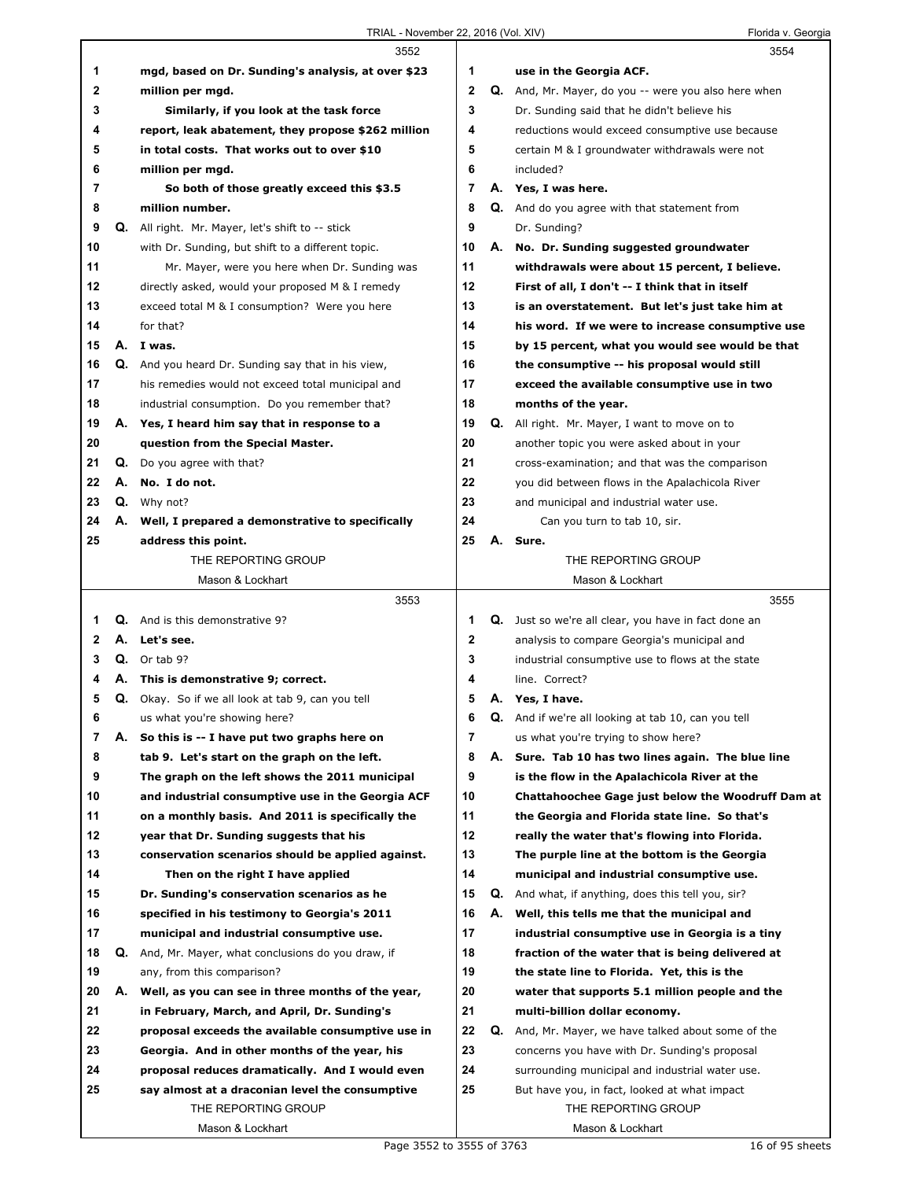|              |    | 3552                                                 |                |    | 3554                                                       |
|--------------|----|------------------------------------------------------|----------------|----|------------------------------------------------------------|
| 1            |    | mgd, based on Dr. Sunding's analysis, at over \$23   | 1              |    | use in the Georgia ACF.                                    |
| $\mathbf{2}$ |    | million per mgd.                                     | $\overline{2}$ |    | Q. And, Mr. Mayer, do you -- were you also here when       |
| 3            |    | Similarly, if you look at the task force             | 3              |    | Dr. Sunding said that he didn't believe his                |
| 4            |    | report, leak abatement, they propose \$262 million   | 4              |    | reductions would exceed consumptive use because            |
| 5            |    | in total costs. That works out to over \$10          | 5              |    | certain M & I groundwater withdrawals were not             |
| 6            |    | million per mgd.                                     | 6              |    | included?                                                  |
| 7            |    | So both of those greatly exceed this \$3.5           | $\overline{7}$ |    | A. Yes, I was here.                                        |
| 8            |    | million number.                                      | 8              |    | Q. And do you agree with that statement from               |
| 9            |    | Q. All right. Mr. Mayer, let's shift to -- stick     | 9              |    | Dr. Sunding?                                               |
| 10           |    | with Dr. Sunding, but shift to a different topic.    | 10             | А. | No. Dr. Sunding suggested groundwater                      |
| 11           |    | Mr. Mayer, were you here when Dr. Sunding was        | 11             |    | withdrawals were about 15 percent, I believe.              |
| 12           |    | directly asked, would your proposed M & I remedy     | $12 \,$        |    | First of all, I don't -- I think that in itself            |
| 13           |    | exceed total M & I consumption? Were you here        | 13             |    | is an overstatement. But let's just take him at            |
| 14           |    | for that?                                            | 14             |    | his word. If we were to increase consumptive use           |
| 15           |    | A. I was.                                            | 15             |    | by 15 percent, what you would see would be that            |
| 16           |    | Q. And you heard Dr. Sunding say that in his view,   | 16             |    | the consumptive -- his proposal would still                |
| 17           |    | his remedies would not exceed total municipal and    | 17             |    | exceed the available consumptive use in two                |
| 18           |    | industrial consumption. Do you remember that?        | 18             |    | months of the year.                                        |
| 19           |    | A. Yes, I heard him say that in response to a        | 19             |    | <b>Q.</b> All right. Mr. Mayer, I want to move on to       |
| 20           |    | question from the Special Master.                    | 20             |    | another topic you were asked about in your                 |
| 21           |    | <b>Q.</b> Do you agree with that?                    | 21             |    | cross-examination; and that was the comparison             |
| 22           |    | A. No. I do not.                                     | 22             |    | you did between flows in the Apalachicola River            |
| 23           |    | Q. Why not?                                          | 23             |    | and municipal and industrial water use.                    |
| 24           |    | A. Well, I prepared a demonstrative to specifically  | 24             |    | Can you turn to tab 10, sir.                               |
| 25           |    | address this point.                                  | 25             | А. | Sure.                                                      |
|              |    | THE REPORTING GROUP                                  |                |    | THE REPORTING GROUP                                        |
|              |    | Mason & Lockhart                                     |                |    | Mason & Lockhart                                           |
|              |    | 3553                                                 |                |    | 3555                                                       |
| 1            |    | <b>Q.</b> And is this demonstrative 9?               | 1              |    | Q. Just so we're all clear, you have in fact done an       |
| 2            |    | A. Let's see.                                        | 2              |    | analysis to compare Georgia's municipal and                |
| 3            |    | $Q.$ Or tab 9?                                       | 3              |    | industrial consumptive use to flows at the state           |
| 4            |    | A. This is demonstrative 9; correct.                 | 4              |    | line. Correct?                                             |
| 5            |    | Q. Okay. So if we all look at tab 9, can you tell    | 5              |    | A. Yes, I have.                                            |
| 6            |    | us what you're showing here?                         | 6              |    | <b>Q.</b> And if we're all looking at tab 10, can you tell |
| 7            | А. | So this is -- I have put two graphs here on          | 7              |    | us what you're trying to show here?                        |
| 8            |    | tab 9. Let's start on the graph on the left.         | 8              | А. | Sure. Tab 10 has two lines again. The blue line            |
| 9            |    | The graph on the left shows the 2011 municipal       | 9              |    | is the flow in the Apalachicola River at the               |
| 10           |    | and industrial consumptive use in the Georgia ACF    | 10             |    | <b>Chattahoochee Gage just below the Woodruff Dam at</b>   |
| 11           |    | on a monthly basis. And 2011 is specifically the     | 11             |    | the Georgia and Florida state line. So that's              |
| 12           |    | year that Dr. Sunding suggests that his              | 12             |    | really the water that's flowing into Florida.              |
| 13           |    | conservation scenarios should be applied against.    | 13             |    | The purple line at the bottom is the Georgia               |
| 14           |    | Then on the right I have applied                     | 14             |    | municipal and industrial consumptive use.                  |
| 15           |    | Dr. Sunding's conservation scenarios as he           | 15             | Q. | And what, if anything, does this tell you, sir?            |
| 16           |    | specified in his testimony to Georgia's 2011         | 16             | А. | Well, this tells me that the municipal and                 |
| 17           |    | municipal and industrial consumptive use.            | 17             |    | industrial consumptive use in Georgia is a tiny            |
| 18           |    | Q. And, Mr. Mayer, what conclusions do you draw, if  | 18             |    | fraction of the water that is being delivered at           |
|              |    |                                                      |                |    |                                                            |
| 19           |    | any, from this comparison?                           | 19             |    | the state line to Florida. Yet, this is the                |
| 20           |    | A. Well, as you can see in three months of the year, | 20             |    | water that supports 5.1 million people and the             |
| 21           |    | in February, March, and April, Dr. Sunding's         | 21             |    | multi-billion dollar economy.                              |
| 22           |    | proposal exceeds the available consumptive use in    | 22             |    | <b>Q.</b> And, Mr. Mayer, we have talked about some of the |
| 23           |    |                                                      |                |    |                                                            |
|              |    | Georgia. And in other months of the year, his        | 23             |    | concerns you have with Dr. Sunding's proposal              |
| 24           |    | proposal reduces dramatically. And I would even      | 24             |    | surrounding municipal and industrial water use.            |
| 25           |    | say almost at a draconian level the consumptive      | 25             |    | But have you, in fact, looked at what impact               |
|              |    | THE REPORTING GROUP<br>Mason & Lockhart              |                |    | THE REPORTING GROUP<br>Mason & Lockhart                    |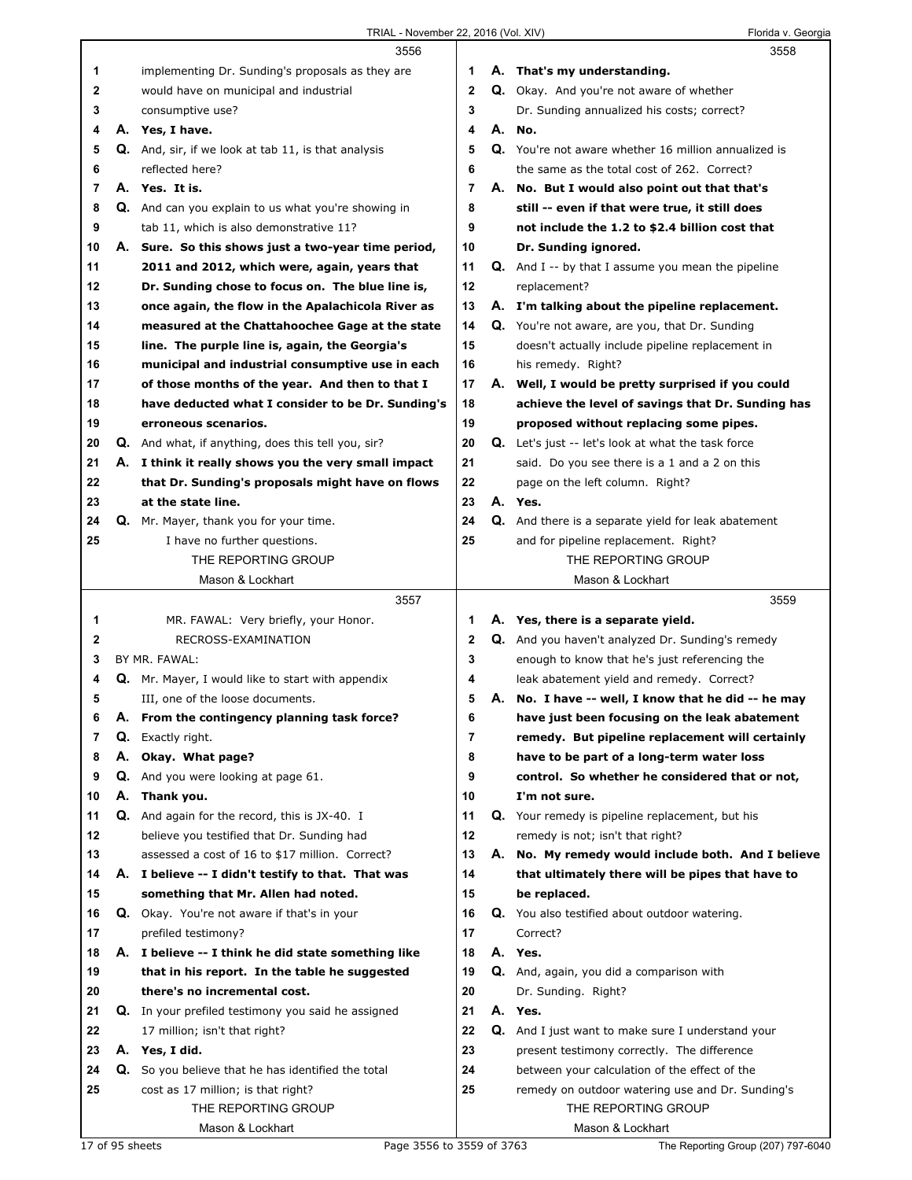|    |    | 3556                                                       |          | 3558                                                                    |
|----|----|------------------------------------------------------------|----------|-------------------------------------------------------------------------|
| 1  |    | implementing Dr. Sunding's proposals as they are           | 1        | A. That's my understanding.                                             |
| 2  |    | would have on municipal and industrial                     | 2        | Q. Okay. And you're not aware of whether                                |
| 3  |    | consumptive use?                                           | 3        | Dr. Sunding annualized his costs; correct?                              |
| 4  |    | A. Yes, I have.                                            | 4        | A. No.                                                                  |
| 5  |    | <b>Q.</b> And, sir, if we look at tab 11, is that analysis | 5        | Q. You're not aware whether 16 million annualized is                    |
| 6  |    | reflected here?                                            | 6        | the same as the total cost of 262. Correct?                             |
| 7  |    | A. Yes. It is.                                             | 7        | A. No. But I would also point out that that's                           |
| 8  |    | <b>Q.</b> And can you explain to us what you're showing in | 8        | still -- even if that were true, it still does                          |
| 9  |    | tab 11, which is also demonstrative 11?                    | 9        | not include the 1.2 to \$2.4 billion cost that                          |
| 10 |    | A. Sure. So this shows just a two-year time period,        | 10       | Dr. Sunding ignored.                                                    |
| 11 |    | 2011 and 2012, which were, again, years that               | 11       | <b>Q.</b> And I -- by that I assume you mean the pipeline               |
| 12 |    | Dr. Sunding chose to focus on. The blue line is,           | 12       | replacement?                                                            |
| 13 |    | once again, the flow in the Apalachicola River as          | 13       | A. I'm talking about the pipeline replacement.                          |
| 14 |    | measured at the Chattahoochee Gage at the state            | 14       | Q. You're not aware, are you, that Dr. Sunding                          |
| 15 |    | line. The purple line is, again, the Georgia's             | 15       | doesn't actually include pipeline replacement in                        |
| 16 |    | municipal and industrial consumptive use in each           | 16       | his remedy. Right?                                                      |
| 17 |    | of those months of the year. And then to that I            | 17       | A. Well, I would be pretty surprised if you could                       |
| 18 |    | have deducted what I consider to be Dr. Sunding's          | 18       | achieve the level of savings that Dr. Sunding has                       |
| 19 |    | erroneous scenarios.                                       | 19       | proposed without replacing some pipes.                                  |
| 20 |    | Q. And what, if anything, does this tell you, sir?         | 20       | <b>Q.</b> Let's just -- let's look at what the task force               |
| 21 |    | A. I think it really shows you the very small impact       | 21       | said. Do you see there is a 1 and a 2 on this                           |
| 22 |    | that Dr. Sunding's proposals might have on flows           | 22       | page on the left column. Right?                                         |
| 23 |    | at the state line.                                         | 23       | A. Yes.                                                                 |
| 24 |    | Q. Mr. Mayer, thank you for your time.                     | 24       | Q. And there is a separate yield for leak abatement                     |
| 25 |    | I have no further questions.                               | 25       | and for pipeline replacement. Right?                                    |
|    |    | THE REPORTING GROUP                                        |          | THE REPORTING GROUP                                                     |
|    |    | Mason & Lockhart                                           |          | Mason & Lockhart                                                        |
|    |    |                                                            |          |                                                                         |
|    |    |                                                            |          |                                                                         |
|    |    | 3557                                                       |          | 3559                                                                    |
| 1  |    | MR. FAWAL: Very briefly, your Honor.                       | 1        | A. Yes, there is a separate yield.                                      |
| 2  |    | RECROSS-EXAMINATION                                        | 2        | Q. And you haven't analyzed Dr. Sunding's remedy                        |
| 3  |    | BY MR. FAWAL:                                              | 3        | enough to know that he's just referencing the                           |
| 4  |    | Q. Mr. Mayer, I would like to start with appendix          | 4        | leak abatement yield and remedy. Correct?                               |
| 5  |    | III, one of the loose documents.                           | 5        | A. No. I have -- well, I know that he did -- he may                     |
| 6  | А. | From the contingency planning task force?                  | 6        | have just been focusing on the leak abatement                           |
| 7  | Q. | Exactly right.                                             | 7        | remedy. But pipeline replacement will certainly                         |
| 8  | А. | Okay. What page?                                           | 8        | have to be part of a long-term water loss                               |
| 9  | Q. | And you were looking at page 61.                           | 9        | control. So whether he considered that or not,                          |
| 10 | А. | Thank you.                                                 | 10       | I'm not sure.                                                           |
| 11 |    | Q. And again for the record, this is JX-40. I              | 11       | Q. Your remedy is pipeline replacement, but his                         |
| 12 |    | believe you testified that Dr. Sunding had                 | 12       | remedy is not; isn't that right?                                        |
| 13 |    | assessed a cost of 16 to \$17 million. Correct?            | 13       | A. No. My remedy would include both. And I believe                      |
| 14 |    | A. I believe -- I didn't testify to that. That was         | 14       | that ultimately there will be pipes that have to                        |
| 15 |    | something that Mr. Allen had noted.                        | 15       | be replaced.                                                            |
| 16 |    | Q. Okay. You're not aware if that's in your                | 16       | Q. You also testified about outdoor watering.                           |
| 17 |    | prefiled testimony?                                        | 17       | Correct?                                                                |
| 18 |    | A. I believe -- I think he did state something like        | 18<br>19 | A. Yes.                                                                 |
| 19 |    | that in his report. In the table he suggested              |          | Q. And, again, you did a comparison with                                |
| 20 |    | there's no incremental cost.                               | 20       | Dr. Sunding. Right?                                                     |
| 21 |    | Q. In your prefiled testimony you said he assigned         | 21       | A. Yes.                                                                 |
| 22 |    | 17 million; isn't that right?                              | 22       | Q. And I just want to make sure I understand your                       |
| 23 |    | A. Yes, I did.                                             | 23       | present testimony correctly. The difference                             |
| 24 |    | Q. So you believe that he has identified the total         | 24       | between your calculation of the effect of the                           |
| 25 |    | cost as 17 million; is that right?<br>THE REPORTING GROUP  | 25       | remedy on outdoor watering use and Dr. Sunding's<br>THE REPORTING GROUP |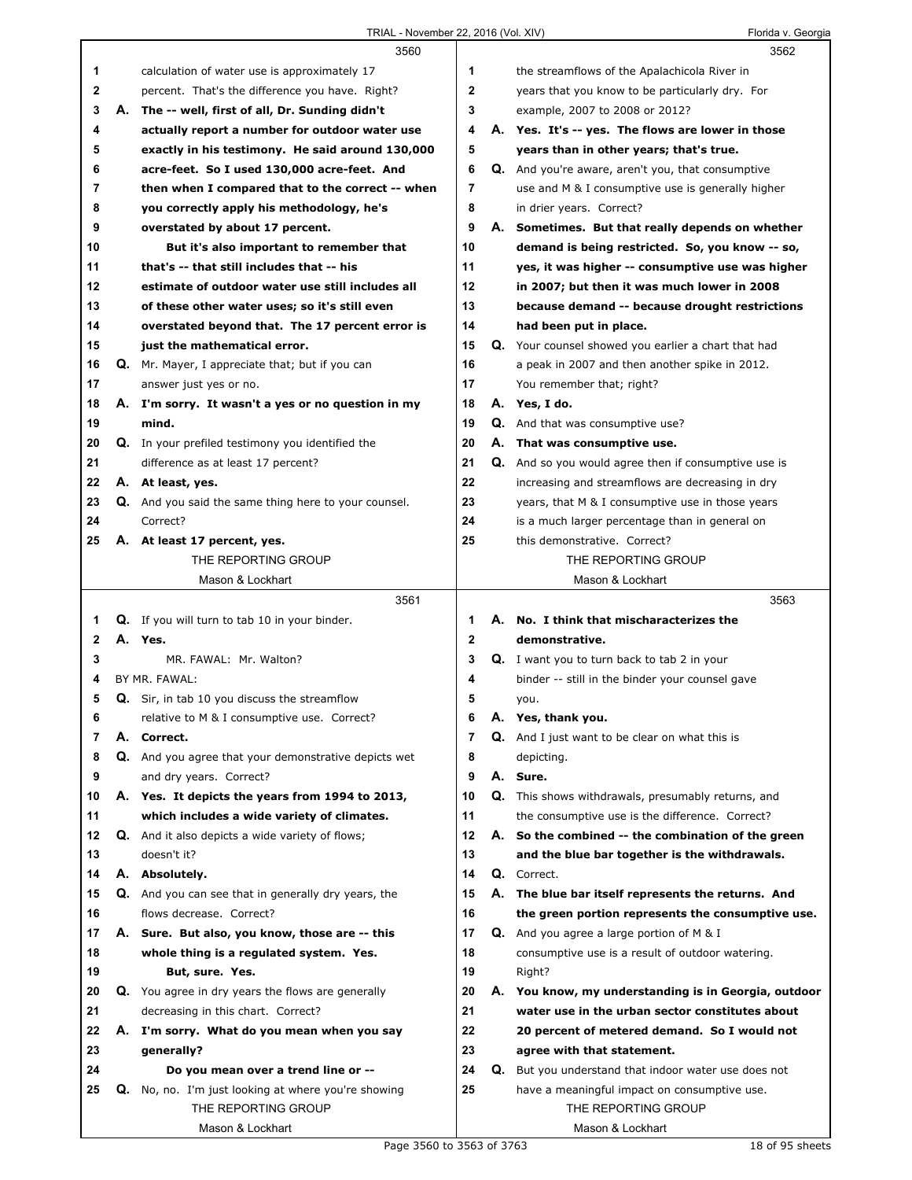|              |    | 3560                                                        |                |    | 3562                                                        |
|--------------|----|-------------------------------------------------------------|----------------|----|-------------------------------------------------------------|
| 1            |    | calculation of water use is approximately 17                | 1              |    | the streamflows of the Apalachicola River in                |
| 2            |    | percent. That's the difference you have. Right?             | 2              |    | years that you know to be particularly dry. For             |
| 3            |    | A. The -- well, first of all, Dr. Sunding didn't            | 3              |    | example, 2007 to 2008 or 2012?                              |
| 4            |    | actually report a number for outdoor water use              | 4              |    | A. Yes. It's -- yes. The flows are lower in those           |
| 5            |    | exactly in his testimony. He said around 130,000            | 5              |    | years than in other years; that's true.                     |
| 6            |    | acre-feet. So I used 130,000 acre-feet. And                 | 6              |    | Q. And you're aware, aren't you, that consumptive           |
| 7            |    | then when I compared that to the correct -- when            | $\overline{7}$ |    | use and M & I consumptive use is generally higher           |
| 8            |    | you correctly apply his methodology, he's                   | 8              |    | in drier years. Correct?                                    |
| 9            |    | overstated by about 17 percent.                             | 9              | А. | Sometimes. But that really depends on whether               |
| 10           |    | But it's also important to remember that                    | 10             |    | demand is being restricted. So, you know -- so,             |
| 11           |    | that's -- that still includes that -- his                   | 11             |    | yes, it was higher -- consumptive use was higher            |
| 12           |    | estimate of outdoor water use still includes all            | 12             |    | in 2007; but then it was much lower in 2008                 |
| 13           |    | of these other water uses; so it's still even               | 13             |    | because demand -- because drought restrictions              |
| 14           |    | overstated beyond that. The 17 percent error is             | 14             |    | had been put in place.                                      |
| 15           |    | just the mathematical error.                                | 15             |    | Q. Your counsel showed you earlier a chart that had         |
| 16           |    | Q. Mr. Mayer, I appreciate that; but if you can             | 16             |    | a peak in 2007 and then another spike in 2012.              |
| 17           |    | answer just yes or no.                                      | 17             |    | You remember that; right?                                   |
| 18           |    | A. I'm sorry. It wasn't a yes or no question in my          | 18             |    | A. Yes, I do.                                               |
| 19           |    | mind.                                                       | 19             |    | <b>Q.</b> And that was consumptive use?                     |
| 20           |    | Q. In your prefiled testimony you identified the            | 20             |    | A. That was consumptive use.                                |
| 21           |    | difference as at least 17 percent?                          | 21             |    | <b>Q.</b> And so you would agree then if consumptive use is |
| 22           |    | A. At least, yes.                                           | 22             |    | increasing and streamflows are decreasing in dry            |
| 23           |    | <b>Q.</b> And you said the same thing here to your counsel. | 23             |    | years, that M & I consumptive use in those years            |
| 24           |    | Correct?                                                    | 24             |    | is a much larger percentage than in general on              |
| 25           |    | A. At least 17 percent, yes.                                | 25             |    | this demonstrative. Correct?                                |
|              |    | THE REPORTING GROUP                                         |                |    | THE REPORTING GROUP                                         |
|              |    | Mason & Lockhart                                            |                |    | Mason & Lockhart                                            |
|              |    |                                                             |                |    |                                                             |
|              |    |                                                             |                |    |                                                             |
|              |    | 3561                                                        |                |    | 3563                                                        |
| 1            |    | Q. If you will turn to tab 10 in your binder.               | 1              |    | A. No. I think that mischaracterizes the                    |
| $\mathbf{2}$ |    | A. Yes.<br>MR. FAWAL: Mr. Walton?                           | $\mathbf{2}$   |    | demonstrative.                                              |
| 3<br>4       |    | BY MR. FAWAL:                                               | 3<br>4         |    | Q. I want you to turn back to tab 2 in your                 |
|              |    |                                                             |                |    | binder -- still in the binder your counsel gave             |
| 5            |    | Q. Sir, in tab 10 you discuss the streamflow                | 5              |    | you.                                                        |
| 6            |    | relative to M & I consumptive use. Correct?                 | 6              | Α. | Yes, thank you.                                             |
| 7            | А. | Correct.                                                    | 7              | Q. | And I just want to be clear on what this is                 |
| 8            |    | <b>Q.</b> And you agree that your demonstrative depicts wet | 8              |    | depicting.                                                  |
| 9            |    | and dry years. Correct?                                     | 9              |    | A. Sure.                                                    |
| 10           |    | A. Yes. It depicts the years from 1994 to 2013,             | 10             |    | Q. This shows withdrawals, presumably returns, and          |
| 11           |    | which includes a wide variety of climates.                  | 11             |    | the consumptive use is the difference. Correct?             |
| 12           |    | Q. And it also depicts a wide variety of flows;             | 12             | А. | So the combined -- the combination of the green             |
| 13           |    | doesn't it?                                                 | 13             |    | and the blue bar together is the withdrawals.               |
| 14           |    | A. Absolutely.                                              | 14             |    | Q. Correct.                                                 |
| 15           |    | Q. And you can see that in generally dry years, the         | 15             |    | A. The blue bar itself represents the returns. And          |
| 16           |    | flows decrease. Correct?                                    | 16             |    | the green portion represents the consumptive use.           |
| 17           |    | A. Sure. But also, you know, those are -- this              | 17             | Q. | And you agree a large portion of M & I                      |
| 18           |    | whole thing is a regulated system. Yes.                     | 18             |    | consumptive use is a result of outdoor watering.            |
| 19           |    | But, sure. Yes.                                             | 19             |    | Right?                                                      |
| 20           | Q. | You agree in dry years the flows are generally              | 20             | А. | You know, my understanding is in Georgia, outdoor           |
| 21           |    | decreasing in this chart. Correct?                          | 21             |    | water use in the urban sector constitutes about             |
| 22           |    | A. I'm sorry. What do you mean when you say                 | 22             |    | 20 percent of metered demand. So I would not                |
| 23           |    | generally?                                                  | 23             |    | agree with that statement.                                  |
| 24           |    | Do you mean over a trend line or --                         | 24             | Q. | But you understand that indoor water use does not           |
| 25           | Q. | No, no. I'm just looking at where you're showing            | 25             |    | have a meaningful impact on consumptive use.                |
|              |    | THE REPORTING GROUP<br>Mason & Lockhart                     |                |    | THE REPORTING GROUP<br>Mason & Lockhart                     |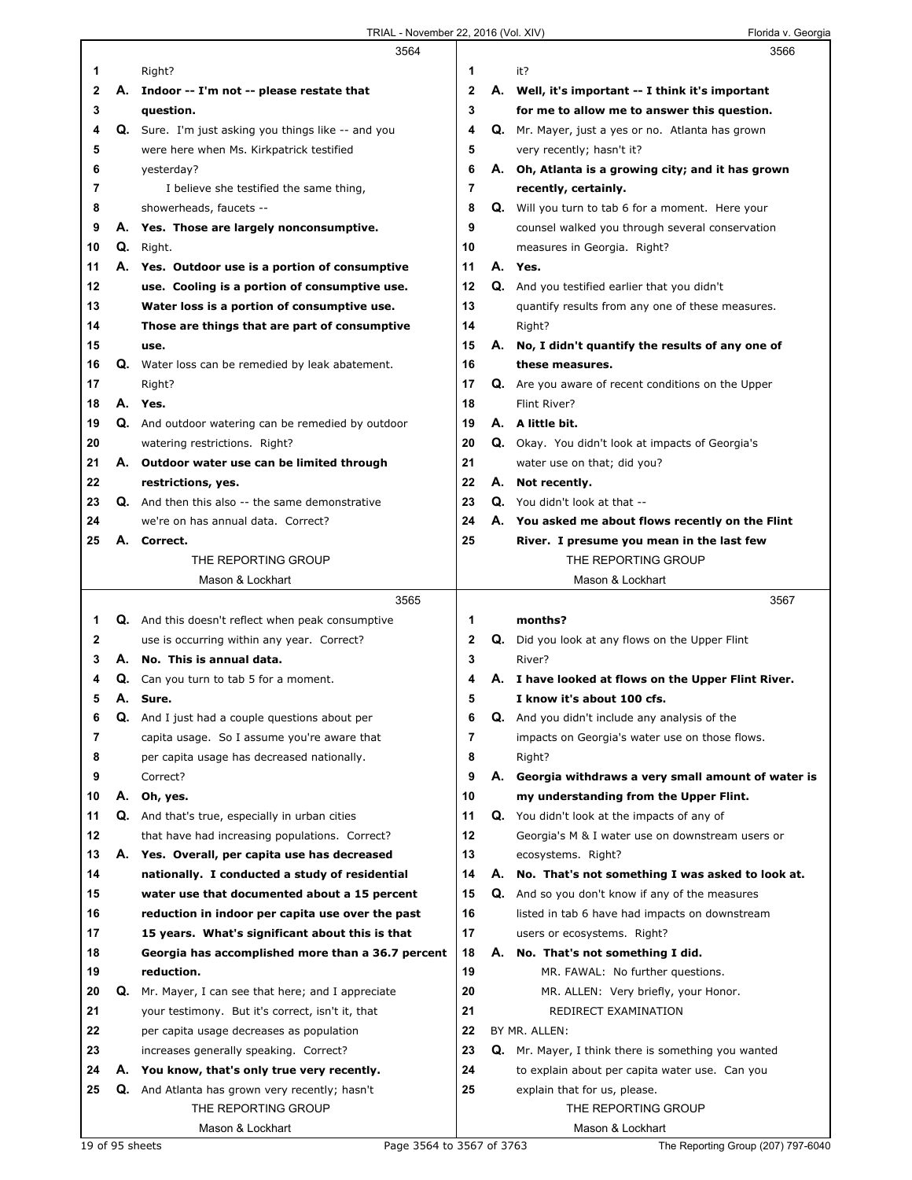|                |    | 3564                                                       |         |    | 3566                                                       |
|----------------|----|------------------------------------------------------------|---------|----|------------------------------------------------------------|
| 1              |    | Right?                                                     | 1       |    | it?                                                        |
| 2              |    | A. Indoor -- I'm not -- please restate that                | 2       |    | A. Well, it's important -- I think it's important          |
| 3              |    | question.                                                  | 3       |    | for me to allow me to answer this question.                |
| 4              |    | <b>Q.</b> Sure. I'm just asking you things like -- and you | 4       | Q. | Mr. Mayer, just a yes or no. Atlanta has grown             |
| 5              |    | were here when Ms. Kirkpatrick testified                   | 5       |    | very recently; hasn't it?                                  |
| 6              |    | yesterday?                                                 | 6       | Α. | Oh, Atlanta is a growing city; and it has grown            |
| 7              |    | I believe she testified the same thing,                    | 7       |    | recently, certainly.                                       |
| 8              |    | showerheads, faucets --                                    | 8       |    | <b>Q.</b> Will you turn to tab 6 for a moment. Here your   |
| 9              | Α. | Yes. Those are largely nonconsumptive.                     | 9       |    | counsel walked you through several conservation            |
| 10             | Q. | Right.                                                     | 10      |    | measures in Georgia. Right?                                |
| 11             |    | A. Yes. Outdoor use is a portion of consumptive            | 11      |    | A. Yes.                                                    |
| 12             |    | use. Cooling is a portion of consumptive use.              | 12      |    | Q. And you testified earlier that you didn't               |
| 13             |    | Water loss is a portion of consumptive use.                | 13      |    | quantify results from any one of these measures.           |
| 14             |    | Those are things that are part of consumptive              | 14      |    | Right?                                                     |
| 15             |    | use.                                                       | 15      | А. | No, I didn't quantify the results of any one of            |
| 16             | Q. | Water loss can be remedied by leak abatement.              | 16      |    | these measures.                                            |
| 17             |    | Right?                                                     | 17      |    | <b>Q.</b> Are you aware of recent conditions on the Upper  |
| 18             |    | A. Yes.                                                    | 18      |    | Flint River?                                               |
| 19             |    | Q. And outdoor watering can be remedied by outdoor         | 19      |    | A. A little bit.                                           |
| 20             |    | watering restrictions. Right?                              | 20      |    | Q. Okay. You didn't look at impacts of Georgia's           |
| 21             |    | A. Outdoor water use can be limited through                | 21      |    | water use on that; did you?                                |
| 22             |    | restrictions, yes.                                         | 22      |    | A. Not recently.                                           |
| 23             |    | <b>Q.</b> And then this also -- the same demonstrative     | 23      |    | Q. You didn't look at that --                              |
| 24             |    | we're on has annual data. Correct?                         | 24      | А. | You asked me about flows recently on the Flint             |
| 25             |    | A. Correct.                                                | 25      |    | River. I presume you mean in the last few                  |
|                |    | THE REPORTING GROUP                                        |         |    | THE REPORTING GROUP                                        |
|                |    | Mason & Lockhart                                           |         |    | Mason & Lockhart                                           |
|                |    | 3565                                                       |         |    | 3567                                                       |
| 1              |    |                                                            |         |    |                                                            |
|                |    |                                                            |         |    |                                                            |
|                |    | <b>Q.</b> And this doesn't reflect when peak consumptive   | 1       |    | months?                                                    |
| 2              |    | use is occurring within any year. Correct?                 | 2       | Q. | Did you look at any flows on the Upper Flint               |
| з              |    | A. No. This is annual data.                                | 3       |    | River?                                                     |
| 4              | Q. | Can you turn to tab 5 for a moment.                        | 4       | Α. | I have looked at flows on the Upper Flint River.           |
| 5              |    | A. Sure.                                                   | 5       |    | I know it's about 100 cfs.                                 |
| b              | Q. | And I just had a couple questions about per                | 6       | Q. | And you didn't include any analysis of the                 |
| $\overline{7}$ |    | capita usage. So I assume you're aware that                | 7       |    | impacts on Georgia's water use on those flows.             |
| 8              |    | per capita usage has decreased nationally.                 | 8       |    | Right?                                                     |
| 9              |    | Correct?                                                   | 9       | А. | Georgia withdraws a very small amount of water is          |
| 10             | А. | Oh, yes.                                                   | 10      |    | my understanding from the Upper Flint.                     |
| 11             |    | Q. And that's true, especially in urban cities             | 11      |    | Q. You didn't look at the impacts of any of                |
| 12             |    | that have had increasing populations. Correct?             | $12 \,$ |    | Georgia's M & I water use on downstream users or           |
| 13             |    | A. Yes. Overall, per capita use has decreased              | 13      |    | ecosystems. Right?                                         |
| 14             |    | nationally. I conducted a study of residential             | 14      | А. | No. That's not something I was asked to look at.           |
| 15             |    | water use that documented about a 15 percent               | 15      | Q. | And so you don't know if any of the measures               |
| 16             |    | reduction in indoor per capita use over the past           | 16      |    | listed in tab 6 have had impacts on downstream             |
| 17             |    | 15 years. What's significant about this is that            | 17      |    | users or ecosystems. Right?                                |
| 18             |    | Georgia has accomplished more than a 36.7 percent          | 18      | А. | No. That's not something I did.                            |
| 19             |    | reduction.                                                 | 19      |    | MR. FAWAL: No further questions.                           |
| 20             | Q. | Mr. Mayer, I can see that here; and I appreciate           | 20      |    | MR. ALLEN: Very briefly, your Honor.                       |
| 21             |    | your testimony. But it's correct, isn't it, that           | 21      |    | REDIRECT EXAMINATION                                       |
| 22             |    | per capita usage decreases as population                   | 22      |    | BY MR. ALLEN:                                              |
| 23             |    | increases generally speaking. Correct?                     | 23      |    | <b>Q.</b> Mr. Mayer, I think there is something you wanted |
| 24             |    | A. You know, that's only true very recently.               | 24      |    | to explain about per capita water use. Can you             |
| 25             |    | Q. And Atlanta has grown very recently; hasn't             | 25      |    | explain that for us, please.                               |
|                |    | THE REPORTING GROUP<br>Mason & Lockhart                    |         |    | THE REPORTING GROUP<br>Mason & Lockhart                    |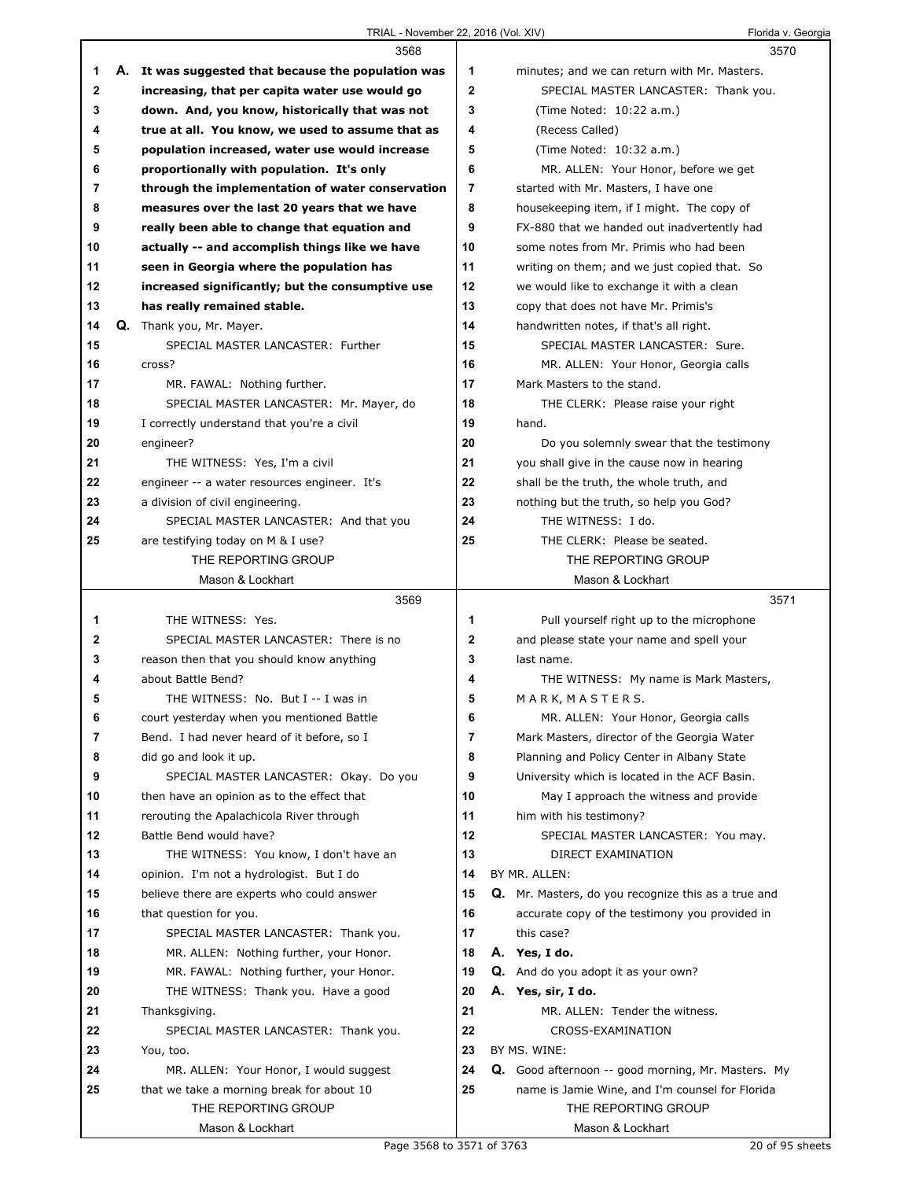## TRIAL - November 22, 2016 (Vol. XIV) Florida v. Georgia

|              | 3568                                                |                | 3570                                                |  |
|--------------|-----------------------------------------------------|----------------|-----------------------------------------------------|--|
| 1            | A. It was suggested that because the population was | 1              | minutes; and we can return with Mr. Masters.        |  |
| $\mathbf{2}$ | increasing, that per capita water use would go      | $\mathbf{2}$   | SPECIAL MASTER LANCASTER: Thank you.                |  |
| 3            | down. And, you know, historically that was not      | 3              | (Time Noted: 10:22 a.m.)                            |  |
| 4            | true at all. You know, we used to assume that as    | 4              | (Recess Called)                                     |  |
| 5            | population increased, water use would increase      | 5              | (Time Noted: 10:32 a.m.)                            |  |
| 6            | proportionally with population. It's only           | 6              | MR. ALLEN: Your Honor, before we get                |  |
| 7            | through the implementation of water conservation    | $\overline{7}$ | started with Mr. Masters, I have one                |  |
| 8            | measures over the last 20 years that we have        | 8              | housekeeping item, if I might. The copy of          |  |
| 9            | really been able to change that equation and        | 9              | FX-880 that we handed out inadvertently had         |  |
| 10           | actually -- and accomplish things like we have      | 10             | some notes from Mr. Primis who had been             |  |
| 11           | seen in Georgia where the population has            | 11             | writing on them; and we just copied that. So        |  |
| 12           | increased significantly; but the consumptive use    | 12             | we would like to exchange it with a clean           |  |
| 13           | has really remained stable.                         | 13             | copy that does not have Mr. Primis's                |  |
| 14           | Q. Thank you, Mr. Mayer.                            | 14             | handwritten notes, if that's all right.             |  |
| 15           | SPECIAL MASTER LANCASTER: Further                   | 15             | SPECIAL MASTER LANCASTER: Sure.                     |  |
| 16           | cross?                                              | 16             | MR. ALLEN: Your Honor, Georgia calls                |  |
| 17           | MR. FAWAL: Nothing further.                         | 17             | Mark Masters to the stand.                          |  |
| 18           | SPECIAL MASTER LANCASTER: Mr. Mayer, do             | 18             | THE CLERK: Please raise your right                  |  |
| 19           | I correctly understand that you're a civil          | 19             | hand.                                               |  |
| 20           | engineer?                                           | 20             | Do you solemnly swear that the testimony            |  |
| 21           | THE WITNESS: Yes, I'm a civil                       | 21             | you shall give in the cause now in hearing          |  |
| 22           | engineer -- a water resources engineer. It's        | 22             | shall be the truth, the whole truth, and            |  |
| 23           | a division of civil engineering.                    | 23             | nothing but the truth, so help you God?             |  |
| 24           | SPECIAL MASTER LANCASTER: And that you              | 24             | THE WITNESS: I do.                                  |  |
| 25           | are testifying today on M & I use?                  | 25             | THE CLERK: Please be seated.                        |  |
|              | THE REPORTING GROUP                                 |                | THE REPORTING GROUP                                 |  |
|              | Mason & Lockhart                                    |                | Mason & Lockhart                                    |  |
|              |                                                     |                |                                                     |  |
|              |                                                     |                |                                                     |  |
|              | 3569                                                |                | 3571                                                |  |
| 1            | THE WITNESS: Yes.                                   | 1              | Pull yourself right up to the microphone            |  |
| 2            | SPECIAL MASTER LANCASTER: There is no               | $\mathbf 2$    | and please state your name and spell your           |  |
| 3            | reason then that you should know anything           | 3              | last name.                                          |  |
| 4            | about Battle Bend?                                  | 4              | THE WITNESS: My name is Mark Masters,               |  |
| 5            | THE WITNESS: No. But I -- I was in                  | 5              | M A R K, M A S T E R S.                             |  |
| 6            | court yesterday when you mentioned Battle           | 6              | MR. ALLEN: Your Honor, Georgia calls                |  |
| 7            | Bend. I had never heard of it before, so I          | 7              | Mark Masters, director of the Georgia Water         |  |
| 8            | did go and look it up.                              | 8              | Planning and Policy Center in Albany State          |  |
| 9            | SPECIAL MASTER LANCASTER: Okay. Do you              | 9              | University which is located in the ACF Basin.       |  |
| 10           | then have an opinion as to the effect that          | 10             | May I approach the witness and provide              |  |
| 11           | rerouting the Apalachicola River through            | 11             | him with his testimony?                             |  |
| 12           | Battle Bend would have?                             | 12             | SPECIAL MASTER LANCASTER: You may.                  |  |
| 13           | THE WITNESS: You know, I don't have an              | 13             | DIRECT EXAMINATION                                  |  |
| 14           | opinion. I'm not a hydrologist. But I do            | 14             | BY MR. ALLEN:                                       |  |
| 15           | believe there are experts who could answer          | 15             | Q. Mr. Masters, do you recognize this as a true and |  |
| 16           | that question for you.                              | 16             | accurate copy of the testimony you provided in      |  |
| 17           | SPECIAL MASTER LANCASTER: Thank you.                | 17             | this case?                                          |  |
| 18           | MR. ALLEN: Nothing further, your Honor.             | 18             | A. Yes, I do.                                       |  |
| 19           | MR. FAWAL: Nothing further, your Honor.             | 19             | <b>Q.</b> And do you adopt it as your own?          |  |
| 20           | THE WITNESS: Thank you. Have a good                 | 20             | A. Yes, sir, I do.                                  |  |
| 21           | Thanksgiving.                                       | 21             | MR. ALLEN: Tender the witness.                      |  |
| 22           | SPECIAL MASTER LANCASTER: Thank you.                | 22             | CROSS-EXAMINATION                                   |  |
| 23           | You, too.                                           | 23             | BY MS. WINE:                                        |  |
| 24           | MR. ALLEN: Your Honor, I would suggest              | 24             | Q. Good afternoon -- good morning, Mr. Masters. My  |  |
| 25           | that we take a morning break for about 10           | 25             | name is Jamie Wine, and I'm counsel for Florida     |  |
|              | THE REPORTING GROUP<br>Mason & Lockhart             |                | THE REPORTING GROUP<br>Mason & Lockhart             |  |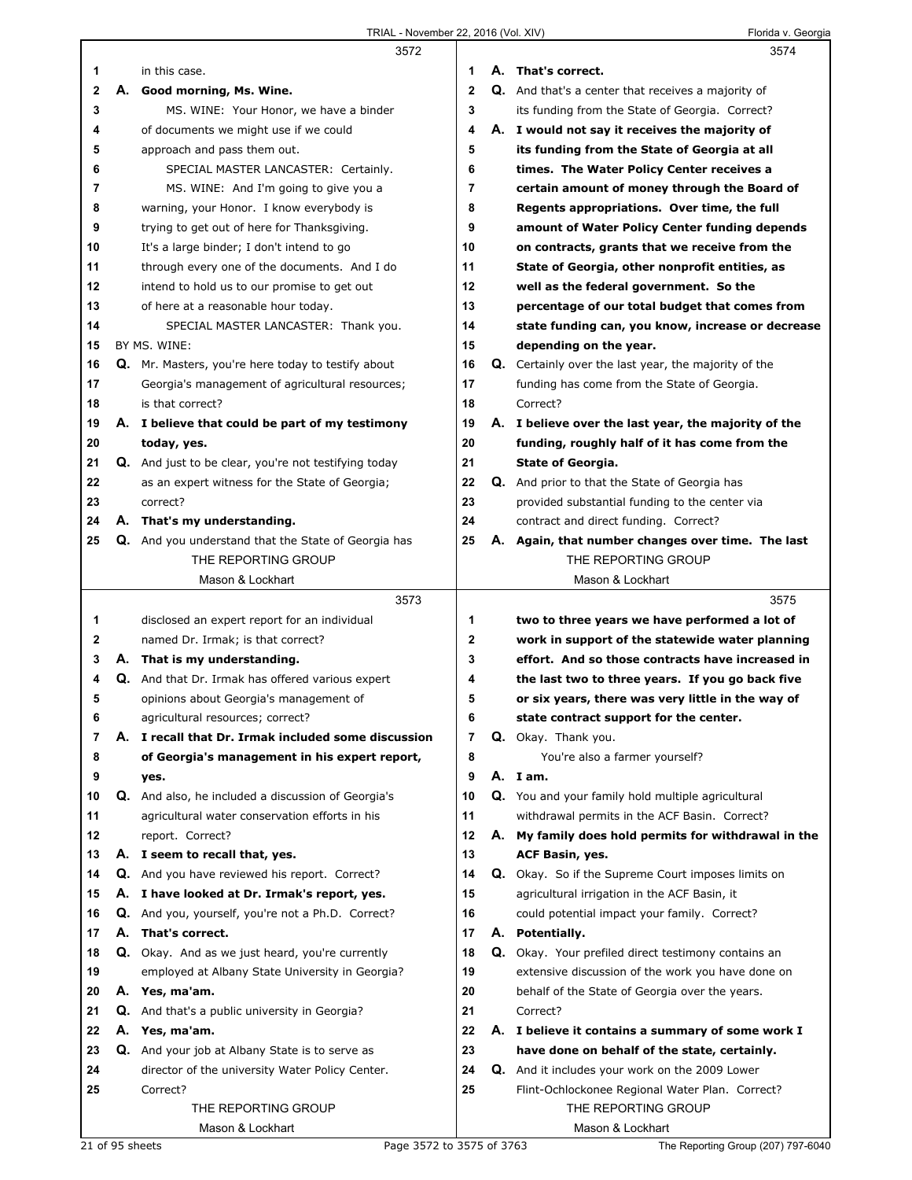|    |    | 3572                                                       |              |    | 3574                                                        |
|----|----|------------------------------------------------------------|--------------|----|-------------------------------------------------------------|
| 1  |    | in this case.                                              | 1            |    | A. That's correct.                                          |
| 2  |    | A. Good morning, Ms. Wine.                                 | $\mathbf{2}$ |    | <b>Q.</b> And that's a center that receives a majority of   |
| 3  |    | MS. WINE: Your Honor, we have a binder                     | 3            |    | its funding from the State of Georgia. Correct?             |
| 4  |    | of documents we might use if we could                      | 4            |    | A. I would not say it receives the majority of              |
| 5  |    | approach and pass them out.                                | 5            |    | its funding from the State of Georgia at all                |
| 6  |    | SPECIAL MASTER LANCASTER: Certainly.                       | 6            |    | times. The Water Policy Center receives a                   |
| 7  |    | MS. WINE: And I'm going to give you a                      | 7            |    | certain amount of money through the Board of                |
| 8  |    | warning, your Honor. I know everybody is                   | 8            |    | Regents appropriations. Over time, the full                 |
| 9  |    | trying to get out of here for Thanksgiving.                | 9            |    | amount of Water Policy Center funding depends               |
| 10 |    | It's a large binder; I don't intend to go                  | 10           |    | on contracts, grants that we receive from the               |
| 11 |    | through every one of the documents. And I do               | 11           |    | State of Georgia, other nonprofit entities, as              |
| 12 |    | intend to hold us to our promise to get out                | 12           |    | well as the federal government. So the                      |
| 13 |    | of here at a reasonable hour today.                        | 13           |    | percentage of our total budget that comes from              |
| 14 |    | SPECIAL MASTER LANCASTER: Thank you.                       | 14           |    | state funding can, you know, increase or decrease           |
| 15 |    | BY MS. WINE:                                               | 15           |    | depending on the year.                                      |
| 16 |    | Q. Mr. Masters, you're here today to testify about         | 16           |    | <b>Q.</b> Certainly over the last year, the majority of the |
| 17 |    | Georgia's management of agricultural resources;            | 17           |    | funding has come from the State of Georgia.                 |
| 18 |    | is that correct?                                           | 18           |    | Correct?                                                    |
| 19 |    | A. I believe that could be part of my testimony            | 19           |    | A. I believe over the last year, the majority of the        |
| 20 |    | today, yes.                                                | 20           |    | funding, roughly half of it has come from the               |
| 21 |    | Q. And just to be clear, you're not testifying today       | 21           |    | <b>State of Georgia.</b>                                    |
| 22 |    | as an expert witness for the State of Georgia;             | 22           |    | Q. And prior to that the State of Georgia has               |
| 23 |    | correct?                                                   | 23           |    | provided substantial funding to the center via              |
| 24 |    | A. That's my understanding.                                | 24           |    | contract and direct funding. Correct?                       |
| 25 |    | <b>Q.</b> And you understand that the State of Georgia has | 25           | А. | Again, that number changes over time. The last              |
|    |    | THE REPORTING GROUP                                        |              |    | THE REPORTING GROUP                                         |
|    |    | Mason & Lockhart                                           |              |    | Mason & Lockhart                                            |
|    |    | 3573                                                       |              |    | 3575                                                        |
| 1  |    | disclosed an expert report for an individual               | 1            |    | two to three years we have performed a lot of               |
| 2  |    | named Dr. Irmak; is that correct?                          | 2            |    | work in support of the statewide water planning             |
| 3  |    | A. That is my understanding.                               | 3            |    | effort. And so those contracts have increased in            |
| 4  |    |                                                            |              |    |                                                             |
|    |    | Q. And that Dr. Irmak has offered various expert           | 4            |    | the last two to three years. If you go back five            |
| 5  |    | opinions about Georgia's management of                     | 5            |    | or six years, there was very little in the way of           |
| 6  |    | agricultural resources; correct?                           | 6            |    | state contract support for the center.                      |
| 7  | А. | I recall that Dr. Irmak included some discussion           | 7            |    | <b>Q.</b> Okay. Thank you.                                  |
| 8  |    | of Georgia's management in his expert report,              | 8            |    | You're also a farmer yourself?                              |
| 9  |    | yes.                                                       | 9            |    | A. I am.                                                    |
| 10 |    | Q. And also, he included a discussion of Georgia's         | 10           |    | Q. You and your family hold multiple agricultural           |
| 11 |    | agricultural water conservation efforts in his             | 11           |    | withdrawal permits in the ACF Basin. Correct?               |
| 12 |    | report. Correct?                                           | 12           | А. | My family does hold permits for withdrawal in the           |
| 13 |    | A. I seem to recall that, yes.                             | 13           |    | ACF Basin, yes.                                             |
| 14 |    | Q. And you have reviewed his report. Correct?              | 14           |    | <b>Q.</b> Okay. So if the Supreme Court imposes limits on   |
| 15 | А. | I have looked at Dr. Irmak's report, yes.                  | 15           |    | agricultural irrigation in the ACF Basin, it                |
| 16 | Q. | And you, yourself, you're not a Ph.D. Correct?             | 16           |    | could potential impact your family. Correct?                |
| 17 | А. | That's correct.                                            | 17           |    | A. Potentially.                                             |
| 18 |    | <b>Q.</b> Okay. And as we just heard, you're currently     | 18           |    | Q. Okay. Your prefiled direct testimony contains an         |
| 19 |    | employed at Albany State University in Georgia?            | 19           |    | extensive discussion of the work you have done on           |
| 20 |    | A. Yes, ma'am.                                             | 20           |    | behalf of the State of Georgia over the years.              |
| 21 |    | <b>Q.</b> And that's a public university in Georgia?       | 21           |    | Correct?                                                    |
| 22 | А. | Yes, ma'am.                                                | 22           |    | A. I believe it contains a summary of some work I           |
| 23 |    | Q. And your job at Albany State is to serve as             | 23           |    | have done on behalf of the state, certainly.                |
| 24 |    | director of the university Water Policy Center.            | 24           |    | <b>Q.</b> And it includes your work on the 2009 Lower       |
| 25 |    | Correct?                                                   | 25           |    | Flint-Ochlockonee Regional Water Plan. Correct?             |
|    |    | THE REPORTING GROUP<br>Mason & Lockhart                    |              |    | THE REPORTING GROUP<br>Mason & Lockhart                     |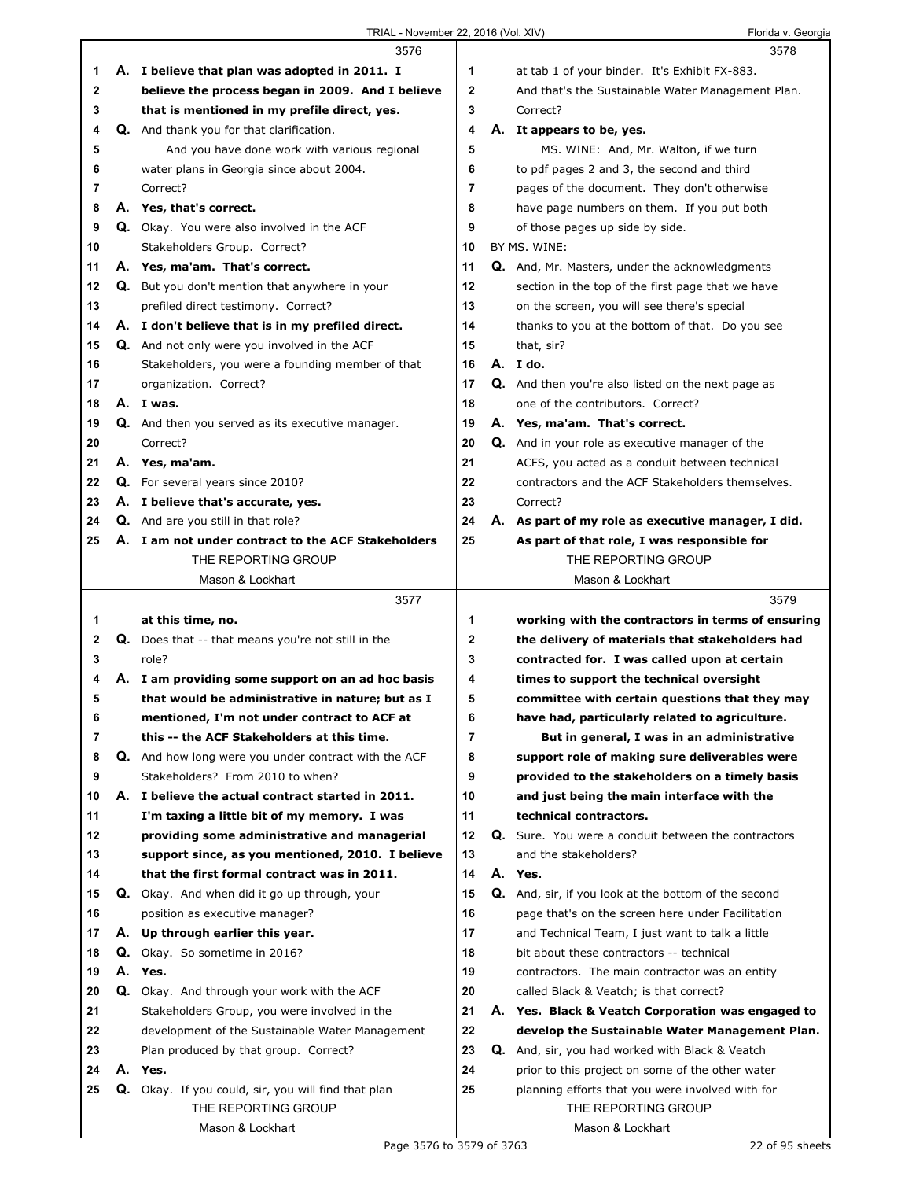|              | 3576                                                                                        |                | 3578                                                                                                |
|--------------|---------------------------------------------------------------------------------------------|----------------|-----------------------------------------------------------------------------------------------------|
| 1            | A. I believe that plan was adopted in 2011. I                                               | 1              | at tab 1 of your binder. It's Exhibit FX-883.                                                       |
| $\mathbf{2}$ | believe the process began in 2009. And I believe                                            | $\mathbf{2}$   | And that's the Sustainable Water Management Plan.                                                   |
| 3            | that is mentioned in my prefile direct, yes.                                                | 3              | Correct?                                                                                            |
| 4            | <b>Q.</b> And thank you for that clarification.                                             | 4              | A. It appears to be, yes.                                                                           |
| 5            | And you have done work with various regional                                                | 5              | MS. WINE: And, Mr. Walton, if we turn                                                               |
| 6            | water plans in Georgia since about 2004.                                                    | 6              | to pdf pages 2 and 3, the second and third                                                          |
| 7            | Correct?                                                                                    | $\overline{7}$ | pages of the document. They don't otherwise                                                         |
| 8            | A. Yes, that's correct.                                                                     | 8              | have page numbers on them. If you put both                                                          |
| 9            | Q. Okay. You were also involved in the ACF                                                  | 9              | of those pages up side by side.                                                                     |
| 10           | Stakeholders Group. Correct?                                                                | 10             | BY MS. WINE:                                                                                        |
| 11           | A. Yes, ma'am. That's correct.                                                              | 11             | <b>Q.</b> And, Mr. Masters, under the acknowledgments                                               |
| 12           | <b>Q.</b> But you don't mention that anywhere in your                                       | 12             | section in the top of the first page that we have                                                   |
| 13           | prefiled direct testimony. Correct?                                                         | 13             | on the screen, you will see there's special                                                         |
| 14           | A. I don't believe that is in my prefiled direct.                                           | 14             | thanks to you at the bottom of that. Do you see                                                     |
| 15           | Q. And not only were you involved in the ACF                                                | 15             | that, sir?                                                                                          |
| 16           | Stakeholders, you were a founding member of that                                            | 16             | A. I do.                                                                                            |
| 17           | organization. Correct?                                                                      | 17             | Q. And then you're also listed on the next page as                                                  |
| 18           | A. I was.                                                                                   | 18             | one of the contributors. Correct?                                                                   |
| 19           | Q. And then you served as its executive manager.                                            | 19             | A. Yes, ma'am. That's correct.                                                                      |
| 20           | Correct?                                                                                    | 20             | Q. And in your role as executive manager of the                                                     |
| 21           | A. Yes, ma'am.                                                                              | 21             | ACFS, you acted as a conduit between technical                                                      |
| 22           | <b>Q.</b> For several years since 2010?                                                     | 22             | contractors and the ACF Stakeholders themselves.                                                    |
| 23           | A. I believe that's accurate, yes.                                                          | 23             | Correct?                                                                                            |
| 24           | Q. And are you still in that role?                                                          | 24             | A. As part of my role as executive manager, I did.                                                  |
| 25           | A. I am not under contract to the ACF Stakeholders                                          | 25             | As part of that role, I was responsible for                                                         |
|              | THE REPORTING GROUP                                                                         |                | THE REPORTING GROUP                                                                                 |
|              | Mason & Lockhart                                                                            |                | Mason & Lockhart                                                                                    |
|              |                                                                                             |                |                                                                                                     |
|              | 3577                                                                                        |                | 3579                                                                                                |
| 1            | at this time, no.                                                                           | 1              | working with the contractors in terms of ensuring                                                   |
| $\mathbf{2}$ | <b>Q.</b> Does that -- that means you're not still in the                                   | 2              | the delivery of materials that stakeholders had                                                     |
| 3            | role?                                                                                       | 3              | contracted for. I was called upon at certain                                                        |
| 4            | A. I am providing some support on an ad hoc basis                                           | 4              | times to support the technical oversight                                                            |
| 5            | that would be administrative in nature; but as I                                            | 5              | committee with certain questions that they may                                                      |
| 6            | mentioned, I'm not under contract to ACF at                                                 | 6              | have had, particularly related to agriculture.                                                      |
| 7            | this -- the ACF Stakeholders at this time.                                                  | $\overline{7}$ | But in general, I was in an administrative                                                          |
| 8            | Q. And how long were you under contract with the ACF                                        | 8              | support role of making sure deliverables were                                                       |
| 9            | Stakeholders? From 2010 to when?                                                            | 9              | provided to the stakeholders on a timely basis                                                      |
| 10           | A. I believe the actual contract started in 2011.                                           | 10             | and just being the main interface with the                                                          |
| 11           | I'm taxing a little bit of my memory. I was                                                 | 11             | technical contractors.                                                                              |
| 12           | providing some administrative and managerial                                                | 12             | Q. Sure. You were a conduit between the contractors                                                 |
| 13           | support since, as you mentioned, 2010. I believe                                            | 13             | and the stakeholders?                                                                               |
| 14           | that the first formal contract was in 2011.                                                 | 14             | A. Yes.                                                                                             |
| 15           | Q. Okay. And when did it go up through, your                                                | 15             | Q. And, sir, if you look at the bottom of the second                                                |
| 16           | position as executive manager?                                                              | 16             | page that's on the screen here under Facilitation                                                   |
| 17           | A. Up through earlier this year.                                                            | 17             | and Technical Team, I just want to talk a little                                                    |
| 18           | Q. Okay. So sometime in 2016?                                                               | 18             | bit about these contractors -- technical                                                            |
| 19<br>20     | A. Yes.                                                                                     | 19<br>20       | contractors. The main contractor was an entity<br>called Black & Veatch; is that correct?           |
| 21           | Q. Okay. And through your work with the ACF<br>Stakeholders Group, you were involved in the | 21             |                                                                                                     |
| 22           | development of the Sustainable Water Management                                             | 22             | A. Yes. Black & Veatch Corporation was engaged to<br>develop the Sustainable Water Management Plan. |
| 23           | Plan produced by that group. Correct?                                                       | 23             | Q. And, sir, you had worked with Black & Veatch                                                     |
| 24           | A. Yes.                                                                                     | 24             | prior to this project on some of the other water                                                    |
| 25           | Q. Okay. If you could, sir, you will find that plan                                         | 25             | planning efforts that you were involved with for                                                    |
|              | THE REPORTING GROUP                                                                         |                | THE REPORTING GROUP                                                                                 |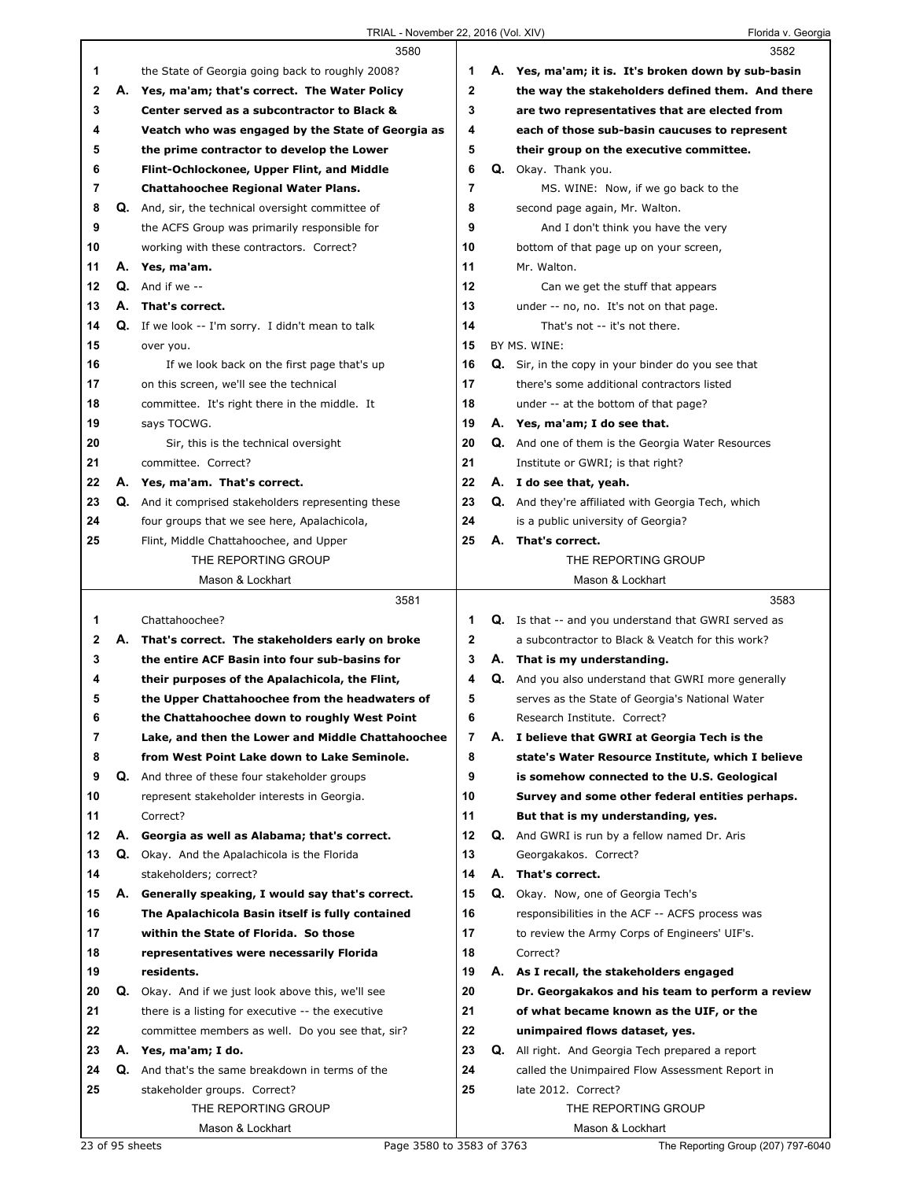|              |    | 3580                                                                                      |                   |    | 3582                                                        |
|--------------|----|-------------------------------------------------------------------------------------------|-------------------|----|-------------------------------------------------------------|
| 1            |    | the State of Georgia going back to roughly 2008?                                          | 1                 |    | A. Yes, ma'am; it is. It's broken down by sub-basin         |
| $\mathbf{2}$ | А. | Yes, ma'am; that's correct. The Water Policy                                              | $\mathbf{2}$      |    | the way the stakeholders defined them. And there            |
| 3            |    | Center served as a subcontractor to Black &                                               | 3                 |    | are two representatives that are elected from               |
| 4            |    | Veatch who was engaged by the State of Georgia as                                         | 4                 |    | each of those sub-basin caucuses to represent               |
| 5            |    | the prime contractor to develop the Lower                                                 | 5                 |    | their group on the executive committee.                     |
| 6            |    | Flint-Ochlockonee, Upper Flint, and Middle                                                | 6                 |    | Q. Okay. Thank you.                                         |
| 7            |    | Chattahoochee Regional Water Plans.                                                       | 7                 |    | MS. WINE: Now, if we go back to the                         |
| 8            |    | <b>Q.</b> And, sir, the technical oversight committee of                                  | 8                 |    | second page again, Mr. Walton.                              |
| 9            |    | the ACFS Group was primarily responsible for                                              | 9                 |    | And I don't think you have the very                         |
| 10           |    | working with these contractors. Correct?                                                  | 10                |    | bottom of that page up on your screen,                      |
| 11           | А. | Yes, ma'am.                                                                               | 11                |    | Mr. Walton.                                                 |
| 12           |    | $Q.$ And if we $-$                                                                        | 12                |    | Can we get the stuff that appears                           |
| 13           | А. | That's correct.                                                                           | 13                |    | under -- no, no. It's not on that page.                     |
| 14           |    | <b>Q.</b> If we look -- I'm sorry. I didn't mean to talk                                  | 14                |    | That's not -- it's not there.                               |
| 15           |    | over you.                                                                                 | 15                |    | BY MS. WINE:                                                |
| 16           |    | If we look back on the first page that's up                                               | 16                |    | Q. Sir, in the copy in your binder do you see that          |
| 17           |    | on this screen, we'll see the technical                                                   | 17                |    | there's some additional contractors listed                  |
| 18           |    | committee. It's right there in the middle. It                                             | 18                |    | under -- at the bottom of that page?                        |
| 19           |    | says TOCWG.                                                                               | 19                |    | A. Yes, ma'am; I do see that.                               |
| 20           |    | Sir, this is the technical oversight                                                      | 20                |    | <b>Q.</b> And one of them is the Georgia Water Resources    |
| 21           |    | committee. Correct?                                                                       | 21                |    | Institute or GWRI; is that right?                           |
| 22           | А. | Yes, ma'am. That's correct.                                                               | 22                |    | A. I do see that, yeah.                                     |
| 23           | Q. | And it comprised stakeholders representing these                                          | 23                |    | Q. And they're affiliated with Georgia Tech, which          |
| 24           |    | four groups that we see here, Apalachicola,                                               | 24                |    | is a public university of Georgia?                          |
| 25           |    | Flint, Middle Chattahoochee, and Upper                                                    | 25                | А. | That's correct.                                             |
|              |    | THE REPORTING GROUP                                                                       |                   |    | THE REPORTING GROUP                                         |
|              |    | Mason & Lockhart                                                                          |                   |    | Mason & Lockhart                                            |
|              |    |                                                                                           |                   |    |                                                             |
|              |    |                                                                                           |                   |    |                                                             |
|              |    | 3581                                                                                      |                   |    | 3583                                                        |
| 1            |    | Chattahoochee?                                                                            | 1<br>$\mathbf{2}$ |    | <b>Q.</b> Is that -- and you understand that GWRI served as |
| 2<br>3       | А. | That's correct. The stakeholders early on broke                                           | 3                 |    | a subcontractor to Black & Veatch for this work?            |
| 4            |    | the entire ACF Basin into four sub-basins for                                             | 4                 |    | A. That is my understanding.                                |
| 5            |    | their purposes of the Apalachicola, the Flint,                                            |                   |    | Q. And you also understand that GWRI more generally         |
|              |    | the Upper Chattahoochee from the headwaters of                                            | 5                 |    | serves as the State of Georgia's National Water             |
| 6<br>7       |    | the Chattahoochee down to roughly West Point                                              | 6<br>7            |    | Research Institute. Correct?                                |
|              |    | Lake, and then the Lower and Middle Chattahoochee                                         |                   |    | A. I believe that GWRI at Georgia Tech is the               |
| 8            |    | from West Point Lake down to Lake Seminole.                                               | 8                 |    | state's Water Resource Institute, which I believe           |
| 9            |    | Q. And three of these four stakeholder groups                                             | 9<br>10           |    | is somehow connected to the U.S. Geological                 |
| 10           |    | represent stakeholder interests in Georgia.                                               | 11                |    | Survey and some other federal entities perhaps.             |
| 11           |    | Correct?                                                                                  |                   |    | But that is my understanding, yes.                          |
| 12           | А. | Georgia as well as Alabama; that's correct.                                               | 12                |    | <b>Q.</b> And GWRI is run by a fellow named Dr. Aris        |
| 13           | Q. | Okay. And the Apalachicola is the Florida                                                 | 13<br>14          |    | Georgakakos. Correct?                                       |
| 14           |    | stakeholders; correct?                                                                    |                   |    | A. That's correct.                                          |
| 15           |    | A. Generally speaking, I would say that's correct.                                        | 15                |    | Q. Okay. Now, one of Georgia Tech's                         |
| 16           |    | The Apalachicola Basin itself is fully contained<br>within the State of Florida. So those | 16<br>17          |    | responsibilities in the ACF -- ACFS process was             |
| 17           |    |                                                                                           |                   |    | to review the Army Corps of Engineers' UIF's.               |
| 18<br>19     |    | representatives were necessarily Florida<br>residents.                                    | 18<br>19          |    | Correct?                                                    |
|              |    |                                                                                           |                   |    | A. As I recall, the stakeholders engaged                    |
| 20           |    | <b>Q.</b> Okay. And if we just look above this, we'll see                                 | 20                |    | Dr. Georgakakos and his team to perform a review            |
| 21           |    | there is a listing for executive -- the executive                                         | 21                |    | of what became known as the UIF, or the                     |
| 22           |    | committee members as well. Do you see that, sir?                                          | 22                |    | unimpaired flows dataset, yes.                              |
| 23           |    | A. Yes, ma'am; I do.                                                                      | 23                |    | Q. All right. And Georgia Tech prepared a report            |
| 24           | Q. | And that's the same breakdown in terms of the                                             | 24                |    | called the Unimpaired Flow Assessment Report in             |
| 25           |    | stakeholder groups. Correct?                                                              | 25                |    | late 2012. Correct?                                         |
|              |    | THE REPORTING GROUP<br>Mason & Lockhart                                                   |                   |    | THE REPORTING GROUP<br>Mason & Lockhart                     |

23 of 95 sheets Page 3580 to 3583 of 3763 The Reporting Group (207) 797-6040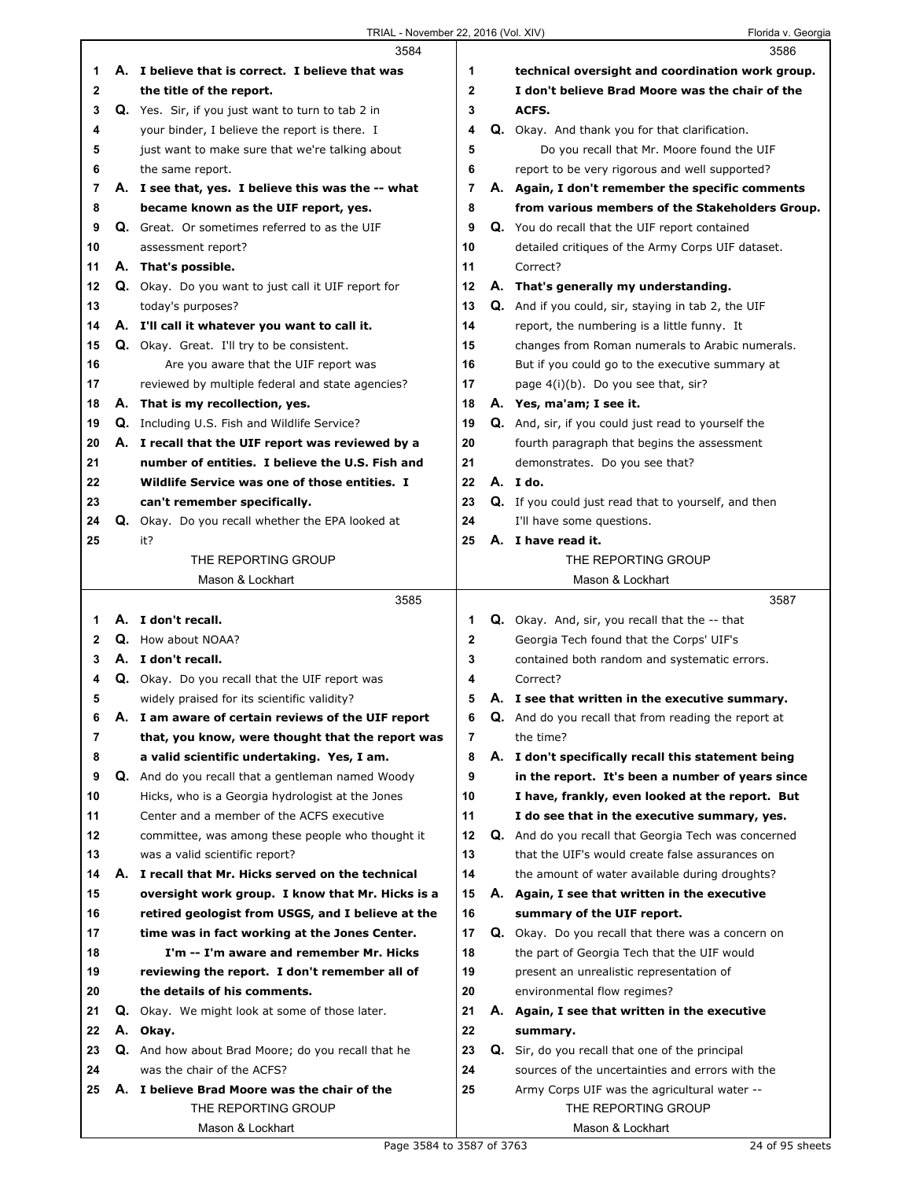|    |    | 3584                                                     |             | 3586                                                        |
|----|----|----------------------------------------------------------|-------------|-------------------------------------------------------------|
| 1  |    | A. I believe that is correct. I believe that was         | 1           | technical oversight and coordination work group.            |
| 2  |    | the title of the report.                                 | 2           | I don't believe Brad Moore was the chair of the             |
| 3  |    | <b>Q.</b> Yes. Sir, if you just want to turn to tab 2 in | 3           | ACFS.                                                       |
| 4  |    | your binder, I believe the report is there. I            | 4           | Q. Okay. And thank you for that clarification.              |
| 5  |    | just want to make sure that we're talking about          | 5           | Do you recall that Mr. Moore found the UIF                  |
| 6  |    | the same report.                                         | 6           | report to be very rigorous and well supported?              |
| 7  |    | A. I see that, yes. I believe this was the -- what       | 7           | A. Again, I don't remember the specific comments            |
| 8  |    | became known as the UIF report, yes.                     | 8           | from various members of the Stakeholders Group.             |
| 9  |    | <b>Q.</b> Great. Or sometimes referred to as the UIF     | 9           | Q. You do recall that the UIF report contained              |
| 10 |    | assessment report?                                       | 10          | detailed critiques of the Army Corps UIF dataset.           |
| 11 |    | A. That's possible.                                      | 11          | Correct?                                                    |
| 12 |    | Q. Okay. Do you want to just call it UIF report for      | 12          | A. That's generally my understanding.                       |
| 13 |    | today's purposes?                                        | 13          | <b>Q.</b> And if you could, sir, staying in tab 2, the UIF  |
| 14 |    | A. I'll call it whatever you want to call it.            | 14          | report, the numbering is a little funny. It                 |
| 15 |    | <b>Q.</b> Okay. Great. I'll try to be consistent.        | 15          | changes from Roman numerals to Arabic numerals.             |
| 16 |    | Are you aware that the UIF report was                    | 16          | But if you could go to the executive summary at             |
| 17 |    | reviewed by multiple federal and state agencies?         | 17          | page 4(i)(b). Do you see that, sir?                         |
| 18 |    | A. That is my recollection, yes.                         | 18          | A. Yes, ma'am; I see it.                                    |
| 19 |    | <b>Q.</b> Including U.S. Fish and Wildlife Service?      | 19          | Q. And, sir, if you could just read to yourself the         |
| 20 |    | A. I recall that the UIF report was reviewed by a        | 20          | fourth paragraph that begins the assessment                 |
| 21 |    | number of entities. I believe the U.S. Fish and          | 21          | demonstrates. Do you see that?                              |
| 22 |    | Wildlife Service was one of those entities. I            | 22          | A. I do.                                                    |
| 23 |    | can't remember specifically.                             | 23          | <b>Q.</b> If you could just read that to yourself, and then |
| 24 |    | Q. Okay. Do you recall whether the EPA looked at         | 24          | I'll have some questions.                                   |
| 25 |    | it?                                                      | 25          | A. I have read it.                                          |
|    |    | THE REPORTING GROUP                                      |             | THE REPORTING GROUP                                         |
|    |    | Mason & Lockhart                                         |             | Mason & Lockhart                                            |
|    |    |                                                          |             |                                                             |
|    |    | 3585                                                     |             | 3587                                                        |
| 1  |    | A. I don't recall.                                       | 1           | <b>Q.</b> Okay. And, sir, you recall that the -- that       |
| 2  |    | <b>Q.</b> How about NOAA?                                | $\mathbf 2$ | Georgia Tech found that the Corps' UIF's                    |
| 3  |    | A. I don't recall.                                       | 3           | contained both random and systematic errors.                |
| 4  |    | Q. Okay. Do you recall that the UIF report was           | 4           | Correct?                                                    |
| 5  |    | widely praised for its scientific validity?              | 5           | A. I see that written in the executive summary.             |
| 6  | Α. | I am aware of certain reviews of the UIF report          | 6           | Q. And do you recall that from reading the report at        |
| 7  |    | that, you know, were thought that the report was         | 7           | the time?                                                   |
| 8  |    | a valid scientific undertaking. Yes, I am.               | 8           | A. I don't specifically recall this statement being         |
| 9  |    | Q. And do you recall that a gentleman named Woody        | 9           | in the report. It's been a number of years since            |
| 10 |    | Hicks, who is a Georgia hydrologist at the Jones         | 10          | I have, frankly, even looked at the report. But             |
| 11 |    | Center and a member of the ACFS executive                | 11          | I do see that in the executive summary, yes.                |
| 12 |    | committee, was among these people who thought it         | 12          | Q. And do you recall that Georgia Tech was concerned        |
| 13 |    | was a valid scientific report?                           | 13          | that the UIF's would create false assurances on             |
| 14 |    | A. I recall that Mr. Hicks served on the technical       | 14          | the amount of water available during droughts?              |
| 15 |    | oversight work group. I know that Mr. Hicks is a         | 15          | A. Again, I see that written in the executive               |
| 16 |    | retired geologist from USGS, and I believe at the        | 16          | summary of the UIF report.                                  |
| 17 |    | time was in fact working at the Jones Center.            | 17          | Q. Okay. Do you recall that there was a concern on          |
| 18 |    | I'm -- I'm aware and remember Mr. Hicks                  | 18          | the part of Georgia Tech that the UIF would                 |
| 19 |    | reviewing the report. I don't remember all of            | 19          | present an unrealistic representation of                    |
| 20 |    | the details of his comments.                             | 20          | environmental flow regimes?                                 |
| 21 |    | <b>Q.</b> Okay. We might look at some of those later.    | 21          | A. Again, I see that written in the executive               |
| 22 |    | A. Okay.                                                 | 22          | summary.                                                    |
| 23 |    | Q. And how about Brad Moore; do you recall that he       | 23          | Q. Sir, do you recall that one of the principal             |
| 24 |    | was the chair of the ACFS?                               | 24          | sources of the uncertainties and errors with the            |
| 25 |    | A. I believe Brad Moore was the chair of the             | 25          | Army Corps UIF was the agricultural water --                |
|    |    | THE REPORTING GROUP                                      |             | THE REPORTING GROUP                                         |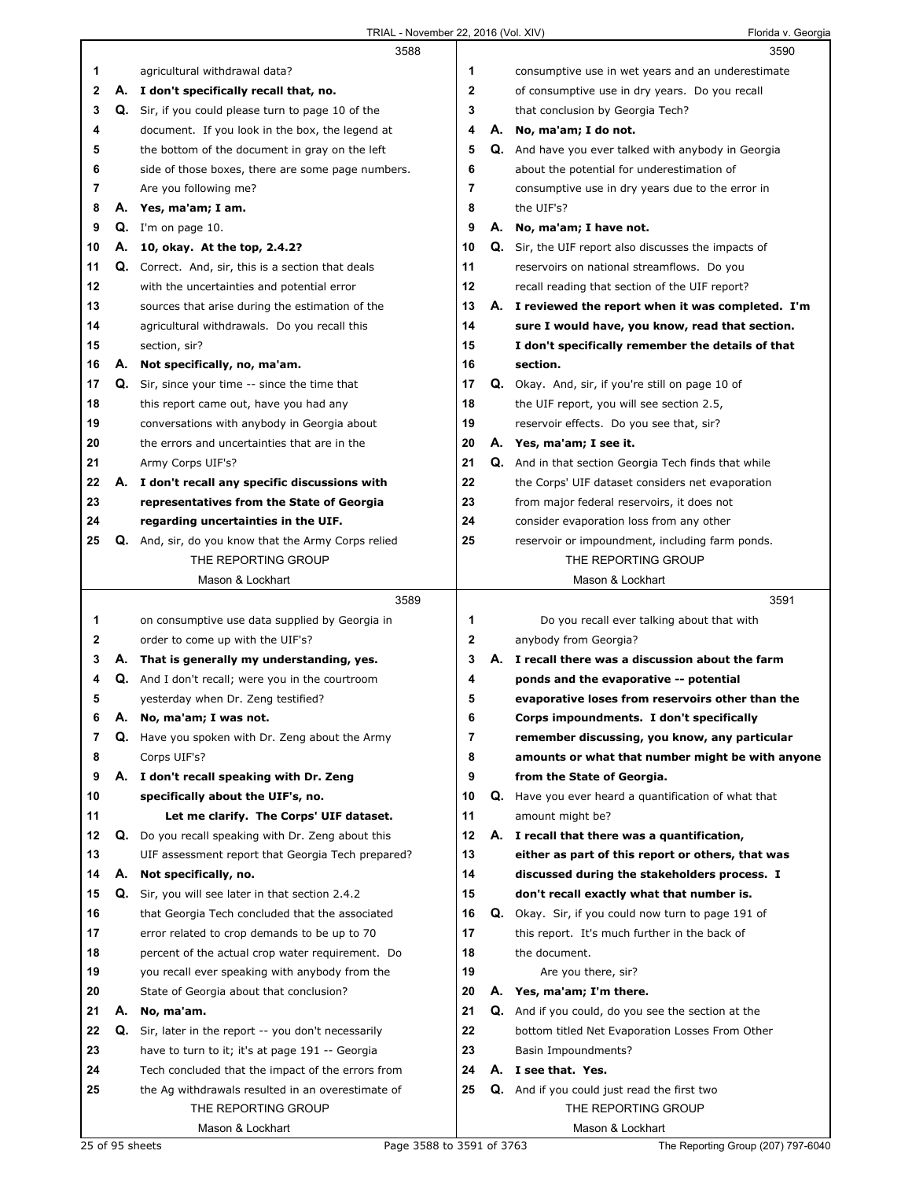|    |    | 3588                                                      |                |    | 3590                                                        |
|----|----|-----------------------------------------------------------|----------------|----|-------------------------------------------------------------|
| 1. |    | agricultural withdrawal data?                             | 1              |    | consumptive use in wet years and an underestimate           |
| 2  |    | A. I don't specifically recall that, no.                  | $\mathbf{2}$   |    | of consumptive use in dry years. Do you recall              |
| 3  |    | Q. Sir, if you could please turn to page 10 of the        | 3              |    | that conclusion by Georgia Tech?                            |
| 4  |    | document. If you look in the box, the legend at           | 4              | А. | No, ma'am; I do not.                                        |
| 5  |    | the bottom of the document in gray on the left            | 5              | Q. | And have you ever talked with anybody in Georgia            |
| 6  |    | side of those boxes, there are some page numbers.         | 6              |    | about the potential for underestimation of                  |
| 7  |    | Are you following me?                                     | 7              |    | consumptive use in dry years due to the error in            |
| 8  |    | A. Yes, ma'am; I am.                                      | 8              |    | the UIF's?                                                  |
| 9  |    | $Q.$ I'm on page 10.                                      | 9              |    | A. No, ma'am; I have not.                                   |
| 10 | А. | 10, okay. At the top, 2.4.2?                              | 10             |    | <b>Q.</b> Sir, the UIF report also discusses the impacts of |
| 11 |    | <b>Q.</b> Correct. And, sir, this is a section that deals | 11             |    | reservoirs on national streamflows. Do you                  |
| 12 |    | with the uncertainties and potential error                | 12             |    | recall reading that section of the UIF report?              |
| 13 |    | sources that arise during the estimation of the           | 13             |    | A. I reviewed the report when it was completed. I'm         |
| 14 |    | agricultural withdrawals. Do you recall this              | 14             |    | sure I would have, you know, read that section.             |
| 15 |    | section, sir?                                             | 15             |    | I don't specifically remember the details of that           |
| 16 | А. | Not specifically, no, ma'am.                              | 16             |    | section.                                                    |
| 17 | Q. | Sir, since your time -- since the time that               | 17             |    | Q. Okay. And, sir, if you're still on page 10 of            |
| 18 |    | this report came out, have you had any                    | 18             |    | the UIF report, you will see section 2.5,                   |
| 19 |    | conversations with anybody in Georgia about               | 19             |    | reservoir effects. Do you see that, sir?                    |
| 20 |    | the errors and uncertainties that are in the              | 20             |    | A. Yes, ma'am; I see it.                                    |
| 21 |    | Army Corps UIF's?                                         | 21             | Q. | And in that section Georgia Tech finds that while           |
| 22 |    | A. I don't recall any specific discussions with           | 22             |    | the Corps' UIF dataset considers net evaporation            |
| 23 |    | representatives from the State of Georgia                 | 23             |    | from major federal reservoirs, it does not                  |
| 24 |    | regarding uncertainties in the UIF.                       | 24             |    | consider evaporation loss from any other                    |
| 25 | Q. | And, sir, do you know that the Army Corps relied          | 25             |    | reservoir or impoundment, including farm ponds.             |
|    |    | THE REPORTING GROUP                                       |                |    | THE REPORTING GROUP                                         |
|    |    | Mason & Lockhart                                          |                |    | Mason & Lockhart                                            |
|    |    |                                                           |                |    |                                                             |
|    |    | 3589                                                      |                |    | 3591                                                        |
| 1  |    | on consumptive use data supplied by Georgia in            | 1              |    | Do you recall ever talking about that with                  |
| 2  |    | order to come up with the UIF's?                          | 2              |    | anybody from Georgia?                                       |
| 3  |    | A. That is generally my understanding, yes.               | 3              | Α. | I recall there was a discussion about the farm              |
| 4  |    | Q. And I don't recall; were you in the courtroom          | 4              |    | ponds and the evaporative -- potential                      |
| 5  |    | yesterday when Dr. Zeng testified?                        | 5              |    | evaporative loses from reservoirs other than the            |
|    | Α. | No, ma'am; I was not.                                     | b              |    | Corps impoundments. I don't specifically                    |
| 7  | Q. | Have you spoken with Dr. Zeng about the Army              | $\overline{7}$ |    | remember discussing, you know, any particular               |
| 8  |    | Corps UIF's?                                              | 8              |    | amounts or what that number might be with anyone            |
| 9  |    | A. I don't recall speaking with Dr. Zeng                  | 9              |    | from the State of Georgia.                                  |
| 10 |    | specifically about the UIF's, no.                         | 10             |    | <b>Q.</b> Have you ever heard a quantification of what that |
| 11 |    | Let me clarify. The Corps' UIF dataset.                   | 11             |    | amount might be?                                            |
| 12 | Q. | Do you recall speaking with Dr. Zeng about this           | 12             | А. | I recall that there was a quantification,                   |
| 13 |    | UIF assessment report that Georgia Tech prepared?         | 13             |    | either as part of this report or others, that was           |
| 14 | А. | Not specifically, no.                                     | 14             |    | discussed during the stakeholders process. I                |
| 15 | Q. | Sir, you will see later in that section 2.4.2             | 15             |    | don't recall exactly what that number is.                   |
| 16 |    | that Georgia Tech concluded that the associated           | 16             |    | Q. Okay. Sir, if you could now turn to page 191 of          |
| 17 |    | error related to crop demands to be up to 70              | 17             |    | this report. It's much further in the back of               |
| 18 |    | percent of the actual crop water requirement. Do          | 18             |    | the document.                                               |
| 19 |    | you recall ever speaking with anybody from the            | 19             |    | Are you there, sir?                                         |
| 20 |    | State of Georgia about that conclusion?                   | 20             | А. | Yes, ma'am; I'm there.                                      |
| 21 | А. | No, ma'am.                                                | 21             |    | Q. And if you could, do you see the section at the          |
| 22 | Q. | Sir, later in the report -- you don't necessarily         | 22             |    | bottom titled Net Evaporation Losses From Other             |
| 23 |    | have to turn to it; it's at page 191 -- Georgia           | 23             |    | Basin Impoundments?                                         |
| 24 |    | Tech concluded that the impact of the errors from         | 24             |    | A. I see that. Yes.                                         |
| 25 |    | the Ag withdrawals resulted in an overestimate of         | 25             |    | <b>Q.</b> And if you could just read the first two          |
|    |    | THE REPORTING GROUP<br>Mason & Lockhart                   |                |    | THE REPORTING GROUP<br>Mason & Lockhart                     |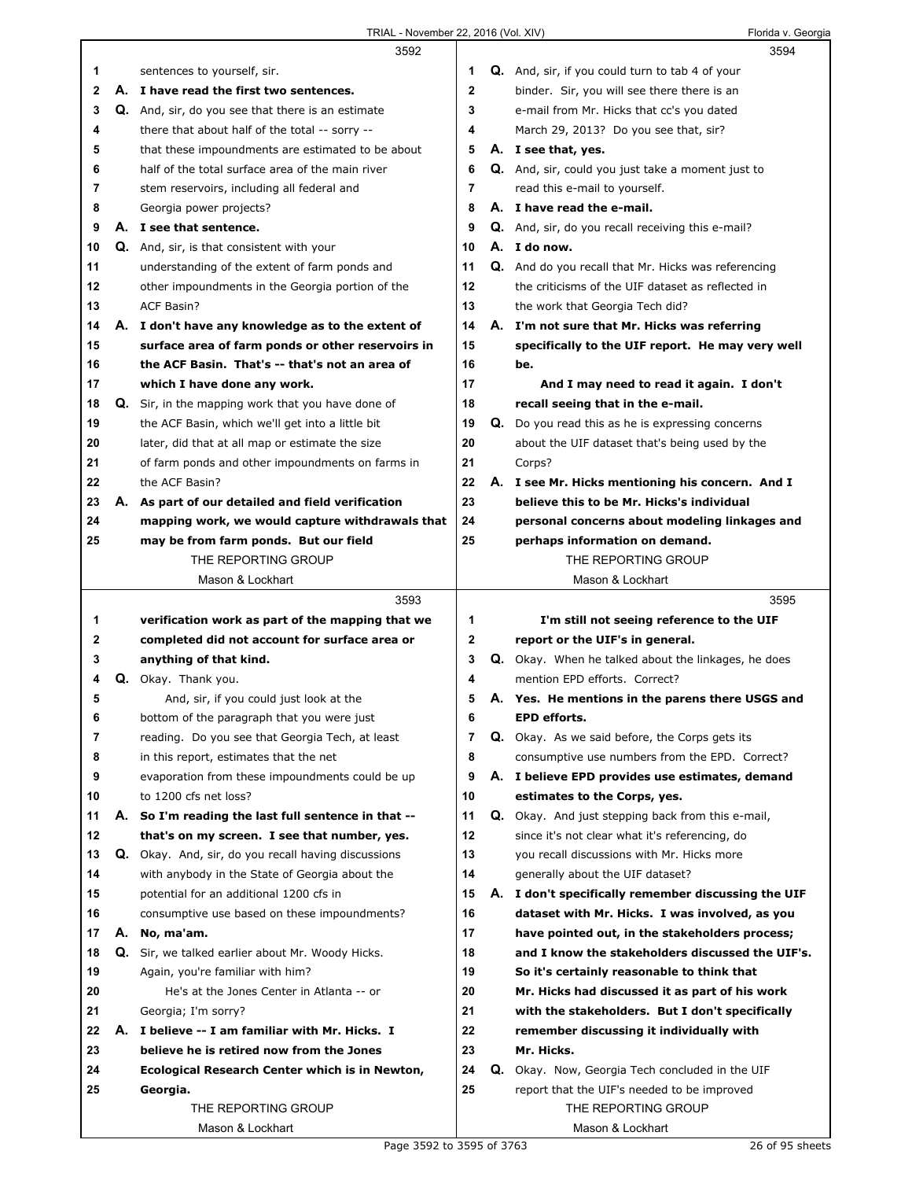|              |    | 3592                                                |                |    | 3594                                                     |
|--------------|----|-----------------------------------------------------|----------------|----|----------------------------------------------------------|
| 1            |    | sentences to yourself, sir.                         | 1              |    | <b>Q.</b> And, sir, if you could turn to tab 4 of your   |
| 2            | А. | I have read the first two sentences.                | $\mathbf{2}$   |    | binder. Sir, you will see there there is an              |
| 3            |    | Q. And, sir, do you see that there is an estimate   | 3              |    | e-mail from Mr. Hicks that cc's you dated                |
| 4            |    | there that about half of the total -- sorry --      | 4              |    | March 29, 2013? Do you see that, sir?                    |
| 5            |    | that these impoundments are estimated to be about   | 5              |    | A. I see that, yes.                                      |
| 6            |    | half of the total surface area of the main river    | 6              |    | <b>Q.</b> And, sir, could you just take a moment just to |
| 7            |    | stem reservoirs, including all federal and          | $\overline{7}$ |    | read this e-mail to yourself.                            |
| 8            |    | Georgia power projects?                             | 8              |    | A. I have read the e-mail.                               |
| 9            |    | A. I see that sentence.                             | 9              |    | <b>Q.</b> And, sir, do you recall receiving this e-mail? |
| 10           |    | Q. And, sir, is that consistent with your           | 10             |    | A. I do now.                                             |
| 11           |    | understanding of the extent of farm ponds and       | 11             |    | Q. And do you recall that Mr. Hicks was referencing      |
| 12           |    | other impoundments in the Georgia portion of the    | 12             |    | the criticisms of the UIF dataset as reflected in        |
| 13           |    | <b>ACF Basin?</b>                                   | 13             |    | the work that Georgia Tech did?                          |
| 14           |    | A. I don't have any knowledge as to the extent of   | 14             |    | A. I'm not sure that Mr. Hicks was referring             |
| 15           |    | surface area of farm ponds or other reservoirs in   | 15             |    | specifically to the UIF report. He may very well         |
| 16           |    | the ACF Basin. That's -- that's not an area of      | 16             |    | be.                                                      |
| 17           |    | which I have done any work.                         | 17             |    | And I may need to read it again. I don't                 |
| 18           |    | Q. Sir, in the mapping work that you have done of   | 18             |    | recall seeing that in the e-mail.                        |
| 19           |    | the ACF Basin, which we'll get into a little bit    | 19             |    | <b>Q.</b> Do you read this as he is expressing concerns  |
| 20           |    | later, did that at all map or estimate the size     | 20             |    | about the UIF dataset that's being used by the           |
| 21           |    | of farm ponds and other impoundments on farms in    | 21             |    | Corps?                                                   |
| 22           |    | the ACF Basin?                                      | 22             |    | A. I see Mr. Hicks mentioning his concern. And I         |
| 23           |    | A. As part of our detailed and field verification   | 23             |    | believe this to be Mr. Hicks's individual                |
| 24           |    | mapping work, we would capture withdrawals that     | 24             |    | personal concerns about modeling linkages and            |
| 25           |    | may be from farm ponds. But our field               | 25             |    | perhaps information on demand.                           |
|              |    | THE REPORTING GROUP                                 |                |    | THE REPORTING GROUP                                      |
|              |    | Mason & Lockhart                                    |                |    | Mason & Lockhart                                         |
|              |    |                                                     |                |    |                                                          |
|              |    |                                                     |                |    |                                                          |
|              |    | 3593                                                |                |    | 3595                                                     |
| 1            |    | verification work as part of the mapping that we    | 1              |    | I'm still not seeing reference to the UIF                |
| $\mathbf{2}$ |    | completed did not account for surface area or       | $\mathbf{2}$   |    | report or the UIF's in general.                          |
| 3            |    | anything of that kind.                              | 3              |    | Q. Okay. When he talked about the linkages, he does      |
| 4            |    | Q. Okay. Thank you.                                 | 4              |    | mention EPD efforts. Correct?                            |
| 5            |    | And, sir, if you could just look at the             | 5              |    | A. Yes. He mentions in the parens there USGS and         |
| 6            |    | bottom of the paragraph that you were just          | 6              |    | EPD efforts.                                             |
| 7            |    | reading. Do you see that Georgia Tech, at least     | $\overline{7}$ |    | Q. Okay. As we said before, the Corps gets its           |
| 8            |    | in this report, estimates that the net              | 8              |    | consumptive use numbers from the EPD. Correct?           |
| 9            |    | evaporation from these impoundments could be up     | 9              |    | A. I believe EPD provides use estimates, demand          |
| 10           |    | to 1200 cfs net loss?                               | 10             |    | estimates to the Corps, yes.                             |
| 11           | А. | So I'm reading the last full sentence in that --    | 11             | Q. | Okay. And just stepping back from this e-mail,           |
| 12           |    | that's on my screen. I see that number, yes.        | 12             |    | since it's not clear what it's referencing, do           |
| 13           |    | Q. Okay. And, sir, do you recall having discussions | 13             |    | you recall discussions with Mr. Hicks more               |
| 14           |    | with anybody in the State of Georgia about the      | 14             |    | generally about the UIF dataset?                         |
| 15           |    | potential for an additional 1200 cfs in             | 15             |    | A. I don't specifically remember discussing the UIF      |
| 16           |    | consumptive use based on these impoundments?        | 16             |    | dataset with Mr. Hicks. I was involved, as you           |
| 17           |    | A. No, ma'am.                                       | 17             |    | have pointed out, in the stakeholders process;           |
| 18           |    | Q. Sir, we talked earlier about Mr. Woody Hicks.    | 18             |    | and I know the stakeholders discussed the UIF's.         |
| 19           |    | Again, you're familiar with him?                    | 19             |    | So it's certainly reasonable to think that               |
| 20           |    | He's at the Jones Center in Atlanta -- or           | 20             |    | Mr. Hicks had discussed it as part of his work           |
| 21           |    | Georgia; I'm sorry?                                 | 21             |    | with the stakeholders. But I don't specifically          |
| 22           | А. | I believe -- I am familiar with Mr. Hicks. I        | 22             |    | remember discussing it individually with                 |
| 23           |    | believe he is retired now from the Jones            | 23             |    | Mr. Hicks.                                               |
| 24           |    | Ecological Research Center which is in Newton,      | 24             | Q. | Okay. Now, Georgia Tech concluded in the UIF             |
| 25           |    | Georgia.                                            | 25             |    | report that the UIF's needed to be improved              |
|              |    | THE REPORTING GROUP<br>Mason & Lockhart             |                |    | THE REPORTING GROUP<br>Mason & Lockhart                  |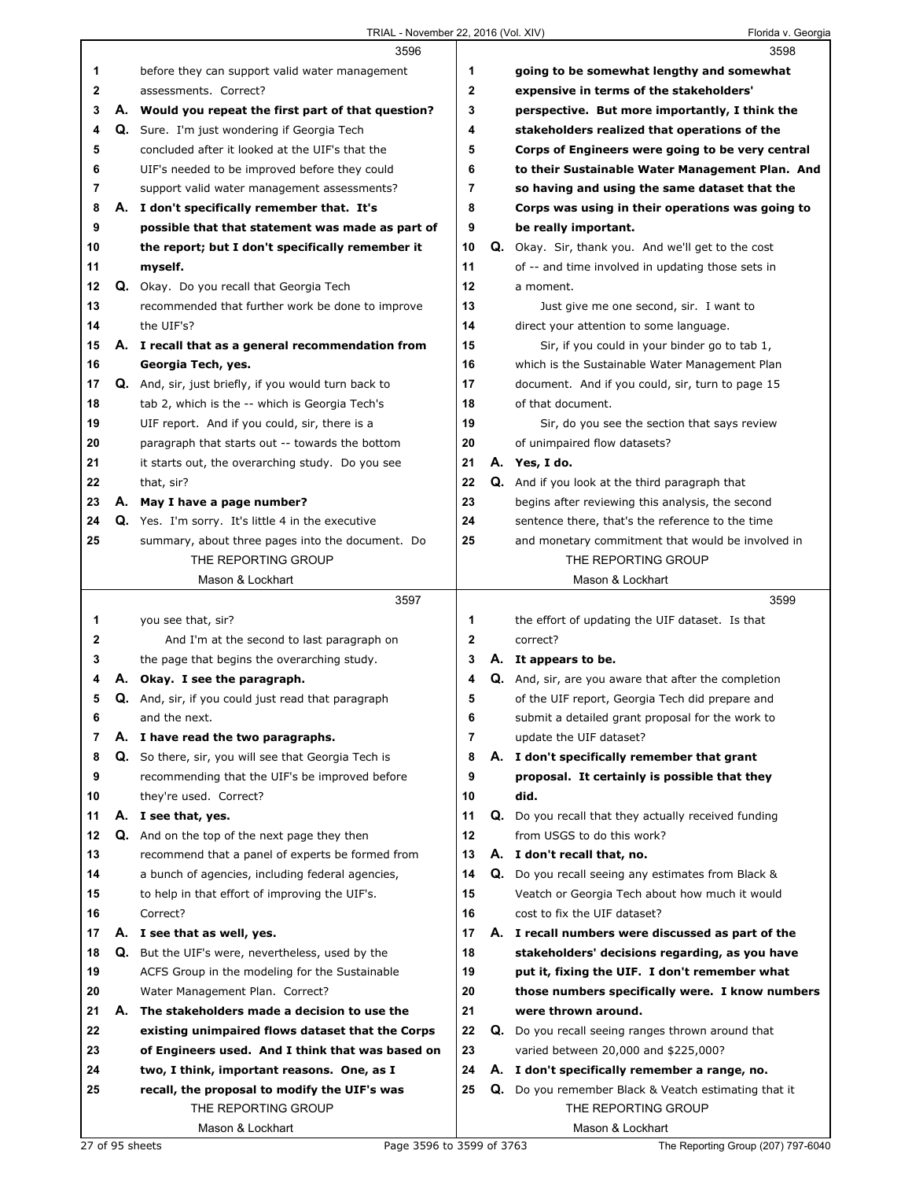|    |    | 3596                                                      |                | 3598                                                        |
|----|----|-----------------------------------------------------------|----------------|-------------------------------------------------------------|
| 1  |    | before they can support valid water management            | 1              | going to be somewhat lengthy and somewhat                   |
| 2  |    | assessments. Correct?                                     | $\overline{2}$ | expensive in terms of the stakeholders'                     |
| 3  |    | A. Would you repeat the first part of that question?      | 3              | perspective. But more importantly, I think the              |
| 4  |    | Q. Sure. I'm just wondering if Georgia Tech               | 4              | stakeholders realized that operations of the                |
| 5  |    | concluded after it looked at the UIF's that the           | 5              | Corps of Engineers were going to be very central            |
| 6  |    | UIF's needed to be improved before they could             | 6              | to their Sustainable Water Management Plan. And             |
| 7  |    | support valid water management assessments?               | 7              | so having and using the same dataset that the               |
| 8  |    | A. I don't specifically remember that. It's               | 8              | Corps was using in their operations was going to            |
| 9  |    | possible that that statement was made as part of          | 9              | be really important.                                        |
| 10 |    | the report; but I don't specifically remember it          | 10             | <b>Q.</b> Okay. Sir, thank you. And we'll get to the cost   |
| 11 |    | myself.                                                   | 11             | of -- and time involved in updating those sets in           |
| 12 |    | <b>Q.</b> Okay. Do you recall that Georgia Tech           | 12             | a moment.                                                   |
| 13 |    | recommended that further work be done to improve          | 13             | Just give me one second, sir. I want to                     |
| 14 |    | the UIF's?                                                | 14             | direct your attention to some language.                     |
| 15 |    | A. I recall that as a general recommendation from         | 15             | Sir, if you could in your binder go to tab 1,               |
| 16 |    | Georgia Tech, yes.                                        | 16             | which is the Sustainable Water Management Plan              |
| 17 |    | Q. And, sir, just briefly, if you would turn back to      | 17             | document. And if you could, sir, turn to page 15            |
| 18 |    | tab 2, which is the -- which is Georgia Tech's            | 18             | of that document.                                           |
| 19 |    | UIF report. And if you could, sir, there is a             | 19             | Sir, do you see the section that says review                |
| 20 |    | paragraph that starts out -- towards the bottom           | 20             | of unimpaired flow datasets?                                |
| 21 |    | it starts out, the overarching study. Do you see          | 21             | A. Yes, I do.                                               |
| 22 |    | that, sir?                                                | 22             | Q. And if you look at the third paragraph that              |
| 23 |    | A. May I have a page number?                              | 23             | begins after reviewing this analysis, the second            |
| 24 |    | <b>Q.</b> Yes. I'm sorry. It's little 4 in the executive  | 24             | sentence there, that's the reference to the time            |
| 25 |    | summary, about three pages into the document. Do          | 25             | and monetary commitment that would be involved in           |
|    |    | THE REPORTING GROUP                                       |                | THE REPORTING GROUP                                         |
|    |    | Mason & Lockhart                                          |                | Mason & Lockhart                                            |
|    |    |                                                           |                |                                                             |
|    |    | 3597                                                      |                | 3599                                                        |
| 1  |    | you see that, sir?                                        | 1              | the effort of updating the UIF dataset. Is that             |
| 2  |    | And I'm at the second to last paragraph on                | $\mathbf{2}$   | correct?                                                    |
| 3  |    | the page that begins the overarching study.               | 3              | A. It appears to be.                                        |
| 4  | А. | Okay. I see the paragraph.                                | 4              | <b>Q.</b> And, sir, are you aware that after the completion |
| 5  |    | <b>Q.</b> And, sir, if you could just read that paragraph | 5              | of the UIF report, Georgia Tech did prepare and             |
| 6  |    | and the next.                                             | 6              | submit a detailed grant proposal for the work to            |
| 7  |    | A. I have read the two paragraphs.                        | 7              | update the UIF dataset?                                     |
| 8  |    | Q. So there, sir, you will see that Georgia Tech is       | 8              | A. I don't specifically remember that grant                 |
| 9  |    | recommending that the UIF's be improved before            | 9              | proposal. It certainly is possible that they                |
| 10 |    | they're used. Correct?                                    | 10             | did.                                                        |
| 11 |    | A. I see that, yes.                                       | 11             | Q. Do you recall that they actually received funding        |
| 12 |    | Q. And on the top of the next page they then              | 12             | from USGS to do this work?                                  |
| 13 |    | recommend that a panel of experts be formed from          | 13             | A. I don't recall that, no.                                 |
| 14 |    | a bunch of agencies, including federal agencies,          | 14             | <b>Q.</b> Do you recall seeing any estimates from Black &   |
| 15 |    | to help in that effort of improving the UIF's.            | 15             | Veatch or Georgia Tech about how much it would              |
| 16 |    | Correct?                                                  | 16             | cost to fix the UIF dataset?                                |
| 17 |    | A. I see that as well, yes.                               | 17             | A. I recall numbers were discussed as part of the           |
| 18 |    | Q. But the UIF's were, nevertheless, used by the          | 18             | stakeholders' decisions regarding, as you have              |
| 19 |    | ACFS Group in the modeling for the Sustainable            | 19             | put it, fixing the UIF. I don't remember what               |
| 20 |    | Water Management Plan. Correct?                           | 20             | those numbers specifically were. I know numbers             |
| 21 | А. | The stakeholders made a decision to use the               | 21             | were thrown around.                                         |
| 22 |    | existing unimpaired flows dataset that the Corps          | 22             | Q. Do you recall seeing ranges thrown around that           |
| 23 |    | of Engineers used. And I think that was based on          | 23             | varied between 20,000 and \$225,000?                        |
| 24 |    | two, I think, important reasons. One, as I                | 24             | A. I don't specifically remember a range, no.               |
| 25 |    | recall, the proposal to modify the UIF's was              | 25             | Q. Do you remember Black & Veatch estimating that it        |
|    |    | THE REPORTING GROUP<br>Mason & Lockhart                   |                | THE REPORTING GROUP<br>Mason & Lockhart                     |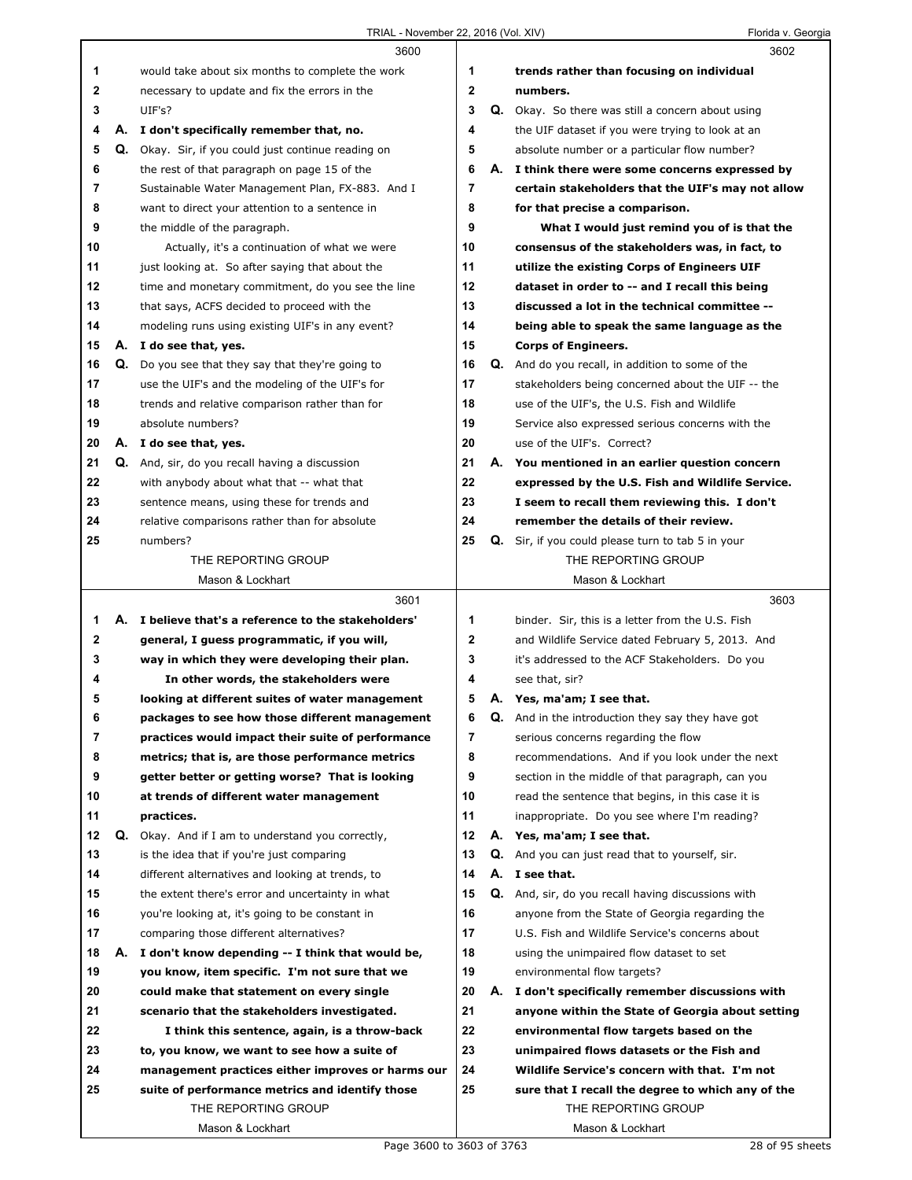|    |    | 3600                                                 |                         |    | 3602                                                      |  |
|----|----|------------------------------------------------------|-------------------------|----|-----------------------------------------------------------|--|
| 1  |    | would take about six months to complete the work     | 1                       |    | trends rather than focusing on individual                 |  |
| 2  |    | necessary to update and fix the errors in the        | $\mathbf 2$             |    | numbers.                                                  |  |
| 3  |    | UIF's?                                               | 3                       |    | Q. Okay. So there was still a concern about using         |  |
| 4  |    | A. I don't specifically remember that, no.           | 4                       |    | the UIF dataset if you were trying to look at an          |  |
| 5  | Q. | Okay. Sir, if you could just continue reading on     | 5                       |    | absolute number or a particular flow number?              |  |
| 6  |    | the rest of that paragraph on page 15 of the         | 6                       |    | A. I think there were some concerns expressed by          |  |
| 7  |    | Sustainable Water Management Plan, FX-883. And I     | $\overline{\mathbf{r}}$ |    | certain stakeholders that the UIF's may not allow         |  |
| 8  |    | want to direct your attention to a sentence in       | 8                       |    | for that precise a comparison.                            |  |
| 9  |    | the middle of the paragraph.                         | 9                       |    | What I would just remind you of is that the               |  |
| 10 |    | Actually, it's a continuation of what we were        | 10                      |    | consensus of the stakeholders was, in fact, to            |  |
| 11 |    | just looking at. So after saying that about the      | 11                      |    | utilize the existing Corps of Engineers UIF               |  |
| 12 |    | time and monetary commitment, do you see the line    | 12                      |    | dataset in order to -- and I recall this being            |  |
| 13 |    | that says, ACFS decided to proceed with the          | 13                      |    | discussed a lot in the technical committee --             |  |
| 14 |    |                                                      | 14                      |    |                                                           |  |
|    |    | modeling runs using existing UIF's in any event?     | 15                      |    | being able to speak the same language as the              |  |
| 15 |    | A. I do see that, yes.                               |                         |    | <b>Corps of Engineers.</b>                                |  |
| 16 | Q. | Do you see that they say that they're going to       | 16                      |    | Q. And do you recall, in addition to some of the          |  |
| 17 |    | use the UIF's and the modeling of the UIF's for      | 17                      |    | stakeholders being concerned about the UIF -- the         |  |
| 18 |    | trends and relative comparison rather than for       | 18                      |    | use of the UIF's, the U.S. Fish and Wildlife              |  |
| 19 |    | absolute numbers?                                    | 19                      |    | Service also expressed serious concerns with the          |  |
| 20 |    | A. I do see that, yes.                               | 20                      |    | use of the UIF's. Correct?                                |  |
| 21 | Q. | And, sir, do you recall having a discussion          | 21                      |    | A. You mentioned in an earlier question concern           |  |
| 22 |    | with anybody about what that -- what that            | 22                      |    | expressed by the U.S. Fish and Wildlife Service.          |  |
| 23 |    | sentence means, using these for trends and           | 23                      |    | I seem to recall them reviewing this. I don't             |  |
| 24 |    | relative comparisons rather than for absolute        | 24                      |    | remember the details of their review.                     |  |
| 25 |    | numbers?                                             | 25                      |    | Q. Sir, if you could please turn to tab 5 in your         |  |
|    |    | THE REPORTING GROUP                                  |                         |    | THE REPORTING GROUP                                       |  |
|    |    | Mason & Lockhart                                     |                         |    | Mason & Lockhart                                          |  |
|    |    |                                                      |                         |    |                                                           |  |
|    |    | 3601                                                 |                         |    | 3603                                                      |  |
| 1  |    | A. I believe that's a reference to the stakeholders' | 1                       |    | binder. Sir, this is a letter from the U.S. Fish          |  |
| 2  |    | general, I guess programmatic, if you will,          | $\mathbf 2$             |    | and Wildlife Service dated February 5, 2013. And          |  |
| 3  |    | way in which they were developing their plan.        | 3                       |    | it's addressed to the ACF Stakeholders. Do you            |  |
| 4  |    | In other words, the stakeholders were                | 4                       |    | see that, sir?                                            |  |
| 5  |    | looking at different suites of water management      | 5                       |    | A. Yes, ma'am; I see that.                                |  |
| 6  |    | packages to see how those different management       | 6                       | Q. | And in the introduction they say they have got            |  |
| 7  |    | practices would impact their suite of performance    | 7                       |    | serious concerns regarding the flow                       |  |
| 8  |    | metrics; that is, are those performance metrics      | 8                       |    | recommendations. And if you look under the next           |  |
| 9  |    | getter better or getting worse? That is looking      | 9                       |    | section in the middle of that paragraph, can you          |  |
| 10 |    | at trends of different water management              | 10                      |    | read the sentence that begins, in this case it is         |  |
| 11 |    | practices.                                           | 11                      |    | inappropriate. Do you see where I'm reading?              |  |
| 12 | Q. | Okay. And if I am to understand you correctly,       | 12                      |    | A. Yes, ma'am; I see that.                                |  |
| 13 |    | is the idea that if you're just comparing            | 13                      |    | <b>Q.</b> And you can just read that to yourself, sir.    |  |
| 14 |    | different alternatives and looking at trends, to     | 14                      |    | A. I see that.                                            |  |
| 15 |    | the extent there's error and uncertainty in what     | 15                      |    | <b>Q.</b> And, sir, do you recall having discussions with |  |
| 16 |    | you're looking at, it's going to be constant in      | 16                      |    | anyone from the State of Georgia regarding the            |  |
| 17 |    | comparing those different alternatives?              | 17                      |    | U.S. Fish and Wildlife Service's concerns about           |  |
| 18 | А. | I don't know depending -- I think that would be,     | 18                      |    | using the unimpaired flow dataset to set                  |  |
| 19 |    | you know, item specific. I'm not sure that we        | 19                      |    | environmental flow targets?                               |  |
| 20 |    | could make that statement on every single            | 20                      |    | A. I don't specifically remember discussions with         |  |
| 21 |    | scenario that the stakeholders investigated.         | 21                      |    | anyone within the State of Georgia about setting          |  |
| 22 |    | I think this sentence, again, is a throw-back        | 22                      |    | environmental flow targets based on the                   |  |
| 23 |    | to, you know, we want to see how a suite of          | 23                      |    | unimpaired flows datasets or the Fish and                 |  |
| 24 |    | management practices either improves or harms our    | 24                      |    | Wildlife Service's concern with that. I'm not             |  |
| 25 |    | suite of performance metrics and identify those      | 25                      |    | sure that I recall the degree to which any of the         |  |
|    |    | THE REPORTING GROUP                                  |                         |    | THE REPORTING GROUP                                       |  |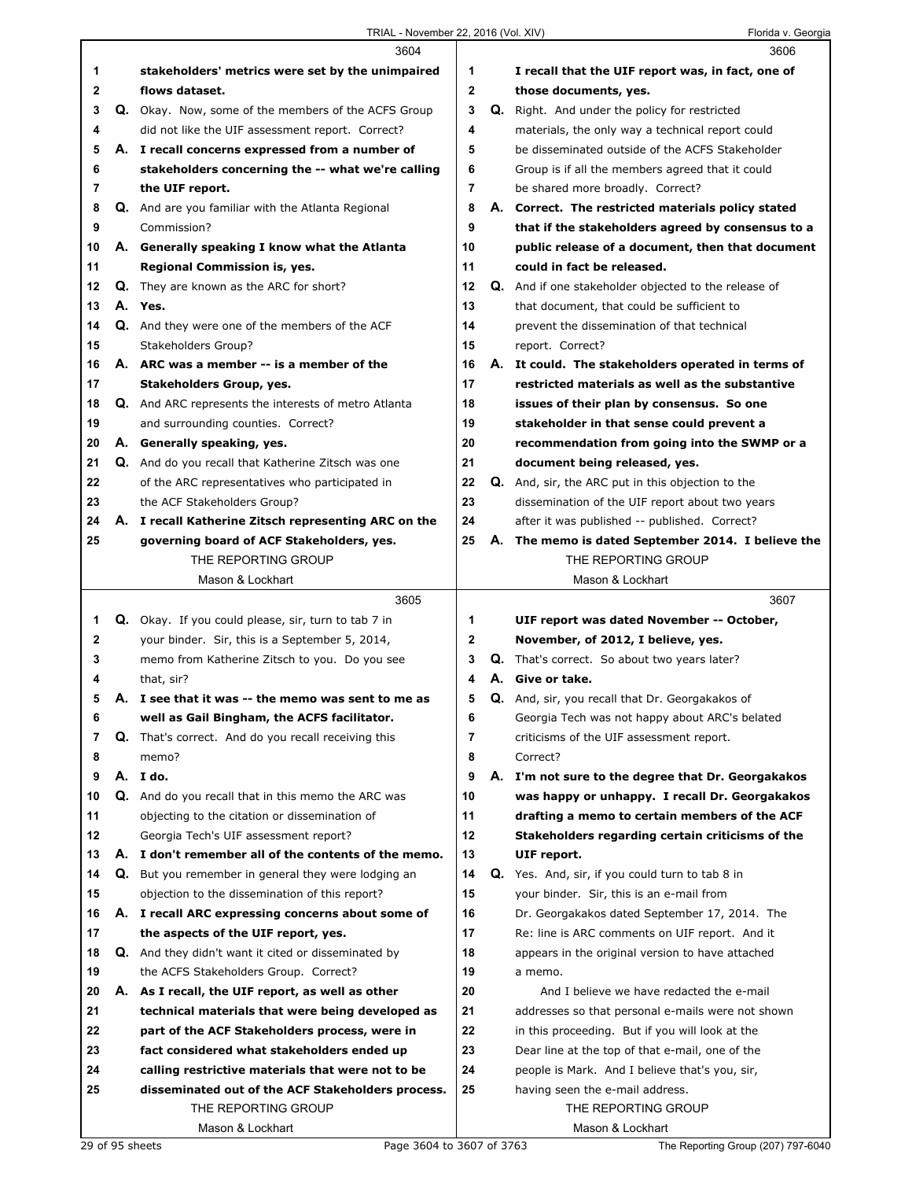|    |    | 3604                                                        |              |    | 3606                                                   |
|----|----|-------------------------------------------------------------|--------------|----|--------------------------------------------------------|
| 1  |    | stakeholders' metrics were set by the unimpaired            | 1            |    | I recall that the UIF report was, in fact, one of      |
| 2  |    | flows dataset.                                              | 2            |    | those documents, yes.                                  |
| 3  |    | Q. Okay. Now, some of the members of the ACFS Group         | 3            |    | Q. Right. And under the policy for restricted          |
| 4  |    | did not like the UIF assessment report. Correct?            | 4            |    | materials, the only way a technical report could       |
| 5  |    | A. I recall concerns expressed from a number of             | 5            |    | be disseminated outside of the ACFS Stakeholder        |
| 6  |    | stakeholders concerning the -- what we're calling           | 6            |    | Group is if all the members agreed that it could       |
| 7  |    | the UIF report.                                             | 7            |    | be shared more broadly. Correct?                       |
| 8  |    | <b>Q.</b> And are you familiar with the Atlanta Regional    | 8            |    | A. Correct. The restricted materials policy stated     |
| 9  |    | Commission?                                                 | 9            |    | that if the stakeholders agreed by consensus to a      |
| 10 |    | A. Generally speaking I know what the Atlanta               | 10           |    | public release of a document, then that document       |
| 11 |    | Regional Commission is, yes.                                | 11           |    | could in fact be released.                             |
| 12 |    | <b>Q.</b> They are known as the ARC for short?              | 12           |    | Q. And if one stakeholder objected to the release of   |
| 13 |    | A. Yes.                                                     | 13           |    | that document, that could be sufficient to             |
| 14 |    | Q. And they were one of the members of the ACF              | 14           |    | prevent the dissemination of that technical            |
| 15 |    | Stakeholders Group?                                         | 15           |    | report. Correct?                                       |
| 16 |    | A. ARC was a member -- is a member of the                   | 16           |    | A. It could. The stakeholders operated in terms of     |
| 17 |    | Stakeholders Group, yes.                                    | 17           |    | restricted materials as well as the substantive        |
| 18 |    | <b>Q.</b> And ARC represents the interests of metro Atlanta | 18           |    | issues of their plan by consensus. So one              |
| 19 |    | and surrounding counties. Correct?                          | 19           |    | stakeholder in that sense could prevent a              |
| 20 |    | A. Generally speaking, yes.                                 | 20           |    | recommendation from going into the SWMP or a           |
| 21 |    | Q. And do you recall that Katherine Zitsch was one          | 21           |    | document being released, yes.                          |
| 22 |    | of the ARC representatives who participated in              | 22           |    | Q. And, sir, the ARC put in this objection to the      |
| 23 |    | the ACF Stakeholders Group?                                 | 23           |    | dissemination of the UIF report about two years        |
| 24 |    | A. I recall Katherine Zitsch representing ARC on the        | 24           |    | after it was published -- published. Correct?          |
| 25 |    | governing board of ACF Stakeholders, yes.                   | 25           | А. | The memo is dated September 2014. I believe the        |
|    |    | THE REPORTING GROUP                                         |              |    | THE REPORTING GROUP                                    |
|    |    | Mason & Lockhart                                            |              |    | Mason & Lockhart                                       |
|    |    | 3605                                                        |              |    | 3607                                                   |
|    |    |                                                             |              |    |                                                        |
|    |    |                                                             |              |    |                                                        |
| 1  |    | Q. Okay. If you could please, sir, turn to tab 7 in         | 1            |    | UIF report was dated November -- October,              |
| 2  |    | your binder. Sir, this is a September 5, 2014,              | $\mathbf{2}$ |    | November, of 2012, I believe, yes.                     |
| 3  |    | memo from Katherine Zitsch to you. Do you see               | 3            |    | Q. That's correct. So about two years later?           |
| 4  |    | that, sir?                                                  | 4            |    | A. Give or take.                                       |
| 5  |    | A. I see that it was -- the memo was sent to me as          | 5            |    | <b>Q.</b> And, sir, you recall that Dr. Georgakakos of |
| 6  |    | well as Gail Bingham, the ACFS facilitator.                 | 6            |    | Georgia Tech was not happy about ARC's belated         |
| 7  |    | <b>Q.</b> That's correct. And do you recall receiving this  | 7            |    | criticisms of the UIF assessment report.               |
| 8  |    | memo?                                                       | 8            |    | Correct?                                               |
| 9  |    | A. I do.                                                    | 9            |    | A. I'm not sure to the degree that Dr. Georgakakos     |
| 10 | Q. | And do you recall that in this memo the ARC was             | 10           |    | was happy or unhappy. I recall Dr. Georgakakos         |
| 11 |    | objecting to the citation or dissemination of               | 11           |    | drafting a memo to certain members of the ACF          |
| 12 |    | Georgia Tech's UIF assessment report?                       | 12           |    | Stakeholders regarding certain criticisms of the       |
| 13 |    | A. I don't remember all of the contents of the memo.        | 13           |    | UIF report.                                            |
| 14 | Q. | But you remember in general they were lodging an            | 14           |    | Q. Yes. And, sir, if you could turn to tab 8 in        |
| 15 |    | objection to the dissemination of this report?              | 15           |    | your binder. Sir, this is an e-mail from               |
| 16 |    | A. I recall ARC expressing concerns about some of           | 16           |    | Dr. Georgakakos dated September 17, 2014. The          |
| 17 |    | the aspects of the UIF report, yes.                         | 17           |    | Re: line is ARC comments on UIF report. And it         |
| 18 |    | <b>Q.</b> And they didn't want it cited or disseminated by  | 18           |    | appears in the original version to have attached       |
| 19 |    | the ACFS Stakeholders Group. Correct?                       | 19           |    | a memo.                                                |
| 20 |    | A. As I recall, the UIF report, as well as other            | 20           |    | And I believe we have redacted the e-mail              |
| 21 |    | technical materials that were being developed as            | 21           |    | addresses so that personal e-mails were not shown      |
| 22 |    | part of the ACF Stakeholders process, were in               | 22           |    | in this proceeding. But if you will look at the        |
| 23 |    | fact considered what stakeholders ended up                  | 23           |    | Dear line at the top of that e-mail, one of the        |
| 24 |    | calling restrictive materials that were not to be           | 24           |    | people is Mark. And I believe that's you, sir,         |
| 25 |    | disseminated out of the ACF Stakeholders process.           | 25           |    | having seen the e-mail address.                        |
|    |    | THE REPORTING GROUP<br>Mason & Lockhart                     |              |    | THE REPORTING GROUP<br>Mason & Lockhart                |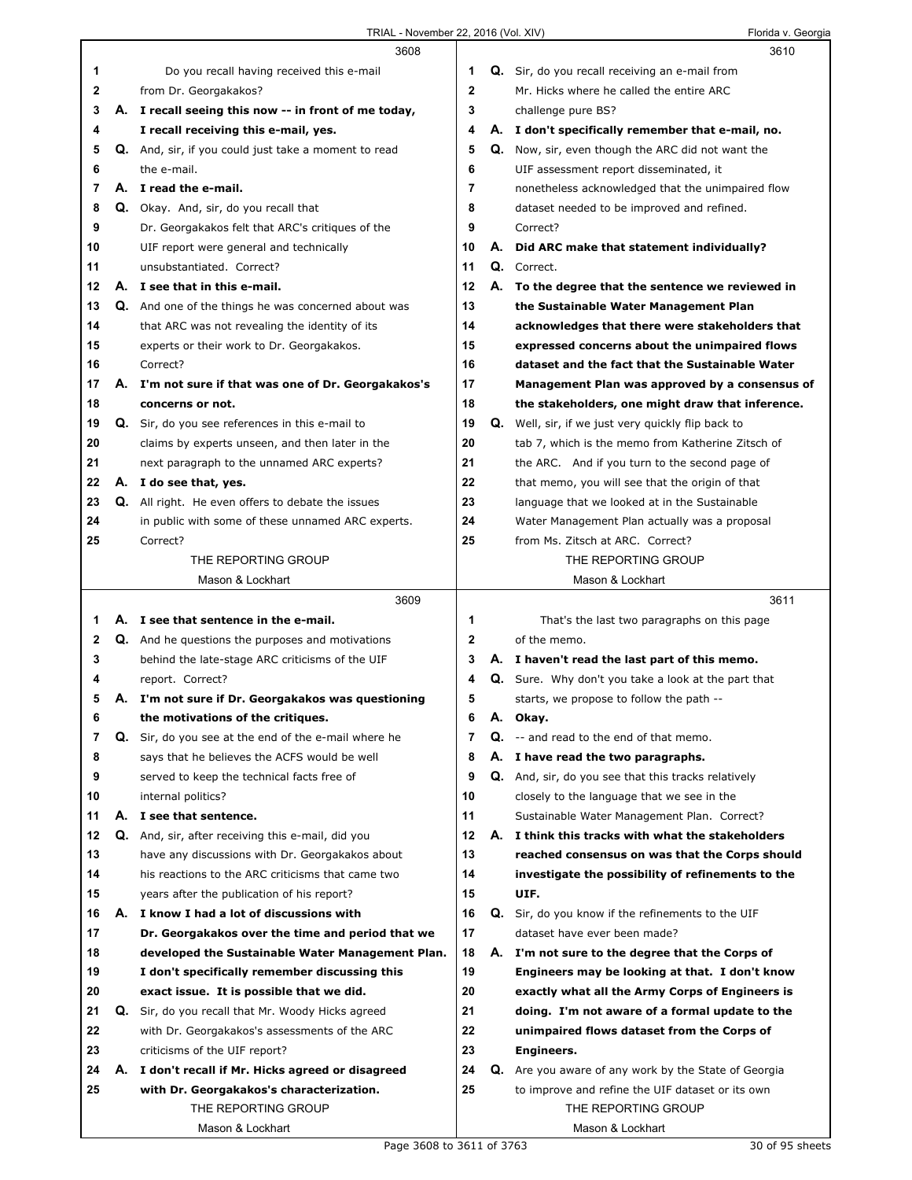|    |    | 3608                                                    |              |    | 3610                                                |
|----|----|---------------------------------------------------------|--------------|----|-----------------------------------------------------|
| 1  |    | Do you recall having received this e-mail               | 1            |    | Q. Sir, do you recall receiving an e-mail from      |
| 2  |    | from Dr. Georgakakos?                                   | $\mathbf{2}$ |    | Mr. Hicks where he called the entire ARC            |
| 3  |    | A. I recall seeing this now -- in front of me today,    | 3            |    | challenge pure BS?                                  |
| 4  |    | I recall receiving this e-mail, yes.                    | 4            |    | A. I don't specifically remember that e-mail, no.   |
| 5  |    | Q. And, sir, if you could just take a moment to read    | 5            |    | Q. Now, sir, even though the ARC did not want the   |
| 6  |    | the e-mail.                                             | 6            |    | UIF assessment report disseminated, it              |
| 7  |    | A. I read the e-mail.                                   | 7            |    | nonetheless acknowledged that the unimpaired flow   |
| 8  |    | Q. Okay. And, sir, do you recall that                   | 8            |    | dataset needed to be improved and refined.          |
| 9  |    | Dr. Georgakakos felt that ARC's critiques of the        | 9            |    | Correct?                                            |
| 10 |    | UIF report were general and technically                 | 10           | А. | Did ARC make that statement individually?           |
| 11 |    | unsubstantiated. Correct?                               | 11           |    | Q. Correct.                                         |
| 12 |    | A. I see that in this e-mail.                           | 12           |    | A. To the degree that the sentence we reviewed in   |
| 13 |    | Q. And one of the things he was concerned about was     | 13           |    | the Sustainable Water Management Plan               |
| 14 |    | that ARC was not revealing the identity of its          | 14           |    | acknowledges that there were stakeholders that      |
| 15 |    | experts or their work to Dr. Georgakakos.               | 15           |    | expressed concerns about the unimpaired flows       |
| 16 |    | Correct?                                                | 16           |    | dataset and the fact that the Sustainable Water     |
| 17 |    | A. I'm not sure if that was one of Dr. Georgakakos's    | 17           |    | Management Plan was approved by a consensus of      |
| 18 |    | concerns or not.                                        | 18           |    | the stakeholders, one might draw that inference.    |
| 19 |    | Q. Sir, do you see references in this e-mail to         | 19           | Q. | Well, sir, if we just very quickly flip back to     |
| 20 |    | claims by experts unseen, and then later in the         | 20           |    | tab 7, which is the memo from Katherine Zitsch of   |
| 21 |    | next paragraph to the unnamed ARC experts?              | 21           |    | the ARC. And if you turn to the second page of      |
| 22 |    | A. I do see that, yes.                                  | 22           |    | that memo, you will see that the origin of that     |
| 23 |    | Q. All right. He even offers to debate the issues       | 23           |    | language that we looked at in the Sustainable       |
| 24 |    | in public with some of these unnamed ARC experts.       | 24           |    | Water Management Plan actually was a proposal       |
| 25 |    | Correct?                                                | 25           |    | from Ms. Zitsch at ARC. Correct?                    |
|    |    | THE REPORTING GROUP                                     |              |    | THE REPORTING GROUP                                 |
|    |    | Mason & Lockhart                                        |              |    | Mason & Lockhart                                    |
|    |    |                                                         |              |    |                                                     |
|    |    | 3609                                                    |              |    | 3611                                                |
| 1  |    | A. I see that sentence in the e-mail.                   | 1            |    | That's the last two paragraphs on this page         |
| 2  |    | <b>Q.</b> And he questions the purposes and motivations | 2            |    | of the memo.                                        |
| 3  |    | behind the late-stage ARC criticisms of the UIF         | 3            |    | A. I haven't read the last part of this memo.       |
| 4  |    | report. Correct?                                        | 4            |    | Q. Sure. Why don't you take a look at the part that |
| 5  |    | A. I'm not sure if Dr. Georgakakos was questioning      | 5            |    | starts, we propose to follow the path --            |
| 6  |    | the motivations of the critiques.                       | 6            | Α. | Okay.                                               |
| 7  | Q. | Sir, do you see at the end of the e-mail where he       | 7            |    | Q. -- and read to the end of that memo.             |
| 8  |    | says that he believes the ACFS would be well            | 8            | А. | I have read the two paragraphs.                     |
| 9  |    | served to keep the technical facts free of              | 9            |    | Q. And, sir, do you see that this tracks relatively |
| 10 |    | internal politics?                                      | 10           |    | closely to the language that we see in the          |
| 11 | А. | I see that sentence.                                    | 11           |    | Sustainable Water Management Plan. Correct?         |
| 12 | Q. | And, sir, after receiving this e-mail, did you          | 12           | А. | I think this tracks with what the stakeholders      |
| 13 |    | have any discussions with Dr. Georgakakos about         | 13           |    | reached consensus on was that the Corps should      |
| 14 |    | his reactions to the ARC criticisms that came two       | 14           |    | investigate the possibility of refinements to the   |
| 15 |    | years after the publication of his report?              | 15           |    | UIF.                                                |
| 16 |    | A. I know I had a lot of discussions with               | 16           | Q. | Sir, do you know if the refinements to the UIF      |
| 17 |    | Dr. Georgakakos over the time and period that we        | 17           |    | dataset have ever been made?                        |
| 18 |    | developed the Sustainable Water Management Plan.        | 18           | А. | I'm not sure to the degree that the Corps of        |
| 19 |    | I don't specifically remember discussing this           | 19           |    | Engineers may be looking at that. I don't know      |
| 20 |    | exact issue. It is possible that we did.                | 20           |    | exactly what all the Army Corps of Engineers is     |
| 21 |    | Q. Sir, do you recall that Mr. Woody Hicks agreed       | 21           |    | doing. I'm not aware of a formal update to the      |
| 22 |    | with Dr. Georgakakos's assessments of the ARC           | 22           |    | unimpaired flows dataset from the Corps of          |
| 23 |    | criticisms of the UIF report?                           | 23           |    | Engineers.                                          |
| 24 | А. | I don't recall if Mr. Hicks agreed or disagreed         | 24           | Q. | Are you aware of any work by the State of Georgia   |
| 25 |    | with Dr. Georgakakos's characterization.                | 25           |    | to improve and refine the UIF dataset or its own    |
|    |    | THE REPORTING GROUP<br>Mason & Lockhart                 |              |    | THE REPORTING GROUP<br>Mason & Lockhart             |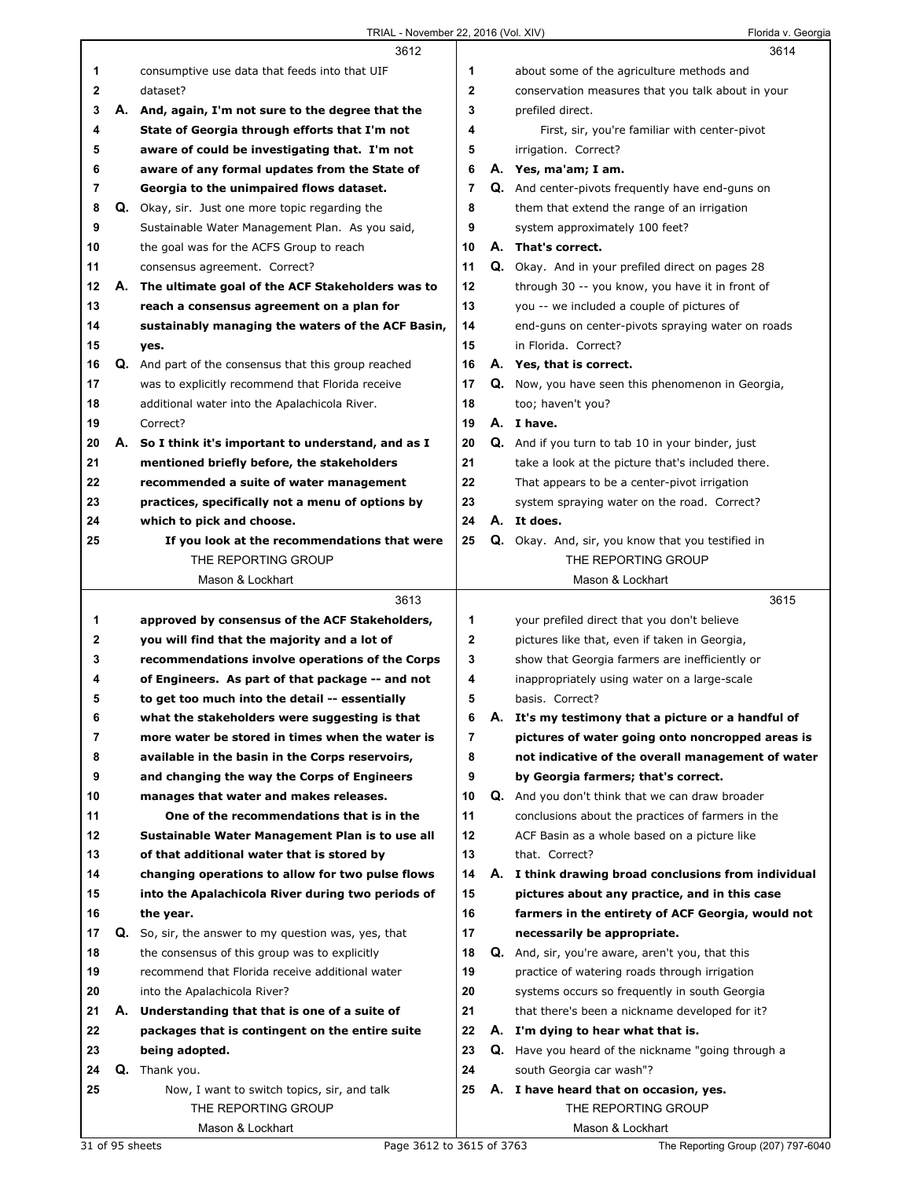|    |    | 3612                                                                                            |             | 3614                                                     |
|----|----|-------------------------------------------------------------------------------------------------|-------------|----------------------------------------------------------|
| 1  |    | consumptive use data that feeds into that UIF                                                   | 1           | about some of the agriculture methods and                |
| 2  |    | dataset?                                                                                        | $\mathbf 2$ | conservation measures that you talk about in your        |
| 3  | А. | And, again, I'm not sure to the degree that the                                                 | 3           | prefiled direct.                                         |
| 4  |    | State of Georgia through efforts that I'm not                                                   | 4           | First, sir, you're familiar with center-pivot            |
| 5  |    | aware of could be investigating that. I'm not                                                   | 5           | irrigation. Correct?                                     |
| 6  |    | aware of any formal updates from the State of                                                   | 6           | A. Yes, ma'am; I am.                                     |
| 7  |    | Georgia to the unimpaired flows dataset.                                                        | 7           | <b>Q.</b> And center-pivots frequently have end-guns on  |
| 8  |    | Q. Okay, sir. Just one more topic regarding the                                                 | 8           | them that extend the range of an irrigation              |
| 9  |    | Sustainable Water Management Plan. As you said,                                                 | 9           | system approximately 100 feet?                           |
| 10 |    | the goal was for the ACFS Group to reach                                                        | 10          | A. That's correct.                                       |
| 11 |    | consensus agreement. Correct?                                                                   | 11          | Q. Okay. And in your prefiled direct on pages 28         |
| 12 |    | A. The ultimate goal of the ACF Stakeholders was to                                             | 12          | through 30 -- you know, you have it in front of          |
| 13 |    | reach a consensus agreement on a plan for                                                       | 13          | you -- we included a couple of pictures of               |
| 14 |    | sustainably managing the waters of the ACF Basin,                                               | 14          | end-guns on center-pivots spraying water on roads        |
| 15 |    | yes.                                                                                            | 15          | in Florida. Correct?                                     |
| 16 |    | <b>Q.</b> And part of the consensus that this group reached                                     | 16          | A. Yes, that is correct.                                 |
| 17 |    | was to explicitly recommend that Florida receive                                                | 17          | Q. Now, you have seen this phenomenon in Georgia,        |
| 18 |    | additional water into the Apalachicola River.                                                   | 18          | too; haven't you?                                        |
| 19 |    | Correct?                                                                                        | 19          | A. I have.                                               |
| 20 | А. | So I think it's important to understand, and as I                                               | 20          | <b>Q.</b> And if you turn to tab 10 in your binder, just |
| 21 |    | mentioned briefly before, the stakeholders                                                      | 21          | take a look at the picture that's included there.        |
| 22 |    | recommended a suite of water management                                                         | 22          | That appears to be a center-pivot irrigation             |
| 23 |    | practices, specifically not a menu of options by                                                | 23          | system spraying water on the road. Correct?              |
| 24 |    | which to pick and choose.                                                                       | 24          | A. It does.                                              |
| 25 |    | If you look at the recommendations that were                                                    | 25          | Q. Okay. And, sir, you know that you testified in        |
|    |    | THE REPORTING GROUP                                                                             |             | THE REPORTING GROUP                                      |
|    |    | Mason & Lockhart                                                                                |             | Mason & Lockhart                                         |
|    |    |                                                                                                 |             |                                                          |
|    |    | 3613                                                                                            |             | 3615                                                     |
| 1  |    | approved by consensus of the ACF Stakeholders,                                                  | 1           | your prefiled direct that you don't believe              |
| 2  |    |                                                                                                 | 2           | pictures like that, even if taken in Georgia,            |
| 3  |    | you will find that the majority and a lot of<br>recommendations involve operations of the Corps | 3           | show that Georgia farmers are inefficiently or           |
| 4  |    | of Engineers. As part of that package -- and not                                                | 4           | inappropriately using water on a large-scale             |
| 5  |    | to get too much into the detail -- essentially                                                  | 5           | basis. Correct?                                          |
| 6  |    | what the stakeholders were suggesting is that                                                   | 6           | A. It's my testimony that a picture or a handful of      |
| 7  |    | more water be stored in times when the water is                                                 | 7           | pictures of water going onto noncropped areas is         |
| 8  |    | available in the basin in the Corps reservoirs,                                                 | 8           | not indicative of the overall management of water        |
| 9  |    | and changing the way the Corps of Engineers                                                     | 9           | by Georgia farmers; that's correct.                      |
| 10 |    | manages that water and makes releases.                                                          | 10          | Q. And you don't think that we can draw broader          |
| 11 |    | One of the recommendations that is in the                                                       | 11          | conclusions about the practices of farmers in the        |
| 12 |    | Sustainable Water Management Plan is to use all                                                 | 12          | ACF Basin as a whole based on a picture like             |
| 13 |    | of that additional water that is stored by                                                      | 13          | that. Correct?                                           |
| 14 |    | changing operations to allow for two pulse flows                                                | 14          | A. I think drawing broad conclusions from individual     |
| 15 |    | into the Apalachicola River during two periods of                                               | 15          | pictures about any practice, and in this case            |
| 16 |    | the year.                                                                                       | 16          | farmers in the entirety of ACF Georgia, would not        |
| 17 | Q. | So, sir, the answer to my question was, yes, that                                               | 17          | necessarily be appropriate.                              |
| 18 |    | the consensus of this group was to explicitly                                                   | 18          | Q. And, sir, you're aware, aren't you, that this         |
| 19 |    | recommend that Florida receive additional water                                                 | 19          | practice of watering roads through irrigation            |
| 20 |    | into the Apalachicola River?                                                                    | 20          | systems occurs so frequently in south Georgia            |
| 21 | А. | Understanding that that is one of a suite of                                                    | 21          | that there's been a nickname developed for it?           |
| 22 |    | packages that is contingent on the entire suite                                                 | 22          | A. I'm dying to hear what that is.                       |
| 23 |    | being adopted.                                                                                  | 23          | Q. Have you heard of the nickname "going through a       |
| 24 | Q. | Thank you.                                                                                      | 24          | south Georgia car wash"?                                 |
| 25 |    | Now, I want to switch topics, sir, and talk                                                     | 25          | A. I have heard that on occasion, yes.                   |
|    |    | THE REPORTING GROUP                                                                             |             | THE REPORTING GROUP                                      |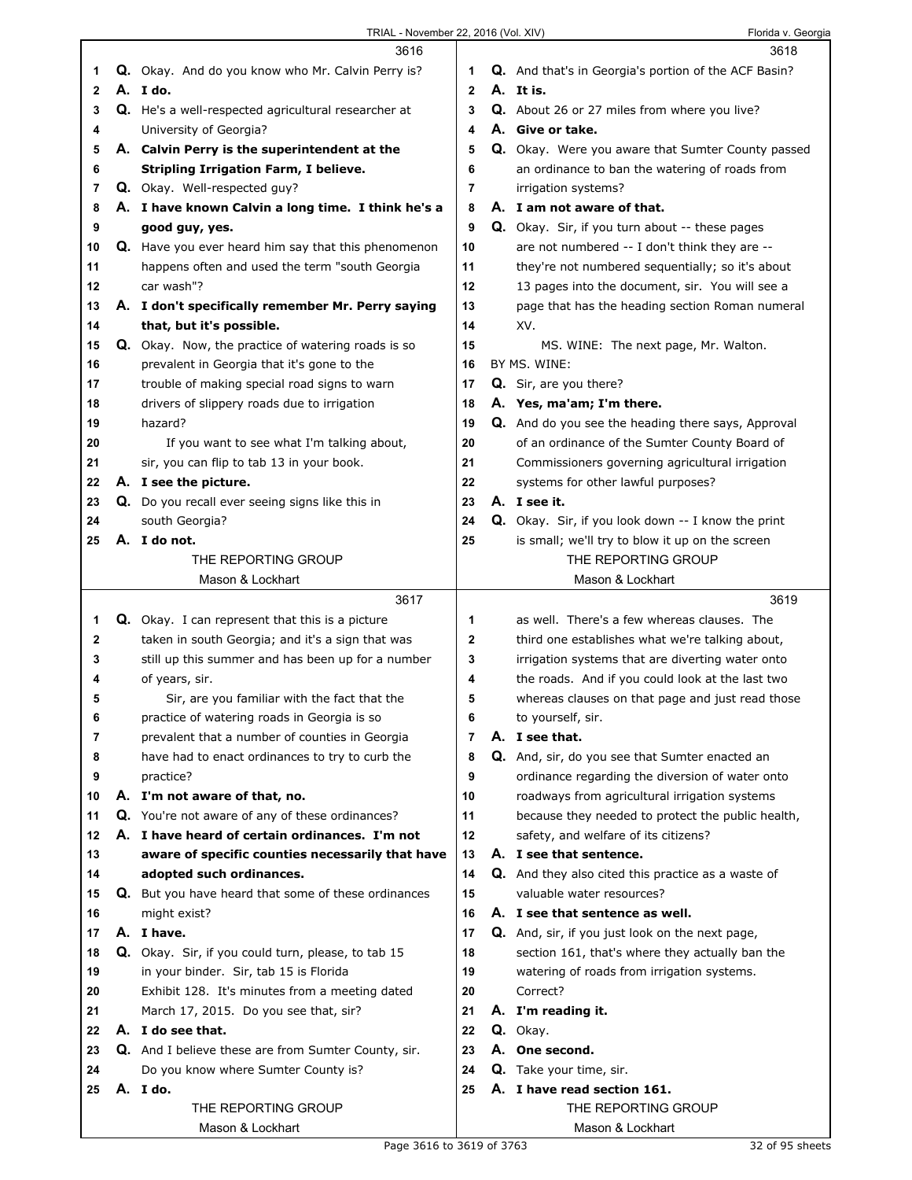|              | 3616                                                       |                | 3618                                                                            |
|--------------|------------------------------------------------------------|----------------|---------------------------------------------------------------------------------|
| 1            | Q. Okay. And do you know who Mr. Calvin Perry is?          | 1              | Q. And that's in Georgia's portion of the ACF Basin?                            |
| $\mathbf{2}$ | A. I do.                                                   | $\mathbf{2}$   | A. It is.                                                                       |
| 3            | <b>Q.</b> He's a well-respected agricultural researcher at | 3              | <b>Q.</b> About 26 or 27 miles from where you live?                             |
| 4            | University of Georgia?                                     | 4              | A. Give or take.                                                                |
| 5            | A. Calvin Perry is the superintendent at the               | 5              | Q. Okay. Were you aware that Sumter County passed                               |
| 6            | <b>Stripling Irrigation Farm, I believe.</b>               | 6              | an ordinance to ban the watering of roads from                                  |
| 7            | <b>Q.</b> Okay. Well-respected guy?                        | 7              | irrigation systems?                                                             |
| 8            | A. I have known Calvin a long time. I think he's a         | 8              | A. I am not aware of that.                                                      |
| 9            | good guy, yes.                                             | 9              | Q. Okay. Sir, if you turn about -- these pages                                  |
| 10           | Q. Have you ever heard him say that this phenomenon        | 10             | are not numbered -- I don't think they are --                                   |
| 11           | happens often and used the term "south Georgia             | 11             | they're not numbered sequentially; so it's about                                |
| 12           | car wash"?                                                 | 12             | 13 pages into the document, sir. You will see a                                 |
| 13           | A. I don't specifically remember Mr. Perry saying          | 13             | page that has the heading section Roman numeral                                 |
| 14           | that, but it's possible.                                   | 14             | XV.                                                                             |
| 15           | Q. Okay. Now, the practice of watering roads is so         | 15             | MS. WINE: The next page, Mr. Walton.                                            |
| 16           | prevalent in Georgia that it's gone to the                 | 16             | BY MS. WINE:                                                                    |
| 17           | trouble of making special road signs to warn               | 17             | Q. Sir, are you there?                                                          |
| 18           | drivers of slippery roads due to irrigation                | 18             | A. Yes, ma'am; I'm there.                                                       |
| 19           | hazard?                                                    | 19             | Q. And do you see the heading there says, Approval                              |
| 20           | If you want to see what I'm talking about,                 | 20             | of an ordinance of the Sumter County Board of                                   |
| 21           | sir, you can flip to tab 13 in your book.                  | 21             | Commissioners governing agricultural irrigation                                 |
| 22           | A. I see the picture.                                      | 22             | systems for other lawful purposes?                                              |
| 23           | Q. Do you recall ever seeing signs like this in            | 23             | A. I see it.                                                                    |
| 24           | south Georgia?                                             | 24             | <b>Q.</b> Okay. Sir, if you look down -- I know the print                       |
| 25           | A. I do not.                                               | 25             | is small; we'll try to blow it up on the screen                                 |
|              | THE REPORTING GROUP                                        |                | THE REPORTING GROUP                                                             |
|              | Mason & Lockhart                                           |                | Mason & Lockhart                                                                |
|              |                                                            |                |                                                                                 |
|              |                                                            |                |                                                                                 |
|              | 3617                                                       |                | 3619                                                                            |
| 1            | <b>Q.</b> Okay. I can represent that this is a picture     | 1              | as well. There's a few whereas clauses. The                                     |
| 2            | taken in south Georgia; and it's a sign that was           | 2              | third one establishes what we're talking about,                                 |
| 3            | still up this summer and has been up for a number          | 3              | irrigation systems that are diverting water onto                                |
| 4            | of years, sir.                                             | 4              | the roads. And if you could look at the last two                                |
| 5            | Sir, are you familiar with the fact that the               | 5              | whereas clauses on that page and just read those                                |
| 6            | practice of watering roads in Georgia is so                | 6              | to yourself, sir.                                                               |
| 7            | prevalent that a number of counties in Georgia             | $\overline{7}$ | A. I see that.                                                                  |
| 8            | have had to enact ordinances to try to curb the            | 8              | Q. And, sir, do you see that Sumter enacted an                                  |
| 9            | practice?                                                  | 9              | ordinance regarding the diversion of water onto                                 |
| 10           | A. I'm not aware of that, no.                              | 10             | roadways from agricultural irrigation systems                                   |
| 11           | Q. You're not aware of any of these ordinances?            | 11             | because they needed to protect the public health,                               |
| 12           | A. I have heard of certain ordinances. I'm not             | $12 \,$<br>13  | safety, and welfare of its citizens?                                            |
| 13           | aware of specific counties necessarily that have           |                | A. I see that sentence.                                                         |
| 14<br>15     | adopted such ordinances.                                   | 14<br>15       | Q. And they also cited this practice as a waste of<br>valuable water resources? |
|              | Q. But you have heard that some of these ordinances        | 16             |                                                                                 |
| 16           | might exist?<br>A. I have.                                 |                | A. I see that sentence as well.                                                 |
| 17<br>18     |                                                            | 17<br>18       | Q. And, sir, if you just look on the next page,                                 |
| 19           | Q. Okay. Sir, if you could turn, please, to tab 15         | 19             | section 161, that's where they actually ban the                                 |
|              | in your binder. Sir, tab 15 is Florida                     | 20             | watering of roads from irrigation systems.<br>Correct?                          |
| 20           | Exhibit 128. It's minutes from a meeting dated             |                |                                                                                 |
| 21<br>22     | March 17, 2015. Do you see that, sir?<br>A. I do see that. | 21<br>22       | A. I'm reading it.                                                              |
|              |                                                            | 23             | Q. Okay.                                                                        |
| 23           | <b>Q.</b> And I believe these are from Sumter County, sir. |                | A. One second.                                                                  |
| 24<br>25     | Do you know where Sumter County is?<br>A. Ido.             | 24<br>25       | Q. Take your time, sir.<br>A. I have read section 161.                          |
|              | THE REPORTING GROUP                                        |                | THE REPORTING GROUP                                                             |
|              | Mason & Lockhart                                           |                | Mason & Lockhart                                                                |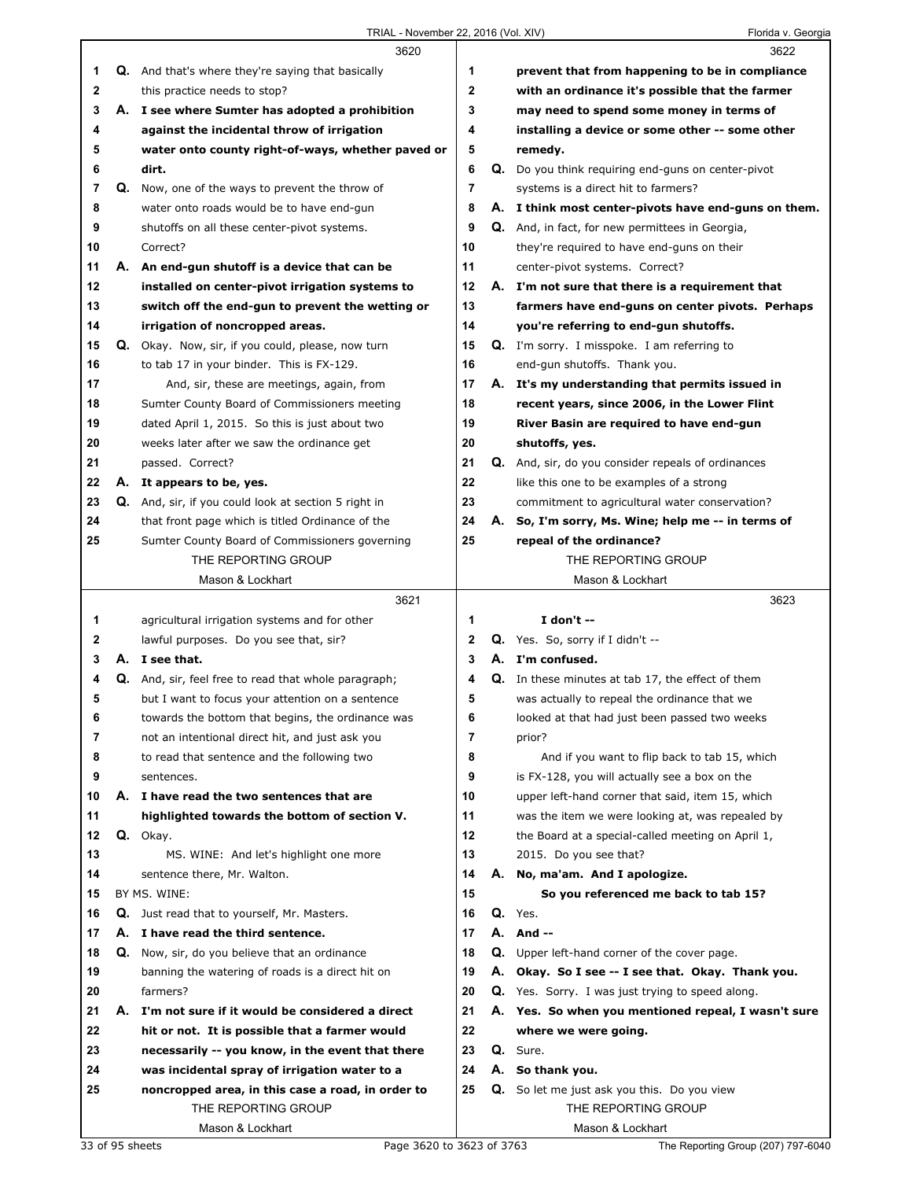|              |    | 3620                                                        |                | 3622                                                     |
|--------------|----|-------------------------------------------------------------|----------------|----------------------------------------------------------|
| 1            |    | Q. And that's where they're saying that basically           | 1              | prevent that from happening to be in compliance          |
| $\mathbf{2}$ |    | this practice needs to stop?                                | $\mathbf{2}$   | with an ordinance it's possible that the farmer          |
| 3            |    | A. I see where Sumter has adopted a prohibition             | 3              | may need to spend some money in terms of                 |
| 4            |    | against the incidental throw of irrigation                  | 4              | installing a device or some other -- some other          |
| 5            |    | water onto county right-of-ways, whether paved or           | 5              | remedy.                                                  |
| 6            |    | dirt.                                                       | 6              | Q. Do you think requiring end-guns on center-pivot       |
| 7            |    | <b>Q.</b> Now, one of the ways to prevent the throw of      | 7              | systems is a direct hit to farmers?                      |
| 8            |    | water onto roads would be to have end-gun                   | 8              | A. I think most center-pivots have end-guns on them.     |
| 9            |    | shutoffs on all these center-pivot systems.                 | 9              | Q. And, in fact, for new permittees in Georgia,          |
| 10           |    | Correct?                                                    | 10             | they're required to have end-guns on their               |
| 11           |    | A. An end-gun shutoff is a device that can be               | 11             | center-pivot systems. Correct?                           |
| 12           |    | installed on center-pivot irrigation systems to             | 12             | A. I'm not sure that there is a requirement that         |
| 13           |    | switch off the end-gun to prevent the wetting or            | 13             | farmers have end-guns on center pivots. Perhaps          |
| 14           |    | irrigation of noncropped areas.                             | 14             | you're referring to end-gun shutoffs.                    |
| 15           |    | Q. Okay. Now, sir, if you could, please, now turn           | 15             | Q. I'm sorry. I misspoke. I am referring to              |
| 16           |    | to tab 17 in your binder. This is FX-129.                   | 16             | end-gun shutoffs. Thank you.                             |
| 17           |    | And, sir, these are meetings, again, from                   | 17             | A. It's my understanding that permits issued in          |
| 18           |    | Sumter County Board of Commissioners meeting                | 18             | recent years, since 2006, in the Lower Flint             |
| 19           |    | dated April 1, 2015. So this is just about two              | 19             | River Basin are required to have end-gun                 |
| 20           |    | weeks later after we saw the ordinance get                  | 20             | shutoffs, yes.                                           |
| 21           |    | passed. Correct?                                            | 21             | Q. And, sir, do you consider repeals of ordinances       |
| 22           |    | A. It appears to be, yes.                                   | 22             | like this one to be examples of a strong                 |
| 23           |    | <b>Q.</b> And, sir, if you could look at section 5 right in | 23             | commitment to agricultural water conservation?           |
| 24           |    | that front page which is titled Ordinance of the            | 24             | A. So, I'm sorry, Ms. Wine; help me -- in terms of       |
| 25           |    | Sumter County Board of Commissioners governing              | 25             | repeal of the ordinance?                                 |
|              |    | THE REPORTING GROUP                                         |                | THE REPORTING GROUP                                      |
|              |    | Mason & Lockhart                                            |                | Mason & Lockhart                                         |
|              |    |                                                             |                |                                                          |
|              |    | 3621                                                        |                | 3623                                                     |
| 1            |    | agricultural irrigation systems and for other               | 1              | I don't $-$                                              |
| 2            |    | lawful purposes. Do you see that, sir?                      | $\mathbf{2}$   | Q. Yes. So, sorry if I didn't --                         |
| 3            |    | A. I see that.                                              | 3              | A. I'm confused.                                         |
| 4            |    | <b>Q.</b> And, sir, feel free to read that whole paragraph; | 4              | <b>Q.</b> In these minutes at tab 17, the effect of them |
| 5            |    | but I want to focus your attention on a sentence            | 5              | was actually to repeal the ordinance that we             |
| 6            |    | towards the bottom that begins, the ordinance was           | 6              | looked at that had just been passed two weeks            |
| 7            |    | not an intentional direct hit, and just ask you             | $\overline{7}$ | prior?                                                   |
| 8            |    | to read that sentence and the following two                 | 8              | And if you want to flip back to tab 15, which            |
| 9            |    | sentences.                                                  | 9              | is FX-128, you will actually see a box on the            |
| 10           |    | A. I have read the two sentences that are                   | 10             | upper left-hand corner that said, item 15, which         |
| 11           |    | highlighted towards the bottom of section V.                | 11             | was the item we were looking at, was repealed by         |
| 12           |    | Q. Okay.                                                    | 12             | the Board at a special-called meeting on April 1,        |
| 13           |    | MS. WINE: And let's highlight one more                      | 13             | 2015. Do you see that?                                   |
| 14           |    | sentence there, Mr. Walton.                                 | 14             | A. No, ma'am. And I apologize.                           |
| 15           |    | BY MS. WINE:                                                | 15             | So you referenced me back to tab 15?                     |
| 16           |    | Q. Just read that to yourself, Mr. Masters.                 | 16             | Q. Yes.                                                  |
| 17           |    | A. I have read the third sentence.                          | 17             | A. And --                                                |
| 18           |    | Q. Now, sir, do you believe that an ordinance               | 18             | <b>Q.</b> Upper left-hand corner of the cover page.      |
| 19           |    | banning the watering of roads is a direct hit on            | 19             | A. Okay. So I see -- I see that. Okay. Thank you.        |
| 20           |    | farmers?                                                    | 20             | Q. Yes. Sorry. I was just trying to speed along.         |
| 21           | А. | I'm not sure if it would be considered a direct             | 21             | A. Yes. So when you mentioned repeal, I wasn't sure      |
| 22           |    | hit or not. It is possible that a farmer would              | 22             | where we were going.                                     |
| 23           |    | necessarily -- you know, in the event that there            | 23             | Q. Sure.                                                 |
| 24           |    | was incidental spray of irrigation water to a               | 24             | A. So thank you.                                         |
| 25           |    | noncropped area, in this case a road, in order to           | 25             | Q. So let me just ask you this. Do you view              |
|              |    | THE REPORTING GROUP<br>Mason & Lockhart                     |                | THE REPORTING GROUP<br>Mason & Lockhart                  |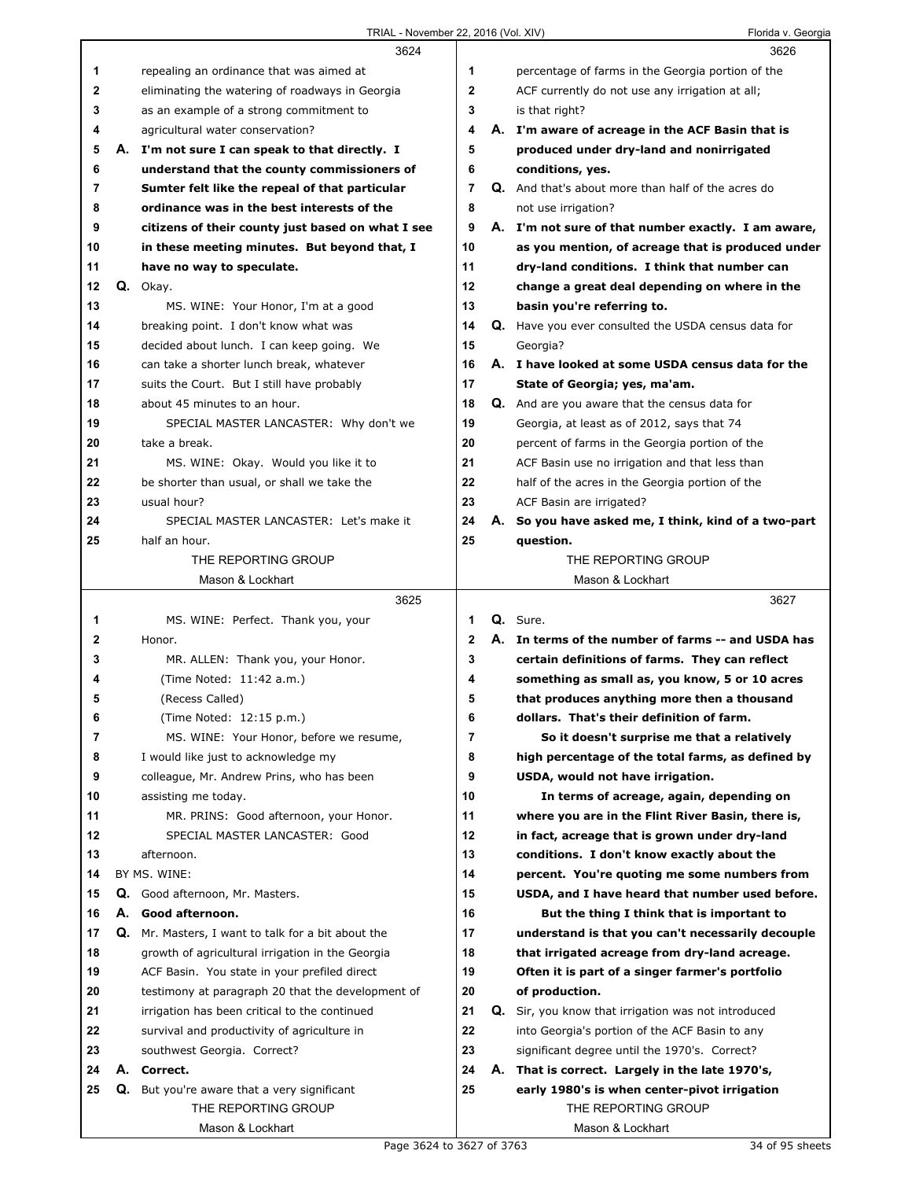|              |    | 3624                                              |                | 3626                                                       |
|--------------|----|---------------------------------------------------|----------------|------------------------------------------------------------|
| 1            |    | repealing an ordinance that was aimed at          | 1              | percentage of farms in the Georgia portion of the          |
| $\mathbf{2}$ |    | eliminating the watering of roadways in Georgia   | $\mathbf{2}$   | ACF currently do not use any irrigation at all;            |
| 3            |    | as an example of a strong commitment to           | 3              | is that right?                                             |
| 4            |    | agricultural water conservation?                  | 4              | A. I'm aware of acreage in the ACF Basin that is           |
| 5            |    | A. I'm not sure I can speak to that directly. I   | 5              | produced under dry-land and nonirrigated                   |
| 6            |    | understand that the county commissioners of       | 6              | conditions, yes.                                           |
| 7            |    | Sumter felt like the repeal of that particular    | $\overline{7}$ | Q. And that's about more than half of the acres do         |
| 8            |    | ordinance was in the best interests of the        | 8              | not use irrigation?                                        |
| 9            |    | citizens of their county just based on what I see | 9              | A. I'm not sure of that number exactly. I am aware,        |
| 10           |    | in these meeting minutes. But beyond that, I      | 10             | as you mention, of acreage that is produced under          |
| 11           |    | have no way to speculate.                         | 11             | dry-land conditions. I think that number can               |
| 12           |    | Q. Okay.                                          | 12             | change a great deal depending on where in the              |
| 13           |    | MS. WINE: Your Honor, I'm at a good               | 13             | basin you're referring to.                                 |
| 14           |    | breaking point. I don't know what was             | 14             | <b>Q.</b> Have you ever consulted the USDA census data for |
| 15           |    | decided about lunch. I can keep going. We         | 15             | Georgia?                                                   |
| 16           |    | can take a shorter lunch break, whatever          | 16             | A. I have looked at some USDA census data for the          |
| 17           |    | suits the Court. But I still have probably        | 17             | State of Georgia; yes, ma'am.                              |
| 18           |    | about 45 minutes to an hour.                      | 18             | Q. And are you aware that the census data for              |
| 19           |    | SPECIAL MASTER LANCASTER: Why don't we            | 19             | Georgia, at least as of 2012, says that 74                 |
| 20           |    | take a break.                                     | 20             | percent of farms in the Georgia portion of the             |
| 21           |    | MS. WINE: Okay. Would you like it to              | 21             | ACF Basin use no irrigation and that less than             |
| 22           |    | be shorter than usual, or shall we take the       | 22             | half of the acres in the Georgia portion of the            |
| 23           |    | usual hour?                                       | 23             | ACF Basin are irrigated?                                   |
| 24           |    | SPECIAL MASTER LANCASTER: Let's make it           | 24             | A. So you have asked me, I think, kind of a two-part       |
| 25           |    | half an hour.                                     | 25             | question.                                                  |
|              |    | THE REPORTING GROUP                               |                | THE REPORTING GROUP                                        |
|              |    | Mason & Lockhart                                  |                | Mason & Lockhart                                           |
|              |    |                                                   |                |                                                            |
|              |    |                                                   |                |                                                            |
|              |    | 3625                                              |                | 3627                                                       |
| 1            |    | MS. WINE: Perfect. Thank you, your                | 1              | Q. Sure.                                                   |
| 2            |    | Honor.                                            | $\mathbf{2}$   | A. In terms of the number of farms -- and USDA has         |
| 3            |    | MR. ALLEN: Thank you, your Honor.                 | 3              | certain definitions of farms. They can reflect             |
| 4            |    | (Time Noted: 11:42 a.m.)                          | 4              | something as small as, you know, 5 or 10 acres             |
| 5            |    | (Recess Called)                                   | 5              | that produces anything more then a thousand                |
| 6            |    | (Time Noted: 12:15 p.m.)                          | 6              | dollars. That's their definition of farm.                  |
| 7            |    | MS. WINE: Your Honor, before we resume,           | 7              | So it doesn't surprise me that a relatively                |
| 8            |    | I would like just to acknowledge my               | 8              | high percentage of the total farms, as defined by          |
| 9            |    | colleague, Mr. Andrew Prins, who has been         | 9              | USDA, would not have irrigation.                           |
| 10           |    | assisting me today.                               | 10             | In terms of acreage, again, depending on                   |
| 11           |    | MR. PRINS: Good afternoon, your Honor.            | 11             | where you are in the Flint River Basin, there is,          |
| 12           |    | SPECIAL MASTER LANCASTER: Good                    | 12             | in fact, acreage that is grown under dry-land              |
| 13           |    | afternoon.                                        | 13             | conditions. I don't know exactly about the                 |
| 14           |    | BY MS. WINE:                                      | 14             | percent. You're quoting me some numbers from               |
| 15           |    | Q. Good afternoon, Mr. Masters.                   | 15             | USDA, and I have heard that number used before.            |
| 16           |    | A. Good afternoon.                                | 16             | But the thing I think that is important to                 |
| 17           | Q. | Mr. Masters, I want to talk for a bit about the   | 17             | understand is that you can't necessarily decouple          |
| 18           |    | growth of agricultural irrigation in the Georgia  | 18             | that irrigated acreage from dry-land acreage.              |
| 19           |    | ACF Basin. You state in your prefiled direct      | 19             | Often it is part of a singer farmer's portfolio            |
| 20           |    | testimony at paragraph 20 that the development of | 20             | of production.                                             |
| 21           |    | irrigation has been critical to the continued     | 21             | Q. Sir, you know that irrigation was not introduced        |
| 22           |    | survival and productivity of agriculture in       | 22             | into Georgia's portion of the ACF Basin to any             |
| 23           |    | southwest Georgia. Correct?                       | 23             | significant degree until the 1970's. Correct?              |
| 24           |    | A. Correct.                                       | 24             | A. That is correct. Largely in the late 1970's,            |
| 25           |    | Q. But you're aware that a very significant       | 25             | early 1980's is when center-pivot irrigation               |
|              |    | THE REPORTING GROUP<br>Mason & Lockhart           |                | THE REPORTING GROUP<br>Mason & Lockhart                    |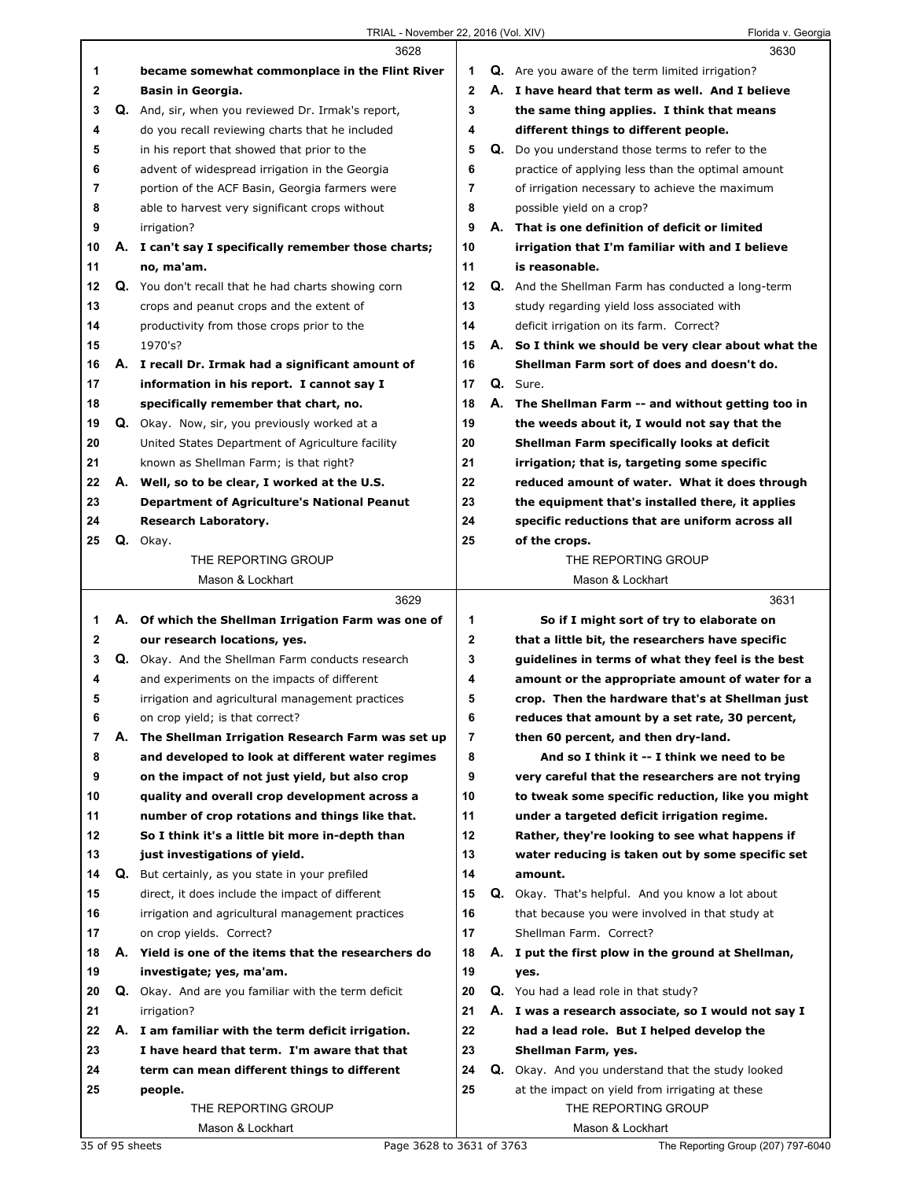|    |    | 3628                                                 |             |    | 3630                                                      |
|----|----|------------------------------------------------------|-------------|----|-----------------------------------------------------------|
| 1  |    | became somewhat commonplace in the Flint River       | 1           |    | <b>Q.</b> Are you aware of the term limited irrigation?   |
| 2  |    | Basin in Georgia.                                    | $\mathbf 2$ |    | A. I have heard that term as well. And I believe          |
| 3  |    | Q. And, sir, when you reviewed Dr. Irmak's report,   | 3           |    | the same thing applies. I think that means                |
| 4  |    | do you recall reviewing charts that he included      | 4           |    | different things to different people.                     |
| 5  |    | in his report that showed that prior to the          | 5           |    | Q. Do you understand those terms to refer to the          |
| 6  |    | advent of widespread irrigation in the Georgia       | 6           |    | practice of applying less than the optimal amount         |
| 7  |    | portion of the ACF Basin, Georgia farmers were       | 7           |    | of irrigation necessary to achieve the maximum            |
| 8  |    | able to harvest very significant crops without       | 8           |    | possible yield on a crop?                                 |
| 9  |    | irrigation?                                          | 9           |    | A. That is one definition of deficit or limited           |
| 10 |    | A. I can't say I specifically remember those charts; | 10          |    | irrigation that I'm familiar with and I believe           |
| 11 |    | no, ma'am.                                           | 11          |    | is reasonable.                                            |
| 12 |    | Q. You don't recall that he had charts showing corn  | 12          |    | <b>Q.</b> And the Shellman Farm has conducted a long-term |
| 13 |    | crops and peanut crops and the extent of             | 13          |    | study regarding yield loss associated with                |
| 14 |    | productivity from those crops prior to the           | 14          |    | deficit irrigation on its farm. Correct?                  |
| 15 |    | 1970's?                                              | 15          | А. | So I think we should be very clear about what the         |
| 16 |    | A. I recall Dr. Irmak had a significant amount of    | 16          |    | Shellman Farm sort of does and doesn't do.                |
| 17 |    | information in his report. I cannot say I            | 17          |    | Q. Sure.                                                  |
| 18 |    | specifically remember that chart, no.                | 18          |    | A. The Shellman Farm -- and without getting too in        |
| 19 |    | Q. Okay. Now, sir, you previously worked at a        | 19          |    | the weeds about it, I would not say that the              |
| 20 |    | United States Department of Agriculture facility     | 20          |    | Shellman Farm specifically looks at deficit               |
| 21 |    | known as Shellman Farm; is that right?               | 21          |    | irrigation; that is, targeting some specific              |
| 22 |    | A. Well, so to be clear, I worked at the U.S.        | 22          |    | reduced amount of water. What it does through             |
| 23 |    | <b>Department of Agriculture's National Peanut</b>   | 23          |    | the equipment that's installed there, it applies          |
| 24 |    | Research Laboratory.                                 | 24          |    | specific reductions that are uniform across all           |
| 25 |    | Q. Okay.                                             | 25          |    | of the crops.                                             |
|    |    | THE REPORTING GROUP                                  |             |    | THE REPORTING GROUP                                       |
|    |    | Mason & Lockhart                                     |             |    | Mason & Lockhart                                          |
|    |    | 3629                                                 |             |    | 3631                                                      |
| 1  |    | A. Of which the Shellman Irrigation Farm was one of  | 1           |    | So if I might sort of try to elaborate on                 |
| 2  |    | our research locations, yes.                         | 2           |    | that a little bit, the researchers have specific          |
| 3  |    | Q. Okay. And the Shellman Farm conducts research     | 3           |    | guidelines in terms of what they feel is the best         |
| 4  |    | and experiments on the impacts of different          | 4           |    | amount or the appropriate amount of water for a           |
| 5  |    | irrigation and agricultural management practices     | 5           |    | crop. Then the hardware that's at Shellman just           |
| 6  |    | on crop yield; is that correct?                      | 6           |    | reduces that amount by a set rate, 30 percent,            |
| 7  | А. | The Shellman Irrigation Research Farm was set up     | 7           |    | then 60 percent, and then dry-land.                       |
| 8  |    | and developed to look at different water regimes     | 8           |    | And so I think it -- I think we need to be                |
| 9  |    | on the impact of not just yield, but also crop       | 9           |    | very careful that the researchers are not trying          |
| 10 |    | quality and overall crop development across a        | 10          |    | to tweak some specific reduction, like you might          |
| 11 |    | number of crop rotations and things like that.       | 11          |    | under a targeted deficit irrigation regime.               |
| 12 |    | So I think it's a little bit more in-depth than      | 12          |    | Rather, they're looking to see what happens if            |
| 13 |    | just investigations of yield.                        | 13          |    | water reducing is taken out by some specific set          |
| 14 | Q. | But certainly, as you state in your prefiled         | 14          |    | amount.                                                   |
| 15 |    | direct, it does include the impact of different      | 15          |    | Q. Okay. That's helpful. And you know a lot about         |
| 16 |    | irrigation and agricultural management practices     | 16          |    | that because you were involved in that study at           |
| 17 |    | on crop yields. Correct?                             | 17          |    | Shellman Farm. Correct?                                   |
| 18 |    | A. Yield is one of the items that the researchers do | 18          | А. | I put the first plow in the ground at Shellman,           |
|    |    |                                                      |             |    |                                                           |
| 19 |    | investigate; yes, ma'am.                             | 19<br>20    |    | yes.                                                      |
| 20 |    | Q. Okay. And are you familiar with the term deficit  |             |    | Q. You had a lead role in that study?                     |
| 21 |    | irrigation?                                          | 21          |    | A. I was a research associate, so I would not say I       |
| 22 |    | A. I am familiar with the term deficit irrigation.   | 22<br>23    |    | had a lead role. But I helped develop the                 |
| 23 |    |                                                      |             |    | Shellman Farm, yes.                                       |
|    |    | I have heard that term. I'm aware that that          |             |    |                                                           |
| 24 |    | term can mean different things to different          | 24          |    | Q. Okay. And you understand that the study looked         |
| 25 |    | people.                                              | 25          |    | at the impact on yield from irrigating at these           |
|    |    | THE REPORTING GROUP<br>Mason & Lockhart              |             |    | THE REPORTING GROUP<br>Mason & Lockhart                   |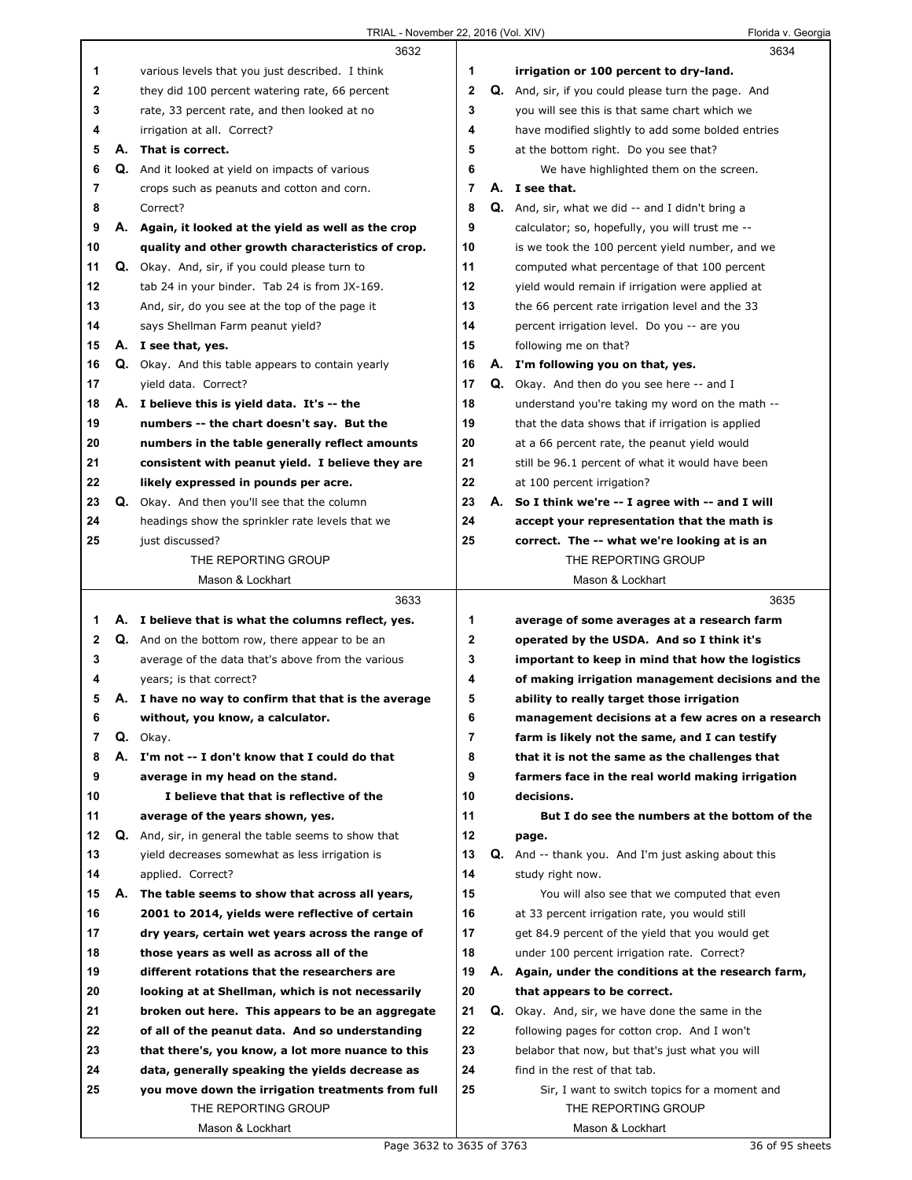|    |    | 3632                                                     |                |    | 3634                                                       |
|----|----|----------------------------------------------------------|----------------|----|------------------------------------------------------------|
| 1  |    | various levels that you just described. I think          | 1              |    | irrigation or 100 percent to dry-land.                     |
| 2  |    | they did 100 percent watering rate, 66 percent           | $\overline{2}$ |    | <b>Q.</b> And, sir, if you could please turn the page. And |
| 3  |    | rate, 33 percent rate, and then looked at no             | 3              |    | you will see this is that same chart which we              |
| 4  |    | irrigation at all. Correct?                              | 4              |    | have modified slightly to add some bolded entries          |
| 5  | А. | That is correct.                                         | 5              |    | at the bottom right. Do you see that?                      |
| 6  |    | Q. And it looked at yield on impacts of various          | 6              |    | We have highlighted them on the screen.                    |
| 7  |    | crops such as peanuts and cotton and corn.               | 7              |    | A. I see that.                                             |
| 8  |    | Correct?                                                 | 8              |    | Q. And, sir, what we did -- and I didn't bring a           |
| 9  |    | A. Again, it looked at the yield as well as the crop     | 9              |    | calculator; so, hopefully, you will trust me --            |
| 10 |    | quality and other growth characteristics of crop.        | 10             |    | is we took the 100 percent yield number, and we            |
| 11 |    | Q. Okay. And, sir, if you could please turn to           | 11             |    | computed what percentage of that 100 percent               |
| 12 |    | tab 24 in your binder. Tab 24 is from JX-169.            | 12             |    | yield would remain if irrigation were applied at           |
| 13 |    | And, sir, do you see at the top of the page it           | 13             |    | the 66 percent rate irrigation level and the 33            |
| 14 |    | says Shellman Farm peanut yield?                         | 14             |    | percent irrigation level. Do you -- are you                |
| 15 |    | A. I see that, yes.                                      | 15             |    | following me on that?                                      |
| 16 |    | <b>Q.</b> Okay. And this table appears to contain yearly | 16             |    | A. I'm following you on that, yes.                         |
| 17 |    | yield data. Correct?                                     | 17             |    | <b>Q.</b> Okay. And then do you see here -- and I          |
| 18 |    | A. I believe this is yield data. It's -- the             | 18             |    | understand you're taking my word on the math --            |
| 19 |    | numbers -- the chart doesn't say. But the                | 19             |    | that the data shows that if irrigation is applied          |
| 20 |    | numbers in the table generally reflect amounts           | 20             |    | at a 66 percent rate, the peanut yield would               |
| 21 |    | consistent with peanut yield. I believe they are         | 21             |    | still be 96.1 percent of what it would have been           |
| 22 |    | likely expressed in pounds per acre.                     | 22             |    | at 100 percent irrigation?                                 |
| 23 |    | Q. Okay. And then you'll see that the column             | 23             |    | A. So I think we're -- I agree with -- and I will          |
| 24 |    | headings show the sprinkler rate levels that we          | 24             |    | accept your representation that the math is                |
| 25 |    | just discussed?                                          | 25             |    | correct. The -- what we're looking at is an                |
|    |    | THE REPORTING GROUP                                      |                |    | THE REPORTING GROUP                                        |
|    |    | Mason & Lockhart                                         |                |    | Mason & Lockhart                                           |
|    |    |                                                          |                |    |                                                            |
|    |    | 3633                                                     |                |    | 3635                                                       |
| 1  |    | A. I believe that is what the columns reflect, yes.      | 1              |    | average of some averages at a research farm                |
| 2  |    | Q. And on the bottom row, there appear to be an          | 2              |    | operated by the USDA. And so I think it's                  |
| 3  |    | average of the data that's above from the various        | 3              |    | important to keep in mind that how the logistics           |
| 4  |    | years; is that correct?                                  | 4              |    | of making irrigation management decisions and the          |
| 5  |    | A. I have no way to confirm that that is the average     | 5              |    | ability to really target those irrigation                  |
| 6  |    | without, you know, a calculator.                         | 6              |    | management decisions at a few acres on a research          |
| 7  |    | Q. Okay.                                                 | 7              |    | farm is likely not the same, and I can testify             |
| 8  |    | A. I'm not -- I don't know that I could do that          | 8              |    | that it is not the same as the challenges that             |
| 9  |    | average in my head on the stand.                         | 9              |    | farmers face in the real world making irrigation           |
| 10 |    | I believe that that is reflective of the                 | 10             |    | decisions.                                                 |
| 11 |    | average of the years shown, yes.                         | 11             |    | But I do see the numbers at the bottom of the              |
| 12 |    | Q. And, sir, in general the table seems to show that     | 12             |    | page.                                                      |
| 13 |    | yield decreases somewhat as less irrigation is           | 13             | Q. | And -- thank you. And I'm just asking about this           |
| 14 |    | applied. Correct?                                        | 14             |    | study right now.                                           |
| 15 | А. | The table seems to show that across all years,           | 15             |    | You will also see that we computed that even               |
| 16 |    | 2001 to 2014, yields were reflective of certain          | 16             |    | at 33 percent irrigation rate, you would still             |
| 17 |    | dry years, certain wet years across the range of         | 17             |    | get 84.9 percent of the yield that you would get           |
| 18 |    | those years as well as across all of the                 | 18             |    | under 100 percent irrigation rate. Correct?                |
| 19 |    | different rotations that the researchers are             | 19             |    | A. Again, under the conditions at the research farm,       |
| 20 |    | looking at at Shellman, which is not necessarily         | 20             |    | that appears to be correct.                                |
| 21 |    | broken out here. This appears to be an aggregate         | 21             |    | Q. Okay. And, sir, we have done the same in the            |
| 22 |    | of all of the peanut data. And so understanding          | 22             |    | following pages for cotton crop. And I won't               |
| 23 |    | that there's, you know, a lot more nuance to this        | 23             |    | belabor that now, but that's just what you will            |
| 24 |    | data, generally speaking the yields decrease as          | 24             |    | find in the rest of that tab.                              |
| 25 |    | you move down the irrigation treatments from full        | 25             |    | Sir, I want to switch topics for a moment and              |
|    |    | THE REPORTING GROUP<br>Mason & Lockhart                  |                |    | THE REPORTING GROUP<br>Mason & Lockhart                    |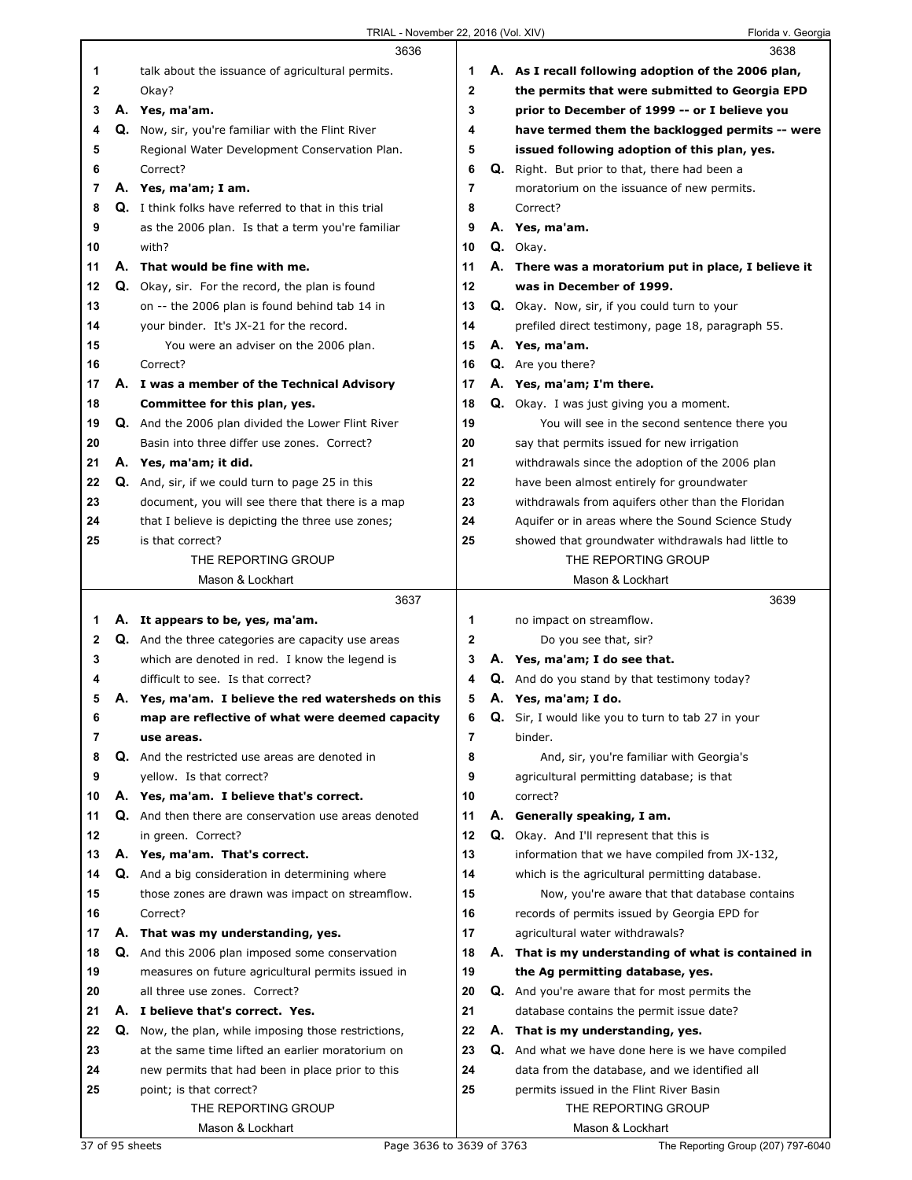|          | 3636                                                                                      |             |    | 3638                                                                                   |
|----------|-------------------------------------------------------------------------------------------|-------------|----|----------------------------------------------------------------------------------------|
| 1        | talk about the issuance of agricultural permits.                                          | 1           |    | A. As I recall following adoption of the 2006 plan,                                    |
| 2        | Okay?                                                                                     | $\mathbf 2$ |    | the permits that were submitted to Georgia EPD                                         |
| 3        | A. Yes, ma'am.                                                                            | 3           |    | prior to December of 1999 -- or I believe you                                          |
| 4        | <b>Q.</b> Now, sir, you're familiar with the Flint River                                  | 4           |    | have termed them the backlogged permits -- were                                        |
| 5        | Regional Water Development Conservation Plan.                                             | 5           |    | issued following adoption of this plan, yes.                                           |
| 6        | Correct?                                                                                  | 6           |    | Q. Right. But prior to that, there had been a                                          |
| 7        | A. Yes, ma'am; I am.                                                                      | 7           |    | moratorium on the issuance of new permits.                                             |
| 8        | <b>Q.</b> I think folks have referred to that in this trial                               | 8           |    | Correct?                                                                               |
| 9        | as the 2006 plan. Is that a term you're familiar                                          | 9           |    | A. Yes, ma'am.                                                                         |
| 10       | with?                                                                                     | 10          |    | Q. Okay.                                                                               |
| 11       | A. That would be fine with me.                                                            | 11          |    | A. There was a moratorium put in place, I believe it                                   |
| 12       | <b>Q.</b> Okay, sir. For the record, the plan is found                                    | 12          |    | was in December of 1999.                                                               |
| 13       | on -- the 2006 plan is found behind tab 14 in                                             | 13          |    | Q. Okay. Now, sir, if you could turn to your                                           |
| 14       | your binder. It's JX-21 for the record.                                                   | 14          |    | prefiled direct testimony, page 18, paragraph 55.                                      |
| 15       | You were an adviser on the 2006 plan.                                                     | 15          |    | A. Yes, ma'am.                                                                         |
| 16       | Correct?                                                                                  | 16          |    | <b>Q.</b> Are you there?                                                               |
| 17       | A. I was a member of the Technical Advisory                                               | 17          |    | A. Yes, ma'am; I'm there.                                                              |
| 18       | Committee for this plan, yes.                                                             | 18          |    | Q. Okay. I was just giving you a moment.                                               |
| 19       | <b>Q.</b> And the 2006 plan divided the Lower Flint River                                 | 19          |    | You will see in the second sentence there you                                          |
| 20       | Basin into three differ use zones. Correct?                                               | 20          |    | say that permits issued for new irrigation                                             |
| 21       | A. Yes, ma'am; it did.                                                                    | 21          |    | withdrawals since the adoption of the 2006 plan                                        |
| 22       | <b>Q.</b> And, sir, if we could turn to page 25 in this                                   | 22          |    | have been almost entirely for groundwater                                              |
| 23       | document, you will see there that there is a map                                          | 23          |    | withdrawals from aquifers other than the Floridan                                      |
| 24       | that I believe is depicting the three use zones;                                          | 24          |    | Aquifer or in areas where the Sound Science Study                                      |
| 25       | is that correct?                                                                          | 25          |    | showed that groundwater withdrawals had little to                                      |
|          | THE REPORTING GROUP                                                                       |             |    | THE REPORTING GROUP                                                                    |
|          | Mason & Lockhart                                                                          |             |    | Mason & Lockhart                                                                       |
|          | 3637                                                                                      |             |    | 3639                                                                                   |
| 1.       | A. It appears to be, yes, ma'am.                                                          | 1           |    | no impact on streamflow.                                                               |
| 2        | Q. And the three categories are capacity use areas                                        | 2           |    | Do you see that, sir?                                                                  |
| 3        | which are denoted in red. I know the legend is                                            | 3           |    | A. Yes, ma'am; I do see that.                                                          |
| 4        | difficult to see. Is that correct?                                                        | 4           |    | <b>Q.</b> And do you stand by that testimony today?                                    |
| 5        | A. Yes, ma'am. I believe the red watersheds on this                                       | 5           |    | A. Yes, ma'am; I do.                                                                   |
| 6        | map are reflective of what were deemed capacity                                           | 6           | Q. | Sir, I would like you to turn to tab 27 in your                                        |
| 7        | use areas.                                                                                | 7           |    | binder.                                                                                |
| 8        | Q. And the restricted use areas are denoted in                                            | 8           |    | And, sir, you're familiar with Georgia's                                               |
| 9        | yellow. Is that correct?                                                                  | 9           |    | agricultural permitting database; is that                                              |
| 10       | A. Yes, ma'am. I believe that's correct.                                                  | 10          |    | correct?                                                                               |
| 11       | Q. And then there are conservation use areas denoted                                      | 11          |    | A. Generally speaking, I am.                                                           |
| 12       | in green. Correct?                                                                        | 12          |    | Q. Okay. And I'll represent that this is                                               |
| 13       | A. Yes, ma'am. That's correct.                                                            | 13          |    | information that we have compiled from JX-132,                                         |
| 14       | <b>Q.</b> And a big consideration in determining where                                    | 14          |    | which is the agricultural permitting database.                                         |
| 15       | those zones are drawn was impact on streamflow.                                           | 15          |    | Now, you're aware that that database contains                                          |
| 16       | Correct?                                                                                  | 16          |    | records of permits issued by Georgia EPD for                                           |
| 17       | A. That was my understanding, yes.                                                        | 17          |    | agricultural water withdrawals?                                                        |
| 18       | <b>Q.</b> And this 2006 plan imposed some conservation                                    | 18          |    | A. That is my understanding of what is contained in                                    |
| 19       | measures on future agricultural permits issued in                                         | 19          |    | the Ag permitting database, yes.                                                       |
| 20       | all three use zones. Correct?                                                             | 20<br>21    |    | <b>Q.</b> And you're aware that for most permits the                                   |
| 21<br>22 | A. I believe that's correct. Yes.<br>Q. Now, the plan, while imposing those restrictions, |             |    | database contains the permit issue date?                                               |
| 23       | at the same time lifted an earlier moratorium on                                          | 22<br>23    |    | A. That is my understanding, yes.<br>Q. And what we have done here is we have compiled |
| 24       | new permits that had been in place prior to this                                          | 24          |    | data from the database, and we identified all                                          |
| 25       | point; is that correct?                                                                   | 25          |    | permits issued in the Flint River Basin                                                |
|          |                                                                                           |             |    |                                                                                        |
|          |                                                                                           |             |    |                                                                                        |
|          | THE REPORTING GROUP                                                                       |             |    | THE REPORTING GROUP                                                                    |
|          | Mason & Lockhart                                                                          |             |    | Mason & Lockhart                                                                       |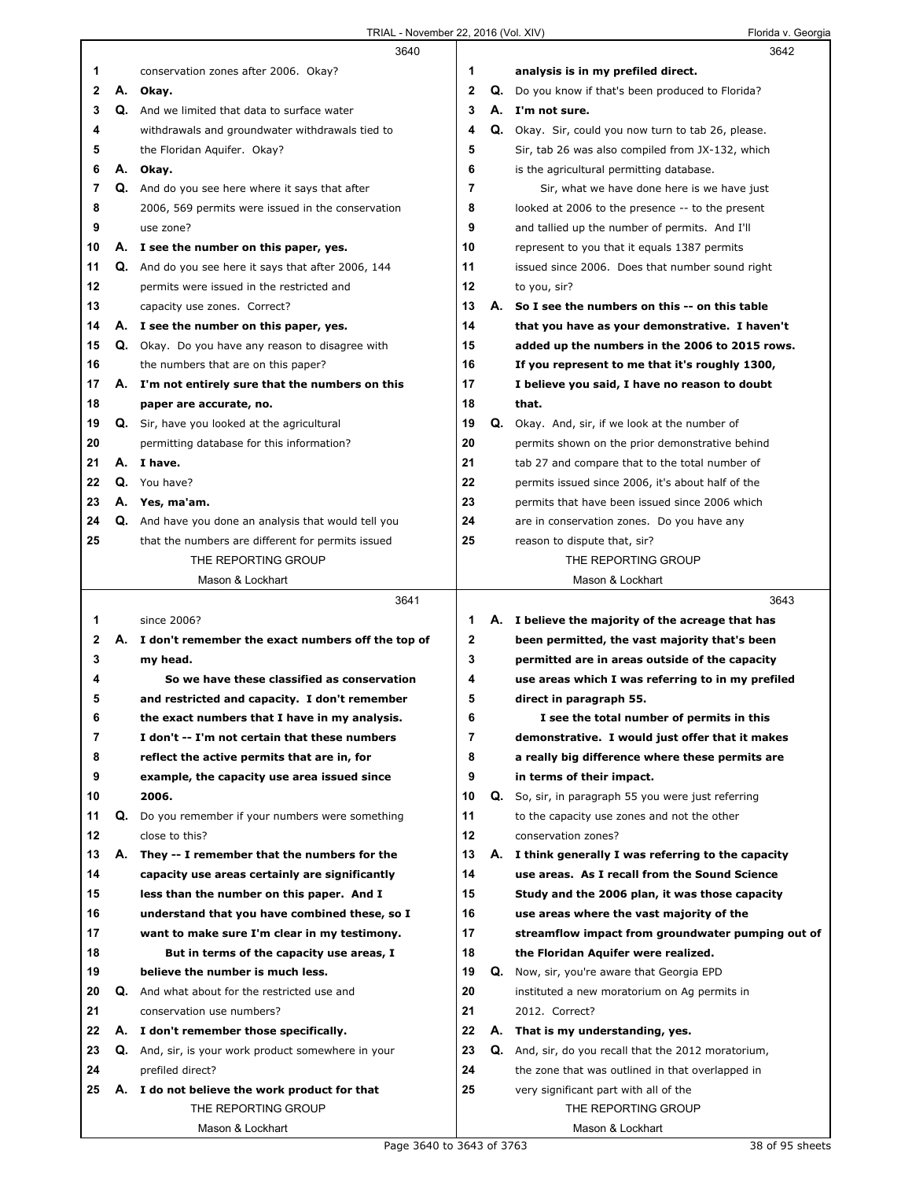|              |    | 3640                                                                                           |        |    | 3642                                                                                         |
|--------------|----|------------------------------------------------------------------------------------------------|--------|----|----------------------------------------------------------------------------------------------|
| 1            |    | conservation zones after 2006. Okay?                                                           | 1      |    | analysis is in my prefiled direct.                                                           |
| 2            |    | A. Okay.                                                                                       | 2      | Q. | Do you know if that's been produced to Florida?                                              |
| 3            |    | Q. And we limited that data to surface water                                                   | 3      |    | A. I'm not sure.                                                                             |
| 4            |    | withdrawals and groundwater withdrawals tied to                                                | 4      |    | Q. Okay. Sir, could you now turn to tab 26, please.                                          |
| 5            |    | the Floridan Aquifer. Okay?                                                                    | 5      |    | Sir, tab 26 was also compiled from JX-132, which                                             |
| 6            | А. | Okay.                                                                                          | 6      |    | is the agricultural permitting database.                                                     |
| 7            | Q. | And do you see here where it says that after                                                   | 7      |    | Sir, what we have done here is we have just                                                  |
| 8            |    | 2006, 569 permits were issued in the conservation                                              | 8      |    | looked at 2006 to the presence -- to the present                                             |
| 9            |    | use zone?                                                                                      | 9      |    | and tallied up the number of permits. And I'll                                               |
| 10           |    | A. I see the number on this paper, yes.                                                        | 10     |    | represent to you that it equals 1387 permits                                                 |
| 11           | Q. | And do you see here it says that after 2006, 144                                               | 11     |    | issued since 2006. Does that number sound right                                              |
| 12           |    | permits were issued in the restricted and                                                      | 12     |    | to you, sir?                                                                                 |
| 13           |    | capacity use zones. Correct?                                                                   | 13     |    | A. So I see the numbers on this -- on this table                                             |
| 14           |    | A. I see the number on this paper, yes.                                                        | 14     |    | that you have as your demonstrative. I haven't                                               |
| 15           |    | Q. Okay. Do you have any reason to disagree with                                               | 15     |    | added up the numbers in the 2006 to 2015 rows.                                               |
| 16           |    | the numbers that are on this paper?                                                            | 16     |    | If you represent to me that it's roughly 1300,                                               |
| 17           | А. | I'm not entirely sure that the numbers on this                                                 | 17     |    | I believe you said, I have no reason to doubt                                                |
| 18           |    | paper are accurate, no.                                                                        | 18     |    | that.                                                                                        |
| 19           |    | Q. Sir, have you looked at the agricultural                                                    | 19     |    | Q. Okay. And, sir, if we look at the number of                                               |
| 20           |    | permitting database for this information?                                                      | 20     |    | permits shown on the prior demonstrative behind                                              |
| 21           |    | A. I have.                                                                                     | 21     |    | tab 27 and compare that to the total number of                                               |
| 22           | Q. | You have?                                                                                      | 22     |    | permits issued since 2006, it's about half of the                                            |
| 23           |    | A. Yes, ma'am.                                                                                 | 23     |    | permits that have been issued since 2006 which                                               |
| 24           |    | Q. And have you done an analysis that would tell you                                           | 24     |    | are in conservation zones. Do you have any                                                   |
| 25           |    | that the numbers are different for permits issued                                              | 25     |    | reason to dispute that, sir?                                                                 |
|              |    | THE REPORTING GROUP                                                                            |        |    | THE REPORTING GROUP                                                                          |
|              |    | Mason & Lockhart                                                                               |        |    | Mason & Lockhart                                                                             |
|              |    |                                                                                                |        |    |                                                                                              |
|              |    | 3641                                                                                           |        |    | 3643                                                                                         |
| 1            |    | since 2006?                                                                                    | 1      |    |                                                                                              |
| $\mathbf{2}$ |    |                                                                                                |        |    | A. I believe the majority of the acreage that has                                            |
| 3            |    | A. I don't remember the exact numbers off the top of                                           | 2<br>3 |    | been permitted, the vast majority that's been                                                |
| 4            |    | my head.<br>So we have these classified as conservation                                        | 4      |    | permitted are in areas outside of the capacity                                               |
| 5            |    | and restricted and capacity. I don't remember                                                  | 5      |    | use areas which I was referring to in my prefiled<br>direct in paragraph 55.                 |
|              |    |                                                                                                |        |    |                                                                                              |
| ь<br>7       |    | the exact numbers that I have in my analysis.<br>I don't -- I'm not certain that these numbers | 6<br>7 |    | I see the total number of permits in this<br>demonstrative. I would just offer that it makes |
| 8            |    |                                                                                                | 8      |    |                                                                                              |
| 9            |    | reflect the active permits that are in, for<br>example, the capacity use area issued since     | 9      |    | a really big difference where these permits are<br>in terms of their impact.                 |
| 10           |    | 2006.                                                                                          | 10     |    | Q. So, sir, in paragraph 55 you were just referring                                          |
| 11           |    | Q. Do you remember if your numbers were something                                              | 11     |    | to the capacity use zones and not the other                                                  |
| 12           |    | close to this?                                                                                 | 12     |    | conservation zones?                                                                          |
| 13           | А. | They -- I remember that the numbers for the                                                    | 13     |    | A. I think generally I was referring to the capacity                                         |
| 14           |    | capacity use areas certainly are significantly                                                 | 14     |    | use areas. As I recall from the Sound Science                                                |
| 15           |    | less than the number on this paper. And I                                                      | 15     |    | Study and the 2006 plan, it was those capacity                                               |
| 16           |    | understand that you have combined these, so I                                                  | 16     |    | use areas where the vast majority of the                                                     |
| 17           |    | want to make sure I'm clear in my testimony.                                                   | 17     |    | streamflow impact from groundwater pumping out of                                            |
| 18           |    | But in terms of the capacity use areas, I                                                      | 18     |    | the Floridan Aquifer were realized.                                                          |
| 19           |    | believe the number is much less.                                                               | 19     | Q. | Now, sir, you're aware that Georgia EPD                                                      |
| 20           |    | Q. And what about for the restricted use and                                                   | 20     |    | instituted a new moratorium on Ag permits in                                                 |
| 21           |    | conservation use numbers?                                                                      | 21     |    | 2012. Correct?                                                                               |
| 22           |    | A. I don't remember those specifically.                                                        | 22     |    | A. That is my understanding, yes.                                                            |
| 23           |    | Q. And, sir, is your work product somewhere in your                                            | 23     |    | Q. And, sir, do you recall that the 2012 moratorium,                                         |
| 24           |    |                                                                                                | 24     |    |                                                                                              |
| 25           |    | prefiled direct?                                                                               | 25     |    | the zone that was outlined in that overlapped in                                             |
|              |    | A. I do not believe the work product for that<br>THE REPORTING GROUP                           |        |    | very significant part with all of the<br>THE REPORTING GROUP                                 |
|              |    | Mason & Lockhart                                                                               |        |    | Mason & Lockhart                                                                             |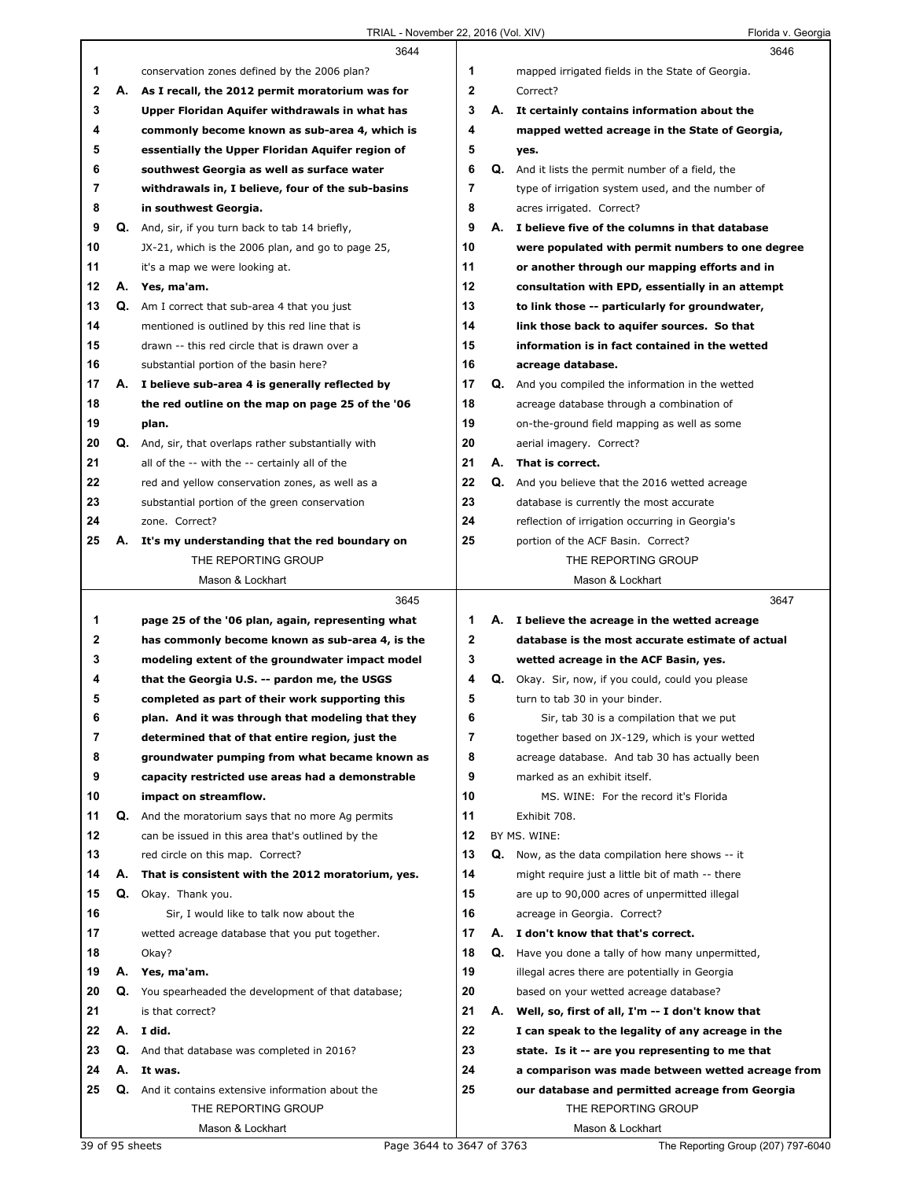|              |          | 3644                                                                                  |              |    | 3646                                                                   |
|--------------|----------|---------------------------------------------------------------------------------------|--------------|----|------------------------------------------------------------------------|
| 1            |          | conservation zones defined by the 2006 plan?                                          | 1            |    | mapped irrigated fields in the State of Georgia.                       |
| $\mathbf{2}$ | А.       | As I recall, the 2012 permit moratorium was for                                       | $\mathbf{2}$ |    | Correct?                                                               |
| 3            |          | Upper Floridan Aquifer withdrawals in what has                                        | 3            | А. | It certainly contains information about the                            |
| 4            |          | commonly become known as sub-area 4, which is                                         | 4            |    | mapped wetted acreage in the State of Georgia,                         |
| 5            |          | essentially the Upper Floridan Aquifer region of                                      | 5            |    | yes.                                                                   |
| 6            |          | southwest Georgia as well as surface water                                            | 6            |    | Q. And it lists the permit number of a field, the                      |
| 7            |          | withdrawals in, I believe, four of the sub-basins                                     | 7            |    | type of irrigation system used, and the number of                      |
| 8            |          | in southwest Georgia.                                                                 | 8            |    | acres irrigated. Correct?                                              |
| 9            |          | Q. And, sir, if you turn back to tab 14 briefly,                                      | 9            |    | A. I believe five of the columns in that database                      |
| 10           |          | JX-21, which is the 2006 plan, and go to page 25,                                     | 10           |    | were populated with permit numbers to one degree                       |
| 11           |          | it's a map we were looking at.                                                        | 11           |    | or another through our mapping efforts and in                          |
| 12           |          | A. Yes, ma'am.                                                                        | 12           |    | consultation with EPD, essentially in an attempt                       |
| 13           |          | Q. Am I correct that sub-area 4 that you just                                         | 13           |    | to link those -- particularly for groundwater,                         |
| 14           |          | mentioned is outlined by this red line that is                                        | 14           |    | link those back to aquifer sources. So that                            |
| 15           |          | drawn -- this red circle that is drawn over a                                         | 15           |    | information is in fact contained in the wetted                         |
| 16           |          | substantial portion of the basin here?                                                | 16           |    | acreage database.                                                      |
| 17           |          | A. I believe sub-area 4 is generally reflected by                                     | 17           |    | Q. And you compiled the information in the wetted                      |
| 18           |          | the red outline on the map on page 25 of the '06                                      | 18           |    | acreage database through a combination of                              |
| 19           |          | plan.                                                                                 | 19           |    | on-the-ground field mapping as well as some                            |
| 20           |          | <b>Q.</b> And, sir, that overlaps rather substantially with                           | 20           |    | aerial imagery. Correct?                                               |
| 21           |          | all of the -- with the -- certainly all of the                                        | 21           | А. | That is correct.                                                       |
| 22           |          | red and yellow conservation zones, as well as a                                       | 22           | Q. | And you believe that the 2016 wetted acreage                           |
| 23           |          | substantial portion of the green conservation                                         | 23           |    | database is currently the most accurate                                |
| 24           |          | zone. Correct?                                                                        | 24           |    | reflection of irrigation occurring in Georgia's                        |
| 25           | А.       |                                                                                       | 25           |    | portion of the ACF Basin. Correct?                                     |
|              |          | It's my understanding that the red boundary on<br>THE REPORTING GROUP                 |              |    | THE REPORTING GROUP                                                    |
|              |          | Mason & Lockhart                                                                      |              |    | Mason & Lockhart                                                       |
|              |          |                                                                                       |              |    |                                                                        |
|              |          |                                                                                       |              |    |                                                                        |
|              |          | 3645                                                                                  |              |    | 3647                                                                   |
| 1            |          | page 25 of the '06 plan, again, representing what                                     | 1            |    | A. I believe the acreage in the wetted acreage                         |
| $\mathbf 2$  |          | has commonly become known as sub-area 4, is the                                       | $\mathbf{2}$ |    | database is the most accurate estimate of actual                       |
| 3<br>4       |          | modeling extent of the groundwater impact model                                       | 3<br>4       | Q. | wetted acreage in the ACF Basin, yes.                                  |
|              |          | that the Georgia U.S. -- pardon me, the USGS                                          |              |    | Okay. Sir, now, if you could, could you please                         |
| 5            |          | completed as part of their work supporting this                                       | 5            |    | turn to tab 30 in your binder.                                         |
| 6            |          | plan. And it was through that modeling that they                                      | 6            |    | Sir, tab 30 is a compilation that we put                               |
| 7            |          | determined that of that entire region, just the                                       | 7            |    | together based on JX-129, which is your wetted                         |
| 8            |          | groundwater pumping from what became known as                                         | 8            |    | acreage database. And tab 30 has actually been                         |
| 9            |          | capacity restricted use areas had a demonstrable                                      | 9            |    | marked as an exhibit itself.                                           |
| 10           |          | impact on streamflow.                                                                 | 10           |    | MS. WINE: For the record it's Florida                                  |
| 11<br>12     | Q.       | And the moratorium says that no more Ag permits                                       | 11<br>12     |    | Exhibit 708.<br>BY MS. WINE:                                           |
|              |          | can be issued in this area that's outlined by the<br>red circle on this map. Correct? | 13           |    |                                                                        |
| 13           |          |                                                                                       |              |    | <b>Q.</b> Now, as the data compilation here shows -- it                |
| 14           | А.       | That is consistent with the 2012 moratorium, yes.                                     | 14<br>15     |    | might require just a little bit of math -- there                       |
| 15           | Q.       | Okay. Thank you.                                                                      |              |    | are up to 90,000 acres of unpermitted illegal                          |
| 16           |          | Sir, I would like to talk now about the                                               | 16           |    | acreage in Georgia. Correct?                                           |
| 17           |          | wetted acreage database that you put together.                                        | 17           |    | A. I don't know that that's correct.                                   |
| 18           |          | Okay?                                                                                 | 18           |    | <b>Q.</b> Have you done a tally of how many unpermitted,               |
| 19<br>20     | А.<br>Q. | Yes, ma'am.                                                                           | 19<br>20     |    | illegal acres there are potentially in Georgia                         |
|              |          | You spearheaded the development of that database;                                     |              |    | based on your wetted acreage database?                                 |
| 21           |          | is that correct?                                                                      | 21           | А. | Well, so, first of all, I'm -- I don't know that                       |
| 22           |          | A. I did.                                                                             | 22           |    | I can speak to the legality of any acreage in the                      |
| 23<br>24     |          | Q. And that database was completed in 2016?<br>A. It was.                             | 23<br>24     |    | state. Is it -- are you representing to me that                        |
|              |          |                                                                                       |              |    | a comparison was made between wetted acreage from                      |
| 25           |          | Q. And it contains extensive information about the<br>THE REPORTING GROUP             | 25           |    | our database and permitted acreage from Georgia<br>THE REPORTING GROUP |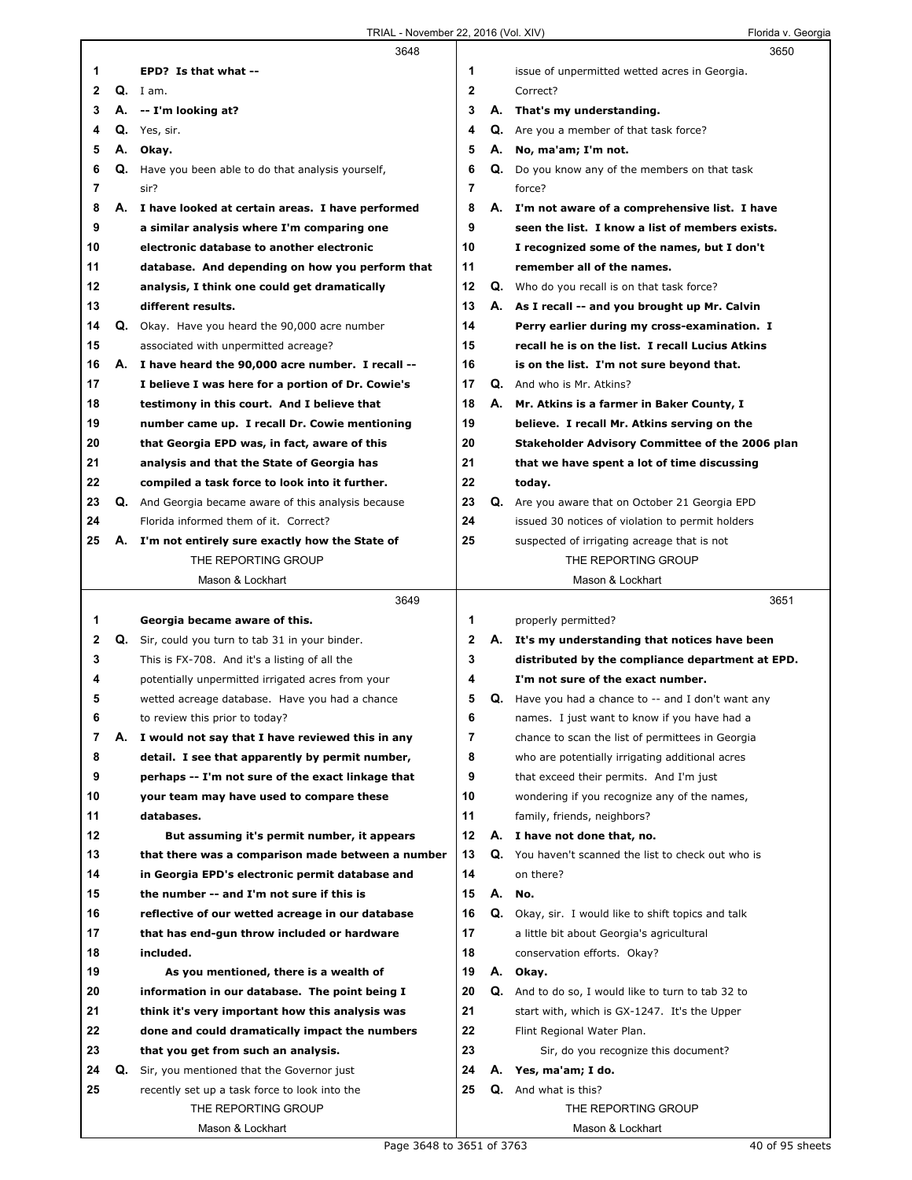|    |    | 3648                                                |                |    | 3650                                                      |  |
|----|----|-----------------------------------------------------|----------------|----|-----------------------------------------------------------|--|
| 1  |    | EPD? Is that what --                                | 1              |    | issue of unpermitted wetted acres in Georgia.             |  |
| 2  |    | $Q.$ I am.                                          | $\overline{2}$ |    | Correct?                                                  |  |
| 3  |    | A. -- I'm looking at?                               | 3              |    | A. That's my understanding.                               |  |
| 4  |    | Q. Yes, sir.                                        | 4              |    | <b>Q.</b> Are you a member of that task force?            |  |
| 5  |    | A. Okay.                                            | 5              | А. | No, ma'am; I'm not.                                       |  |
| 6  |    | Q. Have you been able to do that analysis yourself, | 6              |    | Q. Do you know any of the members on that task            |  |
| 7  |    | sir?                                                | 7              |    | force?                                                    |  |
| 8  |    | A. I have looked at certain areas. I have performed | 8              |    | A. I'm not aware of a comprehensive list. I have          |  |
| 9  |    | a similar analysis where I'm comparing one          | 9              |    | seen the list. I know a list of members exists.           |  |
| 10 |    | electronic database to another electronic           | 10             |    | I recognized some of the names, but I don't               |  |
| 11 |    | database. And depending on how you perform that     | 11             |    | remember all of the names.                                |  |
| 12 |    | analysis, I think one could get dramatically        | 12             |    | <b>Q.</b> Who do you recall is on that task force?        |  |
| 13 |    | different results.                                  | 13             |    | A. As I recall -- and you brought up Mr. Calvin           |  |
| 14 | Q. | Okay. Have you heard the 90,000 acre number         | 14             |    | Perry earlier during my cross-examination. I              |  |
| 15 |    | associated with unpermitted acreage?                | 15             |    | recall he is on the list. I recall Lucius Atkins          |  |
| 16 | А. | I have heard the 90,000 acre number. I recall --    | 16             |    | is on the list. I'm not sure beyond that.                 |  |
| 17 |    | I believe I was here for a portion of Dr. Cowie's   | 17             |    | <b>Q.</b> And who is Mr. Atkins?                          |  |
| 18 |    | testimony in this court. And I believe that         | 18             |    | A. Mr. Atkins is a farmer in Baker County, I              |  |
| 19 |    | number came up. I recall Dr. Cowie mentioning       | 19             |    | believe. I recall Mr. Atkins serving on the               |  |
| 20 |    | that Georgia EPD was, in fact, aware of this        | 20             |    | Stakeholder Advisory Committee of the 2006 plan           |  |
| 21 |    | analysis and that the State of Georgia has          | 21             |    | that we have spent a lot of time discussing               |  |
| 22 |    | compiled a task force to look into it further.      | 22             |    | today.                                                    |  |
| 23 | Q. | And Georgia became aware of this analysis because   | 23             |    | Q. Are you aware that on October 21 Georgia EPD           |  |
| 24 |    | Florida informed them of it. Correct?               | 24             |    | issued 30 notices of violation to permit holders          |  |
| 25 |    | A. I'm not entirely sure exactly how the State of   | 25             |    | suspected of irrigating acreage that is not               |  |
|    |    | THE REPORTING GROUP                                 |                |    | THE REPORTING GROUP                                       |  |
|    |    | Mason & Lockhart                                    |                |    | Mason & Lockhart                                          |  |
|    |    |                                                     |                |    |                                                           |  |
|    |    |                                                     |                |    |                                                           |  |
|    |    | 3649                                                |                |    | 3651                                                      |  |
| 1  |    | Georgia became aware of this.                       | 1              |    | properly permitted?                                       |  |
| 2  | Q. | Sir, could you turn to tab 31 in your binder.       | 2              |    | A. It's my understanding that notices have been           |  |
| 3  |    | This is FX-708. And it's a listing of all the       | 3              |    | distributed by the compliance department at EPD.          |  |
| 4  |    | potentially unpermitted irrigated acres from your   | 4              |    | I'm not sure of the exact number.                         |  |
| 5  |    | wetted acreage database. Have you had a chance      | 5              |    | $Q.$ Have you had a chance to $-$ and I don't want any    |  |
| 6  |    | to review this prior to today?                      | 6              |    | names. I just want to know if you have had a              |  |
| 7  | А. | I would not say that I have reviewed this in any    | 7              |    | chance to scan the list of permittees in Georgia          |  |
| 8  |    | detail. I see that apparently by permit number,     | 8              |    | who are potentially irrigating additional acres           |  |
| 9  |    | perhaps -- I'm not sure of the exact linkage that   | 9              |    | that exceed their permits. And I'm just                   |  |
| 10 |    | your team may have used to compare these            | 10             |    | wondering if you recognize any of the names,              |  |
| 11 |    | databases.                                          | 11             |    | family, friends, neighbors?                               |  |
| 12 |    | But assuming it's permit number, it appears         | 12             |    | A. I have not done that, no.                              |  |
| 13 |    | that there was a comparison made between a number   | 13             |    | Q. You haven't scanned the list to check out who is       |  |
| 14 |    | in Georgia EPD's electronic permit database and     | 14             |    | on there?                                                 |  |
| 15 |    | the number -- and I'm not sure if this is           | 15             |    | A. No.                                                    |  |
| 16 |    | reflective of our wetted acreage in our database    | 16             |    | Q. Okay, sir. I would like to shift topics and talk       |  |
| 17 |    | that has end-gun throw included or hardware         | 17             |    | a little bit about Georgia's agricultural                 |  |
| 18 |    | included.                                           | 18             |    | conservation efforts. Okay?                               |  |
| 19 |    | As you mentioned, there is a wealth of              | 19             |    | A. Okay.                                                  |  |
| 20 |    | information in our database. The point being I      | 20             |    | <b>Q.</b> And to do so, I would like to turn to tab 32 to |  |
| 21 |    | think it's very important how this analysis was     | 21             |    | start with, which is GX-1247. It's the Upper              |  |
| 22 |    | done and could dramatically impact the numbers      | 22             |    | Flint Regional Water Plan.                                |  |
| 23 |    | that you get from such an analysis.                 | 23             |    | Sir, do you recognize this document?                      |  |
| 24 | Q. | Sir, you mentioned that the Governor just           | 24             |    | A. Yes, ma'am; I do.                                      |  |
| 25 |    | recently set up a task force to look into the       | 25             |    | <b>Q.</b> And what is this?                               |  |
|    |    | THE REPORTING GROUP<br>Mason & Lockhart             |                |    | THE REPORTING GROUP<br>Mason & Lockhart                   |  |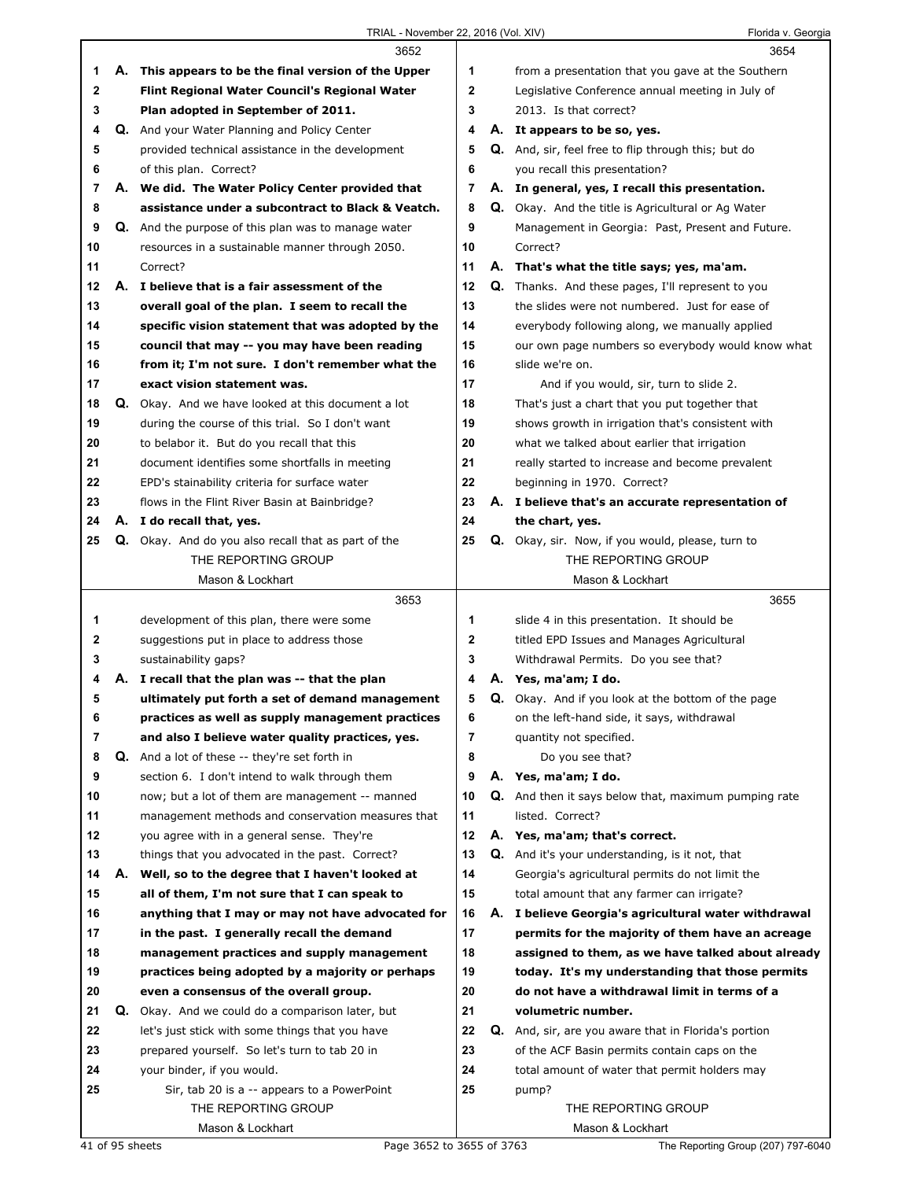|    |    | 3652                                                       |    | 3654                                                        |
|----|----|------------------------------------------------------------|----|-------------------------------------------------------------|
| 1  |    | A. This appears to be the final version of the Upper       | 1  | from a presentation that you gave at the Southern           |
| 2  |    | Flint Regional Water Council's Regional Water              | 2  | Legislative Conference annual meeting in July of            |
| 3  |    | Plan adopted in September of 2011.                         | 3  | 2013. Is that correct?                                      |
| 4  |    | <b>Q.</b> And your Water Planning and Policy Center        | 4  | A. It appears to be so, yes.                                |
| 5  |    | provided technical assistance in the development           | 5  | Q. And, sir, feel free to flip through this; but do         |
| 6  |    | of this plan. Correct?                                     | 6  | you recall this presentation?                               |
| 7  |    | A. We did. The Water Policy Center provided that           | 7  | A. In general, yes, I recall this presentation.             |
| 8  |    | assistance under a subcontract to Black & Veatch.          | 8  | <b>Q.</b> Okay. And the title is Agricultural or Ag Water   |
| 9  |    | Q. And the purpose of this plan was to manage water        | 9  | Management in Georgia: Past, Present and Future.            |
| 10 |    | resources in a sustainable manner through 2050.            | 10 | Correct?                                                    |
| 11 |    | Correct?                                                   | 11 | A. That's what the title says; yes, ma'am.                  |
| 12 |    | A. I believe that is a fair assessment of the              | 12 | <b>Q.</b> Thanks. And these pages, I'll represent to you    |
| 13 |    | overall goal of the plan. I seem to recall the             | 13 | the slides were not numbered. Just for ease of              |
| 14 |    | specific vision statement that was adopted by the          | 14 | everybody following along, we manually applied              |
| 15 |    | council that may -- you may have been reading              | 15 | our own page numbers so everybody would know what           |
| 16 |    | from it; I'm not sure. I don't remember what the           | 16 | slide we're on.                                             |
| 17 |    | exact vision statement was.                                | 17 | And if you would, sir, turn to slide 2.                     |
| 18 |    | Q. Okay. And we have looked at this document a lot         | 18 | That's just a chart that you put together that              |
| 19 |    | during the course of this trial. So I don't want           | 19 | shows growth in irrigation that's consistent with           |
| 20 |    | to belabor it. But do you recall that this                 | 20 | what we talked about earlier that irrigation                |
| 21 |    | document identifies some shortfalls in meeting             | 21 | really started to increase and become prevalent             |
| 22 |    | EPD's stainability criteria for surface water              | 22 | beginning in 1970. Correct?                                 |
| 23 |    | flows in the Flint River Basin at Bainbridge?              | 23 | A. I believe that's an accurate representation of           |
| 24 |    | A. I do recall that, yes.                                  | 24 | the chart, yes.                                             |
| 25 |    | <b>Q.</b> Okay. And do you also recall that as part of the | 25 | Q. Okay, sir. Now, if you would, please, turn to            |
|    |    | THE REPORTING GROUP                                        |    | THE REPORTING GROUP                                         |
|    |    | Mason & Lockhart                                           |    | Mason & Lockhart                                            |
|    |    |                                                            |    |                                                             |
|    |    | 3653                                                       |    | 3655                                                        |
| 1  |    | development of this plan, there were some                  | 1  | slide 4 in this presentation. It should be                  |
| 2  |    | suggestions put in place to address those                  | 2  | titled EPD Issues and Manages Agricultural                  |
| 3  |    | sustainability gaps?                                       | 3  | Withdrawal Permits. Do you see that?                        |
| 4  | А. | I recall that the plan was -- that the plan                | 4  | A. Yes, ma'am; I do.                                        |
| 5  |    | ultimately put forth a set of demand management            | 5  | <b>Q.</b> Okay. And if you look at the bottom of the page   |
| 6  |    | practices as well as supply management practices           | 6  | on the left-hand side, it says, withdrawal                  |
| 7  |    | and also I believe water quality practices, yes.           | 7  | quantity not specified.                                     |
| 8  | Q. | And a lot of these -- they're set forth in                 | 8  | Do you see that?                                            |
| 9  |    | section 6. I don't intend to walk through them             | 9  | A. Yes, ma'am; I do.                                        |
| 10 |    | now; but a lot of them are management -- manned            | 10 | <b>Q.</b> And then it says below that, maximum pumping rate |
| 11 |    | management methods and conservation measures that          | 11 | listed. Correct?                                            |
| 12 |    | you agree with in a general sense. They're                 | 12 | A. Yes, ma'am; that's correct.                              |
| 13 |    | things that you advocated in the past. Correct?            | 13 | Q. And it's your understanding, is it not, that             |
| 14 | А. | Well, so to the degree that I haven't looked at            | 14 | Georgia's agricultural permits do not limit the             |
| 15 |    | all of them, I'm not sure that I can speak to              | 15 | total amount that any farmer can irrigate?                  |
| 16 |    | anything that I may or may not have advocated for          | 16 | A. I believe Georgia's agricultural water withdrawal        |
| 17 |    | in the past. I generally recall the demand                 | 17 | permits for the majority of them have an acreage            |
| 18 |    | management practices and supply management                 | 18 | assigned to them, as we have talked about already           |
| 19 |    | practices being adopted by a majority or perhaps           | 19 | today. It's my understanding that those permits             |
| 20 |    | even a consensus of the overall group.                     | 20 | do not have a withdrawal limit in terms of a                |
| 21 |    | Q. Okay. And we could do a comparison later, but           | 21 | volumetric number.                                          |
| 22 |    | let's just stick with some things that you have            | 22 | Q. And, sir, are you aware that in Florida's portion        |
| 23 |    | prepared yourself. So let's turn to tab 20 in              | 23 | of the ACF Basin permits contain caps on the                |
| 24 |    | your binder, if you would.                                 | 24 | total amount of water that permit holders may               |
| 25 |    | Sir, tab 20 is a -- appears to a PowerPoint                | 25 | pump?                                                       |
|    |    | THE REPORTING GROUP                                        |    | THE REPORTING GROUP                                         |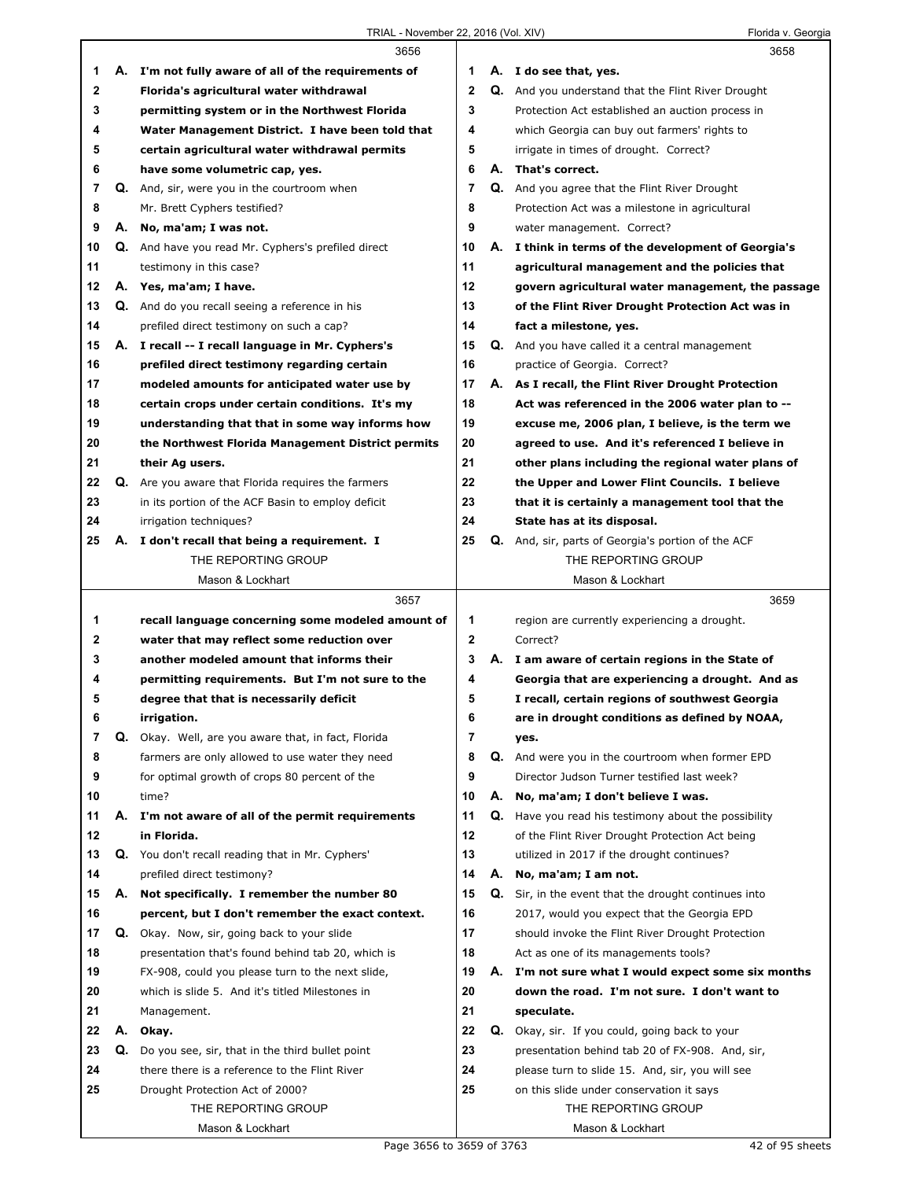|             |    | 3656                                                      |              |    | 3658                                                        |
|-------------|----|-----------------------------------------------------------|--------------|----|-------------------------------------------------------------|
| 1           |    | A. I'm not fully aware of all of the requirements of      | 1            |    | A. I do see that, yes.                                      |
| $\mathbf 2$ |    | Florida's agricultural water withdrawal                   | $\mathbf{2}$ |    | <b>Q.</b> And you understand that the Flint River Drought   |
| 3           |    | permitting system or in the Northwest Florida             | 3            |    | Protection Act established an auction process in            |
| 4           |    | Water Management District. I have been told that          | 4            |    | which Georgia can buy out farmers' rights to                |
| 5           |    | certain agricultural water withdrawal permits             | 5            |    | irrigate in times of drought. Correct?                      |
| 6           |    | have some volumetric cap, yes.                            | 6            |    | A. That's correct.                                          |
| 7           |    | Q. And, sir, were you in the courtroom when               | 7            |    | <b>Q.</b> And you agree that the Flint River Drought        |
| 8           |    | Mr. Brett Cyphers testified?                              | 8            |    | Protection Act was a milestone in agricultural              |
| 9           |    | A. No, ma'am; I was not.                                  | 9            |    | water management. Correct?                                  |
| 10          |    | <b>Q.</b> And have you read Mr. Cyphers's prefiled direct | 10           |    | A. I think in terms of the development of Georgia's         |
| 11          |    | testimony in this case?                                   | 11           |    | agricultural management and the policies that               |
| 12          |    | A. Yes, ma'am; I have.                                    | 12           |    | govern agricultural water management, the passage           |
| 13          |    | Q. And do you recall seeing a reference in his            | 13           |    | of the Flint River Drought Protection Act was in            |
| 14          |    | prefiled direct testimony on such a cap?                  | 14           |    | fact a milestone, yes.                                      |
| 15          |    | A. I recall -- I recall language in Mr. Cyphers's         | 15           |    | <b>Q.</b> And you have called it a central management       |
| 16          |    | prefiled direct testimony regarding certain               | 16           |    | practice of Georgia. Correct?                               |
| 17          |    | modeled amounts for anticipated water use by              | 17           |    | A. As I recall, the Flint River Drought Protection          |
| 18          |    | certain crops under certain conditions. It's my           | 18           |    | Act was referenced in the 2006 water plan to --             |
| 19          |    | understanding that that in some way informs how           | 19           |    | excuse me, 2006 plan, I believe, is the term we             |
| 20          |    | the Northwest Florida Management District permits         | 20           |    | agreed to use. And it's referenced I believe in             |
| 21          |    | their Ag users.                                           | 21           |    | other plans including the regional water plans of           |
| 22          | Q. | Are you aware that Florida requires the farmers           | 22           |    | the Upper and Lower Flint Councils. I believe               |
| 23          |    | in its portion of the ACF Basin to employ deficit         | 23           |    | that it is certainly a management tool that the             |
| 24          |    | irrigation techniques?                                    | 24           |    | State has at its disposal.                                  |
| 25          |    | A. I don't recall that being a requirement. I             | 25           |    | <b>Q.</b> And, sir, parts of Georgia's portion of the ACF   |
|             |    | THE REPORTING GROUP                                       |              |    | THE REPORTING GROUP                                         |
|             |    | Mason & Lockhart                                          |              |    | Mason & Lockhart                                            |
|             |    |                                                           |              |    |                                                             |
|             |    | 3657                                                      |              |    | 3659                                                        |
| 1           |    | recall language concerning some modeled amount of         | 1            |    | region are currently experiencing a drought.                |
| 2           |    | water that may reflect some reduction over                | $\mathbf{2}$ |    | Correct?                                                    |
| 3           |    | another modeled amount that informs their                 | 3            |    | A. I am aware of certain regions in the State of            |
| 4           |    | permitting requirements. But I'm not sure to the          | 4            |    | Georgia that are experiencing a drought. And as             |
| 5           |    | degree that that is necessarily deficit                   | 5            |    | I recall, certain regions of southwest Georgia              |
| 6           |    | irrigation.                                               | 6            |    | are in drought conditions as defined by NOAA,               |
| 7           |    | Q. Okay. Well, are you aware that, in fact, Florida       | 7            |    | yes.                                                        |
| 8           |    | farmers are only allowed to use water they need           | 8            | Q. | And were you in the courtroom when former EPD               |
| 9           |    | for optimal growth of crops 80 percent of the             | 9            |    | Director Judson Turner testified last week?                 |
| 10          |    | time?                                                     | 10           | А. | No, ma'am; I don't believe I was.                           |
| 11          |    | A. I'm not aware of all of the permit requirements        | 11           |    | Q. Have you read his testimony about the possibility        |
| 12          |    | in Florida.                                               | 12           |    | of the Flint River Drought Protection Act being             |
| 13          |    | Q. You don't recall reading that in Mr. Cyphers'          | 13           |    | utilized in 2017 if the drought continues?                  |
| 14          |    | prefiled direct testimony?                                | 14           | А. | No, ma'am; I am not.                                        |
| 15          | А. | Not specifically. I remember the number 80                | 15           |    | <b>Q.</b> Sir, in the event that the drought continues into |
| 16          |    | percent, but I don't remember the exact context.          | 16           |    | 2017, would you expect that the Georgia EPD                 |
| 17          |    | Q. Okay. Now, sir, going back to your slide               | 17           |    | should invoke the Flint River Drought Protection            |
| 18          |    | presentation that's found behind tab 20, which is         | 18           |    | Act as one of its managements tools?                        |
| 19          |    | FX-908, could you please turn to the next slide,          | 19           |    | A. I'm not sure what I would expect some six months         |
| 20          |    | which is slide 5. And it's titled Milestones in           | 20           |    | down the road. I'm not sure. I don't want to                |
| 21          |    | Management.                                               | 21           |    | speculate.                                                  |
| 22          |    | A. Okay.                                                  | 22           |    | Q. Okay, sir. If you could, going back to your              |
| 23          | Q. | Do you see, sir, that in the third bullet point           | 23           |    | presentation behind tab 20 of FX-908. And, sir,             |
| 24          |    | there there is a reference to the Flint River             | 24           |    | please turn to slide 15. And, sir, you will see             |
| 25          |    | Drought Protection Act of 2000?                           | 25           |    | on this slide under conservation it says                    |
|             |    | THE REPORTING GROUP                                       |              |    | THE REPORTING GROUP                                         |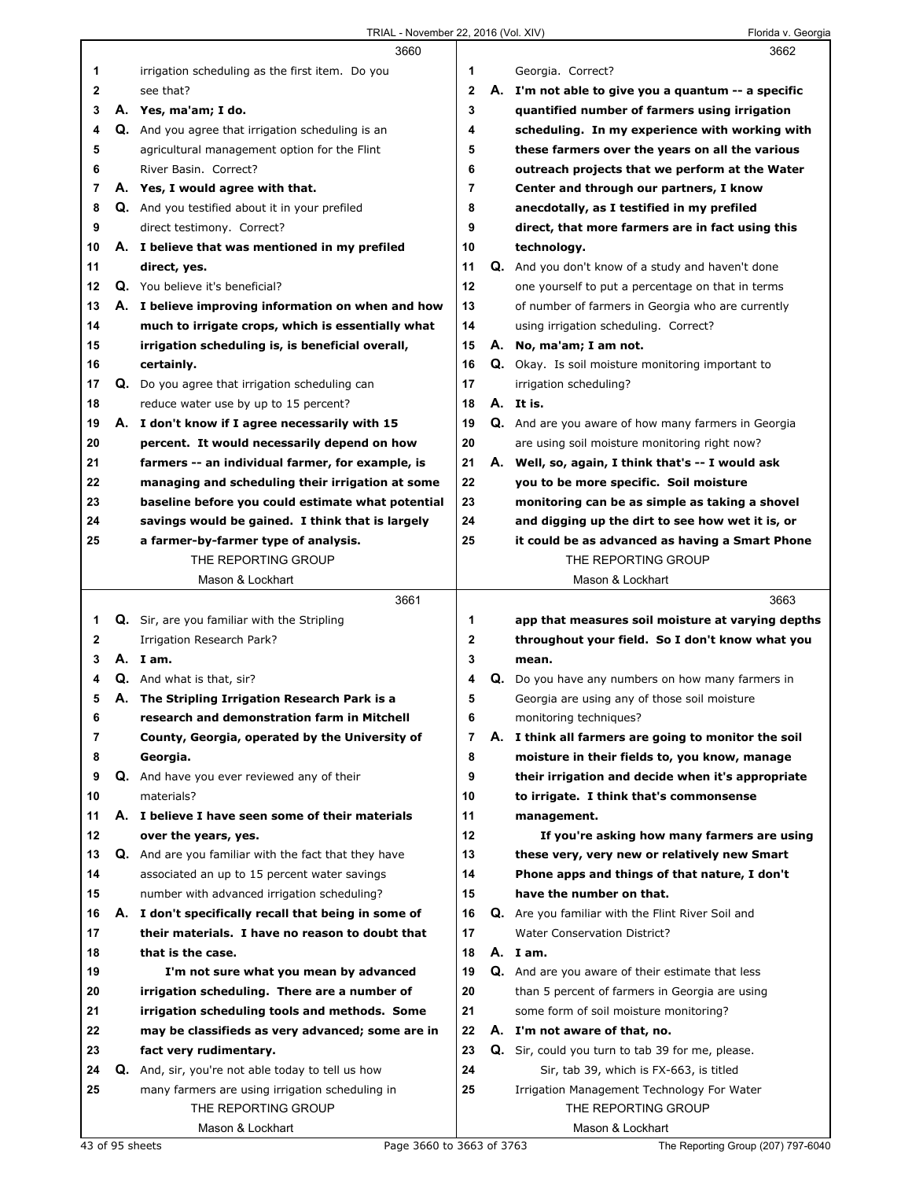|              | 3660                                                        |         | 3662                                                    |
|--------------|-------------------------------------------------------------|---------|---------------------------------------------------------|
| 1            | irrigation scheduling as the first item. Do you             | 1       | Georgia. Correct?                                       |
| $\mathbf{2}$ | see that?                                                   | 2       | A. I'm not able to give you a quantum -- a specific     |
| 3            | A. Yes, ma'am; I do.                                        | 3       | quantified number of farmers using irrigation           |
| 4            | <b>Q.</b> And you agree that irrigation scheduling is an    | 4       | scheduling. In my experience with working with          |
| 5            | agricultural management option for the Flint                | 5       | these farmers over the years on all the various         |
| 6            | River Basin. Correct?                                       | 6       | outreach projects that we perform at the Water          |
| 7            | A. Yes, I would agree with that.                            | 7       | Center and through our partners, I know                 |
| 8            | Q. And you testified about it in your prefiled              | 8       | anecdotally, as I testified in my prefiled              |
| 9            | direct testimony. Correct?                                  | 9       | direct, that more farmers are in fact using this        |
| 10           | A. I believe that was mentioned in my prefiled              | 10      | technology.                                             |
| 11           | direct, yes.                                                | 11      | Q. And you don't know of a study and haven't done       |
| 12           | Q. You believe it's beneficial?                             | 12      |                                                         |
|              |                                                             | 13      | one yourself to put a percentage on that in terms       |
| 13           | A. I believe improving information on when and how          |         | of number of farmers in Georgia who are currently       |
| 14           | much to irrigate crops, which is essentially what           | 14      | using irrigation scheduling. Correct?                   |
| 15           | irrigation scheduling is, is beneficial overall,            | 15      | A. No, ma'am; I am not.                                 |
| 16           | certainly.                                                  | 16      | Q. Okay. Is soil moisture monitoring important to       |
| 17           | <b>Q.</b> Do you agree that irrigation scheduling can       | 17      | irrigation scheduling?                                  |
| 18           | reduce water use by up to 15 percent?                       | 18      | A. It is.                                               |
| 19           | A. I don't know if I agree necessarily with 15              | 19      | Q. And are you aware of how many farmers in Georgia     |
| 20           | percent. It would necessarily depend on how                 | 20      | are using soil moisture monitoring right now?           |
| 21           | farmers -- an individual farmer, for example, is            | 21      | A. Well, so, again, I think that's -- I would ask       |
| 22           | managing and scheduling their irrigation at some            | 22      | you to be more specific. Soil moisture                  |
| 23           | baseline before you could estimate what potential           | 23      | monitoring can be as simple as taking a shovel          |
| 24           | savings would be gained. I think that is largely            | 24      | and digging up the dirt to see how wet it is, or        |
| 25           | a farmer-by-farmer type of analysis.                        | 25      | it could be as advanced as having a Smart Phone         |
|              | THE REPORTING GROUP                                         |         | THE REPORTING GROUP                                     |
|              | Mason & Lockhart                                            |         | Mason & Lockhart                                        |
|              |                                                             |         |                                                         |
|              | 3661                                                        |         | 3663                                                    |
| 1            | Q. Sir, are you familiar with the Stripling                 | 1       | app that measures soil moisture at varying depths       |
| 2            | Irrigation Research Park?                                   | 2       | throughout your field. So I don't know what you         |
| 3            | A. Iam.                                                     | 3       | mean.                                                   |
| 4            | Q. And what is that, sir?                                   | 4       | Q. Do you have any numbers on how many farmers in       |
| 5            | A. The Stripling Irrigation Research Park is a              | 5       | Georgia are using any of those soil moisture            |
| 6            | research and demonstration farm in Mitchell                 | 6       | monitoring techniques?                                  |
| 7            | County, Georgia, operated by the University of              | 7       | A. I think all farmers are going to monitor the soil    |
| 8            | Georgia.                                                    | 8       | moisture in their fields to, you know, manage           |
| 9            | Q. And have you ever reviewed any of their                  | 9       |                                                         |
| 10           | materials?                                                  | 10      | their irrigation and decide when it's appropriate       |
|              |                                                             | 11      | to irrigate. I think that's commonsense                 |
| 11           | A. I believe I have seen some of their materials            | $12 \,$ | management.                                             |
| 12           | over the years, yes.                                        | 13      | If you're asking how many farmers are using             |
| 13           | <b>Q.</b> And are you familiar with the fact that they have |         | these very, very new or relatively new Smart            |
| 14           | associated an up to 15 percent water savings                | 14      | Phone apps and things of that nature, I don't           |
| 15           | number with advanced irrigation scheduling?                 | 15      | have the number on that.                                |
| 16           | A. I don't specifically recall that being in some of        | 16      | Q. Are you familiar with the Flint River Soil and       |
| 17           | their materials. I have no reason to doubt that             | 17      | <b>Water Conservation District?</b>                     |
| 18           | that is the case.                                           | 18      | A. I am.                                                |
| 19           | I'm not sure what you mean by advanced                      | 19      | <b>Q.</b> And are you aware of their estimate that less |
| 20           | irrigation scheduling. There are a number of                | 20      | than 5 percent of farmers in Georgia are using          |
| 21           | irrigation scheduling tools and methods. Some               | 21      | some form of soil moisture monitoring?                  |
| 22           | may be classifieds as very advanced; some are in            | 22      | A. I'm not aware of that, no.                           |
| 23           | fact very rudimentary.                                      | 23      | Q. Sir, could you turn to tab 39 for me, please.        |
| 24           | <b>Q.</b> And, sir, you're not able today to tell us how    | 24      | Sir, tab 39, which is FX-663, is titled                 |
| 25           | many farmers are using irrigation scheduling in             | 25      | Irrigation Management Technology For Water              |
|              | THE REPORTING GROUP<br>Mason & Lockhart                     |         | THE REPORTING GROUP<br>Mason & Lockhart                 |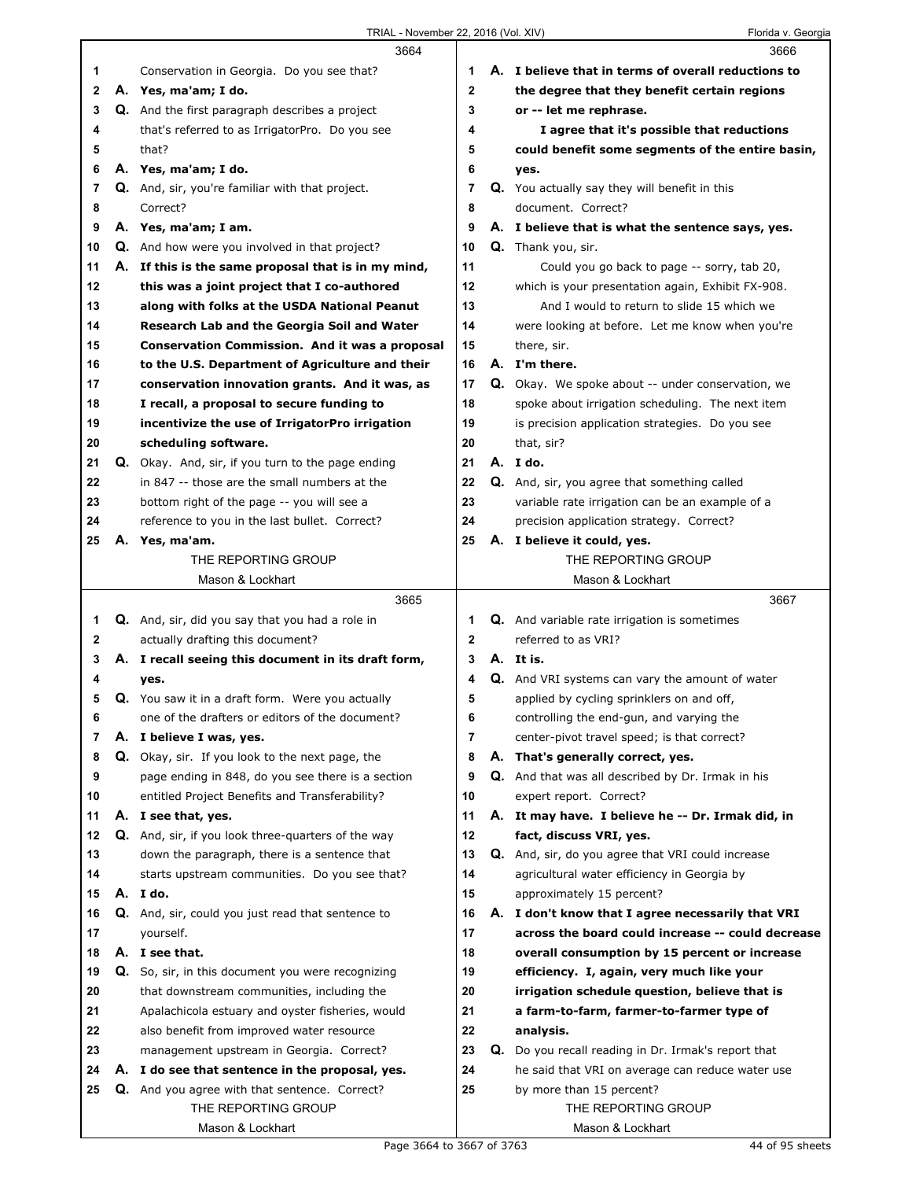|    |    | 3664                                                  |              | 3666                                                |
|----|----|-------------------------------------------------------|--------------|-----------------------------------------------------|
| 1  |    | Conservation in Georgia. Do you see that?             | 1            | A. I believe that in terms of overall reductions to |
| 2  |    | A. Yes, ma'am; I do.                                  | $\mathbf{2}$ | the degree that they benefit certain regions        |
| 3  |    | <b>Q.</b> And the first paragraph describes a project | 3            | or -- let me rephrase.                              |
| 4  |    | that's referred to as IrrigatorPro. Do you see        | 4            | I agree that it's possible that reductions          |
| 5  |    | that?                                                 | 5            | could benefit some segments of the entire basin,    |
| 6  |    | A. Yes, ma'am; I do.                                  | 6            | yes.                                                |
| 7  |    | Q. And, sir, you're familiar with that project.       | 7            | Q. You actually say they will benefit in this       |
| 8  |    | Correct?                                              | 8            | document. Correct?                                  |
| 9  |    | A. Yes, ma'am; I am.                                  | 9            | A. I believe that is what the sentence says, yes.   |
| 10 |    | <b>Q.</b> And how were you involved in that project?  | 10           | Q. Thank you, sir.                                  |
| 11 |    | A. If this is the same proposal that is in my mind,   | 11           | Could you go back to page -- sorry, tab 20,         |
| 12 |    | this was a joint project that I co-authored           | 12           | which is your presentation again, Exhibit FX-908.   |
| 13 |    | along with folks at the USDA National Peanut          | 13           | And I would to return to slide 15 which we          |
| 14 |    | Research Lab and the Georgia Soil and Water           | 14           | were looking at before. Let me know when you're     |
| 15 |    | Conservation Commission. And it was a proposal        | 15           | there, sir.                                         |
| 16 |    | to the U.S. Department of Agriculture and their       | 16           | A. I'm there.                                       |
| 17 |    | conservation innovation grants. And it was, as        | 17           | Q. Okay. We spoke about -- under conservation, we   |
| 18 |    | I recall, a proposal to secure funding to             | 18           | spoke about irrigation scheduling. The next item    |
| 19 |    | incentivize the use of IrrigatorPro irrigation        | 19           | is precision application strategies. Do you see     |
| 20 |    | scheduling software.                                  | 20           | that, sir?                                          |
| 21 |    | Q. Okay. And, sir, if you turn to the page ending     | 21           | A. I do.                                            |
| 22 |    | in 847 -- those are the small numbers at the          | 22           | Q. And, sir, you agree that something called        |
| 23 |    | bottom right of the page -- you will see a            | 23           | variable rate irrigation can be an example of a     |
| 24 |    | reference to you in the last bullet. Correct?         | 24           | precision application strategy. Correct?            |
| 25 | А. | Yes, ma'am.                                           | 25           | A. I believe it could, yes.                         |
|    |    | THE REPORTING GROUP                                   |              | THE REPORTING GROUP                                 |
|    |    | Mason & Lockhart                                      |              | Mason & Lockhart                                    |
|    |    |                                                       |              |                                                     |
|    |    | 3665                                                  |              | 3667                                                |
| 1  |    | Q. And, sir, did you say that you had a role in       | 1            | <b>Q.</b> And variable rate irrigation is sometimes |
| 2  |    | actually drafting this document?                      | $\mathbf{2}$ | referred to as VRI?                                 |
| 3  |    | A. I recall seeing this document in its draft form,   | 3            | A. It is.                                           |
| 4  |    | yes.                                                  | 4            | Q. And VRI systems can vary the amount of water     |
| 5  |    | Q. You saw it in a draft form. Were you actually      | 5            | applied by cycling sprinklers on and off,           |
| 6  |    | one of the drafters or editors of the document?       | 6            | controlling the end-gun, and varying the            |
| 7  |    | A. I believe I was, yes.                              | 7            | center-pivot travel speed; is that correct?         |
| 8  |    | Q. Okay, sir. If you look to the next page, the       | 8            | A. That's generally correct, yes.                   |
| 9  |    | page ending in 848, do you see there is a section     | 9            | Q. And that was all described by Dr. Irmak in his   |
| 10 |    | entitled Project Benefits and Transferability?        | 10           | expert report. Correct?                             |
| 11 |    | A. I see that, yes.                                   | 11           | A. It may have. I believe he -- Dr. Irmak did, in   |
| 12 |    | Q. And, sir, if you look three-quarters of the way    | 12           | fact, discuss VRI, yes.                             |
| 13 |    | down the paragraph, there is a sentence that          | 13           | Q. And, sir, do you agree that VRI could increase   |
| 14 |    | starts upstream communities. Do you see that?         | 14           | agricultural water efficiency in Georgia by         |
| 15 |    | A. I do.                                              | 15           | approximately 15 percent?                           |
| 16 |    | Q. And, sir, could you just read that sentence to     | 16           | A. I don't know that I agree necessarily that VRI   |
| 17 |    | yourself.                                             | 17           | across the board could increase -- could decrease   |
| 18 |    | A. I see that.                                        | 18           | overall consumption by 15 percent or increase       |
| 19 |    | Q. So, sir, in this document you were recognizing     | 19           | efficiency. I, again, very much like your           |
| 20 |    | that downstream communities, including the            | 20           | irrigation schedule question, believe that is       |
| 21 |    | Apalachicola estuary and oyster fisheries, would      | 21           | a farm-to-farm, farmer-to-farmer type of            |
| 22 |    | also benefit from improved water resource             | 22           | analysis.                                           |
| 23 |    | management upstream in Georgia. Correct?              | 23           | Q. Do you recall reading in Dr. Irmak's report that |
| 24 |    | A. I do see that sentence in the proposal, yes.       | 24           | he said that VRI on average can reduce water use    |
| 25 |    | Q. And you agree with that sentence. Correct?         | 25           | by more than 15 percent?                            |
|    |    | THE REPORTING GROUP<br>Mason & Lockhart               |              | THE REPORTING GROUP<br>Mason & Lockhart             |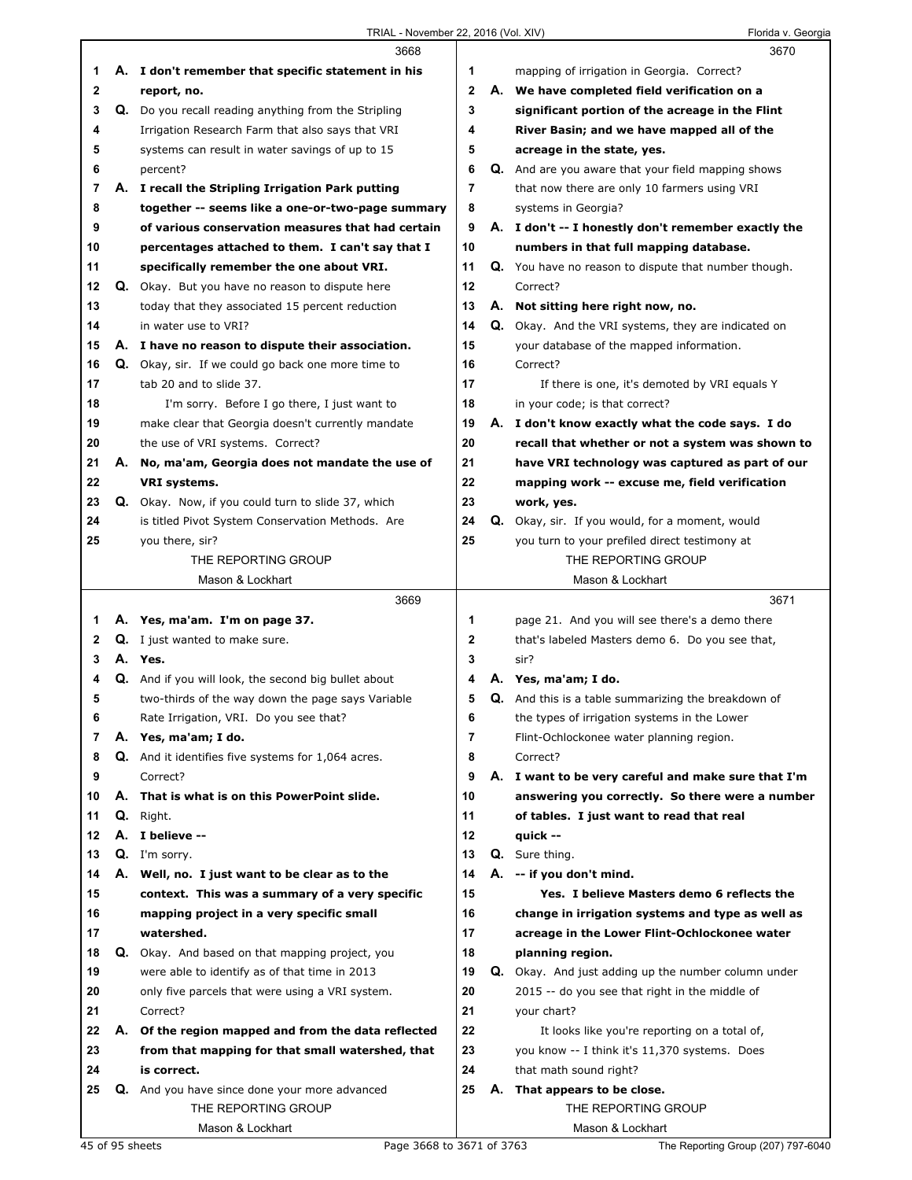|    |    | 3668                                                             |        |    | 3670                                                                                              |
|----|----|------------------------------------------------------------------|--------|----|---------------------------------------------------------------------------------------------------|
| 1  |    | A. I don't remember that specific statement in his               | 1      |    | mapping of irrigation in Georgia. Correct?                                                        |
| 2  |    | report, no.                                                      | 2      |    | A. We have completed field verification on a                                                      |
| 3  | Q. | Do you recall reading anything from the Stripling                | 3      |    | significant portion of the acreage in the Flint                                                   |
| 4  |    | Irrigation Research Farm that also says that VRI                 | 4      |    | River Basin; and we have mapped all of the                                                        |
| 5  |    | systems can result in water savings of up to 15                  | 5      |    | acreage in the state, yes.                                                                        |
| 6  |    | percent?                                                         | 6      |    | <b>Q.</b> And are you aware that your field mapping shows                                         |
| 7  |    | A. I recall the Stripling Irrigation Park putting                | 7      |    | that now there are only 10 farmers using VRI                                                      |
| 8  |    | together -- seems like a one-or-two-page summary                 | 8      |    | systems in Georgia?                                                                               |
| 9  |    | of various conservation measures that had certain                | 9      |    | A. I don't -- I honestly don't remember exactly the                                               |
| 10 |    | percentages attached to them. I can't say that I                 | 10     |    | numbers in that full mapping database.                                                            |
| 11 |    | specifically remember the one about VRI.                         | 11     |    | Q. You have no reason to dispute that number though.                                              |
| 12 |    | Q. Okay. But you have no reason to dispute here                  | 12     |    | Correct?                                                                                          |
| 13 |    | today that they associated 15 percent reduction                  | 13     |    | A. Not sitting here right now, no.                                                                |
| 14 |    | in water use to VRI?                                             | 14     |    | <b>Q.</b> Okay. And the VRI systems, they are indicated on                                        |
| 15 |    | A. I have no reason to dispute their association.                | 15     |    | your database of the mapped information.                                                          |
| 16 |    | Q. Okay, sir. If we could go back one more time to               | 16     |    | Correct?                                                                                          |
| 17 |    | tab 20 and to slide 37.                                          | 17     |    | If there is one, it's demoted by VRI equals Y                                                     |
| 18 |    | I'm sorry. Before I go there, I just want to                     | 18     |    | in your code; is that correct?                                                                    |
| 19 |    | make clear that Georgia doesn't currently mandate                | 19     |    | A. I don't know exactly what the code says. I do                                                  |
| 20 |    | the use of VRI systems. Correct?                                 | 20     |    | recall that whether or not a system was shown to                                                  |
| 21 | А. | No, ma'am, Georgia does not mandate the use of                   | 21     |    | have VRI technology was captured as part of our                                                   |
| 22 |    | VRI systems.                                                     | 22     |    | mapping work -- excuse me, field verification                                                     |
| 23 |    | Q. Okay. Now, if you could turn to slide 37, which               | 23     |    | work, yes.                                                                                        |
| 24 |    | is titled Pivot System Conservation Methods. Are                 | 24     |    | Q. Okay, sir. If you would, for a moment, would                                                   |
| 25 |    | you there, sir?                                                  | 25     |    | you turn to your prefiled direct testimony at                                                     |
|    |    | THE REPORTING GROUP                                              |        |    | THE REPORTING GROUP                                                                               |
|    |    | Mason & Lockhart                                                 |        |    | Mason & Lockhart                                                                                  |
|    |    |                                                                  |        |    |                                                                                                   |
|    |    | 3669                                                             |        |    | 3671                                                                                              |
| 1  |    |                                                                  | 1      |    |                                                                                                   |
| 2  |    | A. Yes, ma'am. I'm on page 37.<br>Q. I just wanted to make sure. | 2      |    | page 21. And you will see there's a demo there<br>that's labeled Masters demo 6. Do you see that, |
| 3  |    | A. Yes.                                                          | 3      |    | sir?                                                                                              |
| 4  |    | Q. And if you will look, the second big bullet about             | 4      |    | A. Yes, ma'am; I do.                                                                              |
| 5  |    |                                                                  | 5      |    | Q. And this is a table summarizing the breakdown of                                               |
| 6  |    | two-thirds of the way down the page says Variable                |        |    |                                                                                                   |
| 7  |    | Rate Irrigation, VRI. Do you see that?<br>A. Yes, ma'am; I do.   | 6<br>7 |    | the types of irrigation systems in the Lower                                                      |
| 8  |    | <b>Q.</b> And it identifies five systems for 1,064 acres.        | 8      |    | Flint-Ochlockonee water planning region.<br>Correct?                                              |
| 9  |    | Correct?                                                         | 9      |    | A. I want to be very careful and make sure that I'm                                               |
| 10 | А. | That is what is on this PowerPoint slide.                        | 10     |    | answering you correctly. So there were a number                                                   |
| 11 |    | Q. Right.                                                        | 11     |    | of tables. I just want to read that real                                                          |
| 12 |    | A. I believe --                                                  | 12     |    | quick --                                                                                          |
| 13 |    | Q. I'm sorry.                                                    | 13     |    | Q. Sure thing.                                                                                    |
| 14 |    | A. Well, no. I just want to be clear as to the                   | 14     | А. | -- if you don't mind.                                                                             |
| 15 |    | context. This was a summary of a very specific                   | 15     |    | Yes. I believe Masters demo 6 reflects the                                                        |
| 16 |    | mapping project in a very specific small                         | 16     |    | change in irrigation systems and type as well as                                                  |
| 17 |    | watershed.                                                       | 17     |    | acreage in the Lower Flint-Ochlockonee water                                                      |
| 18 |    | Q. Okay. And based on that mapping project, you                  | 18     |    | planning region.                                                                                  |
| 19 |    | were able to identify as of that time in 2013                    | 19     |    | Q. Okay. And just adding up the number column under                                               |
| 20 |    | only five parcels that were using a VRI system.                  | 20     |    | 2015 -- do you see that right in the middle of                                                    |
| 21 |    | Correct?                                                         | 21     |    | your chart?                                                                                       |
| 22 | А. | Of the region mapped and from the data reflected                 | 22     |    | It looks like you're reporting on a total of,                                                     |
| 23 |    | from that mapping for that small watershed, that                 | 23     |    | you know -- I think it's 11,370 systems. Does                                                     |
| 24 |    | is correct.                                                      | 24     |    | that math sound right?                                                                            |
| 25 | Q. | And you have since done your more advanced                       | 25     |    | A. That appears to be close.                                                                      |
|    |    | THE REPORTING GROUP                                              |        |    | THE REPORTING GROUP                                                                               |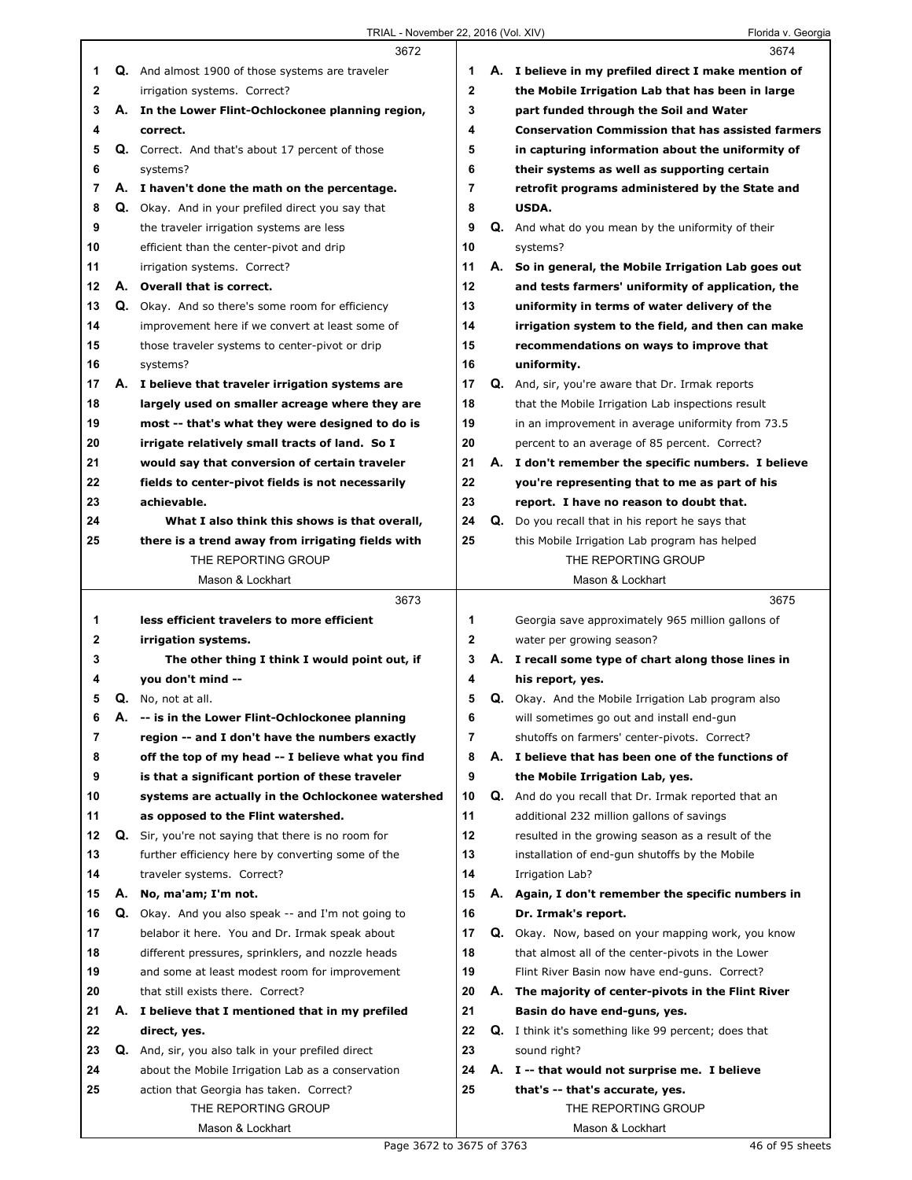|    |    | 3672                                                    |                |    | 3674                                                        |
|----|----|---------------------------------------------------------|----------------|----|-------------------------------------------------------------|
| 1  |    | <b>Q.</b> And almost 1900 of those systems are traveler | 1              |    | A. I believe in my prefiled direct I make mention of        |
| 2  |    | irrigation systems. Correct?                            | $\overline{2}$ |    | the Mobile Irrigation Lab that has been in large            |
| 3  |    | A. In the Lower Flint-Ochlockonee planning region,      | 3              |    | part funded through the Soil and Water                      |
| 4  |    | correct.                                                | 4              |    | <b>Conservation Commission that has assisted farmers</b>    |
| 5  |    | Q. Correct. And that's about 17 percent of those        | 5              |    | in capturing information about the uniformity of            |
| 6  |    | systems?                                                | 6              |    | their systems as well as supporting certain                 |
| 7  |    | A. I haven't done the math on the percentage.           | $\overline{7}$ |    | retrofit programs administered by the State and             |
| 8  |    | Q. Okay. And in your prefiled direct you say that       | 8              |    | USDA.                                                       |
| 9  |    | the traveler irrigation systems are less                | 9              | Q. | And what do you mean by the uniformity of their             |
| 10 |    | efficient than the center-pivot and drip                | 10             |    | systems?                                                    |
| 11 |    | irrigation systems. Correct?                            | 11             |    | A. So in general, the Mobile Irrigation Lab goes out        |
| 12 |    | A. Overall that is correct.                             | 12             |    | and tests farmers' uniformity of application, the           |
| 13 |    | Q. Okay. And so there's some room for efficiency        | 13             |    | uniformity in terms of water delivery of the                |
| 14 |    | improvement here if we convert at least some of         | 14             |    | irrigation system to the field, and then can make           |
| 15 |    | those traveler systems to center-pivot or drip          | 15             |    | recommendations on ways to improve that                     |
| 16 |    | systems?                                                | 16             |    | uniformity.                                                 |
| 17 |    | A. I believe that traveler irrigation systems are       | 17             |    | Q. And, sir, you're aware that Dr. Irmak reports            |
| 18 |    | largely used on smaller acreage where they are          | 18             |    | that the Mobile Irrigation Lab inspections result           |
| 19 |    | most -- that's what they were designed to do is         | 19             |    | in an improvement in average uniformity from 73.5           |
| 20 |    | irrigate relatively small tracts of land. So I          | 20             |    | percent to an average of 85 percent. Correct?               |
| 21 |    | would say that conversion of certain traveler           | 21             |    | A. I don't remember the specific numbers. I believe         |
| 22 |    | fields to center-pivot fields is not necessarily        | 22             |    | you're representing that to me as part of his               |
| 23 |    | achievable.                                             | 23             |    | report. I have no reason to doubt that.                     |
| 24 |    | What I also think this shows is that overall,           | 24             | Q. | Do you recall that in his report he says that               |
| 25 |    | there is a trend away from irrigating fields with       | 25             |    | this Mobile Irrigation Lab program has helped               |
|    |    | THE REPORTING GROUP                                     |                |    | THE REPORTING GROUP                                         |
|    |    | Mason & Lockhart                                        |                |    | Mason & Lockhart                                            |
|    |    |                                                         |                |    |                                                             |
|    |    | 3673                                                    |                |    | 3675                                                        |
| 1  |    | less efficient travelers to more efficient              | 1              |    | Georgia save approximately 965 million gallons of           |
| 2  |    | irrigation systems.                                     | $\mathbf 2$    |    | water per growing season?                                   |
| 3  |    | The other thing I think I would point out, if           | 3              |    | A. I recall some type of chart along those lines in         |
| 4  |    | you don't mind --                                       | 4              |    | his report, yes.                                            |
| 5  |    | Q. No, not at all.                                      | 5              |    | <b>Q.</b> Okay. And the Mobile Irrigation Lab program also  |
| 6  | Α. | -- is in the Lower Flint-Ochlockonee planning           | 6              |    | will sometimes go out and install end-gun                   |
| 7  |    | region -- and I don't have the numbers exactly          | 7              |    | shutoffs on farmers' center-pivots. Correct?                |
| 8  |    | off the top of my head -- I believe what you find       | 8              |    | A. I believe that has been one of the functions of          |
| 9  |    | is that a significant portion of these traveler         | 9              |    | the Mobile Irrigation Lab, yes.                             |
| 10 |    | systems are actually in the Ochlockonee watershed       | 10             |    | Q. And do you recall that Dr. Irmak reported that an        |
| 11 |    | as opposed to the Flint watershed.                      | 11             |    | additional 232 million gallons of savings                   |
| 12 |    | Q. Sir, you're not saying that there is no room for     | 12             |    | resulted in the growing season as a result of the           |
| 13 |    | further efficiency here by converting some of the       | 13             |    | installation of end-gun shutoffs by the Mobile              |
| 14 |    | traveler systems. Correct?                              | 14             |    | Irrigation Lab?                                             |
| 15 | А. | No, ma'am; I'm not.                                     | 15             |    | A. Again, I don't remember the specific numbers in          |
| 16 |    | Q. Okay. And you also speak -- and I'm not going to     | 16             |    | Dr. Irmak's report.                                         |
| 17 |    | belabor it here. You and Dr. Irmak speak about          | 17             |    | Q. Okay. Now, based on your mapping work, you know          |
| 18 |    | different pressures, sprinklers, and nozzle heads       | 18             |    | that almost all of the center-pivots in the Lower           |
| 19 |    | and some at least modest room for improvement           | 19             |    | Flint River Basin now have end-guns. Correct?               |
| 20 |    | that still exists there. Correct?                       | 20             |    | A. The majority of center-pivots in the Flint River         |
| 21 |    | A. I believe that I mentioned that in my prefiled       | 21             |    | Basin do have end-guns, yes.                                |
| 22 |    | direct, yes.                                            | 22             |    | <b>Q.</b> I think it's something like 99 percent; does that |
| 23 |    | Q. And, sir, you also talk in your prefiled direct      | 23             |    | sound right?                                                |
| 24 |    | about the Mobile Irrigation Lab as a conservation       | 24             |    | A. I -- that would not surprise me. I believe               |
| 25 |    | action that Georgia has taken. Correct?                 | 25             |    | that's -- that's accurate, yes.                             |
|    |    | THE REPORTING GROUP                                     |                |    | THE REPORTING GROUP                                         |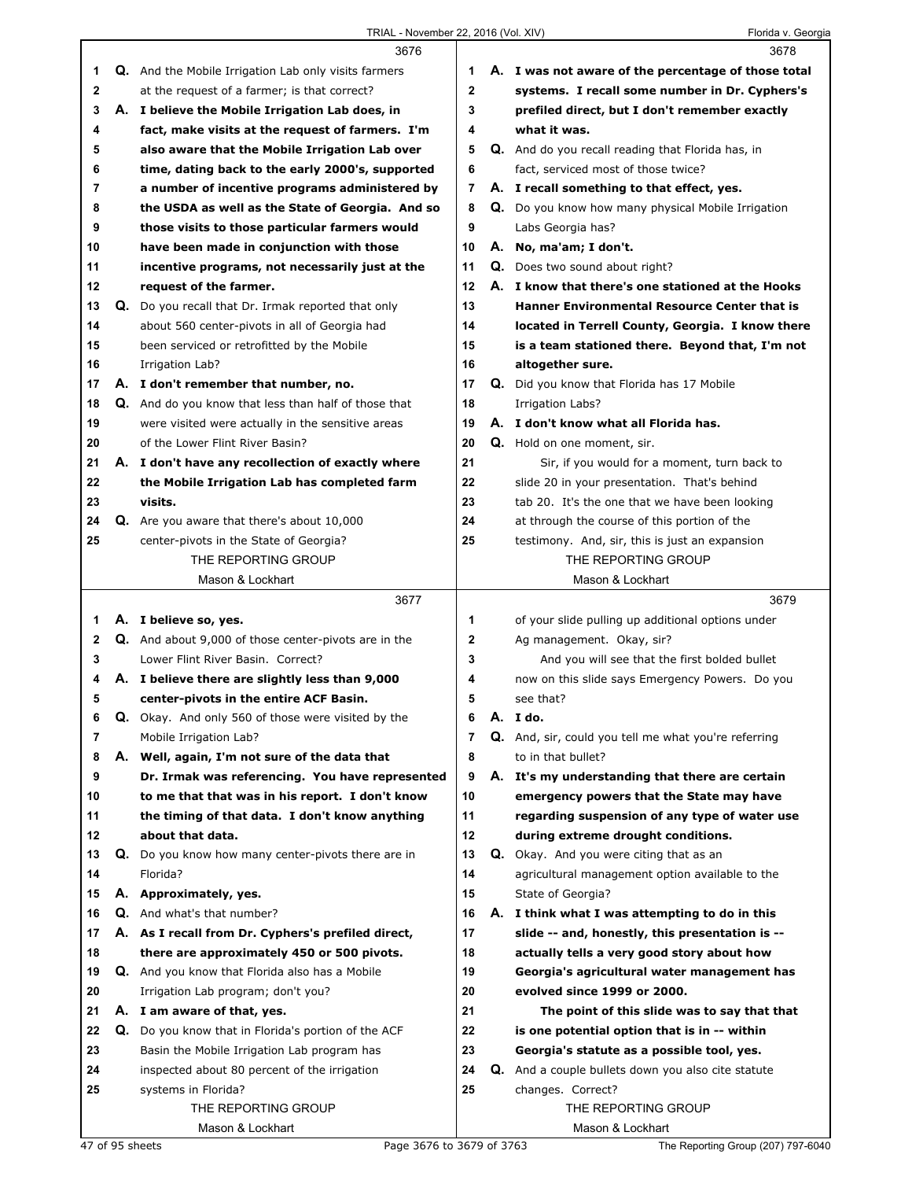|              |    | 3676                                                               |                | 3678                                                                                       |
|--------------|----|--------------------------------------------------------------------|----------------|--------------------------------------------------------------------------------------------|
| 1            |    | <b>Q.</b> And the Mobile Irrigation Lab only visits farmers        | 1              | A. I was not aware of the percentage of those total                                        |
| $\mathbf{2}$ |    | at the request of a farmer; is that correct?                       | $\mathbf{2}$   | systems. I recall some number in Dr. Cyphers's                                             |
| 3            |    | A. I believe the Mobile Irrigation Lab does, in                    | 3              | prefiled direct, but I don't remember exactly                                              |
| 4            |    | fact, make visits at the request of farmers. I'm                   | 4              | what it was.                                                                               |
| 5            |    | also aware that the Mobile Irrigation Lab over                     | 5              | Q. And do you recall reading that Florida has, in                                          |
| 6            |    | time, dating back to the early 2000's, supported                   | 6              | fact, serviced most of those twice?                                                        |
| 7            |    | a number of incentive programs administered by                     | 7              | A. I recall something to that effect, yes.                                                 |
| 8            |    | the USDA as well as the State of Georgia. And so                   | 8              | <b>Q.</b> Do you know how many physical Mobile Irrigation                                  |
| 9            |    | those visits to those particular farmers would                     | 9              | Labs Georgia has?                                                                          |
| 10           |    | have been made in conjunction with those                           | 10             | A. No, ma'am; I don't.                                                                     |
| 11           |    | incentive programs, not necessarily just at the                    | 11             | <b>Q.</b> Does two sound about right?                                                      |
| 12           |    | request of the farmer.                                             | 12             | A. I know that there's one stationed at the Hooks                                          |
| 13           |    | <b>Q.</b> Do you recall that Dr. Irmak reported that only          | 13             | <b>Hanner Environmental Resource Center that is</b>                                        |
| 14           |    | about 560 center-pivots in all of Georgia had                      | 14             | located in Terrell County, Georgia. I know there                                           |
| 15           |    | been serviced or retrofitted by the Mobile                         | 15             | is a team stationed there. Beyond that, I'm not                                            |
| 16           |    | Irrigation Lab?                                                    | 16             | altogether sure.                                                                           |
| 17           |    | A. I don't remember that number, no.                               | 17             | <b>Q.</b> Did you know that Florida has 17 Mobile                                          |
| 18           |    | Q. And do you know that less than half of those that               | 18             | <b>Irrigation Labs?</b>                                                                    |
| 19           |    | were visited were actually in the sensitive areas                  | 19             | A. I don't know what all Florida has.                                                      |
| 20           |    | of the Lower Flint River Basin?                                    | 20             | Q. Hold on one moment, sir.                                                                |
| 21           |    | A. I don't have any recollection of exactly where                  | 21             | Sir, if you would for a moment, turn back to                                               |
| 22           |    | the Mobile Irrigation Lab has completed farm                       | 22             | slide 20 in your presentation. That's behind                                               |
| 23           |    | visits.                                                            | 23             | tab 20. It's the one that we have been looking                                             |
| 24           |    | Q. Are you aware that there's about 10,000                         | 24             | at through the course of this portion of the                                               |
| 25           |    | center-pivots in the State of Georgia?                             | 25             | testimony. And, sir, this is just an expansion                                             |
|              |    | THE REPORTING GROUP                                                |                | THE REPORTING GROUP                                                                        |
|              |    | Mason & Lockhart                                                   |                | Mason & Lockhart                                                                           |
|              |    |                                                                    |                |                                                                                            |
|              |    | 3677                                                               |                | 3679                                                                                       |
| 1            |    | A. I believe so, yes.                                              | 1              | of your slide pulling up additional options under                                          |
| $\mathbf{2}$ |    | Q. And about 9,000 of those center-pivots are in the               | $\mathbf 2$    | Ag management. Okay, sir?                                                                  |
| 3            |    | Lower Flint River Basin, Correct?                                  | 3              | And you will see that the first bolded bullet                                              |
| 4            |    | A. I believe there are slightly less than 9,000                    | 4              | now on this slide says Emergency Powers. Do you                                            |
| 5            |    | center-pivots in the entire ACF Basin.                             | 5              | see that?                                                                                  |
| 6            |    | <b>Q.</b> Okay. And only 560 of those were visited by the          | 6              | A. I do.                                                                                   |
| 7            |    | Mobile Irrigation Lab?                                             | $\overline{7}$ | Q. And, sir, could you tell me what you're referring                                       |
| 8            | А. | Well, again, I'm not sure of the data that                         | 8              | to in that bullet?                                                                         |
| 9            |    | Dr. Irmak was referencing. You have represented                    | 9              | A. It's my understanding that there are certain                                            |
| 10           |    | to me that that was in his report. I don't know                    | 10<br>11       | emergency powers that the State may have                                                   |
| 11<br>12     |    | the timing of that data. I don't know anything<br>about that data. | 12             | regarding suspension of any type of water use<br>during extreme drought conditions.        |
| 13           |    | Q. Do you know how many center-pivots there are in                 | 13             |                                                                                            |
| 14           |    | Florida?                                                           | 14             | Q. Okay. And you were citing that as an<br>agricultural management option available to the |
| 15           |    | A. Approximately, yes.                                             | 15             | State of Georgia?                                                                          |
| 16           |    | <b>Q.</b> And what's that number?                                  | 16             | A. I think what I was attempting to do in this                                             |
| 17           |    | A. As I recall from Dr. Cyphers's prefiled direct,                 | 17             | slide -- and, honestly, this presentation is --                                            |
| 18           |    | there are approximately 450 or 500 pivots.                         | 18             | actually tells a very good story about how                                                 |
| 19           |    | <b>Q.</b> And you know that Florida also has a Mobile              | 19             | Georgia's agricultural water management has                                                |
| 20           |    | Irrigation Lab program; don't you?                                 | 20             | evolved since 1999 or 2000.                                                                |
| 21           |    | A. I am aware of that, yes.                                        | 21             | The point of this slide was to say that that                                               |
| 22           |    | Q. Do you know that in Florida's portion of the ACF                | 22             | is one potential option that is in -- within                                               |
| 23           |    | Basin the Mobile Irrigation Lab program has                        | 23             | Georgia's statute as a possible tool, yes.                                                 |
| 24           |    | inspected about 80 percent of the irrigation                       | 24             | Q. And a couple bullets down you also cite statute                                         |
| 25           |    | systems in Florida?                                                | 25             | changes. Correct?                                                                          |
|              |    | THE REPORTING GROUP                                                |                | THE REPORTING GROUP                                                                        |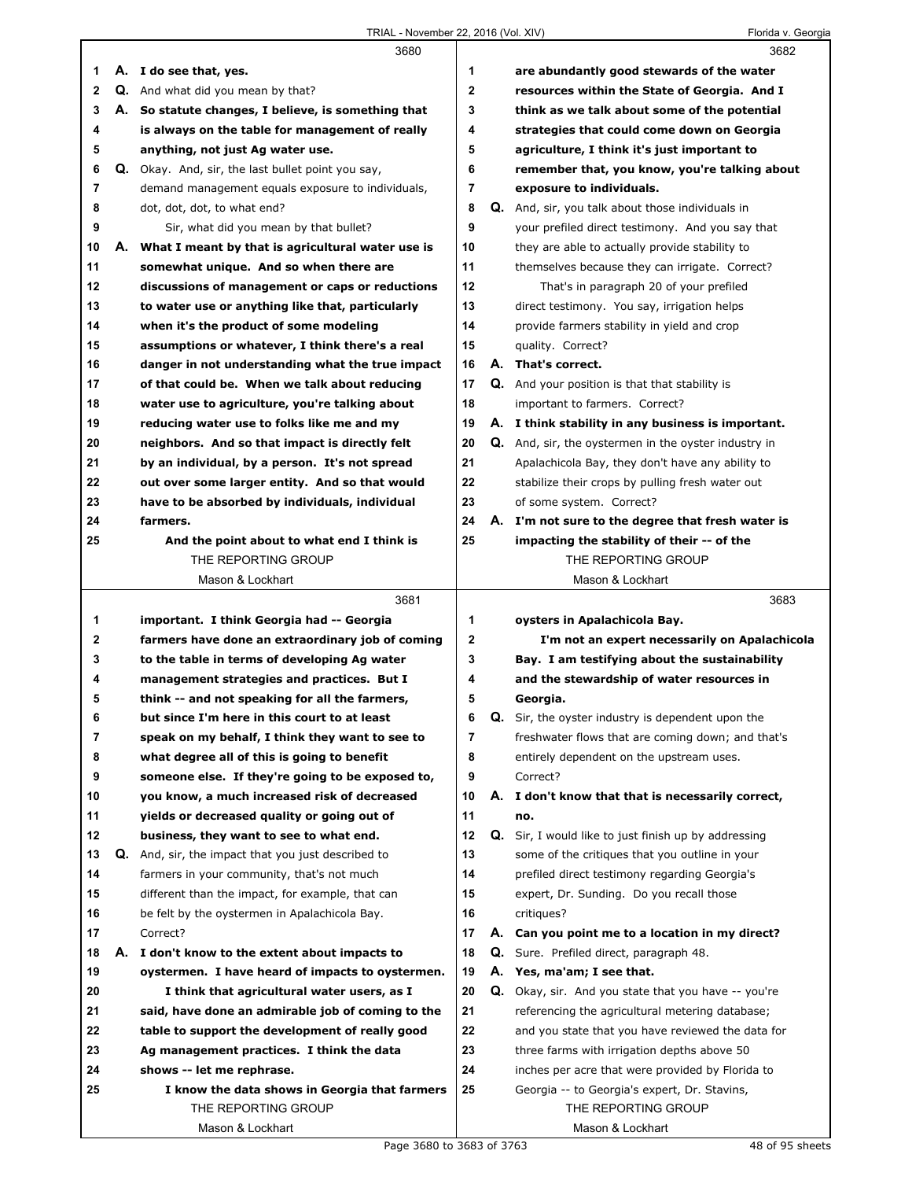|    |    | 3680                                                |              |    | 3682                                                        |  |
|----|----|-----------------------------------------------------|--------------|----|-------------------------------------------------------------|--|
| 1  |    | A. I do see that, yes.                              | 1            |    | are abundantly good stewards of the water                   |  |
| 2  |    | Q. And what did you mean by that?                   | $\mathbf{2}$ |    | resources within the State of Georgia. And I                |  |
| 3  |    | A. So statute changes, I believe, is something that | 3            |    | think as we talk about some of the potential                |  |
| 4  |    | is always on the table for management of really     | 4            |    | strategies that could come down on Georgia                  |  |
| 5  |    | anything, not just Ag water use.                    | 5            |    | agriculture, I think it's just important to                 |  |
| 6  |    | Q. Okay. And, sir, the last bullet point you say,   | 6            |    | remember that, you know, you're talking about               |  |
| 7  |    | demand management equals exposure to individuals,   | 7            |    | exposure to individuals.                                    |  |
| 8  |    | dot, dot, dot, to what end?                         | 8            |    | Q. And, sir, you talk about those individuals in            |  |
| 9  |    | Sir, what did you mean by that bullet?              | 9            |    | your prefiled direct testimony. And you say that            |  |
| 10 | А. | What I meant by that is agricultural water use is   | 10           |    | they are able to actually provide stability to              |  |
| 11 |    | somewhat unique. And so when there are              | 11           |    | themselves because they can irrigate. Correct?              |  |
| 12 |    | discussions of management or caps or reductions     | 12           |    | That's in paragraph 20 of your prefiled                     |  |
| 13 |    | to water use or anything like that, particularly    | 13           |    | direct testimony. You say, irrigation helps                 |  |
| 14 |    | when it's the product of some modeling              | 14           |    | provide farmers stability in yield and crop                 |  |
| 15 |    | assumptions or whatever, I think there's a real     | 15           |    | quality. Correct?                                           |  |
| 16 |    | danger in not understanding what the true impact    | 16           |    | A. That's correct.                                          |  |
| 17 |    | of that could be. When we talk about reducing       | 17           |    | <b>Q.</b> And your position is that that stability is       |  |
| 18 |    | water use to agriculture, you're talking about      | 18           |    | important to farmers. Correct?                              |  |
| 19 |    | reducing water use to folks like me and my          | 19           |    | A. I think stability in any business is important.          |  |
| 20 |    | neighbors. And so that impact is directly felt      | 20           |    | <b>Q.</b> And, sir, the oystermen in the oyster industry in |  |
| 21 |    | by an individual, by a person. It's not spread      | 21           |    | Apalachicola Bay, they don't have any ability to            |  |
| 22 |    | out over some larger entity. And so that would      | 22           |    | stabilize their crops by pulling fresh water out            |  |
| 23 |    | have to be absorbed by individuals, individual      | 23           |    | of some system. Correct?                                    |  |
| 24 |    | farmers.                                            | 24           |    | A. I'm not sure to the degree that fresh water is           |  |
| 25 |    | And the point about to what end I think is          | 25           |    | impacting the stability of their -- of the                  |  |
|    |    | THE REPORTING GROUP                                 |              |    | THE REPORTING GROUP                                         |  |
|    |    | Mason & Lockhart                                    |              |    | Mason & Lockhart                                            |  |
|    |    |                                                     |              |    |                                                             |  |
|    |    | 3681                                                |              |    | 3683                                                        |  |
| 1  |    | important. I think Georgia had -- Georgia           | 1            |    | oysters in Apalachicola Bay.                                |  |
| 2  |    | farmers have done an extraordinary job of coming    | $\mathbf{2}$ |    | I'm not an expert necessarily on Apalachicola               |  |
| 3  |    | to the table in terms of developing Ag water        | 3            |    | Bay. I am testifying about the sustainability               |  |
| 4  |    | management strategies and practices. But I          | 4            |    | and the stewardship of water resources in                   |  |
| 5  |    | think -- and not speaking for all the farmers,      | 5            |    | Georgia.                                                    |  |
| 6  |    | but since I'm here in this court to at least        | 6            | Q. | Sir, the oyster industry is dependent upon the              |  |
| 7  |    | speak on my behalf, I think they want to see to     | 7            |    | freshwater flows that are coming down; and that's           |  |
| 8  |    | what degree all of this is going to benefit         | 8            |    | entirely dependent on the upstream uses.                    |  |
| 9  |    | someone else. If they're going to be exposed to,    | 9            |    | Correct?                                                    |  |
| 10 |    | you know, a much increased risk of decreased        | 10           |    | A. I don't know that that is necessarily correct,           |  |
| 11 |    | yields or decreased quality or going out of         | 11           |    | no.                                                         |  |
| 12 |    | business, they want to see to what end.             | 12           | Q. | Sir, I would like to just finish up by addressing           |  |
| 13 | Q. | And, sir, the impact that you just described to     | 13           |    | some of the critiques that you outline in your              |  |
| 14 |    | farmers in your community, that's not much          | 14           |    | prefiled direct testimony regarding Georgia's               |  |
| 15 |    | different than the impact, for example, that can    | 15           |    | expert, Dr. Sunding. Do you recall those                    |  |
| 16 |    | be felt by the oystermen in Apalachicola Bay.       | 16           |    | critiques?                                                  |  |
| 17 |    | Correct?                                            | 17           | А. | Can you point me to a location in my direct?                |  |
| 18 |    | A. I don't know to the extent about impacts to      | 18           |    | Q. Sure. Prefiled direct, paragraph 48.                     |  |
| 19 |    | oystermen. I have heard of impacts to oystermen.    | 19           |    | A. Yes, ma'am; I see that.                                  |  |
| 20 |    | I think that agricultural water users, as I         | 20           | Q. | Okay, sir. And you state that you have -- you're            |  |
| 21 |    | said, have done an admirable job of coming to the   | 21           |    | referencing the agricultural metering database;             |  |
| 22 |    | table to support the development of really good     | 22           |    | and you state that you have reviewed the data for           |  |
| 23 |    | Ag management practices. I think the data           | 23           |    | three farms with irrigation depths above 50                 |  |
| 24 |    | shows -- let me rephrase.                           | 24           |    | inches per acre that were provided by Florida to            |  |
| 25 |    | I know the data shows in Georgia that farmers       | 25           |    | Georgia -- to Georgia's expert, Dr. Stavins,                |  |
|    |    | THE REPORTING GROUP                                 |              |    | THE REPORTING GROUP                                         |  |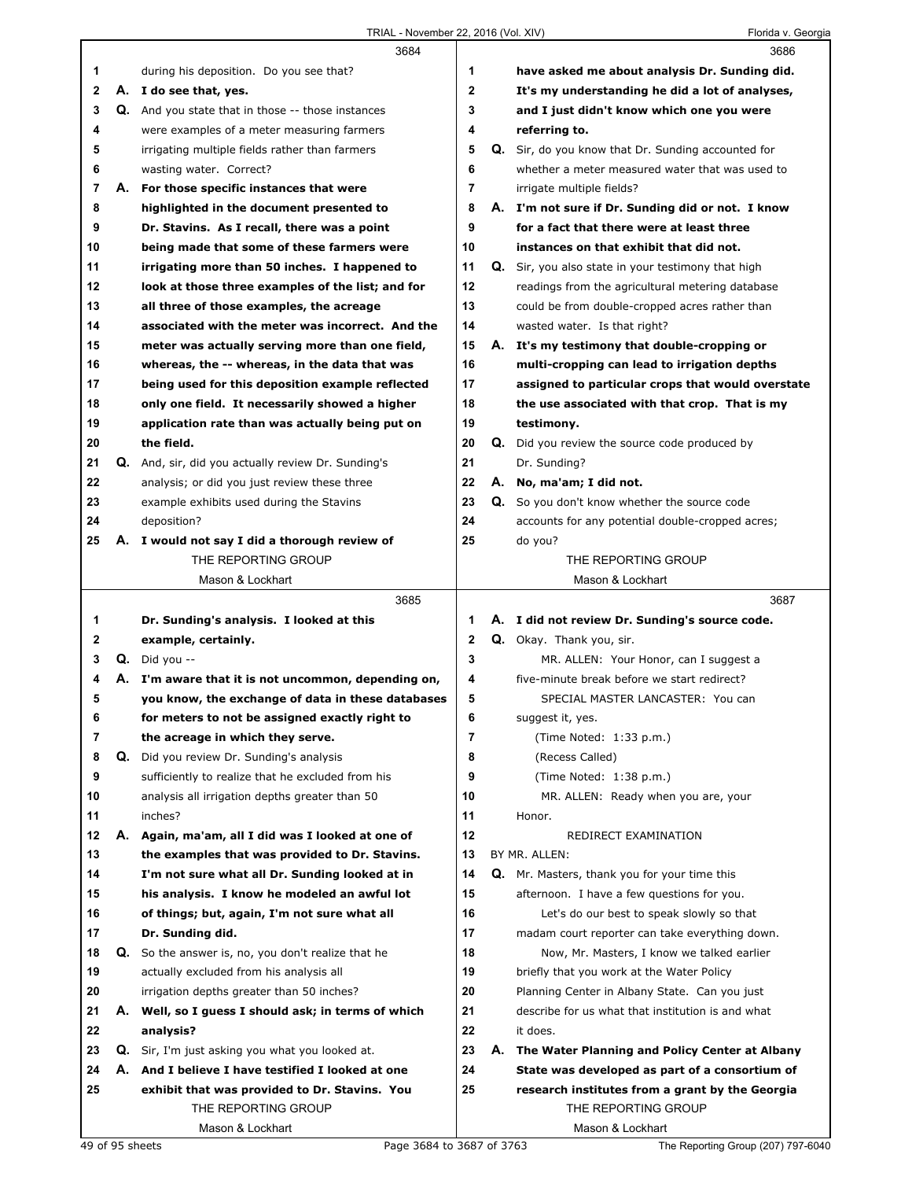|             |    | 3684                                                      |              | 3686                                                      |
|-------------|----|-----------------------------------------------------------|--------------|-----------------------------------------------------------|
| 1           |    | during his deposition. Do you see that?                   | 1            | have asked me about analysis Dr. Sunding did.             |
| $\mathbf 2$ |    | A. I do see that, yes.                                    | $\mathbf{2}$ | It's my understanding he did a lot of analyses,           |
| 3           |    | Q. And you state that in those -- those instances         | 3            | and I just didn't know which one you were                 |
| 4           |    | were examples of a meter measuring farmers                | 4            | referring to.                                             |
| 5           |    | irrigating multiple fields rather than farmers            | 5            | <b>Q.</b> Sir, do you know that Dr. Sunding accounted for |
| 6           |    | wasting water. Correct?                                   | 6            | whether a meter measured water that was used to           |
| 7           |    | A. For those specific instances that were                 | 7            | irrigate multiple fields?                                 |
| 8           |    | highlighted in the document presented to                  | 8            | A. I'm not sure if Dr. Sunding did or not. I know         |
| 9           |    | Dr. Stavins. As I recall, there was a point               | 9            | for a fact that there were at least three                 |
| 10          |    | being made that some of these farmers were                | 10           | instances on that exhibit that did not.                   |
| 11          |    | irrigating more than 50 inches. I happened to             | 11           | Q. Sir, you also state in your testimony that high        |
| 12          |    | look at those three examples of the list; and for         | 12           | readings from the agricultural metering database          |
| 13          |    | all three of those examples, the acreage                  | 13           | could be from double-cropped acres rather than            |
| 14          |    | associated with the meter was incorrect. And the          | 14           | wasted water. Is that right?                              |
| 15          |    | meter was actually serving more than one field,           | 15           | A. It's my testimony that double-cropping or              |
| 16          |    | whereas, the -- whereas, in the data that was             | 16           | multi-cropping can lead to irrigation depths              |
| 17          |    | being used for this deposition example reflected          | 17           | assigned to particular crops that would overstate         |
| 18          |    | only one field. It necessarily showed a higher            | 18           | the use associated with that crop. That is my             |
| 19          |    | application rate than was actually being put on           | 19           | testimony.                                                |
| 20          |    | the field.                                                | 20           | <b>Q.</b> Did you review the source code produced by      |
| 21          |    | <b>Q.</b> And, sir, did you actually review Dr. Sunding's | 21           | Dr. Sunding?                                              |
| 22          |    | analysis; or did you just review these three              | 22           | A. No, ma'am; I did not.                                  |
| 23          |    | example exhibits used during the Stavins                  | 23           | Q. So you don't know whether the source code              |
| 24          |    | deposition?                                               | 24           | accounts for any potential double-cropped acres;          |
| 25          |    | A. I would not say I did a thorough review of             | 25           | do you?                                                   |
|             |    | THE REPORTING GROUP                                       |              | THE REPORTING GROUP                                       |
|             |    | Mason & Lockhart                                          |              | Mason & Lockhart                                          |
|             |    |                                                           |              |                                                           |
|             |    | 3685                                                      |              | 3687                                                      |
| 1           |    | Dr. Sunding's analysis. I looked at this                  | 1            | A. I did not review Dr. Sunding's source code.            |
| 2           |    | example, certainly.                                       | 2            | Q. Okay. Thank you, sir.                                  |
| 3           |    | $Q.$ Did you --                                           | 3            | MR. ALLEN: Your Honor, can I suggest a                    |
| 4           |    | A. I'm aware that it is not uncommon, depending on,       | 4            | five-minute break before we start redirect?               |
| 5           |    | you know, the exchange of data in these databases         | 5            | SPECIAL MASTER LANCASTER: You can                         |
| 6           |    | for meters to not be assigned exactly right to            | 6            | suggest it, yes.                                          |
| 7           |    | the acreage in which they serve.                          | 7            | (Time Noted: 1:33 p.m.)                                   |
| 8           |    | <b>Q.</b> Did you review Dr. Sunding's analysis           | 8            | (Recess Called)                                           |
| 9           |    | sufficiently to realize that he excluded from his         | 9            | (Time Noted: 1:38 p.m.)                                   |
| 10          |    | analysis all irrigation depths greater than 50            | 10           | MR. ALLEN: Ready when you are, your                       |
| 11          |    | inches?                                                   | 11           | Honor.                                                    |
| 12          | А. | Again, ma'am, all I did was I looked at one of            | 12           | REDIRECT EXAMINATION                                      |
| 13          |    | the examples that was provided to Dr. Stavins.            | 13           | BY MR. ALLEN:                                             |
| 14          |    | I'm not sure what all Dr. Sunding looked at in            | 14           | Q. Mr. Masters, thank you for your time this              |
| 15          |    | his analysis. I know he modeled an awful lot              | 15           | afternoon. I have a few questions for you.                |
| 16          |    | of things; but, again, I'm not sure what all              | 16           | Let's do our best to speak slowly so that                 |
| 17          |    | Dr. Sunding did.                                          | 17           | madam court reporter can take everything down.            |
| 18          |    | Q. So the answer is, no, you don't realize that he        | 18           | Now, Mr. Masters, I know we talked earlier                |
| 19          |    | actually excluded from his analysis all                   | 19           | briefly that you work at the Water Policy                 |
| 20          |    | irrigation depths greater than 50 inches?                 | 20           | Planning Center in Albany State. Can you just             |
| 21          | А. | Well, so I guess I should ask; in terms of which          | 21           | describe for us what that institution is and what         |
| 22          |    | analysis?                                                 | 22           | it does.                                                  |
| 23          |    | Q. Sir, I'm just asking you what you looked at.           | 23           | A. The Water Planning and Policy Center at Albany         |
| 24          | А. | And I believe I have testified I looked at one            | 24           | State was developed as part of a consortium of            |
| 25          |    | exhibit that was provided to Dr. Stavins. You             | 25           | research institutes from a grant by the Georgia           |
|             |    | THE REPORTING GROUP                                       |              | THE REPORTING GROUP                                       |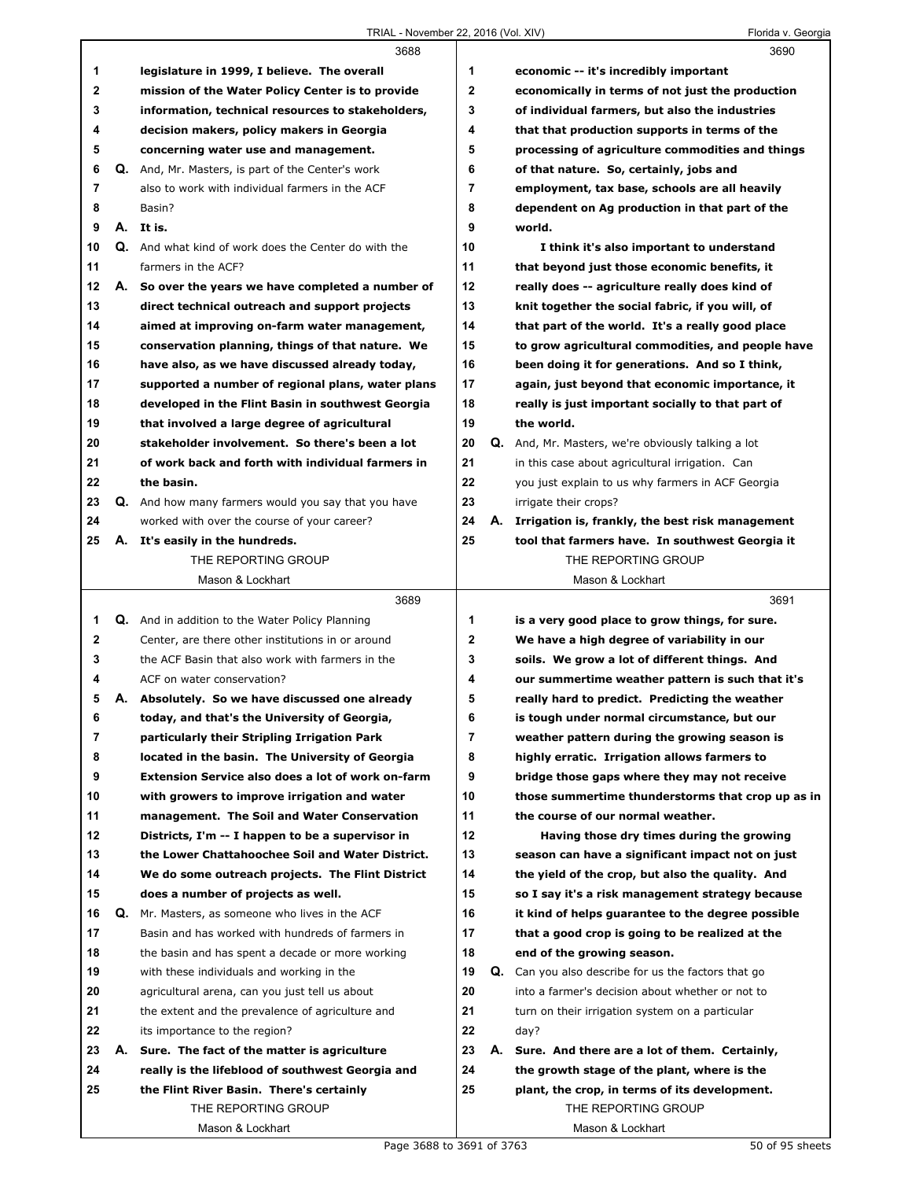|              |    | 3688                                                     |                |    | 3690                                                       |
|--------------|----|----------------------------------------------------------|----------------|----|------------------------------------------------------------|
| 1            |    | legislature in 1999, I believe. The overall              | 1              |    | economic -- it's incredibly important                      |
| 2            |    | mission of the Water Policy Center is to provide         | $\mathbf{2}$   |    | economically in terms of not just the production           |
| 3            |    | information, technical resources to stakeholders,        | 3              |    | of individual farmers, but also the industries             |
| 4            |    | decision makers, policy makers in Georgia                | 4              |    | that that production supports in terms of the              |
| 5            |    | concerning water use and management.                     | 5              |    | processing of agriculture commodities and things           |
| 6            |    | Q. And, Mr. Masters, is part of the Center's work        | 6              |    | of that nature. So, certainly, jobs and                    |
| 7            |    | also to work with individual farmers in the ACF          | $\overline{7}$ |    | employment, tax base, schools are all heavily              |
| 8            |    | Basin?                                                   | 8              |    | dependent on Ag production in that part of the             |
| 9            |    | A. It is.                                                | 9              |    | world.                                                     |
| 10           |    | Q. And what kind of work does the Center do with the     | 10             |    | I think it's also important to understand                  |
| 11           |    | farmers in the ACF?                                      | 11             |    | that beyond just those economic benefits, it               |
| 12           |    | A. So over the years we have completed a number of       | 12             |    | really does -- agriculture really does kind of             |
| 13           |    | direct technical outreach and support projects           | 13             |    | knit together the social fabric, if you will, of           |
| 14           |    | aimed at improving on-farm water management,             | 14             |    | that part of the world. It's a really good place           |
| 15           |    | conservation planning, things of that nature. We         | 15             |    | to grow agricultural commodities, and people have          |
| 16           |    | have also, as we have discussed already today,           | 16             |    | been doing it for generations. And so I think,             |
| 17           |    | supported a number of regional plans, water plans        | 17             |    | again, just beyond that economic importance, it            |
| 18           |    | developed in the Flint Basin in southwest Georgia        | 18             |    | really is just important socially to that part of          |
| 19           |    | that involved a large degree of agricultural             | 19             |    | the world.                                                 |
| 20           |    | stakeholder involvement. So there's been a lot           | 20             | Q. | And, Mr. Masters, we're obviously talking a lot            |
| 21           |    | of work back and forth with individual farmers in        | 21             |    | in this case about agricultural irrigation. Can            |
| 22           |    | the basin.                                               | 22             |    | you just explain to us why farmers in ACF Georgia          |
| 23           |    | Q. And how many farmers would you say that you have      | 23             |    | irrigate their crops?                                      |
| 24           |    | worked with over the course of your career?              | 24             | А. | Irrigation is, frankly, the best risk management           |
| 25           |    | A. It's easily in the hundreds.                          | 25             |    | tool that farmers have. In southwest Georgia it            |
|              |    | THE REPORTING GROUP                                      |                |    | THE REPORTING GROUP                                        |
|              |    | Mason & Lockhart                                         |                |    | Mason & Lockhart                                           |
|              |    |                                                          |                |    |                                                            |
|              |    | 3689                                                     |                |    | 3691                                                       |
| 1            |    | Q. And in addition to the Water Policy Planning          | 1              |    | is a very good place to grow things, for sure.             |
| $\mathbf{2}$ |    | Center, are there other institutions in or around        | $\mathbf{2}$   |    | We have a high degree of variability in our                |
| 3            |    | the ACF Basin that also work with farmers in the         | 3              |    | soils. We grow a lot of different things. And              |
| 4            |    | ACF on water conservation?                               | 4              |    | our summertime weather pattern is such that it's           |
| 5            |    | A. Absolutely. So we have discussed one already          | 5              |    | really hard to predict. Predicting the weather             |
| 6            |    | today, and that's the University of Georgia,             | 6              |    | is tough under normal circumstance, but our                |
| 7            |    | particularly their Stripling Irrigation Park             | 7              |    | weather pattern during the growing season is               |
| 8            |    | located in the basin. The University of Georgia          | 8              |    | highly erratic. Irrigation allows farmers to               |
| 9            |    | <b>Extension Service also does a lot of work on-farm</b> | 9              |    | bridge those gaps where they may not receive               |
| 10           |    | with growers to improve irrigation and water             | 10             |    | those summertime thunderstorms that crop up as in          |
| 11           |    | management. The Soil and Water Conservation              | 11             |    | the course of our normal weather.                          |
| 12           |    | Districts, I'm -- I happen to be a supervisor in         | 12             |    | Having those dry times during the growing                  |
| 13           |    | the Lower Chattahoochee Soil and Water District.         | 13             |    | season can have a significant impact not on just           |
| 14           |    | We do some outreach projects. The Flint District         | 14             |    | the yield of the crop, but also the quality. And           |
| 15           |    | does a number of projects as well.                       | 15             |    | so I say it's a risk management strategy because           |
| 16           | Q. | Mr. Masters, as someone who lives in the ACF             | 16             |    | it kind of helps guarantee to the degree possible          |
| 17           |    | Basin and has worked with hundreds of farmers in         | 17             |    | that a good crop is going to be realized at the            |
| 18           |    | the basin and has spent a decade or more working         | 18             |    | end of the growing season.                                 |
| 19           |    | with these individuals and working in the                | 19             |    | <b>Q.</b> Can you also describe for us the factors that go |
| 20           |    | agricultural arena, can you just tell us about           | 20             |    | into a farmer's decision about whether or not to           |
| 21           |    | the extent and the prevalence of agriculture and         | 21             |    | turn on their irrigation system on a particular            |
| 22           |    | its importance to the region?                            | 22             |    | day?                                                       |
| 23           | А. | Sure. The fact of the matter is agriculture              | 23             | А. | Sure. And there are a lot of them. Certainly,              |
| 24           |    | really is the lifeblood of southwest Georgia and         | 24             |    | the growth stage of the plant, where is the                |
| 25           |    | the Flint River Basin. There's certainly                 | 25             |    | plant, the crop, in terms of its development.              |
|              |    | THE REPORTING GROUP<br>Mason & Lockhart                  |                |    | THE REPORTING GROUP<br>Mason & Lockhart                    |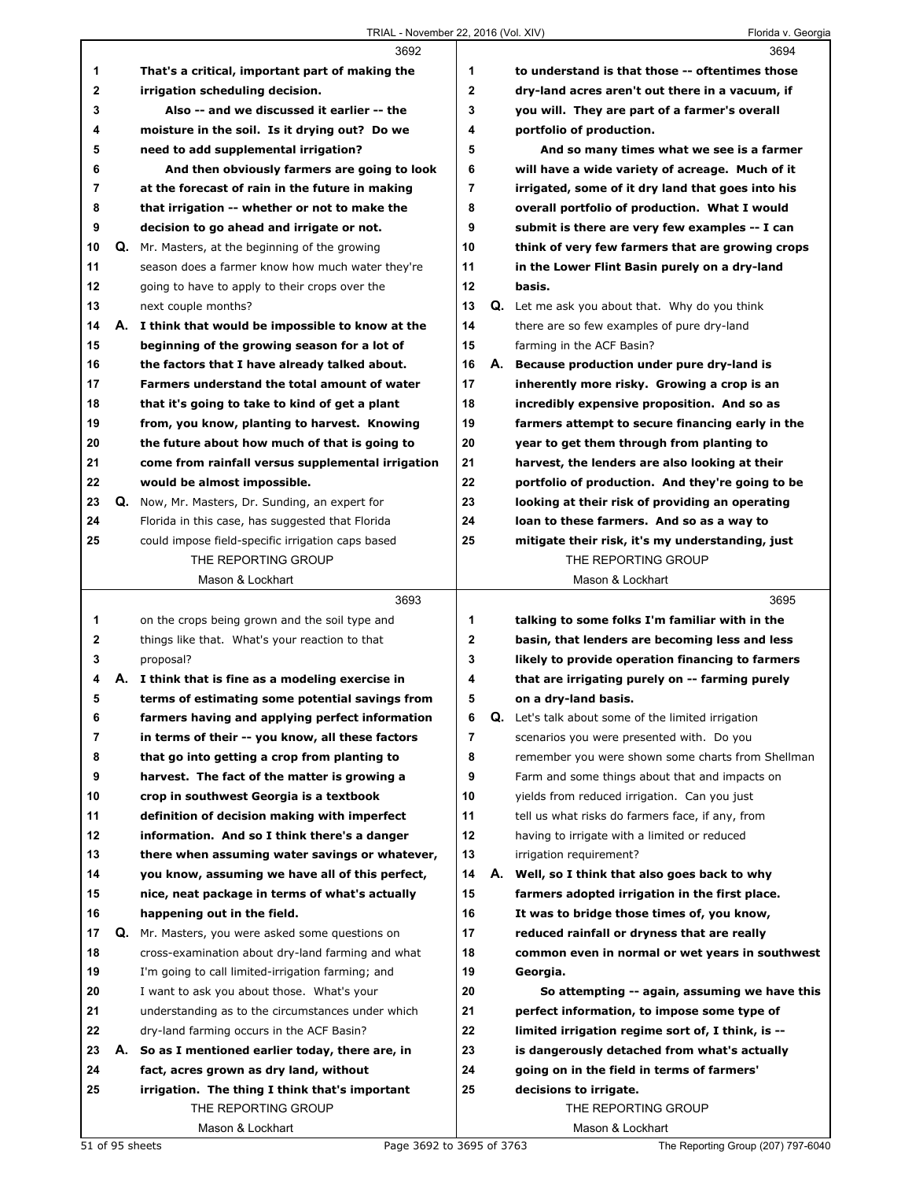|              |    | 3692                                                                                                |              |    | 3694                                                                                                |
|--------------|----|-----------------------------------------------------------------------------------------------------|--------------|----|-----------------------------------------------------------------------------------------------------|
| 1            |    | That's a critical, important part of making the                                                     | 1            |    | to understand is that those -- oftentimes those                                                     |
| $\mathbf{2}$ |    | irrigation scheduling decision.                                                                     | $\mathbf{2}$ |    | dry-land acres aren't out there in a vacuum, if                                                     |
| 3            |    | Also -- and we discussed it earlier -- the                                                          | 3            |    | you will. They are part of a farmer's overall                                                       |
| 4            |    | moisture in the soil. Is it drying out? Do we                                                       | 4            |    | portfolio of production.                                                                            |
| 5            |    | need to add supplemental irrigation?                                                                | 5            |    | And so many times what we see is a farmer                                                           |
| 6            |    | And then obviously farmers are going to look                                                        | 6            |    | will have a wide variety of acreage. Much of it                                                     |
| 7            |    | at the forecast of rain in the future in making                                                     | 7            |    | irrigated, some of it dry land that goes into his                                                   |
| 8            |    | that irrigation -- whether or not to make the                                                       | 8            |    | overall portfolio of production. What I would                                                       |
| 9            |    | decision to go ahead and irrigate or not.                                                           | 9            |    | submit is there are very few examples -- I can                                                      |
| 10           |    | Q. Mr. Masters, at the beginning of the growing                                                     | 10           |    | think of very few farmers that are growing crops                                                    |
| 11           |    | season does a farmer know how much water they're                                                    | 11           |    | in the Lower Flint Basin purely on a dry-land                                                       |
| 12           |    | going to have to apply to their crops over the                                                      | $12 \,$      |    | basis.                                                                                              |
| 13           |    | next couple months?                                                                                 | 13           |    | <b>Q.</b> Let me ask you about that. Why do you think                                               |
| 14           |    | A. I think that would be impossible to know at the                                                  | 14           |    | there are so few examples of pure dry-land                                                          |
| 15           |    | beginning of the growing season for a lot of                                                        | 15           |    | farming in the ACF Basin?                                                                           |
| 16           |    | the factors that I have already talked about.                                                       | 16           |    | A. Because production under pure dry-land is                                                        |
| 17           |    | Farmers understand the total amount of water                                                        | 17           |    | inherently more risky. Growing a crop is an                                                         |
| 18           |    | that it's going to take to kind of get a plant                                                      | 18           |    | incredibly expensive proposition. And so as                                                         |
| 19           |    | from, you know, planting to harvest. Knowing                                                        | 19           |    | farmers attempt to secure financing early in the                                                    |
| 20           |    | the future about how much of that is going to                                                       | 20           |    | year to get them through from planting to                                                           |
| 21           |    | come from rainfall versus supplemental irrigation                                                   | 21           |    | harvest, the lenders are also looking at their                                                      |
| 22           |    | would be almost impossible.                                                                         | 22           |    | portfolio of production. And they're going to be                                                    |
| 23           |    | <b>Q.</b> Now, Mr. Masters, Dr. Sunding, an expert for                                              | 23           |    | looking at their risk of providing an operating                                                     |
| 24           |    | Florida in this case, has suggested that Florida                                                    | 24           |    | loan to these farmers. And so as a way to                                                           |
| 25           |    | could impose field-specific irrigation caps based                                                   | 25           |    | mitigate their risk, it's my understanding, just                                                    |
|              |    | THE REPORTING GROUP                                                                                 |              |    | THE REPORTING GROUP                                                                                 |
|              |    | Mason & Lockhart                                                                                    |              |    | Mason & Lockhart                                                                                    |
|              |    |                                                                                                     |              |    |                                                                                                     |
|              |    |                                                                                                     |              |    |                                                                                                     |
|              |    | 3693                                                                                                |              |    | 3695                                                                                                |
| 1            |    | on the crops being grown and the soil type and                                                      | 1            |    | talking to some folks I'm familiar with in the                                                      |
| 2<br>3       |    | things like that. What's your reaction to that                                                      | 2<br>3       |    | basin, that lenders are becoming less and less                                                      |
| 4            |    | proposal?<br>A. I think that is fine as a modeling exercise in                                      | 4            |    | likely to provide operation financing to farmers<br>that are irrigating purely on -- farming purely |
| 5            |    | terms of estimating some potential savings from                                                     | 5            |    | on a dry-land basis.                                                                                |
| 6            |    |                                                                                                     | 6            | Q. | Let's talk about some of the limited irrigation                                                     |
| 7            |    | farmers having and applying perfect information<br>in terms of their -- you know, all these factors | 7            |    | scenarios you were presented with. Do you                                                           |
| 8            |    | that go into getting a crop from planting to                                                        | 8            |    | remember you were shown some charts from Shellman                                                   |
| 9            |    | harvest. The fact of the matter is growing a                                                        | 9            |    | Farm and some things about that and impacts on                                                      |
| 10           |    | crop in southwest Georgia is a textbook                                                             | 10           |    |                                                                                                     |
| 11           |    | definition of decision making with imperfect                                                        | 11           |    | yields from reduced irrigation. Can you just<br>tell us what risks do farmers face, if any, from    |
| 12           |    | information. And so I think there's a danger                                                        | 12           |    | having to irrigate with a limited or reduced                                                        |
| 13           |    | there when assuming water savings or whatever,                                                      | 13           |    | irrigation requirement?                                                                             |
| 14           |    | you know, assuming we have all of this perfect,                                                     | 14           |    | A. Well, so I think that also goes back to why                                                      |
| 15           |    | nice, neat package in terms of what's actually                                                      | 15           |    | farmers adopted irrigation in the first place.                                                      |
| 16           |    | happening out in the field.                                                                         | 16           |    | It was to bridge those times of, you know,                                                          |
| 17           | Q. | Mr. Masters, you were asked some questions on                                                       | 17           |    | reduced rainfall or dryness that are really                                                         |
| 18           |    | cross-examination about dry-land farming and what                                                   | 18           |    | common even in normal or wet years in southwest                                                     |
| 19           |    | I'm going to call limited-irrigation farming; and                                                   | 19           |    | Georgia.                                                                                            |
| 20           |    | I want to ask you about those. What's your                                                          | 20           |    | So attempting -- again, assuming we have this                                                       |
| 21           |    | understanding as to the circumstances under which                                                   | 21           |    | perfect information, to impose some type of                                                         |
| 22           |    | dry-land farming occurs in the ACF Basin?                                                           | 22           |    | limited irrigation regime sort of, I think, is --                                                   |
| 23           |    | A. So as I mentioned earlier today, there are, in                                                   | 23           |    | is dangerously detached from what's actually                                                        |
| 24           |    | fact, acres grown as dry land, without                                                              | 24           |    | going on in the field in terms of farmers'                                                          |
| 25           |    | irrigation. The thing I think that's important                                                      | 25           |    | decisions to irrigate.                                                                              |
|              |    | THE REPORTING GROUP                                                                                 |              |    | THE REPORTING GROUP                                                                                 |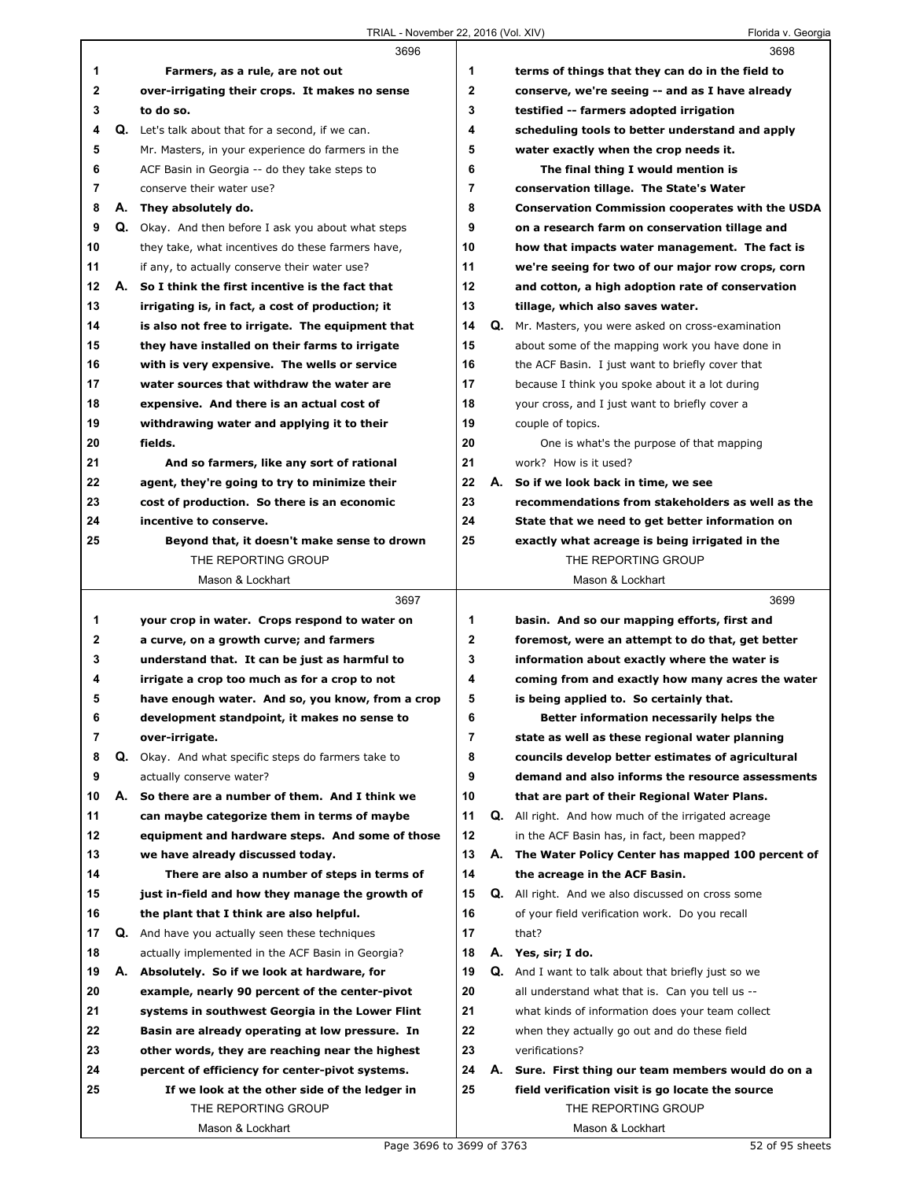TRIAL - November 22, 2016 (Vol. XIV) TRIAL - November 22, 2016 (Vol. XIV)

|          |    | 3696                                                |              |    | 3698                                                                |
|----------|----|-----------------------------------------------------|--------------|----|---------------------------------------------------------------------|
| 1        |    | Farmers, as a rule, are not out                     | 1            |    | terms of things that they can do in the field to                    |
| 2        |    | over-irrigating their crops. It makes no sense      | $\mathbf{2}$ |    | conserve, we're seeing -- and as I have already                     |
| 3        |    | to do so.                                           | 3            |    | testified -- farmers adopted irrigation                             |
| 4        |    | Q. Let's talk about that for a second, if we can.   | 4            |    | scheduling tools to better understand and apply                     |
| 5        |    | Mr. Masters, in your experience do farmers in the   | 5            |    | water exactly when the crop needs it.                               |
| 6        |    | ACF Basin in Georgia -- do they take steps to       | 6            |    | The final thing I would mention is                                  |
| 7        |    | conserve their water use?                           | 7            |    | conservation tillage. The State's Water                             |
| 8        |    | A. They absolutely do.                              | 8            |    | <b>Conservation Commission cooperates with the USDA</b>             |
| 9        |    | Q. Okay. And then before I ask you about what steps | 9            |    | on a research farm on conservation tillage and                      |
| 10       |    | they take, what incentives do these farmers have,   | 10           |    | how that impacts water management. The fact is                      |
| 11       |    | if any, to actually conserve their water use?       | 11           |    | we're seeing for two of our major row crops, corn                   |
| 12       |    | A. So I think the first incentive is the fact that  | 12           |    | and cotton, a high adoption rate of conservation                    |
| 13       |    | irrigating is, in fact, a cost of production; it    | 13           |    | tillage, which also saves water.                                    |
| 14       |    | is also not free to irrigate. The equipment that    | 14           |    | Q. Mr. Masters, you were asked on cross-examination                 |
| 15       |    | they have installed on their farms to irrigate      | 15           |    | about some of the mapping work you have done in                     |
| 16       |    | with is very expensive. The wells or service        | 16           |    | the ACF Basin. I just want to briefly cover that                    |
| 17       |    | water sources that withdraw the water are           | 17           |    | because I think you spoke about it a lot during                     |
| 18       |    | expensive. And there is an actual cost of           | 18           |    |                                                                     |
| 19       |    |                                                     | 19           |    | your cross, and I just want to briefly cover a<br>couple of topics. |
| 20       |    | withdrawing water and applying it to their          | 20           |    |                                                                     |
|          |    | fields.                                             | 21           |    | One is what's the purpose of that mapping<br>work? How is it used?  |
| 21       |    | And so farmers, like any sort of rational           | 22           |    |                                                                     |
| 22       |    | agent, they're going to try to minimize their       |              |    | A. So if we look back in time, we see                               |
| 23<br>24 |    | cost of production. So there is an economic         | 23<br>24     |    | recommendations from stakeholders as well as the                    |
|          |    | incentive to conserve.                              |              |    | State that we need to get better information on                     |
| 25       |    | Beyond that, it doesn't make sense to drown         | 25           |    | exactly what acreage is being irrigated in the                      |
|          |    | THE REPORTING GROUP                                 |              |    | THE REPORTING GROUP                                                 |
|          |    | Mason & Lockhart                                    |              |    | Mason & Lockhart                                                    |
|          |    |                                                     |              |    |                                                                     |
|          |    | 3697                                                |              |    | 3699                                                                |
| 1        |    | your crop in water. Crops respond to water on       | 1            |    | basin. And so our mapping efforts, first and                        |
| 2        |    | a curve, on a growth curve; and farmers             | 2            |    | foremost, were an attempt to do that, get better                    |
| 3        |    | understand that. It can be just as harmful to       | 3            |    | information about exactly where the water is                        |
| 4        |    | irrigate a crop too much as for a crop to not       | 4            |    | coming from and exactly how many acres the water                    |
| 5        |    | have enough water. And so, you know, from a crop    | 5            |    | is being applied to. So certainly that.                             |
| 6        |    | development standpoint, it makes no sense to        | 6            |    | Better information necessarily helps the                            |
| 7        |    | over-irrigate.                                      | 7            |    | state as well as these regional water planning                      |
| 8        | Q. | Okay. And what specific steps do farmers take to    | 8            |    | councils develop better estimates of agricultural                   |
| 9        |    | actually conserve water?                            | 9            |    | demand and also informs the resource assessments                    |
| 10       | А. | So there are a number of them. And I think we       | 10           |    | that are part of their Regional Water Plans.                        |
| 11       |    | can maybe categorize them in terms of maybe         | 11           |    | Q. All right. And how much of the irrigated acreage                 |
| 12       |    | equipment and hardware steps. And some of those     | 12           |    | in the ACF Basin has, in fact, been mapped?                         |
| 13       |    | we have already discussed today.                    | 13           |    | A. The Water Policy Center has mapped 100 percent of                |
| 14       |    | There are also a number of steps in terms of        | 14           |    | the acreage in the ACF Basin.                                       |
| 15       |    | just in-field and how they manage the growth of     | 15           |    | Q. All right. And we also discussed on cross some                   |
| 16       |    | the plant that I think are also helpful.            | 16           |    | of your field verification work. Do you recall                      |
| 17       | Q. | And have you actually seen these techniques         | 17           |    | that?                                                               |
| 18       |    | actually implemented in the ACF Basin in Georgia?   | 18           |    | A. Yes, sir; I do.                                                  |
| 19       |    | A. Absolutely. So if we look at hardware, for       | 19           | Q. | And I want to talk about that briefly just so we                    |
| 20       |    | example, nearly 90 percent of the center-pivot      | 20           |    | all understand what that is. Can you tell us --                     |
| 21       |    | systems in southwest Georgia in the Lower Flint     | 21           |    | what kinds of information does your team collect                    |
| 22       |    | Basin are already operating at low pressure. In     | 22           |    | when they actually go out and do these field                        |
| 23       |    | other words, they are reaching near the highest     | 23           |    | verifications?                                                      |
| 24       |    | percent of efficiency for center-pivot systems.     | 24           |    | A. Sure. First thing our team members would do on a                 |
| 25       |    | If we look at the other side of the ledger in       | 25           |    | field verification visit is go locate the source                    |
|          |    | THE REPORTING GROUP                                 |              |    | THE REPORTING GROUP                                                 |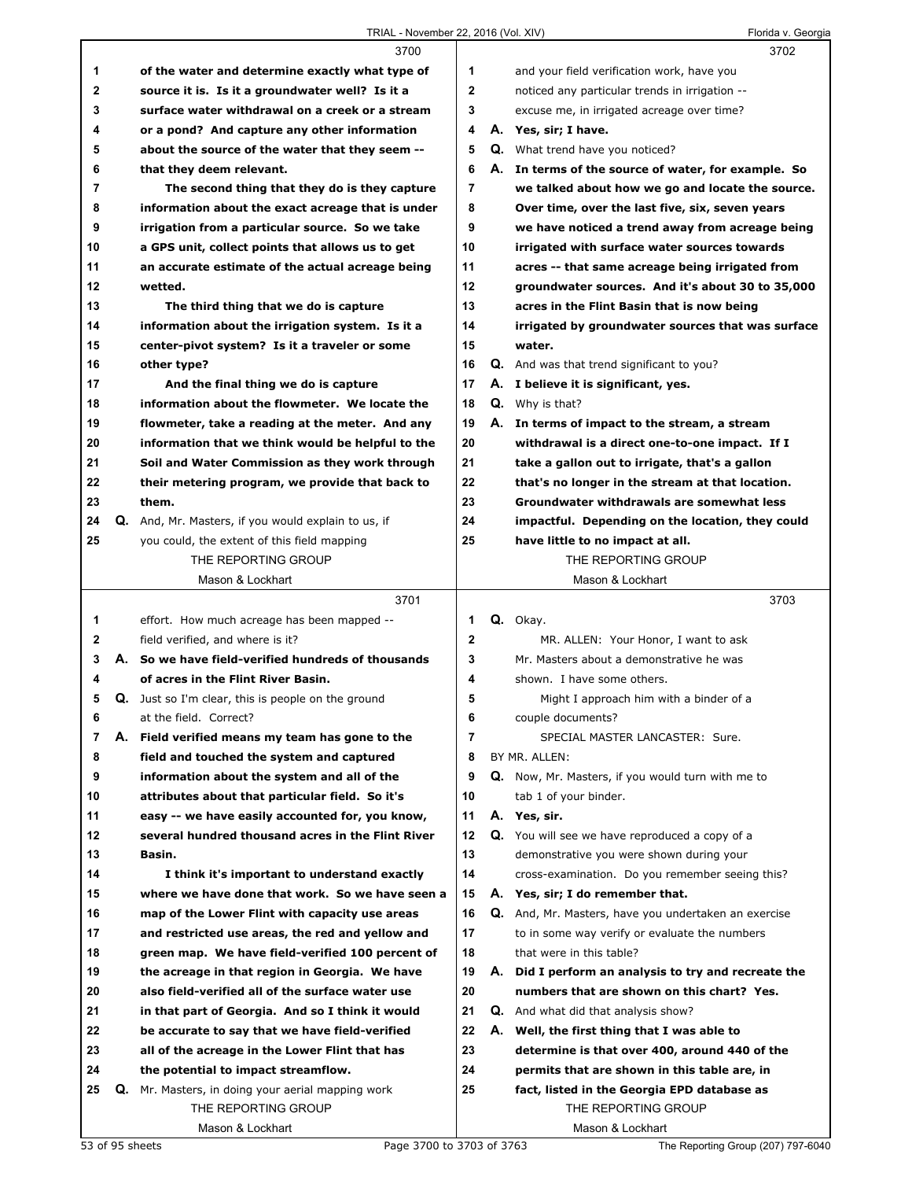## TRIAL - November 22, 2016 (Vol. XIV) Florida v. Georgia

|        |    | 3700                                                      |              | 3702                                                 |
|--------|----|-----------------------------------------------------------|--------------|------------------------------------------------------|
| 1      |    | of the water and determine exactly what type of           | 1            | and your field verification work, have you           |
| 2      |    | source it is. Is it a groundwater well? Is it a           | $\mathbf{2}$ | noticed any particular trends in irrigation --       |
| 3      |    | surface water withdrawal on a creek or a stream           | 3            | excuse me, in irrigated acreage over time?           |
| 4      |    | or a pond? And capture any other information              | 4            | A. Yes, sir; I have.                                 |
| 5      |    | about the source of the water that they seem --           | 5            | Q. What trend have you noticed?                      |
| 6      |    | that they deem relevant.                                  | 6            | A. In terms of the source of water, for example. So  |
| 7      |    | The second thing that they do is they capture             | 7            | we talked about how we go and locate the source.     |
| 8      |    | information about the exact acreage that is under         | 8            | Over time, over the last five, six, seven years      |
| 9      |    | irrigation from a particular source. So we take           | 9            | we have noticed a trend away from acreage being      |
| 10     |    | a GPS unit, collect points that allows us to get          | 10           | irrigated with surface water sources towards         |
| 11     |    | an accurate estimate of the actual acreage being          | 11           | acres -- that same acreage being irrigated from      |
| 12     |    | wetted.                                                   | 12           | groundwater sources. And it's about 30 to 35,000     |
| 13     |    | The third thing that we do is capture                     | 13           | acres in the Flint Basin that is now being           |
| 14     |    | information about the irrigation system. Is it a          | 14           | irrigated by groundwater sources that was surface    |
| 15     |    | center-pivot system? Is it a traveler or some             | 15           | water.                                               |
| 16     |    | other type?                                               | 16           | Q. And was that trend significant to you?            |
| 17     |    | And the final thing we do is capture                      | 17           | A. I believe it is significant, yes.                 |
| 18     |    | information about the flowmeter. We locate the            | 18           | <b>Q.</b> Why is that?                               |
| 19     |    | flowmeter, take a reading at the meter. And any           | 19           | A. In terms of impact to the stream, a stream        |
| 20     |    | information that we think would be helpful to the         | 20           | withdrawal is a direct one-to-one impact. If I       |
| 21     |    | Soil and Water Commission as they work through            | 21           | take a gallon out to irrigate, that's a gallon       |
| 22     |    | their metering program, we provide that back to           | 22           | that's no longer in the stream at that location.     |
| 23     |    | them.                                                     | 23           | Groundwater withdrawals are somewhat less            |
| 24     |    | Q. And, Mr. Masters, if you would explain to us, if       | 24           | impactful. Depending on the location, they could     |
| 25     |    | you could, the extent of this field mapping               | 25           | have little to no impact at all.                     |
|        |    | THE REPORTING GROUP                                       |              | THE REPORTING GROUP                                  |
|        |    | Mason & Lockhart                                          |              | Mason & Lockhart                                     |
|        |    |                                                           |              |                                                      |
|        |    |                                                           |              |                                                      |
|        |    | 3701                                                      |              | 3703                                                 |
| 1      |    | effort. How much acreage has been mapped --               | 1            | Q. Okay.                                             |
| 2      |    | field verified, and where is it?                          | 2<br>3       | MR. ALLEN: Your Honor, I want to ask                 |
| 3<br>4 |    | A. So we have field-verified hundreds of thousands        | 4            | Mr. Masters about a demonstrative he was             |
|        |    | of acres in the Flint River Basin.                        |              | shown. I have some others.                           |
| 5      |    | <b>Q.</b> Just so I'm clear, this is people on the ground | 5            | Might I approach him with a binder of a              |
| 6      |    | at the field. Correct?                                    | 6            | couple documents?                                    |
| 7      |    | A. Field verified means my team has gone to the           | 7            | SPECIAL MASTER LANCASTER: Sure.                      |
| 8      |    | field and touched the system and captured                 | 8<br>9       | BY MR. ALLEN:                                        |
| 9      |    | information about the system and all of the               |              | Q. Now, Mr. Masters, if you would turn with me to    |
| 10     |    | attributes about that particular field. So it's           | 10           | tab 1 of your binder.                                |
| 11     |    | easy -- we have easily accounted for, you know,           | 11           | A. Yes, sir.                                         |
| 12     |    | several hundred thousand acres in the Flint River         | 12           | Q. You will see we have reproduced a copy of a       |
| 13     |    | Basin.                                                    | 13           | demonstrative you were shown during your             |
| 14     |    | I think it's important to understand exactly              | 14           | cross-examination. Do you remember seeing this?      |
| 15     |    | where we have done that work. So we have seen a           | 15           | A. Yes, sir; I do remember that.                     |
| 16     |    | map of the Lower Flint with capacity use areas            | 16           | Q. And, Mr. Masters, have you undertaken an exercise |
| 17     |    | and restricted use areas, the red and yellow and          | 17           | to in some way verify or evaluate the numbers        |
| 18     |    | green map. We have field-verified 100 percent of          | 18           | that were in this table?                             |
| 19     |    | the acreage in that region in Georgia. We have            | 19           | A. Did I perform an analysis to try and recreate the |
| 20     |    | also field-verified all of the surface water use          | 20           | numbers that are shown on this chart? Yes.           |
| 21     |    | in that part of Georgia. And so I think it would          | 21           | <b>Q.</b> And what did that analysis show?           |
| 22     |    | be accurate to say that we have field-verified            | 22           | A. Well, the first thing that I was able to          |
| 23     |    | all of the acreage in the Lower Flint that has            | 23           | determine is that over 400, around 440 of the        |
| 24     |    | the potential to impact streamflow.                       | 24           | permits that are shown in this table are, in         |
| 25     | Q. | Mr. Masters, in doing your aerial mapping work            | 25           | fact, listed in the Georgia EPD database as          |
|        |    | THE REPORTING GROUP<br>Mason & Lockhart                   |              | THE REPORTING GROUP<br>Mason & Lockhart              |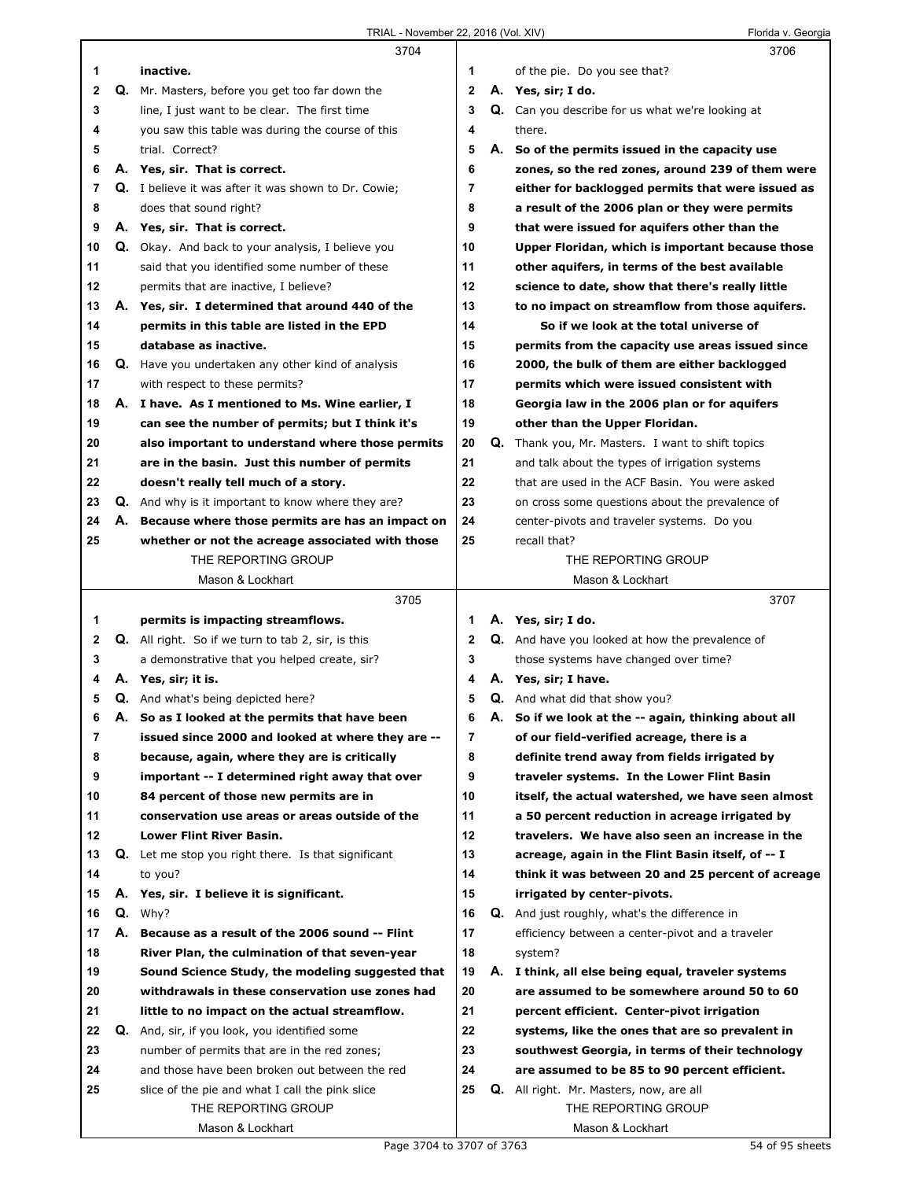|    |    | 3704                                                        |                |    | 3706                                                    |
|----|----|-------------------------------------------------------------|----------------|----|---------------------------------------------------------|
| 1  |    | inactive.                                                   | 1              |    | of the pie. Do you see that?                            |
| 2  |    | Q. Mr. Masters, before you get too far down the             | $\mathbf{2}$   |    | A. Yes, sir; I do.                                      |
| 3  |    | line, I just want to be clear. The first time               | 3              |    | <b>Q.</b> Can you describe for us what we're looking at |
| 4  |    | you saw this table was during the course of this            | 4              |    | there.                                                  |
| 5  |    | trial. Correct?                                             | 5              |    | A. So of the permits issued in the capacity use         |
| 6  |    | A. Yes, sir. That is correct.                               | 6              |    | zones, so the red zones, around 239 of them were        |
| 7  |    | <b>Q.</b> I believe it was after it was shown to Dr. Cowie; | $\overline{7}$ |    | either for backlogged permits that were issued as       |
| 8  |    | does that sound right?                                      | 8              |    |                                                         |
|    |    |                                                             |                |    | a result of the 2006 plan or they were permits          |
| 9  |    | A. Yes, sir. That is correct.                               | 9              |    | that were issued for aquifers other than the            |
| 10 |    | Q. Okay. And back to your analysis, I believe you           | 10             |    | Upper Floridan, which is important because those        |
| 11 |    | said that you identified some number of these               | 11             |    | other aquifers, in terms of the best available          |
| 12 |    | permits that are inactive, I believe?                       | 12             |    | science to date, show that there's really little        |
| 13 |    | A. Yes, sir. I determined that around 440 of the            | 13             |    | to no impact on streamflow from those aquifers.         |
| 14 |    | permits in this table are listed in the EPD                 | 14             |    | So if we look at the total universe of                  |
| 15 |    | database as inactive.                                       | 15             |    | permits from the capacity use areas issued since        |
| 16 |    | Q. Have you undertaken any other kind of analysis           | 16             |    | 2000, the bulk of them are either backlogged            |
| 17 |    | with respect to these permits?                              | 17             |    | permits which were issued consistent with               |
| 18 |    | A. I have. As I mentioned to Ms. Wine earlier, I            | 18             |    | Georgia law in the 2006 plan or for aquifers            |
| 19 |    | can see the number of permits; but I think it's             | 19             |    | other than the Upper Floridan.                          |
| 20 |    | also important to understand where those permits            | 20             |    | Q. Thank you, Mr. Masters. I want to shift topics       |
| 21 |    | are in the basin. Just this number of permits               | 21             |    | and talk about the types of irrigation systems          |
| 22 |    | doesn't really tell much of a story.                        | 22             |    | that are used in the ACF Basin. You were asked          |
| 23 |    | <b>Q.</b> And why is it important to know where they are?   | 23             |    | on cross some questions about the prevalence of         |
| 24 |    | A. Because where those permits are has an impact on         | 24             |    | center-pivots and traveler systems. Do you              |
|    |    |                                                             | 25             |    |                                                         |
| 25 |    | whether or not the acreage associated with those            |                |    | recall that?                                            |
|    |    | THE REPORTING GROUP                                         |                |    | THE REPORTING GROUP                                     |
|    |    | Mason & Lockhart                                            |                |    | Mason & Lockhart                                        |
|    |    |                                                             |                |    |                                                         |
|    |    | 3705                                                        |                |    | 3707                                                    |
| 1  |    | permits is impacting streamflows.                           | 1              |    | A. Yes, sir; I do.                                      |
| 2  |    | <b>Q.</b> All right. So if we turn to tab 2, sir, is this   | 2              |    | Q. And have you looked at how the prevalence of         |
| 3  |    | a demonstrative that you helped create, sir?                | 3              |    | those systems have changed over time?                   |
| 4  |    | A. Yes, sir; it is.                                         | 4              |    | A. Yes, sir; I have.                                    |
| 5  |    | <b>Q.</b> And what's being depicted here?                   | 5              |    | <b>Q.</b> And what did that show you?                   |
| 6  | А. | So as I looked at the permits that have been                | 6              | А. | So if we look at the -- again, thinking about all       |
| 7  |    | issued since 2000 and looked at where they are --           | 7              |    | of our field-verified acreage, there is a               |
| 8  |    | because, again, where they are is critically                | 8              |    | definite trend away from fields irrigated by            |
| 9  |    | important -- I determined right away that over              | 9              |    | traveler systems. In the Lower Flint Basin              |
| 10 |    | 84 percent of those new permits are in                      | 10             |    | itself, the actual watershed, we have seen almost       |
| 11 |    | conservation use areas or areas outside of the              | 11             |    | a 50 percent reduction in acreage irrigated by          |
| 12 |    | Lower Flint River Basin.                                    | 12             |    | travelers. We have also seen an increase in the         |
| 13 |    | Q. Let me stop you right there. Is that significant         | 13             |    | acreage, again in the Flint Basin itself, of -- I       |
|    |    |                                                             |                |    |                                                         |
| 14 |    | to you?                                                     | 14             |    | think it was between 20 and 25 percent of acreage       |
| 15 |    | A. Yes, sir. I believe it is significant.                   | 15             |    | irrigated by center-pivots.                             |
| 16 |    | $Q.$ Why?                                                   | 16             |    | <b>Q.</b> And just roughly, what's the difference in    |
| 17 | А. | Because as a result of the 2006 sound -- Flint              | 17             |    | efficiency between a center-pivot and a traveler        |
| 18 |    | River Plan, the culmination of that seven-year              | 18             |    | system?                                                 |
| 19 |    | Sound Science Study, the modeling suggested that            | 19             |    | A. I think, all else being equal, traveler systems      |
| 20 |    | withdrawals in these conservation use zones had             | 20             |    | are assumed to be somewhere around 50 to 60             |
| 21 |    | little to no impact on the actual streamflow.               | 21             |    | percent efficient. Center-pivot irrigation              |
| 22 |    | Q. And, sir, if you look, you identified some               | 22             |    | systems, like the ones that are so prevalent in         |
| 23 |    | number of permits that are in the red zones;                | 23             |    | southwest Georgia, in terms of their technology         |
| 24 |    | and those have been broken out between the red              | 24             |    | are assumed to be 85 to 90 percent efficient.           |
| 25 |    | slice of the pie and what I call the pink slice             | 25             |    | <b>Q.</b> All right. Mr. Masters, now, are all          |
|    |    | THE REPORTING GROUP                                         |                |    | THE REPORTING GROUP                                     |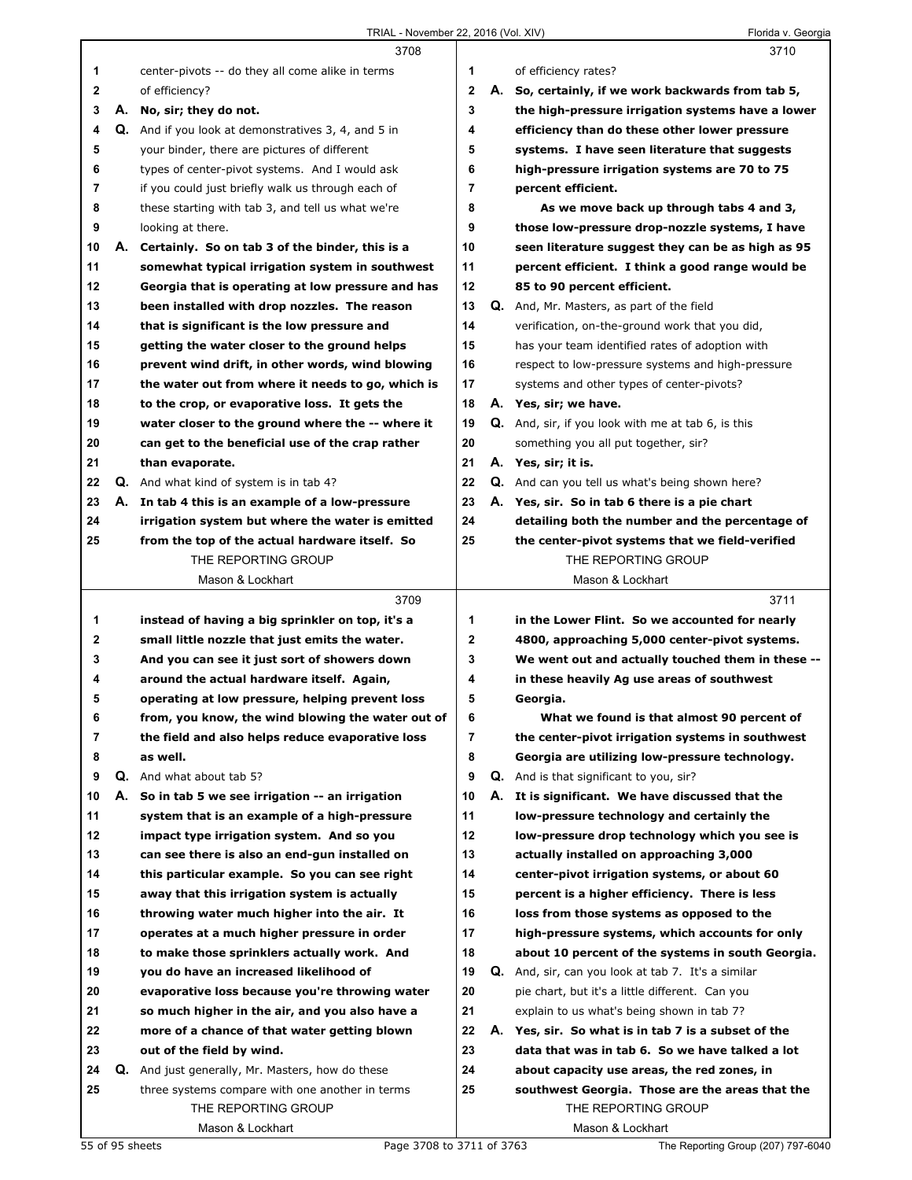|              |    | 3708                                                |                |    | 3710                                                      |
|--------------|----|-----------------------------------------------------|----------------|----|-----------------------------------------------------------|
| 1            |    | center-pivots -- do they all come alike in terms    | 1              |    | of efficiency rates?                                      |
| $\mathbf{2}$ |    | of efficiency?                                      | $\mathbf{2}$   |    | A. So, certainly, if we work backwards from tab 5,        |
| 3            |    | A. No, sir; they do not.                            | 3              |    | the high-pressure irrigation systems have a lower         |
| 4            |    | Q. And if you look at demonstratives 3, 4, and 5 in | 4              |    | efficiency than do these other lower pressure             |
| 5            |    | your binder, there are pictures of different        | 5              |    | systems. I have seen literature that suggests             |
| 6            |    | types of center-pivot systems. And I would ask      | 6              |    | high-pressure irrigation systems are 70 to 75             |
| 7            |    | if you could just briefly walk us through each of   | $\overline{7}$ |    | percent efficient.                                        |
| 8            |    | these starting with tab 3, and tell us what we're   | 8              |    | As we move back up through tabs 4 and 3,                  |
| 9            |    | looking at there.                                   | 9              |    | those low-pressure drop-nozzle systems, I have            |
| 10           | А. | Certainly. So on tab 3 of the binder, this is a     | 10             |    | seen literature suggest they can be as high as 95         |
| 11           |    | somewhat typical irrigation system in southwest     | 11             |    | percent efficient. I think a good range would be          |
| 12           |    | Georgia that is operating at low pressure and has   | 12             |    | 85 to 90 percent efficient.                               |
| 13           |    | been installed with drop nozzles. The reason        | 13             |    | Q. And, Mr. Masters, as part of the field                 |
| 14           |    | that is significant is the low pressure and         | 14             |    | verification, on-the-ground work that you did,            |
| 15           |    | getting the water closer to the ground helps        | 15             |    | has your team identified rates of adoption with           |
| 16           |    | prevent wind drift, in other words, wind blowing    | 16             |    | respect to low-pressure systems and high-pressure         |
| 17           |    | the water out from where it needs to go, which is   | 17             |    | systems and other types of center-pivots?                 |
| 18           |    | to the crop, or evaporative loss. It gets the       | 18             |    | A. Yes, sir; we have.                                     |
| 19           |    | water closer to the ground where the -- where it    | 19             |    | <b>Q.</b> And, sir, if you look with me at tab 6, is this |
| 20           |    | can get to the beneficial use of the crap rather    | 20             |    | something you all put together, sir?                      |
| 21           |    | than evaporate.                                     | 21             |    | A. Yes, sir; it is.                                       |
| 22           |    | <b>Q.</b> And what kind of system is in tab 4?      | 22             |    | Q. And can you tell us what's being shown here?           |
| 23           |    | A. In tab 4 this is an example of a low-pressure    | 23             |    | A. Yes, sir. So in tab 6 there is a pie chart             |
| 24           |    | irrigation system but where the water is emitted    | 24             |    | detailing both the number and the percentage of           |
| 25           |    | from the top of the actual hardware itself. So      | 25             |    | the center-pivot systems that we field-verified           |
|              |    | THE REPORTING GROUP                                 |                |    | THE REPORTING GROUP                                       |
|              |    | Mason & Lockhart                                    |                |    | Mason & Lockhart                                          |
|              |    |                                                     |                |    |                                                           |
|              |    |                                                     |                |    |                                                           |
|              |    | 3709                                                |                |    | 3711                                                      |
| 1            |    | instead of having a big sprinkler on top, it's a    | 1              |    | in the Lower Flint. So we accounted for nearly            |
| 2            |    | small little nozzle that just emits the water.      | $\mathbf 2$    |    | 4800, approaching 5,000 center-pivot systems.             |
| 3            |    | And you can see it just sort of showers down        | 3              |    | We went out and actually touched them in these --         |
| 4            |    | around the actual hardware itself. Again,           | 4              |    | in these heavily Ag use areas of southwest                |
| 5            |    | operating at low pressure, helping prevent loss     | 5              |    | Georgia.                                                  |
| 6            |    | from, you know, the wind blowing the water out of   | 6              |    | What we found is that almost 90 percent of                |
| 7            |    | the field and also helps reduce evaporative loss    | 7              |    | the center-pivot irrigation systems in southwest          |
| 8            |    | as well.                                            | 8              |    | Georgia are utilizing low-pressure technology.            |
| 9            |    | <b>Q.</b> And what about tab 5?                     | 9              |    | <b>Q.</b> And is that significant to you, sir?            |
| 10           | А. | So in tab 5 we see irrigation -- an irrigation      | 10             | А. | It is significant. We have discussed that the             |
| 11           |    | system that is an example of a high-pressure        | 11             |    | low-pressure technology and certainly the                 |
| 12           |    | impact type irrigation system. And so you           | 12             |    | low-pressure drop technology which you see is             |
| 13           |    | can see there is also an end-gun installed on       | 13             |    | actually installed on approaching 3,000                   |
| 14           |    | this particular example. So you can see right       | 14             |    | center-pivot irrigation systems, or about 60              |
| 15           |    | away that this irrigation system is actually        | 15             |    | percent is a higher efficiency. There is less             |
| 16           |    | throwing water much higher into the air. It         | 16             |    | loss from those systems as opposed to the                 |
| 17           |    | operates at a much higher pressure in order         | 17             |    | high-pressure systems, which accounts for only            |
| 18           |    | to make those sprinklers actually work. And         | 18             |    | about 10 percent of the systems in south Georgia.         |
| 19           |    | you do have an increased likelihood of              | 19             |    | <b>Q.</b> And, sir, can you look at tab 7. It's a similar |
| 20           |    | evaporative loss because you're throwing water      | 20             |    | pie chart, but it's a little different. Can you           |
| 21           |    | so much higher in the air, and you also have a      | 21             |    | explain to us what's being shown in tab 7?                |
| 22           |    | more of a chance of that water getting blown        | 22             |    | A. Yes, sir. So what is in tab 7 is a subset of the       |
| 23           |    | out of the field by wind.                           | 23             |    | data that was in tab 6. So we have talked a lot           |
| 24           | Q. | And just generally, Mr. Masters, how do these       | 24             |    | about capacity use areas, the red zones, in               |
| 25           |    | three systems compare with one another in terms     | 25             |    | southwest Georgia. Those are the areas that the           |
|              |    | THE REPORTING GROUP<br>Mason & Lockhart             |                |    | THE REPORTING GROUP<br>Mason & Lockhart                   |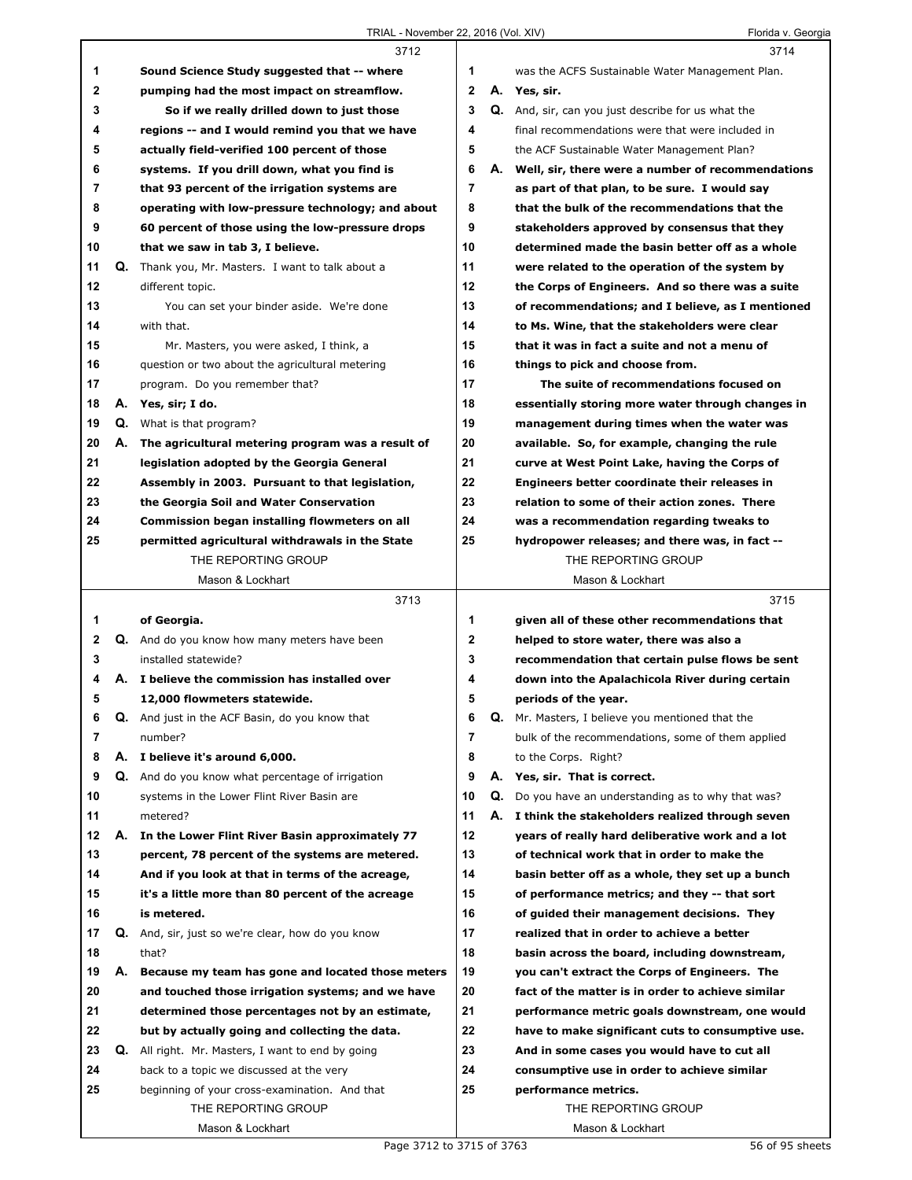|    |    | 3712                                                 |             |    | 3714                                               |
|----|----|------------------------------------------------------|-------------|----|----------------------------------------------------|
| 1  |    | Sound Science Study suggested that -- where          | 1           |    | was the ACFS Sustainable Water Management Plan.    |
| 2  |    | pumping had the most impact on streamflow.           | $\mathbf 2$ |    | A. Yes, sir.                                       |
| 3  |    | So if we really drilled down to just those           | 3           |    | Q. And, sir, can you just describe for us what the |
| 4  |    | regions -- and I would remind you that we have       | 4           |    | final recommendations were that were included in   |
| 5  |    | actually field-verified 100 percent of those         | 5           |    | the ACF Sustainable Water Management Plan?         |
| 6  |    | systems. If you drill down, what you find is         | 6           | А. | Well, sir, there were a number of recommendations  |
| 7  |    | that 93 percent of the irrigation systems are        | 7           |    | as part of that plan, to be sure. I would say      |
| 8  |    | operating with low-pressure technology; and about    | 8           |    | that the bulk of the recommendations that the      |
| 9  |    | 60 percent of those using the low-pressure drops     | 9           |    | stakeholders approved by consensus that they       |
| 10 |    | that we saw in tab 3, I believe.                     | 10          |    | determined made the basin better off as a whole    |
| 11 | Q. | Thank you, Mr. Masters. I want to talk about a       | 11          |    | were related to the operation of the system by     |
| 12 |    | different topic.                                     | 12          |    | the Corps of Engineers. And so there was a suite   |
| 13 |    | You can set your binder aside. We're done            | 13          |    | of recommendations; and I believe, as I mentioned  |
| 14 |    | with that.                                           | 14          |    | to Ms. Wine, that the stakeholders were clear      |
| 15 |    | Mr. Masters, you were asked, I think, a              | 15          |    | that it was in fact a suite and not a menu of      |
| 16 |    | question or two about the agricultural metering      | 16          |    | things to pick and choose from.                    |
| 17 |    |                                                      | 17          |    | The suite of recommendations focused on            |
| 18 |    | program. Do you remember that?                       | 18          |    | essentially storing more water through changes in  |
|    |    | A. Yes, sir; I do.                                   | 19          |    |                                                    |
| 19 |    | <b>Q.</b> What is that program?                      |             |    | management during times when the water was         |
| 20 |    | A. The agricultural metering program was a result of | 20          |    | available. So, for example, changing the rule      |
| 21 |    | legislation adopted by the Georgia General           | 21          |    | curve at West Point Lake, having the Corps of      |
| 22 |    | Assembly in 2003. Pursuant to that legislation,      | 22          |    | Engineers better coordinate their releases in      |
| 23 |    | the Georgia Soil and Water Conservation              | 23          |    | relation to some of their action zones. There      |
| 24 |    | Commission began installing flowmeters on all        | 24          |    | was a recommendation regarding tweaks to           |
| 25 |    | permitted agricultural withdrawals in the State      | 25          |    | hydropower releases; and there was, in fact --     |
|    |    | THE REPORTING GROUP                                  |             |    | THE REPORTING GROUP                                |
|    |    | Mason & Lockhart                                     |             |    | Mason & Lockhart                                   |
|    |    |                                                      |             |    |                                                    |
|    |    | 3713                                                 |             |    | 3715                                               |
| 1  |    | of Georgia.                                          | 1           |    | given all of these other recommendations that      |
| 2  |    | Q. And do you know how many meters have been         | $\mathbf 2$ |    | helped to store water, there was also a            |
| 3  |    | installed statewide?                                 | 3           |    | recommendation that certain pulse flows be sent    |
| 4  |    | A. I believe the commission has installed over       | 4           |    | down into the Apalachicola River during certain    |
| 5  |    | 12,000 flowmeters statewide.                         | 5           |    | periods of the year.                               |
| 6  | Q. | And just in the ACF Basin, do you know that          | 6           | Q. | Mr. Masters, I believe you mentioned that the      |
| 7  |    | number?                                              | 7           |    | bulk of the recommendations, some of them applied  |
| 8  |    | A. I believe it's around 6,000.                      | 8           |    | to the Corps. Right?                               |
| 9  |    | Q. And do you know what percentage of irrigation     | 9           | А. | Yes, sir. That is correct.                         |
| 10 |    | systems in the Lower Flint River Basin are           | 10          | Q. | Do you have an understanding as to why that was?   |
| 11 |    | metered?                                             | 11          |    | A. I think the stakeholders realized through seven |
| 12 | А. | In the Lower Flint River Basin approximately 77      | 12          |    | years of really hard deliberative work and a lot   |
| 13 |    | percent, 78 percent of the systems are metered.      | 13          |    | of technical work that in order to make the        |
| 14 |    | And if you look at that in terms of the acreage,     | 14          |    | basin better off as a whole, they set up a bunch   |
| 15 |    | it's a little more than 80 percent of the acreage    | 15          |    | of performance metrics; and they -- that sort      |
| 16 |    | is metered.                                          | 16          |    | of guided their management decisions. They         |
| 17 |    | Q. And, sir, just so we're clear, how do you know    | 17          |    | realized that in order to achieve a better         |
| 18 |    | that?                                                | 18          |    | basin across the board, including downstream,      |
| 19 |    | A. Because my team has gone and located those meters | 19          |    | you can't extract the Corps of Engineers. The      |
| 20 |    | and touched those irrigation systems; and we have    | 20          |    | fact of the matter is in order to achieve similar  |
| 21 |    | determined those percentages not by an estimate,     | 21          |    | performance metric goals downstream, one would     |
| 22 |    | but by actually going and collecting the data.       | 22          |    | have to make significant cuts to consumptive use.  |
| 23 | Q. | All right. Mr. Masters, I want to end by going       | 23          |    | And in some cases you would have to cut all        |
| 24 |    | back to a topic we discussed at the very             | 24          |    | consumptive use in order to achieve similar        |
| 25 |    | beginning of your cross-examination. And that        | 25          |    | performance metrics.                               |
|    |    | THE REPORTING GROUP                                  |             |    | THE REPORTING GROUP                                |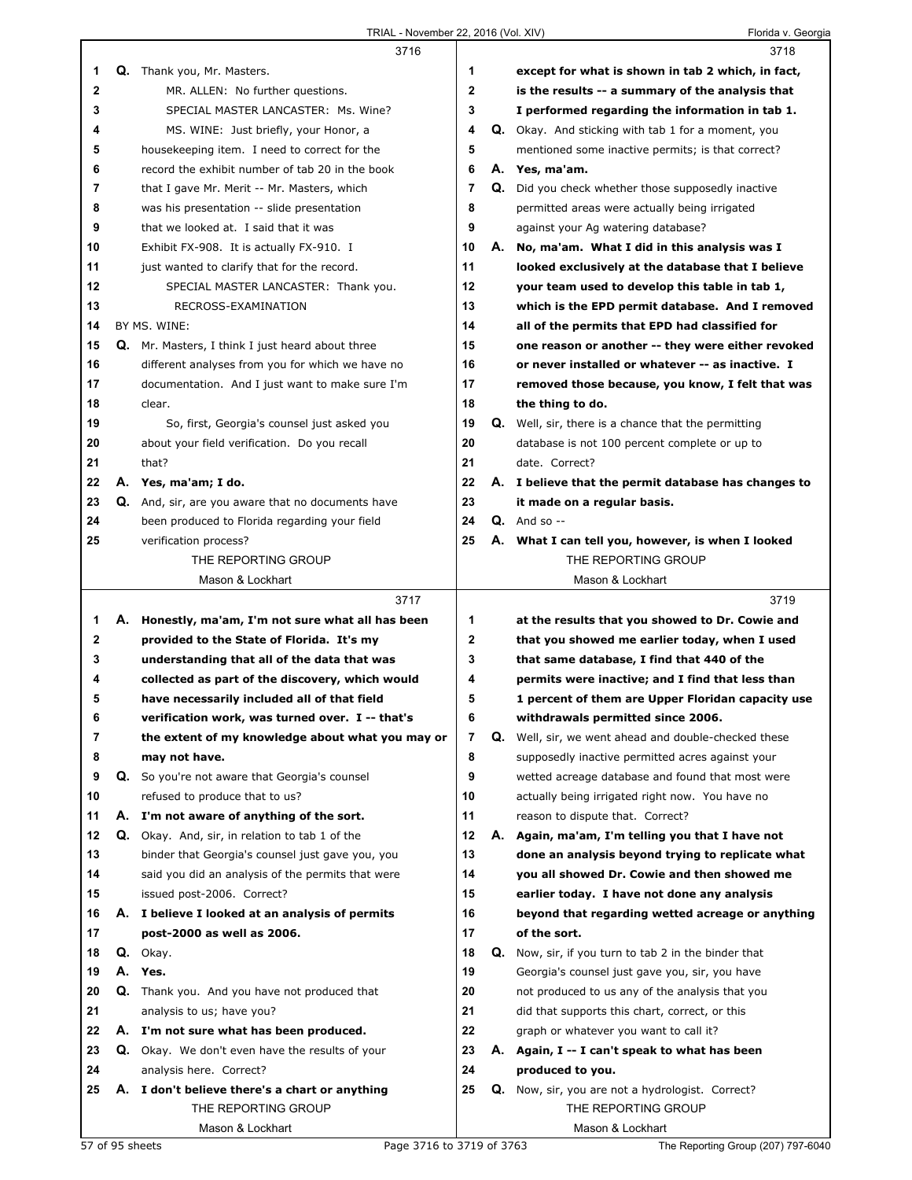|                |    | 3716                                               |              |    | 3718                                                       |
|----------------|----|----------------------------------------------------|--------------|----|------------------------------------------------------------|
| 1              |    | Q. Thank you, Mr. Masters.                         | 1            |    | except for what is shown in tab 2 which, in fact,          |
| $\mathbf 2$    |    | MR. ALLEN: No further questions.                   | $\mathbf{2}$ |    | is the results -- a summary of the analysis that           |
| 3              |    | SPECIAL MASTER LANCASTER: Ms. Wine?                | 3            |    | I performed regarding the information in tab 1.            |
| 4              |    | MS. WINE: Just briefly, your Honor, a              | 4            |    | Q. Okay. And sticking with tab 1 for a moment, you         |
| 5              |    | housekeeping item. I need to correct for the       | 5            |    | mentioned some inactive permits; is that correct?          |
| 6              |    | record the exhibit number of tab 20 in the book    | 6            |    | A. Yes, ma'am.                                             |
| $\overline{7}$ |    | that I gave Mr. Merit -- Mr. Masters, which        | 7            | Q. | Did you check whether those supposedly inactive            |
| 8              |    | was his presentation -- slide presentation         | 8            |    | permitted areas were actually being irrigated              |
| 9              |    | that we looked at. I said that it was              | 9            |    | against your Ag watering database?                         |
| 10             |    | Exhibit FX-908. It is actually FX-910. I           | 10           |    | A. No, ma'am. What I did in this analysis was I            |
| 11             |    | just wanted to clarify that for the record.        | 11           |    | looked exclusively at the database that I believe          |
| 12             |    | SPECIAL MASTER LANCASTER: Thank you.               | 12           |    | your team used to develop this table in tab 1,             |
| 13             |    | RECROSS-EXAMINATION                                | 13           |    | which is the EPD permit database. And I removed            |
| 14             |    | BY MS. WINE:                                       | 14           |    | all of the permits that EPD had classified for             |
| 15             |    | Q. Mr. Masters, I think I just heard about three   | 15           |    | one reason or another -- they were either revoked          |
| 16             |    | different analyses from you for which we have no   | 16           |    | or never installed or whatever -- as inactive. I           |
| 17             |    | documentation. And I just want to make sure I'm    | 17           |    | removed those because, you know, I felt that was           |
| 18             |    | clear.                                             | 18           |    | the thing to do.                                           |
| 19             |    | So, first, Georgia's counsel just asked you        | 19           |    | <b>Q.</b> Well, sir, there is a chance that the permitting |
| 20             |    | about your field verification. Do you recall       | 20           |    | database is not 100 percent complete or up to              |
| 21             |    | that?                                              | 21           |    | date. Correct?                                             |
| 22             |    | A. Yes, ma'am; I do.                               | 22           |    | A. I believe that the permit database has changes to       |
| 23             |    | Q. And, sir, are you aware that no documents have  | 23           |    | it made on a regular basis.                                |
| 24             |    | been produced to Florida regarding your field      | 24           |    | $Q.$ And so $-$                                            |
| 25             |    | verification process?                              | 25           |    | A. What I can tell you, however, is when I looked          |
|                |    | THE REPORTING GROUP                                |              |    | THE REPORTING GROUP                                        |
|                |    | Mason & Lockhart                                   |              |    | Mason & Lockhart                                           |
|                |    |                                                    |              |    |                                                            |
|                |    | 3717                                               |              |    | 3719                                                       |
| 1              |    | A. Honestly, ma'am, I'm not sure what all has been | 1            |    | at the results that you showed to Dr. Cowie and            |
| 2              |    | provided to the State of Florida. It's my          | $\mathbf 2$  |    | that you showed me earlier today, when I used              |
| 3              |    | understanding that all of the data that was        | 3            |    | that same database, I find that 440 of the                 |
| 4              |    | collected as part of the discovery, which would    | 4            |    | permits were inactive; and I find that less than           |
| 5              |    | have necessarily included all of that field        | 5            |    | 1 percent of them are Upper Floridan capacity use          |
| 6              |    | verification work, was turned over. I -- that's    | 6            |    | withdrawals permitted since 2006.                          |
| 7              |    | the extent of my knowledge about what you may or   | 7            | Q. | Well, sir, we went ahead and double-checked these          |
| 8              |    | may not have.                                      | 8            |    | supposedly inactive permitted acres against your           |
| 9              |    | Q. So you're not aware that Georgia's counsel      | 9            |    | wetted acreage database and found that most were           |
| 10             |    | refused to produce that to us?                     | 10           |    | actually being irrigated right now. You have no            |
| 11             | А. | I'm not aware of anything of the sort.             | 11           |    | reason to dispute that. Correct?                           |
| 12             | Q. | Okay. And, sir, in relation to tab 1 of the        | 12           |    | A. Again, ma'am, I'm telling you that I have not           |
| 13             |    | binder that Georgia's counsel just gave you, you   | 13           |    | done an analysis beyond trying to replicate what           |
| 14             |    | said you did an analysis of the permits that were  | 14           |    | you all showed Dr. Cowie and then showed me                |
| 15             |    | issued post-2006. Correct?                         | 15           |    | earlier today. I have not done any analysis                |
| 16             |    | A. I believe I looked at an analysis of permits    | 16           |    | beyond that regarding wetted acreage or anything           |
| 17             |    | post-2000 as well as 2006.                         | 17           |    | of the sort.                                               |
| 18             |    | Q. Okay.                                           | 18           |    | Q. Now, sir, if you turn to tab 2 in the binder that       |
| 19             | А. | Yes.                                               | 19           |    | Georgia's counsel just gave you, sir, you have             |
| 20             | Q. | Thank you. And you have not produced that          | 20           |    | not produced to us any of the analysis that you            |
| 21             |    | analysis to us; have you?                          | 21           |    | did that supports this chart, correct, or this             |
| 22             |    | A. I'm not sure what has been produced.            | 22           |    | graph or whatever you want to call it?                     |
| 23             |    | Q. Okay. We don't even have the results of your    | 23           |    | A. Again, I -- I can't speak to what has been              |
| 24             |    | analysis here. Correct?                            | 24           |    | produced to you.                                           |
| 25             |    | A. I don't believe there's a chart or anything     | 25           |    | Q. Now, sir, you are not a hydrologist. Correct?           |
|                |    | THE REPORTING GROUP<br>Mason & Lockhart            |              |    | THE REPORTING GROUP<br>Mason & Lockhart                    |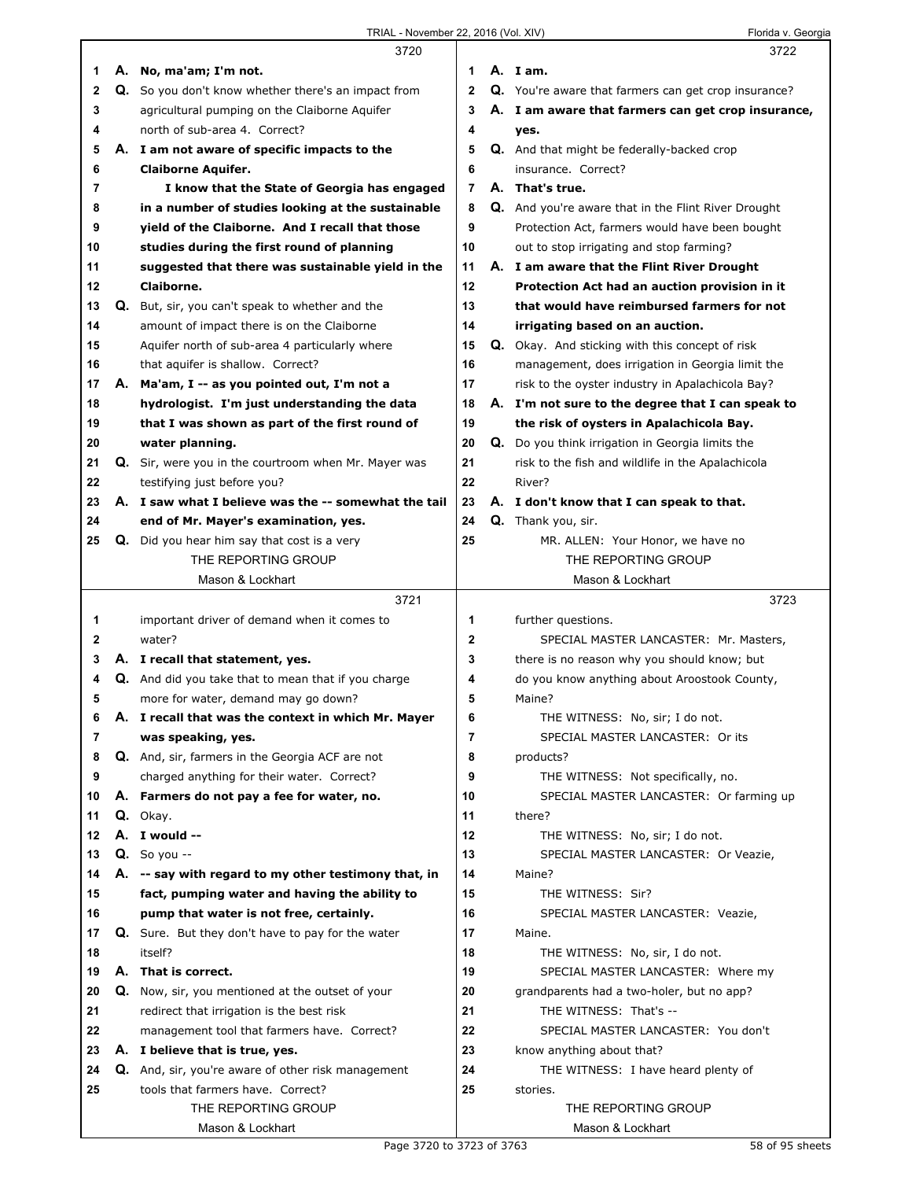|    | 3720                                                 |                | 3722                                                   |  |
|----|------------------------------------------------------|----------------|--------------------------------------------------------|--|
| 1  | A. No, ma'am; I'm not.                               | 1              | A. Iam.                                                |  |
| 2  | Q. So you don't know whether there's an impact from  | $\mathbf{2}$   | Q. You're aware that farmers can get crop insurance?   |  |
| 3  | agricultural pumping on the Claiborne Aquifer        | 3              | A. I am aware that farmers can get crop insurance,     |  |
| 4  | north of sub-area 4. Correct?                        | 4              | yes.                                                   |  |
| 5  | A. I am not aware of specific impacts to the         | 5              | <b>Q.</b> And that might be federally-backed crop      |  |
| 6  | <b>Claiborne Aquifer.</b>                            | 6              | insurance. Correct?                                    |  |
| 7  | I know that the State of Georgia has engaged         | $\overline{7}$ | A. That's true.                                        |  |
| 8  | in a number of studies looking at the sustainable    | 8              | Q. And you're aware that in the Flint River Drought    |  |
| 9  | vield of the Claiborne. And I recall that those      | 9              | Protection Act, farmers would have been bought         |  |
| 10 | studies during the first round of planning           | 10             | out to stop irrigating and stop farming?               |  |
| 11 | suggested that there was sustainable yield in the    | 11             | A. I am aware that the Flint River Drought             |  |
| 12 | Claiborne.                                           | 12             | Protection Act had an auction provision in it          |  |
| 13 | Q. But, sir, you can't speak to whether and the      | 13             | that would have reimbursed farmers for not             |  |
| 14 | amount of impact there is on the Claiborne           | 14             | irrigating based on an auction.                        |  |
| 15 | Aquifer north of sub-area 4 particularly where       | 15             | <b>Q.</b> Okay. And sticking with this concept of risk |  |
| 16 | that aquifer is shallow. Correct?                    | 16             | management, does irrigation in Georgia limit the       |  |
| 17 | A. Ma'am, I -- as you pointed out, I'm not a         | 17             | risk to the oyster industry in Apalachicola Bay?       |  |
| 18 | hydrologist. I'm just understanding the data         | 18             | A. I'm not sure to the degree that I can speak to      |  |
| 19 | that I was shown as part of the first round of       | 19             | the risk of oysters in Apalachicola Bay.               |  |
| 20 | water planning.                                      | 20             | Q. Do you think irrigation in Georgia limits the       |  |
| 21 | Q. Sir, were you in the courtroom when Mr. Mayer was | 21             | risk to the fish and wildlife in the Apalachicola      |  |
| 22 | testifying just before you?                          | 22             | River?                                                 |  |
| 23 | A. I saw what I believe was the -- somewhat the tail | 23             | A. I don't know that I can speak to that.              |  |
| 24 | end of Mr. Mayer's examination, yes.                 | 24             | Q. Thank you, sir.                                     |  |
| 25 | Q. Did you hear him say that cost is a very          | 25             | MR. ALLEN: Your Honor, we have no                      |  |
|    | THE REPORTING GROUP                                  |                | THE REPORTING GROUP                                    |  |
|    | Mason & Lockhart                                     |                | Mason & Lockhart                                       |  |
|    | 3721                                                 |                | 3723                                                   |  |
|    |                                                      |                |                                                        |  |
|    |                                                      |                |                                                        |  |
| 1  | important driver of demand when it comes to          | 1              | further questions.                                     |  |
| 2  | water?                                               | $\mathbf 2$    | SPECIAL MASTER LANCASTER: Mr. Masters,                 |  |
| 3  | A. I recall that statement, yes.                     | 3              | there is no reason why you should know; but            |  |
| 4  | Q. And did you take that to mean that if you charge  | 4              | do you know anything about Aroostook County,           |  |
| 5  | more for water, demand may go down?                  | 5              | Maine?                                                 |  |
| 6  | A. I recall that was the context in which Mr. Mayer  | 6              | THE WITNESS: No, sir; I do not.                        |  |
| 7  | was speaking, yes.                                   | 7              | SPECIAL MASTER LANCASTER: Or its                       |  |
| 8  | Q. And, sir, farmers in the Georgia ACF are not      | 8              | products?                                              |  |
| 9  | charged anything for their water. Correct?           | 9              | THE WITNESS: Not specifically, no.                     |  |
| 10 | A. Farmers do not pay a fee for water, no.           | 10             | SPECIAL MASTER LANCASTER: Or farming up                |  |
| 11 | Q. Okav.                                             | 11             | there?                                                 |  |
| 12 | A. I would --                                        | 12             | THE WITNESS: No, sir; I do not.                        |  |
| 13 | $Q.$ So you --                                       | 13             | SPECIAL MASTER LANCASTER: Or Veazie,                   |  |
| 14 | A. -- say with regard to my other testimony that, in | 14             | Maine?                                                 |  |
| 15 | fact, pumping water and having the ability to        | 15             | THE WITNESS: Sir?                                      |  |
| 16 | pump that water is not free, certainly.              | 16             | SPECIAL MASTER LANCASTER: Veazie,                      |  |
| 17 | Q. Sure. But they don't have to pay for the water    | 17             | Maine.                                                 |  |
| 18 | itself?                                              | 18             | THE WITNESS: No, sir, I do not.                        |  |
| 19 | A. That is correct.                                  | 19             | SPECIAL MASTER LANCASTER: Where my                     |  |
| 20 | Q. Now, sir, you mentioned at the outset of your     | 20             | grandparents had a two-holer, but no app?              |  |
| 21 | redirect that irrigation is the best risk            | 21             | THE WITNESS: That's --                                 |  |
| 22 | management tool that farmers have. Correct?          | 22             | SPECIAL MASTER LANCASTER: You don't                    |  |
| 23 | A. I believe that is true, yes.                      | 23             | know anything about that?                              |  |
| 24 | Q. And, sir, you're aware of other risk management   | 24             | THE WITNESS: I have heard plenty of                    |  |
| 25 | tools that farmers have. Correct?                    | 25             | stories.                                               |  |
|    | THE REPORTING GROUP<br>Mason & Lockhart              |                | THE REPORTING GROUP<br>Mason & Lockhart                |  |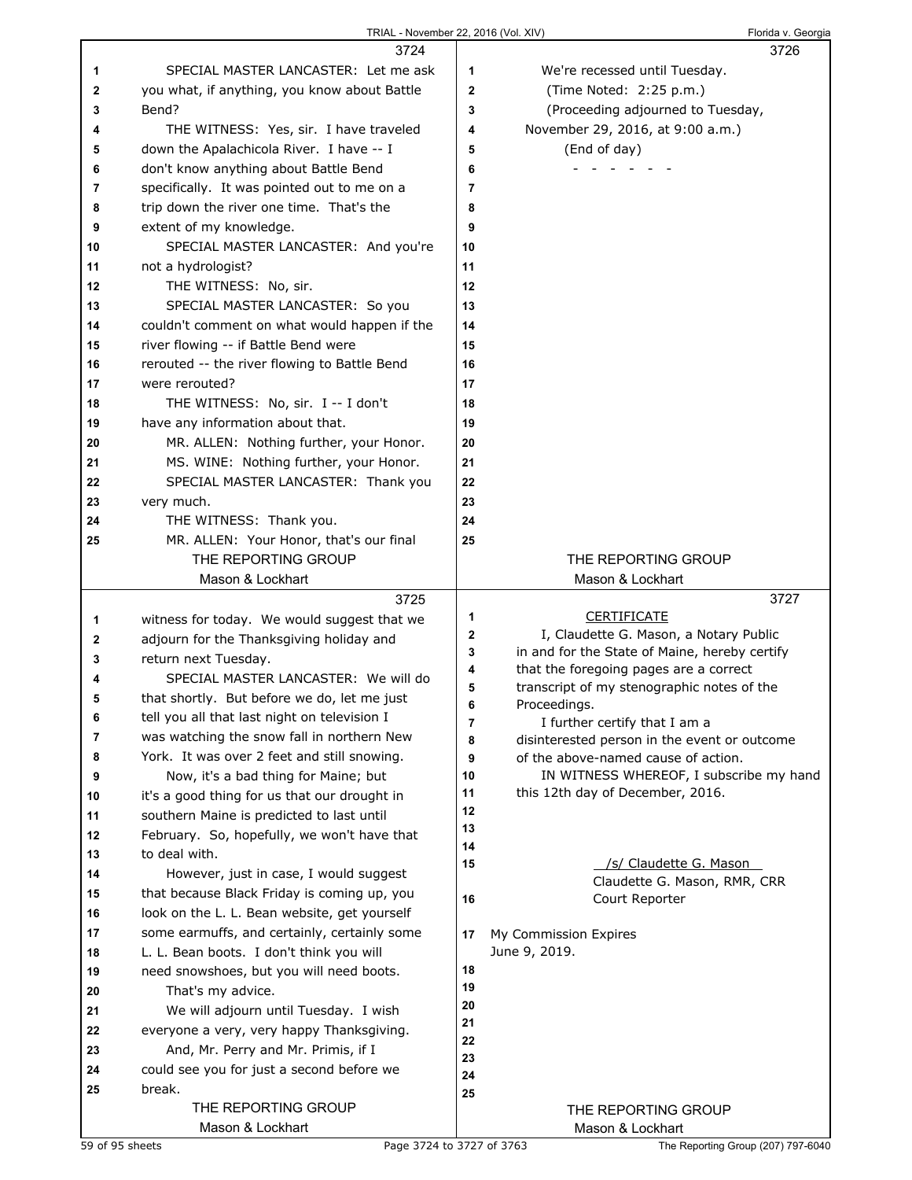|        | TRIAL - November 22, 2016 (Vol. XIV)                             |                     |                                                                               | Florida v. Georgia |
|--------|------------------------------------------------------------------|---------------------|-------------------------------------------------------------------------------|--------------------|
|        | 3724                                                             |                     |                                                                               | 3726               |
| 1      | SPECIAL MASTER LANCASTER: Let me ask                             | 1                   | We're recessed until Tuesday.                                                 |                    |
| 2      | you what, if anything, you know about Battle                     | $\mathbf 2$         | (Time Noted: 2:25 p.m.)                                                       |                    |
| 3      | Bend?                                                            | 3                   | (Proceeding adjourned to Tuesday,                                             |                    |
| 4      | THE WITNESS: Yes, sir. I have traveled                           | 4                   | November 29, 2016, at 9:00 a.m.)                                              |                    |
| 5      | down the Apalachicola River. I have -- I                         | 5                   | (End of day)                                                                  |                    |
| 6      | don't know anything about Battle Bend                            | 6                   |                                                                               |                    |
| 7      | specifically. It was pointed out to me on a                      | 7                   |                                                                               |                    |
| 8      | trip down the river one time. That's the                         | 8                   |                                                                               |                    |
| 9      | extent of my knowledge.                                          | 9                   |                                                                               |                    |
| 10     | SPECIAL MASTER LANCASTER: And you're                             | 10                  |                                                                               |                    |
| 11     | not a hydrologist?                                               | 11                  |                                                                               |                    |
| 12     | THE WITNESS: No, sir.                                            | 12                  |                                                                               |                    |
| 13     | SPECIAL MASTER LANCASTER: So you                                 | 13                  |                                                                               |                    |
| 14     | couldn't comment on what would happen if the                     | 14                  |                                                                               |                    |
| 15     | river flowing -- if Battle Bend were                             | 15                  |                                                                               |                    |
| 16     | rerouted -- the river flowing to Battle Bend                     | 16                  |                                                                               |                    |
| 17     | were rerouted?                                                   | 17                  |                                                                               |                    |
| 18     | THE WITNESS: No, sir. I -- I don't                               | 18                  |                                                                               |                    |
| 19     | have any information about that.                                 | 19                  |                                                                               |                    |
| 20     | MR. ALLEN: Nothing further, your Honor.                          | 20                  |                                                                               |                    |
| 21     | MS. WINE: Nothing further, your Honor.                           | 21                  |                                                                               |                    |
| 22     | SPECIAL MASTER LANCASTER: Thank you                              | 22                  |                                                                               |                    |
| 23     | very much.                                                       | 23                  |                                                                               |                    |
| 24     | THE WITNESS: Thank you.                                          | 24                  |                                                                               |                    |
| 25     | MR. ALLEN: Your Honor, that's our final                          | 25                  |                                                                               |                    |
|        | THE REPORTING GROUP                                              |                     | THE REPORTING GROUP                                                           |                    |
|        | Mason & Lockhart                                                 |                     | Mason & Lockhart                                                              | 3727               |
|        | 3725                                                             | 1                   | <b>CERTIFICATE</b>                                                            |                    |
| 1      | witness for today. We would suggest that we                      | $\mathbf 2$         | I, Claudette G. Mason, a Notary Public                                        |                    |
| 2<br>3 | adjourn for the Thanksgiving holiday and<br>return next Tuesday. | 3                   | in and for the State of Maine, hereby certify                                 |                    |
| 4      | SPECIAL MASTER LANCASTER: We will do                             | 4                   | that the foregoing pages are a correct                                        |                    |
| 5      | that shortly. But before we do, let me just                      | 5                   | transcript of my stenographic notes of the                                    |                    |
| 6      | tell you all that last night on television I                     | 6                   | Proceedings.                                                                  |                    |
| 7      | was watching the snow fall in northern New                       | $\overline{7}$<br>8 | I further certify that I am a<br>disinterested person in the event or outcome |                    |
| 8      | York. It was over 2 feet and still snowing.                      | 9                   | of the above-named cause of action.                                           |                    |
| 9      | Now, it's a bad thing for Maine; but                             | 10                  | IN WITNESS WHEREOF, I subscribe my hand                                       |                    |
| 10     | it's a good thing for us that our drought in                     | 11                  | this 12th day of December, 2016.                                              |                    |
| 11     | southern Maine is predicted to last until                        | 12                  |                                                                               |                    |
| 12     | February. So, hopefully, we won't have that                      | 13                  |                                                                               |                    |
| 13     | to deal with.                                                    | 14<br>15            | /s/ Claudette G. Mason                                                        |                    |
| 14     | However, just in case, I would suggest                           |                     | Claudette G. Mason, RMR, CRR                                                  |                    |
| 15     | that because Black Friday is coming up, you                      | 16                  | Court Reporter                                                                |                    |
| 16     | look on the L. L. Bean website, get yourself                     |                     |                                                                               |                    |
| 17     | some earmuffs, and certainly, certainly some                     | 17                  | My Commission Expires                                                         |                    |
| 18     | L. L. Bean boots. I don't think you will                         |                     | June 9, 2019.                                                                 |                    |
| 19     | need snowshoes, but you will need boots.                         | 18<br>19            |                                                                               |                    |
| 20     | That's my advice.                                                | 20                  |                                                                               |                    |
| 21     | We will adjourn until Tuesday. I wish                            | 21                  |                                                                               |                    |
| 22     | everyone a very, very happy Thanksgiving.                        | 22                  |                                                                               |                    |
| 23     | And, Mr. Perry and Mr. Primis, if I                              | 23                  |                                                                               |                    |
| 24     | could see you for just a second before we<br>break.              | 24                  |                                                                               |                    |
| 25     | THE REPORTING GROUP                                              | 25                  |                                                                               |                    |
|        | Mason & Lockhart                                                 |                     | THE REPORTING GROUP<br>Mason & Lockhart                                       |                    |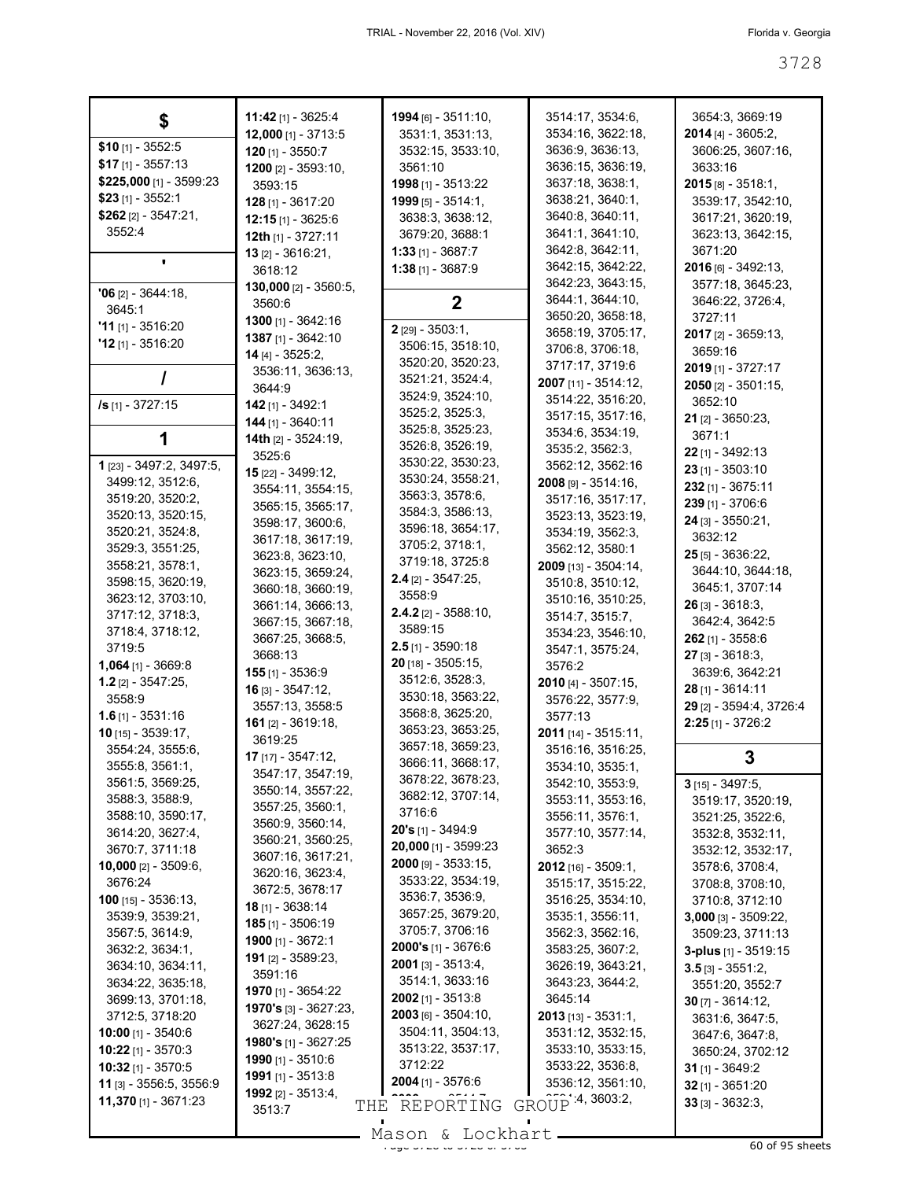| \$                                   | 11:42 [1] - 3625:4              | 1994 [6] - 3511:10,                   | 3514:17, 3534:6,                      | 3654:3, 3669:19                      |
|--------------------------------------|---------------------------------|---------------------------------------|---------------------------------------|--------------------------------------|
|                                      | $12,000$ [1] - 3713:5           | 3531:1, 3531:13,                      | 3534:16, 3622:18,                     | $2014$ [4] - 3605:2,                 |
| $$10$ [1] - 3552:5                   | $120$ [1] - 3550:7              | 3532:15, 3533:10,                     | 3636:9, 3636:13,                      | 3606:25, 3607:16,                    |
| $$17$ [1] - 3557:13                  | 1200 [2] - 3593:10,             | 3561:10                               | 3636:15, 3636:19,                     | 3633:16                              |
| \$225,000 [1] - 3599:23              | 3593:15                         | 1998 [1] - 3513:22                    | 3637:18, 3638:1,                      | $2015$ [8] - 3518:1,                 |
| $$23$ [1] - 3552:1                   | $128$ [1] - 3617:20             | 1999 [5] - 3514:1,                    | 3638:21, 3640:1,                      | 3539:17, 3542:10,                    |
| $$262$ [2] - 3547:21,                | $12:15$ [1] - 3625:6            | 3638:3, 3638:12,                      | 3640:8, 3640:11,                      | 3617:21, 3620:19,                    |
| 3552:4                               | 12th [1] - 3727:11              | 3679:20, 3688:1                       | 3641:1, 3641:10,                      | 3623:13, 3642:15,                    |
|                                      | <b>13</b> $[2] - 3616:21$       | $1:33$ [1] - 3687:7                   | 3642:8, 3642:11,                      | 3671:20                              |
| ٠                                    | 3618:12                         | $1:38$ [1] - 3687:9                   | 3642:15, 3642:22,                     | 2016 [6] - 3492:13,                  |
|                                      | 130,000 [2] - 3560:5,           |                                       | 3642:23, 3643:15,                     | 3577:18, 3645:23,                    |
| $'06$ [2] - 3644:18,                 | 3560:6                          | $\mathbf 2$                           | 3644:1, 3644:10,                      | 3646:22, 3726:4,                     |
| 3645:1                               | 1300 [1] - 3642:16              |                                       | 3650:20, 3658:18,                     | 3727:11                              |
| $'11$ [1] - 3516:20                  | 1387 [1] - 3642:10              | 2 [29] - 3503:1,                      | 3658:19, 3705:17,                     | $2017$ [2] - 3659:13,                |
| $'12$ [1] - 3516:20                  | 14 [4] - 3525:2,                | 3506:15, 3518:10,                     | 3706:8, 3706:18,                      | 3659:16                              |
|                                      | 3536:11, 3636:13,               | 3520:20, 3520:23,                     | 3717:17, 3719:6                       | 2019 [1] - 3727:17                   |
|                                      | 3644:9                          | 3521:21, 3524:4,                      | 2007 [11] - 3514:12,                  | $2050$ [2] - 3501:15,                |
| /s [1] - 3727:15                     | 142 [1] - 3492:1                | 3524:9, 3524:10,                      | 3514:22, 3516:20,                     | 3652:10                              |
|                                      | 144 [1] - 3640:11               | 3525:2, 3525:3,                       | 3517:15, 3517:16,                     | <b>21</b> [2] - 3650:23,             |
|                                      | 14th $[2] - 3524:19$ ,          | 3525:8, 3525:23,                      | 3534:6, 3534:19,                      | 3671:1                               |
|                                      | 3525:6                          | 3526:8, 3526:19,                      | 3535:2, 3562:3,                       | 22 [1] - 3492:13                     |
| 1 [23] - 3497:2, 3497:5,             | 15 [22] - 3499:12,              | 3530:22, 3530:23,                     | 3562:12, 3562:16                      | 23 [1] - 3503:10                     |
| 3499:12, 3512:6,                     | 3554:11, 3554:15,               | 3530:24, 3558:21,                     | $2008$ [9] - 3514:16,                 | 232 [1] - 3675:11                    |
| 3519:20, 3520:2,                     | 3565:15, 3565:17,               | 3563:3, 3578:6,                       | 3517:16, 3517:17,                     | 239 [1] - 3706:6                     |
| 3520:13, 3520:15,                    | 3598:17, 3600:6,                | 3584:3, 3586:13,                      | 3523:13, 3523:19,                     | 24 [3] - 3550:21,                    |
| 3520:21, 3524:8,                     | 3617:18, 3617:19,               | 3596:18, 3654:17,                     | 3534:19, 3562:3,                      | 3632:12                              |
| 3529:3, 3551:25,                     | 3623:8, 3623:10,                | 3705:2, 3718:1,                       | 3562:12, 3580:1                       | $25$ [5] - 3636:22,                  |
| 3558:21, 3578:1,                     | 3623:15, 3659:24,               | 3719:18, 3725:8                       | 2009 [13] - 3504:14,                  | 3644:10, 3644:18,                    |
| 3598:15, 3620:19,                    | 3660:18, 3660:19,               | $2.4$ [2] - 3547:25,                  | 3510:8, 3510:12,                      | 3645:1, 3707:14                      |
| 3623:12, 3703:10,                    | 3661:14, 3666:13,               | 3558:9                                | 3510:16, 3510:25,                     | $26$ [3] - 3618:3,                   |
| 3717:12, 3718:3,                     | 3667:15, 3667:18,               | <b>2.4.2</b> [2] - 3588:10,           | 3514:7, 3515:7,                       | 3642:4, 3642:5                       |
| 3718:4, 3718:12,                     | 3667:25, 3668:5,                | 3589:15                               | 3534:23, 3546:10,                     | $262$ [1] - 3558:6                   |
| 3719:5                               | 3668:13                         | $2.5$ [1] - 3590:18                   | 3547:1, 3575:24,                      | $27$ [3] - 3618:3,                   |
| $1,064$ [1] - 3669:8                 | $155$ [1] - 3536:9              | 20 [18] - 3505:15,                    | 3576:2                                | 3639:6, 3642:21                      |
| 1.2 $[2] - 3547:25$                  | 16 [3] - 3547:12,               | 3512:6, 3528:3,                       | 2010 [4] - 3507:15,                   | 28 [1] - 3614:11                     |
| 3558:9                               | 3557:13, 3558:5                 | 3530:18, 3563:22,                     | 3576:22, 3577:9,                      | 29 [2] - 3594:4, 3726:4              |
| $1.6$ [1] - 3531:16                  | $161$ [2] - 3619:18,            | 3568:8, 3625:20,<br>3653:23, 3653:25, | 3577:13                               | $2:25$ [1] - 3726:2                  |
| $10$ [15] - 3539:17,                 | 3619:25                         | 3657:18, 3659:23,                     | 2011 [14] - 3515:11,                  |                                      |
| 3554:24, 3555:6,                     | 17 [17] - 3547:12,              | 3666:11, 3668:17,                     | 3516:16, 3516:25,                     | 3                                    |
| 3555:8, 3561:1,                      | 3547:17, 3547:19,               | 3678:22, 3678:23,                     | 3534:10, 3535:1,                      |                                      |
| 3561:5, 3569:25,                     | 3550:14, 3557:22,               | 3682:12, 3707:14,                     | 3542:10, 3553:9,                      | $3$ [15] - 3497:5,                   |
| 3588:3, 3588:9,<br>3588:10, 3590:17, | 3557:25, 3560:1,                | 3716:6                                | 3553:11, 3553:16,                     | 3519:17, 3520:19,                    |
| 3614:20, 3627:4,                     | 3560:9, 3560:14,                | 20's [1] - 3494:9                     | 3556:11, 3576:1,<br>3577:10, 3577:14, | 3521:25, 3522:6,                     |
| 3670:7, 3711:18                      | 3560:21, 3560:25,               | 20,000 [1] - 3599:23                  | 3652:3                                | 3532:8, 3532:11,                     |
| <b>10,000</b> [2] - 3509:6,          | 3607:16, 3617:21,               | 2000 [9] - 3533:15,                   | 2012 [16] - 3509:1,                   | 3532:12, 3532:17,<br>3578:6, 3708:4, |
| 3676:24                              | 3620:16, 3623:4,                | 3533:22, 3534:19,                     | 3515:17, 3515:22,                     | 3708:8, 3708:10,                     |
| <b>100</b> [15] - $3536:13$ ,        | 3672:5, 3678:17                 | 3536:7, 3536:9,                       | 3516:25, 3534:10,                     | 3710:8, 3712:10                      |
| 3539:9, 3539:21,                     | <b>18</b> [1] - 3638:14         | 3657:25, 3679:20,                     | 3535:1, 3556:11,                      | $3,000$ [3] - 3509:22,               |
| 3567:5, 3614:9,                      | $185$ [1] - 3506:19             | 3705:7, 3706:16                       | 3562:3, 3562:16,                      | 3509:23, 3711:13                     |
| 3632:2, 3634:1,                      | 1900 [1] - 3672:1               | <b>2000's</b> [1] - 3676:6            | 3583:25, 3607:2,                      | 3-plus [1] - 3519:15                 |
| 3634:10, 3634:11,                    | 191 [2] - 3589:23,              | $2001$ [3] - 3513:4,                  | 3626:19, 3643:21,                     | $3.5$ [3] - 3551:2,                  |
| 3634:22, 3635:18,                    | 3591:16                         | 3514:1, 3633:16                       | 3643:23, 3644:2,                      | 3551:20, 3552:7                      |
| 3699:13, 3701:18,                    | 1970 [1] - 3654:22              | $2002$ [1] - 3513:8                   | 3645:14                               | $30$ [7] - 3614:12,                  |
| 3712:5, 3718:20                      | <b>1970's</b> $[3] - 3627:23$ , | 2003 [6] - 3504:10,                   | $2013$ [13] - 3531:1,                 | 3631:6, 3647:5,                      |
| <b>10:00</b> [1] - 3540:6            | 3627:24, 3628:15                | 3504:11, 3504:13,                     | 3531:12, 3532:15,                     | 3647:6, 3647:8,                      |
| <b>10:22</b> [1] - 3570:3            | <b>1980's</b> [1] - 3627:25     | 3513:22, 3537:17,                     | 3533:10, 3533:15,                     | 3650:24, 3702:12                     |
| $10:32$ [1] - 3570:5                 | 1990 [1] - 3510:6               | 3712:22                               | 3533:22, 3536:8,                      | $31$ [1] - 3649:2                    |
| 11 [3] - 3556:5, 3556:9              | <b>1991</b> [1] - $3513:8$      | <b>2004</b> [1] - 3576:6              | 3536:12, 3561:10,                     | 32 [1] - 3651:20                     |
| 11,370 [1] - 3671:23                 | 1992 [2] - 3513:4,              | THE REPORTING                         | GROUP 4, 3603:2,                      | $33$ [3] - 3632:3,                   |
|                                      | 3513:7                          |                                       |                                       |                                      |
|                                      |                                 |                                       |                                       |                                      |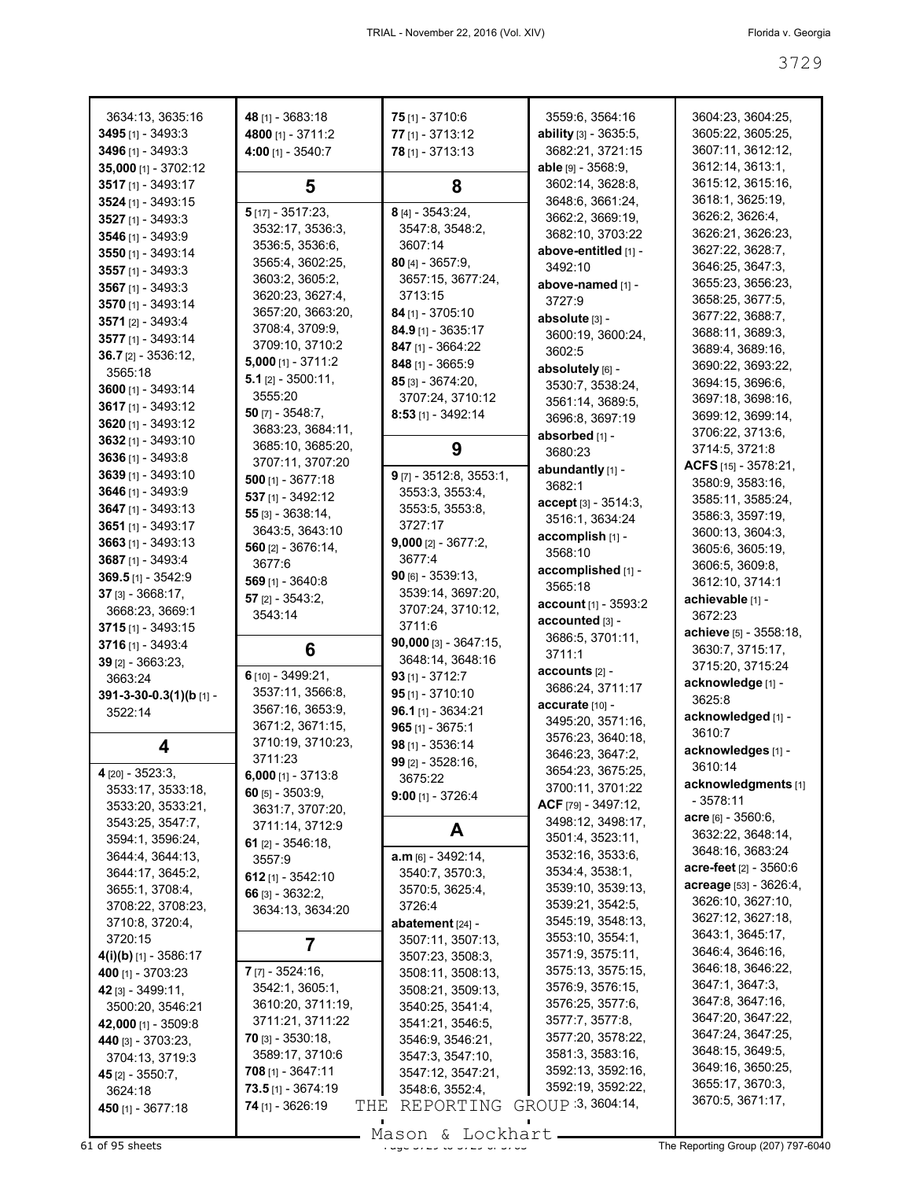| 3634:13, 3635:16             | 48 [1] - 3683:18                                | $75$ [1] - 3710:6            | 3559:6, 3564:16            | 3604:23, 3604:25,         |
|------------------------------|-------------------------------------------------|------------------------------|----------------------------|---------------------------|
| 3495 [1] - 3493:3            | 4800 [1] - 3711:2                               | 77 [1] - 3713:12             | ability [3] - 3635:5,      | 3605:22, 3605:25,         |
|                              |                                                 |                              |                            |                           |
| 3496 [1] - 3493:3            | $4:00$ [1] - 3540:7                             | 78 [1] - 3713:13             | 3682:21, 3721:15           | 3607:11, 3612:12,         |
| 35,000 [1] - 3702:12         |                                                 |                              | <b>able</b> $[9] - 3568:9$ | 3612:14, 3613:1,          |
| 3517 [1] - 3493:17           | 5                                               | 8                            | 3602:14, 3628:8,           | 3615:12, 3615:16,         |
| 3524 [1] - 3493:15           |                                                 |                              | 3648:6, 3661:24,           | 3618:1, 3625:19,          |
| 3527 [1] - 3493:3            | $5$ [17] - 3517:23,                             | 8 [4] - 3543:24,             | 3662:2, 3669:19,           | 3626:2, 3626:4,           |
| 3546 [1] - 3493:9            | 3532:17, 3536:3,                                | 3547:8, 3548:2,              | 3682:10, 3703:22           | 3626:21, 3626:23,         |
|                              | 3536:5, 3536:6,                                 | 3607:14                      | above-entitled [1] -       | 3627:22, 3628:7,          |
| 3550 [1] - 3493:14           | 3565:4, 3602:25,                                | 80 $[4] - 3657:9$            | 3492:10                    | 3646:25, 3647:3,          |
| 3557 [1] - 3493:3            | 3603:2, 3605:2,                                 | 3657:15, 3677:24,            |                            |                           |
| 3567 [1] - 3493:3            | 3620:23, 3627:4,                                | 3713:15                      | above-named [1] -          | 3655:23, 3656:23,         |
| 3570 [1] - 3493:14           |                                                 |                              | 3727:9                     | 3658:25, 3677:5,          |
| 3571 [2] - 3493:4            | 3657:20, 3663:20,                               | $84$ [1] - 3705:10           | absolute [3] -             | 3677:22, 3688:7,          |
| 3577 [1] - 3493:14           | 3708:4, 3709:9,                                 | $84.9$ [1] - 3635:17         | 3600:19, 3600:24,          | 3688:11, 3689:3,          |
|                              | 3709:10, 3710:2                                 | 847 [1] - 3664:22            | 3602:5                     | 3689:4, 3689:16,          |
| $36.7$ [2] - 3536:12,        | 5,000 [1] - 3711:2                              | 848 [1] - 3665:9             | absolutely [6] -           | 3690:22, 3693:22,         |
| 3565:18                      | 5.1 $[2] - 3500:11$ ,                           | 85 [3] - 3674:20,            |                            | 3694:15, 3696:6,          |
| 3600 [1] - 3493:14           | 3555:20                                         | 3707:24, 3710:12             | 3530:7, 3538:24,           |                           |
| 3617 [1] - 3493:12           | 50 $[7] - 3548:7,$                              |                              | 3561:14, 3689:5,           | 3697:18, 3698:16,         |
| 3620 [1] - 3493:12           |                                                 | $8:53$ [1] - 3492:14         | 3696:8, 3697:19            | 3699:12, 3699:14,         |
| 3632 [1] - 3493:10           | 3683:23, 3684:11,                               |                              | absorbed [1] -             | 3706:22, 3713:6,          |
|                              | 3685:10, 3685:20,                               | 9                            | 3680:23                    | 3714:5, 3721:8            |
| 3636 [1] - 3493:8            | 3707:11, 3707:20                                |                              | abundantly [1] -           | ACFS [15] - 3578:21,      |
| 3639 [1] - 3493:10           | $500$ [1] - 3677:18                             | $9$ [7] - 3512:8, 3553:1,    | 3682:1                     | 3580:9, 3583:16,          |
| 3646 [1] - 3493:9            | 537 [1] - 3492:12                               | 3553:3, 3553:4,              |                            | 3585:11, 3585:24,         |
| 3647 [1] - 3493:13           | 55 [3] - 3638:14,                               | 3553:5, 3553:8,              | accept [3] - 3514:3,       |                           |
| 3651 [1] - 3493:17           |                                                 | 3727:17                      | 3516:1, 3634:24            | 3586:3, 3597:19,          |
| 3663 [1] - 3493:13           | 3643:5, 3643:10                                 | $9,000$ [2] - 3677:2,        | accomplish [1] -           | 3600:13, 3604:3,          |
|                              | $560$ [2] - 3676:14,                            | 3677:4                       | 3568:10                    | 3605:6, 3605:19,          |
| 3687 [1] - 3493:4            | 3677:6                                          |                              | accomplished [1] -         | 3606:5, 3609:8,           |
| $369.5$ [1] - 3542:9         | $569$ [1] - 3640:8                              | $90$ [6] - 3539:13,          | 3565:18                    | 3612:10, 3714:1           |
| 37 [3] - 3668:17,            | 57 $[2] - 3543:2,$                              | 3539:14, 3697:20,            |                            | achievable [1] -          |
| 3668:23, 3669:1              | 3543:14                                         | 3707:24, 3710:12,            | account [1] - 3593:2       | 3672:23                   |
|                              |                                                 |                              |                            |                           |
|                              |                                                 | 3711:6                       | accounted [3] -            |                           |
| $3715$ [1] - 3493:15         |                                                 |                              | 3686:5, 3701:11,           | achieve [5] - 3558:18,    |
| 3716 [1] - 3493:4            | 6                                               | $90,000$ [3] - 3647:15,      | 3711:1                     | 3630:7, 3715:17,          |
| 39 [2] - 3663:23,            |                                                 | 3648:14, 3648:16             | accounts [2] -             | 3715:20, 3715:24          |
| 3663:24                      | 6 [10] - 3499:21,                               | 93 $[1] - 3712:7$            |                            | acknowledge [1] -         |
| 391-3-30-0.3(1)(b [1] -      | 3537:11, 3566:8,                                | $95$ [1] - 3710:10           | 3686:24, 3711:17           | 3625:8                    |
| 3522:14                      | 3567:16, 3653:9,                                | $96.1$ [1] - 3634:21         | accurate [10] -            |                           |
|                              | 3671:2, 3671:15,                                | $965$ [1] - 3675:1           | 3495:20, 3571:16,          | acknowledged [1] -        |
|                              | 3710:19, 3710:23,                               | 98 [1] - 3536:14             | 3576:23, 3640:18,          | 3610:7                    |
| 4                            | 3711:23                                         |                              | 3646:23, 3647:2,           | acknowledges [1] -        |
| 4 [20] - 3523:3,             |                                                 | 99 [2] - 3528:16,            | 3654:23, 3675:25,          | 3610:14                   |
|                              | $6,000$ [1] - 3713:8                            | 3675:22                      |                            | acknowledgments [1]       |
| 3533:17, 3533:18,            | 60 [5] - 3503:9,                                | $9:00$ [1] - 3726:4          | 3700:11, 3701:22           | $-3578:11$                |
| 3533:20, 3533:21,            | 3631:7, 3707:20,                                |                              | ACF $[79] - 3497:12$ ,     | <b>acre</b> [6] - 3560:6, |
| 3543:25, 3547:7,             | 3711:14, 3712:9                                 | A                            | 3498:12, 3498:17,          |                           |
| 3594:1, 3596:24,             | 61 $[2] - 3546:18$                              |                              | 3501:4, 3523:11,           | 3632:22, 3648:14,         |
| 3644:4, 3644:13,             | 3557:9                                          | a.m [6] - 3492:14,           | 3532:16, 3533:6,           | 3648:16, 3683:24          |
| 3644:17, 3645:2,             | 612 $[1] - 3542:10$                             | 3540:7, 3570:3,              | 3534:4, 3538:1,            | acre-feet [2] - 3560:6    |
| 3655:1, 3708:4,              |                                                 | 3570:5, 3625:4,              | 3539:10, 3539:13,          | acreage [53] - 3626:4,    |
| 3708:22, 3708:23,            | 66 $[3] - 3632:2$                               | 3726:4                       | 3539:21, 3542:5,           | 3626:10, 3627:10,         |
|                              | 3634:13, 3634:20                                |                              | 3545:19, 3548:13,          | 3627:12, 3627:18,         |
| 3710:8, 3720:4,              |                                                 | abatement $[24]$ -           |                            | 3643:1, 3645:17,          |
| 3720:15                      | 7                                               | 3507:11, 3507:13,            | 3553:10, 3554:1,           | 3646:4, 3646:16,          |
| <b>4(i)(b)</b> [1] - 3586:17 |                                                 | 3507:23, 3508:3,             | 3571:9, 3575:11,           | 3646:18, 3646:22,         |
| 400 [1] - 3703:23            | $7$ [7] - 3524:16,                              | 3508:11, 3508:13,            | 3575:13, 3575:15,          |                           |
| 42 [3] - 3499:11,            | 3542:1, 3605:1,                                 | 3508:21, 3509:13,            | 3576:9, 3576:15,           | 3647:1, 3647:3,           |
| 3500:20, 3546:21             | 3610:20, 3711:19,                               | 3540:25, 3541:4,             | 3576:25, 3577:6,           | 3647:8, 3647:16,          |
| 42,000 [1] - 3509:8          | 3711:21, 3711:22                                | 3541:21, 3546:5,             | 3577:7, 3577:8,            | 3647:20, 3647:22,         |
| 440 [3] - 3703:23,           | <b>70</b> [3] - 3530:18,                        | 3546:9, 3546:21,             | 3577:20, 3578:22,          | 3647:24, 3647:25,         |
| 3704:13, 3719:3              | 3589:17, 3710:6                                 | 3547:3, 3547:10,             | 3581:3, 3583:16,           | 3648:15, 3649:5,          |
|                              | $708$ [1] - 3647:11                             |                              | 3592:13, 3592:16,          | 3649:16, 3650:25,         |
| <b>45</b> [2] - 3550:7,      |                                                 | 3547:12, 3547:21,            | 3592:19, 3592:22,          | 3655:17, 3670:3,          |
| 3624:18<br>450 [1] - 3677:18 | $73.5$ [1] - 3674:19<br>74 [1] - 3626:19<br>THE | 3548:6, 3552:4,<br>REPORTING | GROUP 3, 3604:14,          | 3670:5, 3671:17,          |

Mason & Lockhart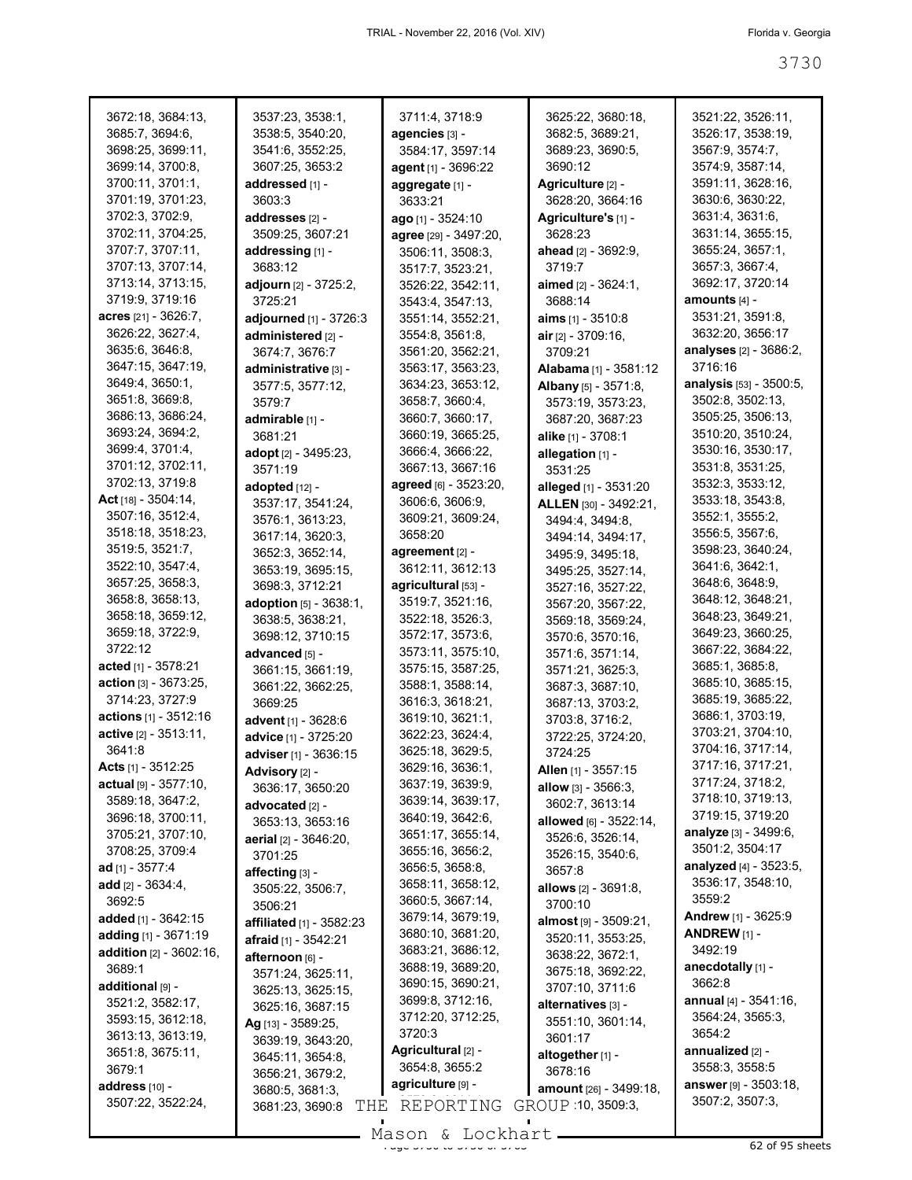| 3672:18, 3684:13,                 | 3537:23, 3538:1,             | 3711:4, 3718:9        | 3625:22, 3680:18,          | 3521:22, 3526:11,             |
|-----------------------------------|------------------------------|-----------------------|----------------------------|-------------------------------|
| 3685:7, 3694:6,                   | 3538:5, 3540:20,             | agencies [3] -        | 3682:5, 3689:21,           | 3526:17, 3538:19,             |
| 3698:25, 3699:11,                 | 3541:6, 3552:25,             | 3584:17, 3597:14      | 3689:23, 3690:5,           | 3567:9, 3574:7,               |
|                                   |                              |                       |                            |                               |
| 3699:14, 3700:8,                  | 3607:25, 3653:2              | agent [1] - 3696:22   | 3690:12                    | 3574:9, 3587:14,              |
| 3700:11, 3701:1,                  | addressed [1] -              | aggregate [1] -       | Agriculture [2] -          | 3591:11, 3628:16,             |
| 3701:19, 3701:23,                 | 3603:3                       | 3633:21               | 3628:20, 3664:16           | 3630:6, 3630:22,              |
| 3702:3, 3702:9,                   | addresses [2] -              | ago [1] - 3524:10     | Agriculture's [1] -        | 3631:4, 3631:6,               |
| 3702:11, 3704:25,                 | 3509:25, 3607:21             | agree [29] - 3497:20, | 3628:23                    | 3631:14, 3655:15,             |
| 3707:7, 3707:11,                  | addressing [1] -             | 3506:11, 3508:3,      | ahead [2] - 3692:9,        | 3655:24, 3657:1,              |
| 3707:13, 3707:14,                 | 3683:12                      | 3517:7, 3523:21,      | 3719:7                     | 3657:3, 3667:4,               |
| 3713:14, 3713:15,                 | <b>adjourn</b> [2] - 3725:2, | 3526:22, 3542:11,     | <b>aimed</b> [2] - 3624:1, | 3692:17, 3720:14              |
| 3719:9, 3719:16                   | 3725:21                      | 3543:4, 3547:13,      | 3688:14                    | amounts <sub>[4]</sub> -      |
| acres [21] - 3626:7,              | adjourned [1] - 3726:3       | 3551:14, 3552:21,     | aims $[1] - 3510:8$        | 3531:21, 3591:8,              |
| 3626:22, 3627:4,                  |                              |                       |                            | 3632:20, 3656:17              |
| 3635:6, 3646:8,                   | administered [2] -           | 3554:8, 3561:8,       | $air_{[2]} - 3709:16$ ,    |                               |
|                                   | 3674:7, 3676:7               | 3561:20, 3562:21,     | 3709:21                    | <b>analyses</b> [2] - 3686:2, |
| 3647:15, 3647:19,                 | administrative [3] -         | 3563:17, 3563:23,     | Alabama [1] - 3581:12      | 3716:16                       |
| 3649:4, 3650:1,                   | 3577:5, 3577:12,             | 3634:23, 3653:12,     | Albany [5] - 3571:8,       | analysis [53] - 3500:5,       |
| 3651:8, 3669:8,                   | 3579:7                       | 3658:7, 3660:4,       | 3573:19, 3573:23,          | 3502:8, 3502:13,              |
| 3686:13, 3686:24,                 | admirable [1] -              | 3660:7, 3660:17,      | 3687:20, 3687:23           | 3505:25, 3506:13,             |
| 3693:24, 3694:2,                  | 3681:21                      | 3660:19, 3665:25,     | alike [1] - 3708:1         | 3510:20, 3510:24,             |
| 3699:4, 3701:4,                   | adopt [2] - 3495:23,         | 3666:4, 3666:22,      | allegation [1] -           | 3530:16, 3530:17,             |
| 3701:12, 3702:11,                 | 3571:19                      | 3667:13, 3667:16      | 3531:25                    | 3531:8, 3531:25,              |
| 3702:13, 3719:8                   | adopted [12] -               | agreed [6] - 3523:20, | alleged [1] - 3531:20      | 3532:3, 3533:12,              |
| Act [18] - 3504:14,               |                              | 3606:6, 3606:9,       |                            | 3533:18, 3543:8,              |
| 3507:16, 3512:4,                  | 3537:17, 3541:24,            | 3609:21, 3609:24,     | ALLEN [30] - 3492:21,      | 3552:1, 3555:2,               |
|                                   | 3576:1, 3613:23,             |                       | 3494:4, 3494:8,            |                               |
| 3518:18, 3518:23,                 | 3617:14, 3620:3,             | 3658:20               | 3494:14, 3494:17,          | 3556:5, 3567:6,               |
| 3519:5, 3521:7,                   | 3652:3, 3652:14,             | agreement [2] -       | 3495:9, 3495:18,           | 3598:23, 3640:24,             |
| 3522:10, 3547:4,                  | 3653:19, 3695:15,            | 3612:11, 3612:13      | 3495:25, 3527:14,          | 3641:6, 3642:1,               |
| 3657:25, 3658:3,                  | 3698:3, 3712:21              | agricultural [53] -   | 3527:16, 3527:22,          | 3648:6, 3648:9,               |
| 3658:8, 3658:13,                  | adoption [5] - 3638:1,       | 3519:7, 3521:16,      | 3567:20, 3567:22,          | 3648:12, 3648:21,             |
| 3658:18, 3659:12,                 | 3638:5, 3638:21,             | 3522:18, 3526:3,      | 3569:18, 3569:24,          | 3648:23, 3649:21,             |
| 3659:18, 3722:9,                  | 3698:12, 3710:15             | 3572:17, 3573:6,      | 3570:6, 3570:16,           | 3649:23, 3660:25,             |
| 3722:12                           | advanced [5] -               | 3573:11, 3575:10,     | 3571:6, 3571:14,           | 3667:22, 3684:22,             |
| acted $[1]$ - 3578:21             | 3661:15, 3661:19,            | 3575:15, 3587:25,     | 3571:21, 3625:3,           | 3685:1, 3685:8,               |
| <b>action</b> $[3] - 3673:25$ ,   | 3661:22, 3662:25,            | 3588:1, 3588:14,      | 3687:3, 3687:10,           | 3685:10, 3685:15,             |
| 3714:23, 3727:9                   | 3669:25                      | 3616:3, 3618:21,      |                            | 3685:19, 3685:22,             |
| actions [1] - 3512:16             |                              | 3619:10, 3621:1,      | 3687:13, 3703:2,           | 3686:1, 3703:19,              |
| active [2] - 3513:11,             | advent [1] - 3628:6          |                       | 3703:8, 3716:2,            | 3703:21, 3704:10,             |
|                                   | advice [1] - 3725:20         | 3622:23, 3624:4,      | 3722:25, 3724:20,          | 3704:16, 3717:14,             |
| 3641:8                            | adviser [1] - 3636:15        | 3625:18, 3629:5,      | 3724:25                    |                               |
| Acts [1] - 3512:25                | <b>Advisory</b> [2] -        | 3629:16, 3636:1,      | Allen [1] - 3557:15        | 3717:16, 3717:21,             |
| actual [9] - 3577:10,             | 3636:17, 3650:20             | 3637:19, 3639:9,      | allow [3] - 3566:3,        | 3717:24, 3718:2,              |
| 3589:18, 3647:2,                  | advocated [2] -              | 3639:14, 3639:17,     | 3602:7, 3613:14            | 3718:10, 3719:13,             |
| 3696:18, 3700:11,                 | 3653:13, 3653:16             | 3640:19, 3642:6,      | allowed [6] - 3522:14,     | 3719:15, 3719:20              |
| 3705:21, 3707:10,                 | aerial $[2] - 3646:20$ ,     | 3651:17, 3655:14,     | 3526:6, 3526:14,           | analyze [3] - 3499:6,         |
| 3708:25, 3709:4                   | 3701:25                      | 3655:16, 3656:2,      | 3526:15, 3540:6,           | 3501:2, 3504:17               |
| ad $[1] - 3577:4$                 | affecting [3] -              | 3656:5, 3658:8,       | 3657:8                     | analyzed [4] - 3523:5,        |
| add $[2] - 3634:4,$               |                              | 3658:11, 3658:12,     | allows [2] - 3691:8,       | 3536:17, 3548:10,             |
| 3692:5                            | 3505:22, 3506:7,             | 3660:5, 3667:14,      | 3700:10                    | 3559:2                        |
| added [1] - 3642:15               | 3506:21                      | 3679:14, 3679:19,     |                            | Andrew [1] - 3625:9           |
| adding [1] - 3671:19              | affiliated [1] - 3582:23     | 3680:10, 3681:20,     | almost [9] - 3509:21,      | ANDREW $[1]$ -                |
|                                   | afraid $[1]$ - 3542:21       | 3683:21, 3686:12,     | 3520:11, 3553:25,          | 3492:19                       |
| <b>addition</b> $[2] - 3602:16$ , | afternoon [6] -              |                       | 3638:22, 3672:1,           |                               |
| 3689:1                            | 3571:24, 3625:11,            | 3688:19, 3689:20,     | 3675:18, 3692:22,          | anecdotally [1] -             |
| additional [9] -                  | 3625:13, 3625:15,            | 3690:15, 3690:21,     | 3707:10, 3711:6            | 3662:8                        |
| 3521:2, 3582:17,                  | 3625:16, 3687:15             | 3699:8, 3712:16,      | alternatives [3] -         | annual $[4] - 3541:16$ ,      |
| 3593:15, 3612:18,                 | Ag [13] - 3589:25,           | 3712:20, 3712:25,     | 3551:10, 3601:14,          | 3564:24, 3565:3,              |
| 3613:13, 3613:19,                 | 3639:19, 3643:20,            | 3720:3                | 3601:17                    | 3654:2                        |
| 3651:8, 3675:11,                  | 3645:11, 3654:8,             | Agricultural [2] -    | altogether [1] -           | annualized [2] -              |
| 3679:1                            | 3656:21, 3679:2,             | 3654:8, 3655:2        | 3678:16                    | 3558:3, 3558:5                |
| address [10] -                    | 3680:5, 3681:3,              | agriculture [9] -     | amount [26] - 3499:18,     | <b>answer</b> [9] - 3503:18,  |
| 3507:22, 3522:24,                 | THE<br>3681:23, 3690:8       | REPORTING             | GROUP 10, 3509:3,          | 3507:2, 3507:3,               |
|                                   |                              |                       |                            |                               |

Mason & Lockhart <u>entitled by</u> 3730 and 3763 sheets

 $\mathcal{L}_{\mathcal{A}}$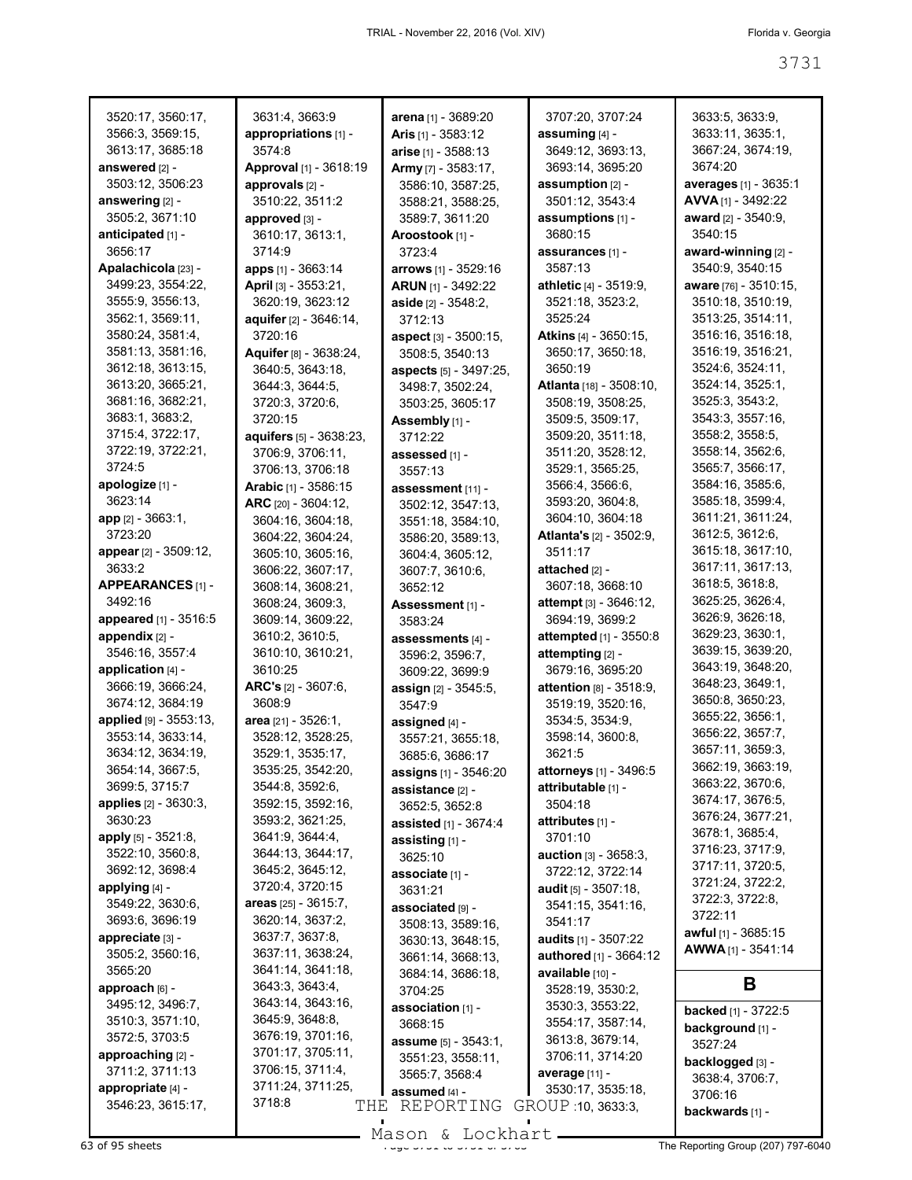| 3520:17, 3560:17,      | 3631:4, 3663:9          | arena [1] - 3689:20         | 3707:20, 3707:24               | 3633:5, 3633:9,              |
|------------------------|-------------------------|-----------------------------|--------------------------------|------------------------------|
| 3566:3, 3569:15,       | appropriations $[1]$ -  | <b>Aris</b> $[1] - 3583:12$ | assuming $[4]$ -               | 3633:11, 3635:1,             |
| 3613:17, 3685:18       | 3574:8                  | arise [1] - 3588:13         | 3649:12, 3693:13,              | 3667:24, 3674:19,            |
| answered [2] -         | Approval [1] - 3618:19  | Army [7] - 3583:17,         | 3693:14, 3695:20               | 3674:20                      |
| 3503:12, 3506:23       | approvals [2] -         | 3586:10, 3587:25,           | assumption [2] -               | <b>averages</b> [1] - 3635:1 |
| answering [2] -        | 3510:22, 3511:2         | 3588:21, 3588:25,           | 3501:12, 3543:4                | $AVVA$ [1] - 3492:22         |
| 3505:2, 3671:10        | approved [3] -          | 3589:7, 3611:20             | assumptions [1] -              | award $[2] - 3540.9$ ,       |
| anticipated [1] -      | 3610:17, 3613:1,        | Aroostook [1] -             | 3680:15                        | 3540:15                      |
| 3656:17                | 3714:9                  | 3723:4                      | assurances [1] -               | award-winning [2] -          |
| Apalachicola [23] -    | apps [1] - 3663:14      | arrows [1] - 3529:16        | 3587:13                        | 3540:9, 3540:15              |
| 3499:23, 3554:22,      | April [3] - 3553:21,    | <b>ARUN [1] - 3492:22</b>   | athletic [4] - 3519:9,         | aware [76] - 3510:15,        |
| 3555:9, 3556:13,       | 3620:19, 3623:12        | aside [2] - 3548:2,         | 3521:18, 3523:2,               | 3510:18, 3510:19,            |
| 3562:1, 3569:11,       | aquifer [2] - 3646:14,  | 3712:13                     | 3525:24                        | 3513:25, 3514:11,            |
| 3580:24, 3581:4,       | 3720:16                 | aspect [3] - 3500:15,       | Atkins [4] - 3650:15,          | 3516:16, 3516:18,            |
| 3581:13, 3581:16,      | Aquifer [8] - 3638:24,  | 3508:5, 3540:13             | 3650:17, 3650:18,              | 3516:19, 3516:21,            |
| 3612:18, 3613:15,      | 3640:5, 3643:18,        | aspects [5] - 3497:25,      | 3650:19                        | 3524:6, 3524:11,             |
| 3613:20, 3665:21,      | 3644:3, 3644:5,         | 3498:7, 3502:24,            | Atlanta [18] - 3508:10,        | 3524:14, 3525:1,             |
| 3681:16, 3682:21,      | 3720:3, 3720:6,         | 3503:25, 3605:17            | 3508:19, 3508:25,              | 3525:3, 3543:2,              |
| 3683:1, 3683:2,        | 3720:15                 | Assembly [1] -              | 3509:5, 3509:17,               | 3543:3, 3557:16,             |
| 3715:4, 3722:17,       | aquifers [5] - 3638:23, | 3712:22                     | 3509:20, 3511:18,              | 3558:2, 3558:5,              |
| 3722:19, 3722:21,      | 3706:9, 3706:11,        | assessed [1] -              | 3511:20, 3528:12,              | 3558:14, 3562:6,             |
| 3724:5                 | 3706:13, 3706:18        | 3557:13                     | 3529:1, 3565:25,               | 3565:7, 3566:17,             |
| apologize [1] -        | Arabic [1] - 3586:15    | assessment [11] -           | 3566:4, 3566:6,                | 3584:16, 3585:6,             |
| 3623:14                | ARC $[20] - 3604:12$ ,  | 3502:12, 3547:13,           | 3593:20, 3604:8,               | 3585:18, 3599:4,             |
| app [2] - 3663:1,      | 3604:16, 3604:18,       | 3551:18, 3584:10,           | 3604:10, 3604:18               | 3611:21, 3611:24,            |
| 3723:20                | 3604:22, 3604:24,       | 3586:20, 3589:13,           | <b>Atlanta's</b> [2] - 3502:9, | 3612:5, 3612:6,              |
| appear [2] - 3509:12,  | 3605:10, 3605:16,       | 3604:4, 3605:12,            | 3511:17                        | 3615:18, 3617:10,            |
| 3633:2                 | 3606:22, 3607:17,       | 3607:7, 3610:6,             | attached [2] -                 | 3617:11, 3617:13,            |
| APPEARANCES [1] -      | 3608:14, 3608:21,       | 3652:12                     | 3607:18, 3668:10               | 3618:5, 3618:8,              |
| 3492:16                | 3608:24, 3609:3,        | Assessment [1] -            | attempt [3] - 3646:12,         | 3625:25, 3626:4,             |
| appeared [1] - 3516:5  | 3609:14, 3609:22,       | 3583:24                     | 3694:19, 3699:2                | 3626:9, 3626:18,             |
| appendix [2] -         | 3610:2, 3610:5,         | assessments [4] -           | attempted [1] - 3550:8         | 3629:23, 3630:1,             |
| 3546:16, 3557:4        | 3610:10, 3610:21,       | 3596:2, 3596:7,             | attempting [2] -               | 3639:15, 3639:20,            |
| application [4] -      | 3610:25                 | 3609:22, 3699:9             | 3679:16, 3695:20               | 3643:19, 3648:20,            |
| 3666:19, 3666:24,      | ARC's [2] - 3607:6,     | assign [2] - 3545:5,        | <b>attention</b> [8] - 3518:9, | 3648:23, 3649:1,             |
| 3674:12, 3684:19       | 3608:9                  | 3547:9                      | 3519:19, 3520:16,              | 3650:8, 3650:23,             |
| applied [9] - 3553:13, | area $[21] - 3526:1$ ,  | assigned [4] -              | 3534:5, 3534:9,                | 3655:22, 3656:1,             |
| 3553:14, 3633:14,      | 3528:12, 3528:25,       | 3557:21, 3655:18,           | 3598:14, 3600:8,               | 3656:22, 3657:7,             |
| 3634:12, 3634:19,      | 3529:1, 3535:17,        | 3685:6, 3686:17             | 3621:5                         | 3657:11, 3659:3,             |
| 3654:14, 3667:5,       | 3535:25, 3542:20,       | assigns [1] - 3546:20       | attorneys [1] - 3496:5         | 3662:19, 3663:19,            |
| 3699:5, 3715:7         | 3544:8, 3592:6,         | assistance [2] -            | attributable [1] -             | 3663:22, 3670:6,             |
| applies [2] - 3630:3,  | 3592:15, 3592:16,       | 3652:5, 3652:8              | 3504:18                        | 3674:17, 3676:5,             |
| 3630:23                | 3593:2, 3621:25.        | assisted [1] - 3674:4       | attributes [1] -               | 3676:24, 3677:21,            |
| apply [5] - 3521:8,    | 3641:9, 3644:4,         | assisting [1] -             | 3701:10                        | 3678:1, 3685:4,              |
| 3522:10, 3560:8,       | 3644:13, 3644:17,       | 3625:10                     | <b>auction</b> [3] - 3658:3,   | 3716:23, 3717:9,             |
| 3692:12, 3698:4        | 3645:2, 3645:12,        | associate [1] -             | 3722:12, 3722:14               | 3717:11, 3720:5,             |
| applying [4] -         | 3720:4, 3720:15         | 3631:21                     | <b>audit</b> $[5] - 3507:18$   | 3721:24, 3722:2,             |
| 3549:22, 3630:6,       | areas [25] - 3615:7,    | associated [9] -            | 3541:15, 3541:16,              | 3722:3, 3722:8,              |
| 3693:6, 3696:19        | 3620:14, 3637:2,        | 3508:13, 3589:16,           | 3541:17                        | 3722:11                      |
| appreciate [3] -       | 3637:7, 3637:8,         | 3630:13, 3648:15,           | <b>audits</b> $[1]$ - 3507:22  | awful [1] - 3685:15          |
| 3505:2, 3560:16,       | 3637:11, 3638:24,       | 3661:14, 3668:13,           | <b>authored</b> [1] - 3664:12  | <b>AWWA</b> $[1] - 3541:14$  |
| 3565:20                | 3641:14, 3641:18,       | 3684:14, 3686:18,           | available [10] -               |                              |
| approach [6] -         | 3643:3, 3643:4,         | 3704:25                     | 3528:19, 3530:2,               | Β                            |
| 3495:12, 3496:7,       | 3643:14, 3643:16,       | association [1] -           | 3530:3, 3553:22,               | <b>backed</b> [1] - 3722:5   |
| 3510:3, 3571:10,       | 3645:9, 3648:8,         | 3668:15                     | 3554:17, 3587:14,              | background [1] -             |
| 3572:5, 3703:5         | 3676:19, 3701:16,       | <b>assume</b> [5] - 3543:1, | 3613:8, 3679:14,               | 3527:24                      |
| approaching [2] -      | 3701:17, 3705:11,       | 3551:23, 3558:11,           | 3706:11, 3714:20               | backlogged [3] -             |
| 3711:2, 3711:13        | 3706:15, 3711:4,        | 3565:7, 3568:4              | average [11] -                 | 3638:4, 3706:7,              |
| appropriate [4] -      | 3711:24, 3711:25,       | assumed [4] -               | 3530:17, 3535:18,              | 3706:16                      |
| 3546:23, 3615:17,      | 3718:8<br>THE           | REPORTING                   | GROUP : 10, 3633:3,            | backwards [1] -              |
|                        |                         |                             |                                |                              |

Mason & Lockhart **Page 3731 to 3731 to 3731 to 3731 to 3731 to 3731 to 3731 to 3731 to 3731 to 3731 of 3731 to 3731 of 3731 to 3731 to 3731 to 3731 to 3731 to 3741 to 3741 to 3741 to 3741 to 3741 to 3741 to 3741 to 3741 to**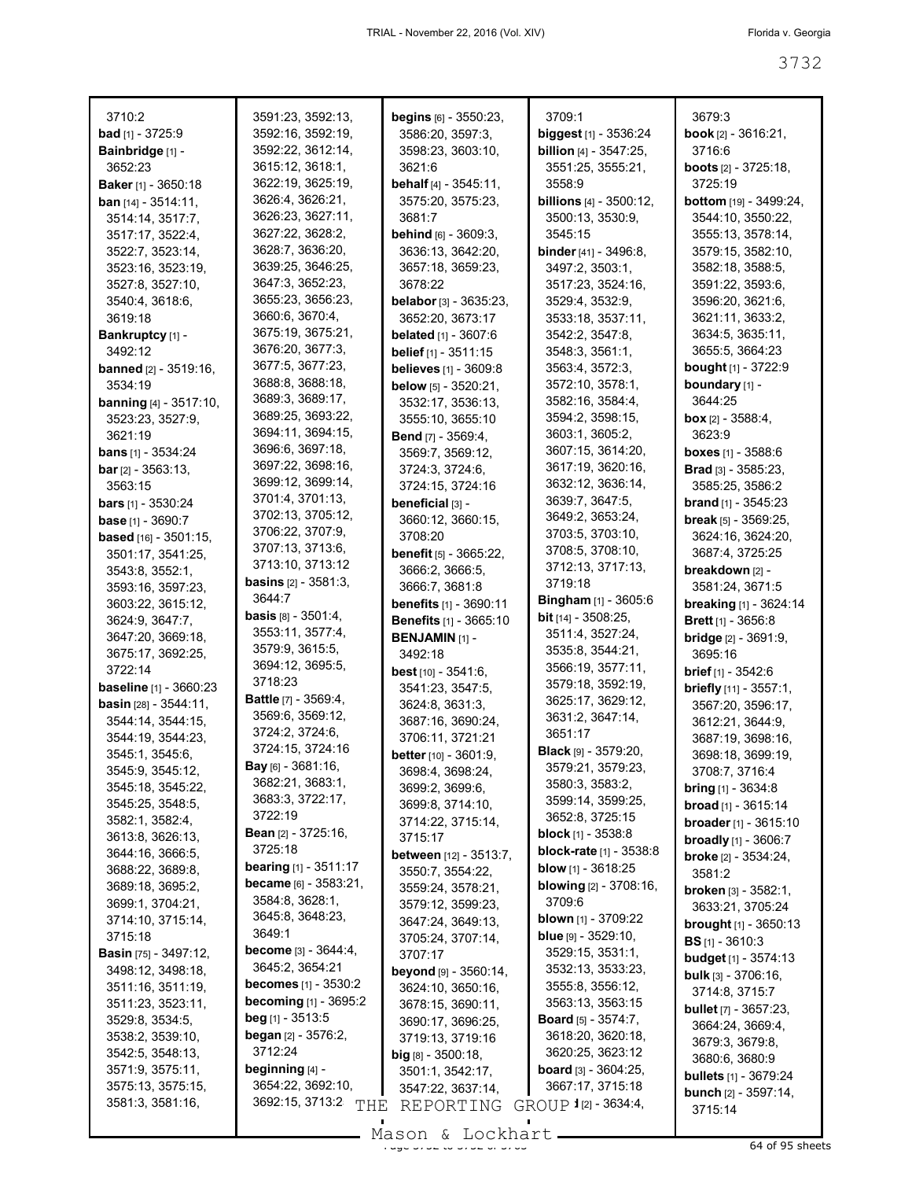| 3710:2                                | 3591:23, 3592:13,                           | begins [6] - 3550:23,           | 3709:1                                   | 3679:3                                    |
|---------------------------------------|---------------------------------------------|---------------------------------|------------------------------------------|-------------------------------------------|
| <b>bad</b> $[1] - 3725:9$             | 3592:16, 3592:19,                           | 3586:20, 3597:3,                | biggest [1] - 3536:24                    | <b>book</b> $[2] - 3616:21$ ,             |
| Bainbridge [1] -                      | 3592:22, 3612:14,                           | 3598:23, 3603:10,               | <b>billion</b> [4] - 3547:25,            | 3716:6                                    |
| 3652:23                               | 3615:12, 3618:1,                            | 3621:6                          | 3551:25, 3555:21,                        | <b>boots</b> $[2] - 3725:18$ ,            |
| Baker [1] - 3650:18                   | 3622:19, 3625:19,                           | <b>behalf</b> [4] - $3545:11$ , | 3558:9                                   | 3725:19                                   |
| <b>ban</b> $[14] - 3514:11$ ,         | 3626:4, 3626:21,                            | 3575:20, 3575:23,               | <b>billions</b> $[4] - 3500:12$ ,        | <b>bottom</b> [19] - 3499:24,             |
|                                       | 3626:23, 3627:11,                           | 3681:7                          |                                          | 3544:10, 3550:22,                         |
| 3514:14, 3517:7,                      | 3627:22, 3628:2,                            |                                 | 3500:13, 3530:9,                         |                                           |
| 3517:17, 3522:4,                      |                                             | <b>behind</b> [6] - 3609:3,     | 3545:15                                  | 3555:13, 3578:14,                         |
| 3522:7, 3523:14,                      | 3628:7, 3636:20,                            | 3636:13, 3642:20,               | <b>binder</b> [41] - $3496:8$ ,          | 3579:15, 3582:10,                         |
| 3523:16, 3523:19,                     | 3639:25, 3646:25,                           | 3657:18, 3659:23,               | 3497:2, 3503:1,                          | 3582:18, 3588:5,                          |
| 3527:8, 3527:10,                      | 3647:3, 3652:23,                            | 3678:22                         | 3517:23, 3524:16,                        | 3591:22, 3593:6,                          |
| 3540:4, 3618:6,                       | 3655:23, 3656:23,                           | belabor [3] - 3635:23,          | 3529:4, 3532:9,                          | 3596:20, 3621:6,                          |
| 3619:18                               | 3660:6, 3670:4,                             | 3652:20, 3673:17                | 3533:18, 3537:11,                        | 3621:11, 3633:2,                          |
| Bankruptcy [1] -                      | 3675:19, 3675:21,                           | <b>belated</b> $[1] - 3607:6$   | 3542:2, 3547:8,                          | 3634:5, 3635:11,                          |
| 3492:12                               | 3676:20, 3677:3,                            | belief [1] - 3511:15            | 3548:3, 3561:1,                          | 3655:5, 3664:23                           |
| <b>banned</b> [2] - 3519:16,          | 3677:5, 3677:23,                            | <b>believes</b> [1] - 3609:8    | 3563:4, 3572:3,                          | <b>bought</b> [1] - 3722:9                |
| 3534:19                               | 3688:8, 3688:18,                            | <b>below</b> $[5] - 3520:21$ ,  | 3572:10, 3578:1,                         | boundary [1] -                            |
| <b>banning</b> $[4] - 3517:10$ ,      | 3689:3, 3689:17,                            | 3532:17, 3536:13,               | 3582:16, 3584:4,                         | 3644:25                                   |
| 3523:23, 3527:9,                      | 3689:25, 3693:22,                           |                                 | 3594:2, 3598:15,                         |                                           |
|                                       | 3694:11, 3694:15,                           | 3555:10, 3655:10                |                                          | <b>box</b> $[2] - 3588:4$ ,               |
| 3621:19                               | 3696:6, 3697:18,                            | <b>Bend</b> [7] - 3569:4,       | 3603:1, 3605:2,                          | 3623:9                                    |
| <b>bans</b> $[1] - 3534:24$           |                                             | 3569:7, 3569:12,                | 3607:15, 3614:20,                        | boxes [1] - 3588:6                        |
| <b>bar</b> $[2] - 3563:13$ ,          | 3697:22, 3698:16,                           | 3724:3, 3724:6,                 | 3617:19, 3620:16,                        | Brad [3] - 3585:23,                       |
| 3563:15                               | 3699:12, 3699:14,                           | 3724:15, 3724:16                | 3632:12, 3636:14,                        | 3585:25, 3586:2                           |
| <b>bars</b> $[1] - 3530:24$           | 3701:4, 3701:13,                            | beneficial [3] -                | 3639:7, 3647:5,                          | <b>brand</b> $[1]$ - 3545:23              |
| base [1] - 3690:7                     | 3702:13, 3705:12,                           | 3660:12, 3660:15,               | 3649:2, 3653:24,                         | <b>break</b> $[5]$ - 3569:25,             |
| <b>based</b> $[16] - 3501:15$ ,       | 3706:22, 3707:9,                            | 3708:20                         | 3703:5, 3703:10,                         | 3624:16, 3624:20,                         |
| 3501:17, 3541:25,                     | 3707:13, 3713:6,                            | <b>benefit</b> [5] - 3665:22,   | 3708:5, 3708:10,                         | 3687:4, 3725:25                           |
| 3543:8, 3552:1,                       | 3713:10, 3713:12                            | 3666:2, 3666:5,                 | 3712:13, 3717:13,                        | breakdown [2] -                           |
| 3593:16, 3597:23,                     | <b>basins</b> $[2]$ - $3581:3$ ,            | 3666:7, 3681:8                  | 3719:18                                  | 3581:24, 3671:5                           |
| 3603:22, 3615:12,                     | 3644:7                                      | <b>benefits</b> [1] - 3690:11   | <b>Bingham</b> [1] - 3605:6              | <b>breaking</b> [1] - 3624:14             |
|                                       | <b>basis</b> [8] - 3501:4,                  |                                 | <b>bit</b> $[14] - 3508:25$ ,            |                                           |
| 3624:9, 3647:7,                       | 3553:11, 3577:4,                            | <b>Benefits</b> [1] - 3665:10   | 3511:4, 3527:24,                         | <b>Brett</b> $[1]$ - 3656:8               |
| 3647:20, 3669:18,                     | 3579:9, 3615:5,                             | <b>BENJAMIN</b> [1] -           | 3535:8, 3544:21,                         | <b>bridge</b> $[2] - 3691:9$ ,            |
| 3675:17, 3692:25,                     | 3694:12, 3695:5,                            | 3492:18                         |                                          | 3695:16                                   |
| 3722:14                               | 3718:23                                     | <b>best</b> $[10] - 3541:6$ ,   | 3566:19, 3577:11,                        | <b>brief</b> $[1] - 3542:6$               |
| <b>baseline</b> [1] - 3660:23         |                                             | 3541:23, 3547:5,                | 3579:18, 3592:19,                        | <b>briefly</b> [11] - 3557:1,             |
| <b>basin</b> [28] - 3544:11,          | <b>Battle</b> $[7]$ - 3569:4,               | 3624:8, 3631:3,                 | 3625:17, 3629:12,                        | 3567:20, 3596:17,                         |
| 3544:14, 3544:15,                     | 3569:6, 3569:12,                            | 3687:16, 3690:24,               | 3631:2, 3647:14,                         | 3612:21, 3644:9,                          |
| 3544:19, 3544:23,                     |                                             |                                 |                                          |                                           |
|                                       | 3724:2, 3724:6,                             | 3706:11, 3721:21                | 3651:17                                  |                                           |
| 3545:1, 3545:6,                       | 3724:15, 3724:16                            |                                 | <b>Black</b> [9] - $3579:20$ ,           | 3687:19, 3698:16,                         |
| 3545:9, 3545:12,                      | Bay [6] - 3681:16,                          | <b>better</b> [10] - 3601:9,    | 3579:21, 3579:23,                        | 3698:18, 3699:19,                         |
|                                       | 3682:21, 3683:1,                            | 3698:4, 3698:24,                | 3580:3, 3583:2,                          | 3708:7, 3716:4                            |
| 3545:18, 3545:22,                     | 3683:3, 3722:17,                            | 3699:2, 3699:6,                 | 3599:14, 3599:25,                        | <b>bring</b> $[1]$ - 3634:8               |
| 3545:25, 3548:5,                      | 3722:19                                     | 3699:8, 3714:10,                | 3652:8, 3725:15                          | <b>broad</b> $[1]$ - 3615:14              |
| 3582:1, 3582:4,                       | <b>Bean</b> $[2] - 3725:16$ ,               | 3714:22, 3715:14,               | <b>block</b> [1] - $3538:8$              | <b>broader</b> [1] - 3615:10              |
| 3613:8, 3626:13,                      | 3725:18                                     | 3715:17                         |                                          | <b>broadly</b> $[1]$ - 3606:7             |
| 3644:16, 3666:5,                      |                                             | <b>between</b> [12] - 3513:7,   | <b>block-rate</b> [1] - 3538:8           | <b>broke</b> $[2] - 3534:24$ ,            |
| 3688:22, 3689:8,                      | <b>bearing</b> [1] - $3511:17$              | 3550:7, 3554:22,                | <b>blow</b> $[1]$ - 3618:25              | 3581:2                                    |
| 3689:18, 3695:2,                      | <b>became</b> [6] - 3583:21,                | 3559:24, 3578:21,               | <b>blowing</b> [2] - 3708:16,            | <b>broken</b> [3] - 3582:1,               |
| 3699:1, 3704:21,                      | 3584:8, 3628:1,                             | 3579:12, 3599:23,               | 3709:6                                   | 3633:21, 3705:24                          |
| 3714:10, 3715:14,                     | 3645:8, 3648:23,                            | 3647:24, 3649:13,               | <b>blown</b> [1] - 3709:22               | <b>brought</b> $[1]$ - 3650:13            |
| 3715:18                               | 3649:1                                      | 3705:24, 3707:14,               | <b>blue</b> $[9] - 3529:10$ ,            | <b>BS</b> $[1]$ - 3610:3                  |
| <b>Basin</b> [75] - 3497:12,          | <b>become</b> [3] - 3644:4,                 | 3707:17                         | 3529:15, 3531:1,                         | <b>budget</b> $[1]$ - 3574:13             |
| 3498:12, 3498:18,                     | 3645:2, 3654:21                             | beyond [9] - 3560:14,           | 3532:13, 3533:23,                        |                                           |
| 3511:16, 3511:19,                     | <b>becomes</b> $[1]$ - 3530:2               | 3624:10, 3650:16,               | 3555:8, 3556:12,                         | <b>bulk</b> $[3] - 3706:16$               |
| 3511:23, 3523:11,                     | <b>becoming</b> [1] - 3695:2                | 3678:15, 3690:11,               | 3563:13, 3563:15                         | 3714:8, 3715:7                            |
| 3529:8, 3534:5,                       | <b>beg</b> [1] - $3513:5$                   | 3690:17, 3696:25,               | <b>Board</b> [5] - $3574:7$ ,            | <b>bullet</b> [7] - 3657:23,              |
| 3538:2, 3539:10,                      | <b>began</b> $[2] - 3576:2$ ,               |                                 | 3618:20, 3620:18,                        | 3664:24, 3669:4,                          |
|                                       | 3712:24                                     | 3719:13, 3719:16                |                                          | 3679:3, 3679:8,                           |
| 3542:5, 3548:13,                      |                                             | $big$ [8] - 3500:18,            | 3620:25, 3623:12                         | 3680:6, 3680:9                            |
| 3571:9, 3575:11,                      | beginning [4] -                             | 3501:1, 3542:17,                | <b>board</b> [3] - $3604:25$ ,           | <b>bullets</b> $[1]$ - 3679:24            |
| 3575:13, 3575:15,<br>3581:3, 3581:16, | 3654:22, 3692:10,<br>3692:15, 3713:2<br>THE | 3547:22, 3637:14,<br>REPORTING  | 3667:17, 3715:18<br>GROUP 1[2] - 3634:4, | <b>bunch</b> $[2] - 3597:14$ ,<br>3715:14 |

Page 3732 to 3732 of 3763 64 of 95 sheets Mason & Lockhart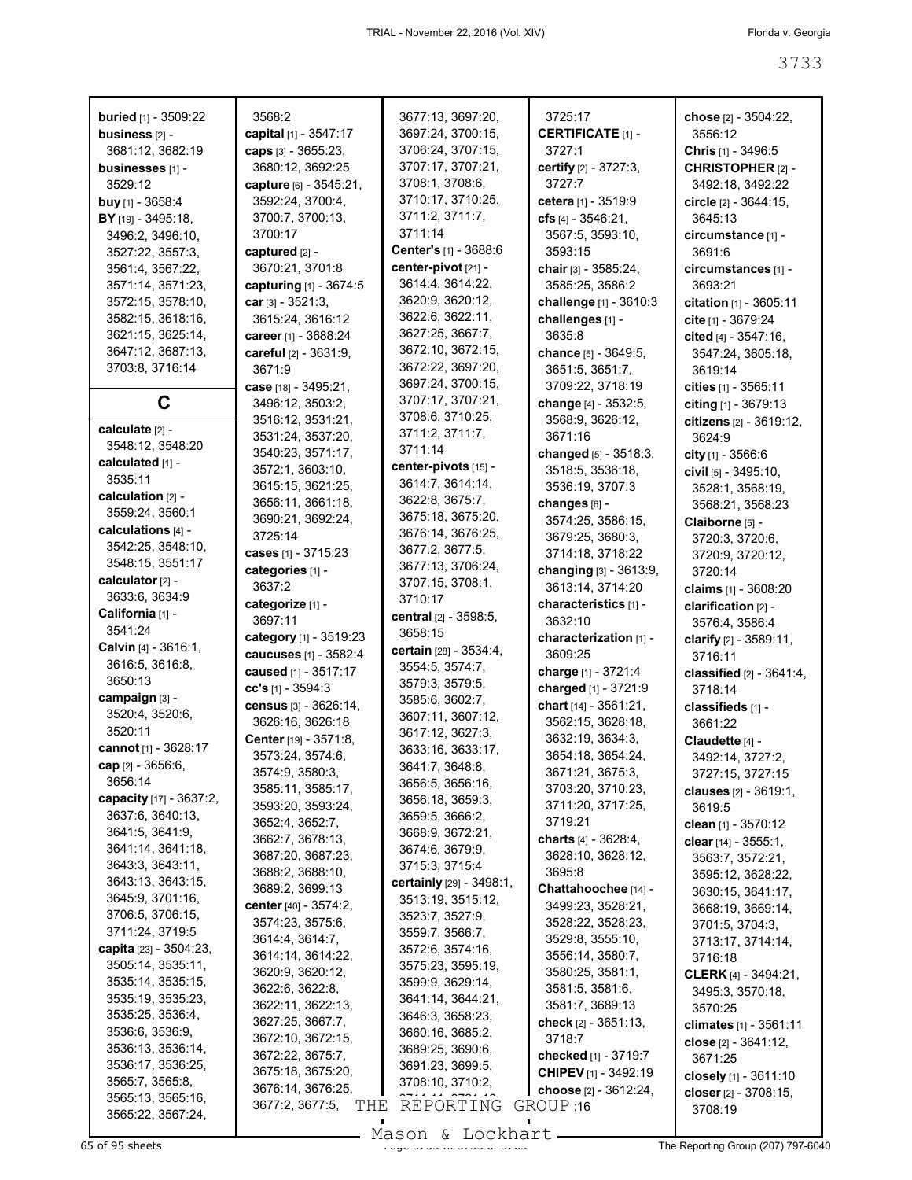| <b>buried</b> [1] - 3509:22<br>business [2] -<br>3681:12, 3682:19<br>businesses [1] -<br>3529:12<br>buy [1] - $3658:4$<br>BY [19] - 3495:18,<br>3496:2, 3496:10,<br>3527:22, 3557:3,<br>3561:4, 3567:22,<br>3571:14, 3571:23,<br>3572:15, 3578:10,<br>3582:15, 3618:16,<br>3621:15, 3625:14, | 3568:2<br>capital [1] - 3547:17<br>caps [3] - 3655:23,<br>3680:12, 3692:25<br>capture [6] - 3545:21,<br>3592:24, 3700:4,<br>3700:7, 3700:13,<br>3700:17<br>captured [2] -<br>3670:21, 3701:8<br>capturing [1] - 3674:5<br>car $[3] - 3521:3$ ,<br>3615:24, 3616:12<br>career [1] - 3688:24 | 3677:13, 3697:20,<br>3697:24, 3700:15,<br>3706:24, 3707:15,<br>3707:17, 3707:21,<br>3708:1, 3708:6,<br>3710:17, 3710:25,<br>3711:2, 3711:7,<br>3711:14<br>Center's [1] - 3688:6<br>center-pivot [21] -<br>3614:4, 3614:22,<br>3620:9, 3620:12,<br>3622:6, 3622:11,<br>3627:25, 3667:7, | 3725:17<br><b>CERTIFICATE [1] -</b><br>3727:1<br>certify [2] - 3727:3,<br>3727.7<br>cetera [1] - 3519:9<br>cfs $[4] - 3546:21$ ,<br>3567:5, 3593:10,<br>3593:15<br>chair [3] - 3585:24,<br>3585:25, 3586:2<br>challenge [1] - 3610:3<br>challenges [1] -<br>3635:8 | chose [2] - 3504:22,<br>3556:12<br>Chris [1] - 3496:5<br>CHRISTOPHER [2] -<br>3492:18, 3492:22<br>circle $[2] - 3644:15$ ,<br>3645:13<br>circumstance [1] -<br>3691:6<br>circumstances [1] -<br>3693:21<br>citation [1] - 3605:11<br>cite [1] - 3679:24<br>cited [4] - 3547:16, |
|----------------------------------------------------------------------------------------------------------------------------------------------------------------------------------------------------------------------------------------------------------------------------------------------|--------------------------------------------------------------------------------------------------------------------------------------------------------------------------------------------------------------------------------------------------------------------------------------------|----------------------------------------------------------------------------------------------------------------------------------------------------------------------------------------------------------------------------------------------------------------------------------------|--------------------------------------------------------------------------------------------------------------------------------------------------------------------------------------------------------------------------------------------------------------------|---------------------------------------------------------------------------------------------------------------------------------------------------------------------------------------------------------------------------------------------------------------------------------|
| 3647:12, 3687:13,<br>3703:8, 3716:14                                                                                                                                                                                                                                                         | careful [2] - 3631:9,<br>3671:9<br>case [18] - 3495:21,                                                                                                                                                                                                                                    | 3672:10, 3672:15,<br>3672:22, 3697:20,<br>3697:24, 3700:15,                                                                                                                                                                                                                            | chance [5] - 3649:5,<br>3651:5, 3651:7,<br>3709:22, 3718:19                                                                                                                                                                                                        | 3547:24, 3605:18,<br>3619:14<br>cities $[1] - 3565:11$                                                                                                                                                                                                                          |
| C                                                                                                                                                                                                                                                                                            | 3496:12, 3503:2,                                                                                                                                                                                                                                                                           | 3707:17, 3707:21,<br>3708:6, 3710:25,                                                                                                                                                                                                                                                  | change [4] - 3532:5,                                                                                                                                                                                                                                               | citing [1] - 3679:13                                                                                                                                                                                                                                                            |
| calculate [2] -                                                                                                                                                                                                                                                                              | 3516:12, 3531:21,<br>3531:24, 3537:20,                                                                                                                                                                                                                                                     | 3711:2, 3711:7,                                                                                                                                                                                                                                                                        | 3568:9, 3626:12,<br>3671:16                                                                                                                                                                                                                                        | citizens [2] - 3619:12,<br>3624:9                                                                                                                                                                                                                                               |
| 3548:12, 3548:20                                                                                                                                                                                                                                                                             | 3540:23, 3571:17,                                                                                                                                                                                                                                                                          | 3711:14                                                                                                                                                                                                                                                                                | changed [5] - 3518:3,                                                                                                                                                                                                                                              | city $[1] - 3566:6$                                                                                                                                                                                                                                                             |
| calculated [1] -<br>3535:11                                                                                                                                                                                                                                                                  | 3572:1, 3603:10,                                                                                                                                                                                                                                                                           | center-pivots [15] -                                                                                                                                                                                                                                                                   | 3518:5, 3536:18,                                                                                                                                                                                                                                                   | civil $[5] - 3495:10$ ,                                                                                                                                                                                                                                                         |
| calculation [2] -                                                                                                                                                                                                                                                                            | 3615:15, 3621:25,                                                                                                                                                                                                                                                                          | 3614:7, 3614:14,                                                                                                                                                                                                                                                                       | 3536:19, 3707:3                                                                                                                                                                                                                                                    | 3528:1, 3568:19,                                                                                                                                                                                                                                                                |
| 3559:24, 3560:1                                                                                                                                                                                                                                                                              | 3656:11, 3661:18,                                                                                                                                                                                                                                                                          | 3622:8, 3675:7,<br>3675:18, 3675:20,                                                                                                                                                                                                                                                   | changes [6] -                                                                                                                                                                                                                                                      | 3568:21, 3568:23                                                                                                                                                                                                                                                                |
| calculations [4] -                                                                                                                                                                                                                                                                           | 3690:21, 3692:24,                                                                                                                                                                                                                                                                          | 3676:14, 3676:25,                                                                                                                                                                                                                                                                      | 3574:25, 3586:15,                                                                                                                                                                                                                                                  | Claiborne [5] -                                                                                                                                                                                                                                                                 |
| 3542:25, 3548:10,                                                                                                                                                                                                                                                                            | 3725:14<br>cases [1] - 3715:23                                                                                                                                                                                                                                                             | 3677:2, 3677:5,                                                                                                                                                                                                                                                                        | 3679:25, 3680:3,<br>3714:18, 3718:22                                                                                                                                                                                                                               | 3720:3, 3720:6,                                                                                                                                                                                                                                                                 |
| 3548:15, 3551:17                                                                                                                                                                                                                                                                             | categories [1] -                                                                                                                                                                                                                                                                           | 3677:13, 3706:24,                                                                                                                                                                                                                                                                      | changing [3] - 3613:9,                                                                                                                                                                                                                                             | 3720:9, 3720:12,<br>3720:14                                                                                                                                                                                                                                                     |
| calculator [2] -                                                                                                                                                                                                                                                                             | 3637:2                                                                                                                                                                                                                                                                                     | 3707:15, 3708:1,                                                                                                                                                                                                                                                                       | 3613:14, 3714:20                                                                                                                                                                                                                                                   | claims [1] - 3608:20                                                                                                                                                                                                                                                            |
| 3633:6, 3634:9                                                                                                                                                                                                                                                                               | categorize [1] -                                                                                                                                                                                                                                                                           | 3710:17                                                                                                                                                                                                                                                                                | characteristics [1] -                                                                                                                                                                                                                                              | clarification [2] -                                                                                                                                                                                                                                                             |
| California [1] -<br>3541:24                                                                                                                                                                                                                                                                  | 3697:11                                                                                                                                                                                                                                                                                    | <b>central</b> [2] - 3598:5,                                                                                                                                                                                                                                                           | 3632:10                                                                                                                                                                                                                                                            | 3576:4, 3586:4                                                                                                                                                                                                                                                                  |
| Calvin [4] - 3616:1,                                                                                                                                                                                                                                                                         | category [1] - 3519:23                                                                                                                                                                                                                                                                     | 3658:15                                                                                                                                                                                                                                                                                | characterization [1] -                                                                                                                                                                                                                                             | clarify [2] - 3589:11,                                                                                                                                                                                                                                                          |
| 3616:5, 3616:8,                                                                                                                                                                                                                                                                              | caucuses [1] - 3582:4                                                                                                                                                                                                                                                                      | certain [28] - 3534:4,<br>3554:5, 3574:7,                                                                                                                                                                                                                                              | 3609:25                                                                                                                                                                                                                                                            | 3716:11                                                                                                                                                                                                                                                                         |
| 3650:13                                                                                                                                                                                                                                                                                      | caused [1] - 3517:17                                                                                                                                                                                                                                                                       | 3579:3, 3579:5,                                                                                                                                                                                                                                                                        | charge [1] - 3721:4                                                                                                                                                                                                                                                | classified $[2] - 3641:4$ ,                                                                                                                                                                                                                                                     |
| campaign [3] -                                                                                                                                                                                                                                                                               | $cc's$ [1] - 3594:3                                                                                                                                                                                                                                                                        | 3585:6, 3602:7,                                                                                                                                                                                                                                                                        | charged [1] - 3721:9                                                                                                                                                                                                                                               | 3718:14                                                                                                                                                                                                                                                                         |
| 3520:4, 3520:6,                                                                                                                                                                                                                                                                              | census [3] - 3626:14,<br>3626:16, 3626:18                                                                                                                                                                                                                                                  | 3607:11, 3607:12,                                                                                                                                                                                                                                                                      | chart [14] - 3561:21,<br>3562:15, 3628:18,                                                                                                                                                                                                                         | classifieds [1] -<br>3661:22                                                                                                                                                                                                                                                    |
| 3520:11                                                                                                                                                                                                                                                                                      | Center [19] - 3571:8,                                                                                                                                                                                                                                                                      | 3617:12, 3627:3,                                                                                                                                                                                                                                                                       | 3632:19, 3634:3,                                                                                                                                                                                                                                                   | Claudette [4] -                                                                                                                                                                                                                                                                 |
| cannot [1] - 3628:17                                                                                                                                                                                                                                                                         | 3573:24, 3574:6,                                                                                                                                                                                                                                                                           | 3633:16, 3633:17,                                                                                                                                                                                                                                                                      | 3654:18, 3654:24,                                                                                                                                                                                                                                                  | 3492:14, 3727:2,                                                                                                                                                                                                                                                                |
| cap [2] - 3656:6,                                                                                                                                                                                                                                                                            | 3574:9, 3580:3,                                                                                                                                                                                                                                                                            | 3641:7, 3648:8,                                                                                                                                                                                                                                                                        | 3671:21, 3675:3,                                                                                                                                                                                                                                                   | 3727:15, 3727:15                                                                                                                                                                                                                                                                |
| 3656:14                                                                                                                                                                                                                                                                                      | 3585:11, 3585:17,                                                                                                                                                                                                                                                                          | 3656:5, 3656:16,                                                                                                                                                                                                                                                                       | 3703:20, 3710:23,                                                                                                                                                                                                                                                  | <b>clauses</b> [2] - 3619:1,                                                                                                                                                                                                                                                    |
| capacity [17] - 3637:2,                                                                                                                                                                                                                                                                      | 3593:20, 3593:24,                                                                                                                                                                                                                                                                          | 3656:18, 3659:3,                                                                                                                                                                                                                                                                       | 3711:20, 3717:25,                                                                                                                                                                                                                                                  | 3619:5                                                                                                                                                                                                                                                                          |
| 3637:6, 3640:13,<br>3641:5, 3641:9,                                                                                                                                                                                                                                                          | 3652:4, 3652:7,                                                                                                                                                                                                                                                                            | 3659:5, 3666:2,<br>3668:9, 3672:21,                                                                                                                                                                                                                                                    | 3719:21                                                                                                                                                                                                                                                            | clean $[1]$ - 3570:12                                                                                                                                                                                                                                                           |
| 3641:14, 3641:18,                                                                                                                                                                                                                                                                            | 3662:7, 3678:13,                                                                                                                                                                                                                                                                           | 3674:6, 3679:9,                                                                                                                                                                                                                                                                        | charts [4] - 3628:4,                                                                                                                                                                                                                                               | <b>clear</b> [14] - $3555:1$ ,                                                                                                                                                                                                                                                  |
| 3643:3, 3643:11,                                                                                                                                                                                                                                                                             | 3687:20, 3687:23,                                                                                                                                                                                                                                                                          | 3715:3, 3715:4                                                                                                                                                                                                                                                                         | 3628:10, 3628:12,                                                                                                                                                                                                                                                  | 3563:7, 3572:21,                                                                                                                                                                                                                                                                |
| 3643:13, 3643:15,                                                                                                                                                                                                                                                                            | 3688:2, 3688:10,<br>3689:2, 3699:13                                                                                                                                                                                                                                                        | certainly [29] - 3498:1,                                                                                                                                                                                                                                                               | 3695:8                                                                                                                                                                                                                                                             | 3595:12, 3628:22,                                                                                                                                                                                                                                                               |
| 3645:9, 3701:16,                                                                                                                                                                                                                                                                             | center $[40] - 3574:2$                                                                                                                                                                                                                                                                     | 3513:19, 3515:12,                                                                                                                                                                                                                                                                      | Chattahoochee [14] -<br>3499:23, 3528:21,                                                                                                                                                                                                                          | 3630:15, 3641:17,                                                                                                                                                                                                                                                               |
| 3706:5, 3706:15,                                                                                                                                                                                                                                                                             | 3574:23, 3575:6,                                                                                                                                                                                                                                                                           | 3523:7, 3527:9,                                                                                                                                                                                                                                                                        | 3528:22, 3528:23,                                                                                                                                                                                                                                                  | 3668:19, 3669:14,<br>3701:5, 3704:3,                                                                                                                                                                                                                                            |
| 3711:24, 3719:5                                                                                                                                                                                                                                                                              | 3614:4, 3614:7,                                                                                                                                                                                                                                                                            | 3559:7, 3566:7,                                                                                                                                                                                                                                                                        | 3529:8, 3555:10,                                                                                                                                                                                                                                                   | 3713:17, 3714:14,                                                                                                                                                                                                                                                               |
| capita $[23] - 3504:23$ ,                                                                                                                                                                                                                                                                    | 3614:14, 3614:22,                                                                                                                                                                                                                                                                          | 3572:6, 3574:16,                                                                                                                                                                                                                                                                       | 3556:14, 3580:7,                                                                                                                                                                                                                                                   | 3716:18                                                                                                                                                                                                                                                                         |
| 3505:14, 3535:11,                                                                                                                                                                                                                                                                            | 3620:9, 3620:12,                                                                                                                                                                                                                                                                           | 3575:23, 3595:19,                                                                                                                                                                                                                                                                      | 3580:25, 3581:1,                                                                                                                                                                                                                                                   | <b>CLERK</b> [4] - 3494:21,                                                                                                                                                                                                                                                     |
| 3535:14, 3535:15,<br>3535:19, 3535:23,                                                                                                                                                                                                                                                       | 3622:6, 3622:8,                                                                                                                                                                                                                                                                            | 3599:9, 3629:14,<br>3641:14, 3644:21,                                                                                                                                                                                                                                                  | 3581:5, 3581:6,                                                                                                                                                                                                                                                    | 3495:3, 3570:18,                                                                                                                                                                                                                                                                |
| 3535:25, 3536:4,                                                                                                                                                                                                                                                                             | 3622:11, 3622:13,                                                                                                                                                                                                                                                                          | 3646:3, 3658:23,                                                                                                                                                                                                                                                                       | 3581:7, 3689:13                                                                                                                                                                                                                                                    | 3570:25                                                                                                                                                                                                                                                                         |
| 3536:6, 3536:9,                                                                                                                                                                                                                                                                              | 3627:25, 3667:7,                                                                                                                                                                                                                                                                           | 3660:16, 3685:2,                                                                                                                                                                                                                                                                       | check [2] - 3651:13,                                                                                                                                                                                                                                               | climates [1] - 3561:11                                                                                                                                                                                                                                                          |
| 3536:13, 3536:14,                                                                                                                                                                                                                                                                            | 3672:10, 3672:15,                                                                                                                                                                                                                                                                          | 3689:25, 3690:6,                                                                                                                                                                                                                                                                       | 3718:7                                                                                                                                                                                                                                                             | close [2] - 3641:12,                                                                                                                                                                                                                                                            |
| 3536:17, 3536:25,                                                                                                                                                                                                                                                                            | 3672:22, 3675:7,<br>3675:18, 3675:20,                                                                                                                                                                                                                                                      | 3691:23, 3699:5,                                                                                                                                                                                                                                                                       | checked [1] - 3719:7                                                                                                                                                                                                                                               | 3671:25                                                                                                                                                                                                                                                                         |
| 3565:7, 3565:8,                                                                                                                                                                                                                                                                              | 3676:14, 3676:25,                                                                                                                                                                                                                                                                          | 3708:10, 3710:2,                                                                                                                                                                                                                                                                       | <b>CHIPEV</b> [1] - 3492:19<br>choose [2] - 3612:24,                                                                                                                                                                                                               | closely [1] - 3611:10                                                                                                                                                                                                                                                           |
| 3565:13, 3565:16,                                                                                                                                                                                                                                                                            | 3677:2, 3677:5,<br>THE                                                                                                                                                                                                                                                                     | REPORTING                                                                                                                                                                                                                                                                              | GROUP 16                                                                                                                                                                                                                                                           | closer [2] - 3708:15,                                                                                                                                                                                                                                                           |
| 3565:22, 3567:24,                                                                                                                                                                                                                                                                            |                                                                                                                                                                                                                                                                                            |                                                                                                                                                                                                                                                                                        |                                                                                                                                                                                                                                                                    | 3708:19                                                                                                                                                                                                                                                                         |

Mason & Lockhart **Page 3733 of 95 sheets**<br>65 of 95 sheets and 3733 of 3733 of 3733 of 3743 of 3733 of 3743 The Reporting Group (207) 797-6040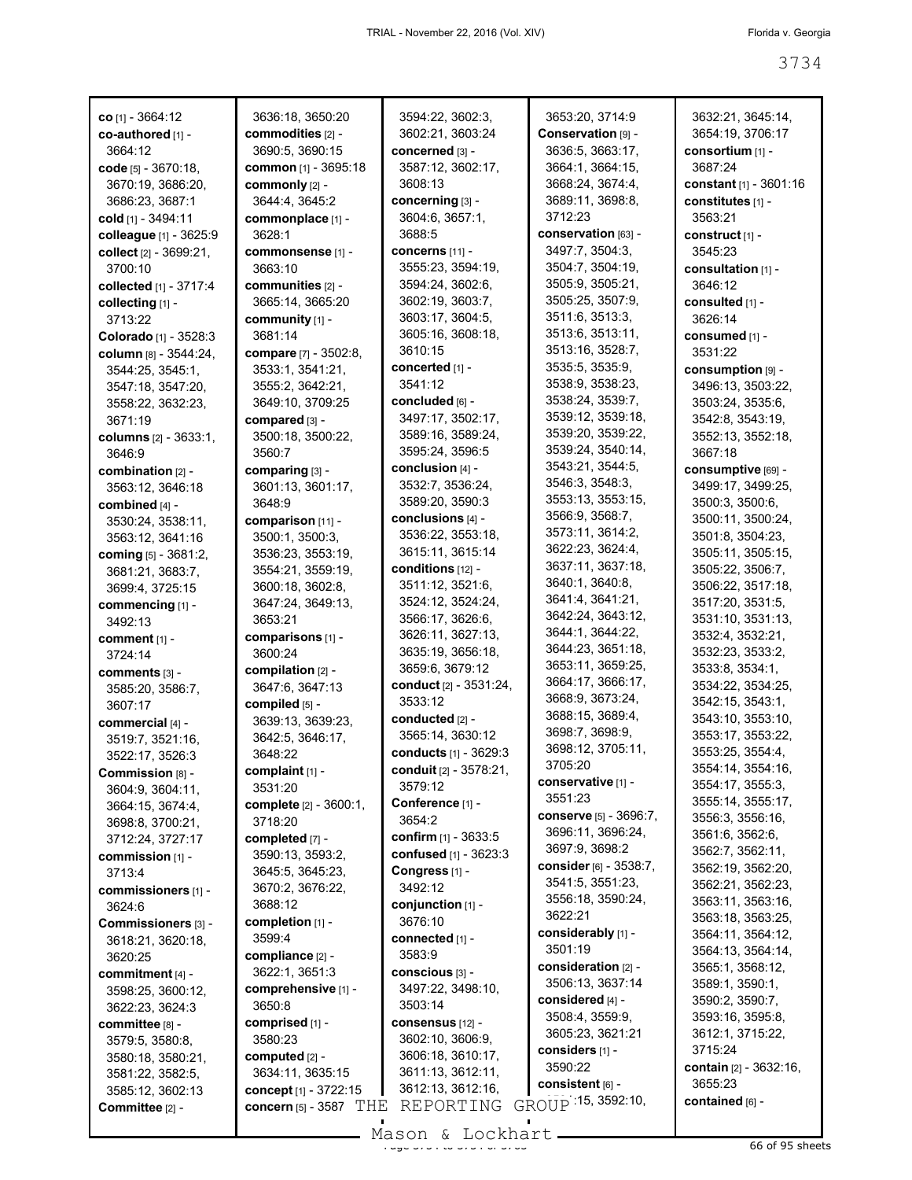| <b>co</b> [1] - 3664:12      | 3636:18, 3650:20                    | 3594:22, 3602:3,              | 3653:20, 3714:9                | 3632:21, 3645:14,                         |
|------------------------------|-------------------------------------|-------------------------------|--------------------------------|-------------------------------------------|
| co-authored [1] -            | commodities [2] -                   | 3602:21, 3603:24              | Conservation [9] -             | 3654:19, 3706:17                          |
| 3664:12                      | 3690:5, 3690:15                     | concerned [3] -               | 3636:5, 3663:17,               | consortium [1] -                          |
| code $[5] - 3670:18$ ,       | common [1] - 3695:18                | 3587:12, 3602:17,             | 3664:1, 3664:15,               | 3687:24                                   |
| 3670:19, 3686:20,            | commonly [2] -                      | 3608:13                       | 3668:24, 3674:4,               | constant $[1] - 3601:16$                  |
|                              |                                     |                               |                                |                                           |
| 3686:23, 3687:1              | 3644:4, 3645:2                      | concerning [3] -              | 3689:11, 3698:8,               | constitutes [1] -                         |
| cold [1] - 3494:11           | commonplace [1] -                   | 3604:6, 3657:1,               | 3712:23                        | 3563:21                                   |
| colleague [1] - 3625:9       | 3628:1                              | 3688:5                        | conservation [63] -            | construct <sub>[1]</sub> -                |
| collect [2] - 3699:21,       | commonsense [1] -                   | <b>CONCETNS [11] -</b>        | 3497:7, 3504:3,                | 3545:23                                   |
| 3700:10                      | 3663:10                             | 3555:23, 3594:19,             | 3504:7, 3504:19,               | consultation [1] -                        |
| collected [1] - 3717:4       | communities [2] -                   | 3594:24, 3602:6,              | 3505:9, 3505:21,               | 3646:12                                   |
| collecting [1] -             | 3665:14, 3665:20                    | 3602:19, 3603:7,              | 3505:25, 3507:9,               | consulted [1] -                           |
|                              |                                     | 3603:17, 3604:5,              | 3511:6, 3513:3,                |                                           |
| 3713:22                      | community [1] -                     |                               |                                | 3626:14                                   |
| Colorado [1] - 3528:3        | 3681:14                             | 3605:16, 3608:18,             | 3513:6, 3513:11,               | consumed [1] -                            |
| column [8] - 3544:24,        | compare [7] - 3502:8,               | 3610:15                       | 3513:16, 3528:7,               | 3531:22                                   |
| 3544:25, 3545:1,             | 3533:1, 3541:21,                    | concerted [1] -               | 3535:5, 3535:9,                | $\frac{1}{2}$ consumption $\frac{1}{2}$ - |
| 3547:18, 3547:20,            | 3555:2, 3642:21,                    | 3541:12                       | 3538:9, 3538:23,               | 3496:13, 3503:22,                         |
| 3558:22, 3632:23,            | 3649:10, 3709:25                    | concluded [6] -               | 3538:24, 3539:7,               | 3503:24, 3535:6,                          |
| 3671:19                      | $compared$ [3] -                    | 3497:17, 3502:17,             | 3539:12, 3539:18,              | 3542:8, 3543:19,                          |
|                              | 3500:18, 3500:22,                   | 3589:16, 3589:24,             | 3539:20, 3539:22,              |                                           |
| <b>columns</b> [2] - 3633:1, |                                     |                               | 3539:24, 3540:14,              | 3552:13, 3552:18,                         |
| 3646:9                       | 3560:7                              | 3595:24, 3596:5               |                                | 3667:18                                   |
| combination [2] -            | comparing [3] -                     | conclusion [4] -              | 3543:21, 3544:5,               | consumptive [69] -                        |
| 3563:12, 3646:18             | 3601:13, 3601:17,                   | 3532:7, 3536:24,              | 3546:3, 3548:3,                | 3499:17, 3499:25,                         |
| combined $[4]$ -             | 3648:9                              | 3589:20, 3590:3               | 3553:13, 3553:15,              | 3500:3, 3500:6,                           |
| 3530:24, 3538:11,            | comparison [11] -                   | conclusions [4] -             | 3566:9, 3568:7,                | 3500:11, 3500:24,                         |
| 3563:12, 3641:16             | 3500:1, 3500:3,                     | 3536:22, 3553:18,             | 3573:11, 3614:2,               | 3501:8, 3504:23,                          |
|                              | 3536:23, 3553:19,                   | 3615:11, 3615:14              | 3622:23, 3624:4,               | 3505:11, 3505:15,                         |
| coming [5] - 3681:2,         |                                     | conditions [12] -             | 3637:11, 3637:18,              |                                           |
| 3681:21, 3683:7,             | 3554:21, 3559:19,                   |                               | 3640:1, 3640:8,                | 3505:22, 3506:7,                          |
| 3699:4, 3725:15              | 3600:18, 3602:8,                    | 3511:12, 3521:6,              |                                | 3506:22, 3517:18,                         |
| commencing [1] -             | 3647:24, 3649:13,                   | 3524:12, 3524:24,             | 3641:4, 3641:21,               | 3517:20, 3531:5,                          |
| 3492:13                      | 3653:21                             | 3566:17, 3626:6,              | 3642:24, 3643:12,              | 3531:10, 3531:13,                         |
| comment [1] -                | comparisons [1] -                   | 3626:11, 3627:13,             | 3644:1, 3644:22,               | 3532:4, 3532:21,                          |
| 3724:14                      | 3600:24                             | 3635:19, 3656:18,             | 3644:23, 3651:18,              | 3532:23, 3533:2,                          |
| comments [3] -               | compilation $[2]$ -                 | 3659:6, 3679:12               | 3653:11, 3659:25,              | 3533:8, 3534:1,                           |
|                              | 3647:6, 3647:13                     | <b>conduct</b> [2] - 3531:24, | 3664:17, 3666:17,              | 3534:22, 3534:25,                         |
| 3585:20, 3586:7,             | compiled [5] -                      | 3533:12                       | 3668:9, 3673:24,               | 3542:15, 3543:1,                          |
| 3607:17                      |                                     |                               | 3688:15, 3689:4,               | 3543:10, 3553:10.                         |
| commercial [4] -             | 3639:13, 3639:23,                   | conducted [2] -               | 3698:7, 3698:9,                |                                           |
| 3519:7, 3521:16,             | 3642:5, 3646:17,                    | 3565:14, 3630:12              | 3698:12, 3705:11,              | 3553:17, 3553:22,                         |
| 3522:17, 3526:3              | 3648:22                             | conducts [1] - 3629:3         |                                | 3553:25, 3554:4,                          |
| Commission [8] -             | complaint [1] -                     | conduit [2] - 3578:21,        | 3705:20                        | 3554:14, 3554:16,                         |
| 3604:9, 3604:11,             | 3531:20                             | 3579:12                       | conservative [1] -             | 3554:17, 3555:3,                          |
| 3664:15, 3674:4,             | complete [2] - 3600:1,              | Conference [1] -              | 3551:23                        | 3555:14, 3555:17,                         |
| 3698:8, 3700:21,             | 3718:20                             | 3654:2                        | conserve [5] - 3696:7,         | 3556:3, 3556:16,                          |
|                              | completed [7] -                     | confirm [1] - 3633:5          | 3696:11, 3696:24,              | 3561:6, 3562:6,                           |
| 3712:24, 3727:17             |                                     |                               | 3697:9, 3698:2                 | 3562:7, 3562:11,                          |
| commission [1] -             | 3590:13, 3593:2,                    | confused [1] - 3623:3         | <b>consider</b> $[6] - 3538.7$ | 3562:19, 3562:20,                         |
| 3713:4                       | 3645:5, 3645:23,                    | Congress <sub>[1]</sub> -     | 3541:5, 3551:23,               |                                           |
| commissioners [1] -          | 3670:2, 3676:22,                    | 3492:12                       |                                | 3562:21, 3562:23,                         |
| 3624:6                       | 3688:12                             | conjunction [1] -             | 3556:18, 3590:24,              | 3563:11, 3563:16,                         |
| Commissioners [3] -          | completion [1] -                    | 3676:10                       | 3622:21                        | 3563:18, 3563:25,                         |
| 3618:21, 3620:18,            | 3599:4                              | connected [1] -               | considerably [1] -             | 3564:11, 3564:12,                         |
| 3620:25                      | compliance [2] -                    | 3583:9                        | 3501:19                        | 3564:13, 3564:14,                         |
|                              | 3622:1, 3651:3                      | conscious [3] -               | consideration [2] -            | 3565:1, 3568:12,                          |
| commitment [4] -             | comprehensive [1] -                 | 3497:22, 3498:10,             | 3506:13, 3637:14               | 3589:1, 3590:1,                           |
| 3598:25, 3600:12,            |                                     |                               | considered [4] -               | 3590:2, 3590:7,                           |
| 3622:23, 3624:3              | 3650:8                              | 3503:14                       | 3508:4, 3559:9,                | 3593:16, 3595:8,                          |
| committee [8] -              | comprised [1] -                     | consensus [12] -              | 3605:23, 3621:21               | 3612:1, 3715:22,                          |
| 3579:5, 3580:8,              | 3580:23                             | 3602:10, 3606:9,              |                                |                                           |
| 3580:18, 3580:21,            | computed $[2]$ -                    | 3606:18, 3610:17,             | considers [1] -                | 3715:24                                   |
| 3581:22, 3582:5,             | 3634:11, 3635:15                    | 3611:13, 3612:11,             | 3590:22                        | contain [2] - 3632:16,                    |
| 3585:12, 3602:13             | concept [1] - 3722:15               | 3612:13, 3612:16,             | consistent [6] -               | 3655:23                                   |
| Committee [2] -              | concern $[5]$ - 3587 $\mathrm{THE}$ | REPORTING                     | GROUP 15, 3592:10,             | contained [6] -                           |
|                              |                                     |                               |                                |                                           |

Mason & Lockhart <u>external and the 3744 of 378</u> sheets

 $\mathcal{L}_{\mathcal{A}}$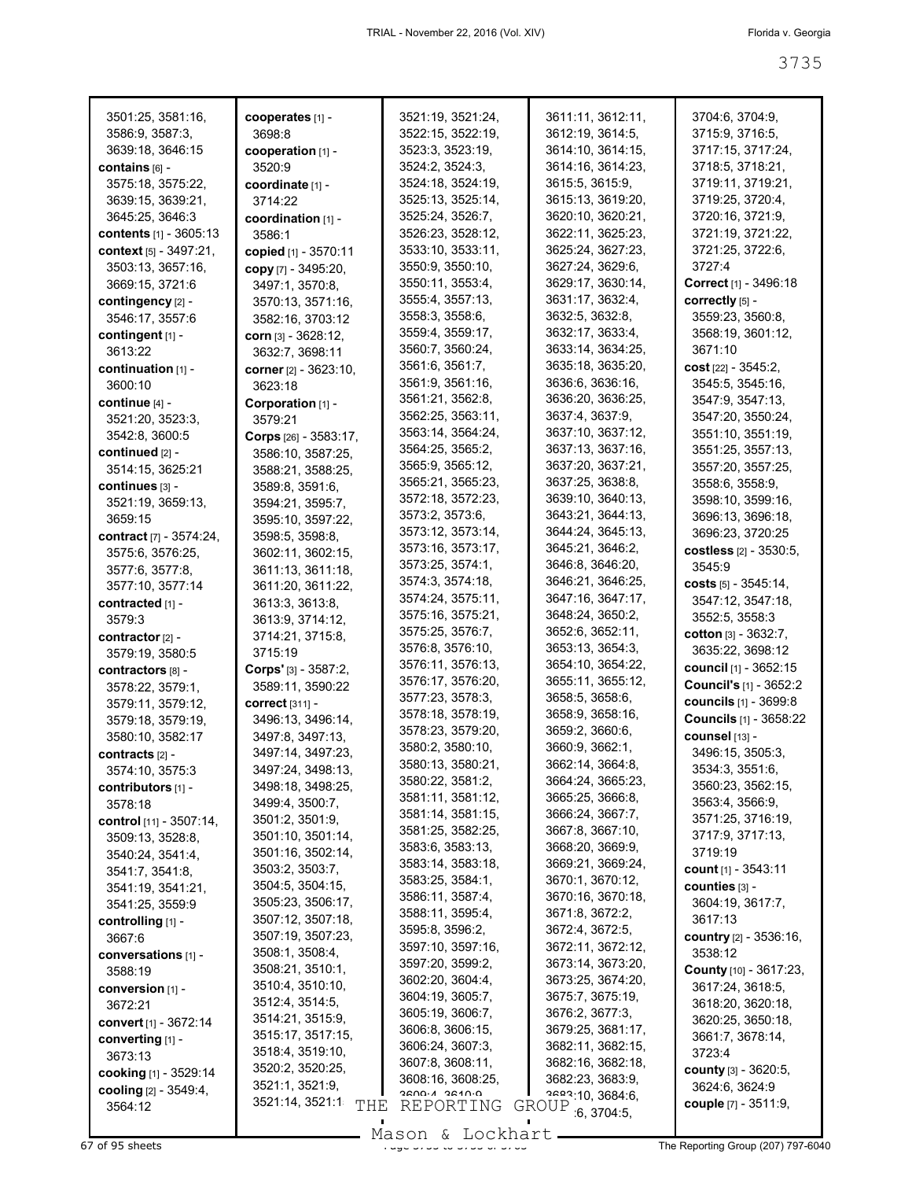| 3501:25, 3581:16,              | cooperates [1] -                | 3521:19, 3521:24, | 3611:11, 3612:11,  | 3704:6, 3704:9,                |
|--------------------------------|---------------------------------|-------------------|--------------------|--------------------------------|
| 3586:9, 3587:3,                | 3698:8                          | 3522:15, 3522:19, | 3612:19, 3614:5,   | 3715:9, 3716:5,                |
| 3639:18, 3646:15               | cooperation $[1]$ -             | 3523:3, 3523:19,  | 3614:10, 3614:15,  | 3717:15, 3717:24,              |
| contains [6] -                 | 3520:9                          | 3524:2, 3524:3,   | 3614:16, 3614:23,  | 3718:5, 3718:21,               |
| 3575:18, 3575:22,              | coordinate [1] -                | 3524:18, 3524:19, | 3615:5, 3615:9,    | 3719:11, 3719:21,              |
| 3639:15, 3639:21,              | 3714:22                         | 3525:13, 3525:14, | 3615:13, 3619:20,  | 3719:25, 3720:4,               |
| 3645:25, 3646:3                | coordination [1] -              | 3525:24, 3526:7,  | 3620:10, 3620:21,  | 3720:16, 3721:9,               |
| contents [1] - 3605:13         | 3586:1                          | 3526:23, 3528:12, | 3622:11, 3625:23,  | 3721:19, 3721:22,              |
| context [5] - 3497:21,         | copied [1] - 3570:11            | 3533:10, 3533:11, | 3625:24, 3627:23,  | 3721:25, 3722:6,               |
| 3503:13, 3657:16,              | copy [7] - 3495:20,             | 3550:9, 3550:10,  | 3627:24, 3629:6,   | 3727:4                         |
| 3669:15, 3721:6                | 3497:1, 3570:8,                 | 3550:11, 3553:4,  | 3629:17, 3630:14,  | Correct [1] - 3496:18          |
| contingency [2] -              | 3570:13, 3571:16,               | 3555:4, 3557:13,  | 3631:17, 3632:4,   | correctly [5] -                |
| 3546:17, 3557:6                | 3582:16, 3703:12                | 3558:3, 3558:6,   | 3632:5, 3632:8,    | 3559:23, 3560:8,               |
| contingent [1] -               | corn $[3] - 3628:12$ ,          | 3559:4, 3559:17,  | 3632:17, 3633:4,   | 3568:19, 3601:12,              |
| 3613:22                        | 3632:7, 3698:11                 | 3560:7, 3560:24,  | 3633:14, 3634:25,  | 3671:10                        |
| continuation $[1]$ -           | <b>corner</b> [2] - 3623:10,    | 3561:6, 3561:7,   | 3635:18, 3635:20,  | cost $[22] - 3545:2$ ,         |
| 3600:10                        | 3623:18                         | 3561:9, 3561:16,  | 3636:6, 3636:16,   | 3545:5, 3545:16,               |
| continue $[4]$ -               | Corporation $[1]$ -             | 3561:21, 3562:8,  | 3636:20, 3636:25,  | 3547:9, 3547:13,               |
| 3521:20, 3523:3,               | 3579:21                         | 3562:25, 3563:11, | 3637:4, 3637:9,    | 3547:20, 3550:24,              |
| 3542:8, 3600:5                 | <b>Corps</b> $[26] - 3583:17$ , | 3563:14, 3564:24, | 3637:10, 3637:12,  | 3551:10, 3551:19,              |
| continued [2] -                | 3586:10, 3587:25,               | 3564:25, 3565:2,  | 3637:13, 3637:16,  | 3551:25, 3557:13,              |
| 3514:15, 3625:21               | 3588:21, 3588:25,               | 3565:9, 3565:12,  | 3637:20, 3637:21,  | 3557:20, 3557:25,              |
| continues [3] -                | 3589:8, 3591:6,                 | 3565:21, 3565:23, | 3637:25, 3638:8,   | 3558:6, 3558:9,                |
| 3521:19, 3659:13,              | 3594:21, 3595:7,                | 3572:18, 3572:23, | 3639:10, 3640:13,  | 3598:10, 3599:16,              |
| 3659:15                        | 3595:10, 3597:22,               | 3573:2, 3573:6,   | 3643:21, 3644:13,  | 3696:13, 3696:18,              |
| <b>contract</b> [7] - 3574:24, | 3598:5, 3598:8,                 | 3573:12, 3573:14, | 3644:24, 3645:13,  | 3696:23, 3720:25               |
| 3575:6, 3576:25,               |                                 | 3573:16, 3573:17, | 3645:21, 3646:2,   | costless [2] - 3530:5,         |
|                                | 3602:11, 3602:15,               | 3573:25, 3574:1,  | 3646:8, 3646:20,   | 3545.9                         |
| 3577:6, 3577:8,                | 3611:13, 3611:18,               | 3574:3, 3574:18,  | 3646:21, 3646:25,  | costs [5] - 3545:14,           |
| 3577:10, 3577:14               | 3611:20, 3611:22,               | 3574:24, 3575:11, | 3647:16, 3647:17,  | 3547:12, 3547:18,              |
| contracted [1] -               | 3613:3, 3613:8,                 | 3575:16, 3575:21, | 3648:24, 3650:2,   | 3552:5, 3558:3                 |
| 3579:3                         | 3613:9, 3714:12,                | 3575:25, 3576:7,  | 3652:6, 3652:11,   |                                |
| contractor [2] -               | 3714:21, 3715:8,                | 3576:8, 3576:10,  | 3653:13, 3654:3,   | cotton $[3] - 3632:7$ ,        |
| 3579:19, 3580:5                | 3715:19                         | 3576:11, 3576:13, | 3654:10, 3654:22,  | 3635:22, 3698:12               |
| contractors [8] -              | <b>Corps'</b> [3] - $3587:2$ ,  | 3576:17, 3576:20, | 3655:11, 3655:12,  | <b>council</b> [1] - 3652:15   |
| 3578:22, 3579:1,               | 3589:11, 3590:22                | 3577:23, 3578:3,  | 3658:5, 3658:6,    | <b>Council's [1] - 3652:2</b>  |
| 3579:11, 3579:12,              | <b>correct</b> [311] -          | 3578:18, 3578:19, | 3658:9, 3658:16,   | <b>councils</b> [1] - 3699:8   |
| 3579:18, 3579:19,              | 3496:13, 3496:14,               | 3578:23, 3579:20, | 3659:2, 3660:6,    | <b>Councils [1] - 3658:22</b>  |
| 3580:10, 3582:17               | 3497:8, 3497:13,                |                   | 3660:9, 3662:1,    | counsel [13] -                 |
| contracts [2] -                | 3497:14, 3497:23,               | 3580:2, 3580:10,  |                    | 3496:15, 3505:3,               |
| 3574:10, 3575:3                | 3497:24, 3498:13,               | 3580:13, 3580:21, | 3662:14, 3664:8,   | 3534:3, 3551:6,                |
| contributors [1] -             | 3498:18, 3498:25,               | 3580:22, 3581:2,  | 3664:24, 3665:23,  | 3560:23, 3562:15,              |
| 3578:18                        | 3499:4, 3500:7,                 | 3581:11, 3581:12, | 3665:25, 3666:8,   | 3563:4, 3566:9,                |
| control [11] - 3507:14,        | 3501:2, 3501:9,                 | 3581:14, 3581:15, | 3666:24, 3667:7,   | 3571:25, 3716:19,              |
| 3509:13, 3528:8,               | 3501:10, 3501:14,               | 3581:25, 3582:25, | 3667:8, 3667:10,   | 3717:9, 3717:13,               |
| 3540:24, 3541:4,               | 3501:16, 3502:14,               | 3583:6, 3583:13,  | 3668:20, 3669:9,   | 3719:19                        |
| 3541:7, 3541:8,                | 3503:2, 3503:7,                 | 3583:14, 3583:18, | 3669:21, 3669:24,  | count [1] - 3543:11            |
| 3541:19, 3541:21,              | 3504:5, 3504:15,                | 3583:25, 3584:1,  | 3670:1, 3670:12,   | counties [3] -                 |
| 3541:25, 3559:9                | 3505:23, 3506:17,               | 3586:11, 3587:4,  | 3670:16, 3670:18,  | 3604:19, 3617:7,               |
| controlling [1] -              | 3507:12, 3507:18,               | 3588:11, 3595:4,  | 3671:8, 3672:2,    | 3617:13                        |
| 3667:6                         | 3507:19, 3507:23,               | 3595:8, 3596:2,   | 3672:4, 3672:5,    | country [2] - 3536:16,         |
| conversations [1] -            | 3508:1, 3508:4,                 | 3597:10, 3597:16, | 3672:11, 3672:12,  | 3538:12                        |
| 3588:19                        | 3508:21, 3510:1,                | 3597:20, 3599:2,  | 3673:14, 3673:20,  | County [10] - 3617:23,         |
| conversion [1] -               | 3510:4, 3510:10,                | 3602:20, 3604:4,  | 3673:25, 3674:20,  | 3617:24, 3618:5,               |
| 3672:21                        | 3512:4, 3514:5,                 | 3604:19, 3605:7,  | 3675:7, 3675:19,   | 3618:20, 3620:18,              |
| convert [1] - 3672:14          | 3514:21, 3515:9,                | 3605:19, 3606:7,  | 3676:2, 3677:3,    | 3620:25, 3650:18,              |
| converting [1] -               | 3515:17, 3517:15,               | 3606:8, 3606:15,  | 3679:25, 3681:17,  | 3661:7, 3678:14,               |
|                                | 3518:4, 3519:10,                | 3606:24, 3607:3,  | 3682:11, 3682:15,  | 3723:4                         |
| 3673:13                        | 3520:2, 3520:25,                | 3607:8, 3608:11,  | 3682:16, 3682:18,  | <b>county</b> $[3] - 3620.5$ , |
| cooking [1] - 3529:14          | 3521:1, 3521:9,                 | 3608:16, 3608:25, | 3682:23, 3683:9,   | 3624:6, 3624:9                 |
| cooling [2] - 3549:4,          | 3521:14, 3521:1                 | D-NASC N-NNSC     | 2522:10, 3684:6,   | couple $[7] - 3511:9$ ,        |
| 3564:12                        | THE                             | REPORTING         | GROUP<br>6,3704:5, |                                |
|                                |                                 |                   |                    |                                |

Mason & Lockhart

 $\frac{1000011}{1000011}$  and  $\frac{100011101}{100011101}$  be  $\frac{100011101}{1000111010}$  The Reporting Group (207) 797-6040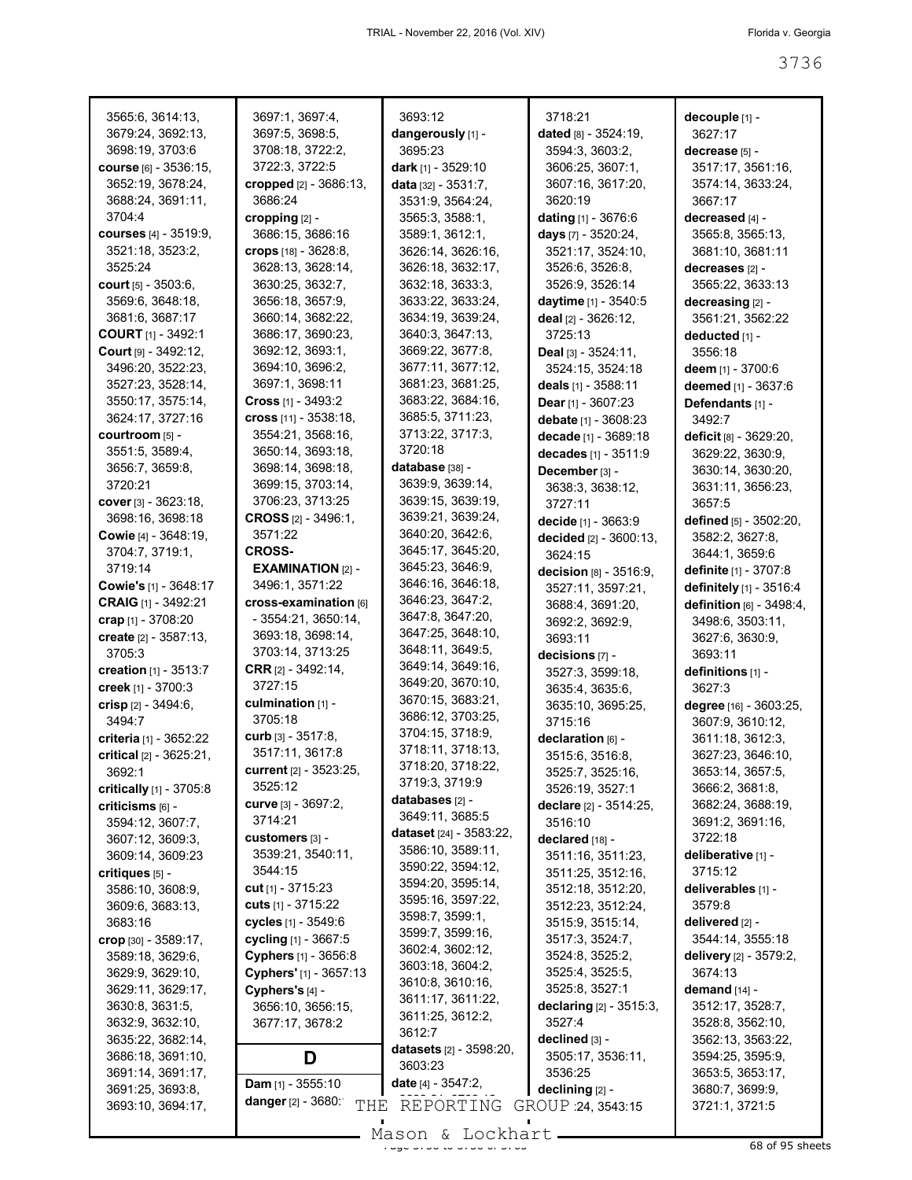| 3565:6, 3614:13,                      | 3697:1, 3697:4,                  | 3693:12                                           | 3718:21                              | decouple [1] -                    |
|---------------------------------------|----------------------------------|---------------------------------------------------|--------------------------------------|-----------------------------------|
| 3679:24, 3692:13,                     | 3697:5, 3698:5,                  | dangerously [1] -                                 | dated [8] - 3524:19,                 | 3627:17                           |
| 3698:19, 3703:6                       | 3708:18, 3722:2,                 | 3695:23                                           | 3594:3, 3603:2,                      | decrease [5] -                    |
| COUISE [6] - 3536:15,                 | 3722:3, 3722:5                   | dark [1] - 3529:10                                | 3606:25, 3607:1,                     | 3517:17, 3561:16,                 |
| 3652:19, 3678:24,                     | cropped [2] - 3686:13,           | data $[32] - 3531:7$ ,                            | 3607:16, 3617:20,                    | 3574:14, 3633:24,                 |
| 3688:24, 3691:11,                     | 3686:24                          | 3531:9, 3564:24,                                  | 3620:19                              | 3667:17                           |
| 3704:4                                | cropping $[2]$ -                 | 3565:3, 3588:1,                                   | <b>dating</b> [1] - 3676:6           | decreased [4] -                   |
| courses $[4] - 3519.9$ ,              | 3686:15, 3686:16                 | 3589:1, 3612:1,                                   | days [7] - 3520:24,                  | 3565:8, 3565:13,                  |
| 3521:18, 3523:2,                      | crops [18] - 3628:8,             | 3626:14, 3626:16,                                 | 3521:17, 3524:10,                    | 3681:10, 3681:11                  |
| 3525:24                               | 3628:13, 3628:14,                | 3626:18, 3632:17,                                 | 3526:6, 3526:8,                      | decreases [2] -                   |
| court $[5] - 3503.6$ ,                | 3630:25, 3632:7,                 | 3632:18, 3633:3,                                  | 3526:9, 3526:14                      | 3565:22, 3633:13                  |
| 3569:6, 3648:18,                      | 3656:18, 3657:9,                 | 3633:22, 3633:24,                                 | daytime [1] - 3540:5                 | decreasing [2] -                  |
| 3681:6, 3687:17                       | 3660:14, 3682:22,                | 3634:19, 3639:24,                                 | deal [2] - 3626:12,                  | 3561:21, 3562:22                  |
| <b>COURT</b> $[1]$ - 3492:1           | 3686:17, 3690:23,                | 3640:3, 3647:13,                                  | 3725:13                              | deducted [1] -                    |
| Court $[9] - 3492:12$                 | 3692:12, 3693:1,                 | 3669:22, 3677:8,                                  | <b>Deal</b> $[3] - 3524:11$ ,        | 3556:18                           |
| 3496:20, 3522:23,                     | 3694:10, 3696:2,                 | 3677:11, 3677:12,                                 | 3524:15, 3524:18                     | <b>deem</b> [1] - 3700:6          |
| 3527:23, 3528:14,                     | 3697:1, 3698:11                  | 3681:23, 3681:25,                                 | deals [1] - 3588:11                  | deemed [1] - 3637:6               |
| 3550:17, 3575:14,                     | <b>Cross</b> $[1]$ - 3493:2      | 3683:22, 3684:16,                                 | Dear $[1]$ - 3607:23                 | Defendants [1] -                  |
| 3624:17, 3727:16                      | cross $[11] - 3538:18$ ,         | 3685:5, 3711:23,                                  | debate [1] - 3608:23                 | 3492.7                            |
| courtroom [5] -                       | 3554:21, 3568:16,                | 3713:22, 3717:3,                                  | decade [1] - 3689:18                 | deficit [8] - 3629:20,            |
| 3551:5, 3589:4,                       | 3650:14, 3693:18,                | 3720:18                                           | decades [1] - 3511:9                 | 3629:22, 3630:9,                  |
| 3656:7, 3659:8,                       | 3698:14, 3698:18,                | database [38] -                                   | December [3] -                       | 3630:14, 3630:20,                 |
| 3720:21                               | 3699:15, 3703:14,                | 3639:9, 3639:14,                                  | 3638:3, 3638:12,                     | 3631:11, 3656:23,                 |
| cover $[3] - 3623:18$ ,               | 3706:23, 3713:25                 | 3639:15, 3639:19,                                 | 3727:11                              | 3657:5                            |
| 3698:16, 3698:18                      | <b>CROSS</b> $[2] - 3496:1$      | 3639:21, 3639:24,                                 | decide [1] - 3663:9                  | defined [5] - 3502:20,            |
| Cowie [4] - 3648:19,                  | 3571:22                          | 3640:20, 3642:6,                                  | decided [2] - 3600:13,               | 3582:2, 3627:8,                   |
| 3704:7, 3719:1,                       | <b>CROSS-</b>                    | 3645:17, 3645:20,                                 | 3624:15                              | 3644:1, 3659:6                    |
| 3719:14                               | <b>EXAMINATION [2] -</b>         | 3645:23, 3646:9,                                  | decision [8] - 3516:9,               | definite [1] - 3707:8             |
| <b>Cowie's</b> [1] - $3648:17$        | 3496:1, 3571:22                  | 3646:16, 3646:18,                                 | 3527:11, 3597:21,                    | definitely [1] - 3516:4           |
| CRAIG [1] - 3492:21                   | cross-examination [6]            | 3646:23, 3647:2,                                  | 3688:4, 3691:20,                     | definition [6] - 3498:4,          |
| crap [1] - 3708:20                    | $-3554:21, 3650:14,$             | 3647:8, 3647:20,                                  | 3692:2, 3692:9,                      | 3498:6, 3503:11,                  |
| create [2] - 3587:13,                 | 3693:18, 3698:14,                | 3647:25, 3648:10,                                 | 3693:11                              | 3627:6, 3630:9,                   |
| 3705:3                                | 3703:14, 3713:25                 | 3648:11, 3649:5,                                  | decisions [7] -                      | 3693:11                           |
| creation $[1] - 3513:7$               | <b>CRR</b> $[2] - 3492:14$ ,     | 3649:14, 3649:16,                                 | 3527:3, 3599:18,                     | definitions [1] -                 |
| creek [1] - 3700:3                    | 3727:15                          | 3649:20, 3670:10,                                 | 3635:4, 3635:6,                      | 3627:3                            |
| crisp $[2] - 3494:6,$                 | culmination [1] -                | 3670:15, 3683:21,                                 | 3635:10, 3695:25,                    | degree [16] - 3603:25,            |
| 3494:7                                | 3705:18                          | 3686:12, 3703:25,                                 | 3715:16                              | 3607:9, 3610:12,                  |
| criteria [1] - 3652:22                | curb $[3] - 3517:8$ ,            | 3704:15, 3718:9,                                  | declaration [6] -                    | 3611:18, 3612:3,                  |
| critical [2] - 3625:21,               | 3517:11, 3617:8                  | 3718:11, 3718:13,                                 | 3515:6, 3516:8,                      | 3627:23, 3646:10,                 |
| 3692:1                                | current [2] - 3523:25,           | 3718:20, 3718:22,                                 | 3525:7, 3525:16,                     | 3653:14, 3657:5,                  |
| critically [1] - 3705:8               | 3525:12                          | 3719:3, 3719:9                                    | 3526:19, 3527:1                      | 3666:2, 3681:8,                   |
| criticisms [6] -                      | curve [3] - 3697:2,              | databases [2] -                                   | declare [2] - 3514:25,               | 3682:24, 3688:19,                 |
| 3594:12, 3607:7,                      | 3714:21                          | 3649:11, 3685:5<br><b>dataset</b> [24] - 3583:22, | 3516:10                              | 3691:2, 3691:16,                  |
| 3607:12, 3609:3,                      | $cuts$ tomers $[3] -$            | 3586:10, 3589:11,                                 | declared [18] -                      | 3722:18                           |
| 3609:14, 3609:23                      | 3539:21, 3540:11,                | 3590:22, 3594:12,                                 | 3511:16, 3511:23,                    | deliberative [1] -                |
| critiques [5] -                       | 3544:15                          | 3594:20, 3595:14,                                 | 3511:25, 3512:16,                    | 3715:12                           |
| 3586:10, 3608:9,                      | cut [1] - 3715:23                | 3595:16, 3597:22,                                 | 3512:18, 3512:20,                    | deliverables [1] -                |
| 3609:6, 3683:13,                      | <b>cuts</b> [1] - 3715:22        | 3598:7, 3599:1,                                   | 3512:23, 3512:24,                    | 3579:8                            |
| 3683:16                               | cycles [1] - 3549:6              | 3599:7, 3599:16,                                  | 3515:9, 3515:14,                     | delivered [2] -                   |
| crop [30] - 3589:17,                  | cycling [1] - 3667:5             | 3602:4, 3602:12,                                  | 3517:3, 3524:7,                      | 3544:14, 3555:18                  |
| 3589:18, 3629:6,                      | Cyphers [1] - 3656:8             | 3603:18, 3604:2,                                  | 3524:8, 3525:2,                      | delivery [2] - 3579:2,            |
| 3629:9, 3629:10,                      | Cyphers' [1] - 3657:13           | 3610:8, 3610:16,                                  | 3525:4, 3525:5,                      | 3674:13                           |
| 3629:11, 3629:17,                     | Cyphers's $[4]$ -                | 3611:17, 3611:22,                                 | 3525:8, 3527:1                       | demand $[14]$ -                   |
| 3630:8, 3631:5,                       | 3656:10, 3656:15,                | 3611:25, 3612:2,                                  | declaring [2] - 3515:3,              | 3512:17, 3528:7,                  |
| 3632:9, 3632:10,                      | 3677:17, 3678:2                  | 3612:7                                            | 3527:4                               | 3528:8, 3562:10,                  |
| 3635:22, 3682:14,                     |                                  | datasets [2] - 3598:20,                           | declined [3] -                       | 3562:13, 3563:22,                 |
| 3686:18, 3691:10,                     | D                                | 3603:23                                           | 3505:17, 3536:11,                    | 3594:25, 3595:9,                  |
| 3691:14, 3691:17,                     | <b>Dam</b> [1] - 3555:10         | <b>date</b> $[4] - 3547:2$ ,                      | 3536:25                              | 3653:5, 3653:17,                  |
| 3691:25, 3693:8,<br>3693:10, 3694:17, | <b>danger</b> [2] - 3680:<br>THE | REPORTING                                         | declining [2] -<br>GROUP 24, 3543:15 | 3680:7, 3699:9,<br>3721:1, 3721:5 |
|                                       |                                  |                                                   |                                      |                                   |
|                                       |                                  | Mason & Lockhart                                  |                                      |                                   |

Mason & Lockhart <u>entitled by</u> 38 of 95 sheets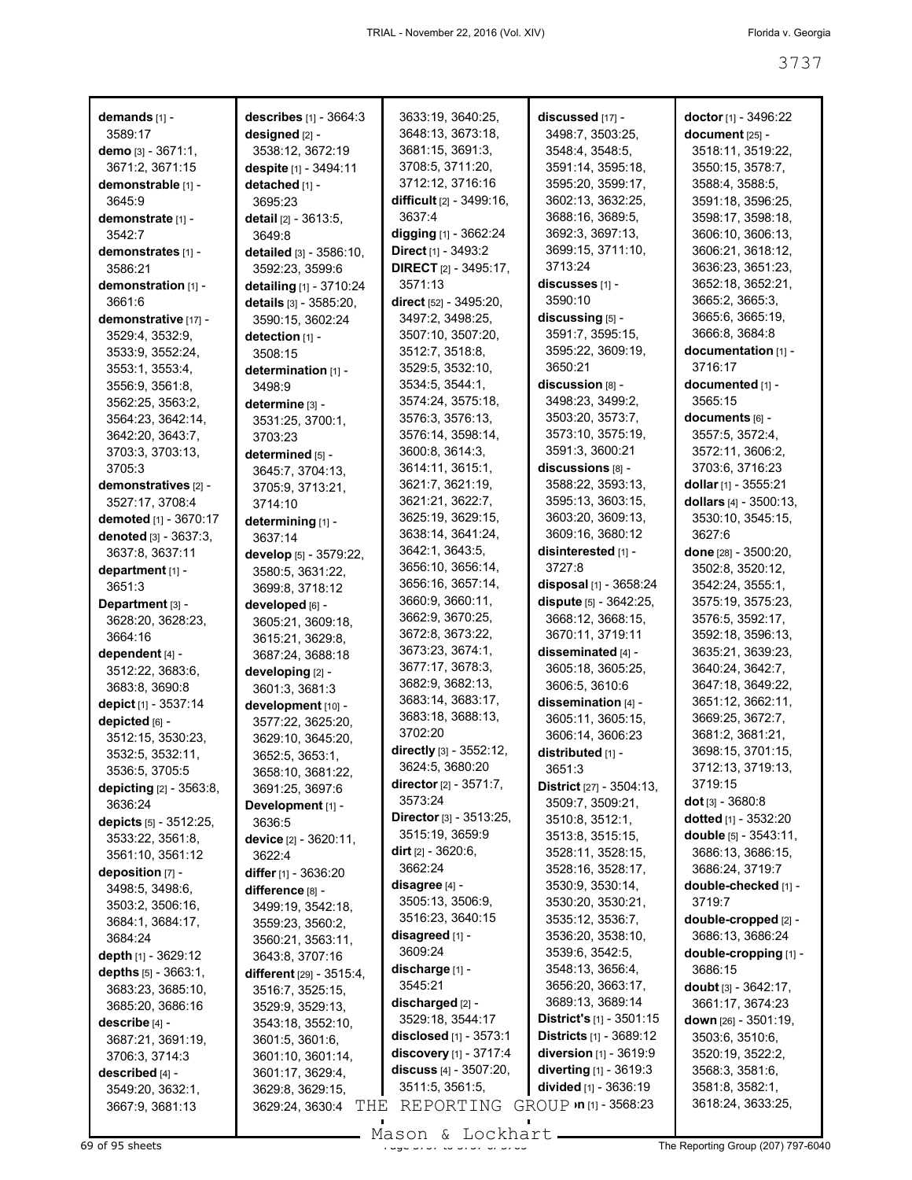| demands [1] -                            | <b>describes</b> $[1] - 3664:3$    | 3633:19, 3640:25,                                   | discussed [17] -                                 | <b>doctor</b> [1] - 3496:22         |
|------------------------------------------|------------------------------------|-----------------------------------------------------|--------------------------------------------------|-------------------------------------|
| 3589:17                                  | designed [2] -                     | 3648:13, 3673:18,                                   | 3498:7, 3503:25,                                 | document [25] -                     |
| demo [3] - $3671:1$ ,                    | 3538:12, 3672:19                   | 3681:15, 3691:3,                                    | 3548:4, 3548:5,                                  | 3518:11, 3519:22,                   |
| 3671:2, 3671:15                          | despite [1] - 3494:11              | 3708:5, 3711:20,                                    | 3591:14, 3595:18,                                | 3550:15, 3578:7,                    |
| demonstrable [1] -                       | detached [1] -                     | 3712:12, 3716:16                                    | 3595:20, 3599:17,                                | 3588:4, 3588:5,                     |
| 3645:9                                   | 3695:23                            | difficult [2] - 3499:16,                            | 3602:13, 3632:25,                                | 3591:18, 3596:25,                   |
| demonstrate [1] -                        | detail [2] - 3613:5,               | 3637:4                                              | 3688:16, 3689:5,                                 | 3598:17, 3598:18,                   |
| 3542:7                                   | 3649:8                             | digging [1] - 3662:24                               | 3692:3, 3697:13,                                 | 3606:10, 3606:13,                   |
| demonstrates [1] -                       | detailed [3] - 3586:10,            | <b>Direct</b> [1] - $3493:2$                        | 3699:15, 3711:10,                                | 3606:21, 3618:12,                   |
| 3586:21                                  | 3592:23, 3599:6                    | <b>DIRECT</b> [2] - 3495:17,                        | 3713:24                                          | 3636:23, 3651:23,                   |
| demonstration [1] -                      | detailing [1] - 3710:24            | 3571:13                                             | discusses [1] -                                  | 3652:18, 3652:21,                   |
| 3661:6                                   | details [3] - 3585:20,             | direct [52] - 3495:20,                              | 3590:10                                          | 3665:2, 3665:3,                     |
| demonstrative [17] -                     | 3590:15, 3602:24                   | 3497:2, 3498:25,                                    | discussing [5] -                                 | 3665:6, 3665:19,                    |
| 3529:4, 3532:9,                          | detection [1] -                    | 3507:10, 3507:20,                                   | 3591:7, 3595:15,                                 | 3666:8, 3684:8                      |
| 3533:9, 3552:24,                         | 3508:15                            | 3512:7, 3518:8,                                     | 3595:22, 3609:19,                                | documentation [1] -                 |
| 3553:1, 3553:4,                          | determination [1] -                | 3529:5, 3532:10,                                    | 3650:21                                          | 3716:17                             |
| 3556:9, 3561:8,                          | 3498:9                             | 3534:5, 3544:1,                                     | discussion [8] -                                 | documented [1] -                    |
| 3562:25, 3563:2,                         | determine [3] -                    | 3574:24, 3575:18,                                   | 3498:23, 3499:2,                                 | 3565:15                             |
| 3564:23, 3642:14,                        | 3531:25, 3700:1,                   | 3576:3, 3576:13,                                    | 3503:20, 3573:7,                                 | documents [6] -                     |
| 3642:20, 3643:7,                         | 3703:23                            | 3576:14, 3598:14,                                   | 3573:10, 3575:19,                                | 3557:5, 3572:4,                     |
| 3703:3, 3703:13,                         | determined [5] -                   | 3600:8, 3614:3,                                     | 3591:3, 3600:21<br>discussions [8] -             | 3572:11, 3606:2,<br>3703:6, 3716:23 |
| 3705:3                                   | 3645:7, 3704:13,                   | 3614:11, 3615:1,<br>3621:7, 3621:19,                | 3588:22, 3593:13,                                | dollar [1] - 3555:21                |
| demonstratives [2] -                     | 3705:9, 3713:21,                   | 3621:21, 3622:7,                                    | 3595:13, 3603:15,                                | dollars [4] - 3500:13,              |
| 3527:17, 3708:4<br>demoted [1] - 3670:17 | 3714:10                            | 3625:19, 3629:15,                                   | 3603:20, 3609:13,                                | 3530:10, 3545:15,                   |
|                                          | determining [1] -                  | 3638:14, 3641:24,                                   | 3609:16, 3680:12                                 | 3627:6                              |
| denoted [3] - 3637:3,<br>3637:8, 3637:11 | 3637:14                            | 3642:1, 3643:5,                                     | disinterested [1] -                              | done [28] - 3500:20,                |
| department [1] -                         | develop [5] - 3579:22,             | 3656:10, 3656:14,                                   | 3727:8                                           | 3502:8, 3520:12,                    |
| 3651:3                                   | 3580:5, 3631:22,                   | 3656:16, 3657:14,                                   | disposal [1] - 3658:24                           | 3542:24, 3555:1,                    |
| Department [3] -                         | 3699:8, 3718:12<br>developed [6] - | 3660:9, 3660:11,                                    | dispute [5] - 3642:25,                           | 3575:19, 3575:23,                   |
| 3628:20, 3628:23,                        | 3605:21, 3609:18,                  | 3662:9, 3670:25,                                    | 3668:12, 3668:15,                                | 3576:5, 3592:17,                    |
| 3664:16                                  | 3615:21, 3629:8,                   | 3672:8, 3673:22,                                    | 3670:11, 3719:11                                 | 3592:18, 3596:13,                   |
| dependent [4] -                          | 3687:24, 3688:18                   | 3673:23, 3674:1,                                    | disseminated [4] -                               | 3635:21, 3639:23,                   |
| 3512:22, 3683:6,                         | developing [2] -                   | 3677:17, 3678:3,                                    | 3605:18, 3605:25,                                | 3640:24, 3642:7,                    |
| 3683:8, 3690:8                           | 3601:3, 3681:3                     | 3682:9, 3682:13,                                    | 3606:5, 3610:6                                   | 3647:18, 3649:22,                   |
| depict [1] - 3537:14                     | development [10] -                 | 3683:14, 3683:17,                                   | dissemination [4] -                              | 3651:12, 3662:11,                   |
| depicted [6] -                           | 3577:22, 3625:20,                  | 3683:18, 3688:13,                                   | 3605:11, 3605:15,                                | 3669:25, 3672:7,                    |
| 3512:15, 3530:23,                        | 3629:10, 3645:20,                  | 3702:20                                             | 3606:14, 3606:23                                 | 3681:2, 3681:21,                    |
| 3532:5, 3532:11,                         | 3652:5, 3653:1,                    | directly [3] - 3552:12,                             | distributed [1] -                                | 3698:15, 3701:15,                   |
| 3536:5, 3705:5                           | 3658:10, 3681:22,                  | 3624:5, 3680:20                                     | 3651.3                                           | 3712:13, 3719:13,                   |
| depicting [2] - 3563:8,                  | 3691:25, 3697:6                    | director [2] - 3571:7,                              | District [27] - 3504:13,                         | 3719:15                             |
| 3636:24                                  | Development [1] -                  | 3573:24                                             | 3509:7, 3509:21,                                 | <b>dot</b> [3] - $3680:8$           |
| depicts [5] - 3512:25,                   | 3636:5                             | Director [3] - 3513:25,                             | 3510:8, 3512:1,                                  | dotted [1] - 3532:20                |
| 3533:22, 3561:8,                         | device $[2] - 3620:11$ ,           | 3515:19, 3659:9                                     | 3513:8, 3515:15,                                 | double [5] - 3543:11,               |
| 3561:10, 3561:12                         | 3622:4                             | <b>dirt</b> $[2] - 3620:6$                          | 3528:11, 3528:15,                                | 3686:13, 3686:15,                   |
| deposition $[7]$ -                       | differ $[1]$ - 3636:20             | 3662:24                                             | 3528:16, 3528:17,                                | 3686:24, 3719:7                     |
| 3498:5, 3498:6,                          | difference [8] -                   | disagree [4] -                                      | 3530:9, 3530:14,                                 | double-checked [1] -                |
| 3503:2, 3506:16,                         | 3499:19, 3542:18,                  | 3505:13, 3506:9,                                    | 3530:20, 3530:21,                                | 3719:7                              |
| 3684:1, 3684:17,                         | 3559:23, 3560:2,                   | 3516:23, 3640:15                                    | 3535:12, 3536:7,                                 | double-cropped [2] -                |
| 3684:24                                  | 3560:21, 3563:11,                  | disagreed [1] -                                     | 3536:20, 3538:10,                                | 3686:13, 3686:24                    |
| depth $[1]$ - 3629:12                    | 3643:8, 3707:16                    | 3609:24                                             | 3539:6, 3542:5,                                  | double-cropping [1] -               |
| depths [5] - 3663:1,                     | different [29] - 3515:4,           | discharge [1] -                                     | 3548:13, 3656:4,                                 | 3686:15                             |
| 3683:23, 3685:10,                        | 3516:7, 3525:15,                   | 3545:21                                             | 3656:20, 3663:17,                                | doubt $[3] - 3642:17$ ,             |
| 3685:20, 3686:16                         | 3529:9, 3529:13,                   | discharged [2] -                                    | 3689:13, 3689:14                                 | 3661:17, 3674:23                    |
| describe [4] -                           | 3543:18, 3552:10,                  | 3529:18, 3544:17                                    | <b>District's</b> $[1]$ - 3501:15                | down $[26] - 3501:19$ ,             |
| 3687:21, 3691:19,                        | 3601:5, 3601:6,                    | disclosed $[1]$ - 3573:1                            | <b>Districts</b> $[1]$ - 3689:12                 | 3503:6, 3510:6,                     |
| 3706:3, 3714:3                           | 3601:10, 3601:14,                  | discovery [1] - 3717:4<br>discuss $[4] - 3507:20$ , | diversion [1] - 3619:9<br>diverting [1] - 3619:3 | 3520:19, 3522:2,<br>3568:3, 3581:6, |
| described [4] -                          | 3601:17, 3629:4,                   | 3511:5, 3561:5,                                     | divided [1] - 3636:19                            | 3581:8, 3582:1,                     |
| 3549:20, 3632:1,                         | 3629:8, 3629:15,                   |                                                     | GROUP $\cdot$ n [1] - 3568:23                    | 3618:24, 3633:25,                   |
| 3667:9, 3681:13                          | 3629:24, 3630:4<br>THE             | REPORTING                                           |                                                  |                                     |

 $\overline{69}$  of 95 sheets  $\overline{37}$  and  $\overline{37}$  to 3737 to 3737 of 3737 to 3737 of 3737 The Reporting Group (207) 797-6040 Mason & Lockhart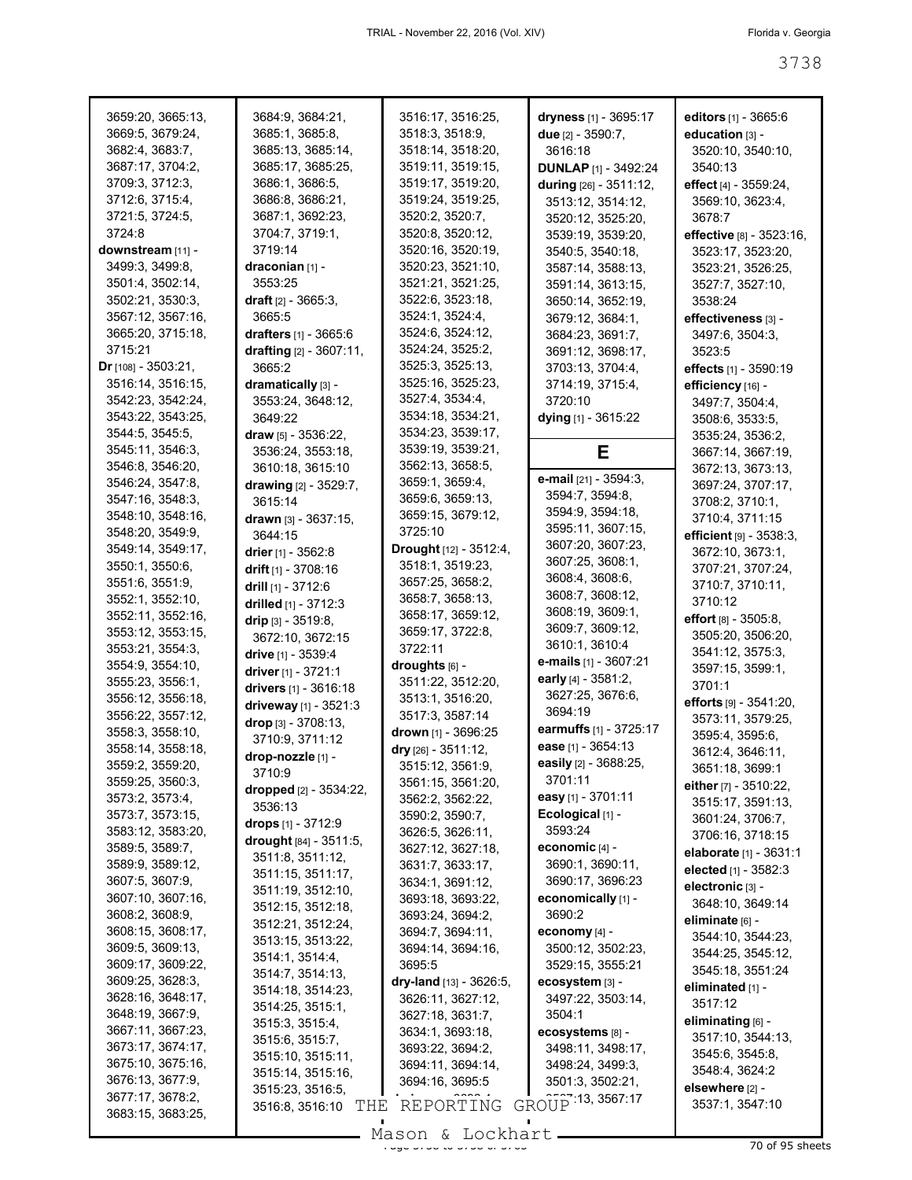| 3659:20, 3665:13,<br>3669:5, 3679:24, | 3684:9, 3684:21,<br>3685:1, 3685:8,   | 3516:17, 3516:25,                      | dryness [1] - 3695:17                 | editors $[1] - 3665.6$                    |
|---------------------------------------|---------------------------------------|----------------------------------------|---------------------------------------|-------------------------------------------|
|                                       | 3685:13, 3685:14,                     | 3518:3, 3518:9,                        | due $[2] - 3590:7$ ,                  | education [3] -                           |
| 3682:4, 3683:7,                       |                                       | 3518:14, 3518:20,                      | 3616:18                               | 3520:10, 3540:10,                         |
| 3687:17, 3704:2,                      | 3685:17, 3685:25,                     | 3519:11, 3519:15,                      | <b>DUNLAP</b> [1] - 3492:24           | 3540:13                                   |
| 3709:3, 3712:3,<br>3712:6, 3715:4,    | 3686:1, 3686:5,<br>3686:8, 3686:21,   | 3519:17, 3519:20,<br>3519:24, 3519:25, | during [26] - 3511:12,                | effect [4] - 3559:24,<br>3569:10, 3623:4, |
| 3721:5, 3724:5,                       | 3687:1, 3692:23,                      | 3520:2, 3520:7,                        | 3513:12, 3514:12,                     |                                           |
| 3724:8                                | 3704:7, 3719:1,                       | 3520:8, 3520:12,                       | 3520:12, 3525:20,                     | 3678:7<br>effective [8] - 3523:16,        |
| downstream [11] -                     | 3719:14                               | 3520:16, 3520:19,                      | 3539:19, 3539:20,<br>3540:5, 3540:18, | 3523:17, 3523:20,                         |
| 3499:3, 3499:8,                       | draconian [1] -                       | 3520:23, 3521:10,                      | 3587:14, 3588:13,                     | 3523:21, 3526:25,                         |
| 3501:4, 3502:14,                      | 3553:25                               | 3521:21, 3521:25,                      | 3591:14, 3613:15,                     | 3527:7, 3527:10,                          |
| 3502:21, 3530:3,                      | draft [2] - 3665:3,                   | 3522:6, 3523:18,                       | 3650:14, 3652:19,                     | 3538:24                                   |
| 3567:12, 3567:16,                     | 3665:5                                | 3524:1, 3524:4,                        | 3679:12, 3684:1,                      | effectiveness [3] -                       |
| 3665:20, 3715:18,                     | drafters [1] - 3665:6                 | 3524:6, 3524:12,                       | 3684:23, 3691:7,                      | 3497:6, 3504:3,                           |
| 3715:21                               | drafting [2] - 3607:11,               | 3524:24, 3525:2,                       | 3691:12, 3698:17,                     | 3523:5                                    |
| <b>Dr</b> [108] - $3503:21$ ,         | 3665:2                                | 3525:3, 3525:13,                       | 3703:13, 3704:4,                      | effects [1] - 3590:19                     |
| 3516:14, 3516:15,                     | dramatically [3] -                    | 3525:16, 3525:23,                      | 3714:19, 3715:4,                      | efficiency [16] -                         |
| 3542:23, 3542:24,                     | 3553:24, 3648:12,                     | 3527:4, 3534:4,                        | 3720:10                               | 3497:7, 3504:4,                           |
| 3543:22, 3543:25,                     | 3649:22                               | 3534:18, 3534:21,                      | dying [1] - 3615:22                   | 3508:6, 3533:5,                           |
| 3544:5, 3545:5,                       | draw [5] - 3536:22,                   | 3534:23, 3539:17,                      |                                       | 3535:24, 3536:2,                          |
| 3545:11, 3546:3,                      | 3536:24, 3553:18,                     | 3539:19, 3539:21,                      | Е                                     | 3667:14, 3667:19,                         |
| 3546:8, 3546:20,                      | 3610:18, 3615:10                      | 3562:13, 3658:5,                       |                                       | 3672:13, 3673:13,                         |
| 3546:24, 3547:8,                      | drawing $[2] - 3529:7$ ,              | 3659:1, 3659:4,                        | e-mail [21] - 3594:3,                 | 3697:24, 3707:17,                         |
| 3547:16, 3548:3,                      | 3615:14                               | 3659:6, 3659:13,                       | 3594:7, 3594:8,                       | 3708:2, 3710:1,                           |
| 3548:10, 3548:16,                     | drawn [3] - 3637:15,                  | 3659:15, 3679:12,                      | 3594:9, 3594:18,                      | 3710:4, 3711:15                           |
| 3548:20, 3549:9,                      | 3644:15                               | 3725:10                                | 3595:11, 3607:15,                     | efficient [9] - 3538:3,                   |
| 3549:14, 3549:17,                     | drier $[1] - 3562.8$                  | Drought [12] - 3512:4,                 | 3607:20, 3607:23,                     | 3672:10, 3673:1,                          |
| 3550:1, 3550:6,                       | drift $[1]$ - 3708:16                 | 3518:1, 3519:23,                       | 3607:25, 3608:1,                      | 3707:21, 3707:24,                         |
| 3551:6, 3551:9,                       | drill $[1]$ - 3712:6                  | 3657:25, 3658:2,                       | 3608:4, 3608:6,                       | 3710:7, 3710:11,                          |
| 3552:1, 3552:10,                      | drilled [1] - 3712:3                  | 3658:7, 3658:13,                       | 3608:7, 3608:12,                      | 3710:12                                   |
| 3552:11, 3552:16,                     | drip [3] - 3519:8,                    | 3658:17, 3659:12,                      | 3608:19, 3609:1,<br>3609:7, 3609:12,  | effort [8] - 3505:8,                      |
| 3553:12, 3553:15,                     | 3672:10, 3672:15                      | 3659:17, 3722:8,                       | 3610:1, 3610:4                        | 3505:20, 3506:20,                         |
| 3553:21, 3554:3,                      | drive [1] - 3539:4                    | 3722:11                                | e-mails [1] - 3607:21                 | 3541:12, 3575:3,                          |
| 3554:9, 3554:10,                      | driver [1] - 3721:1                   | droughts [6] -                         | early [4] - 3581:2,                   | 3597:15, 3599:1,                          |
| 3555:23, 3556:1,                      | drivers [1] - 3616:18                 | 3511:22, 3512:20,                      | 3627:25, 3676:6,                      | 3701:1                                    |
| 3556:12, 3556:18,                     | driveway [1] - 3521:3                 | 3513:1, 3516:20,                       | 3694:19                               | efforts $[9] - 3541:20$ ,                 |
| 3556:22, 3557:12,<br>3558:3, 3558:10, | drop [3] - 3708:13,                   | 3517:3, 3587:14<br>drown [1] - 3696:25 | earmuffs [1] - 3725:17                | 3573:11, 3579:25,                         |
| 3558:14, 3558:18,                     | 3710:9, 3711:12                       | dry [26] - 3511:12,                    | ease [1] - 3654:13                    | 3595:4, 3595:6,                           |
| 3559:2, 3559:20,                      | drop-nozzle [1] -                     | 3515:12, 3561:9,                       | easily [2] - 3688:25,                 | 3612:4, 3646:11,                          |
| 3559:25, 3560:3,                      | 3710:9                                | 3561:15, 3561:20,                      | 3701:11                               | 3651:18, 3699:1                           |
| 3573:2, 3573:4,                       | dropped [2] - 3534:22,                | 3562:2, 3562:22,                       | easy [1] - 3701:11                    | either [7] - 3510:22,                     |
| 3573:7, 3573:15,                      | 3536:13                               | 3590:2, 3590:7,                        | Ecological [1] -                      | 3515:17, 3591:13,                         |
| 3583:12, 3583:20,                     | drops [1] - 3712:9                    | 3626:5, 3626:11,                       | 3593:24                               | 3601:24, 3706:7,<br>3706:16, 3718:15      |
| 3589:5, 3589:7,                       | drought [84] - 3511:5,                | 3627:12, 3627:18,                      | economic [4] -                        | elaborate [1] - 3631:1                    |
| 3589:9, 3589:12,                      | 3511:8, 3511:12,                      | 3631:7, 3633:17,                       | 3690:1, 3690:11,                      | elected [1] - 3582:3                      |
| 3607:5, 3607:9,                       | 3511:15, 3511:17,                     | 3634:1, 3691:12,                       | 3690:17, 3696:23                      | electronic [3] -                          |
| 3607:10, 3607:16,                     | 3511:19, 3512:10,                     | 3693:18, 3693:22,                      | economically [1] -                    | 3648:10, 3649:14                          |
| 3608:2, 3608:9,                       | 3512:15, 3512:18,                     | 3693:24, 3694:2,                       | 3690:2                                | eliminate [6] -                           |
| 3608:15, 3608:17,                     | 3512:21, 3512:24,                     | 3694:7, 3694:11,                       | economy [4] -                         | 3544:10, 3544:23,                         |
| 3609:5, 3609:13,                      | 3513:15, 3513:22,                     | 3694:14, 3694:16,                      | 3500:12, 3502:23,                     | 3544:25, 3545:12,                         |
| 3609:17, 3609:22,                     | 3514:1, 3514:4,                       | 3695:5                                 | 3529:15, 3555:21                      | 3545:18, 3551:24                          |
| 3609:25, 3628:3,                      | 3514:7, 3514:13,<br>3514:18, 3514:23, | dry-land [13] - 3626:5,                | ecosystem [3] -                       | eliminated [1] -                          |
| 3628:16, 3648:17,                     | 3514:25, 3515:1,                      | 3626:11, 3627:12,                      | 3497:22, 3503:14,                     | 3517:12                                   |
| 3648:19, 3667:9,                      | 3515:3, 3515:4,                       | 3627:18, 3631:7,                       | 3504:1                                | eliminating [6] -                         |
| 3667:11, 3667:23,                     | 3515:6, 3515:7,                       | 3634:1, 3693:18,                       | ecosystems [8] -                      | 3517:10, 3544:13,                         |
| 3673:17, 3674:17,                     | 3515:10, 3515:11,                     | 3693:22, 3694:2,                       | 3498:11, 3498:17,                     | 3545:6, 3545:8,                           |
| 3675:10, 3675:16,                     | 3515:14, 3515:16,                     | 3694:11, 3694:14,                      | 3498:24, 3499:3,                      | 3548:4, 3624:2                            |
| 3676:13, 3677:9,                      | 3515:23, 3516:5,                      | 3694:16, 3695:5                        | 3501:3, 3502:21,                      | elsewhere [2] -                           |
| 3677:17, 3678:2,                      | 3516:8, 3516:10<br>THE                | REPORTING                              | GROUP 13, 3567:17                     | 3537:1, 3547:10                           |
| 3683:15, 3683:25,                     |                                       | Mason & Lockhart                       |                                       |                                           |
|                                       |                                       |                                        |                                       |                                           |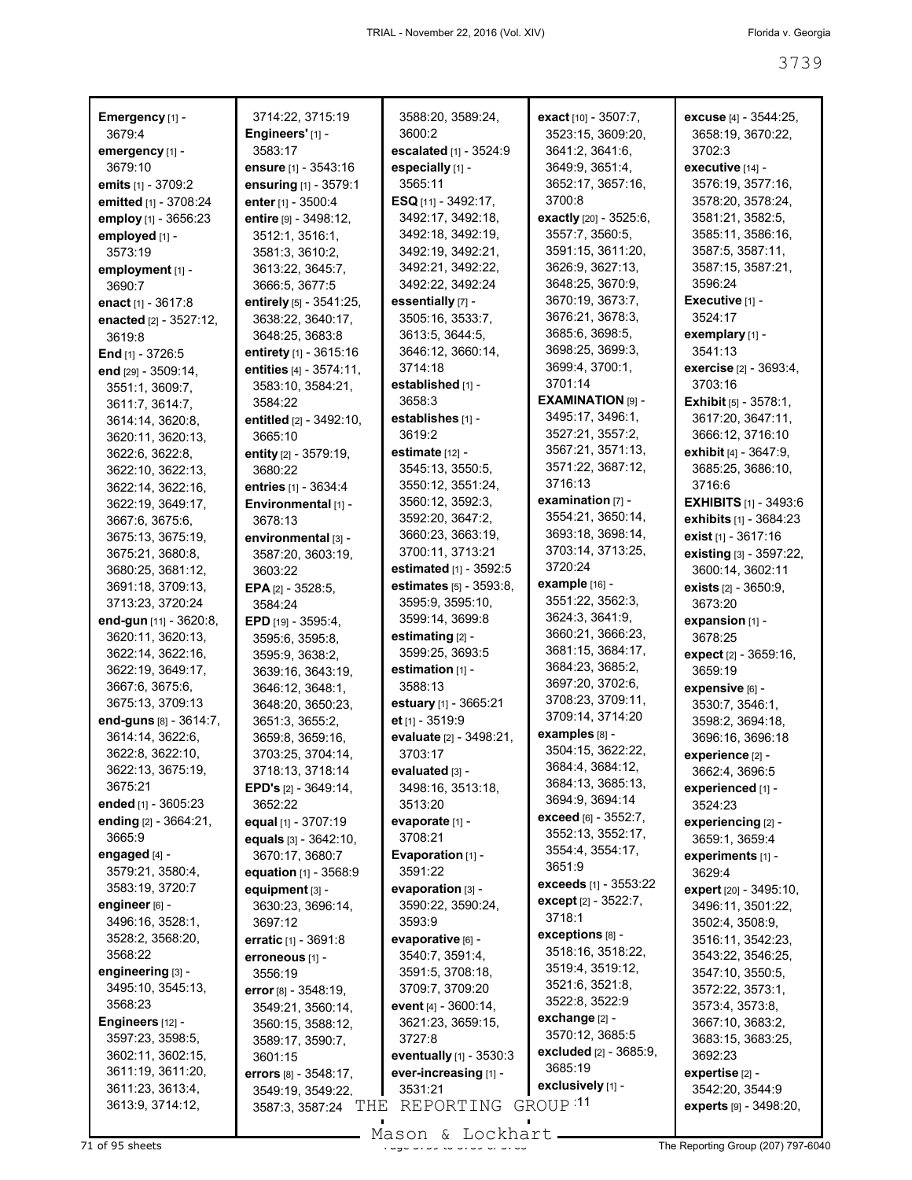| Emergency [1] -                       | 3714:22, 3715:19                   | 3588:20, 3589:24,                                        | exact [10] - 3507:7,                     | excuse [4] - 3544:25,               |
|---------------------------------------|------------------------------------|----------------------------------------------------------|------------------------------------------|-------------------------------------|
| 3679:4                                | Engineers' [1] -                   | 3600:2                                                   | 3523:15, 3609:20,                        | 3658:19, 3670:22,                   |
| emergency [1] -                       | 3583:17                            | escalated [1] - 3524:9                                   | 3641:2, 3641:6,                          | 3702:3                              |
| 3679:10                               | <b>ensure</b> $[1]$ - 3543:16      | especially [1] -                                         | 3649:9, 3651:4,                          | executive [14] -                    |
| emits [1] - 3709:2                    | ensuring [1] - 3579:1              | 3565:11                                                  | 3652:17, 3657:16,                        | 3576:19, 3577:16,                   |
| emitted [1] - 3708:24                 | enter [1] - 3500:4                 | ESQ [11] - 3492:17,                                      | 3700:8                                   | 3578:20, 3578:24,                   |
| employ [1] - 3656:23                  | entire [9] - 3498:12,              | 3492:17, 3492:18,                                        | exactly [20] - 3525:6,                   | 3581:21, 3582:5,                    |
| employed [1] -                        | 3512:1, 3516:1,                    | 3492:18, 3492:19,                                        | 3557:7, 3560:5,                          | 3585:11, 3586:16,                   |
| 3573:19                               | 3581:3, 3610:2,                    | 3492:19, 3492:21,                                        | 3591:15, 3611:20,                        | 3587:5, 3587:11,                    |
| employment [1] -                      | 3613:22, 3645:7,                   | 3492:21, 3492:22,                                        | 3626:9, 3627:13,                         | 3587:15, 3587:21,                   |
| 3690:7                                | 3666:5, 3677:5                     | 3492:22, 3492:24                                         | 3648:25, 3670:9,                         | 3596:24                             |
| enact [1] - 3617:8                    | entirely [5] - 3541:25,            | essentially [7] -                                        | 3670:19, 3673:7,                         | Executive [1] -                     |
| enacted [2] - 3527:12,                | 3638:22, 3640:17,                  | 3505:16, 3533:7,                                         | 3676:21, 3678:3,                         | 3524:17                             |
| 3619:8                                | 3648:25, 3683:8                    | 3613:5, 3644:5,                                          | 3685:6, 3698:5,                          | exemplary [1] -                     |
| <b>End</b> $[1]$ - 3726:5             | entirety [1] - 3615:16             | 3646:12, 3660:14,                                        | 3698:25, 3699:3,                         | 3541:13                             |
| end [29] - 3509:14,                   | entities [4] - 3574:11,            | 3714:18                                                  | 3699:4, 3700:1,                          | <b>exercise</b> [2] - 3693:4,       |
| 3551:1, 3609:7,                       | 3583:10, 3584:21,                  | established [1] -                                        | 3701:14                                  | 3703:16                             |
| 3611:7, 3614:7,                       | 3584:22                            | 3658:3                                                   | EXAMINATION [9] -                        | Exhibit [5] - 3578:1,               |
| 3614:14, 3620:8,                      | entitled [2] - 3492:10,            | establishes [1] -                                        | 3495:17, 3496:1,                         | 3617:20, 3647:11,                   |
| 3620:11, 3620:13,                     | 3665:10                            | 3619:2                                                   | 3527:21, 3557:2,                         | 3666:12, 3716:10                    |
| 3622:6, 3622:8,                       | entity $[2] - 3579:19$ ,           | estimate [12] -                                          | 3567:21, 3571:13,                        | <b>exhibit</b> $[4] - 3647:9$ ,     |
| 3622:10, 3622:13,                     | 3680:22                            | 3545:13, 3550:5,                                         | 3571:22, 3687:12,                        | 3685:25, 3686:10,                   |
| 3622:14, 3622:16,                     | entries [1] - 3634:4               | 3550:12, 3551:24,                                        | 3716:13                                  | 3716:6                              |
| 3622:19, 3649:17,                     | Environmental [1] -                | 3560:12, 3592:3,                                         | examination $[7]$ -<br>3554:21, 3650:14, | <b>EXHIBITS</b> $[1] - 3493.6$      |
| 3667:6, 3675:6,                       | 3678:13                            | 3592:20, 3647:2,                                         |                                          | exhibits [1] - 3684:23              |
| 3675:13, 3675:19,                     | environmental [3] -                | 3660:23, 3663:19,                                        | 3693:18, 3698:14,<br>3703:14, 3713:25,   | exist [1] - 3617:16                 |
| 3675:21, 3680:8,                      | 3587:20, 3603:19,                  | 3700:11, 3713:21                                         | 3720:24                                  | existing [3] - 3597:22,             |
| 3680:25, 3681:12,                     | 3603:22                            | estimated [1] - 3592:5<br><b>estimates</b> [5] - 3593:8, | example [16] -                           | 3600:14, 3602:11                    |
| 3691:18, 3709:13,<br>3713:23, 3720:24 | EPA [2] - 3528:5,                  | 3595:9, 3595:10,                                         | 3551:22, 3562:3,                         | exists [2] - 3650:9,<br>3673:20     |
| end-gun [11] - 3620:8,                | 3584:24                            | 3599:14, 3699:8                                          | 3624:3, 3641:9,                          | expansion [1] -                     |
| 3620:11, 3620:13,                     | EPD [19] - 3595:4,                 | estimating [2] -                                         | 3660:21, 3666:23,                        | 3678:25                             |
| 3622:14, 3622:16,                     | 3595:6, 3595:8,<br>3595:9, 3638:2, | 3599:25, 3693:5                                          | 3681:15, 3684:17,                        | expect [2] - 3659:16,               |
| 3622:19, 3649:17,                     | 3639:16, 3643:19,                  | estimation $[1]$ -                                       | 3684:23, 3685:2,                         | 3659:19                             |
| 3667:6, 3675:6,                       | 3646:12, 3648:1,                   | 3588:13                                                  | 3697:20, 3702:6,                         | expensive [6] -                     |
| 3675:13, 3709:13                      | 3648:20, 3650:23,                  | estuary [1] - 3665:21                                    | 3708:23, 3709:11,                        | 3530:7, 3546:1,                     |
| end-guns [8] - 3614:7,                | 3651:3, 3655:2,                    | et [1] - 3519:9                                          | 3709:14, 3714:20                         | 3598:2, 3694:18,                    |
| 3614:14, 3622:6,                      | 3659:8, 3659:16,                   | evaluate [2] - 3498:21,                                  | examples [8] -                           | 3696:16, 3696:18                    |
| 3622:8, 3622:10,                      | 3703:25, 3704:14,                  | 3703:17                                                  | 3504:15, 3622:22,                        | experience [2] -                    |
| 3622:13, 3675:19,                     | 3718:13, 3718:14                   | evaluated [3] -                                          | 3684:4, 3684:12,                         | 3662:4, 3696:5                      |
| 3675:21                               | <b>EPD's</b> $[2] - 3649:14$ ,     | 3498:16, 3513:18,                                        | 3684:13, 3685:13,                        | experienced [1] -                   |
| ended [1] - 3605:23                   | 3652:22                            | 3513:20                                                  | 3694:9, 3694:14                          | 3524:23                             |
| ending [2] - 3664:21,                 | equal $[1] - 3707:19$              | evaporate [1] -                                          | exceed [6] - 3552:7,                     | experiencing [2] -                  |
| 3665:9                                | equals [3] - 3642:10,              | 3708:21                                                  | 3552:13, 3552:17,                        | 3659:1, 3659:4                      |
| engaged [4] -                         | 3670:17, 3680:7                    | Evaporation [1] -                                        | 3554:4, 3554:17,                         | experiments [1] -                   |
| 3579:21, 3580:4,                      | equation [1] - 3568:9              | 3591:22                                                  | 3651:9                                   | 3629:4                              |
| 3583:19, 3720:7                       | equipment [3] -                    | evaporation [3] -                                        | <b>exceeds</b> [1] - 3553:22             | expert [20] - 3495:10,              |
| engineer [6] -                        | 3630:23, 3696:14,                  | 3590:22, 3590:24,                                        | except [2] - 3522:7,                     | 3496:11, 3501:22,                   |
| 3496:16, 3528:1,                      | 3697:12                            | 3593:9                                                   | 3718:1<br>exceptions [8] -               | 3502:4, 3508:9,                     |
| 3528:2, 3568:20,                      | erratic [1] - 3691:8               | evaporative [6] -                                        | 3518:16, 3518:22,                        | 3516:11, 3542:23,                   |
| 3568:22                               | erroneous [1] -                    | 3540:7, 3591:4,                                          | 3519:4, 3519:12,                         | 3543:22, 3546:25,                   |
| engineering [3] -                     | 3556:19                            | 3591:5, 3708:18,                                         | 3521:6, 3521:8,                          | 3547:10, 3550:5,                    |
| 3495:10, 3545:13,<br>3568:23          | error $[8] - 3548.19$ ,            | 3709:7, 3709:20                                          | 3522:8, 3522:9                           | 3572:22, 3573:1,                    |
| Engineers [12] -                      | 3549:21, 3560:14,                  | event $[4] - 3600:14$ ,<br>3621:23, 3659:15,             | exchange [2] -                           | 3573:4, 3573:8,<br>3667:10, 3683:2, |
| 3597:23, 3598:5,                      | 3560:15, 3588:12,                  | 3727:8                                                   | 3570:12, 3685:5                          | 3683:15, 3683:25,                   |
| 3602:11, 3602:15,                     | 3589:17, 3590:7,<br>3601:15        | eventually [1] - 3530:3                                  | excluded [2] - 3685:9,                   | 3692:23                             |
| 3611:19, 3611:20,                     | errors [8] - 3548:17,              | ever-increasing [1] -                                    | 3685:19                                  | expertise [2] -                     |
| 3611:23, 3613:4,                      | 3549:19, 3549:22,                  | 3531:21                                                  | exclusively [1] -                        | 3542:20, 3544:9                     |
| 3613:9, 3714:12,                      | THE<br>3587:3, 3587:24             | REPORTING                                                | GROUP 11                                 | experts [9] - 3498:20,              |
|                                       |                                    |                                                          |                                          |                                     |

Mason & Lockhart **Page 3739 of 3739 to 3739 and 3739 to 3739 complement** and 374 of 95 sheets **Page 3739 complement** and 374-6040 of 376390 and 374-6040 complement and 374-6040 complement and 374-6040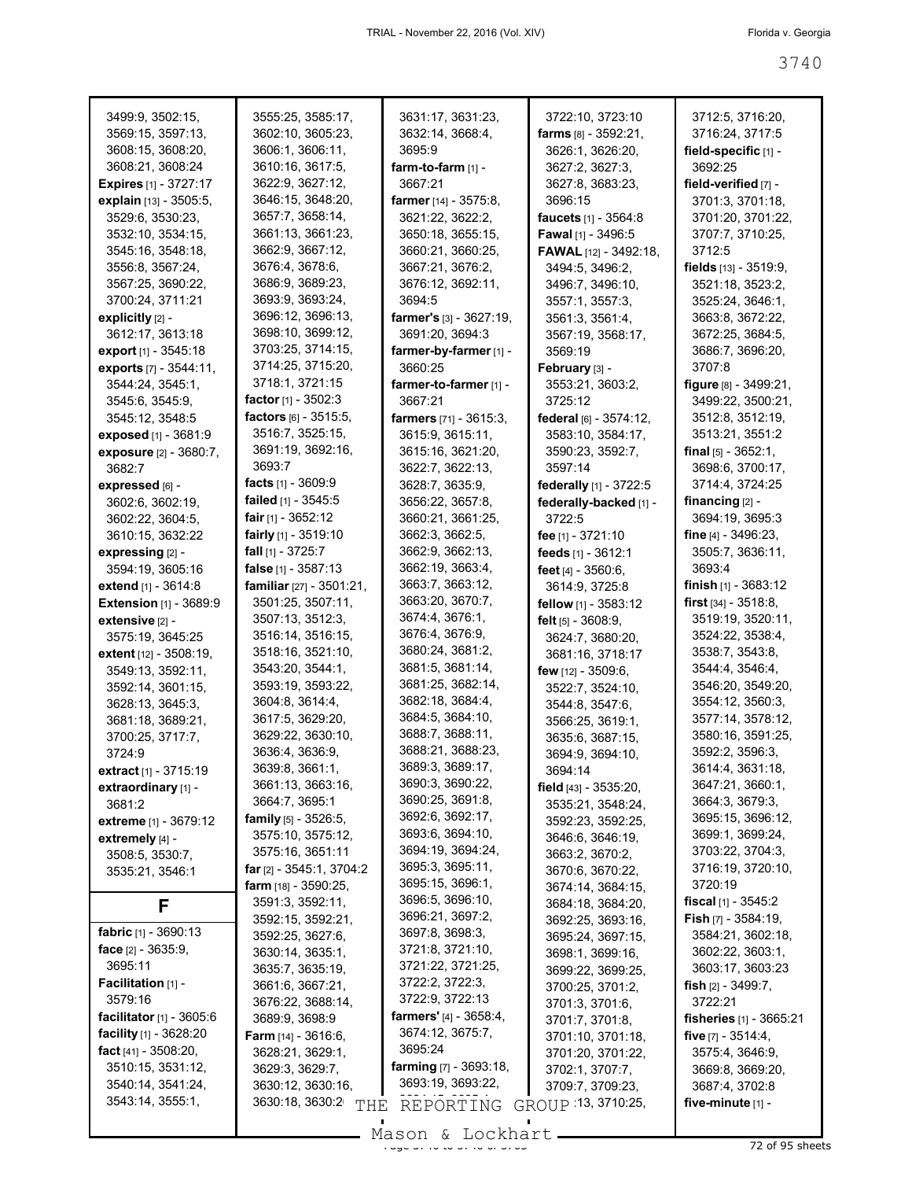| 3499:9, 3502:15,                  | 3555:25, 3585:17,                  | 3631:17, 3631:23,              | 3722:10, 3723:10              | 3712:5, 3716:20,              |
|-----------------------------------|------------------------------------|--------------------------------|-------------------------------|-------------------------------|
| 3569:15, 3597:13,                 | 3602:10, 3605:23,                  | 3632:14, 3668:4,               | farms $[8] - 3592:21$ ,       | 3716:24, 3717:5               |
| 3608:15, 3608:20,                 | 3606:1, 3606:11,                   | 3695:9                         | 3626:1, 3626:20,              | field-specific [1] -          |
| 3608:21, 3608:24                  | 3610:16, 3617:5,                   | $form-to-farm$ [1] -           | 3627:2, 3627:3,               | 3692:25                       |
| <b>Expires</b> [1] - 3727:17      | 3622:9, 3627:12,                   | 3667:21                        | 3627:8, 3683:23,              | field-verified [7] -          |
| explain [13] - 3505:5,            | 3646:15, 3648:20,                  | <b>farmer</b> [14] - 3575:8,   | 3696:15                       | 3701:3, 3701:18,              |
|                                   |                                    |                                |                               |                               |
| 3529:6, 3530:23,                  | 3657:7, 3658:14,                   | 3621:22, 3622:2,               | <b>faucets</b> $[1] - 3564:8$ | 3701:20, 3701:22,             |
| 3532:10, 3534:15,                 | 3661:13, 3661:23,                  | 3650:18, 3655:15,              | <b>Fawal</b> [1] - 3496:5     | 3707:7, 3710:25,              |
| 3545:16, 3548:18,                 | 3662:9, 3667:12,                   | 3660:21, 3660:25,              | <b>FAWAL</b> [12] - 3492:18,  | 3712:5                        |
| 3556:8, 3567:24,                  | 3676:4, 3678:6,                    | 3667:21, 3676:2,               | 3494:5, 3496:2,               | fields $[13]$ - 3519:9,       |
| 3567:25, 3690:22,                 | 3686:9, 3689:23,                   | 3676:12, 3692:11,              | 3496:7, 3496:10,              | 3521:18, 3523:2,              |
| 3700:24, 3711:21                  | 3693:9, 3693:24,                   | 3694:5                         | 3557:1, 3557:3,               | 3525:24, 3646:1,              |
| explicitly $[2]$ -                | 3696:12, 3696:13,                  | <b>farmer's</b> [3] - 3627:19, | 3561:3, 3561:4,               | 3663:8, 3672:22,              |
| 3612:17, 3613:18                  | 3698:10, 3699:12,                  | 3691:20, 3694:3                | 3567:19, 3568:17,             | 3672:25, 3684:5,              |
| export [1] - 3545:18              | 3703:25, 3714:15,                  | farmer-by-farmer [1] -         | 3569:19                       | 3686:7, 3696:20,              |
|                                   | 3714:25, 3715:20,                  | 3660:25                        |                               | 3707:8                        |
| exports [7] - 3544:11,            |                                    |                                | February [3] -                |                               |
| 3544:24, 3545:1,                  | 3718:1, 3721:15                    | farmer-to-farmer [1] -         | 3553:21, 3603:2,              | figure $[8]$ - 3499:21,       |
| 3545:6, 3545:9,                   | <b>factor</b> [1] - $3502:3$       | 3667:21                        | 3725:12                       | 3499:22, 3500:21,             |
| 3545:12, 3548:5                   | factors $[6] - 3515:5$ ,           | farmers [71] - 3615:3,         | federal $[6] - 3574:12$ ,     | 3512:8, 3512:19,              |
| exposed [1] - 3681:9              | 3516:7, 3525:15,                   | 3615:9, 3615:11,               | 3583:10, 3584:17,             | 3513:21, 3551:2               |
| <b>exposure</b> [2] - 3680:7,     | 3691:19, 3692:16,                  | 3615:16, 3621:20,              | 3590:23, 3592:7,              | <b>final</b> $[5] - 3652:1$ , |
| 3682:7                            | 3693:7                             | 3622:7, 3622:13,               | 3597:14                       | 3698:6, 3700:17,              |
| expressed [6] -                   | facts $[1]$ - 3609:9               | 3628:7, 3635:9,                | federally [1] - 3722:5        | 3714:4, 3724:25               |
| 3602:6, 3602:19,                  | failed [1] - 3545:5                | 3656:22, 3657:8,               | federally-backed [1] -        | financing $[2]$ -             |
| 3602:22, 3604:5,                  | <b>fair</b> [1] - 3652:12          | 3660:21, 3661:25,              | 3722:5                        | 3694:19, 3695:3               |
|                                   | fairly [1] - 3519:10               | 3662:3, 3662:5,                | fee [1] - 3721:10             | <b>fine</b> [4] - 3496:23,    |
| 3610:15, 3632:22                  |                                    |                                |                               |                               |
| expressing [2] -                  | <b>fall</b> $[1]$ - 3725:7         | 3662:9, 3662:13,               | feeds [1] - 3612:1            | 3505:7, 3636:11,              |
| 3594:19, 3605:16                  | false $[1] - 3587:13$              | 3662:19, 3663:4,               | feet $[4] - 3560.6$ ,         | 3693:4                        |
| <b>extend</b> $[1] - 3614.8$      | <b>familiar</b> $[27] - 3501:21$ , | 3663:7, 3663:12,               | 3614:9, 3725:8                | <b>finish</b> $[1]$ - 3683:12 |
| <b>Extension [1] - 3689:9</b>     | 3501:25, 3507:11,                  | 3663:20, 3670:7,               | fellow [1] - 3583:12          | <b>first</b> $[34] - 3518.8$  |
| extensive [2] -                   | 3507:13, 3512:3,                   | 3674:4, 3676:1,                | felt $[5]$ - 3608:9,          | 3519:19, 3520:11,             |
| 3575:19, 3645:25                  | 3516:14, 3516:15,                  | 3676:4, 3676:9,                | 3624:7, 3680:20,              | 3524:22, 3538:4,              |
| extent [12] - 3508:19,            | 3518:16, 3521:10,                  | 3680:24, 3681:2,               | 3681:16, 3718:17              | 3538:7, 3543:8,               |
| 3549:13, 3592:11,                 | 3543:20, 3544:1,                   | 3681:5, 3681:14,               | few $[12] - 3509:6$ ,         | 3544:4, 3546:4,               |
| 3592:14, 3601:15,                 | 3593:19, 3593:22,                  | 3681:25, 3682:14,              | 3522:7, 3524:10,              | 3546:20, 3549:20,             |
|                                   | 3604:8, 3614:4,                    | 3682:18, 3684:4,               |                               | 3554:12, 3560:3,              |
| 3628:13, 3645:3,                  | 3617:5, 3629:20,                   | 3684:5, 3684:10,               | 3544:8, 3547:6,               | 3577:14, 3578:12,             |
| 3681:18, 3689:21,                 |                                    | 3688:7, 3688:11,               | 3566:25, 3619:1,              |                               |
| 3700:25, 3717:7,                  | 3629:22, 3630:10,                  |                                | 3635:6, 3687:15,              | 3580:16, 3591:25,             |
| 3724:9                            | 3636:4, 3636:9,                    | 3688:21, 3688:23,              | 3694:9, 3694:10,              | 3592:2, 3596:3,               |
| extract [1] - 3715:19             | 3639:8, 3661:1,                    | 3689:3, 3689:17,               | 3694:14                       | 3614:4, 3631:18,              |
| extraordinary [1] -               | 3661:13, 3663:16,                  | 3690:3, 3690:22,               | field [43] - 3535:20,         | 3647:21, 3660:1,              |
| 3681:2                            | 3664:7, 3695:1                     | 3690:25, 3691:8,               | 3535:21, 3548:24,             | 3664:3, 3679:3,               |
| <b>extreme</b> [1] - 3679:12      | family [5] - 3526:5,               | 3692:6, 3692:17,               | 3592:23, 3592:25,             | 3695:15, 3696:12,             |
| extremely [4] -                   | 3575:10, 3575:12,                  | 3693:6, 3694:10,               | 3646:6, 3646:19,              | 3699:1, 3699:24,              |
| 3508:5, 3530:7,                   | 3575:16, 3651:11                   | 3694:19, 3694:24,              | 3663:2, 3670:2,               | 3703:22, 3704:3,              |
| 3535:21, 3546:1                   | far $[2] - 3545:1, 3704:2$         | 3695:3, 3695:11,               | 3670:6, 3670:22,              | 3716:19, 3720:10,             |
|                                   | farm [18] - 3590:25.               | 3695:15, 3696:1,               | 3674:14, 3684:15,             | 3720:19                       |
|                                   | 3591:3, 3592:11,                   | 3696:5, 3696:10,               | 3684:18, 3684:20,             | <b>fiscal</b> $[1]$ - 3545:2  |
| F                                 | 3592:15, 3592:21,                  | 3696:21, 3697:2,               |                               | Fish [7] - 3584:19,           |
| <b>fabric</b> $[1] - 3690:13$     | 3592:25, 3627:6,                   | 3697:8, 3698:3,                | 3692:25, 3693:16,             | 3584:21, 3602:18,             |
| face $[2] - 3635.9$ ,             |                                    | 3721:8, 3721:10,               | 3695:24, 3697:15,             |                               |
| 3695:11                           | 3630:14, 3635:1,                   | 3721:22, 3721:25,              | 3698:1, 3699:16,              | 3602:22, 3603:1,              |
|                                   | 3635:7, 3635:19,                   |                                | 3699:22, 3699:25,             | 3603:17, 3603:23              |
| Facilitation [1] -                | 3661:6, 3667:21,                   | 3722:2, 3722:3,                | 3700:25, 3701:2,              | fish $[2] - 3499:7$ ,         |
| 3579:16                           | 3676:22, 3688:14,                  | 3722:9, 3722:13                | 3701:3, 3701:6,               | 3722:21                       |
| <b>facilitator</b> $[1] - 3605:6$ | 3689:9, 3698:9                     | farmers' [4] - 3658:4,         | 3701:7, 3701:8,               | fisheries [1] - 3665:21       |
| facility $[1]$ - 3628:20          | <b>Farm</b> $[14] - 3616:6$ ,      | 3674:12, 3675:7,               | 3701:10, 3701:18,             | five $[7] - 3514:4$ ,         |
| fact $[41] - 3508:20$ ,           | 3628:21, 3629:1,                   | 3695:24                        | 3701:20, 3701:22,             | 3575:4, 3646:9,               |
| 3510:15, 3531:12,                 | 3629:3, 3629:7,                    | farming [7] - 3693:18,         | 3702:1, 3707:7,               | 3669:8, 3669:20,              |
| 3540:14, 3541:24,                 | 3630:12, 3630:16,                  | 3693:19, 3693:22,              | 3709:7, 3709:23,              | 3687:4, 3702:8                |
| 3543:14, 3555:1,                  | 3630:18, 3630:2                    |                                | GROUP 13, 3710:25,            | five-minute [1] -             |
|                                   | THE                                | REPORTING                      |                               |                               |

 $\frac{200011}{x}$  and  $\frac{200111}{x}$  of  $\frac{200011}{x}$  of 95 sheets Mason & Lockhart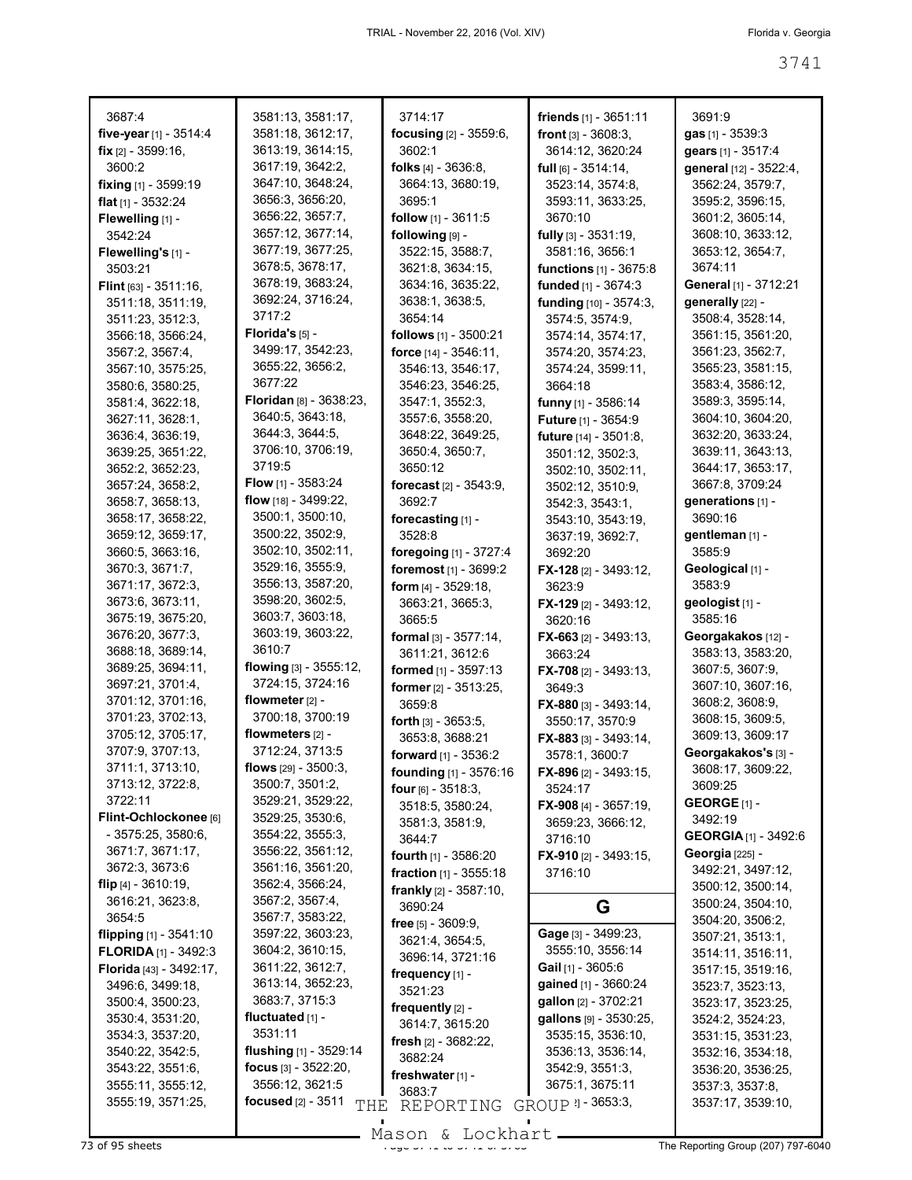| 3687:4                                               | 3581:13, 3581:17,<br>3581:18, 3612:17, | 3714:17                          | <b>friends</b> $[1] - 3651:11$                    | 3691:9                                   |
|------------------------------------------------------|----------------------------------------|----------------------------------|---------------------------------------------------|------------------------------------------|
| five-year [1] - 3514:4<br>fix $[2] - 3599:16$ ,      | 3613:19, 3614:15,                      | focusing [2] - 3559:6,<br>3602:1 | <b>front</b> $[3] - 3608:3$ ,<br>3614:12, 3620:24 | gas $[1] - 3539:3$<br>gears [1] - 3517:4 |
| 3600:2                                               | 3617:19, 3642:2,                       | folks $[4] - 3636:8$ ,           | $full$ [6] - 3514:14,                             | general [12] - 3522:4,                   |
| fixing [1] - 3599:19                                 | 3647:10, 3648:24,                      | 3664:13, 3680:19,                | 3523:14, 3574:8,                                  | 3562:24, 3579:7,                         |
| flat $[1]$ - 3532:24                                 | 3656:3, 3656:20,                       | 3695:1                           | 3593:11, 3633:25,                                 | 3595:2, 3596:15,                         |
| Flewelling [1] -                                     | 3656:22, 3657:7,                       | <b>follow</b> $[1]$ - 3611:5     | 3670:10                                           | 3601:2, 3605:14,                         |
| 3542:24                                              | 3657:12, 3677:14,                      | following [9] -                  | fully $[3]$ - 3531:19,                            | 3608:10, 3633:12,                        |
|                                                      | 3677:19, 3677:25,                      | 3522:15, 3588:7,                 | 3581:16, 3656:1                                   | 3653:12, 3654:7,                         |
| Flewelling's [1] -<br>3503:21                        | 3678:5, 3678:17,                       | 3621:8, 3634:15,                 | functions [1] - 3675:8                            | 3674:11                                  |
|                                                      | 3678:19, 3683:24,                      | 3634:16, 3635:22,                | funded [1] - 3674:3                               | General [1] - 3712:21                    |
| <b>Flint</b> [63] - $3511:16$ ,<br>3511:18, 3511:19, | 3692:24, 3716:24,                      | 3638:1, 3638:5,                  | funding [10] - 3574:3,                            | generally [22] -                         |
| 3511:23, 3512:3,                                     | 3717:2                                 | 3654:14                          | 3574:5, 3574:9,                                   | 3508:4, 3528:14,                         |
| 3566:18, 3566:24,                                    | Florida's [5] -                        | follows [1] - 3500:21            | 3574:14, 3574:17,                                 | 3561:15, 3561:20,                        |
| 3567:2, 3567:4,                                      | 3499:17, 3542:23,                      | force [14] - 3546:11,            | 3574:20, 3574:23,                                 | 3561:23, 3562:7,                         |
| 3567:10, 3575:25,                                    | 3655:22, 3656:2,                       | 3546:13, 3546:17,                | 3574:24, 3599:11,                                 | 3565:23, 3581:15,                        |
| 3580:6, 3580:25,                                     | 3677:22                                | 3546:23, 3546:25,                | 3664:18                                           | 3583:4, 3586:12,                         |
| 3581:4, 3622:18,                                     | Floridan [8] - 3638:23.                | 3547:1, 3552:3,                  | funny [1] - 3586:14                               | 3589:3, 3595:14,                         |
| 3627:11, 3628:1,                                     | 3640:5, 3643:18,                       | 3557:6, 3558:20,                 | Future [1] - 3654:9                               | 3604:10, 3604:20,                        |
| 3636:4, 3636:19,                                     | 3644:3, 3644:5,                        | 3648:22, 3649:25,                | future [14] - 3501:8,                             | 3632:20, 3633:24,                        |
| 3639:25, 3651:22,                                    | 3706:10, 3706:19,                      | 3650:4, 3650:7,                  | 3501:12, 3502:3,                                  | 3639:11, 3643:13,                        |
| 3652:2, 3652:23,                                     | 3719:5                                 | 3650:12                          | 3502:10, 3502:11,                                 | 3644:17, 3653:17,                        |
| 3657:24, 3658:2,                                     | Flow [1] - 3583:24                     | forecast [2] - 3543:9,           | 3502:12, 3510:9,                                  | 3667:8, 3709:24                          |
| 3658:7, 3658:13,                                     | flow [18] - 3499:22,                   | 3692:7                           | 3542:3, 3543:1,                                   | generations [1] -                        |
| 3658:17, 3658:22,                                    | 3500:1, 3500:10,                       | forecasting [1] -                | 3543:10, 3543:19,                                 | 3690:16                                  |
| 3659:12, 3659:17,                                    | 3500:22, 3502:9,                       | 3528:8                           | 3637:19, 3692:7,                                  | gentleman [1] -                          |
| 3660:5, 3663:16,                                     | 3502:10, 3502:11,                      | foregoing [1] - 3727:4           | 3692:20                                           | 3585:9                                   |
| 3670:3, 3671:7,                                      | 3529:16, 3555:9,                       | foremost [1] - 3699:2            | <b>FX-128</b> [2] - 3493:12,                      | Geological [1] -                         |
| 3671:17, 3672:3,                                     | 3556:13, 3587:20,                      | <b>form</b> $[4] - 3529:18$ ,    | 3623:9                                            | 3583:9                                   |
| 3673:6, 3673:11,                                     | 3598:20, 3602:5,                       | 3663:21, 3665:3,                 | <b>FX-129</b> [2] - 3493:12,                      | geologist [1] -                          |
| 3675:19, 3675:20,                                    | 3603:7, 3603:18,                       | 3665:5                           | 3620:16                                           | 3585:16                                  |
| 3676:20, 3677:3,                                     | 3603:19, 3603:22,                      | formal [3] - 3577:14,            | <b>FX-663</b> [2] - 3493:13,                      | Georgakakos [12] -                       |
| 3688:18, 3689:14,                                    | 3610:7                                 | 3611:21, 3612:6                  | 3663:24                                           | 3583:13, 3583:20,                        |
| 3689:25, 3694:11,                                    | flowing $[3]$ - 3555:12,               | formed [1] - 3597:13             | <b>FX-708</b> [2] - 3493:13,                      | 3607:5, 3607:9,                          |
| 3697:21, 3701:4,                                     | 3724:15, 3724:16                       | former [2] - 3513:25,            | 3649:3                                            | 3607:10, 3607:16,                        |
| 3701:12, 3701:16,                                    | flowmeter [2] -                        | 3659:8                           | FX-880 [3] - 3493:14.                             | 3608:2, 3608:9,                          |
| 3701:23, 3702:13,                                    | 3700:18, 3700:19                       | forth $[3] - 3653:5$ ,           | 3550:17, 3570:9                                   | 3608:15, 3609:5,                         |
| 3705:12, 3705:17,                                    | flowmeters $[2]$ -                     | 3653:8, 3688:21                  | FX-883 [3] - 3493:14,                             | 3609:13, 3609:17                         |
| 3707:9, 3707:13,                                     | 3712:24, 3713:5                        | forward $[1]$ - 3536:2           | 3578:1, 3600:7                                    | Georgakakos's [3] -                      |
| 3711:1, 3713:10,                                     | flows [29] - 3500:3,                   | founding [1] - 3576:16           | <b>FX-896</b> [2] - 3493:15,                      | 3608:17, 3609:22,                        |
| 3713:12, 3722:8,                                     | 3500:7, 3501:2,                        | four [6] - 3518:3.               | 3524:17                                           | 3609:25                                  |
| 3722:11                                              | 3529:21, 3529:22,<br>3529:25, 3530:6,  | 3518:5, 3580:24,                 | <b>FX-908</b> [4] - 3657:19,                      | GEORGE $[1]$ -                           |
| Flint-Ochlockonee [6]<br>$-3575:25,3580:6,$          | 3554:22, 3555:3,                       | 3581:3, 3581:9,                  | 3659:23, 3666:12,                                 | 3492:19                                  |
| 3671:7, 3671:17,                                     | 3556:22, 3561:12,                      | 3644:7                           | 3716:10                                           | <b>GEORGIA</b> [1] - 3492:6              |
| 3672:3, 3673:6                                       | 3561:16, 3561:20,                      | fourth $[1]$ - 3586:20           | FX-910 $[2] - 3493:15$ ,                          | Georgia [225] -                          |
| flip $[4] - 3610:19$ ,                               | 3562:4, 3566:24,                       | fraction [1] - 3555:18           | 3716:10                                           | 3492:21, 3497:12,                        |
| 3616:21, 3623:8,                                     | 3567:2, 3567:4,                        | <b>frankly</b> $[2] - 3587:10$ , |                                                   | 3500:12, 3500:14,                        |
| 3654:5                                               | 3567:7, 3583:22,                       | 3690:24                          | G                                                 | 3500:24, 3504:10,<br>3504:20, 3506:2,    |
| flipping [1] - 3541:10                               | 3597:22, 3603:23,                      | free $[5] - 3609.9$ ,            | Gage [3] - 3499:23,                               | 3507:21, 3513:1,                         |
| <b>FLORIDA</b> $[1]$ - 3492:3                        | 3604:2, 3610:15,                       | 3621:4, 3654:5,                  | 3555:10, 3556:14                                  | 3514:11, 3516:11,                        |
| Florida [43] - 3492:17,                              | 3611:22, 3612:7,                       | 3696:14, 3721:16                 | Gail $[1]$ - 3605:6                               | 3517:15, 3519:16,                        |
| 3496:6, 3499:18,                                     | 3613:14, 3652:23,                      | frequency $[1]$ -<br>3521:23     | gained [1] - 3660:24                              | 3523:7, 3523:13,                         |
| 3500:4, 3500:23,                                     | 3683:7, 3715:3                         | frequently [2] -                 | gallon [2] - 3702:21                              | 3523:17, 3523:25,                        |
| 3530:4, 3531:20,                                     | fluctuated $[1]$ -                     | 3614:7, 3615:20                  | gallons [9] - 3530:25,                            | 3524:2, 3524:23,                         |
| 3534:3, 3537:20,                                     | 3531:11                                | fresh $[2] - 3682:22$            | 3535:15, 3536:10,                                 | 3531:15, 3531:23,                        |
| 3540:22, 3542:5,                                     | flushing $[1]$ - 3529:14               | 3682:24                          | 3536:13, 3536:14,                                 | 3532:16, 3534:18,                        |
| 3543:22, 3551:6,                                     | focus $[3] - 3522:20$ ,                | freshwater <sub>[1]</sub> -      | 3542:9, 3551:3,                                   | 3536:20, 3536:25,                        |
| 3555:11, 3555:12,                                    | 3556:12, 3621:5                        | 3683:7                           | 3675:1, 3675:11                                   | 3537:3, 3537:8,                          |
| 3555:19, 3571:25,                                    | focused [2] - 3511<br>THE              | REPORTING                        | GROUP 21 - 3653:3,                                | 3537:17, 3539:10,                        |
|                                                      |                                        |                                  |                                                   |                                          |

Mason & Lockhart **Page 3741 to 3741 to 3741 to 3741 to 3741 to 3741 to 3763 The Reporting Group (207) 797-6040**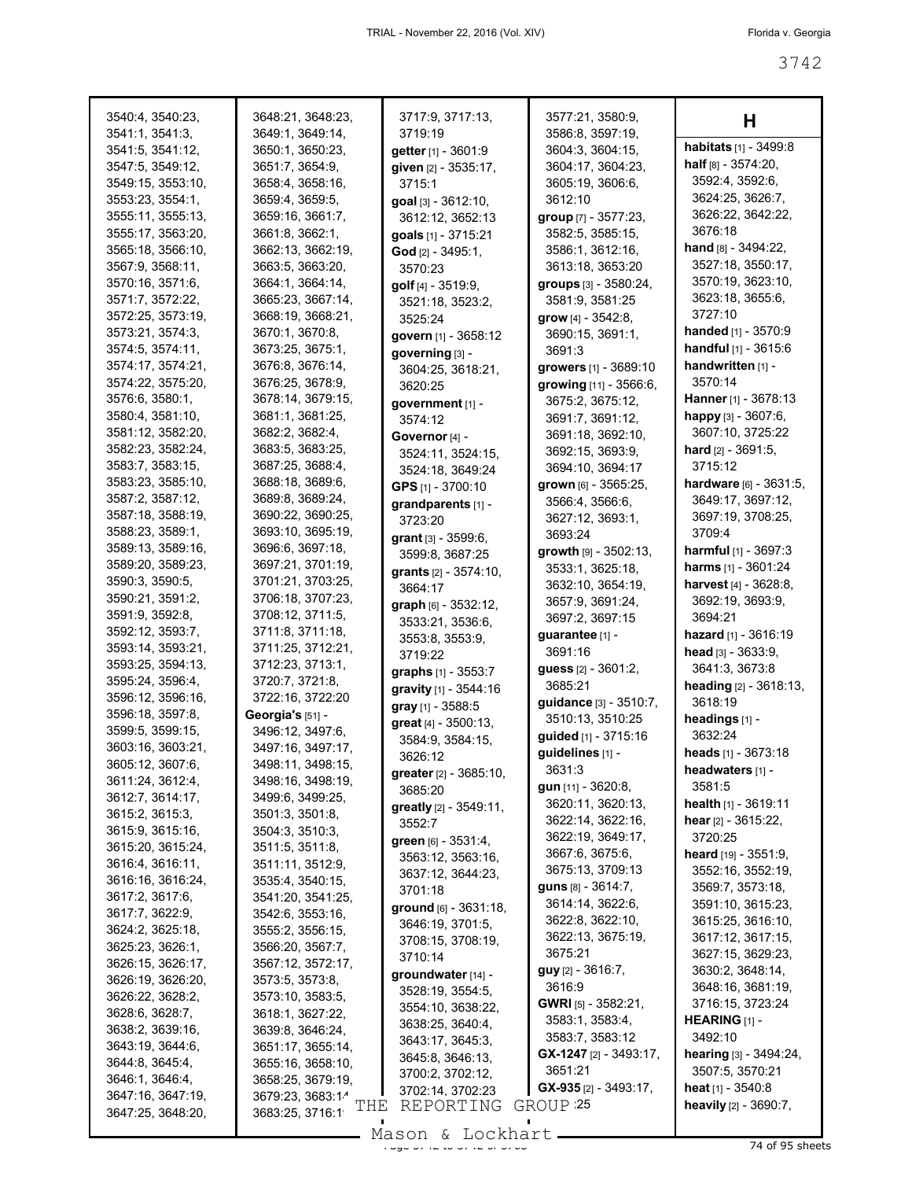| 3540:4, 3540:23,                      | 3648:21, 3648:23,                    | 3717:9, 3717:13,                       | 3577:21, 3580:9,                           | н                                        |
|---------------------------------------|--------------------------------------|----------------------------------------|--------------------------------------------|------------------------------------------|
| 3541:1, 3541:3,                       | 3649:1, 3649:14,                     | 3719:19                                | 3586:8, 3597:19,                           |                                          |
| 3541:5, 3541:12,                      | 3650:1, 3650:23,                     | getter [1] - 3601:9                    | 3604:3, 3604:15,                           | habitats [1] - 3499:8                    |
| 3547:5, 3549:12,                      | 3651:7, 3654:9,                      | given [2] - 3535:17,                   | 3604:17, 3604:23,                          | <b>half</b> $[8] - 3574:20$ ,            |
| 3549:15, 3553:10,                     | 3658:4, 3658:16,                     | 3715:1                                 | 3605:19, 3606:6,                           | 3592:4, 3592:6,                          |
| 3553:23, 3554:1,                      | 3659:4, 3659:5,                      | goal [3] - 3612:10,                    | 3612:10                                    | 3624:25, 3626:7,                         |
| 3555:11, 3555:13,                     | 3659:16, 3661:7,                     | 3612:12, 3652:13                       | group [7] - 3577:23,                       | 3626:22, 3642:22,                        |
| 3555:17, 3563:20,                     | 3661:8, 3662:1,                      | goals [1] - 3715:21                    | 3582:5, 3585:15,                           | 3676:18                                  |
| 3565:18, 3566:10,                     | 3662:13, 3662:19,                    | God [2] - 3495:1,                      | 3586:1, 3612:16,                           | hand [8] - 3494:22,<br>3527:18, 3550:17, |
| 3567:9, 3568:11,                      | 3663:5, 3663:20,                     | 3570:23                                | 3613:18, 3653:20                           | 3570:19, 3623:10,                        |
| 3570:16, 3571:6,                      | 3664:1, 3664:14,                     | golf [4] - 3519:9,                     | groups [3] - 3580:24,                      | 3623:18, 3655:6,                         |
| 3571:7, 3572:22,                      | 3665:23, 3667:14,                    | 3521:18, 3523:2,                       | 3581:9, 3581:25                            | 3727:10                                  |
| 3572:25, 3573:19,                     | 3668:19, 3668:21,                    | 3525:24                                | grow $[4] - 3542:8$ ,                      | handed [1] - 3570:9                      |
| 3573:21, 3574:3,                      | 3670:1, 3670:8,                      | govern [1] - 3658:12                   | 3690:15, 3691:1,                           | handful [1] - 3615:6                     |
| 3574:5, 3574:11,<br>3574:17, 3574:21, | 3673:25, 3675:1,<br>3676:8, 3676:14, | governing [3] -                        | 3691:3                                     | handwritten [1] -                        |
| 3574:22, 3575:20,                     | 3676:25, 3678:9,                     | 3604:25, 3618:21,                      | growers [1] - 3689:10                      | 3570:14                                  |
| 3576:6, 3580:1,                       | 3678:14, 3679:15,                    | 3620:25                                | growing [11] - 3566:6,<br>3675:2, 3675:12, | Hanner [1] - 3678:13                     |
| 3580:4, 3581:10,                      | 3681:1, 3681:25,                     | government [1] -<br>3574:12            | 3691:7, 3691:12,                           | happy [3] - 3607:6,                      |
| 3581:12, 3582:20,                     | 3682:2, 3682:4,                      | Governor [4] -                         | 3691:18, 3692:10,                          | 3607:10, 3725:22                         |
| 3582:23, 3582:24,                     | 3683:5, 3683:25,                     |                                        | 3692:15, 3693:9,                           | <b>hard</b> $[2] - 3691:5$ ,             |
| 3583:7, 3583:15,                      | 3687:25, 3688:4,                     | 3524:11, 3524:15,                      | 3694:10, 3694:17                           | 3715:12                                  |
| 3583:23, 3585:10,                     | 3688:18, 3689:6,                     | 3524:18, 3649:24<br>GPS [1] - 3700:10  | grown [6] - 3565:25,                       | hardware [6] - 3631:5,                   |
| 3587:2, 3587:12,                      | 3689:8, 3689:24,                     | grandparents [1] -                     | 3566:4, 3566:6,                            | 3649:17, 3697:12,                        |
| 3587:18, 3588:19,                     | 3690:22, 3690:25,                    | 3723:20                                | 3627:12, 3693:1,                           | 3697:19, 3708:25,                        |
| 3588:23, 3589:1,                      | 3693:10, 3695:19,                    | grant [3] - 3599:6,                    | 3693:24                                    | 3709:4                                   |
| 3589:13, 3589:16,                     | 3696:6, 3697:18,                     | 3599:8, 3687:25                        | growth [9] - 3502:13,                      | <b>harmful</b> $[1]$ - 3697:3            |
| 3589:20, 3589:23,                     | 3697:21, 3701:19,                    | grants [2] - 3574:10,                  | 3533:1, 3625:18,                           | <b>harms</b> [1] - 3601:24               |
| 3590:3, 3590:5,                       | 3701:21, 3703:25,                    | 3664:17                                | 3632:10, 3654:19,                          | harvest [4] - 3628:8,                    |
| 3590:21, 3591:2,                      | 3706:18, 3707:23,                    | graph [6] - 3532:12,                   | 3657:9, 3691:24,                           | 3692:19, 3693:9,                         |
| 3591:9, 3592:8,                       | 3708:12, 3711:5,                     | 3533:21, 3536:6,                       | 3697:2, 3697:15                            | 3694:21                                  |
| 3592:12, 3593:7,                      | 3711:8, 3711:18,                     | 3553:8, 3553:9,                        | guarantee [1] -                            | hazard [1] - 3616:19                     |
| 3593:14, 3593:21,                     | 3711:25, 3712:21,                    | 3719:22                                | 3691:16                                    | head $[3] - 3633.9$ ,                    |
| 3593:25, 3594:13,<br>3595:24, 3596:4, | 3712:23, 3713:1,<br>3720:7, 3721:8,  | graphs [1] - 3553:7                    | guess [2] - 3601:2,                        | 3641:3, 3673:8                           |
| 3596:12, 3596:16,                     | 3722:16, 3722:20                     | gravity [1] - 3544:16                  | 3685:21                                    | heading [2] - 3618:13,                   |
| 3596:18, 3597:8,                      | Georgia's [51] -                     | gray [1] - 3588:5                      | guidance [3] - 3510:7,                     | 3618:19                                  |
| 3599:5, 3599:15,                      | 3496:12, 3497:6,                     | great [4] - 3500:13,                   | 3510:13, 3510:25                           | headings [1] -                           |
| 3603:16, 3603:21,                     | 3497:16, 3497:17,                    | 3584:9, 3584:15,                       | guided [1] - 3715:16                       | 3632:24                                  |
| 3605:12, 3607:6,                      | 3498:11, 3498:15,                    | 3626:12                                | guidelines [1] -<br>3631:3                 | heads [1] - 3673:18                      |
| 3611:24, 3612:4,                      | 3498:16, 3498:19,                    | greater [2] - 3685:10,                 | gun [11] - 3620:8,                         | neadwaters [1] -<br>3581:5               |
| 3612:7, 3614:17,                      | 3499:6, 3499:25,                     | 3685:20                                | 3620:11, 3620:13,                          | health [1] - 3619:11                     |
| 3615:2, 3615:3,                       | 3501:3, 3501:8,                      | <b>greatly</b> $[2] - 3549:11$ ,       | 3622:14, 3622:16,                          | <b>hear</b> $[2] - 3615:22$ ,            |
| 3615:9, 3615:16,                      | 3504:3, 3510:3,                      | 3552:7                                 | 3622:19, 3649:17,                          | 3720:25                                  |
| 3615:20, 3615:24,                     | 3511:5, 3511:8,                      | green $[6] - 3531:4,$                  | 3667:6, 3675:6,                            | heard [19] - 3551:9,                     |
| 3616:4, 3616:11,                      | 3511:11, 3512:9,                     | 3563:12, 3563:16,<br>3637:12, 3644:23, | 3675:13, 3709:13                           | 3552:16, 3552:19,                        |
| 3616:16, 3616:24,                     | 3535:4, 3540:15,                     | 3701:18                                | <b>guns</b> $[8] - 3614:7$ ,               | 3569:7, 3573:18,                         |
| 3617:2, 3617:6,                       | 3541:20, 3541:25,                    | ground [6] - 3631:18,                  | 3614:14, 3622:6,                           | 3591:10, 3615:23,                        |
| 3617:7, 3622:9,                       | 3542:6, 3553:16,                     | 3646:19, 3701:5,                       | 3622:8, 3622:10,                           | 3615:25, 3616:10,                        |
| 3624:2, 3625:18,                      | 3555:2, 3556:15,                     | 3708:15, 3708:19,                      | 3622:13, 3675:19,                          | 3617:12, 3617:15,                        |
| 3625:23, 3626:1,                      | 3566:20, 3567:7,                     | 3710:14                                | 3675:21                                    | 3627:15, 3629:23,                        |
| 3626:15, 3626:17,                     | 3567:12, 3572:17,                    | groundwater [14] -                     | $guy$ [2] - 3616:7,                        | 3630:2, 3648:14,                         |
| 3626:19, 3626:20,<br>3626:22, 3628:2, | 3573:5, 3573:8,<br>3573:10, 3583:5,  | 3528:19, 3554:5,                       | 3616:9                                     | 3648:16, 3681:19,                        |
| 3628:6, 3628:7,                       | 3618:1, 3627:22,                     | 3554:10, 3638:22,                      | <b>GWRI</b> [5] - $3582:21$ ,              | 3716:15, 3723:24                         |
| 3638:2, 3639:16,                      | 3639:8, 3646:24,                     | 3638:25, 3640:4,                       | 3583:1, 3583:4,                            | <b>HEARING</b> $[1]$ -                   |
| 3643:19, 3644:6,                      | 3651:17, 3655:14,                    | 3643:17, 3645:3,                       | 3583:7, 3583:12                            | 3492:10                                  |
| 3644:8, 3645:4,                       | 3655:16, 3658:10,                    | 3645:8, 3646:13,                       | $GX-1247$ [2] - 3493:17,                   | <b>hearing</b> $[3] - 3494:24$ ,         |
| 3646:1, 3646:4,                       | 3658:25, 3679:19,                    | 3700:2, 3702:12,                       | 3651:21                                    | 3507:5, 3570:21                          |
| 3647:16, 3647:19,                     | 3679:23, 3683:14                     | 3702:14, 3702:23                       | $GX-935$ [2] - 3493:17,                    | <b>heat</b> $[1]$ - 3540:8               |
| 3647:25, 3648:20,                     | THE<br>3683:25, 3716:1               | REPORTING                              | GROUP 25                                   | heavily [2] - 3690:7,                    |

Mason & Lockhart <u>external and the 374 of 95 sheets</u>

 $\mathcal{L}_{\mathcal{A}}$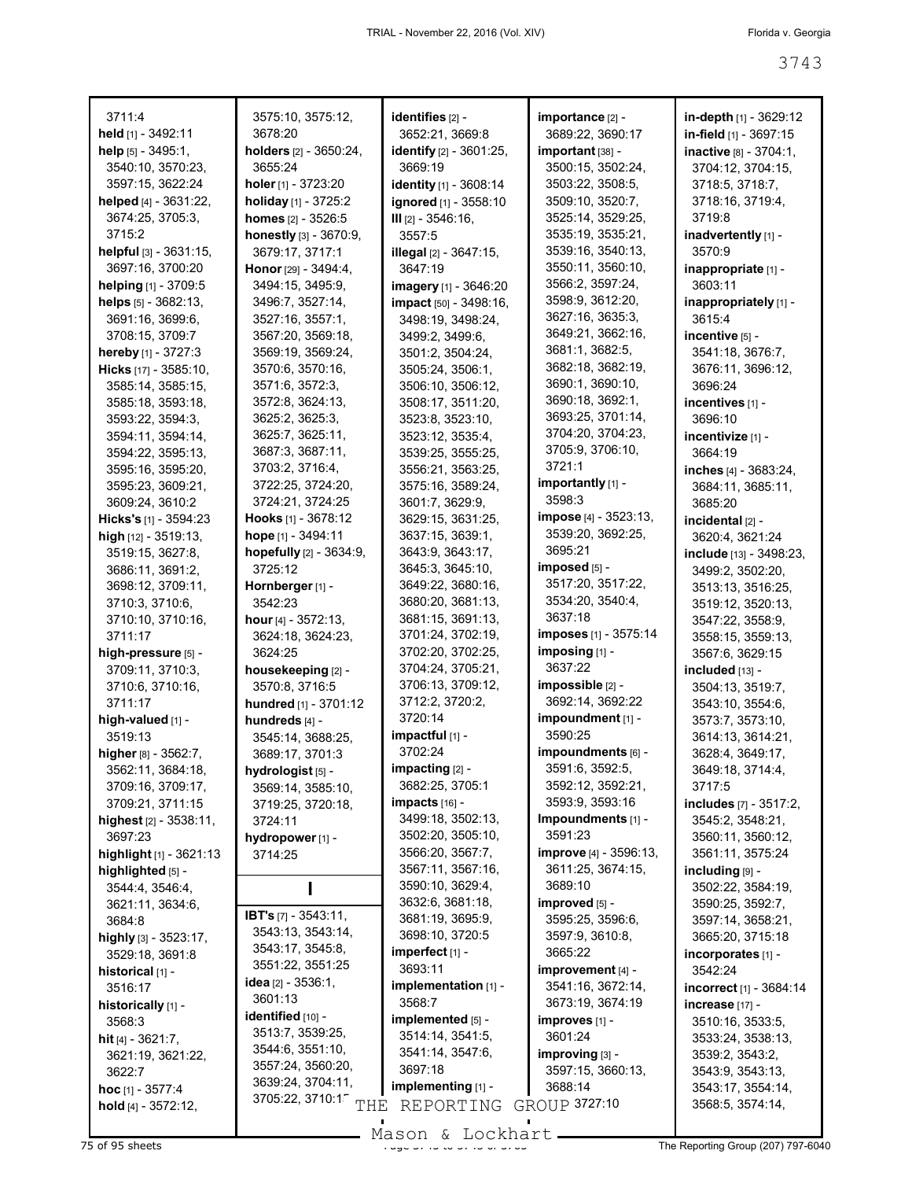| 3711:4                      | 3575:10, 3575:12,                | identifies [2] -              | importance [2] -              | in-depth [1] - 3629:12  |
|-----------------------------|----------------------------------|-------------------------------|-------------------------------|-------------------------|
| held [1] - 3492:11          | 3678:20                          | 3652:21, 3669:8               | 3689:22, 3690:17              | in-field [1] - 3697:15  |
| help $[5] - 3495:1$ ,       | holders [2] - 3650:24,           | identify [2] - 3601:25,       | important [38] -              | inactive [8] - 3704:1,  |
| 3540:10, 3570:23,           | 3655:24                          | 3669:19                       | 3500:15, 3502:24,             | 3704:12, 3704:15,       |
| 3597:15, 3622:24            | holer $[1]$ - 3723:20            | identity [1] - 3608:14        | 3503:22, 3508:5,              | 3718:5, 3718:7,         |
| helped $[4] - 3631:22$ ,    | holiday [1] - 3725:2             | ignored [1] - 3558:10         | 3509:10, 3520:7,              | 3718:16, 3719:4,        |
| 3674:25, 3705:3,            | homes [2] - 3526:5               | III [2] - 3546:16,            | 3525:14, 3529:25,             | 3719:8                  |
| 3715:2                      | honestly [3] - 3670:9,           | 3557:5                        | 3535:19, 3535:21,             | inadvertently [1] -     |
| helpful [3] - 3631:15,      | 3679:17, 3717:1                  | <b>illegal</b> [2] - 3647:15, | 3539:16, 3540:13,             | 3570:9                  |
| 3697:16, 3700:20            | Honor [29] - 3494:4,             | 3647:19                       | 3550:11, 3560:10,             | inappropriate [1] -     |
| helping [1] - 3709:5        | 3494:15, 3495:9,                 | imagery [1] - 3646:20         | 3566:2, 3597:24,              | 3603:11                 |
| helps [5] - 3682:13,        | 3496:7, 3527:14,                 | impact [50] - 3498:16,        | 3598:9, 3612:20,              | inappropriately [1] -   |
| 3691:16, 3699:6,            | 3527:16, 3557:1,                 | 3498:19, 3498:24,             | 3627:16, 3635:3,              | 3615:4                  |
| 3708:15, 3709:7             | 3567:20, 3569:18,                | 3499:2, 3499:6,               | 3649:21, 3662:16,             | incentive [5] -         |
| hereby [1] - 3727:3         | 3569:19, 3569:24,                | 3501:2, 3504:24,              | 3681:1, 3682:5,               | 3541:18, 3676:7,        |
| Hicks [17] - 3585:10,       | 3570:6, 3570:16,                 | 3505:24, 3506:1,              | 3682:18, 3682:19,             | 3676:11, 3696:12,       |
| 3585:14, 3585:15,           | 3571:6, 3572:3,                  | 3506:10, 3506:12,             | 3690:1, 3690:10,              | 3696:24                 |
| 3585:18, 3593:18,           | 3572:8, 3624:13,                 | 3508:17, 3511:20,             | 3690:18, 3692:1,              | incentives [1] -        |
| 3593:22, 3594:3,            | 3625:2, 3625:3,                  | 3523:8, 3523:10,              | 3693:25, 3701:14,             | 3696:10                 |
| 3594:11, 3594:14,           | 3625:7, 3625:11,                 | 3523:12, 3535:4,              | 3704:20, 3704:23,             | incentivize [1] -       |
| 3594:22, 3595:13,           | 3687:3, 3687:11,                 | 3539:25, 3555:25,             | 3705:9, 3706:10,              | 3664:19                 |
| 3595:16, 3595:20,           | 3703:2, 3716:4,                  | 3556:21, 3563:25,             | 3721.1                        | inches [4] - 3683:24,   |
| 3595:23, 3609:21,           | 3722:25, 3724:20,                | 3575:16, 3589:24,             | importantly $[1]$ -           | 3684:11, 3685:11,       |
| 3609:24, 3610:2             | 3724:21, 3724:25                 | 3601:7, 3629:9,               | 3598:3                        | 3685:20                 |
| Hicks's [1] - 3594:23       | <b>Hooks</b> [1] - 3678:12       | 3629:15, 3631:25,             | <b>impose</b> [4] - 3523:13,  | incidental [2] -        |
| high [12] - 3519:13,        | hope [1] - 3494:11               | 3637:15, 3639:1,              | 3539:20, 3692:25,             | 3620:4, 3621:24         |
| 3519:15, 3627:8,            | hopefully [2] - 3634:9,          | 3643:9, 3643:17,              | 3695:21                       | include [13] - 3498:23, |
| 3686:11, 3691:2,            | 3725:12                          | 3645:3, 3645:10,              | imposed [5] -                 | 3499:2, 3502:20,        |
| 3698:12, 3709:11,           | Hornberger [1] -                 | 3649:22, 3680:16,             | 3517:20, 3517:22,             | 3513:13, 3516:25,       |
| 3710:3, 3710:6,             | 3542:23                          | 3680:20, 3681:13,             | 3534:20, 3540:4,              | 3519:12, 3520:13,       |
| 3710:10, 3710:16,           | hour $[4] - 3572:13$ ,           | 3681:15, 3691:13,             | 3637:18                       | 3547:22, 3558:9,        |
| 3711:17                     | 3624:18, 3624:23,                | 3701:24, 3702:19,             | imposes [1] - 3575:14         | 3558:15, 3559:13,       |
| high-pressure [5] -         | 3624:25                          | 3702:20, 3702:25,             | imposing [1] -                | 3567:6, 3629:15         |
| 3709:11, 3710:3,            | housekeeping [2] -               | 3704:24, 3705:21,             | 3637:22                       | included [13] -         |
| 3710:6, 3710:16,            | 3570:8, 3716:5                   | 3706:13, 3709:12,             | impossible [2] -              | 3504:13, 3519:7,        |
| 3711:17                     | hundred [1] - 3701:12            | 3712:2, 3720:2,               | 3692:14, 3692:22              | 3543:10, 3554:6,        |
| high-valued [1] -           | hundreds [4] -                   | 3720:14                       | impoundment [1] -             | 3573:7, 3573:10,        |
| 3519:13                     | 3545:14, 3688:25,                | impactful [1] -               | 3590:25                       | 3614:13, 3614:21,       |
| higher [8] - 3562:7,        | 3689:17, 3701:3                  | 3702:24                       | impoundments [6] -            | 3628:4, 3649:17,        |
| 3562:11, 3684:18,           | hydrologist <sub>[5]</sub> -     | impacting [2] -               | 3591:6, 3592:5,               | 3649:18, 3714:4,        |
| 3709:16, 3709:17,           | 3569:14, 3585:10,                | 3682:25, 3705:1               | 3592:12, 3592:21,             | 3717:5                  |
| 3709:21, 3711:15            | 3719:25, 3720:18,                | $impacts$ [16] -              | 3593:9, 3593:16               | includes [7] - 3517:2,  |
| highest [2] - 3538:11,      | 3724:11                          | 3499:18, 3502:13,             | Impoundments [1] -            | 3545:2, 3548:21,        |
| 3697:23                     | hydropower [1] -                 | 3502:20, 3505:10,             | 3591:23                       | 3560:11, 3560:12,       |
| highlight $[1]$ - 3621:13   | 3714:25                          | 3566:20, 3567:7,              | <b>improve</b> [4] - 3596:13, | 3561:11, 3575:24        |
| highlighted [5] -           |                                  | 3567:11, 3567:16,             | 3611:25, 3674:15,             | including [9] -         |
| 3544:4, 3546:4,             |                                  | 3590:10, 3629:4,              | 3689:10                       | 3502:22, 3584:19,       |
| 3621:11, 3634:6,            | <b>IBT's</b> [7] - 3543:11,      | 3632:6, 3681:18,              | improved [5] -                | 3590:25, 3592:7,        |
| 3684:8                      | 3543:13, 3543:14,                | 3681:19, 3695:9,              | 3595:25, 3596:6,              | 3597:14, 3658:21,       |
| highly $[3] - 3523:17$ ,    | 3543:17, 3545:8,                 | 3698:10, 3720:5               | 3597:9, 3610:8,               | 3665:20, 3715:18        |
| 3529:18, 3691:8             | 3551:22, 3551:25                 | $imperfect$ [1] -             | 3665:22                       | incorporates [1] -      |
| historical [1] -            | <b>idea</b> [2] - 3536:1,        | 3693:11                       | improvement [4] -             | 3542:24                 |
| 3516:17                     | 3601:13                          | implementation [1] -          | 3541:16, 3672:14,             | incorrect [1] - 3684:14 |
| historically [1] -          | identified [10] -                | 3568:7                        | 3673:19, 3674:19              | increase [17] -         |
| 3568:3                      | 3513:7, 3539:25,                 | implemented [5] -             | improves [1] -                | 3510:16, 3533:5,        |
| <b>hit</b> $[4] - 3621:7$ , | 3544:6, 3551:10,                 | 3514:14, 3541:5,              | 3601:24                       | 3533:24, 3538:13,       |
| 3621:19, 3621:22,           | 3557:24, 3560:20,                | 3541:14, 3547:6,              | improving [3] -               | 3539:2, 3543:2,         |
| 3622:7                      | 3639:24, 3704:11,                | 3697:18                       | 3597:15, 3660:13,             | 3543:9, 3543:13,        |
| hoc [1] - 3577:4            | 3705:22, 3710:1 <sup>-</sup> THE | implementing [1] -            | 3688:14                       | 3543:17, 3554:14,       |
| hold $[4] - 3572:12$ ,      |                                  | REPORTING                     | GROUP 3727:10                 | 3568:5, 3574:14,        |

75 of 95 sheets **Page 3743 of 3743 of 3743 of 3743 to 3743 The Reporting Group (207) 797-6040** Mason & Lockhart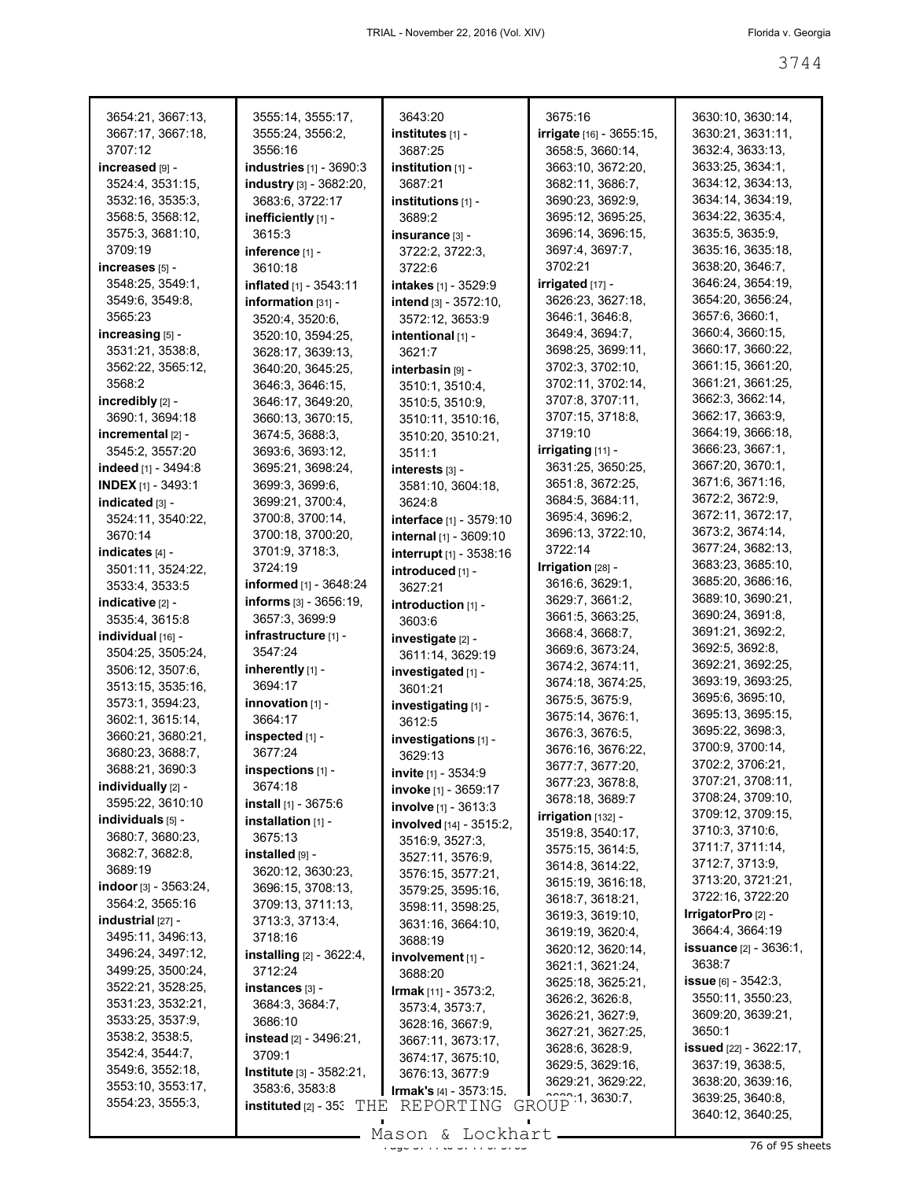| 3654:21, 3667:13,           | 3555:14, 3555:17,                   | 3643:20                        | 3675:16                         | 3630:10, 3630:14,                    |
|-----------------------------|-------------------------------------|--------------------------------|---------------------------------|--------------------------------------|
| 3667:17, 3667:18,           | 3555:24, 3556:2,                    | institutes און -               | <b>irrigate</b> [16] - 3655:15, | 3630:21, 3631:11,                    |
| 3707:12                     | 3556:16                             | 3687:25                        | 3658:5, 3660:14,                | 3632:4, 3633:13,                     |
| increased [9] -             | industries [1] - 3690:3             | institution $[1]$ -            | 3663:10, 3672:20,               | 3633:25, 3634:1,                     |
| 3524:4, 3531:15,            | industry [3] - 3682:20,             | 3687:21                        | 3682:11, 3686:7,                | 3634:12, 3634:13,                    |
| 3532:16, 3535:3,            | 3683:6, 3722:17                     | institutions $[1]$ -           | 3690:23, 3692:9,                | 3634:14, 3634:19,                    |
| 3568:5, 3568:12,            | inefficiently [1] -                 | 3689:2                         | 3695:12, 3695:25,               | 3634:22, 3635:4,                     |
| 3575:3, 3681:10,            |                                     |                                | 3696:14, 3696:15,               | 3635:5, 3635:9,                      |
| 3709:19                     | 3615:3                              | insurance [3] -                |                                 |                                      |
|                             | inference [1] -                     | 3722:2, 3722:3,                | 3697:4, 3697:7,                 | 3635:16, 3635:18,                    |
| increases $[5]$ -           | 3610:18                             | 3722:6                         | 3702:21                         | 3638:20, 3646:7,                     |
| 3548:25, 3549:1,            | inflated [1] - 3543:11              | intakes [1] - 3529:9           | $irrigated$ [17] -              | 3646:24, 3654:19,                    |
| 3549:6, 3549:8,             | information [31] -                  | intend [3] - 3572:10,          | 3626:23, 3627:18,               | 3654:20, 3656:24,                    |
| 3565:23                     | 3520:4, 3520:6,                     | 3572:12, 3653:9                | 3646:1, 3646:8,                 | 3657:6, 3660:1,                      |
| increasing [5] -            | 3520:10, 3594:25,                   | intentional [1] -              | 3649:4, 3694:7,                 | 3660:4, 3660:15,                     |
| 3531:21, 3538:8,            | 3628:17, 3639:13,                   | 3621:7                         | 3698:25, 3699:11,               | 3660:17, 3660:22,                    |
| 3562:22, 3565:12,           | 3640:20, 3645:25,                   | interbasin [9] -               | 3702:3, 3702:10,                | 3661:15, 3661:20,                    |
| 3568:2                      | 3646:3, 3646:15,                    | 3510:1, 3510:4,                | 3702:11, 3702:14,               | 3661:21, 3661:25,                    |
| incredibly [2] -            | 3646:17, 3649:20,                   | 3510:5, 3510:9,                | 3707:8, 3707:11,                | 3662:3, 3662:14,                     |
| 3690:1, 3694:18             | 3660:13, 3670:15,                   | 3510:11, 3510:16,              | 3707:15, 3718:8,                | 3662:17, 3663:9,                     |
| incremental $[2]$ -         | 3674:5, 3688:3,                     |                                | 3719:10                         | 3664:19, 3666:18,                    |
|                             |                                     | 3510:20, 3510:21,              | $irrigating [11] -$             | 3666:23, 3667:1,                     |
| 3545:2, 3557:20             | 3693:6, 3693:12,                    | 3511:1                         |                                 | 3667:20, 3670:1,                     |
| indeed [1] - 3494:8         | 3695:21, 3698:24,                   | interests [3] -                | 3631:25, 3650:25,               | 3671:6, 3671:16,                     |
| <b>INDEX</b> $[1]$ - 3493:1 | 3699:3, 3699:6,                     | 3581:10, 3604:18,              | 3651:8, 3672:25,                |                                      |
| indicated [3] -             | 3699:21, 3700:4,                    | 3624:8                         | 3684:5, 3684:11,                | 3672:2, 3672:9,                      |
| 3524:11, 3540:22,           | 3700:8, 3700:14,                    | interface [1] - 3579:10        | 3695:4, 3696:2,                 | 3672:11, 3672:17,                    |
| 3670:14                     | 3700:18, 3700:20,                   | internal [1] - 3609:10         | 3696:13, 3722:10,               | 3673:2, 3674:14,                     |
| indicates [4] -             | 3701:9, 3718:3,                     | interrupt [1] - 3538:16        | 3722:14                         | 3677:24, 3682:13,                    |
| 3501:11, 3524:22,           | 3724:19                             | introduced [1] -               | Irrigation [28] -               | 3683:23, 3685:10,                    |
| 3533:4, 3533:5              | informed [1] - 3648:24              | 3627:21                        | 3616:6, 3629:1,                 | 3685:20, 3686:16,                    |
| indicative [2] -            | informs $[3] - 3656:19$ ,           | introduction [1] -             | 3629:7, 3661:2,                 | 3689:10, 3690:21,                    |
| 3535:4, 3615:8              | 3657:3, 3699:9                      | 3603:6                         | 3661:5, 3663:25,                | 3690:24, 3691:8,                     |
| individual [16] -           | infrastructure [1] -                |                                | 3668:4, 3668:7,                 | 3691:21, 3692:2,                     |
| 3504:25, 3505:24,           | 3547:24                             | investigate [2] -              | 3669:6, 3673:24,                | 3692:5, 3692:8,                      |
|                             |                                     | 3611:14, 3629:19               | 3674:2, 3674:11,                | 3692:21, 3692:25,                    |
| 3506:12, 3507:6,            | inherently $[1]$ -                  | investigated [1] -             | 3674:18, 3674:25,               | 3693:19, 3693:25,                    |
| 3513:15, 3535:16,           | 3694:17                             | 3601:21                        | 3675:5, 3675:9,                 | 3695:6, 3695:10,                     |
| 3573:1, 3594:23,            | innovation [1] -                    | investigating [1] -            |                                 | 3695:13, 3695:15,                    |
| 3602:1, 3615:14,            | 3664:17                             | 3612:5                         | 3675:14, 3676:1,                | 3695:22, 3698:3,                     |
| 3660:21, 3680:21,           | inspected [1] -                     | investigations [1] -           | 3676:3, 3676:5,                 |                                      |
| 3680:23, 3688:7,            | 3677:24                             | 3629:13                        | 3676:16, 3676:22,               | 3700:9, 3700:14,<br>3702:2, 3706:21, |
| 3688:21, 3690:3             | inspections [1] -                   | invite [1] - 3534:9            | 3677:7, 3677:20,                |                                      |
| individually [2] -          | 3674:18                             | <b>invoke</b> [1] - 3659:17    | 3677:23, 3678:8,                | 3707:21, 3708:11,                    |
| 3595:22, 3610:10            | install [1] - 3675:6                | involve [1] - 3613:3           | 3678:18, 3689:7                 | 3708:24, 3709:10,                    |
| individuals [5] -           | installation [1] -                  | involved [14] - 3515:2,        | $irrigation$ [132] -            | 3709:12, 3709:15,                    |
| 3680:7, 3680:23,            | 3675:13                             | 3516:9, 3527:3,                | 3519:8, 3540:17,                | 3710:3, 3710:6,                      |
| 3682:7, 3682:8,             | installed [9] -                     | 3527:11, 3576:9,               | 3575:15, 3614:5,                | 3711:7, 3711:14,                     |
| 3689:19                     | 3620:12, 3630:23,                   | 3576:15, 3577:21,              | 3614:8, 3614:22,                | 3712:7, 3713:9,                      |
| indoor $[3]$ - 3563:24,     | 3696:15, 3708:13,                   |                                | 3615:19, 3616:18,               | 3713:20, 3721:21,                    |
| 3564:2, 3565:16             | 3709:13, 3711:13,                   | 3579:25, 3595:16,              | 3618:7, 3618:21,                | 3722:16, 3722:20                     |
| $industrial$ [27] -         | 3713:3, 3713:4,                     | 3598:11, 3598:25,              | 3619:3, 3619:10,                | IrrigatorPro [2] -                   |
| 3495:11, 3496:13,           | 3718:16                             | 3631:16, 3664:10,              | 3619:19, 3620:4,                | 3664:4, 3664:19                      |
|                             |                                     | 3688:19                        | 3620:12, 3620:14,               | <b>issuance</b> [2] - 3636:1,        |
| 3496:24, 3497:12,           | installing [2] - 3622:4,            | involvement [1] -              | 3621:1, 3621:24,                | 3638:7                               |
| 3499:25, 3500:24,           | 3712:24                             | 3688:20                        | 3625:18, 3625:21,               | <b>issue</b> [6] - 3542:3,           |
| 3522:21, 3528:25,           | instances [3] -                     | <b>Irmak</b> [11] - 3573:2,    | 3626:2, 3626:8,                 | 3550:11, 3550:23,                    |
| 3531:23, 3532:21,           | 3684:3, 3684:7,                     | 3573:4, 3573:7,                | 3626:21, 3627:9,                | 3609:20, 3639:21,                    |
| 3533:25, 3537:9,            | 3686:10                             | 3628:16, 3667:9,               | 3627:21, 3627:25,               | 3650:1                               |
| 3538:2, 3538:5,             | <b>instead</b> $[2] - 3496:21$ ,    | 3667:11, 3673:17,              |                                 |                                      |
| 3542:4, 3544:7,             | 3709:1                              | 3674:17, 3675:10,              | 3628:6, 3628:9,                 | <b>issued</b> [22] - 3622:17,        |
| 3549:6, 3552:18,            | <b>Institute</b> $[3] - 3582:21$ ,  | 3676:13, 3677:9                | 3629:5, 3629:16,                | 3637:19, 3638:5,                     |
| 3553:10, 3553:17,           | 3583:6, 3583:8                      | <b>Irmak's</b> $[4] - 3573:15$ | 3629:21, 3629:22,               | 3638:20, 3639:16,                    |
| 3554:23, 3555:3,            | instituted $[2]$ - 35. $\text{THE}$ | REPORTING                      | GROUP 1, 3630:7,                | 3639:25, 3640:8,                     |
|                             |                                     |                                |                                 | 3640:12, 3640:25,                    |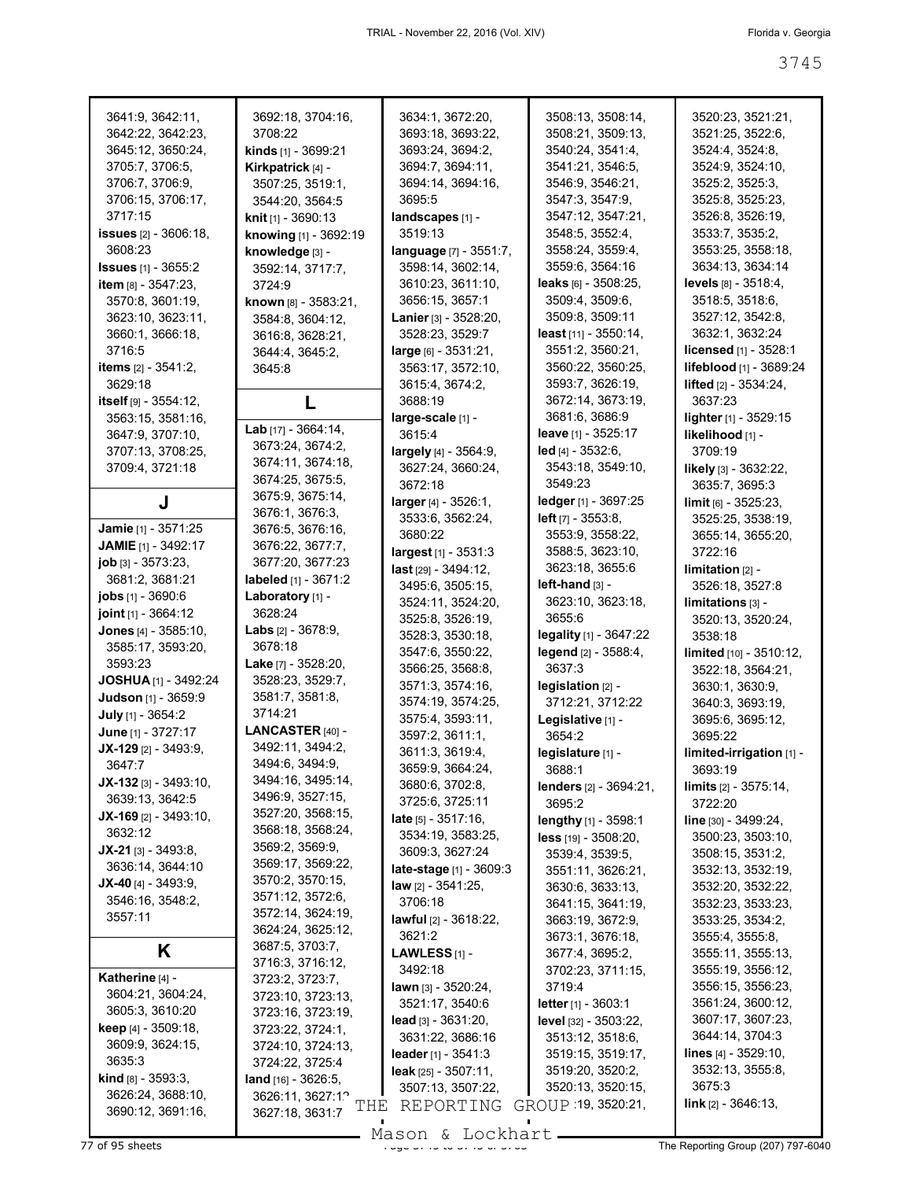| 3641:9, 3642:11,                | 3692:18, 3704:16,                   | 3634:1, 3672:20,                    | 3508:13, 3508:14,                          | 3520:23, 3521:21,                          |
|---------------------------------|-------------------------------------|-------------------------------------|--------------------------------------------|--------------------------------------------|
| 3642:22, 3642:23,               | 3708:22                             | 3693:18, 3693:22,                   | 3508:21, 3509:13,                          | 3521:25, 3522:6,                           |
| 3645:12, 3650:24,               | <b>kinds</b> $[1]$ - 3699:21        | 3693:24, 3694:2,                    | 3540:24, 3541:4,                           | 3524:4, 3524:8,                            |
| 3705:7, 3706:5,                 | Kirkpatrick [4] -                   | 3694:7, 3694:11,                    | 3541:21, 3546:5,                           | 3524:9, 3524:10,                           |
| 3706:7, 3706:9,                 | 3507:25, 3519:1,                    | 3694:14, 3694:16,                   | 3546:9, 3546:21,                           | 3525:2, 3525:3,                            |
| 3706:15, 3706:17,               | 3544:20, 3564:5                     | 3695:5                              | 3547.3, 3547.9,                            | 3525:8, 3525:23,                           |
| 3717:15                         | <b>knit</b> $[1]$ - 3690:13         | landscapes [1] -                    | 3547:12, 3547:21,                          | 3526:8, 3526:19,                           |
| <b>issues</b> $[2] - 3606:18$ , | knowing [1] - 3692:19               | 3519:13                             | 3548:5, 3552:4,                            | 3533:7, 3535:2,                            |
| 3608:23                         | knowledge [3] -                     | language [7] - 3551:7,              | 3558:24, 3559:4,                           | 3553:25, 3558:18,                          |
| <b>Issues</b> [1] - 3655:2      | 3592:14, 3717:7,                    | 3598:14, 3602:14,                   | 3559:6, 3564:16                            | 3634:13, 3634:14                           |
| <b>item</b> $[8] - 3547:23$     | 3724:9                              | 3610:23, 3611:10,                   | leaks $[6] - 3508:25$ ,                    | levels [8] - 3518:4,                       |
| 3570:8, 3601:19,                | known [8] - 3583:21,                | 3656:15, 3657:1                     | 3509:4, 3509:6,                            | 3518:5, 3518:6,                            |
| 3623:10, 3623:11,               | 3584:8, 3604:12,                    | Lanier [3] - 3528:20,               | 3509:8, 3509:11                            | 3527:12, 3542:8,                           |
| 3660:1, 3666:18,                | 3616:8, 3628:21,                    | 3528:23, 3529:7                     | least [11] - 3550:14,                      | 3632:1, 3632:24                            |
| 3716:5                          | 3644:4, 3645:2,                     | $large$ [6] - 3531:21,              | 3551:2, 3560:21,                           | licensed [1] - 3528:1                      |
| <b>items</b> [2] - 3541:2,      | 3645:8                              | 3563:17, 3572:10,                   | 3560:22, 3560:25,                          | lifeblood [1] - 3689:24                    |
| 3629:18                         |                                     | 3615:4, 3674:2,                     | 3593:7, 3626:19,                           | <b>lifted</b> $[2] - 3534:24$ ,            |
| itself [9] - 3554:12,           | L                                   | 3688:19                             | 3672:14, 3673:19,                          | 3637:23                                    |
| 3563:15, 3581:16,               | Lab $[17] - 3664:14,$               | large-scale [1] -                   | 3681:6, 3686:9                             | lighter [1] - 3529:15                      |
| 3647:9, 3707:10,                | 3673:24, 3674:2,                    | 3615:4                              | <b>leave</b> $[1]$ - 3525:17               | likelihood [1] -                           |
| 3707:13, 3708:25,               | 3674:11, 3674:18,                   | largely [4] - 3564:9,               | $led$ [4] - 3532:6,                        | 3709:19                                    |
| 3709:4, 3721:18                 | 3674:25, 3675:5,                    | 3627:24, 3660:24,                   | 3543:18, 3549:10,                          | likely [3] - 3632:22,                      |
|                                 | 3675:9, 3675:14,                    | 3672:18                             | 3549:23                                    | 3635:7, 3695:3                             |
| J                               | 3676:1, 3676:3,                     | larger [4] - 3526:1,                | ledger [1] - 3697:25                       | $\lim$ it [6] - 3525:23,                   |
| Jamie [1] - 3571:25             | 3676:5, 3676:16,                    | 3533:6, 3562:24,                    | <b>left</b> $[7] - 3553:8$ ,               | 3525:25, 3538:19,                          |
| <b>JAMIE</b> [1] - 3492:17      | 3676:22, 3677:7,                    | 3680:22                             | 3553:9, 3558:22,                           | 3655:14, 3655:20,                          |
| job [3] - 3573:23,              | 3677:20, 3677:23                    | largest <sub>[1]</sub> - 3531:3     | 3588:5, 3623:10,                           | 3722:16                                    |
| 3681:2, 3681:21                 | labeled [1] - 3671:2                | last [29] - 3494:12,                | 3623:18, 3655:6                            | $limitation$ [2] -                         |
| <b>jobs</b> $[1]$ - 3690:6      | Laboratory [1] -                    | 3495:6, 3505:15,                    | $left$ -hand $[3]$ -                       | 3526:18, 3527:8                            |
| joint [1] - 3664:12             | 3628:24                             | 3524:11, 3524:20,                   | 3623:10, 3623:18,                          | limitations [3] -                          |
| Jones [4] - 3585:10,            | Labs [2] - 3678:9,                  | 3525:8, 3526:19,                    | 3655:6                                     | 3520:13, 3520:24,                          |
| 3585:17, 3593:20,               | 3678:18                             | 3528:3, 3530:18,                    | legality [1] - 3647:22                     | 3538:18                                    |
| 3593:23                         | <b>Lake</b> $[7] - 3528:20$ ,       | 3547:6, 3550:22,                    | legend [2] - 3588:4,                       | limited [10] - 3510:12,                    |
| JOSHUA [1] - 3492:24            | 3528:23, 3529:7,                    | 3566:25, 3568:8,                    | 3637:3                                     | 3522:18, 3564:21,                          |
| Judson [1] - 3659:9             | 3581:7, 3581:8,                     | 3571:3, 3574:16,                    | legislation [2] -                          | 3630:1, 3630:9,                            |
| July [1] - 3654:2               | 3714:21                             | 3574:19, 3574:25,                   | 3712:21, 3712:22                           | 3640:3, 3693:19,                           |
| June [1] - 3727:17              | LANCASTER <sub>[40]</sub> -         | 3575:4, 3593:11,<br>3597:2, 3611:1, | Legislative [1] -                          | 3695:6, 3695:12,                           |
| $JX-129$ [2] - 3493:9,          | 3492:11, 3494:2,                    | 3611:3, 3619:4,                     | 3654:2                                     | 3695:22                                    |
| 3647:7                          | 3494:6, 3494:9,                     | 3659:9, 3664:24,                    | legislature [1] -<br>3688:1                | limited-irrigation [1] -<br>3693:19        |
| $JX-132$ [3] - 3493:10,         | 3494:16, 3495:14,                   | 3680:6, 3702:8,                     |                                            |                                            |
| 3639:13, 3642:5                 | 3496:9, 3527:15,                    | 3725:6, 3725:11                     | <b>lenders</b> $[2] - 3694:21$ ,<br>3695:2 | <b>limits</b> $[2] - 3575:14$ ,<br>3722:20 |
| $JX-169$ [2] - 3493:10,         | 3527:20, 3568:15,                   | <b>late</b> $[5] - 3517.16$         | lengthy [1] - 3598:1                       | line [30] - 3499:24,                       |
| 3632:12                         | 3568:18, 3568:24,                   | 3534:19, 3583:25,                   | <b>less</b> $[19] - 3508:20$ ,             | 3500:23, 3503:10,                          |
| $JX-21$ [3] - 3493:8,           | 3569:2, 3569:9,                     | 3609:3, 3627:24                     | 3539:4, 3539:5,                            | 3508:15, 3531:2,                           |
| 3636:14, 3644:10                | 3569:17, 3569:22,                   | <b>late-stage</b> $[1] - 3609:3$    | 3551:11, 3626:21,                          | 3532:13, 3532:19,                          |
| <b>JX-40</b> [4] - 3493:9,      | 3570:2, 3570:15,                    | law [2] - 3541:25.                  | 3630:6, 3633:13,                           | 3532:20, 3532:22,                          |
| 3546:16, 3548:2,                | 3571:12, 3572:6,                    | 3706:18                             | 3641:15, 3641:19,                          | 3532:23, 3533:23,                          |
| 3557:11                         | 3572:14, 3624:19,                   | <b>lawful</b> $[2] - 3618:22$ ,     | 3663:19, 3672:9,                           | 3533:25, 3534:2,                           |
|                                 | 3624:24, 3625:12,                   | 3621:2                              | 3673:1, 3676:18,                           | 3555:4, 3555:8,                            |
| K                               | 3687:5, 3703:7,                     | LAWLESS $[1]$ -                     | 3677:4, 3695:2,                            | 3555:11, 3555:13,                          |
|                                 | 3716:3, 3716:12,                    | 3492:18                             | 3702:23, 3711:15,                          | 3555:19, 3556:12,                          |
| Katherine [4] -                 | 3723:2, 3723:7,                     | lawn $[3] - 3520:24$ ,              | 3719:4                                     | 3556:15, 3556:23,                          |
| 3604:21, 3604:24,               | 3723:10, 3723:13,                   | 3521:17, 3540:6                     | <b>letter</b> $[1] - 3603:1$               | 3561:24, 3600:12,                          |
| 3605:3, 3610:20                 | 3723:16, 3723:19,                   | lead $[3] - 3631:20$ ,              | <b>level</b> [32] - 3503:22,               | 3607:17, 3607:23,                          |
| <b>keep</b> $[4] - 3509:18$ ,   | 3723:22, 3724:1,                    | 3631:22, 3686:16                    | 3513:12, 3518:6,                           | 3644:14, 3704:3                            |
| 3609:9, 3624:15,                | 3724:10, 3724:13,                   | leader $[1] - 3541:3$               | 3519:15, 3519:17,                          | <b>lines</b> $[4] - 3529:10,$              |
| 3635:3                          | 3724:22, 3725:4                     | <b>leak</b> $[25] - 3507:11$ ,      | 3519:20, 3520:2,                           | 3532:13, 3555:8,                           |
| <b>kind</b> $[8] - 3593:3$ ,    | <b>land</b> $[16] - 3626:5$         | 3507:13, 3507:22,                   | 3520:13, 3520:15,                          | 3675:3                                     |
| 3626:24, 3688:10,               | 3626:11, 3627:1 <sup>o</sup><br>THE | REPORTING                           | GROUP 19, 3520:21,                         | <b>link</b> $[2] - 3646:13$ ,              |
| 3690:12, 3691:16,               | 3627:18, 3631:7                     |                                     |                                            |                                            |

The Reporting Group (207) 797-6040<br>The Reporting Group (207) 797-6040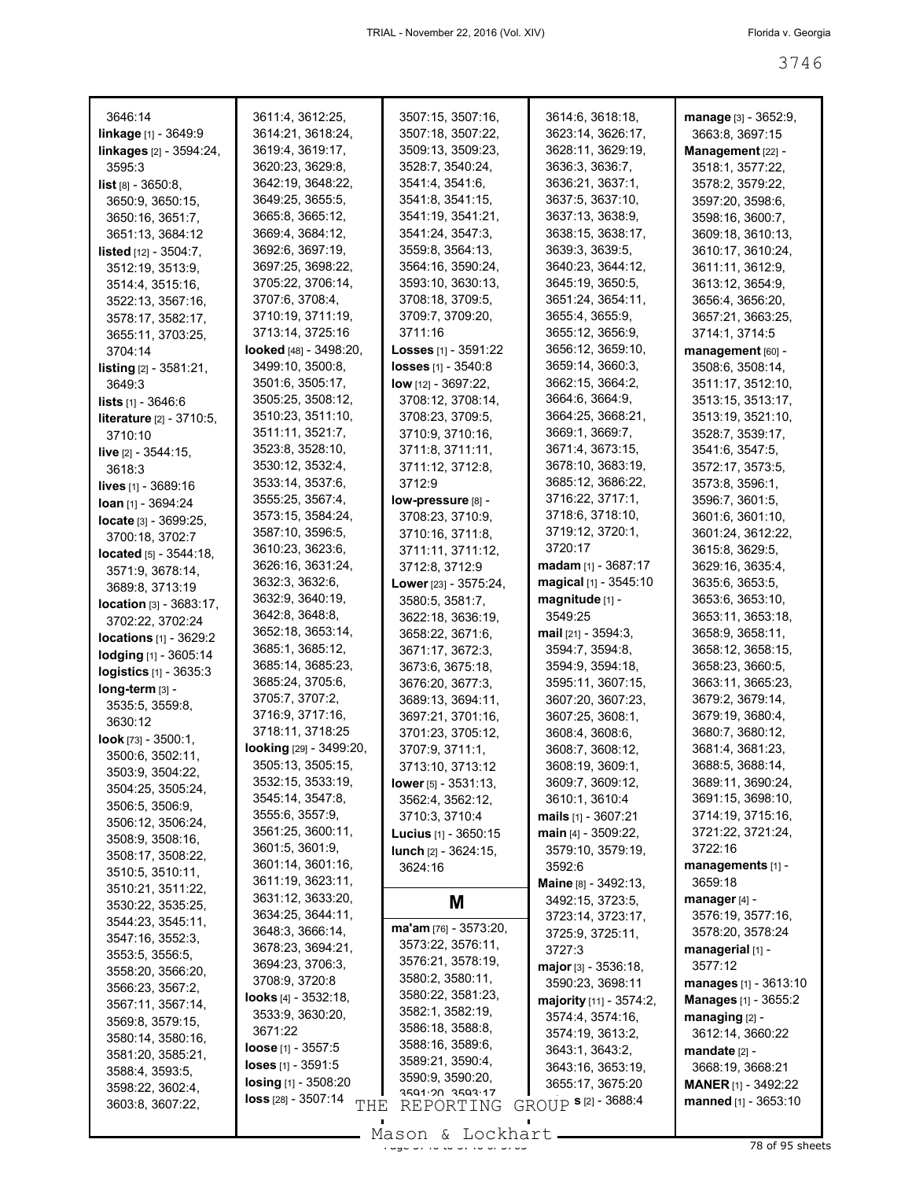| 3646:14                           | 3611:4, 3612:25,                     | 3507:15, 3507:16,                | 3614:6, 3618:18,             | <b>manage</b> [3] - 3652:9, |
|-----------------------------------|--------------------------------------|----------------------------------|------------------------------|-----------------------------|
| <b>linkage</b> $[1]$ - 3649:9     | 3614:21, 3618:24,                    | 3507:18, 3507:22,                | 3623:14, 3626:17,            | 3663:8, 3697:15             |
| <b>linkages</b> [2] - 3594:24,    | 3619:4, 3619:17,                     | 3509:13, 3509:23,                | 3628:11, 3629:19,            | Management [22] -           |
| 3595:3                            | 3620:23, 3629:8,                     | 3528:7, 3540:24,                 | 3636:3, 3636:7,              | 3518:1, 3577:22,            |
| <b>list</b> $[8] - 3650:8$ ,      | 3642:19, 3648:22,                    | 3541:4, 3541:6,                  | 3636:21, 3637:1,             | 3578:2, 3579:22,            |
| 3650:9, 3650:15,                  | 3649:25, 3655:5,                     | 3541:8, 3541:15,                 | 3637:5, 3637:10,             | 3597:20, 3598:6,            |
| 3650:16, 3651:7,                  | 3665:8, 3665:12,                     | 3541:19, 3541:21,                | 3637:13, 3638:9,             | 3598:16, 3600:7,            |
| 3651:13, 3684:12                  | 3669:4, 3684:12,                     | 3541:24, 3547:3,                 | 3638:15, 3638:17,            | 3609:18, 3610:13,           |
| <b>listed</b> $[12] - 3504$ : 7,  | 3692:6, 3697:19,                     | 3559:8, 3564:13,                 | 3639:3, 3639:5,              | 3610:17, 3610:24,           |
| 3512:19, 3513:9,                  | 3697:25, 3698:22,                    | 3564:16, 3590:24,                | 3640:23, 3644:12,            | 3611:11, 3612:9,            |
| 3514:4, 3515:16,                  | 3705:22, 3706:14,                    | 3593:10, 3630:13,                | 3645:19, 3650:5,             | 3613:12, 3654:9,            |
| 3522:13, 3567:16,                 | 3707:6, 3708:4,                      | 3708:18, 3709:5,                 | 3651:24, 3654:11,            | 3656:4, 3656:20,            |
| 3578:17, 3582:17,                 | 3710:19, 3711:19,                    | 3709:7, 3709:20,                 | 3655:4, 3655:9,              | 3657:21, 3663:25,           |
| 3655:11, 3703:25,                 | 3713:14, 3725:16                     | 3711:16                          | 3655:12, 3656:9,             | 3714:1, 3714:5              |
| 3704:14                           | <b>looked</b> [48] - 3498:20,        | <b>Losses</b> $[1] - 3591:22$    | 3656:12, 3659:10,            | management [60] -           |
| <b>listing</b> $[2] - 3581:21$ ,  | 3499:10, 3500:8,                     | <b>losses</b> $[1] - 3540.8$     | 3659:14, 3660:3,             | 3508:6, 3508:14,            |
| 3649:3                            | 3501:6, 3505:17,                     | <b>low</b> $[12] - 3697:22$ ,    | 3662:15, 3664:2,             | 3511:17, 3512:10,           |
| <b>lists</b> $[1] - 3646:6$       | 3505:25, 3508:12,                    | 3708:12, 3708:14,                | 3664:6, 3664:9,              | 3513:15, 3513:17,           |
| <b>literature</b> [2] - 3710:5,   | 3510:23, 3511:10,                    | 3708:23, 3709:5,                 | 3664:25, 3668:21,            | 3513:19, 3521:10,           |
| 3710:10                           | 3511:11, 3521:7,                     | 3710:9, 3710:16,                 | 3669:1, 3669:7,              | 3528:7, 3539:17,            |
|                                   | 3523:8, 3528:10,                     | 3711:8, 3711:11,                 | 3671:4, 3673:15,             | 3541:6, 3547:5,             |
| <b>live</b> $[2] - 3544:15$ ,     | 3530:12, 3532:4,                     | 3711:12, 3712:8,                 | 3678:10, 3683:19,            | 3572:17, 3573:5,            |
| 3618:3                            | 3533:14, 3537:6,                     | 3712:9                           | 3685:12, 3686:22,            | 3573:8, 3596:1,             |
| <b>lives</b> $[1]$ - 3689:16      | 3555:25, 3567:4,                     | low-pressure [8] -               | 3716:22, 3717:1,             | 3596:7, 3601:5,             |
| $Ioan$ [1] - 3694:24              | 3573:15, 3584:24,                    | 3708:23, 3710:9,                 | 3718:6, 3718:10,             | 3601:6, 3601:10,            |
| locate [3] - 3699:25,             | 3587:10, 3596:5,                     |                                  | 3719:12, 3720:1,             | 3601:24, 3612:22,           |
| 3700:18, 3702:7                   | 3610:23, 3623:6,                     | 3710:16, 3711:8,                 | 3720:17                      |                             |
| <b>located</b> $[5] - 3544:18$ ,  |                                      | 3711:11, 3711:12,                | $madam$ [1] - 3687:17        | 3615:8, 3629:5,             |
| 3571:9, 3678:14,                  | 3626:16, 3631:24,<br>3632:3, 3632:6, | 3712:8, 3712:9                   | magical $[1]$ - 3545:10      | 3629:16, 3635:4,            |
| 3689:8, 3713:19                   |                                      | Lower [23] - 3575:24,            |                              | 3635:6, 3653:5,             |
| <b>location</b> $[3] - 3683:17$ , | 3632:9, 3640:19,                     | 3580:5, 3581:7,                  | magnitude [1] -              | 3653:6, 3653:10,            |
| 3702:22, 3702:24                  | 3642:8, 3648:8,                      | 3622:18, 3636:19,                | 3549:25                      | 3653:11, 3653:18,           |
| <b>locations</b> $[1] - 3629:2$   | 3652:18, 3653:14,                    | 3658:22, 3671:6,                 | mail $[21] - 3594:3$ ,       | 3658:9, 3658:11,            |
| lodging [1] - 3605:14             | 3685:1, 3685:12,                     | 3671:17, 3672:3,                 | 3594:7, 3594:8,              | 3658:12, 3658:15,           |
| logistics [1] - 3635:3            | 3685:14, 3685:23,                    | 3673:6, 3675:18,                 | 3594:9, 3594:18,             | 3658:23, 3660:5,            |
| long-term [3] -                   | 3685:24, 3705:6,                     | 3676:20, 3677:3,                 | 3595:11, 3607:15,            | 3663:11, 3665:23,           |
| 3535:5, 3559:8,                   | 3705:7, 3707:2,                      | 3689:13, 3694:11,                | 3607:20, 3607:23,            | 3679:2, 3679:14,            |
| 3630:12                           | 3716:9, 3717:16,                     | 3697:21, 3701:16,                | 3607:25, 3608:1,             | 3679:19, 3680:4,            |
| <b>look</b> [73] - $3500:1$ ,     | 3718:11, 3718:25                     | 3701:23, 3705:12,                | 3608:4, 3608:6,              | 3680:7, 3680:12,            |
| 3500:6, 3502:11,                  | <b>looking</b> [29] - 3499:20,       | 3707:9, 3711:1,                  | 3608:7, 3608:12,             | 3681:4, 3681:23,            |
| 3503:9, 3504:22,                  | 3505:13, 3505:15,                    | 3713:10, 3713:12                 | 3608:19, 3609:1,             | 3688:5, 3688:14,            |
| 3504:25, 3505:24,                 | 3532:15, 3533:19,                    | <b>lower</b> [5] $-3531:13$ ,    | 3609:7, 3609:12,             | 3689:11, 3690:24,           |
| 3506:5, 3506:9,                   | 3545:14, 3547:8,                     | 3562:4, 3562:12,                 | 3610:1, 3610:4               | 3691:15, 3698:10,           |
| 3506:12, 3506:24,                 | 3555:6, 3557:9,                      | 3710:3, 3710:4                   | <b>mails</b> $[1]$ - 3607:21 | 3714:19, 3715:16,           |
| 3508:9, 3508:16,                  | 3561:25, 3600:11,                    | <b>Lucius</b> $[1] - 3650:15$    | $main$ [4] - 3509:22,        | 3721:22, 3721:24,           |
| 3508:17, 3508:22,                 | 3601:5, 3601:9,                      | <b>lunch</b> $[2] - 3624:15$ ,   | 3579:10, 3579:19,            | 3722:16                     |
| 3510:5, 3510:11,                  | 3601:14, 3601:16,                    | 3624:16                          | 3592:6                       | managements [1] -           |
| 3510:21, 3511:22,                 | 3611:19, 3623:11,                    |                                  | Maine [8] - 3492:13,         | 3659:18                     |
| 3530:22, 3535:25,                 | 3631:12, 3633:20,                    | M                                | 3492:15, 3723:5,             | manager [4] -               |
| 3544:23, 3545:11,                 | 3634:25, 3644:11,                    |                                  | 3723:14, 3723:17,            | 3576:19, 3577:16,           |
| 3547:16, 3552:3,                  | 3648:3, 3666:14,                     | $ma'am$ [76] - 3573:20,          | 3725:9, 3725:11,             | 3578:20, 3578:24            |
| 3553:5, 3556:5,                   | 3678:23, 3694:21,                    | 3573:22, 3576:11,                | 3727:3                       | managerial [1] -            |
| 3558:20, 3566:20,                 | 3694:23, 3706:3,                     | 3576:21, 3578:19,                | major [3] - 3536:18,         | 3577:12                     |
| 3566:23, 3567:2,                  | 3708:9, 3720:8                       | 3580:2, 3580:11,                 | 3590:23, 3698:11             | manages $[1] - 3613:10$     |
| 3567:11, 3567:14,                 | <b>looks</b> $[4] - 3532:18$ ,       | 3580:22, 3581:23,                | majority [11] - 3574:2,      | Manages [1] - 3655:2        |
| 3569:8, 3579:15,                  | 3533:9, 3630:20,                     | 3582:1, 3582:19,                 | 3574:4, 3574:16,             | managing $[2]$ -            |
| 3580:14, 3580:16,                 | 3671:22                              | 3586:18, 3588:8,                 | 3574:19, 3613:2,             | 3612:14, 3660:22            |
| 3581:20, 3585:21,                 | <b>loose</b> $[1] - 3557:5$          | 3588:16, 3589:6,                 | 3643:1, 3643:2,              | $m$ andate $[2]$ -          |
| 3588:4, 3593:5,                   | <b>loses</b> $[1]$ - 3591:5          | 3589:21, 3590:4,                 | 3643:16, 3653:19,            | 3668:19, 3668:21            |
| 3598:22, 3602:4,                  | $\log$ ing [1] - 3508:20             | 3590:9, 3590:20,                 | 3655:17, 3675:20             | <b>MANER</b> [1] - 3492:22  |
| 3603:8, 3607:22,                  | loss [28] - 3507:14<br>THE           | $3591.20$ $3593.17$<br>REPORTING | GROUP <b>s</b> [2] - 3688:4  | manned [1] - 3653:10        |
|                                   |                                      |                                  |                              |                             |

 $\frac{280001}{3800}$  of 95 sheets Mason & Lockhart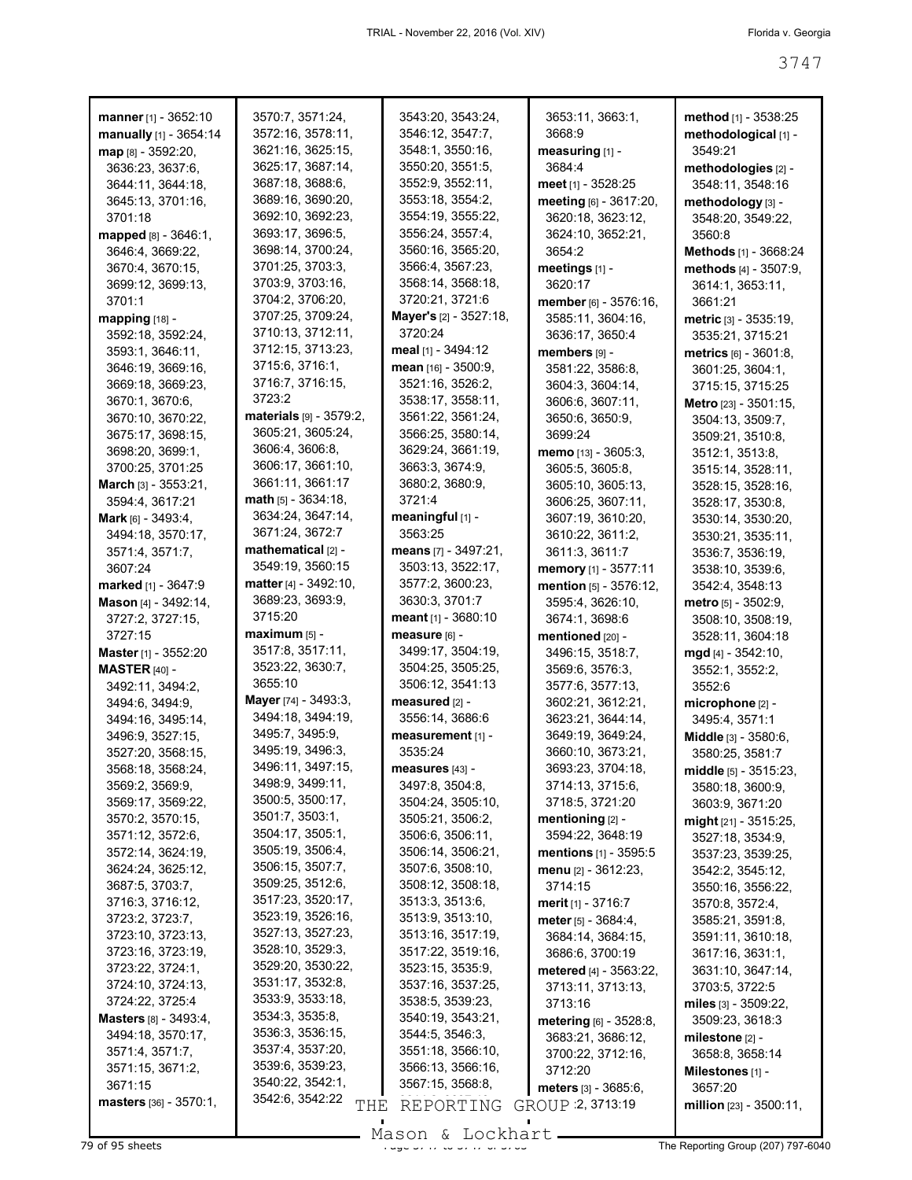| manner [1] - 3652:10<br>manually [1] - 3654:14 | 3570:7, 3571:24,<br>3572:16, 3578:11, | 3543:20, 3543:24,<br>3546:12, 3547:7, | 3653:11, 3663:1,<br>3668.9     | method [1] - 3538:25<br>methodological [1] - |
|------------------------------------------------|---------------------------------------|---------------------------------------|--------------------------------|----------------------------------------------|
| map [8] - 3592:20,                             | 3621:16, 3625:15,                     | 3548:1, 3550:16,                      | measuring [1] -                | 3549:21                                      |
| 3636:23, 3637:6,                               | 3625:17, 3687:14,                     | 3550:20, 3551:5,                      | 3684:4                         | methodologies [2] -                          |
| 3644:11, 3644:18,                              | 3687:18, 3688:6,                      | 3552:9, 3552:11,                      | meet [1] - 3528:25             | 3548:11, 3548:16                             |
| 3645:13, 3701:16,                              | 3689:16, 3690:20,                     | 3553:18, 3554:2,                      | meeting [6] - 3617:20,         | methodology [3] -                            |
| 3701:18                                        | 3692:10, 3692:23,                     | 3554:19, 3555:22,                     | 3620:18, 3623:12,              | 3548:20, 3549:22,                            |
| mapped [8] - 3646:1,                           | 3693:17, 3696:5,                      | 3556:24, 3557:4,                      | 3624:10, 3652:21,              | 3560:8                                       |
| 3646:4, 3669:22,                               | 3698:14, 3700:24,                     | 3560:16, 3565:20,                     | 3654:2                         | Methods [1] - 3668:24                        |
| 3670:4, 3670:15,                               | 3701:25, 3703:3,                      | 3566:4, 3567:23,                      | meetings [1] -                 | methods [4] - 3507:9,                        |
| 3699:12, 3699:13,                              | 3703:9, 3703:16,                      | 3568:14, 3568:18,                     | 3620:17                        | 3614:1, 3653:11,                             |
| 3701:1                                         | 3704:2, 3706:20,                      | 3720:21, 3721:6                       | member [6] - 3576:16,          | 3661:21                                      |
| mapping [18] -                                 | 3707:25, 3709:24,                     | Mayer's [2] - 3527:18,                | 3585:11, 3604:16,              | metric [3] - 3535:19,                        |
| 3592:18, 3592:24,                              | 3710:13, 3712:11,                     | 3720:24                               | 3636:17, 3650:4                | 3535:21, 3715:21                             |
| 3593:1, 3646:11,                               | 3712:15, 3713:23,                     | meal $[1] - 3494:12$                  | members [9] -                  | metrics [6] - 3601:8,                        |
| 3646:19, 3669:16,                              | 3715:6, 3716:1,                       | mean [16] - 3500:9,                   | 3581:22, 3586:8,               | 3601:25, 3604:1,                             |
| 3669:18, 3669:23,                              | 3716:7, 3716:15,                      | 3521:16, 3526:2,                      | 3604:3, 3604:14,               | 3715:15, 3715:25                             |
| 3670:1, 3670:6,                                | 3723:2                                | 3538:17, 3558:11,                     | 3606:6, 3607:11,               | Metro [23] - 3501:15,                        |
| 3670:10, 3670:22,                              | materials [9] - 3579:2.               | 3561:22, 3561:24,                     | 3650:6, 3650:9,                | 3504:13, 3509:7,                             |
| 3675:17, 3698:15,                              | 3605:21, 3605:24,                     | 3566:25, 3580:14,                     | 3699:24                        | 3509:21, 3510:8,                             |
| 3698:20, 3699:1,                               | 3606:4, 3606:8,                       | 3629:24, 3661:19,                     | memo [13] - 3605:3,            | 3512:1, 3513:8,                              |
| 3700:25, 3701:25                               | 3606:17, 3661:10,                     | 3663:3, 3674:9,                       | 3605:5, 3605:8,                | 3515:14, 3528:11,                            |
| <b>March</b> $[3] - 3553:21$ ,                 | 3661:11, 3661:17                      | 3680:2, 3680:9,                       | 3605:10, 3605:13,              | 3528:15, 3528:16,                            |
| 3594:4, 3617:21                                | $math$ math $[5] - 3634:18$ ,         | 3721:4                                | 3606:25, 3607:11,              | 3528:17, 3530:8,                             |
| Mark [6] - 3493:4,                             | 3634:24, 3647:14,                     | meaningful $[1]$ -                    | 3607:19, 3610:20,              | 3530:14, 3530:20.                            |
| 3494:18, 3570:17,                              | 3671:24, 3672:7                       | 3563:25                               | 3610:22, 3611:2,               | 3530:21, 3535:11,                            |
| 3571:4, 3571:7,                                | mathematical $[2]$ -                  | means [7] - 3497:21,                  | 3611:3, 3611:7                 | 3536:7, 3536:19,                             |
| 3607:24                                        | 3549:19, 3560:15                      | 3503:13, 3522:17,                     | memory [1] - 3577:11           | 3538:10, 3539:6,                             |
| marked [1] - 3647:9                            | <b>matter</b> [4] - $3492:10$ ,       | 3577:2, 3600:23,                      | mention [5] - 3576:12,         | 3542:4, 3548:13                              |
| Mason [4] - 3492:14,                           | 3689:23, 3693:9,                      | 3630:3, 3701:7                        | 3595:4, 3626:10,               | $metric$ [5] - 3502:9,                       |
| 3727:2, 3727:15,                               | 3715:20                               | meant $[1]$ - 3680:10                 | 3674:1, 3698:6                 | 3508:10, 3508:19,                            |
| 3727:15                                        | $maximum$ [5] -                       | measure [6] -                         | mentioned [20] -               | 3528:11, 3604:18                             |
| <b>Master</b> [1] - 3552:20                    | 3517:8, 3517:11,                      | 3499:17, 3504:19,                     | 3496:15, 3518:7,               | $mgd$ [4] - 3542:10,                         |
| <b>MASTER</b> [40] -                           | 3523:22, 3630:7,                      | 3504:25, 3505:25,                     | 3569:6, 3576:3,                | 3552:1, 3552:2,                              |
| 3492:11, 3494:2,                               | 3655:10                               | 3506:12, 3541:13                      | 3577:6, 3577:13,               | 3552:6                                       |
| 3494:6, 3494:9,                                | Mayer [74] - 3493:3,                  | measured [2] -                        | 3602:21, 3612:21,              | microphone [2] -                             |
| 3494:16, 3495:14,                              | 3494:18, 3494:19,                     | 3556:14, 3686:6                       | 3623:21, 3644:14,              | 3495:4, 3571:1                               |
| 3496:9, 3527:15,                               | 3495:7, 3495:9,                       | measurement [1] -                     | 3649:19, 3649:24,              | Middle [3] - 3580:6,                         |
| 3527:20, 3568:15,                              | 3495:19, 3496:3,                      | 3535:24                               | 3660:10, 3673:21,              | 3580:25, 3581:7                              |
| 3568:18, 3568:24,                              | 3496:11, 3497:15,<br>3498:9, 3499:11, | measures [43] -                       | 3693:23, 3704:18,              | middle $[5]$ - 3515:23,                      |
| 3569:2, 3569:9,                                | 3500:5, 3500:17,                      | 3497:8, 3504:8,                       | 3714:13, 3715:6,               | 3580:18, 3600:9,                             |
| 3569:17, 3569:22,                              | 3501:7, 3503:1,                       | 3504:24, 3505:10,                     | 3718:5, 3721:20                | 3603:9, 3671:20                              |
| 3570:2, 3570:15,                               | 3504:17, 3505:1,                      | 3505:21, 3506:2,<br>3506:6, 3506:11,  | mentioning $[2]$ -             | might [21] - 3515:25,                        |
| 3571:12, 3572:6,<br>3572:14, 3624:19,          | 3505:19, 3506:4,                      | 3506:14, 3506:21,                     | 3594:22, 3648:19               | 3527:18, 3534:9,                             |
| 3624:24, 3625:12,                              | 3506:15, 3507:7,                      | 3507:6, 3508:10,                      | <b>mentions</b> [1] - 3595:5   | 3537:23, 3539:25,                            |
| 3687:5, 3703:7,                                | 3509:25, 3512:6,                      | 3508:12, 3508:18,                     | menu [2] - 3612:23,<br>3714:15 | 3542:2, 3545:12,<br>3550:16, 3556:22,        |
| 3716:3, 3716:12,                               | 3517:23, 3520:17,                     | 3513:3, 3513:6,                       | <b>merit</b> $[1] - 3716:7$    | 3570:8, 3572:4,                              |
| 3723:2, 3723:7,                                | 3523:19, 3526:16,                     | 3513:9, 3513:10,                      | <b>meter</b> [5] $-3684:4$ ,   | 3585:21, 3591:8,                             |
| 3723:10, 3723:13,                              | 3527:13, 3527:23,                     | 3513:16, 3517:19,                     | 3684:14, 3684:15,              | 3591:11, 3610:18,                            |
| 3723:16, 3723:19,                              | 3528:10, 3529:3,                      | 3517:22, 3519:16,                     | 3686:6, 3700:19                | 3617:16, 3631:1,                             |
| 3723:22, 3724:1,                               | 3529:20, 3530:22,                     | 3523:15, 3535:9,                      | metered [4] - 3563:22,         | 3631:10, 3647:14,                            |
| 3724:10, 3724:13,                              | 3531:17, 3532:8,                      | 3537:16, 3537:25,                     | 3713:11, 3713:13,              | 3703:5, 3722:5                               |
| 3724:22, 3725:4                                | 3533:9, 3533:18,                      | 3538:5, 3539:23,                      | 3713:16                        | miles $[3] - 3509:22$ ,                      |
| <b>Masters</b> [8] - 3493:4,                   | 3534:3, 3535:8,                       | 3540:19, 3543:21,                     | metering [6] - 3528:8,         | 3509:23, 3618:3                              |
| 3494:18, 3570:17,                              | 3536:3, 3536:15,                      | 3544:5, 3546:3,                       | 3683:21, 3686:12,              | milestone $[2]$ -                            |
| 3571:4, 3571:7,                                | 3537:4, 3537:20,                      | 3551:18, 3566:10,                     | 3700:22, 3712:16,              | 3658:8, 3658:14                              |
| 3571:15, 3671:2,                               | 3539:6, 3539:23,                      | 3566:13, 3566:16,                     | 3712:20                        | Milestones $[1]$ -                           |
| 3671:15                                        | 3540:22, 3542:1,                      | 3567:15, 3568:8,                      | <b>meters</b> $[3] - 3685:6$ , | 3657:20                                      |
| masters [36] - 3570:1,                         | 3542:6, 3542:22<br>THE                | REPORTING                             | GROUP 2, 3713:19               | million $[23] - 3500.11$ ,                   |
|                                                |                                       |                                       |                                |                                              |

Mason & Lockhart **Page 3747 of 95 sheets** Page 377-6040<br>
The Reporting Group (207) 797-6040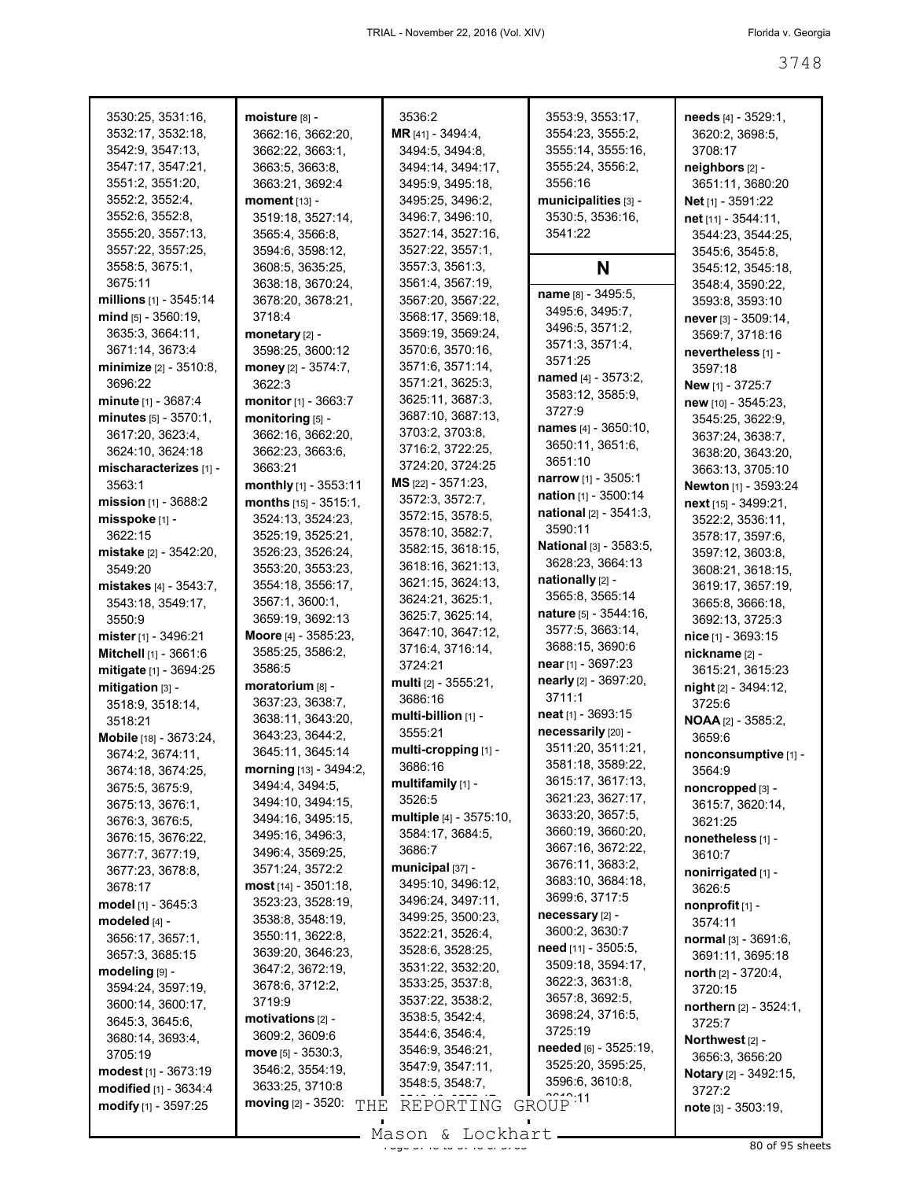| 3530:25, 3531:16,            | moisture [8] -                   | 3536:2                  | 3553:9, 3553:17,               | needs [4] - 3529:1,          |
|------------------------------|----------------------------------|-------------------------|--------------------------------|------------------------------|
| 3532:17, 3532:18,            | 3662:16, 3662:20,                | MR [41] - 3494:4,       | 3554:23, 3555:2,               | 3620:2, 3698:5,              |
| 3542:9, 3547:13,             | 3662:22, 3663:1,                 | 3494:5, 3494:8,         | 3555:14, 3555:16,              | 3708:17                      |
| 3547:17, 3547:21,            | 3663:5, 3663:8,                  | 3494:14, 3494:17,       | 3555:24, 3556:2,               |                              |
|                              |                                  |                         |                                | neighbors [2] -              |
| 3551:2, 3551:20,             | 3663:21, 3692:4                  | 3495:9, 3495:18,        | 3556:16                        | 3651:11, 3680:20             |
| 3552:2, 3552:4,              | moment [13] -                    | 3495:25, 3496:2,        | municipalities [3] -           | Net <sub>[1]</sub> - 3591:22 |
| 3552:6, 3552:8,              | 3519:18, 3527:14,                | 3496:7, 3496:10,        | 3530:5, 3536:16,               | net [11] - 3544:11,          |
| 3555:20, 3557:13,            | 3565:4, 3566:8,                  | 3527:14, 3527:16,       | 3541:22                        | 3544:23, 3544:25,            |
| 3557:22, 3557:25,            | 3594:6, 3598:12,                 | 3527:22, 3557:1,        |                                | 3545:6, 3545:8,              |
| 3558:5, 3675:1,              | 3608:5, 3635:25,                 | 3557:3, 3561:3,         | N                              | 3545:12, 3545:18,            |
| 3675:11                      | 3638:18, 3670:24,                | 3561:4, 3567:19,        |                                | 3548:4, 3590:22,             |
| millions [1] - 3545:14       | 3678:20, 3678:21,                | 3567:20, 3567:22,       | name [8] - 3495:5,             | 3593:8, 3593:10              |
|                              |                                  |                         | 3495:6, 3495:7,                |                              |
| mind [5] - 3560:19,          | 3718:4                           | 3568:17, 3569:18,       | 3496:5, 3571:2,                | never [3] - 3509:14,         |
| 3635:3, 3664:11,             | monetary [2] -                   | 3569:19, 3569:24,       | 3571:3, 3571:4,                | 3569:7, 3718:16              |
| 3671:14, 3673:4              | 3598:25, 3600:12                 | 3570:6, 3570:16,        | 3571:25                        | nevertheless [1] -           |
| minimize [2] - 3510:8,       | money [2] - 3574:7,              | 3571:6, 3571:14,        |                                | 3597:18                      |
| 3696:22                      | 3622:3                           | 3571:21, 3625:3,        | named [4] - 3573:2,            | New [1] - 3725:7             |
| <b>minute</b> $[1] - 3687:4$ | monitor [1] - 3663:7             | 3625:11, 3687:3,        | 3583:12, 3585:9,               | new [10] - 3545:23,          |
| $minutes_{[5]} - 3570:1,$    | monitoring [5] -                 | 3687:10, 3687:13,       | 3727:9                         | 3545:25, 3622:9,             |
| 3617:20, 3623:4,             |                                  | 3703:2, 3703:8,         | names [4] - 3650:10,           |                              |
|                              | 3662:16, 3662:20,                | 3716:2, 3722:25,        | 3650:11, 3651:6,               | 3637:24, 3638:7,             |
| 3624:10, 3624:18             | 3662:23, 3663:6,                 |                         | 3651:10                        | 3638:20, 3643:20,            |
| mischaracterizes [1] -       | 3663:21                          | 3724:20, 3724:25        | <b>narrow</b> [1] - $3505:1$   | 3663:13, 3705:10             |
| 3563:1                       | monthly [1] - 3553:11            | MS [22] - 3571:23,      |                                | Newton [1] - 3593:24         |
| mission $[1]$ - 3688:2       | months [15] - 3515:1,            | 3572:3, 3572:7,         | nation [1] - 3500:14           | next [15] - 3499:21,         |
| misspoke [1] -               | 3524:13, 3524:23,                | 3572:15, 3578:5,        | <b>national</b> $[2] - 3541:3$ | 3522:2, 3536:11,             |
| 3622:15                      | 3525:19, 3525:21,                | 3578:10, 3582:7,        | 3590:11                        | 3578:17, 3597:6,             |
| mistake [2] - 3542:20,       | 3526:23, 3526:24,                | 3582:15, 3618:15,       | <b>National</b> [3] - 3583:5,  | 3597:12, 3603:8,             |
|                              |                                  | 3618:16, 3621:13,       | 3628:23, 3664:13               |                              |
| 3549:20                      | 3553:20, 3553:23,                | 3621:15, 3624:13,       | nationally [2] -               | 3608:21, 3618:15,            |
| mistakes [4] - 3543:7,       | 3554:18, 3556:17,                |                         | 3565:8, 3565:14                | 3619:17, 3657:19,            |
| 3543:18, 3549:17,            | 3567:1, 3600:1,                  | 3624:21, 3625:1,        | nature [5] - 3544:16,          | 3665:8, 3666:18,             |
| 3550:9                       | 3659:19, 3692:13                 | 3625:7, 3625:14,        |                                | 3692:13, 3725:3              |
| mister $[1] - 3496:21$       | Moore [4] - 3585:23,             | 3647:10, 3647:12,       | 3577:5, 3663:14,               | $nice$ [1] - 3693:15         |
| Mitchell [1] - 3661:6        | 3585:25, 3586:2,                 | 3716:4, 3716:14,        | 3688:15, 3690:6                | nickname [2] -               |
| mitigate [1] - 3694:25       | 3586:5                           | 3724:21                 | near $[1] - 3697:23$           | 3615:21, 3615:23             |
| mitigation [3] -             | moratorium [8] -                 | multi [2] - 3555:21,    | nearly [2] - 3697:20,          | night [2] - 3494:12,         |
|                              | 3637:23, 3638:7,                 | 3686:16                 | 3711:1                         | 3725:6                       |
| 3518:9, 3518:14,             |                                  | multi-billion [1] -     | neat [1] - 3693:15             |                              |
| 3518:21                      | 3638:11, 3643:20,                | 3555:21                 | necessarily [20] -             | <b>NOAA</b> [2] - 3585:2,    |
| Mobile [18] - 3673:24,       | 3643:23, 3644:2,                 |                         | 3511:20, 3511:21,              | 3659:6                       |
| 3674:2, 3674:11,             | 3645:11, 3645:14                 | multi-cropping [1] -    |                                | nonconsumptive [1] -         |
| 3674:18, 3674:25,            | morning [13] - 3494:2,           | 3686:16                 | 3581:18, 3589:22,              | 3564:9                       |
| 3675:5, 3675:9,              | 3494:4, 3494:5,                  | multifamily $[1]$ -     | 3615:17, 3617:13,              | noncropped [3] -             |
| 3675:13, 3676:1,             | 3494:10, 3494:15,                | 3526:5                  | 3621:23, 3627:17,              | 3615:7, 3620:14,             |
| 3676:3, 3676:5,              | 3494:16, 3495:15,                | multiple [4] - 3575:10, | 3633:20, 3657:5,               | 3621:25                      |
| 3676:15, 3676:22,            | 3495:16, 3496:3,                 | 3584:17, 3684:5,        | 3660:19, 3660:20,              | nonetheless [1] -            |
|                              | 3496:4, 3569:25,                 | 3686:7                  | 3667:16, 3672:22,              |                              |
| 3677:7, 3677:19,             |                                  | municipal [37] -        | 3676:11, 3683:2,               | 3610:7                       |
| 3677:23, 3678:8,             | 3571:24, 3572:2                  | 3495:10, 3496:12,       | 3683:10, 3684:18,              | nonirrigated [1] -           |
| 3678:17                      | $most$ [14] - 3501:18,           |                         | 3699:6, 3717:5                 | 3626:5                       |
| model [1] - 3645:3           | 3523:23, 3528:19,                | 3496:24, 3497:11,       |                                | nonprofit $[1]$ -            |
| modeled [4] -                | 3538:8, 3548:19,                 | 3499:25, 3500:23,       | necessary [2] -                | 3574:11                      |
| 3656:17, 3657:1,             | 3550:11, 3622:8,                 | 3522:21, 3526:4,        | 3600:2, 3630:7                 | normal $[3] - 3691:6$ ,      |
| 3657:3, 3685:15              | 3639:20, 3646:23,                | 3528:6, 3528:25,        | <b>need</b> [11] - $3505:5$    | 3691:11, 3695:18             |
| modeling [9] -               | 3647:2, 3672:19,                 | 3531:22, 3532:20,       | 3509:18, 3594:17,              | north $[2] - 3720:4$ ,       |
| 3594:24, 3597:19,            | 3678:6, 3712:2,                  | 3533:25, 3537:8,        | 3622:3, 3631:8,                | 3720:15                      |
|                              | 3719:9                           | 3537:22, 3538:2,        | 3657:8, 3692:5,                |                              |
| 3600:14, 3600:17,            |                                  | 3538:5, 3542:4,         | 3698:24, 3716:5,               | northern [2] - 3524:1,       |
| 3645:3, 3645:6,              | motivations $[2]$ -              | 3544:6, 3546:4,         | 3725:19                        | 3725.7                       |
| 3680:14, 3693:4,             | 3609:2, 3609:6                   |                         | needed [6] - 3525:19,          | Northwest [2] -              |
| 3705:19                      | move $[5]$ - 3530:3,             | 3546:9, 3546:21,        |                                | 3656:3, 3656:20              |
| modest [1] - 3673:19         | 3546:2, 3554:19,                 | 3547:9, 3547:11,        | 3525:20, 3595:25,              | Notary [2] - 3492:15,        |
| modified [1] - 3634:4        | 3633:25, 3710:8                  | 3548:5, 3548:7,         | 3596:6, 3610:8,                | 3727:2                       |
| modify [1] - 3597:25         | <b>moving</b> [2] - 3520:<br>THE | REPORTING               | $\frac{222}{110}$ 11<br>GROUP  | $note$ [3] - 3503:19,        |
|                              |                                  |                         |                                |                              |
|                              |                                  |                         |                                |                              |

 $\frac{200011}{x}$   $\frac{20001122}{x}$  of 95 sheets Mason & Lockhart.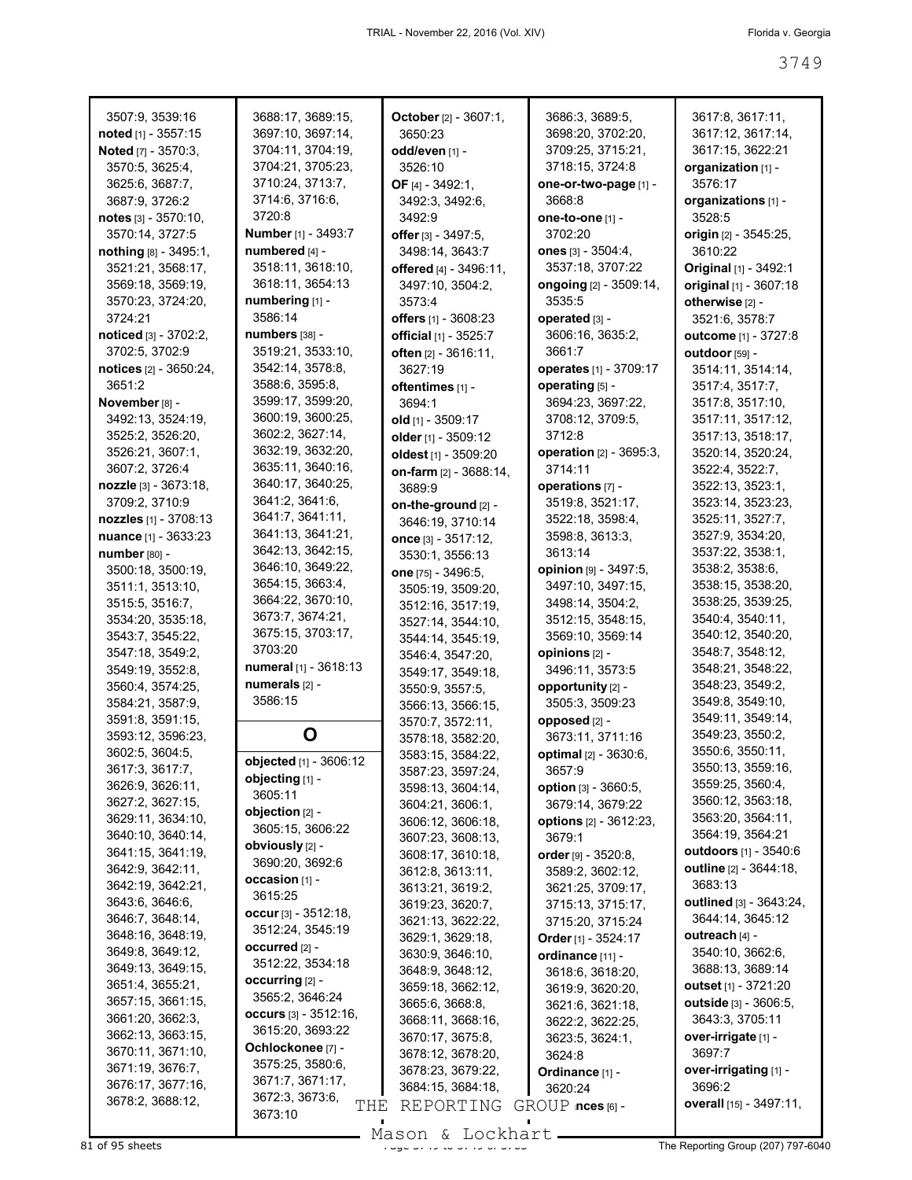| 3507:9, 3539:16               | 3688:17, 3689:15,          | October [2] - 3607:1,  | 3686:3, 3689:5,               | 3617:8, 3617:11,               |
|-------------------------------|----------------------------|------------------------|-------------------------------|--------------------------------|
| noted [1] - 3557:15           | 3697:10, 3697:14,          | 3650:23                | 3698:20, 3702:20,             | 3617:12, 3617:14,              |
| Noted [7] - 3570:3,           | 3704:11, 3704:19,          | odd/even [1] -         | 3709:25, 3715:21,             | 3617:15, 3622:21               |
| 3570:5, 3625:4,               | 3704:21, 3705:23,          | 3526:10                | 3718:15, 3724:8               | organization [1] -             |
| 3625:6, 3687:7,               | 3710:24, 3713:7,           | OF [4] - 3492:1,       | one-or-two-page [1] -         | 3576:17                        |
| 3687:9, 3726:2                | 3714:6, 3716:6,            | 3492:3, 3492:6,        | 3668:8                        | organizations [1] -            |
|                               | 3720:8                     | 3492:9                 | one-to-one [1] -              | 3528:5                         |
| notes $[3] - 3570:10$ ,       |                            |                        |                               |                                |
| 3570:14, 3727:5               | Number [1] - 3493:7        | offer [3] - 3497:5,    | 3702:20                       | origin [2] - 3545:25,          |
| $notning [8] - 3495:1,$       | numbered [4] -             | 3498:14, 3643:7        | ones $[3] - 3504:4,$          | 3610:22                        |
| 3521:21, 3568:17,             | 3518:11, 3618:10,          | offered [4] - 3496:11, | 3537:18, 3707:22              | Original [1] - 3492:1          |
| 3569:18, 3569:19,             | 3618:11, 3654:13           | 3497:10, 3504:2,       | ongoing [2] - 3509:14,        | original [1] - 3607:18         |
| 3570:23, 3724:20,             | numbering [1] -            | 3573:4                 | 3535:5                        | otherwise [2] -                |
| 3724:21                       | 3586:14                    | offers $[1] - 3608:23$ | operated [3] -                | 3521:6, 3578:7                 |
| noticed [3] - 3702:2,         | numbers [38] -             | official [1] - 3525:7  | 3606:16, 3635:2,              | outcome [1] - 3727:8           |
| 3702:5, 3702:9                | 3519:21, 3533:10,          | often [2] - 3616:11,   | 3661:7                        | outdoor [59] -                 |
| <b>notices</b> [2] - 3650:24, | 3542:14, 3578:8,           | 3627:19                | operates [1] - 3709:17        | 3514:11, 3514:14,              |
| 3651:2                        | 3588:6, 3595:8,            | oftentimes [1] -       | operating [5] -               | 3517:4, 3517:7,                |
| November [8] -                | 3599:17, 3599:20,          | 3694:1                 | 3694:23, 3697:22,             | 3517:8, 3517:10,               |
| 3492:13, 3524:19,             | 3600:19, 3600:25,          |                        |                               |                                |
|                               | 3602:2, 3627:14,           | old [1] - 3509:17      | 3708:12, 3709:5,              | 3517:11, 3517:12,              |
| 3525:2, 3526:20,              |                            | older [1] - 3509:12    | 3712:8                        | 3517:13, 3518:17,              |
| 3526:21, 3607:1,              | 3632:19, 3632:20,          | oldest [1] - 3509:20   | operation [2] - 3695:3,       | 3520:14, 3520:24,              |
| 3607:2, 3726:4                | 3635:11, 3640:16,          | on-farm [2] - 3688:14, | 3714:11                       | 3522:4, 3522:7,                |
| nozzle [3] - 3673:18,         | 3640:17, 3640:25,          | 3689:9                 | operations [7] -              | 3522:13, 3523:1,               |
| 3709:2, 3710:9                | 3641:2, 3641:6,            | on-the-ground [2] -    | 3519:8, 3521:17,              | 3523:14, 3523:23,              |
| nozzles [1] - 3708:13         | 3641:7, 3641:11,           | 3646:19, 3710:14       | 3522:18, 3598:4,              | 3525:11, 3527:7,               |
| nuance [1] - 3633:23          | 3641:13, 3641:21,          | once [3] - 3517:12,    | 3598:8, 3613:3,               | 3527:9, 3534:20,               |
| number [80] -                 | 3642:13, 3642:15,          | 3530:1, 3556:13        | 3613:14                       | 3537:22, 3538:1,               |
| 3500:18, 3500:19,             | 3646:10, 3649:22,          | one [75] - 3496:5,     | opinion [9] - 3497:5,         | 3538:2, 3538:6,                |
| 3511:1, 3513:10,              | 3654:15, 3663:4,           | 3505:19, 3509:20,      | 3497:10, 3497:15,             | 3538:15, 3538:20,              |
| 3515:5, 3516:7,               | 3664:22, 3670:10,          | 3512:16, 3517:19,      | 3498:14, 3504:2,              | 3538:25, 3539:25,              |
| 3534:20, 3535:18,             | 3673:7, 3674:21,           |                        | 3512:15, 3548:15,             | 3540:4, 3540:11,               |
| 3543:7, 3545:22,              | 3675:15, 3703:17,          | 3527:14, 3544:10,      | 3569:10, 3569:14              | 3540:12, 3540:20,              |
|                               | 3703:20                    | 3544:14, 3545:19,      |                               | 3548:7, 3548:12,               |
| 3547:18, 3549:2,              | numeral [1] - 3618:13      | 3546:4, 3547:20,       | opinions [2] -                | 3548:21, 3548:22,              |
| 3549:19, 3552:8,              | numerals [2] -             | 3549:17, 3549:18,      | 3496:11, 3573:5               |                                |
| 3560:4, 3574:25,              |                            | 3550:9, 3557:5,        | opportunity [2] -             | 3548:23, 3549:2,               |
| 3584:21, 3587:9,              | 3586:15                    | 3566:13, 3566:15,      | 3505:3, 3509:23               | 3549:8, 3549:10,               |
| 3591:8, 3591:15,              |                            | 3570:7, 3572:11,       | opposed [2] -                 | 3549:11, 3549:14,              |
| 3593:12, 3596:23,             | O                          | 3578:18, 3582:20,      | 3673:11, 3711:16              | 3549:23, 3550:2,               |
| 3602:5, 3604:5,               | objected [1] - 3606:12     | 3583:15, 3584:22,      | <b>optimal</b> [2] - 3630:6,  | 3550:6, 3550:11,               |
| 3617:3, 3617:7,               |                            | 3587:23, 3597:24,      | 3657:9                        | 3550:13, 3559:16,              |
| 3626:9, 3626:11,              | objecting [1] -<br>3605:11 | 3598:13, 3604:14,      | option [3] - 3660:5,          | 3559:25, 3560:4,               |
| 3627:2, 3627:15,              |                            | 3604:21, 3606:1,       | 3679:14, 3679:22              | 3560:12, 3563:18,              |
| 3629:11, 3634:10,             | objection [2] -            | 3606:12, 3606:18,      | <b>options</b> [2] - 3612:23, | 3563:20, 3564:11,              |
| 3640:10, 3640:14,             | 3605:15, 3606:22           | 3607:23, 3608:13,      | 3679:1                        | 3564:19, 3564:21               |
| 3641:15, 3641:19,             | obviously [2] -            | 3608:17, 3610:18,      | order [9] - 3520:8,           | outdoors [1] - 3540:6          |
| 3642:9, 3642:11,              | 3690:20, 3692:6            | 3612:8, 3613:11,       | 3589:2, 3602:12,              | outline [2] - 3644:18,         |
| 3642:19, 3642:21,             | occasion [1] -             | 3613:21, 3619:2,       | 3621:25, 3709:17,             | 3683:13                        |
| 3643:6, 3646:6,               | 3615:25                    | 3619:23, 3620:7,       | 3715:13, 3715:17,             | <b>outlined</b> [3] - 3643:24, |
| 3646:7, 3648:14,              | occur $[3] - 3512:18$ ,    | 3621:13, 3622:22,      |                               | 3644:14, 3645:12               |
| 3648:16, 3648:19,             | 3512:24, 3545:19           |                        | 3715:20, 3715:24              | outreach $[4]$ -               |
| 3649:8, 3649:12,              | occurred [2] -             | 3629:1, 3629:18,       | Order [1] - $3524:17$         |                                |
|                               | 3512:22, 3534:18           | 3630:9, 3646:10,       | ordinance [11] -              | 3540:10, 3662:6,               |
| 3649:13, 3649:15,             | occurring $[2]$ -          | 3648:9, 3648:12,       | 3618:6, 3618:20,              | 3688:13, 3689:14               |
| 3651:4, 3655:21,              | 3565:2, 3646:24            | 3659:18, 3662:12,      | 3619:9, 3620:20,              | outset $[1] - 3721:20$         |
| 3657:15, 3661:15,             |                            | 3665:6, 3668:8,        | 3621:6, 3621:18,              | outside [3] - 3606:5,          |
| 3661:20, 3662:3,              | occurs $[3] - 3512:16$ ,   | 3668:11, 3668:16,      | 3622:2, 3622:25,              | 3643:3, 3705:11                |
| 3662:13, 3663:15,             | 3615:20, 3693:22           | 3670:17, 3675:8,       | 3623:5, 3624:1,               | over-irrigate [1] -            |
| 3670:11, 3671:10,             | Ochlockonee [7] -          | 3678:12, 3678:20,      | 3624:8                        | 3697:7                         |
| 3671:19, 3676:7,              | 3575:25, 3580:6,           | 3678:23, 3679:22,      | Ordinance [1] -               | over-irrigating [1] -          |
| 3676:17, 3677:16,             | 3671:7, 3671:17,           | 3684:15, 3684:18,      | 3620:24                       | 3696:2                         |
| 3678:2, 3688:12,              | 3672:3, 3673:6,<br>THE     | REPORTING              | $GROUP$ inces $[6]$ -         | overall [15] - 3497:11,        |
|                               | 3673:10                    |                        |                               |                                |

Mason & Lockhart

 $81$  of 95 sheets  $\frac{3749}{49}$  and  $\frac{3749}{49}$  of 3749 cm  $\frac{3749}{49}$  or  $\frac{3749}{49}$  or  $\frac{3749}{49}$  or  $\frac{3749}{49}$  or  $\frac{3749}{49}$  cm  $\frac{3749}{49}$  The Reporting Group (207) 797-6040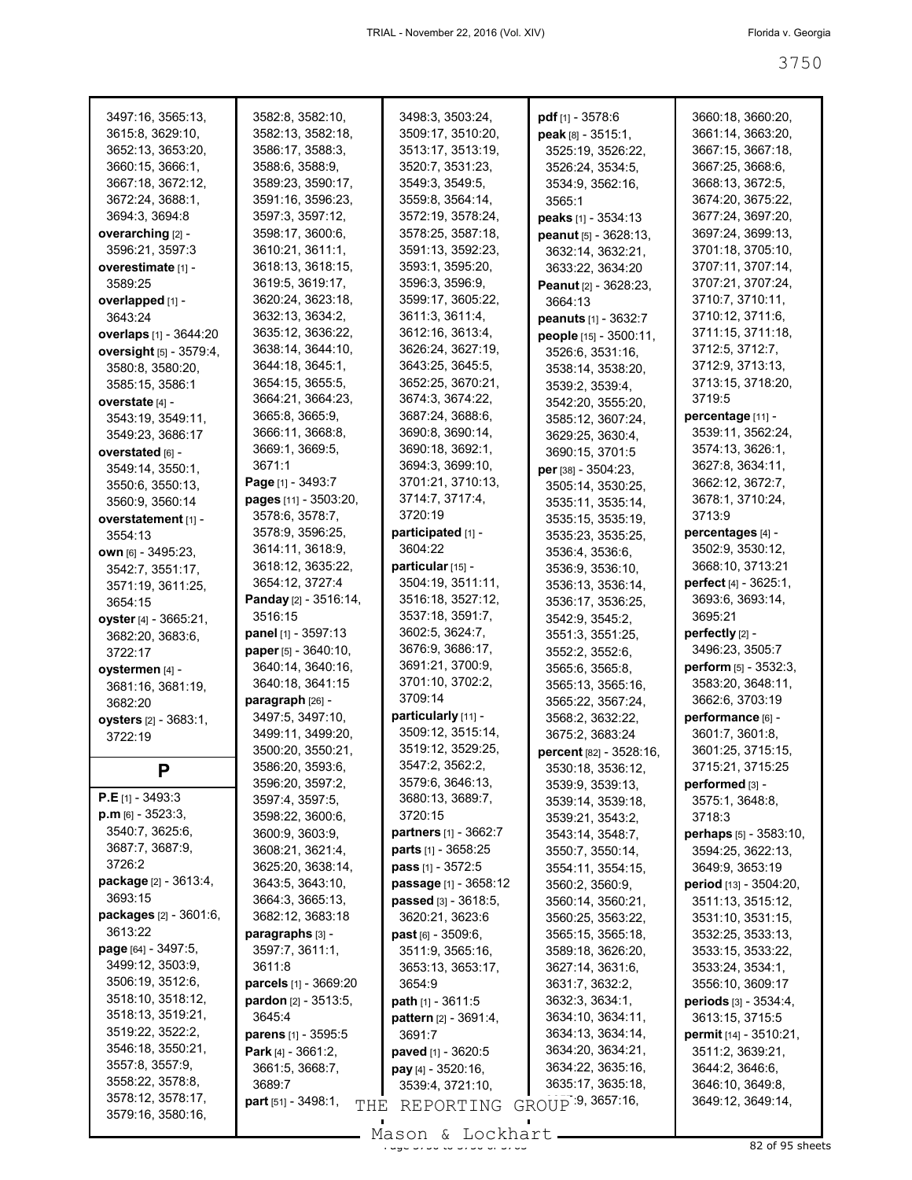| 3497:16, 3565:13,             | 3582:8, 3582:10,                      | 3498:3, 3503:24,               | pdf <sub>[1]</sub> - 3578:6    | 3660:18, 3660:20,                  |
|-------------------------------|---------------------------------------|--------------------------------|--------------------------------|------------------------------------|
| 3615:8, 3629:10,              | 3582:13, 3582:18,                     | 3509:17, 3510:20,              | <b>peak</b> թթ - 3515:1,       | 3661:14, 3663:20,                  |
| 3652:13, 3653:20,             | 3586:17, 3588:3,                      | 3513:17, 3513:19,              | 3525:19, 3526:22,              | 3667:15, 3667:18,                  |
| 3660:15, 3666:1,              | 3588:6, 3588:9,                       | 3520:7, 3531:23,               | 3526:24, 3534:5,               | 3667:25, 3668:6,                   |
| 3667:18, 3672:12,             | 3589:23, 3590:17,                     | 3549:3, 3549:5,                | 3534:9, 3562:16,               | 3668:13, 3672:5,                   |
| 3672:24, 3688:1,              | 3591:16, 3596:23,                     | 3559:8, 3564:14,               | 3565:1                         | 3674:20, 3675:22,                  |
| 3694:3, 3694:8                | 3597:3, 3597:12,                      | 3572:19, 3578:24,              | peaks [1] - 3534:13            | 3677:24, 3697:20,                  |
| overarching [2] -             | 3598:17, 3600:6,                      | 3578:25, 3587:18,              | peanut $[5] - 3628:13$ ,       | 3697:24, 3699:13,                  |
| 3596:21, 3597:3               | 3610:21, 3611:1,                      | 3591:13, 3592:23,              | 3632:14, 3632:21,              | 3701:18, 3705:10,                  |
| overestimate [1] -            | 3618:13, 3618:15,                     | 3593:1, 3595:20,               | 3633:22, 3634:20               | 3707:11, 3707:14,                  |
| 3589:25                       | 3619:5, 3619:17,                      | 3596:3, 3596:9,                | Peanut [2] - 3628:23,          | 3707:21, 3707:24,                  |
| overlapped [1] -              | 3620:24, 3623:18,                     | 3599:17, 3605:22,              | 3664:13                        | 3710:7, 3710:11,                   |
| 3643:24                       | 3632:13, 3634:2,                      | 3611:3, 3611:4,                | peanuts [1] - 3632:7           | 3710:12, 3711:6,                   |
| overlaps [1] - 3644:20        | 3635:12, 3636:22,                     | 3612:16, 3613:4,               | people [15] - 3500:11,         | 3711:15, 3711:18,                  |
| oversight [5] - 3579:4,       | 3638:14, 3644:10,                     | 3626:24, 3627:19,              | 3526:6, 3531:16,               | 3712:5, 3712:7,                    |
| 3580:8, 3580:20,              | 3644:18, 3645:1,                      | 3643:25, 3645:5,               | 3538:14, 3538:20,              | 3712:9, 3713:13,                   |
| 3585:15, 3586:1               | 3654:15, 3655:5,                      | 3652:25, 3670:21,              | 3539:2, 3539:4,                | 3713:15, 3718:20,                  |
| overstate [4] -               | 3664:21, 3664:23,                     | 3674:3, 3674:22,               | 3542:20, 3555:20,              | 3719:5                             |
| 3543:19, 3549:11,             | 3665:8, 3665:9,                       | 3687:24, 3688:6,               | 3585:12, 3607:24,              | percentage [11] -                  |
| 3549:23, 3686:17              | 3666:11, 3668:8,                      | 3690:8, 3690:14,               | 3629:25, 3630:4,               | 3539:11, 3562:24,                  |
| overstated [6] -              | 3669:1, 3669:5,                       | 3690:18, 3692:1,               | 3690:15, 3701:5                | 3574:13, 3626:1,                   |
| 3549:14, 3550:1,              | 3671:1                                | 3694:3, 3699:10,               | per [38] - 3504:23,            | 3627:8, 3634:11,                   |
| 3550:6, 3550:13,              | Page [1] - 3493:7                     | 3701:21, 3710:13,              | 3505:14, 3530:25,              | 3662:12, 3672:7,                   |
| 3560:9, 3560:14               | pages [11] - 3503:20,                 | 3714:7, 3717:4,                | 3535:11, 3535:14,              | 3678:1, 3710:24,                   |
| overstatement [1] -           | 3578:6, 3578:7,                       | 3720:19                        | 3535:15, 3535:19,              | 3713:9                             |
| 3554:13                       | 3578:9, 3596:25,                      | participated [1] -             | 3535:23, 3535:25,              | percentages [4] -                  |
|                               | 3614:11, 3618:9,                      | 3604:22                        | 3536:4, 3536:6,                | 3502:9, 3530:12,                   |
| own [6] - 3495:23,            | 3618:12, 3635:22,                     | particular [15] -              | 3536:9, 3536:10,               | 3668:10, 3713:21                   |
| 3542:7, 3551:17,              | 3654:12, 3727:4                       | 3504:19, 3511:11,              |                                | perfect [4] - 3625:1,              |
| 3571:19, 3611:25,             | Panday [2] - 3516:14,                 | 3516:18, 3527:12,              | 3536:13, 3536:14,              | 3693:6, 3693:14,                   |
| 3654:15                       | 3516:15                               | 3537:18, 3591:7,               | 3536:17, 3536:25,              | 3695:21                            |
| <b>oyster</b> [4] - 3665:21,  | panel [1] - 3597:13                   | 3602:5, 3624:7,                | 3542:9, 3545:2,                | perfectly $[2]$ -                  |
| 3682:20, 3683:6,              | paper [5] - 3640:10,                  | 3676:9, 3686:17,               | 3551:3, 3551:25,               | 3496:23, 3505:7                    |
| 3722:17                       | 3640:14, 3640:16,                     | 3691:21, 3700:9,               | 3552:2, 3552:6,                | perform [5] - 3532:3,              |
| oystermen [4] -               | 3640:18, 3641:15                      | 3701:10, 3702:2,               | 3565:6, 3565:8,                | 3583:20, 3648:11,                  |
| 3681:16, 3681:19,             | paragraph [26] -                      | 3709:14                        | 3565:13, 3565:16,              | 3662:6, 3703:19                    |
| 3682:20                       | 3497:5, 3497:10,                      | particularly [11] -            | 3565:22, 3567:24,              | performance [6] -                  |
| oysters [2] - 3683:1,         | 3499:11, 3499:20,                     | 3509:12, 3515:14,              | 3568:2, 3632:22,               | 3601:7, 3601:8,                    |
| 3722:19                       | 3500:20, 3550:21,                     | 3519:12, 3529:25,              | 3675:2, 3683:24                | 3601:25, 3715:15,                  |
|                               | 3586:20, 3593:6,                      | 3547:2, 3562:2,                | <b>percent</b> [82] - 3528:16, | 3715:21, 3715:25                   |
| P                             | 3596:20, 3597:2,                      | 3579:6, 3646:13,               | 3530:18, 3536:12,              |                                    |
| <b>P.E</b> [1] - 3493:3       | 3597:4, 3597:5,                       | 3680:13, 3689:7,               | 3539:9, 3539:13,               | performed [3] -<br>3575:1, 3648:8, |
| $p.m$ [6] - 3523:3,           | 3598:22, 3600:6,                      | 3720:15                        | 3539:14, 3539:18,              |                                    |
| 3540:7, 3625:6,               | 3600:9, 3603:9,                       | <b>partners</b> $[1] - 3662:7$ | 3539:21, 3543:2,               | 3718:3                             |
| 3687:7, 3687:9,               | 3608:21, 3621:4,                      | <b>parts</b> $[1]$ - 3658:25   | 3543:14, 3548:7,               | perhaps [5] - 3583:10,             |
| 3726:2                        |                                       |                                | 3550:7, 3550:14,               | 3594:25, 3622:13,                  |
| package [2] - 3613:4,         | 3625:20, 3638:14,<br>3643:5, 3643:10, | <b>pass</b> $[1] - 3572:5$     | 3554:11, 3554:15,              | 3649:9, 3653:19                    |
| 3693:15                       |                                       | <b>passage</b> [1] - 3658:12   | 3560:2, 3560:9,                | <b>period</b> [13] - 3504:20,      |
| packages [2] - 3601:6,        | 3664:3, 3665:13,<br>3682:12, 3683:18  | passed [3] - 3618:5.           | 3560:14, 3560:21,              | 3511:13, 3515:12,                  |
| 3613:22                       |                                       | 3620:21, 3623:6                | 3560:25, 3563:22,              | 3531:10, 3531:15,                  |
|                               | paragraphs [3] -                      | past [6] - 3509:6,             | 3565:15, 3565:18,              | 3532:25, 3533:13,                  |
| <b>page</b> $[64] - 3497:5$ , | 3597:7, 3611:1,                       | 3511:9, 3565:16,               | 3589:18, 3626:20,              | 3533:15, 3533:22,                  |
| 3499:12, 3503:9,              | 3611:8                                | 3653:13, 3653:17,              | 3627:14, 3631:6,               | 3533:24, 3534:1,                   |
| 3506:19, 3512:6,              | parcels [1] - 3669:20                 | 3654:9                         | 3631:7, 3632:2,                | 3556:10, 3609:17                   |
| 3518:10, 3518:12,             | <b>pardon</b> $[2] - 3513:5$          | <b>path</b> $[1] - 3611:5$     | 3632:3, 3634:1,                | periods [3] - 3534:4,              |
| 3518:13, 3519:21,             | 3645:4                                | pattern [2] - 3691:4,          | 3634:10, 3634:11,              | 3613:15, 3715:5                    |
| 3519:22, 3522:2,              | <b>parens</b> [1] - 3595:5            | 3691:7                         | 3634:13, 3634:14,              | permit [14] - 3510:21,             |
| 3546:18, 3550:21,             | Park [4] - 3661:2,                    | paved [1] - 3620:5             | 3634:20, 3634:21,              | 3511:2, 3639:21,                   |
| 3557:8, 3557:9,               | 3661:5, 3668:7,                       | pay [4] - 3520:16,             | 3634:22, 3635:16,              | 3644:2, 3646:6,                    |
| 3558:22, 3578:8,              | 3689:7                                | 3539:4, 3721:10,               | 3635:17, 3635:18,              | 3646:10, 3649:8,                   |
| 3578:12, 3578:17,             | <b>part</b> [51] - $3498:1$ ,<br>THE  | REPORTING                      | GROUP 9, 3657:16,              | 3649:12, 3649:14,                  |
| 3579:16, 3580:16,             |                                       |                                |                                |                                    |

 $\frac{200011}{x}$  and  $\frac{200111}{x}$  of  $\frac{200011}{x}$  of 3763 sheets Mason & Lockhart.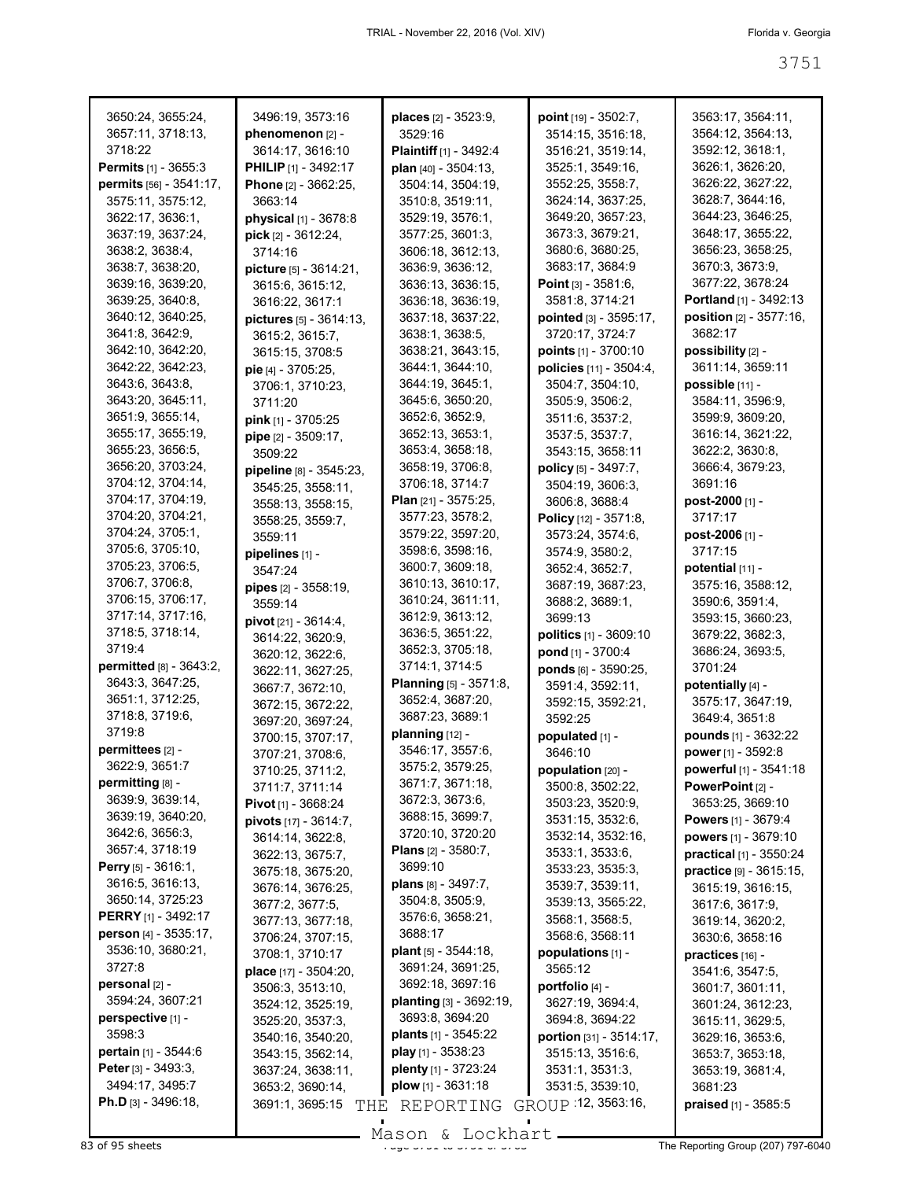| 3650:24, 3655:24,             | 3496:19, 3573:16                       | places [2] - 3523:9,           | point [19] - 3502:7,          | 3563:17, 3564:11,             |
|-------------------------------|----------------------------------------|--------------------------------|-------------------------------|-------------------------------|
| 3657:11, 3718:13,             | phenomenon [2] -                       | 3529:16                        | 3514:15, 3516:18,             | 3564:12, 3564:13,             |
| 3718:22                       | 3614:17, 3616:10                       | Plaintiff [1] - 3492:4         | 3516:21, 3519:14,             | 3592:12, 3618:1,              |
| <b>Permits</b> [1] - 3655:3   | <b>PHILIP</b> <sub>[1]</sub> - 3492:17 | plan [40] - 3504:13,           | 3525:1, 3549:16,              | 3626:1, 3626:20,              |
| permits [56] - 3541:17,       | Phone [2] - 3662:25,                   | 3504:14, 3504:19,              | 3552:25, 3558:7,              | 3626:22, 3627:22,             |
| 3575:11, 3575:12,             | 3663:14                                | 3510:8, 3519:11,               | 3624:14, 3637:25,             | 3628:7, 3644:16,              |
| 3622:17, 3636:1,              |                                        |                                | 3649:20, 3657:23,             | 3644:23, 3646:25,             |
|                               | physical [1] - 3678:8                  | 3529:19, 3576:1,               |                               | 3648:17, 3655:22,             |
| 3637:19, 3637:24,             | $pick$ [2] - 3612:24,                  | 3577:25, 3601:3,               | 3673:3, 3679:21,              |                               |
| 3638:2, 3638:4,               | 3714:16                                | 3606:18, 3612:13,              | 3680:6, 3680:25,              | 3656:23, 3658:25.             |
| 3638:7, 3638:20,              | picture [5] - 3614:21,                 | 3636:9, 3636:12,               | 3683:17, 3684:9               | 3670:3, 3673:9,               |
| 3639:16, 3639:20,             | 3615:6, 3615:12,                       | 3636:13, 3636:15,              | <b>Point</b> $[3] - 3581:6$ , | 3677:22, 3678:24              |
| 3639:25, 3640:8,              | 3616:22, 3617:1                        | 3636:18, 3636:19,              | 3581:8, 3714:21               | Portland [1] - 3492:13        |
| 3640:12, 3640:25,             | pictures [5] - 3614:13,                | 3637:18, 3637:22,              | pointed [3] - 3595:17,        | position [2] - 3577:16,       |
| 3641:8, 3642:9,               | 3615:2, 3615:7,                        | 3638:1, 3638:5,                | 3720:17, 3724:7               | 3682:17                       |
| 3642:10, 3642:20,             | 3615:15, 3708:5                        | 3638:21, 3643:15,              | points $[1] - 3700.10$        | possibility [2] -             |
| 3642:22, 3642:23,             | pie [4] - 3705:25,                     | 3644:1, 3644:10,               | policies [11] - 3504:4,       | 3611:14, 3659:11              |
| 3643:6, 3643:8,               | 3706:1, 3710:23,                       | 3644:19, 3645:1,               | 3504:7, 3504:10,              | possible [11] -               |
| 3643:20, 3645:11,             | 3711:20                                | 3645:6, 3650:20,               | 3505:9, 3506:2,               | 3584:11, 3596:9,              |
| 3651:9, 3655:14,              | pink [1] - 3705:25                     | 3652:6, 3652:9,                | 3511:6, 3537:2,               | 3599:9, 3609:20,              |
| 3655:17, 3655:19,             | pipe [2] - 3509:17,                    | 3652:13, 3653:1,               | 3537:5, 3537:7,               | 3616:14, 3621:22,             |
| 3655:23, 3656:5,              | 3509:22                                | 3653:4, 3658:18,               | 3543:15, 3658:11              | 3622:2, 3630:8,               |
| 3656:20, 3703:24,             |                                        | 3658:19, 3706:8,               | policy [5] - 3497:7,          | 3666:4, 3679:23,              |
| 3704:12, 3704:14,             | pipeline [8] - 3545:23,                | 3706:18, 3714:7                | 3504:19, 3606:3,              | 3691:16                       |
| 3704:17, 3704:19,             | 3545:25, 3558:11,                      | <b>Plan</b> $[21] - 3575:25$   |                               | post-2000 [1] -               |
| 3704:20, 3704:21,             | 3558:13, 3558:15,                      | 3577:23, 3578:2,               | 3606:8, 3688:4                | 3717:17                       |
| 3704:24, 3705:1,              | 3558:25, 3559:7,                       |                                | Policy [12] - 3571:8,         |                               |
| 3705:6, 3705:10,              | 3559:11                                | 3579:22, 3597:20,              | 3573:24, 3574:6,              | post-2006 [1] -               |
|                               | pipelines [1] -                        | 3598:6, 3598:16,               | 3574:9, 3580:2,               | 3717:15                       |
| 3705:23, 3706:5,              | 3547:24                                | 3600:7, 3609:18,               | 3652:4, 3652:7,               | potential $[11]$ -            |
| 3706:7, 3706:8,               | <b>pipes</b> $[2] - 3558:19$ ,         | 3610:13, 3610:17,              | 3687:19, 3687:23,             | 3575:16, 3588:12,             |
| 3706:15, 3706:17,             | 3559:14                                | 3610:24, 3611:11,              | 3688:2, 3689:1,               | 3590:6, 3591:4,               |
| 3717:14, 3717:16,             | <b>pivot</b> $[21] - 3614:4$ ,         | 3612:9, 3613:12,               | 3699:13                       | 3593:15, 3660:23,             |
| 3718:5, 3718:14,              | 3614:22, 3620:9,                       | 3636:5, 3651:22,               | politics [1] - 3609:10        | 3679:22, 3682:3,              |
| 3719:4                        | 3620:12, 3622:6,                       | 3652:3, 3705:18,               | pond [1] - 3700:4             | 3686:24, 3693:5,              |
| permitted [8] - 3643:2,       | 3622:11, 3627:25,                      | 3714:1, 3714:5                 | ponds [6] - 3590:25,          | 3701:24                       |
| 3643:3, 3647:25,              | 3667:7, 3672:10,                       | Planning [5] - 3571:8,         | 3591:4, 3592:11,              | potentially [4] -             |
| 3651:1, 3712:25,              | 3672:15, 3672:22,                      | 3652:4, 3687:20,               | 3592:15, 3592:21,             | 3575:17, 3647:19,             |
| 3718:8, 3719:6,               | 3697:20, 3697:24,                      | 3687:23, 3689:1                | 3592:25                       | 3649:4, 3651:8                |
| 3719:8                        | 3700:15, 3707:17,                      | planning $[12]$ -              | populated [1] -               | pounds [1] - 3632:22          |
| permittees [2] -              | 3707:21, 3708:6,                       | 3546:17, 3557:6,               | 3646:10                       | power [1] - 3592:8            |
| 3622:9, 3651:7                | 3710:25, 3711:2,                       | 3575:2, 3579:25,               | population $[20]$ -           | <b>powerful</b> [1] - 3541:18 |
| permitting [8] -              | 3711:7, 3711:14                        | 3671:7, 3671:18,               | 3500:8, 3502:22,              | PowerPoint [2] -              |
| 3639:9, 3639:14,              | <b>Pivot</b> $[1]$ - 3668:24           | 3672:3, 3673:6,                | 3503:23, 3520:9,              | 3653:25, 3669:10              |
| 3639:19, 3640:20,             |                                        | 3688:15, 3699:7,               | 3531:15, 3532:6,              |                               |
| 3642:6, 3656:3,               | pivots [17] - 3614:7,                  | 3720:10, 3720:20               | 3532:14, 3532:16,             | <b>Powers</b> $[1] - 3679:4$  |
| 3657:4, 3718:19               | 3614:14, 3622:8,                       | <b>Plans</b> $[2] - 3580:7$ ,  |                               | powers [1] - 3679:10          |
| <b>Perry</b> $[5] - 3616:1$ , | 3622:13, 3675:7,                       | 3699:10                        | 3533:1, 3533:6,               | practical [1] - 3550:24       |
| 3616:5, 3616:13,              | 3675:18, 3675:20,                      |                                | 3533:23, 3535:3,              | practice [9] - 3615:15,       |
| 3650:14, 3725:23              | 3676:14, 3676:25,                      | <b>plans</b> $[8] - 3497:7$ ,  | 3539:7, 3539:11,              | 3615:19, 3616:15,             |
|                               | 3677:2, 3677:5,                        | 3504:8, 3505:9,                | 3539:13, 3565:22,             | 3617:6, 3617:9,               |
| <b>PERRY</b> [1] - 3492:17    | 3677:13, 3677:18,                      | 3576:6, 3658:21,               | 3568:1, 3568:5,               | 3619:14, 3620:2,              |
| person [4] - 3535:17,         | 3706:24, 3707:15,                      | 3688:17                        | 3568:6, 3568:11               | 3630:6, 3658:16               |
| 3536:10, 3680:21,             | 3708:1, 3710:17                        | <b>plant</b> $[5] - 3544:18$ , | populations [1] -             | practices [16] -              |
| 3727:8                        | place [17] - 3504:20,                  | 3691:24, 3691:25,              | 3565:12                       | 3541:6, 3547:5,               |
| personal [2] -                | 3506:3, 3513:10,                       | 3692:18, 3697:16               | portfolio [4] -               | 3601:7, 3601:11,              |
| 3594:24, 3607:21              | 3524:12, 3525:19,                      | planting $[3] - 3692:19$ ,     | 3627:19, 3694:4,              | 3601:24, 3612:23,             |
| perspective [1] -             | 3525:20, 3537:3,                       | 3693:8, 3694:20                | 3694:8, 3694:22               | 3615:11, 3629:5,              |
| 3598:3                        | 3540:16, 3540:20,                      | <b>plants</b> $[1]$ - 3545:22  | portion [31] - 3514:17,       | 3629:16, 3653:6,              |
| <b>pertain</b> $[1] - 3544:6$ | 3543:15, 3562:14,                      | <b>play</b> [1] - $3538:23$    | 3515:13, 3516:6,              | 3653:7, 3653:18,              |
| <b>Peter</b> [3] - $3493:3$ , | 3637:24, 3638:11,                      | plenty [1] - 3723:24           | 3531:1, 3531:3,               | 3653:19, 3681:4,              |
| 3494:17, 3495:7               | 3653:2, 3690:14,                       | $plow$ [1] - 3631:18           | 3531:5, 3539:10,              | 3681:23                       |
| <b>Ph.D</b> [3] - 3496:18,    | 3691:1, 3695:15<br>THE                 | REPORTING                      | GROUP : 12, 3563:16,          | praised [1] - 3585:5          |
|                               |                                        |                                |                               |                               |

83 of 95 sheets **Page 3751 of 3751 to 3751 of 3763 The Reporting Group (207) 797-6040** Mason & Lockhart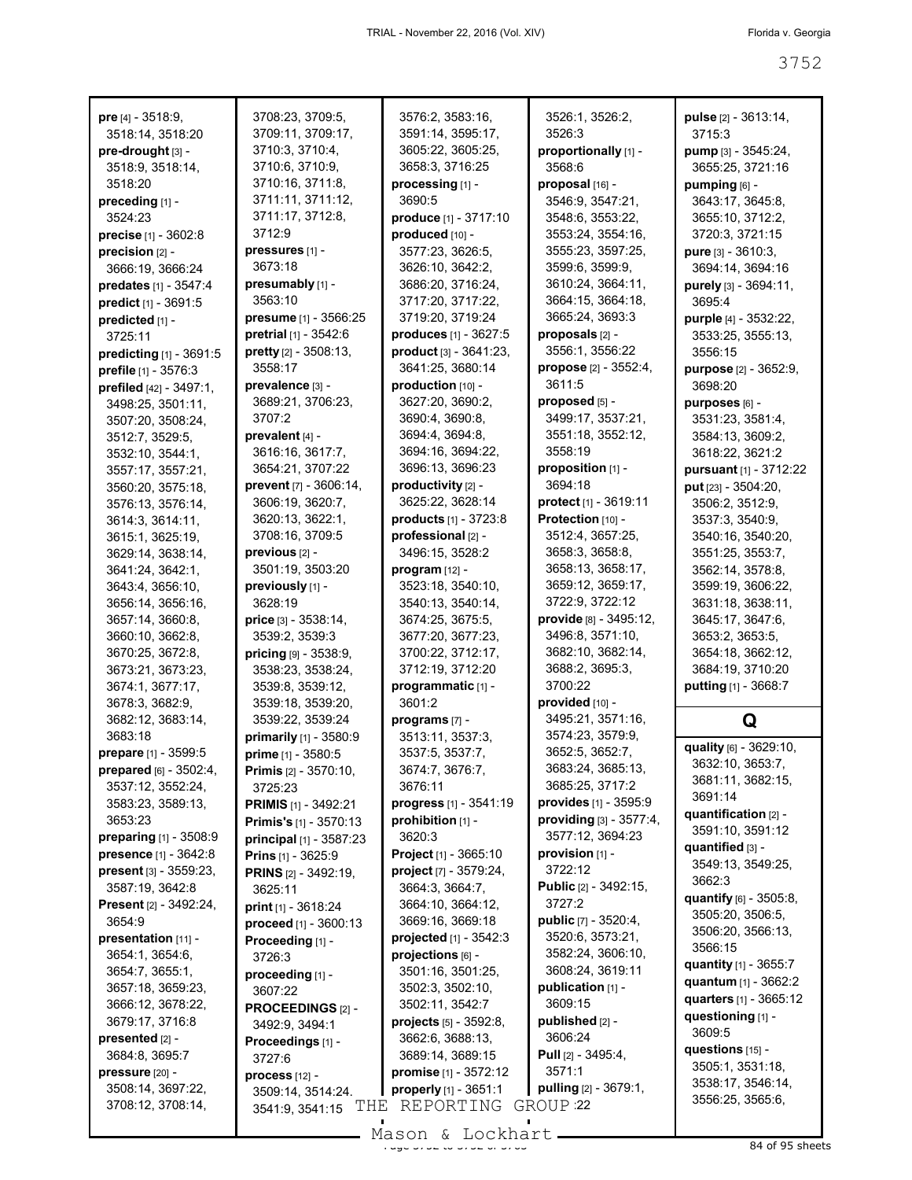| <b>pre</b> [4] $-3518.9$ ,      | 3708:23, 3709:5,              | 3576:2, 3583:16,                | 3526:1, 3526:2,                | pulse [2] - 3613:14,         |
|---------------------------------|-------------------------------|---------------------------------|--------------------------------|------------------------------|
| 3518:14, 3518:20                | 3709:11, 3709:17,             | 3591:14, 3595:17,               | 3526:3                         | 3715:3                       |
| pre-drought [3] -               | 3710:3, 3710:4,               | 3605:22, 3605:25,               | proportionally [1] -           | pump [3] - 3545:24,          |
| 3518:9, 3518:14,                | 3710:6, 3710:9,               | 3658:3, 3716:25                 | 3568:6                         | 3655:25, 3721:16             |
| 3518:20                         | 3710:16, 3711:8,              | processing [1] -                | proposal [16] -                | pumping [6] -                |
| preceding [1] -                 | 3711:11, 3711:12,             | 3690:5                          | 3546:9, 3547:21,               | 3643:17, 3645:8,             |
| 3524:23                         | 3711:17, 3712:8,              | produce [1] - 3717:10           | 3548:6, 3553:22,               | 3655:10, 3712:2,             |
| precise [1] - 3602:8            | 3712:9                        | produced [10] -                 | 3553:24, 3554:16,              | 3720:3, 3721:15              |
| precision [2] -                 | pressures [1] -               | 3577:23, 3626:5,                | 3555:23, 3597:25,              | pure [3] - 3610:3,           |
| 3666:19, 3666:24                | 3673:18                       | 3626:10, 3642:2,                | 3599:6, 3599:9,                | 3694:14, 3694:16             |
|                                 | presumably [1] -              | 3686:20, 3716:24,               | 3610:24, 3664:11,              | purely [3] - 3694:11,        |
| predates [1] - 3547:4           | 3563:10                       | 3717:20, 3717:22,               | 3664:15, 3664:18,              | 3695:4                       |
| predict [1] - 3691:5            |                               |                                 | 3665:24, 3693:3                |                              |
| predicted [1] -                 | presume [1] - 3566:25         | 3719:20, 3719:24                |                                | purple [4] - 3532:22,        |
| 3725:11                         | pretrial [1] - 3542:6         | produces [1] - 3627:5           | proposals [2] -                | 3533:25, 3555:13,            |
| predicting $[1]$ - 3691:5       | pretty [2] - 3508:13,         | product [3] - 3641:23,          | 3556:1, 3556:22                | 3556:15                      |
| prefile [1] - 3576:3            | 3558:17                       | 3641:25, 3680:14                | propose [2] - 3552:4,          | purpose [2] - 3652:9,        |
| prefiled [42] - 3497:1,         | prevalence [3] -              | production [10] -               | 3611:5                         | 3698:20                      |
| 3498:25, 3501:11,               | 3689:21, 3706:23,             | 3627:20, 3690:2,                | proposed [5] -                 | purposes [6] -               |
| 3507:20, 3508:24,               | 3707:2                        | 3690:4, 3690:8,                 | 3499:17, 3537:21,              | 3531:23, 3581:4,             |
| 3512:7, 3529:5,                 | prevalent [4] -               | 3694:4, 3694:8,                 | 3551:18, 3552:12,              | 3584:13, 3609:2,             |
| 3532:10, 3544:1,                | 3616:16, 3617:7,              | 3694:16, 3694:22,               | 3558:19                        | 3618:22, 3621:2              |
| 3557:17, 3557:21,               | 3654:21, 3707:22              | 3696:13, 3696:23                | proposition [1] -              | pursuant [1] - 3712:22       |
| 3560:20, 3575:18,               | prevent [7] - 3606:14,        | productivity [2] -              | 3694:18                        | put [23] - 3504:20,          |
| 3576:13, 3576:14,               | 3606:19, 3620:7,              | 3625:22, 3628:14                | <b>protect</b> $[1] - 3619:11$ | 3506:2, 3512:9,              |
| 3614:3, 3614:11,                | 3620:13, 3622:1,              | products [1] - 3723:8           | Protection [10] -              | 3537:3, 3540:9,              |
| 3615:1, 3625:19,                | 3708:16, 3709:5               | professional [2] -              | 3512:4, 3657:25,               | 3540:16, 3540:20,            |
| 3629:14, 3638:14,               | previous [2] -                | 3496:15, 3528:2                 | 3658:3, 3658:8,                | 3551:25, 3553:7,             |
| 3641:24, 3642:1,                | 3501:19, 3503:20              | $program [12] -$                | 3658:13, 3658:17,              | 3562:14, 3578:8,             |
| 3643:4, 3656:10,                | previously [1] -              | 3523:18, 3540:10,               | 3659:12, 3659:17,              | 3599:19, 3606:22,            |
| 3656:14, 3656:16,               | 3628:19                       | 3540:13, 3540:14,               | 3722:9, 3722:12                | 3631:18, 3638:11,            |
| 3657:14, 3660:8,                | price [3] - 3538:14,          | 3674:25, 3675:5,                | provide [8] - 3495:12,         | 3645:17, 3647:6,             |
|                                 |                               |                                 |                                |                              |
|                                 |                               |                                 |                                |                              |
| 3660:10, 3662:8,                | 3539:2, 3539:3                | 3677:20, 3677:23,               | 3496:8, 3571:10,               | 3653:2, 3653:5,              |
| 3670:25, 3672:8,                | pricing [9] - 3538:9,         | 3700:22, 3712:17,               | 3682:10, 3682:14,              | 3654:18, 3662:12,            |
| 3673:21, 3673:23,               | 3538:23, 3538:24,             | 3712:19, 3712:20                | 3688:2, 3695:3,                | 3684:19, 3710:20             |
| 3674:1, 3677:17,                | 3539:8, 3539:12,              | programmatic [1] -              | 3700:22                        | putting [1] - 3668:7         |
| 3678:3, 3682:9,                 | 3539:18, 3539:20,             | 3601:2                          | provided [10] -                |                              |
| 3682:12, 3683:14,               | 3539:22, 3539:24              | programs [7] -                  | 3495:21, 3571:16,              | Q                            |
| 3683:18                         | primarily [1] - 3580:9        | 3513:11, 3537:3,                | 3574:23, 3579:9,               |                              |
| prepare [1] - 3599:5            | prime [1] - 3580:5            | 3537:5, 3537:7,                 | 3652:5, 3652:7,                | quality [6] - 3629:10,       |
| <b>prepared</b> $[6] - 3502:4$  | <b>Primis</b> [2] - 3570:10,  | 3674:7, 3676:7,                 | 3683:24, 3685:13,              | 3632:10, 3653:7,             |
| 3537:12, 3552:24,               | 3725:23                       | 3676:11                         | 3685:25, 3717:2                | 3681:11, 3682:15,            |
| 3583:23, 3589:13,               | <b>PRIMIS</b> [1] - 3492:21   | progress [1] - 3541:19          | provides [1] - 3595:9          | 3691:14                      |
| 3653:23                         | <b>Primis's</b> [1] - 3570:13 | prohibition [1] -               | providing [3] - 3577:4,        | quantification [2] -         |
| <b>preparing</b> $[1] - 3508.9$ | principal [1] - 3587:23       | 3620:3                          | 3577:12, 3694:23               | 3591:10, 3591:12             |
| presence [1] - 3642:8           | Prins [1] - 3625:9            | Project [1] - 3665:10           | provision [1] -                | quantified $[3]$ -           |
| present [3] - 3559:23,          | <b>PRINS</b> [2] - 3492:19,   | project [7] - 3579:24,          | 3722:12                        | 3549:13, 3549:25,            |
| 3587:19, 3642:8                 | 3625:11                       | 3664:3, 3664:7,                 | Public [2] - 3492:15,          | 3662:3                       |
| <b>Present</b> [2] - 3492:24,   | print [1] - 3618:24           | 3664:10, 3664:12,               | 3727:2                         | quantify [6] - 3505:8,       |
| 3654:9                          |                               | 3669:16, 3669:18                | public [7] - 3520:4,           | 3505:20, 3506:5,             |
| presentation [11] -             | proceed [1] - 3600:13         | projected [1] - 3542:3          | 3520:6, 3573:21,               | 3506:20, 3566:13,            |
| 3654:1, 3654:6,                 | Proceeding [1] -              | projections [6] -               | 3582:24, 3606:10,              | 3566:15                      |
| 3654:7, 3655:1,                 | 3726:3                        | 3501:16, 3501:25,               | 3608:24, 3619:11               | <b>quantity</b> [1] - 3655:7 |
| 3657:18, 3659:23,               | proceeding [1] -              | 3502:3, 3502:10,                | publication [1] -              | quantum [1] - 3662:2         |
|                                 | 3607:22                       |                                 | 3609:15                        | quarters [1] - 3665:12       |
| 3666:12, 3678:22,               | PROCEEDINGS [2] -             | 3502:11, 3542:7                 |                                | questioning [1] -            |
| 3679:17, 3716:8                 | 3492:9, 3494:1                | <b>projects</b> $[5]$ - 3592:8, | published [2] -<br>3606:24     | 3609:5                       |
| presented [2] -                 | Proceedings [1] -             | 3662:6, 3688:13,                |                                | questions [15] -             |
| 3684:8, 3695:7                  | 3727:6                        | 3689:14, 3689:15                | <b>Pull</b> [2] - 3495:4,      | 3505:1, 3531:18,             |
| pressure [20] -                 | process [12] -                | promise [1] - 3572:12           | 3571:1                         | 3538:17, 3546:14,            |
| 3508:14, 3697:22,               | 3509:14, 3514:24              | properly [1] - 3651:1           | pulling [2] - 3679:1,          | 3556:25, 3565:6,             |
| 3708:12, 3708:14,               | THE<br>3541:9, 3541:15        | REPORTING                       | GROUP <sub>22</sub>            |                              |

 $\frac{200011}{x}$  and  $\frac{200111}{x}$  of  $\frac{200011}{x}$  of 375 sheets Mason & Lockhart.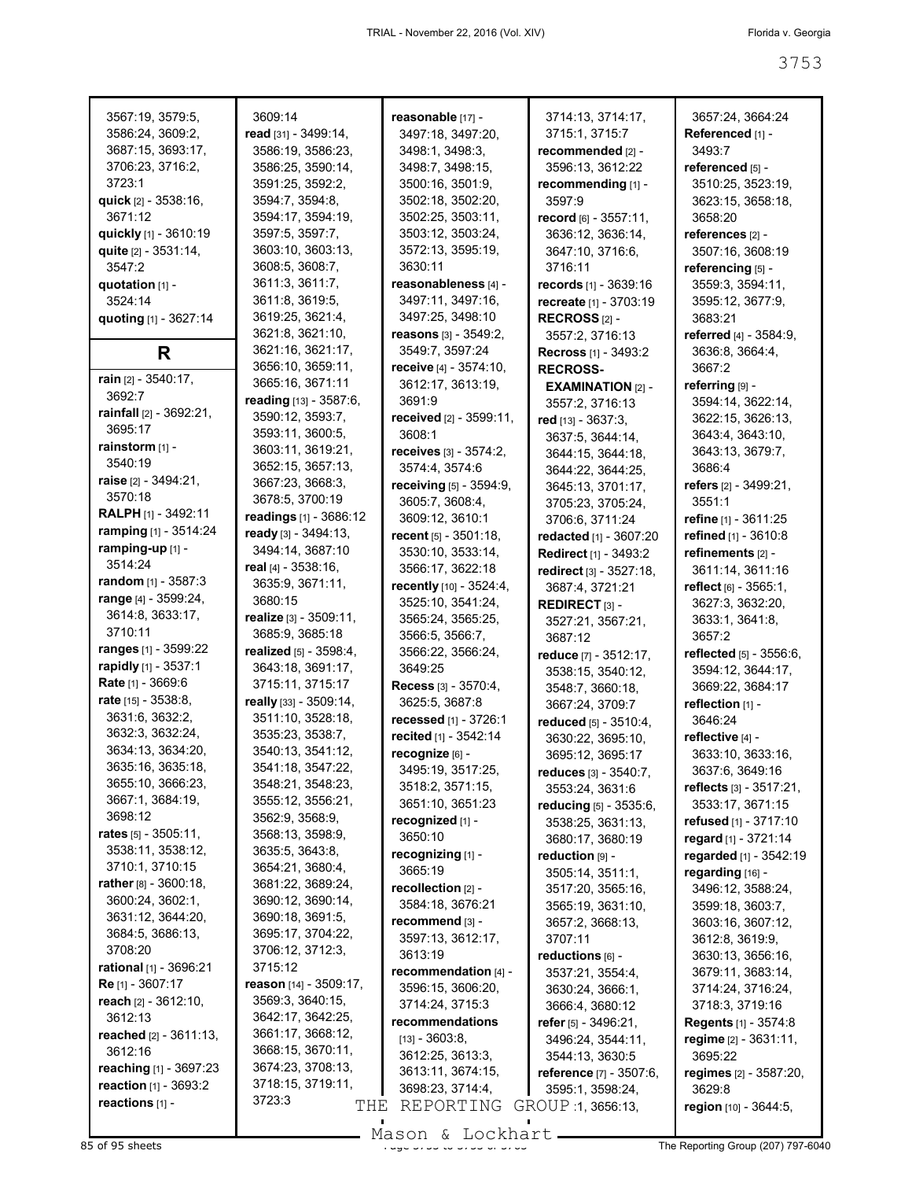| 3567:19, 3579:5,              | 3609:14               |
|-------------------------------|-----------------------|
| 3586:24, 3609:2,              | read $[31]$ .         |
| 3687:15, 3693:17,             | 3586:19               |
| 3706:23, 3716:2,              | 3586:25               |
| 3723:1                        | 3591:25               |
| quick [2] - 3538:16,          | 3594:7,               |
| 3671:12                       | 3594:17               |
| quickly [1] - 3610:19         | 3597:5,               |
| quite [2] - 3531:14,          | 3603:10               |
| 3547:2                        | 3608:5,               |
| quotation [1] -               | 3611:3.               |
| 3524:14                       | 3611:8,               |
|                               | 3619:25               |
| quoting [1] - 3627:14         |                       |
|                               | 3621:8,               |
| R                             | 3621:16               |
| rain [2] - 3540:17,           | 3656:10               |
|                               | 3665:16               |
| 3692:7                        | reading               |
| rainfall [2] - 3692:21,       | 3590:12               |
| 3695:17                       | 3593:11               |
| rainstorm [1] -               | 3603:11               |
| 3540:19                       | 3652:15               |
| raise [2] - 3494:21,          | 3667:23               |
| 3570:18                       | 3678:5.               |
| RALPH [1] - 3492:11           | readings              |
| ramping [1] - 3514:24         | ready <sup>[3]</sup>  |
| ramping-up [1] -              | 3494:14               |
| 3514:24                       | real [4] - 3          |
| random [1] - 3587:3           | 3635:9,               |
|                               |                       |
|                               |                       |
| range [4] - 3599:24,          | 3680:15               |
| 3614:8, 3633:17,              | realize <sub>[3</sub> |
| 3710:11                       | 3685:9.               |
| ranges [1] - 3599:22          | realized              |
| rapidly [1] - 3537:1          | 3643:18               |
| Rate [1] - 3669:6             | 3715:11               |
| rate [15] - 3538:8,           | really [33]           |
| 3631:6, 3632:2,               | 3511:10               |
| 3632:3, 3632:24,              | 3535:23               |
| 3634:13, 3634:20,             | 3540:13               |
| 3635:16, 3635:18,             | 3541:18               |
| 3655:10, 3666:23,             | 3548:21               |
| 3667:1, 3684:19,              | 3555:12               |
| 3698:12                       | 3562:9.               |
| <b>rates</b> [5] - 3505:11,   |                       |
|                               | 3568:13               |
| 3538:11, 3538:12,             | 3635:5,               |
| 3710:1, 3710:15               | 3654:21               |
| rather [8] - 3600:18,         | 3681:22               |
| 3600:24, 3602:1,              | 3690:12               |
| 3631:12, 3644:20,             | 3690:18               |
| 3684:5, 3686:13,              | 3695:17               |
| 3708:20                       | 3706:12               |
| <b>rational</b> [1] - 3696:21 | 3715:12               |
| Re [1] - 3607:17              | reason [1             |
| <b>reach</b> [2] - 3612:10,   | 3569:3,               |
| 3612:13                       | 3642:17               |
| reached [2] - 3611:13,        | 3661:17               |
| 3612:16                       | 3668:15               |
| <b>reaching</b> [1] - 3697:23 |                       |
| reaction [1] - 3693:2         | 3674:23<br>3718:15    |
| reactions [1] -               | 3723:3                |

| 19:14                     |                                    | 3714:13, 3714:17              |
|---------------------------|------------------------------------|-------------------------------|
|                           | reasonable [17] -                  |                               |
| $[31] - 3499:14,$         | 3497:18, 3497:20,                  | 3715:1, 3715:7                |
| 6:19, 3586:23,            | 3498:1, 3498:3,                    | recommended [2]               |
| ،6:25, 3590:14,           | 3498:7, 3498:15,                   | 3596:13, 3612:22              |
| l1:25, 3592:2,            | 3500:16, 3501:9,                   | recommending [1]              |
|                           |                                    |                               |
| A:7, 3594:8,              | 3502:18, 3502:20,                  | 3597.9                        |
| <u>14:17, 3594:19,</u>    | 3502:25, 3503:11,                  | record [6] - 3557:1           |
| ,7:5, 3597:7,             | 3503:12, 3503:24,                  | 3636:12, 3636:14              |
| 03:10, 3603:13,           | 3572:13, 3595:19,                  | 3647:10, 3716:6,              |
| 18:5, 3608:7,             | 3630:11                            | 3716:11                       |
| 1:3, 3611:7,              | reasonableness [4] -               | <b>records</b> $[1] - 3639$ : |
| 1:8, 3619:5,              |                                    |                               |
|                           | 3497:11, 3497:16,                  | recreate [1] - 3703           |
| 9:25, 3621:4,             | 3497:25, 3498:10                   | RECROSS $[2]$ -               |
| :1:8, 3621:10,            | reasons $[3] - 3549:2$ ,           | 3557:2, 3716:13               |
| :1:16, 3621:17,           | 3549:7, 3597:24                    | Recross [1] - 3493            |
| 6:10, 3659:11,            | receive [4] - 3574:10,             | <b>RECROSS-</b>               |
| i5:16, 3671:11            | 3612:17, 3613:19,                  | <b>EXAMINATION [3</b>         |
| <b>ing</b> [13] - 3587:6, | 3691:9                             |                               |
|                           |                                    | 3557:2, 3716:13               |
| 0:12, 3593:7,             | received [2] - 3599:11,            | red [13] - 3637:3,            |
| <sup>93:11, 3600:5,</sup> | 3608:1                             | 3637:5, 3644:14,              |
| <sup>3:11,</sup> 3619:21, | <b>receives</b> $[3]$ - $3574:2$ , | 3644:15, 3644:18              |
| ,2:15, 3657:13,           | 3574:4, 3574:6                     | 3644:22, 3644:25              |
| ,7:23, 3668:3             | receiving [5] - 3594:9,            | 3645:13, 3701:17              |
| '8:5, 3700:19             | 3605:7, 3608:4,                    |                               |
| <b>ings</b> [1] - 3686:12 |                                    | 3705:23, 3705:24              |
|                           | 3609:12, 3610:1                    | 3706:6, 3711:24               |
| y [3] - 3494:13,          | recent $[5] - 3501:18$ ,           | <b>redacted</b> [1] - 3607    |
| i4:14, 3687:10            | 3530:10, 3533:14,                  | <b>Redirect</b> [1] - 3493    |
| 4] - 3538:16,             | 3566:17, 3622:18                   | redirect [3] - 3527:          |
| <sup>35:9,</sup> 3671:11, | recently [10] - 3524:4,            | 3687:4, 3721:21               |
| 80:15                     | 3525:10, 3541:24,                  | <b>REDIRECT</b> $[3]$ -       |
| <b>ze</b> [3] - 3509:11,  | 3565:24, 3565:25,                  |                               |
| 35:9, 3685:18             |                                    | 3527:21, 3567:21              |
|                           | 3566:5, 3566:7,                    | 3687:12                       |
| <b>zed</b> [5] - 3598:4,  | 3566:22, 3566:24,                  | reduce [7] - 3512:1           |
| 3:18, 3691:17,            | 3649:25                            | 3538:15, 3540:12              |
| 5:11, 3715:17             | Recess [3] - 3570:4,               | 3548:7, 3660:18,              |
| <b>y</b> [33] - 3509:14,  | 3625:5, 3687:8                     | 3667:24, 3709:7               |
| 1:10, 3528:18,            | <b>recessed</b> [1] - 3726:1       | <b>reduced</b> $[5] - 3510$   |
| 15:23, 3538:7,            | recited [1] - 3542:14              |                               |
| 0:13, 3541:12,            |                                    | 3630:22, 3695:10              |
|                           | recognize [6] -                    | 3695:12, 3695:17              |
| 1:18, 3547:22!            | 3495:19, 3517:25,                  | <b>reduces</b> $[3] - 3540$   |
| 8:21, 3548:23,            | 3518:2, 3571:15,                   | 3553:24, 3631:6               |
| i5:12, 3556:21,           | 3651:10, 3651:23                   | reducing [5] - 3535           |
| i2:9, 3568:9,             | recognized [1] -                   | 3538:25, 3631:13              |
| 8:13, 3598:9,             | 3650:10                            | 3680:17, 3680:19              |
| 15:5, 3643:8,             | recognizing [1] -                  | reduction [9] -               |
| i4:21, 3680:4,            |                                    |                               |
| ،1:22, 3689:24,           | 3665:19                            | 3505:14, 3511:1,              |
|                           | recollection [2] -                 | 3517:20, 3565:16              |
| 0:12, 3690:14,            | 3584:18, 3676:21                   | 3565:19, 3631:10              |
| 0:18, 3691:5,             | recommend [3] -                    | 3657:2, 3668:13,              |
| 15:17, 3704:22,           | 3597:13, 3612:17,                  | 3707:11                       |
| 6:12, 3712:3,             | 3613:19                            | reductions [6] -              |
| 5:12                      | recommendation [4] -               |                               |
| <b>on</b> [14] - 3509:17, |                                    | 3537:21, 3554:4,              |
| 9:3, 3640:15,             | 3596:15, 3606:20,                  | 3630:24, 3666:1,              |
|                           | 3714:24, 3715:3                    | 3666:4, 3680:12               |
| 2:17, 3642:25,            | recommendations                    | refer $[5]$ - 3496:21,        |
| ،1:17, 3668:12,           | $[13] - 3603.8,$                   | 3496:24, 3544:11              |
| 8:15, 3670:11,            | 3612:25, 3613:3,                   | 3544:13, 3630:5               |
| '4:23, 3708:13,           | 3613:11, 3674:15,                  | reference $[7] - 350$         |
| 8:15, 3719:11,            | 3698:23, 3714:4,                   | 3595:1, 3598:24,              |
| 2:3                       |                                    |                               |
| THE                       | REPORTING                          | GROUP 1, 3656:13,             |

3714:13, 3714:17, 3715:1, 3715:7 **recommended** [2] - 3596:13, 3612:22 **recommending** [1] - 3597:9 **record** [6] - 3557:11, 3636:12, 3636:14, 3647:10, 3716:6, 3716:11 **records** [1] - 3639:16 **recreate** [1] - 3703:19 **RECROSS** [2] - 3557:2, 3716:13 **Recross** [1] - 3493:2 **RECROSS-EXAMINATION** [2] - 3557:2, 3716:13 **red** [13] - 3637:3, 3637:5, 3644:14, 3644:15, 3644:18, 3644:22, 3644:25, 3645:13, 3701:17, 3705:23, 3705:24, 3706:6, 3711:24 **redacted** [1] - 3607:20 **Redirect** [1] - 3493:2 **redirect** [3] - 3527:18, 3687:4, 3721:21 **REDIRECT** [3] - 3527:21, 3567:21, 3687:12 **reduce** [7] - 3512:17, 3538:15, 3540:12, 3548:7, 3660:18, 3667:24, 3709:7 **reduced** [5] - 3510:4, 3630:22, 3695:10, 3695:12, 3695:17 **reduces** [3] - 3540:7, 3553:24, 3631:6 **reducing** [5] - 3535:6, 3538:25, 3631:13, 3680:17, 3680:19 **reduction** [9] - 3505:14, 3511:1, 3517:20, 3565:16, 3565:19, 3631:10, 3657:2, 3668:13, 3707:11 **reductions** [6] - 3537:21, 3554:4, 3630:24, 3666:1, 3666:4, 3680:12 **refer** [5] - 3496:21, 3496:24, 3544:11, 3544:13, 3630:5 **reference** [7] - 3507:6, 3595:1, 3598:24,

3657:24, 3664:24 **Referenced** [1] -3493:7 **referenced** [5] - 3510:25, 3523:19, 3623:15, 3658:18, 3658:20 **references** [2] - 3507:16, 3608:19 **referencing** [5] - 3559:3, 3594:11, 3595:12, 3677:9, 3683:21 **referred** [4] - 3584:9, 3636:8, 3664:4, 3667:2 **referring** [9] - 3594:14, 3622:14, 3622:15, 3626:13, 3643:4, 3643:10, 3643:13, 3679:7, 3686:4 **refers** [2] - 3499:21, 3551:1 **refine** [1] - 3611:25 **refined** [1] - 3610:8 **refinements** [2] - 3611:14, 3611:16 **reflect** [6] - 3565:1, 3627:3, 3632:20, 3633:1, 3641:8, 3657:2 **reflected** [5] - 3556:6, 3594:12, 3644:17, 3669:22, 3684:17 **reflection** [1] - 3646:24 **reflective** [4] - 3633:10, 3633:16, 3637:6, 3649:16 **reflects** [3] - 3517:21, 3533:17, 3671:15 **refused** [1] - 3717:10 **regard** [1] - 3721:14 **regarded** [1] - 3542:19 **regarding** [16] - 3496:12, 3588:24, 3599:18, 3603:7, 3603:16, 3607:12, 3612:8, 3619:9, 3630:13, 3656:16, 3679:11, 3683:14, 3714:24, 3716:24, 3718:3, 3719:16 **Regents** [1] - 3574:8 **regime** [2] - 3631:11, 3695:22 **regimes** [2] - 3587:20, 3629:8 **region** [10] - 3644:5,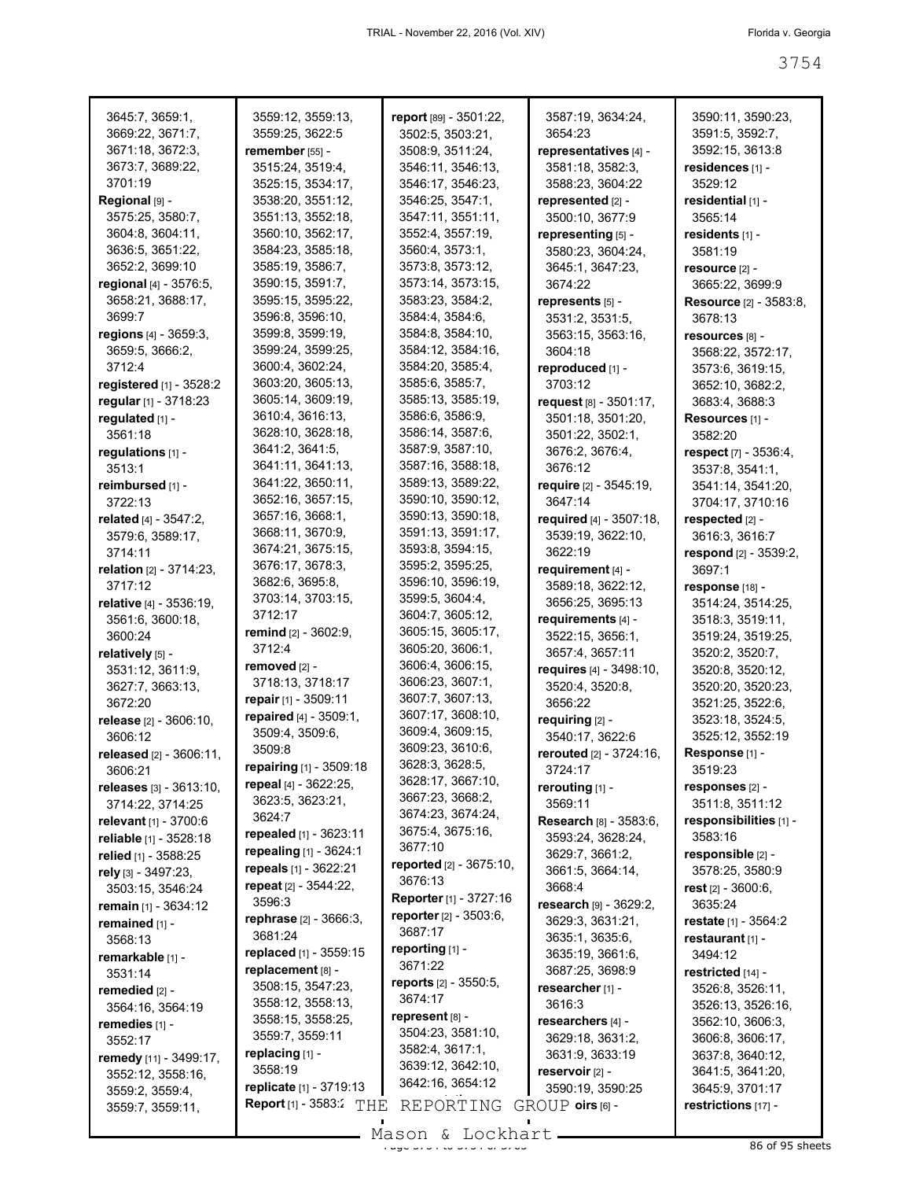| 3645:7, 3659:1,           | 3559:12, 3559:13,                  | report [89] - 3501:22,        | 3587:19, 3634:24,             | 3590:11, 3590:23,             |
|---------------------------|------------------------------------|-------------------------------|-------------------------------|-------------------------------|
| 3669:22, 3671:7,          | 3559:25, 3622:5                    | 3502:5, 3503:21,              | 3654.23                       | 3591:5, 3592:7,               |
| 3671:18, 3672:3,          | remember [55] -                    | 3508:9, 3511:24,              | representatives [4] -         | 3592:15, 3613:8               |
| 3673:7, 3689:22,          | 3515:24, 3519:4,                   | 3546:11, 3546:13,             | 3581:18, 3582:3,              | residences [1] -              |
| 3701:19                   | 3525:15, 3534:17,                  |                               | 3588:23, 3604:22              | 3529:12                       |
|                           |                                    | 3546:17, 3546:23,             |                               |                               |
| Regional [9] -            | 3538:20, 3551:12,                  | 3546:25, 3547:1,              | represented <sub>[2]</sub> -  | residential [1] -             |
| 3575:25, 3580:7,          | 3551:13, 3552:18,                  | 3547:11, 3551:11,             | 3500:10, 3677:9               | 3565:14                       |
| 3604:8, 3604:11,          | 3560:10, 3562:17,                  | 3552:4, 3557:19,              | representing [5] -            | residents [1] -               |
| 3636:5, 3651:22,          | 3584:23, 3585:18,                  | 3560:4, 3573:1,               | 3580:23, 3604:24,             | 3581:19                       |
| 3652:2, 3699:10           | 3585:19, 3586:7,                   | 3573:8, 3573:12,              | 3645:1, 3647:23,              | resource [2] -                |
| regional [4] - 3576:5,    | 3590:15, 3591:7,                   | 3573:14, 3573:15,             | 3674:22                       | 3665:22, 3699:9               |
| 3658:21, 3688:17,         | 3595:15, 3595:22,                  | 3583:23, 3584:2,              | represents [5] -              | <b>Resource</b> [2] - 3583:8, |
| 3699:7                    | 3596:8, 3596:10,                   | 3584:4, 3584:6,               | 3531:2, 3531:5,               | 3678:13                       |
| regions [4] - 3659:3,     | 3599:8, 3599:19,                   | 3584:8, 3584:10,              | 3563:15, 3563:16,             | resources [8] -               |
| 3659:5, 3666:2,           | 3599:24, 3599:25,                  | 3584:12, 3584:16,             | 3604:18                       | 3568:22, 3572:17,             |
| 3712:4                    | 3600:4, 3602:24,                   | 3584:20, 3585:4,              | reproduced [1] -              | 3573:6, 3619:15,              |
| registered $[1]$ - 3528:2 | 3603:20, 3605:13,                  | 3585:6, 3585:7,               | 3703:12                       | 3652:10, 3682:2,              |
| regular [1] - 3718:23     | 3605:14, 3609:19,                  | 3585:13, 3585:19,             | request [8] - 3501:17,        | 3683:4, 3688:3                |
|                           | 3610:4, 3616:13,                   | 3586:6, 3586:9,               |                               |                               |
| regulated [1] -           | 3628:10, 3628:18,                  | 3586:14, 3587:6,              | 3501:18, 3501:20,             | Resources [1] -               |
| 3561:18                   |                                    | 3587:9, 3587:10,              | 3501:22, 3502:1,              | 3582:20                       |
| regulations [1] -         | 3641:2, 3641:5,                    |                               | 3676:2, 3676:4,               | respect [7] - 3536:4,         |
| 3513:1                    | 3641:11, 3641:13,                  | 3587:16, 3588:18,             | 3676:12                       | 3537:8, 3541:1,               |
| reimbursed [1] -          | 3641:22, 3650:11,                  | 3589:13, 3589:22,             | require [2] - 3545:19,        | 3541:14, 3541:20,             |
| 3722:13                   | 3652:16, 3657:15,                  | 3590:10, 3590:12,             | 3647:14                       | 3704:17, 3710:16              |
| related [4] - 3547:2.     | 3657:16, 3668:1,                   | 3590:13, 3590:18,             | required [4] - 3507:18,       | respected [2] -               |
| 3579:6, 3589:17,          | 3668:11, 3670:9,                   | 3591:13, 3591:17,             | 3539:19, 3622:10,             | 3616:3, 3616:7                |
| 3714:11                   | 3674:21, 3675:15,                  | 3593:8, 3594:15,              | 3622:19                       | respond [2] - 3539:2,         |
| relation [2] - 3714:23,   | 3676:17, 3678:3,                   | 3595:2, 3595:25,              | requirement [4] -             | 3697:1                        |
| 3717:12                   | 3682:6, 3695:8,                    | 3596:10, 3596:19,             | 3589:18, 3622:12,             | response [18] -               |
| relative [4] - 3536:19,   | 3703:14, 3703:15,                  | 3599:5, 3604:4,               | 3656:25, 3695:13              | 3514:24, 3514:25,             |
| 3561:6, 3600:18,          | 3712:17                            | 3604:7, 3605:12,              | requirements [4] -            | 3518:3, 3519:11,              |
| 3600:24                   | <b>remind</b> [2] - 3602:9,        | 3605:15, 3605:17,             | 3522:15, 3656:1,              | 3519:24, 3519:25,             |
|                           | 3712:4                             | 3605:20, 3606:1,              | 3657:4, 3657:11               | 3520:2, 3520:7,               |
| relatively [5] -          | removed $[2]$ -                    | 3606:4, 3606:15,              | requires [4] - 3498:10,       | 3520:8, 3520:12,              |
| 3531:12, 3611:9,          | 3718:13, 3718:17                   | 3606:23, 3607:1,              |                               |                               |
| 3627:7, 3663:13,          | repair [1] - 3509:11               | 3607:7, 3607:13,              | 3520:4, 3520:8,               | 3520:20, 3520:23,             |
| 3672:20                   | repaired [4] - 3509:1,             | 3607:17, 3608:10,             | 3656:22                       | 3521:25, 3522:6,              |
| release [2] - 3606:10,    | 3509:4, 3509:6,                    | 3609:4, 3609:15,              | requiring [2] -               | 3523:18, 3524:5,              |
| 3606:12                   |                                    | 3609:23, 3610:6,              | 3540:17, 3622:6               | 3525:12, 3552:19              |
| released [2] - 3606:11,   | 3509:8                             | 3628:3, 3628:5,               | rerouted [2] - 3724:16,       | Response <sub>[1]</sub> -     |
| 3606:21                   | repairing [1] - 3509:18            |                               | 3724:17                       | 3519:23                       |
| releases [3] - 3613:10,   | repeal [4] - 3622:25,              | 3628:17, 3667:10,             | rerouting [1] -               | responses [2] -               |
| 3714:22, 3714:25          | 3623:5, 3623:21,                   | 3667:23, 3668:2,              | 3569:11                       | 3511:8, 3511:12               |
| relevant [1] - 3700:6     | 3624:7                             | 3674:23, 3674:24,             | <b>Research [8] - 3583:6,</b> | responsibilities [1] -        |
| reliable [1] - 3528:18    | repealed [1] - 3623:11             | 3675:4, 3675:16,              | 3593:24, 3628:24,             | 3583:16                       |
| relied [1] - 3588:25      | repealing [1] - 3624:1             | 3677:10                       | 3629:7, 3661:2,               | responsible [2] -             |
| rely [3] - 3497:23,       | repeals [1] - 3622:21              | reported [2] - 3675:10,       | 3661:5, 3664:14,              | 3578:25, 3580:9               |
| 3503:15, 3546:24          | <b>repeat</b> $[2] - 3544:22$      | 3676:13                       | 3668.4                        | rest $[2] - 3600:6$ ,         |
| remain [1] - 3634:12      | 3596:3                             | <b>Reporter</b> [1] - 3727:16 | research [9] - 3629:2,        | 3635:24                       |
| remained [1] -            | rephrase [2] - 3666:3,             | reporter [2] - 3503:6,        | 3629:3, 3631:21,              | restate [1] - 3564:2          |
| 3568:13                   | 3681:24                            | 3687:17                       | 3635:1, 3635:6,               | restaurant [1] -              |
|                           | replaced [1] - 3559:15             | reporting [1] -               | 3635:19, 3661:6,              | 3494.12                       |
| remarkable [1] -          | replacement [8] -                  | 3671:22                       | 3687:25, 3698:9               | restricted [14] -             |
| 3531:14                   | 3508:15, 3547:23,                  | reports [2] - 3550:5,         |                               |                               |
| remedied [2] -            | 3558:12, 3558:13,                  | 3674:17                       | researcher [1] -              | 3526:8, 3526:11,              |
| 3564:16, 3564:19          | 3558:15, 3558:25,                  | represent [8] -               | 3616:3                        | 3526:13, 3526:16,             |
| remedies [1] -            |                                    | 3504:23, 3581:10,             | researchers [4] -             | 3562:10, 3606:3,              |
| 3552:17                   | 3559:7, 3559:11                    | 3582:4, 3617:1,               | 3629:18, 3631:2,              | 3606:8, 3606:17,              |
| remedy [11] - 3499:17,    | replacing [1] -                    | 3639:12, 3642:10,             | 3631:9, 3633:19               | 3637:8, 3640:12,              |
| 3552:12, 3558:16,         | 3558:19                            | 3642:16, 3654:12              | reservoir [2] -               | 3641:5, 3641:20,              |
| 3559:2, 3559:4,           | replicate [1] - 3719:13            |                               | 3590:19, 3590:25              | 3645:9, 3701:17               |
| 3559:7, 3559:11,          | <b>Report</b> [1] - $3583:$<br>THE | REPORTING                     | GROUP oirs [6] -              | restrictions [17] -           |
|                           |                                    |                               |                               |                               |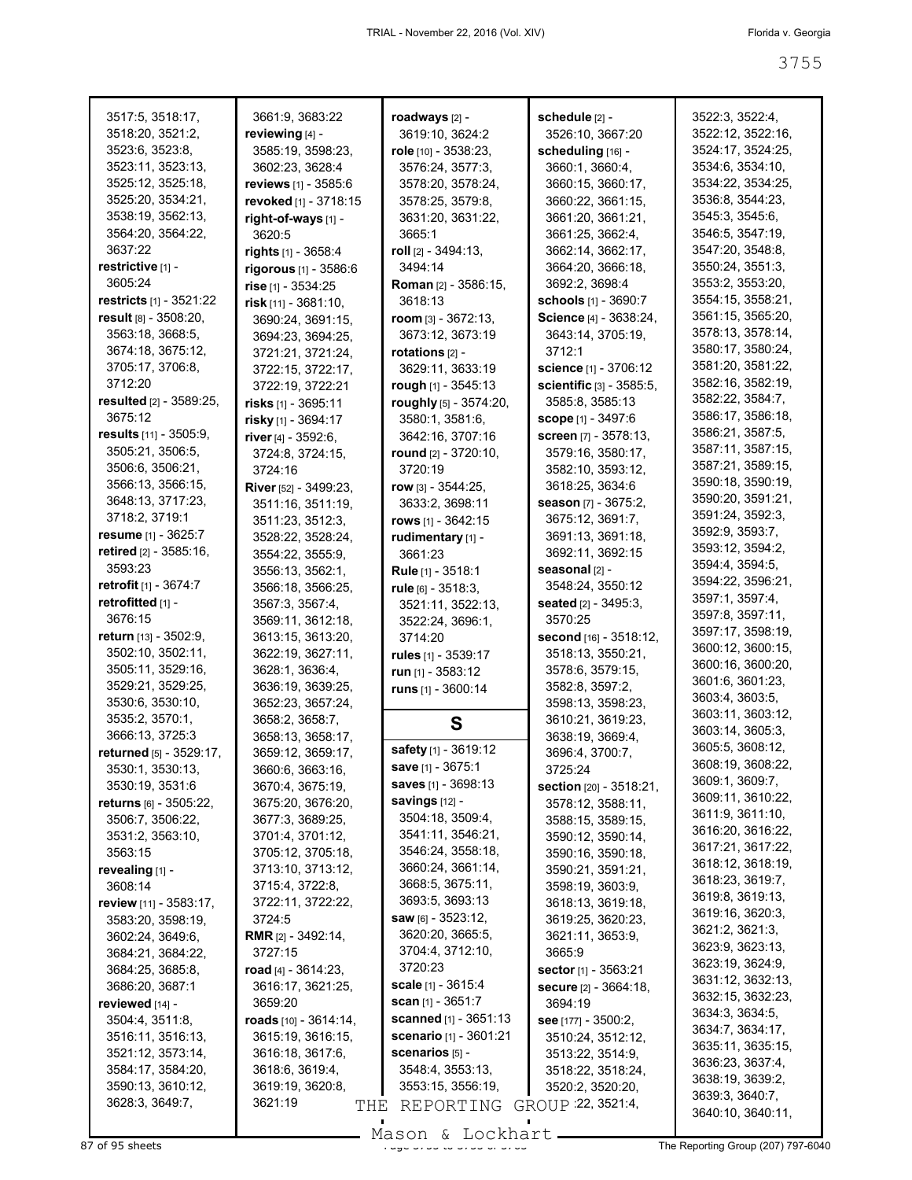| 3517:5, 3518:17,                 | 3661:9, 3683:22            | roadways [2] -                 | schedule [2] -                    | 3522:3, 3522:4,                     |
|----------------------------------|----------------------------|--------------------------------|-----------------------------------|-------------------------------------|
| 3518:20, 3521:2,                 | reviewing [4] -            | 3619:10, 3624:2                | 3526:10, 3667:20                  | 3522:12, 3522:16,                   |
| 3523:6, 3523:8,                  | 3585:19, 3598:23,          | role [10] - 3538:23,           | scheduling [16] -                 | 3524:17, 3524:25,                   |
| 3523:11, 3523:13,                | 3602:23, 3628:4            | 3576:24, 3577:3,               | 3660:1, 3660:4,                   | 3534:6, 3534:10,                    |
| 3525:12, 3525:18,                | reviews [1] - 3585:6       | 3578:20, 3578:24,              | 3660:15, 3660:17,                 | 3534:22, 3534:25,                   |
| 3525:20, 3534:21,                | revoked [1] - 3718:15      | 3578:25, 3579:8,               | 3660:22, 3661:15,                 | 3536:8, 3544:23,                    |
| 3538:19, 3562:13,                | right-of-ways [1] -        | 3631:20, 3631:22,              | 3661:20, 3661:21,                 | 3545:3, 3545:6,                     |
| 3564:20, 3564:22,                | 3620:5                     | 3665:1                         | 3661:25, 3662:4,                  | 3546:5, 3547:19,                    |
| 3637:22                          | <b>rights</b> [1] - 3658:4 | roll [2] - 3494:13,            | 3662:14, 3662:17,                 | 3547:20, 3548:8,                    |
| restrictive [1] -                | rigorous [1] - 3586:6      | 3494:14                        | 3664:20, 3666:18,                 | 3550:24, 3551:3,                    |
| 3605:24                          | rise [1] - 3534:25         | <b>Roman</b> [2] - 3586:15,    | 3692:2, 3698:4                    | 3553:2, 3553:20,                    |
| <b>restricts</b> $[1] - 3521:22$ | risk $[11] - 3681:10$ ,    | 3618:13                        | <b>schools</b> [1] - 3690:7       | 3554:15, 3558:21,                   |
| result [8] - 3508:20,            | 3690:24, 3691:15,          | room $[3]$ - 3672:13,          | Science [4] - 3638:24,            | 3561:15, 3565:20,                   |
| 3563:18, 3668:5,                 | 3694:23, 3694:25,          | 3673:12, 3673:19               | 3643:14, 3705:19,                 | 3578:13, 3578:14,                   |
| 3674:18, 3675:12,                | 3721:21, 3721:24,          | rotations $[2]$ -              | 3712:1                            | 3580:17, 3580:24,                   |
| 3705:17, 3706:8,                 | 3722:15, 3722:17,          | 3629:11, 3633:19               | <b>science</b> [1] - 3706:12      | 3581:20, 3581:22,                   |
| 3712:20                          | 3722:19, 3722:21           | rough [1] - 3545:13            | scientific [3] - 3585:5,          | 3582:16, 3582:19,                   |
| resulted [2] - 3589:25,          | risks [1] - 3695:11        | roughly [5] - 3574:20,         | 3585:8, 3585:13                   | 3582:22, 3584:7,                    |
| 3675:12                          | risky [1] - 3694:17        | 3580:1, 3581:6,                | scope [1] - 3497:6                | 3586:17, 3586:18,                   |
| results [11] - 3505:9,           | river [4] - 3592:6,        | 3642:16, 3707:16               | screen [7] - 3578:13,             | 3586:21, 3587:5,                    |
| 3505:21, 3506:5,                 | 3724:8, 3724:15,           | round [2] - 3720:10,           | 3579:16, 3580:17,                 | 3587:11, 3587:15,                   |
| 3506:6, 3506:21,                 | 3724:16                    | 3720:19                        | 3582:10, 3593:12,                 | 3587:21, 3589:15,                   |
| 3566:13, 3566:15,                | River [52] - 3499:23,      | row $[3] - 3544:25$ ,          | 3618:25, 3634:6                   | 3590:18, 3590:19,                   |
| 3648:13, 3717:23,                | 3511:16, 3511:19,          | 3633:2, 3698:11                | season [7] - 3675:2,              | 3590:20, 3591:21,                   |
| 3718:2, 3719:1                   | 3511:23, 3512:3,           | rows $[1] - 3642:15$           | 3675:12, 3691:7,                  | 3591:24, 3592:3,                    |
| resume [1] - 3625:7              | 3528:22, 3528:24,          | rudimentary [1] -              | 3691:13, 3691:18,                 | 3592:9, 3593:7,                     |
| retired [2] - 3585:16,           | 3554:22, 3555:9,           | 3661:23                        | 3692:11, 3692:15                  | 3593:12, 3594:2,                    |
| 3593:23                          | 3556:13, 3562:1,           | Rule [1] - 3518:1              | seasonal [2] -                    | 3594:4, 3594:5,                     |
| <b>retrofit</b> $[1] - 3674.7$   | 3566:18, 3566:25,          | rule $[6] - 3518:3$ ,          | 3548:24, 3550:12                  | 3594:22, 3596:21,                   |
| retrofitted [1] -                | 3567:3, 3567:4,            | 3521:11, 3522:13,              | seated [2] - 3495:3,              | 3597:1, 3597:4,                     |
| 3676:15                          | 3569:11, 3612:18,          | 3522:24, 3696:1,               | 3570:25                           | 3597:8, 3597:11,                    |
| <b>return</b> $[13] - 3502:9$ ,  | 3613:15, 3613:20,          | 3714:20                        | second [16] - 3518:12,            | 3597:17, 3598:19,                   |
| 3502:10, 3502:11,                | 3622:19, 3627:11,          | rules $[1]$ - 3539:17          | 3518:13, 3550:21,                 | 3600:12, 3600:15,                   |
| 3505:11, 3529:16,                | 3628:1, 3636:4,            | run [1] - 3583:12              | 3578:6, 3579:15,                  | 3600:16, 3600:20,                   |
| 3529:21, 3529:25,                | 3636:19, 3639:25,          | runs $[1] - 3600:14$           | 3582:8, 3597:2,                   | 3601:6, 3601:23,                    |
| 3530:6, 3530:10,                 | 3652:23, 3657:24,          |                                | 3598:13, 3598:23,                 | 3603:4, 3603:5,                     |
| 3535:2, 3570:1,                  | 3658:2, 3658:7,            | S                              | 3610:21, 3619:23,                 | 3603:11, 3603:12,                   |
| 3666:13, 3725:3                  | 3658:13, 3658:17,          |                                | 3638:19, 3669:4,                  | 3603:14, 3605:3,                    |
| returned [5] - 3529:17,          | 3659:12, 3659:17,          | safety $[1]$ - 3619:12         | 3696:4, 3700:7,                   | 3605:5, 3608:12,                    |
| 3530:1, 3530:13,                 | 3660:6, 3663:16,           | <b>save</b> $[1]$ - 3675:1     | 3725:24                           | 3608:19, 3608:22,                   |
| 3530:19, 3531:6                  | 3670:4, 3675:19,           | saves $[1] - 3698:13$          | <b>section</b> $[20] - 3518:21$ , | 3609:1, 3609:7,                     |
| <b>returns</b> $[6]$ - 3505:22,  | 3675:20, 3676:20,          | savings $[12]$ -               | 3578:12, 3588:11,                 | 3609:11, 3610:22,                   |
| 3506:7, 3506:22,                 | 3677:3, 3689:25,           | 3504:18, 3509:4,               | 3588:15, 3589:15,                 | 3611:9, 3611:10,                    |
| 3531:2, 3563:10,                 | 3701:4, 3701:12,           | 3541:11, 3546:21,              | 3590:12, 3590:14,                 | 3616:20, 3616:22,                   |
| 3563:15                          | 3705:12, 3705:18,          | 3546:24, 3558:18,              | 3590:16, 3590:18,                 | 3617:21, 3617:22,                   |
| revealing [1] -                  | 3713:10, 3713:12,          | 3660:24, 3661:14,              | 3590:21, 3591:21,                 | 3618:12, 3618:19,                   |
| 3608:14                          | 3715:4, 3722:8,            | 3668:5, 3675:11,               | 3598:19, 3603:9,                  | 3618:23, 3619:7,                    |
| review [11] - 3583:17,           | 3722:11, 3722:22,          | 3693:5, 3693:13                | 3618:13, 3619:18,                 | 3619:8, 3619:13,                    |
| 3583:20, 3598:19,                | 3724:5                     | <b>saw</b> ស61 - 3523:12,      | 3619:25, 3620:23,                 | 3619:16, 3620:3,                    |
| 3602:24, 3649:6,                 | <b>RMR</b> [2] - 3492:14,  | 3620:20, 3665:5,               | 3621:11, 3653:9,                  | 3621:2, 3621:3,                     |
| 3684:21, 3684:22,                | 3727:15                    | 3704:4, 3712:10,               | 3665:9                            | 3623:9, 3623:13,                    |
| 3684:25, 3685:8,                 | road $[4] - 3614:23$ ,     | 3720:23                        | <b>sector</b> $[1]$ - 3563:21     | 3623:19, 3624:9,                    |
| 3686:20, 3687:1                  | 3616:17, 3621:25,          | <b>scale</b> [1] - $3615:4$    | <b>secure</b> [2] - 3664:18,      | 3631:12, 3632:13,                   |
| reviewed [14] -                  | 3659:20                    | <b>scan</b> $[1]$ - 3651:7     | 3694:19                           | 3632:15, 3632:23,                   |
| 3504:4, 3511:8,                  | roads [10] - 3614:14,      | <b>scanned</b> $[1] - 3651:13$ | see [177] - 3500:2,               | 3634:3, 3634:5,                     |
| 3516:11, 3516:13,                | 3615:19, 3616:15,          | <b>scenario</b> [1] - 3601:21  | 3510:24, 3512:12,                 | 3634:7, 3634:17,                    |
| 3521:12, 3573:14,                | 3616:18, 3617:6,           | scenarios [5] -                | 3513:22, 3514:9,                  | 3635:11, 3635:15,                   |
| 3584:17, 3584:20,                | 3618:6, 3619:4,            | 3548:4, 3553:13,               | 3518:22, 3518:24,                 | 3636:23, 3637:4,                    |
| 3590:13, 3610:12,                | 3619:19, 3620:8,           | 3553:15, 3556:19,              | 3520:2, 3520:20,                  | 3638:19, 3639:2,<br>3639:3, 3640:7, |
| 3628:3, 3649:7,                  | 3621:19<br>THE             | REPORTING                      | GROUP 22, 3521:4,                 | 3640:10, 3640:11,                   |
|                                  |                            |                                |                                   |                                     |

87 of 95 sheets Page 3755 to 3755 of 3763 The Reporting Group (207) 797-6040 Mason & Lockhart.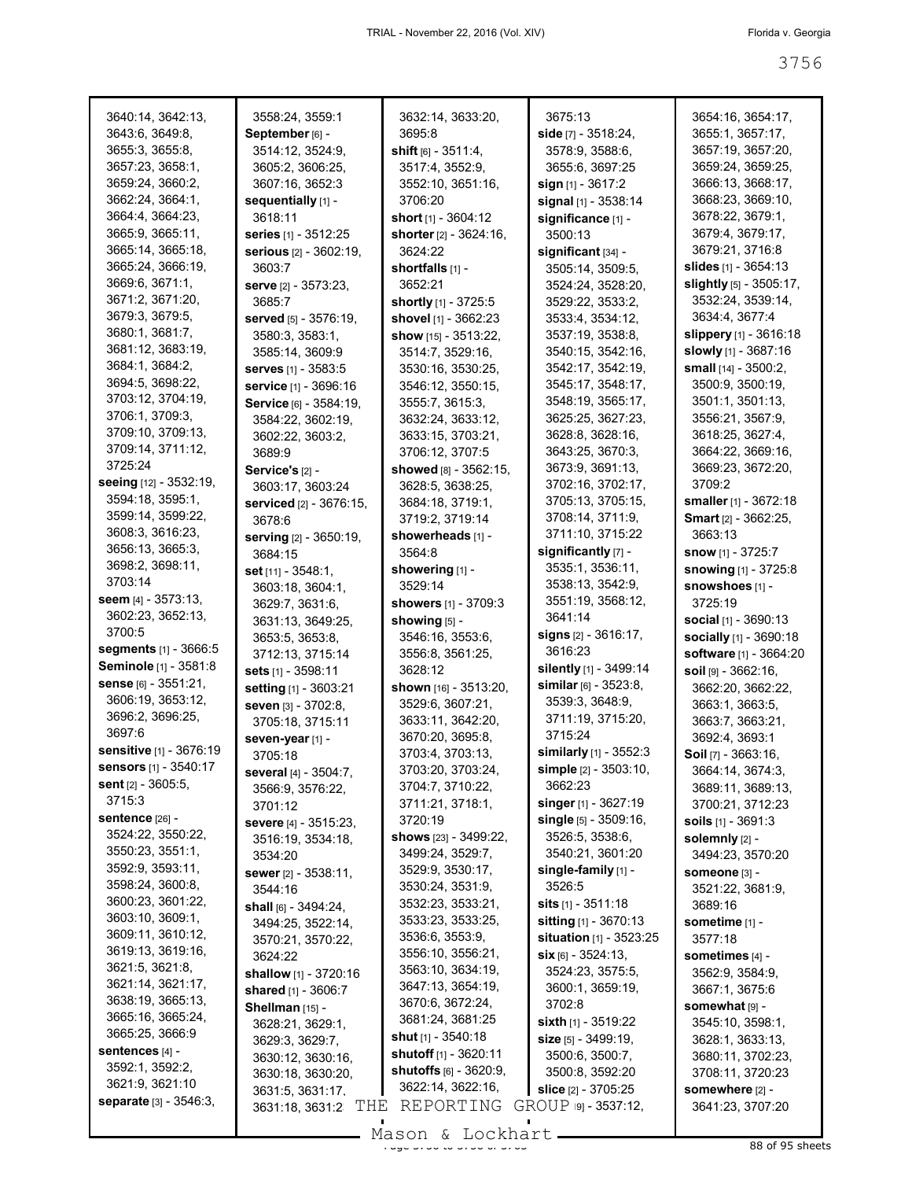| 3640:14, 3642:13,                    | 3558:24, 3559:1                                | 3632:14, 3633:20,              | 3675:13                                            | 3654:16, 3654:17,                   |
|--------------------------------------|------------------------------------------------|--------------------------------|----------------------------------------------------|-------------------------------------|
| 3643:6, 3649:8,                      | September [6] -                                | 3695:8                         | side $[7] - 3518:24$ ,                             | 3655:1, 3657:17,                    |
| 3655:3, 3655:8,                      | 3514:12, 3524:9,                               | shift $[6] - 3511:4,$          | 3578:9, 3588:6,                                    | 3657:19, 3657:20,                   |
| 3657:23, 3658:1,                     | 3605:2, 3606:25,                               | 3517:4, 3552:9,                | 3655:6, 3697:25                                    | 3659:24, 3659:25,                   |
| 3659:24, 3660:2,                     | 3607:16, 3652:3                                | 3552:10, 3651:16,              | sign $[1]$ - 3617:2                                | 3666:13, 3668:17,                   |
| 3662:24, 3664:1,                     | sequentially [1] -                             | 3706:20                        | signal [1] - 3538:14                               | 3668:23, 3669:10,                   |
| 3664:4, 3664:23,                     | 3618:11                                        | short $[1] - 3604:12$          | significance [1] -                                 | 3678:22, 3679:1,                    |
| 3665:9, 3665:11,                     |                                                | shorter [2] - 3624:16,         | 3500:13                                            | 3679:4, 3679:17,                    |
| 3665:14, 3665:18,                    | series [1] - 3512:25<br>serious [2] - 3602:19, | 3624:22                        |                                                    | 3679:21, 3716:8                     |
| 3665:24, 3666:19,                    | 3603:7                                         |                                | significant [34] -<br>3505:14, 3509:5,             | <b>slides</b> [1] - 3654:13         |
| 3669:6, 3671:1,                      |                                                | shortfalls $[1]$ -<br>3652:21  |                                                    | slightly [5] - 3505:17,             |
| 3671:2, 3671:20,                     | serve [2] - 3573:23,                           |                                | 3524:24, 3528:20,                                  | 3532:24, 3539:14,                   |
| 3679:3, 3679:5,                      | 3685:7                                         | shortly [1] - 3725:5           | 3529:22, 3533:2,                                   | 3634:4, 3677:4                      |
| 3680:1, 3681:7,                      | served [5] - 3576:19,                          | shovel [1] - 3662:23           | 3533:4, 3534:12,                                   |                                     |
| 3681:12, 3683:19,                    | 3580:3, 3583:1,                                | show $[15] - 3513:22$ ,        | 3537:19, 3538:8,                                   | slippery [1] - 3616:18              |
| 3684:1, 3684:2,                      | 3585:14, 3609:9                                | 3514:7, 3529:16,               | 3540:15, 3542:16,                                  | slowly [1] - 3687:16                |
| 3694:5, 3698:22,                     | <b>serves</b> [1] - 3583:5                     | 3530:16, 3530:25,              | 3542:17, 3542:19,                                  | small [14] - 3500:2,                |
| 3703:12, 3704:19,                    | service [1] - 3696:16                          | 3546:12, 3550:15,              | 3545:17, 3548:17,                                  | 3500:9, 3500:19,                    |
| 3706:1, 3709:3,                      | Service [6] - 3584:19,                         | 3555:7, 3615:3,                | 3548:19, 3565:17,                                  | 3501:1, 3501:13,                    |
| 3709:10, 3709:13,                    | 3584:22, 3602:19,                              | 3632:24, 3633:12,              | 3625:25, 3627:23,                                  | 3556:21, 3567:9,                    |
| 3709:14, 3711:12,                    | 3602:22, 3603:2,                               | 3633:15, 3703:21,              | 3628:8, 3628:16,                                   | 3618:25, 3627:4,                    |
| 3725:24                              | 3689:9                                         | 3706:12, 3707:5                | 3643:25, 3670:3,                                   | 3664:22, 3669:16,                   |
| seeing [12] - 3532:19,               | Service's [2] -                                | showed [8] - 3562:15,          | 3673:9, 3691:13,                                   | 3669:23, 3672:20,                   |
| 3594:18, 3595:1,                     | 3603:17, 3603:24                               | 3628:5, 3638:25,               | 3702:16, 3702:17,                                  | 3709:2                              |
| 3599:14, 3599:22,                    | serviced [2] - 3676:15,                        | 3684:18, 3719:1,               | 3705:13, 3705:15,                                  | smaller [1] - 3672:18               |
| 3608:3, 3616:23,                     | 3678:6                                         | 3719:2, 3719:14                | 3708:14, 3711:9,                                   | <b>Smart</b> [2] - 3662:25,         |
| 3656:13, 3665:3,                     | serving [2] - 3650:19,                         | showerheads [1] -              | 3711:10, 3715:22                                   | 3663:13                             |
| 3698:2, 3698:11,                     | 3684:15                                        | 3564:8                         | significantly [7] -                                | <b>snow</b> [1] - 3725:7            |
| 3703:14                              | set $[11] - 3548:1$ ,                          | showering [1] -                | 3535:1, 3536:11,                                   | snowing [1] - 3725:8                |
| seem $[4] - 3573:13,$                | 3603:18, 3604:1,                               | 3529:14                        | 3538:13, 3542:9,                                   | snowshoes [1] -                     |
|                                      | 3629:7, 3631:6,                                | <b>showers</b> [1] - 3709:3    | 3551:19, 3568:12,                                  | 3725:19                             |
|                                      |                                                |                                |                                                    |                                     |
| 3602:23, 3652:13,                    | 3631:13, 3649:25,                              | showing [5] -                  | 3641:14                                            | social [1] - 3690:13                |
| 3700:5                               | 3653:5, 3653:8,                                | 3546:16, 3553:6,               | signs [2] - 3616:17,                               | socially [1] - 3690:18              |
| <b>segments</b> [1] - 3666:5         | 3712:13, 3715:14                               | 3556:8, 3561:25,               | 3616:23                                            | software [1] - 3664:20              |
| Seminole [1] - 3581:8                | sets [1] - 3598:11                             | 3628:12                        | silently [1] - 3499:14                             | $\text{soil}$ [9] - 3662:16,        |
| Sense [6] - 3551:21,                 | setting [1] - 3603:21                          | shown $[16] - 3513:20$ ,       | similar $[6] - 3523:8$ ,                           | 3662:20, 3662:22,                   |
| 3606:19, 3653:12,                    | seven [3] - 3702:8,                            | 3529:6, 3607:21,               | 3539:3, 3648:9,                                    | 3663:1, 3663:5,                     |
| 3696:2, 3696:25,                     | 3705:18, 3715:11                               | 3633:11, 3642:20,              | 3711:19, 3715:20,                                  | 3663:7, 3663:21,                    |
| 3697:6                               | seven-year [1] -                               | 3670:20, 3695:8,               | 3715:24                                            | 3692:4, 3693:1                      |
| sensitive [1] - 3676:19              | 3705:18                                        | 3703:4, 3703:13,               | similarly $[1]$ - 3552:3                           | Soil $[7] - 3663:16$ ,              |
| sensors [1] - 3540:17                | several [4] - 3504:7,                          | 3703:20, 3703:24,              | simple [2] - 3503:10,                              | 3664:14, 3674:3,                    |
| <b>sent</b> [2] - 3605:5,            | 3566:9, 3576:22,                               | 3704:7, 3710:22,               | 3662:23                                            | 3689:11, 3689:13,                   |
| 3715:3                               | 3701:12                                        | 3711:21, 3718:1,               | singer $[1]$ - 3627:19                             | 3700:21, 3712:23                    |
| <b>sentence [26] -</b>               | <b>severe</b> [4] - 3515:23,                   | 3720:19                        | single [5] - 3509:16,                              | soils $[1] - 3691:3$                |
| 3524:22, 3550:22,                    | 3516:19, 3534:18,                              | shows [23] - 3499:22,          | 3526:5, 3538:6,                                    | solemnly [2] -                      |
| 3550:23, 3551:1,                     | 3534:20                                        | 3499:24, 3529:7,               | 3540:21, 3601:20                                   | 3494:23, 3570:20                    |
| 3592:9, 3593:11,                     | sewer [2] - 3538:11,                           | 3529:9, 3530:17,               | single-family [1] -                                | Someone [3] -                       |
| 3598:24, 3600:8,                     | 3544:16                                        | 3530:24, 3531:9,               | 3526:5                                             | 3521:22, 3681:9,                    |
| 3600:23, 3601:22,                    | shall $[6] - 3494:24$ ,                        | 3532:23, 3533:21,              | <b>sits</b> $[1] - 3511:18$                        | 3689:16                             |
| 3603:10, 3609:1,                     | 3494:25, 3522:14,                              | 3533:23, 3533:25,              | sitting [1] - 3670:13                              | sometime [1] -                      |
| 3609:11, 3610:12,                    | 3570:21, 3570:22,                              | 3536:6, 3553:9,                | situation [1] - 3523:25                            | 3577:18                             |
| 3619:13, 3619:16,                    | 3624:22                                        | 3556:10, 3556:21,              | $six$ [6] - 3524:13.                               | sometimes [4] -                     |
| 3621:5, 3621:8,                      | shallow [1] - 3720:16                          | 3563:10, 3634:19,              | 3524:23, 3575:5,                                   | 3562:9, 3584:9,                     |
| 3621:14, 3621:17,                    | shared [1] - 3606:7                            | 3647:13, 3654:19,              | 3600:1, 3659:19,                                   | 3667:1, 3675:6                      |
| 3638:19, 3665:13,                    | Shellman [15] -                                | 3670:6, 3672:24,               | 3702:8                                             | somewhat [9] -                      |
| 3665:16, 3665:24,<br>3665:25, 3666:9 | 3628:21, 3629:1,                               | 3681:24, 3681:25               | sixth $[1]$ - 3519:22                              | 3545:10, 3598:1,                    |
|                                      | 3629:3, 3629:7,                                | <b>shut</b> $[1]$ - 3540:18    | size [5] - 3499:19,                                | 3628:1, 3633:13,                    |
| sentences [4] -<br>3592:1, 3592:2,   | 3630:12, 3630:16,                              | <b>shutoff</b> [1] - 3620:11   | 3500:6, 3500:7,                                    | 3680:11, 3702:23,                   |
| 3621:9, 3621:10                      | 3630:18, 3630:20,                              | <b>shutoffs</b> [6] - 3620:9,  | 3500:8, 3592:20                                    | 3708:11, 3720:23                    |
| <b>separate</b> [3] - 3546:3,        | 3631:5, 3631:17,<br>THE<br>3631:18, 3631:2     | 3622:14, 3622:16,<br>REPORTING | <b>slice</b> [2] - 3705:25<br>GROUP 191 - 3537:12, | somewhere [2] -<br>3641:23, 3707:20 |

 $\frac{28}{36}$  of 95 sheets Mason & Lockhart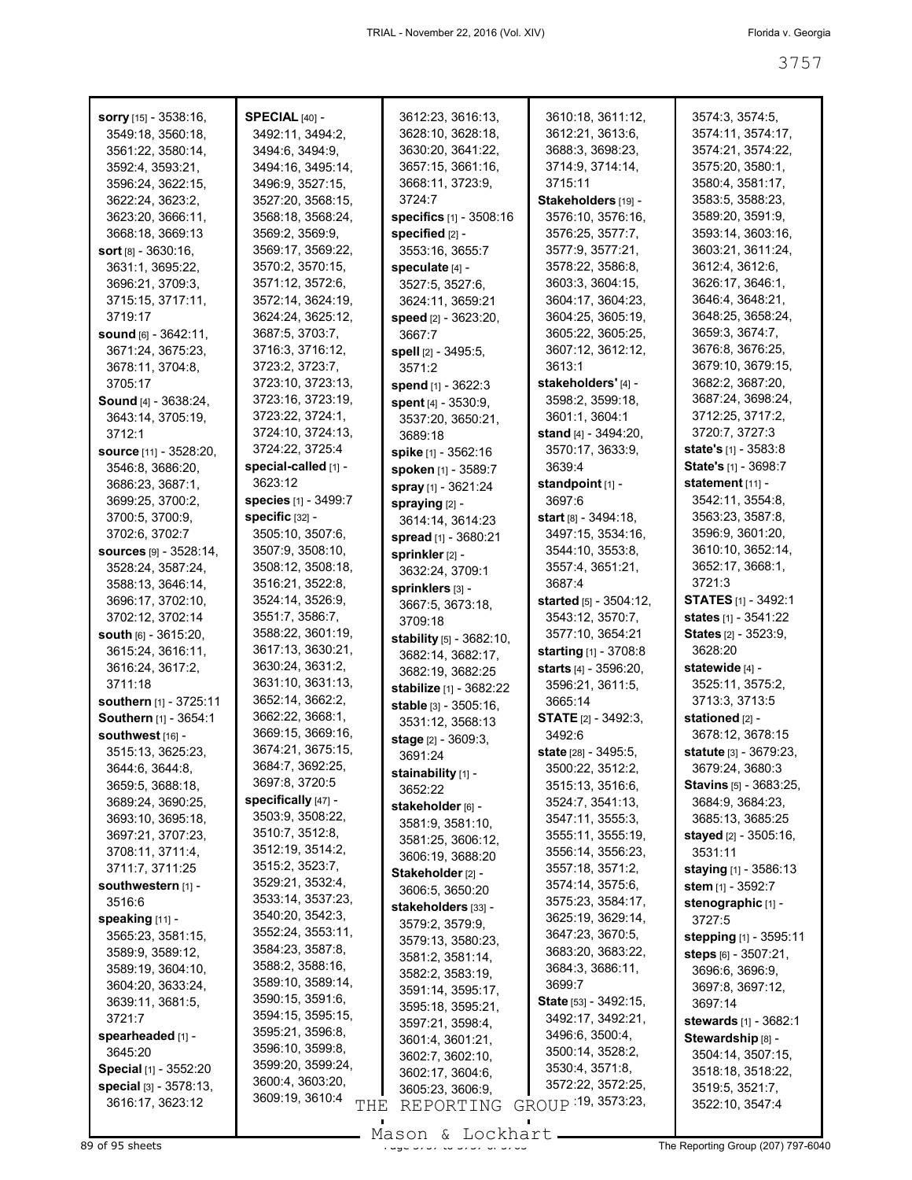| sorry [15] - 3538:16,         | SPECIAL $[40]$ -       | 3612:23, 3616:13,          | 3610:18, 3611:12,              | 3574:3, 3574:5,               |
|-------------------------------|------------------------|----------------------------|--------------------------------|-------------------------------|
| 3549:18, 3560:18,             | 3492:11, 3494:2,       | 3628:10, 3628:18,          | 3612:21, 3613:6,               | 3574:11, 3574:17,             |
| 3561:22, 3580:14,             | 3494:6, 3494:9,        | 3630:20, 3641:22,          | 3688:3, 3698:23,               | 3574:21, 3574:22,             |
| 3592:4, 3593:21,              | 3494:16, 3495:14,      | 3657:15, 3661:16,          | 3714.9, 3714.14,               | 3575:20, 3580:1,              |
| 3596:24, 3622:15,             | 3496:9, 3527:15,       | 3668:11, 3723:9,           | 3715:11                        | 3580:4, 3581:17,              |
| 3622:24, 3623:2,              | 3527:20, 3568:15,      | 3724:7                     | Stakeholders [19] -            | 3583:5, 3588:23,              |
| 3623:20, 3666:11,             | 3568:18, 3568:24,      | specifics [1] - 3508:16    | 3576:10, 3576:16,              | 3589:20, 3591:9,              |
| 3668:18, 3669:13              | 3569:2, 3569:9,        | specified [2] -            | 3576:25, 3577:7,               | 3593:14, 3603:16,             |
| <b>sort</b> $[8] - 3630:16$ , | 3569:17, 3569:22,      | 3553:16, 3655:7            | 3577:9, 3577:21,               | 3603:21, 3611:24,             |
| 3631:1, 3695:22,              | 3570:2, 3570:15,       | speculate [4] -            | 3578:22, 3586:8,               | 3612:4, 3612:6,               |
| 3696:21, 3709:3,              | 3571:12, 3572:6,       | 3527:5, 3527:6,            | 3603:3, 3604:15,               | 3626:17, 3646:1,              |
| 3715:15, 3717:11,             | 3572:14, 3624:19,      |                            | 3604:17, 3604:23,              | 3646:4, 3648:21,              |
|                               |                        | 3624:11, 3659:21           |                                |                               |
| 3719:17                       | 3624:24, 3625:12,      | speed [2] - 3623:20,       | 3604:25, 3605:19,              | 3648:25, 3658:24,             |
| sound $[6] - 3642:11$ ,       | 3687:5, 3703:7,        | 3667:7                     | 3605:22, 3605:25,              | 3659:3, 3674:7,               |
| 3671:24, 3675:23,             | 3716:3, 3716:12,       | spell [2] - 3495:5,        | 3607:12, 3612:12,              | 3676:8, 3676:25,              |
| 3678:11, 3704:8,              | 3723:2, 3723:7,        | 3571:2                     | 3613:1                         | 3679:10, 3679:15,             |
| 3705:17                       | 3723:10, 3723:13,      | spend [1] - 3622:3         | stakeholders' [4] -            | 3682:2, 3687:20,              |
| <b>Sound</b> [4] - 3638:24,   | 3723:16, 3723:19,      | spent [4] - 3530:9,        | 3598:2, 3599:18,               | 3687:24, 3698:24,             |
| 3643:14, 3705:19,             | 3723:22, 3724:1,       | 3537:20, 3650:21,          | 3601:1, 3604:1                 | 3712:25, 3717:2,              |
| 3712:1                        | 3724:10, 3724:13,      | 3689:18                    | <b>stand</b> [4] - 3494:20,    | 3720:7, 3727:3                |
| source [11] - 3528:20,        | 3724:22, 3725:4        | spike [1] - 3562:16        | 3570:17, 3633:9,               | <b>state's</b> $[1] - 3583.8$ |
| 3546:8, 3686:20,              | special-called [1] -   | <b>spoken</b> [1] - 3589:7 | 3639:4                         | State's [1] - 3698:7          |
| 3686:23, 3687:1,              | 3623:12                | spray [1] - 3621:24        | standpoint $[1]$ -             | statement [11] -              |
| 3699:25, 3700:2,              | species [1] - 3499:7   |                            | 3697:6                         | 3542:11, 3554:8,              |
| 3700:5, 3700:9,               | specific [32] -        | spraying [2] -             | <b>start</b> $[8] - 3494:18$ , | 3563:23, 3587:8,              |
| 3702:6, 3702:7                | 3505:10, 3507:6,       | 3614:14, 3614:23           | 3497:15, 3534:16,              | 3596:9, 3601:20,              |
| Sources [9] - 3528:14,        | 3507:9, 3508:10,       | spread [1] - 3680:21       | 3544:10, 3553:8,               | 3610:10, 3652:14,             |
|                               |                        | sprinkler [2] -            |                                |                               |
| 3528:24, 3587:24,             | 3508:12, 3508:18,      | 3632:24, 3709:1            | 3557:4, 3651:21,               | 3652:17, 3668:1,              |
| 3588:13, 3646:14,             | 3516:21, 3522:8,       | sprinklers [3] -           | 3687:4                         | 3721:3                        |
| 3696:17, 3702:10,             | 3524:14, 3526:9,       | 3667:5, 3673:18,           | <b>started</b> [5] - 3504:12,  | <b>STATES</b> [1] - 3492:1    |
| 3702:12, 3702:14              | 3551:7, 3586:7,        | 3709:18                    | 3543:12, 3570:7,               | states [1] - 3541:22          |
| south [6] - 3615:20,          | 3588:22, 3601:19,      | stability [5] - 3682:10,   | 3577:10, 3654:21               | <b>States</b> [2] - 3523:9,   |
| 3615:24, 3616:11,             | 3617:13, 3630:21,      | 3682:14, 3682:17,          | <b>starting</b> $[1]$ - 3708:8 | 3628:20                       |
| 3616:24, 3617:2,              | 3630:24, 3631:2,       | 3682:19, 3682:25           | <b>starts</b> [4] - 3596:20,   | statewide [4] -               |
| 3711:18                       | 3631:10, 3631:13,      | stabilize [1] - 3682:22    | 3596:21, 3611:5,               | 3525:11, 3575:2,              |
| southern [1] - 3725:11        | 3652:14, 3662:2,       | stable [3] - 3505:16,      | 3665:14                        | 3713:3, 3713:5                |
| Southern [1] - 3654:1         | 3662:22, 3668:1,       | 3531:12, 3568:13           | <b>STATE</b> $[2] - 3492:3$    | stationed [2] -               |
| southwest [16] -              | 3669:15, 3669:16,      | stage [2] - 3609:3,        | 3492:6                         | 3678:12, 3678:15              |
| 3515:13, 3625:23,             | 3674:21, 3675:15,      | 3691:24                    | <b>state</b> [28] - 3495:5,    | statute [3] - 3679:23,        |
| 3644:6, 3644:8,               | 3684:7, 3692:25,       | stainability [1] -         | 3500:22, 3512:2,               | 3679:24, 3680:3               |
| 3659:5, 3688:18,              | 3697:8, 3720:5         | 3652:22                    | 3515:13, 3516:6,               | <b>Stavins</b> [5] - 3683:25, |
| 3689:24, 3690:25,             | specifically $[47]$ -  |                            | 3524:7, 3541:13,               | 3684:9, 3684:23,              |
| 3693:10, 3695:18,             | 3503:9, 3508:22,       | stakeholder [6] -          | 3547:11, 3555:3,               | 3685:13, 3685:25              |
| 3697:21, 3707:23,             | 3510:7, 3512:8,        | 3581:9, 3581:10,           | 3555:11, 3555:19,              | <b>stayed</b> [2] - 3505:16,  |
| 3708:11, 3711:4,              | 3512:19, 3514:2,       | 3581:25, 3606:12,          | 3556:14, 3556:23,              | 3531:11                       |
| 3711:7, 3711:25               | 3515:2, 3523:7,        | 3606:19, 3688:20           | 3557:18, 3571:2,               | staying [1] - 3586:13         |
| southwestern [1] -            | 3529:21, 3532:4,       | Stakeholder [2] -          | 3574:14, 3575:6,               | stem $[1] - 3592:7$           |
| 3516:6                        | 3533:14, 3537:23,      | 3606:5, 3650:20            | 3575:23, 3584:17,              |                               |
|                               | 3540:20, 3542:3,       | stakeholders [33] -        | 3625:19, 3629:14,              | stenographic [1] -            |
| speaking [11] -               | 3552:24, 3553:11,      | 3579:2, 3579:9,            |                                | 3727:5                        |
| 3565:23, 3581:15,             |                        | 3579:13, 3580:23,          | 3647:23, 3670:5,               | <b>stepping</b> [1] - 3595:11 |
| 3589:9, 3589:12,              | 3584:23, 3587:8,       | 3581:2, 3581:14,           | 3683:20, 3683:22,              | steps [6] - 3507:21,          |
| 3589:19, 3604:10,             | 3588:2, 3588:16,       | 3582:2, 3583:19,           | 3684:3, 3686:11,               | 3696:6, 3696:9,               |
| 3604:20, 3633:24,             | 3589:10, 3589:14,      | 3591:14, 3595:17,          | 3699:7                         | 3697:8, 3697:12,              |
| 3639:11, 3681:5,              | 3590:15, 3591:6,       | 3595:18, 3595:21,          | <b>State</b> [53] - 3492:15,   | 3697:14                       |
| 3721:7                        | 3594:15, 3595:15,      | 3597:21, 3598:4,           | 3492:17, 3492:21,              | stewards $[1] - 3682:1$       |
| spearheaded [1] -             | 3595:21, 3596:8,       | 3601:4, 3601:21,           | 3496:6, 3500:4,                | Stewardship [8] -             |
| 3645:20                       | 3596:10, 3599:8,       | 3602:7, 3602:10,           | 3500:14, 3528:2,               | 3504:14, 3507:15,             |
| Special [1] - 3552:20         | 3599:20, 3599:24,      | 3602:17, 3604:6,           | 3530:4, 3571:8,                | 3518:18, 3518:22,             |
| special [3] - 3578:13,        | 3600:4, 3603:20,       | 3605:23, 3606:9,           | 3572:22, 3572:25,              | 3519:5, 3521:7,               |
| 3616:17, 3623:12              | 3609:19, 3610:4<br>THE | REPORTING                  | GROUP 19, 3573:23,             | 3522:10, 3547:4               |
|                               |                        |                            |                                |                               |
|                               |                        |                            |                                |                               |

Mason & Lockhart **Page 3758 The Reporting Group (207) 797-6040**<br>89 of 95 sheets **Page 3757 computer Street Street Street Street Street Street Street Street Street Street Street**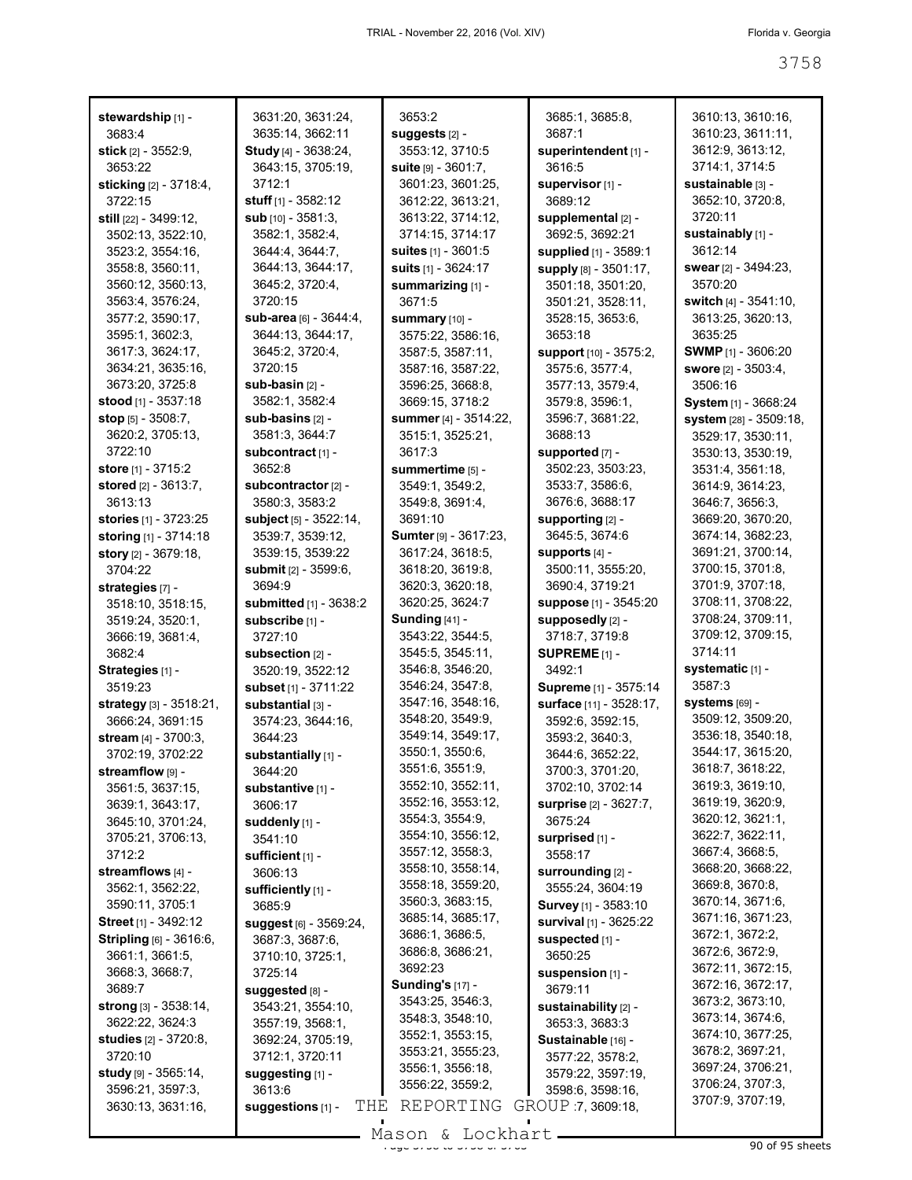| stewardship [1] -                 | 3631:20, 3631:24,              | 3653:2                       | 3685:1, 3685:8,          | 3610:13, 3610:16,           |
|-----------------------------------|--------------------------------|------------------------------|--------------------------|-----------------------------|
| 3683:4                            | 3635:14, 3662:11               | suggests [2] -               | 3687:1                   | 3610:23, 3611:11,           |
| stick [2] - 3552:9,               | <b>Study</b> [4] - 3638:24,    | 3553:12, 3710:5              | superintendent [1] -     | 3612:9, 3613:12,            |
| 3653:22                           | 3643:15, 3705:19,              | suite [9] - 3601:7,          | 3616:5                   | 3714:1, 3714:5              |
| sticking [2] - 3718:4,            | 3712:1                         | 3601:23, 3601:25,            | supervisor [1] -         | sustainable [3] -           |
| 3722:15                           | stuff $[1]$ - 3582:12          | 3612:22, 3613:21,            | 3689:12                  | 3652:10, 3720:8,            |
|                                   | sub [10] - 3581:3,             | 3613:22, 3714:12,            |                          | 3720:11                     |
| still [22] - 3499:12,             |                                |                              | supplemental [2] -       |                             |
| 3502:13, 3522:10,                 | 3582:1, 3582:4,                | 3714:15, 3714:17             | 3692:5, 3692:21          | sustainably [1] -           |
| 3523:2, 3554:16,                  | 3644:4, 3644:7,                | suites [1] - 3601:5          | supplied [1] - 3589:1    | 3612:14                     |
| 3558:8, 3560:11,                  | 3644:13, 3644:17,              | <b>suits</b> $[1] - 3624:17$ | supply [8] - 3501:17,    | swear [2] - 3494:23,        |
| 3560:12, 3560:13,                 | 3645:2, 3720:4,                | summarizing [1] -            | 3501:18, 3501:20,        | 3570:20                     |
| 3563:4, 3576:24,                  | 3720:15                        | 3671:5                       | 3501:21, 3528:11,        | switch $[4] - 3541:10$ ,    |
| 3577:2, 3590:17,                  | sub-area [6] - 3644:4,         | summary [10] -               | 3528:15, 3653:6,         | 3613:25, 3620:13,           |
| 3595:1, 3602:3,                   | 3644:13, 3644:17,              | 3575:22, 3586:16,            | 3653:18                  | 3635:25                     |
| 3617:3, 3624:17,                  | 3645:2, 3720:4,                | 3587:5, 3587:11,             | support [10] - 3575:2,   | <b>SWMP</b> $[1]$ - 3606:20 |
| 3634:21, 3635:16,                 | 3720:15                        | 3587:16, 3587:22,            | 3575:6, 3577:4,          | <b>swore</b> [2] - 3503:4,  |
| 3673:20, 3725:8                   | sub-basin [2] -                | 3596:25, 3668:8,             | 3577:13, 3579:4,         | 3506:16                     |
| stood [1] - 3537:18               | 3582:1, 3582:4                 | 3669:15, 3718:2              | 3579:8, 3596:1,          | System [1] - 3668:24        |
| stop $[5] - 3508:7$ ,             | sub-basins [2] -               | summer [4] - 3514:22,        | 3596:7, 3681:22,         | system [28] - 3509:18,      |
| 3620:2, 3705:13,                  | 3581:3, 3644:7                 | 3515:1, 3525:21,             | 3688:13                  | 3529:17, 3530:11,           |
| 3722:10                           | subcontract [1] -              | 3617:3                       | supported [7] -          | 3530:13, 3530:19,           |
| store [1] - 3715:2                | 3652:8                         | summertime [5] -             | 3502:23, 3503:23,        | 3531:4, 3561:18,            |
| stored $[2] - 3613:7$ ,           | subcontractor [2] -            | 3549:1, 3549:2,              | 3533:7, 3586:6,          | 3614:9, 3614:23,            |
|                                   |                                |                              | 3676:6, 3688:17          |                             |
| 3613:13                           | 3580:3, 3583:2                 | 3549:8, 3691:4,              |                          | 3646:7, 3656:3,             |
| stories [1] - 3723:25             | subject [5] - 3522:14,         | 3691:10                      | supporting [2] -         | 3669:20, 3670:20,           |
| storing [1] - 3714:18             | 3539:7, 3539:12,               | Sumter [9] - 3617:23,        | 3645:5, 3674:6           | 3674:14, 3682:23,           |
| <b>story</b> [2] - 3679:18,       | 3539:15, 3539:22               | 3617:24, 3618:5,             | supports [4] -           | 3691:21, 3700:14,           |
| 3704:22                           | <b>submit</b> $[2] - 3599:6$ , | 3618:20, 3619:8,             | 3500:11, 3555:20,        | 3700:15, 3701:8,            |
| strategies [7] -                  | 3694:9                         | 3620:3, 3620:18,             | 3690:4, 3719:21          | 3701:9, 3707:18,            |
| 3518:10, 3518:15,                 | <b>submitted</b> [1] - 3638:2  | 3620:25, 3624:7              | suppose [1] - 3545:20    | 3708:11, 3708:22,           |
| 3519:24, 3520:1,                  | subscribe [1] -                | <b>Sunding [41] -</b>        | supposedly [2] -         | 3708:24, 3709:11,           |
|                                   |                                |                              |                          |                             |
| 3666:19, 3681:4,                  | 3727:10                        | 3543:22, 3544:5,             | 3718:7, 3719:8           | 3709:12, 3709:15,           |
| 3682:4                            |                                | 3545:5, 3545:11,             | SUPREME <sub>[1]</sub> - | 3714:11                     |
|                                   | subsection [2] -               | 3546:8, 3546:20,             |                          |                             |
| Strategies [1] -                  | 3520:19, 3522:12               |                              | 3492:1                   | systematic [1] -<br>3587:3  |
| 3519:23                           | subset [1] - 3711:22           | 3546:24, 3547:8,             | Supreme [1] - 3575:14    |                             |
| <b>strategy</b> $[3] - 3518:21$ , | substantial [3] -              | 3547:16, 3548:16,            | surface [11] - 3528:17,  | <b>systems</b> [69] -       |
| 3666:24, 3691:15                  | 3574:23, 3644:16,              | 3548:20, 3549:9,             | 3592:6, 3592:15,         | 3509:12, 3509:20,           |
| stream $[4] - 3700:3$ ,           | 3644:23                        | 3549:14, 3549:17,            | 3593:2, 3640:3,          | 3536:18, 3540:18,           |
| 3702:19, 3702:22                  | substantially [1] -            | 3550:1, 3550:6,              | 3644:6, 3652:22,         | 3544:17, 3615:20,           |
| streamflow [9] -                  | 3644:20                        | 3551:6, 3551:9,              | 3700:3, 3701:20,         | 3618:7, 3618:22,            |
| 3561:5, 3637:15,                  | substantive [1] -              | 3552:10, 3552:11,            | 3702:10, 3702:14         | 3619:3, 3619:10,            |
| 3639:1, 3643:17,                  | 3606:17                        | 3552:16, 3553:12,            | surprise [2] - 3627:7,   | 3619:19, 3620:9,            |
| 3645:10, 3701:24,                 | suddenly [1] -                 | 3554:3, 3554:9,              | 3675:24                  | 3620:12, 3621:1,            |
| 3705:21, 3706:13,                 | 3541:10                        | 3554:10, 3556:12,            | surprised [1] -          | 3622:7, 3622:11,            |
| 3712:2                            | sufficient [1] -               | 3557:12, 3558:3,             | 3558:17                  | 3667:4, 3668:5,             |
| streamflows [4] -                 | 3606:13                        | 3558:10, 3558:14,            | surrounding [2] -        | 3668:20, 3668:22,           |
| 3562:1, 3562:22,                  | sufficiently [1] -             | 3558:18, 3559:20,            | 3555:24, 3604:19         | 3669:8, 3670:8,             |
| 3590:11, 3705:1                   | 3685:9                         | 3560:3, 3683:15,             | Survey [1] - 3583:10     | 3670:14, 3671:6,            |
| Street [1] - 3492:12              | suggest [6] - 3569:24,         | 3685:14, 3685:17,            | survival [1] - 3625:22   | 3671:16, 3671:23,           |
| <b>Stripling</b> [6] - 3616:6,    | 3687:3, 3687:6,                | 3686:1, 3686:5,              | suspected [1] -          | 3672:1, 3672:2,             |
| 3661:1, 3661:5,                   | 3710:10, 3725:1,               | 3686:8, 3686:21,             | 3650:25                  | 3672:6, 3672:9,             |
| 3668:3, 3668:7,                   | 3725:14                        | 3692:23                      | suspension [1] -         | 3672:11, 3672:15,           |
| 3689:7                            |                                | <b>Sunding's [17] -</b>      | 3679:11                  | 3672:16, 3672:17,           |
| <b>strong</b> $[3] - 3538:14$ ,   | suggested [8] -                | 3543:25, 3546:3,             |                          | 3673:2, 3673:10,            |
|                                   | 3543:21, 3554:10,              | 3548:3, 3548:10,             | sustainability [2] -     | 3673:14, 3674:6,            |
| 3622:22, 3624:3                   | 3557:19, 3568:1,               | 3552:1, 3553:15,             | 3653:3, 3683:3           | 3674:10, 3677:25,           |
| <b>studies</b> [2] - 3720:8,      | 3692:24, 3705:19,              | 3553:21, 3555:23,            | Sustainable [16] -       | 3678:2, 3697:21,            |
| 3720:10                           | 3712:1, 3720:11                | 3556:1, 3556:18,             | 3577:22, 3578:2,         | 3697:24, 3706:21,           |
| study [9] - 3565:14,              | suggesting [1] -               | 3556:22, 3559:2,             | 3579:22, 3597:19,        | 3706:24, 3707:3,            |
| 3596:21, 3597:3,                  | 3613:6                         |                              | 3598:6, 3598:16,         |                             |
| 3630:13, 3631:16,                 | THE<br>suggestions [1] -       | REPORTING                    | GROUP 7, 3609:18,        | 3707:9, 3707:19,            |

Mason & Lockhart <u>external and the 30 of 95 sheets</u>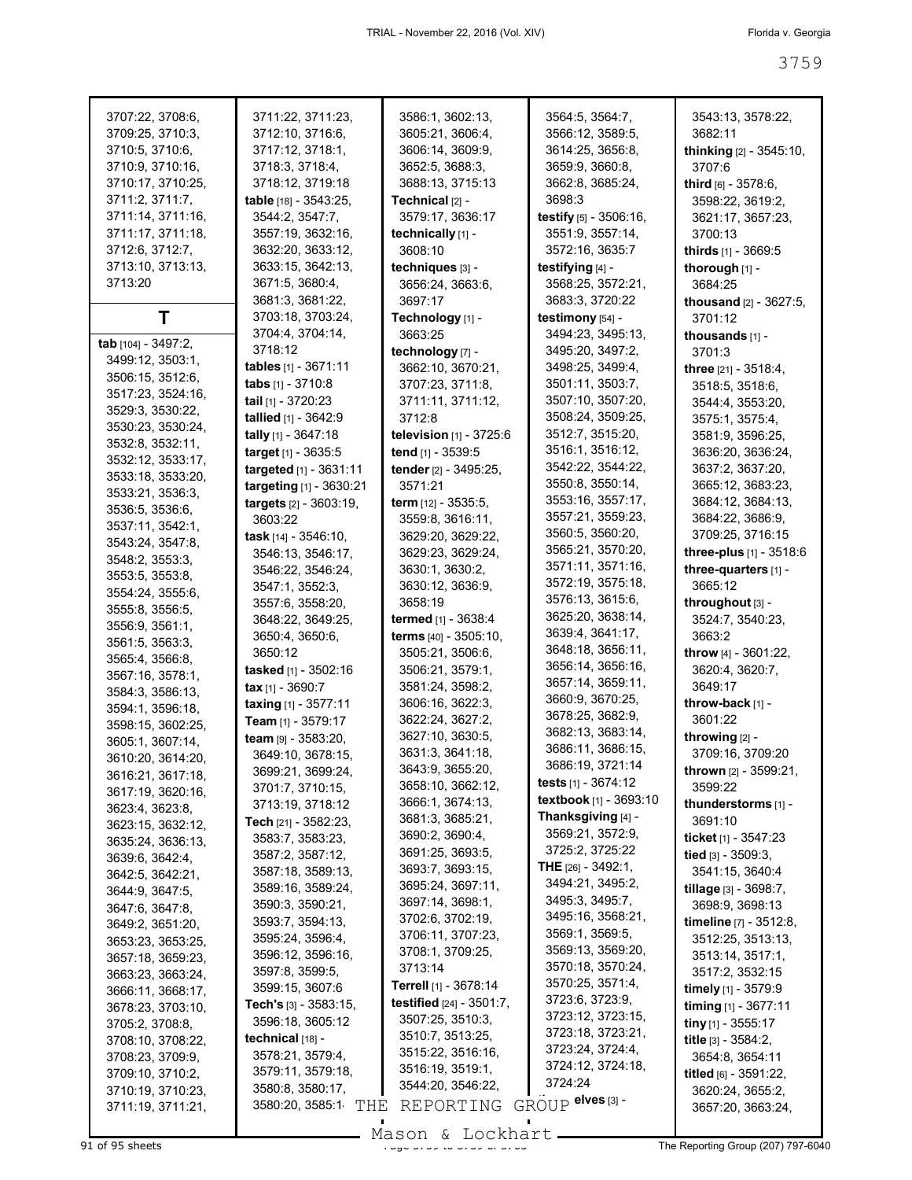| 3707:22, 3708:6,    | 3711:22, 3711:23,             | 3586:1, 3602:13,                | 3564:5, 3564:7,               | 3543:13, 3578:22,              |
|---------------------|-------------------------------|---------------------------------|-------------------------------|--------------------------------|
| 3709:25, 3710:3,    | 3712:10, 3716:6,              | 3605:21, 3606:4,                | 3566:12, 3589:5,              | 3682:11                        |
| 3710:5, 3710:6,     | 3717:12, 3718:1,              | 3606:14, 3609:9,                | 3614:25, 3656:8,              |                                |
|                     |                               |                                 |                               | thinking [2] - 3545:10,        |
| 3710:9, 3710:16,    | 3718:3, 3718:4,               | 3652:5, 3688:3,                 | 3659:9, 3660:8,               | 3707:6                         |
| 3710:17, 3710:25,   | 3718:12, 3719:18              | 3688:13, 3715:13                | 3662:8, 3685:24,              | third [6] - 3578:6,            |
| 3711:2, 3711:7,     | table [18] - 3543:25,         | Technical [2] -                 | 3698:3                        | 3598:22, 3619:2,               |
| 3711:14, 3711:16,   | 3544:2, 3547:7,               | 3579:17, 3636:17                | testify [5] - 3506:16,        | 3621:17, 3657:23,              |
| 3711:17, 3711:18,   | 3557:19, 3632:16,             | technically [1] -               | 3551:9, 3557:14,              | 3700:13                        |
| 3712:6, 3712:7,     |                               |                                 |                               |                                |
|                     | 3632:20, 3633:12,             | 3608:10                         | 3572:16, 3635:7               | thirds [1] - 3669:5            |
| 3713:10, 3713:13,   | 3633:15, 3642:13,             | techniques [3] -                | testifying [4] -              | thorough [1] -                 |
| 3713:20             | 3671:5, 3680:4,               | 3656:24, 3663:6,                | 3568:25, 3572:21,             | 3684:25                        |
|                     | 3681:3, 3681:22,              | 3697:17                         | 3683:3, 3720:22               | thousand [2] - 3627:5,         |
| Τ                   | 3703:18, 3703:24,             | Technology [1] -                | testimony [54] -              | 3701:12                        |
|                     | 3704:4, 3704:14,              | 3663:25                         | 3494:23, 3495:13,             | thousands [1] -                |
| tab [104] - 3497:2, | 3718:12                       | technology [7] -                | 3495:20, 3497:2,              | 3701:3                         |
| 3499:12, 3503:1,    |                               |                                 |                               |                                |
| 3506:15, 3512:6,    | tables [1] - 3671:11          | 3662:10, 3670:21,               | 3498:25, 3499:4,              | three [21] - 3518:4,           |
| 3517:23, 3524:16,   | tabs $[1] - 3710.8$           | 3707:23, 3711:8,                | 3501:11, 3503:7,              | 3518:5, 3518:6,                |
| 3529:3, 3530:22,    | tail [1] - 3720:23            | 3711:11, 3711:12,               | 3507:10, 3507:20,             | 3544:4, 3553:20,               |
|                     | tallied [1] - 3642:9          | 3712:8                          | 3508:24, 3509:25,             | 3575:1, 3575:4,                |
| 3530:23, 3530:24,   | tally [1] - 3647:18           | television $[1]$ - 3725:6       | 3512:7, 3515:20,              | 3581:9, 3596:25,               |
| 3532:8, 3532:11,    | target [1] - 3635:5           | tend [1] - 3539:5               | 3516:1, 3516:12,              | 3636:20, 3636:24,              |
| 3532:12, 3533:17,   |                               |                                 | 3542:22, 3544:22,             |                                |
| 3533:18, 3533:20,   | targeted [1] - 3631:11        | tender [2] - 3495:25,           |                               | 3637:2, 3637:20,               |
| 3533:21, 3536:3,    | targeting [1] - 3630:21       | 3571:21                         | 3550:8, 3550:14,              | 3665:12, 3683:23,              |
| 3536:5, 3536:6,     | targets [2] - 3603:19,        | term [12] - 3535:5,             | 3553:16, 3557:17,             | 3684:12, 3684:13,              |
| 3537:11, 3542:1,    | 3603:22                       | 3559:8, 3616:11,                | 3557:21, 3559:23,             | 3684:22, 3686:9,               |
|                     | task [14] - 3546:10,          | 3629:20, 3629:22,               | 3560:5, 3560:20,              | 3709:25, 3716:15               |
| 3543:24, 3547:8,    | 3546:13, 3546:17,             | 3629:23, 3629:24,               | 3565:21, 3570:20,             | three-plus [1] - 3518:6        |
| 3548:2, 3553:3,     | 3546:22, 3546:24,             | 3630:1, 3630:2,                 | 3571:11, 3571:16,             | three-quarters [1] -           |
| 3553:5, 3553:8,     |                               |                                 | 3572:19, 3575:18,             |                                |
| 3554:24, 3555:6,    | 3547:1, 3552:3,               | 3630:12, 3636:9,                |                               | 3665:12                        |
| 3555:8, 3556:5,     | 3557:6, 3558:20,              | 3658:19                         | 3576:13, 3615:6,              | throughout [3] -               |
| 3556:9, 3561:1,     | 3648:22, 3649:25,             | termed [1] - 3638:4             | 3625:20, 3638:14,             | 3524:7, 3540:23,               |
| 3561:5, 3563:3,     | 3650:4, 3650:6,               | terms [40] - 3505:10,           | 3639:4, 3641:17,              | 3663:2                         |
|                     | 3650:12                       | 3505:21, 3506:6,                | 3648:18, 3656:11,             | <b>throw</b> [4] - $3601:22$ , |
| 3565:4, 3566:8,     | tasked [1] - 3502:16          | 3506:21, 3579:1,                | 3656:14, 3656:16,             | 3620:4, 3620:7,                |
| 3567:16, 3578:1,    | tax $[1] - 3690:7$            | 3581:24, 3598:2,                | 3657:14, 3659:11,             | 3649:17                        |
| 3584:3, 3586:13,    |                               |                                 | 3660:9, 3670:25,              |                                |
| 3594:1, 3596:18,    | taxing [1] - 3577:11          | 3606:16, 3622:3,                | 3678:25, 3682:9,              | throw-back [1] -               |
| 3598:15, 3602:25,   | <b>Team</b> $[1]$ - 3579:17   | 3622:24, 3627:2,                |                               | 3601:22                        |
| 3605:1, 3607:14,    | team [9] - 3583:20,           | 3627:10, 3630:5,                | 3682:13, 3683:14,             | throwing [2] -                 |
| 3610:20, 3614:20,   | 3649:10, 3678:15,             | 3631:3, 3641:18,                | 3686:11, 3686:15,             | 3709:16, 3709:20               |
| 3616:21, 3617:18,   | 3699:21, 3699:24,             | 3643:9, 3655:20,                | 3686:19, 3721:14              | <b>thrown</b> [2] - 3599:21,   |
|                     | 3701:7, 3710:15,              | 3658:10, 3662:12,               | tests $[1] - 3674:12$         | 3599:22                        |
| 3617:19, 3620:16,   | 3713:19, 3718:12              | 3666:1, 3674:13,                | <b>textbook</b> [1] - 3693:10 | thunderstorms [1] -            |
| 3623:4, 3623:8,     |                               | 3681:3, 3685:21,                | Thanksgiving [4] -            |                                |
| 3623:15, 3632:12,   | <b>Tech</b> $[21]$ - 3582:23, |                                 | 3569:21, 3572:9,              | 3691:10                        |
| 3635:24, 3636:13,   | 3583:7, 3583:23,              | 3690:2, 3690:4,                 |                               | ticket [1] - 3547:23           |
| 3639:6, 3642:4,     | 3587:2, 3587:12,              | 3691:25, 3693:5,                | 3725:2, 3725:22               | tied [3] - 3509:3.             |
| 3642:5, 3642:21,    | 3587:18, 3589:13,             | 3693:7, 3693:15,                | <b>THE</b> [26] - 3492:1,     | 3541:15, 3640:4                |
| 3644:9, 3647:5,     | 3589:16, 3589:24,             | 3695:24, 3697:11,               | 3494:21, 3495:2,              | tillage [3] - 3698:7,          |
| 3647:6, 3647:8,     | 3590:3, 3590:21,              | 3697:14, 3698:1,                | 3495:3, 3495:7,               | 3698:9, 3698:13                |
|                     | 3593:7, 3594:13,              | 3702:6, 3702:19,                | 3495:16, 3568:21,             | timeline [7] - 3512:8,         |
| 3649:2, 3651:20,    |                               | 3706:11, 3707:23,               | 3569:1, 3569:5,               |                                |
| 3653:23, 3653:25,   | 3595:24, 3596:4,              | 3708:1, 3709:25,                | 3569:13, 3569:20,             | 3512:25, 3513:13,              |
| 3657:18, 3659:23,   | 3596:12, 3596:16,             |                                 | 3570:18, 3570:24,             | 3513:14, 3517:1,               |
| 3663:23, 3663:24,   | 3597:8, 3599:5,               | 3713:14                         |                               | 3517:2, 3532:15                |
| 3666:11, 3668:17,   | 3599:15, 3607:6               | Terrell [1] - 3678:14           | 3570:25, 3571:4,              | timely $[1]$ - 3579:9          |
| 3678:23, 3703:10,   | Tech's [3] - 3583:15,         | <b>testified</b> [24] - 3501:7, | 3723:6, 3723:9,               | timing $[1]$ - 3677:11         |
| 3705:2, 3708:8,     | 3596:18, 3605:12              | 3507:25, 3510:3,                | 3723:12, 3723:15,             | tiny $[1]$ - 3555:17           |
|                     | technical [18] -              | 3510:7, 3513:25,                | 3723:18, 3723:21,             | title $[3] - 3584:2$ ,         |
| 3708:10, 3708:22,   |                               | 3515:22, 3516:16,               | 3723:24, 3724:4,              |                                |
| 3708:23, 3709:9,    | 3578:21, 3579:4,              | 3516:19, 3519:1,                | 3724:12, 3724:18,             | 3654:8, 3654:11                |
| 3709:10, 3710:2,    | 3579:11, 3579:18,             |                                 | 3724:24                       | titled [6] - 3591:22,          |
| 3710:19, 3710:23,   | 3580:8, 3580:17,              | 3544:20, 3546:22,               |                               | 3620:24, 3655:2,               |
| 3711:19, 3711:21,   | 3580:20, 3585:1<br>THE        | REPORTING                       | GROUP elves [3] -             | 3657:20, 3663:24,              |
|                     |                               |                                 |                               |                                |

Mason & Lockhart **Page 3759 of 95 sheets** Page 377-6040<br>
91 of 95 sheets **Page 3759 of 3763 Contract Page 3759 of 3763 The Reporting Group (207) 797-6040**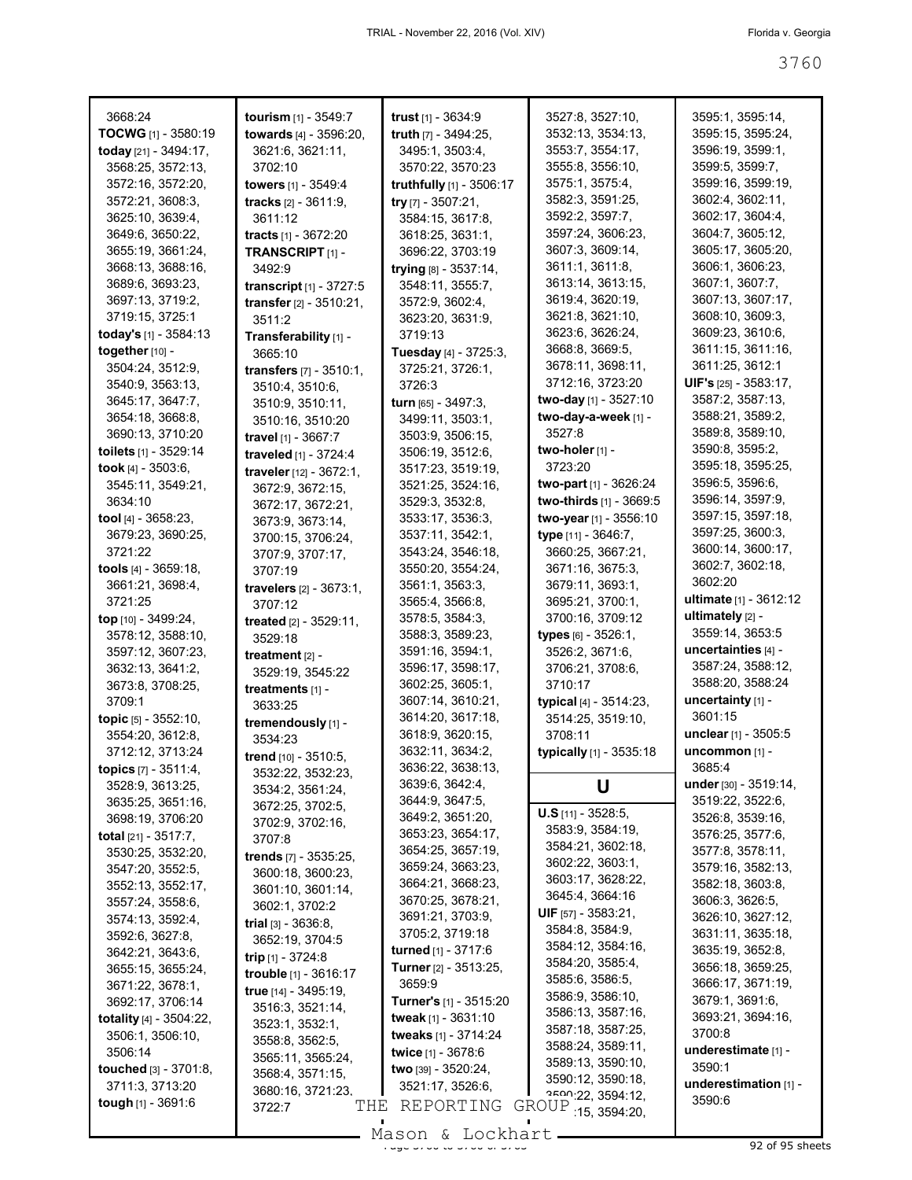| 3668:24                       | tourism [1] - 3549:7              | trust $[1] - 3634.9$           | 3527:8, 3527:10,             | 3595:1, 3595:14,                |
|-------------------------------|-----------------------------------|--------------------------------|------------------------------|---------------------------------|
| <b>TOCWG</b> [1] - 3580:19    | towards [4] - 3596:20,            | <b>truth</b> $[7] - 3494:25$ , | 3532:13, 3534:13,            | 3595:15, 3595:24,               |
| today [21] - 3494:17,         | 3621:6, 3621:11,                  | 3495:1, 3503:4,                | 3553:7, 3554:17,             | 3596:19, 3599:1,                |
| 3568:25, 3572:13,             | 3702:10                           | 3570:22, 3570:23               | 3555:8, 3556:10,             | 3599:5, 3599:7,                 |
| 3572:16, 3572:20,             | towers [1] - 3549:4               |                                | 3575:1, 3575:4,              | 3599:16, 3599:19,               |
|                               |                                   | truthfully [1] - 3506:17       |                              |                                 |
| 3572:21, 3608:3,              | <b>tracks</b> $[2] - 3611:9$ ,    | try $[7] - 3507:21$ ,          | 3582:3, 3591:25,             | 3602:4, 3602:11,                |
| 3625:10, 3639:4,              | 3611:12                           | 3584:15, 3617:8,               | 3592:2, 3597:7,              | 3602:17, 3604:4,                |
| 3649:6, 3650:22,              | tracts [1] - 3672:20              | 3618:25, 3631:1,               | 3597:24, 3606:23,            | 3604:7, 3605:12,                |
| 3655:19, 3661:24,             | <b>TRANSCRIPT</b> [1] -           | 3696:22, 3703:19               | 3607:3, 3609:14,             | 3605:17, 3605:20,               |
| 3668:13, 3688:16,             | 3492:9                            | trying [8] - 3537:14,          | 3611:1, 3611:8,              | 3606:1, 3606:23,                |
| 3689:6, 3693:23,              | transcript [1] - 3727:5           | 3548:11, 3555:7,               | 3613:14, 3613:15,            | 3607:1, 3607:7,                 |
| 3697:13, 3719:2,              | transfer [2] - 3510:21,           | 3572:9, 3602:4,                | 3619:4, 3620:19,             | 3607:13, 3607:17,               |
| 3719:15, 3725:1               | 3511:2                            | 3623:20, 3631:9,               | 3621:8, 3621:10,             | 3608:10, 3609:3,                |
| today's [1] - 3584:13         | Transferability [1] -             | 3719:13                        | 3623:6, 3626:24,             | 3609:23, 3610:6,                |
| together [10] -               | 3665:10                           | Tuesday [4] - 3725:3,          | 3668:8, 3669:5,              | 3611:15, 3611:16,               |
| 3504:24, 3512:9,              |                                   | 3725:21, 3726:1,               | 3678:11, 3698:11,            | 3611:25, 3612:1                 |
| 3540:9, 3563:13,              | <b>transfers</b> $[7] - 3510:1$ , |                                | 3712:16, 3723:20             | <b>UIF's</b> $[25] - 3583:17$ , |
|                               | 3510:4, 3510:6,                   | 3726:3                         |                              | 3587:2, 3587:13,                |
| 3645:17, 3647:7,              | 3510:9, 3510:11,                  | turn [65] - 3497:3,            | two-day [1] - 3527:10        |                                 |
| 3654:18, 3668:8,              | 3510:16, 3510:20                  | 3499:11, 3503:1,               | two-day-a-week [1] -         | 3588:21, 3589:2,                |
| 3690:13, 3710:20              | travel [1] - 3667:7               | 3503:9, 3506:15,               | 3527:8                       | 3589:8, 3589:10,                |
| toilets [1] - 3529:14         | traveled [1] - 3724:4             | 3506:19, 3512:6,               | two-holer [1] -              | 3590:8, 3595:2,                 |
| took [4] - 3503:6,            | traveler [12] - 3672:1,           | 3517:23, 3519:19,              | 3723:20                      | 3595:18, 3595:25,               |
| 3545:11, 3549:21,             | 3672:9, 3672:15,                  | 3521:25, 3524:16,              | two-part [1] - 3626:24       | 3596:5, 3596:6,                 |
| 3634:10                       | 3672:17, 3672:21,                 | 3529:3, 3532:8,                | two-thirds [1] - 3669:5      | 3596:14, 3597:9,                |
| tool $[4] - 3658:23$ ,        | 3673:9, 3673:14,                  | 3533:17, 3536:3,               | two-year [1] - 3556:10       | 3597:15, 3597:18,               |
| 3679:23, 3690:25,             | 3700:15, 3706:24,                 | 3537:11, 3542:1,               | type [11] - 3646:7,          | 3597:25, 3600:3,                |
| 3721:22                       |                                   | 3543:24, 3546:18,              | 3660:25, 3667:21,            | 3600:14, 3600:17,               |
| tools [4] - 3659:18,          | 3707:9, 3707:17,                  | 3550:20, 3554:24,              | 3671:16, 3675:3,             | 3602:7, 3602:18,                |
|                               | 3707:19                           |                                |                              | 3602:20                         |
| 3661:21, 3698:4,              | travelers [2] - 3673:1,           | 3561:1, 3563:3,                | 3679:11, 3693:1,             | ultimate $[1] - 3612:12$        |
| 3721:25                       | 3707:12                           | 3565:4, 3566:8,                | 3695:21, 3700:1,             |                                 |
| top [10] - 3499:24,           | treated [2] - 3529:11,            | 3578:5, 3584:3,                | 3700:16, 3709:12             | ultimately <sub>[2]</sub> -     |
| 3578:12, 3588:10,             | 3529:18                           | 3588:3, 3589:23,               | types [6] - 3526:1,          | 3559:14, 3653:5                 |
| 3597:12, 3607:23,             | treatment $[2]$ -                 | 3591:16, 3594:1,               | 3526:2, 3671:6,              | uncertainties [4] -             |
| 3632:13, 3641:2,              | 3529:19, 3545:22                  | 3596:17, 3598:17,              | 3706:21, 3708:6,             | 3587:24, 3588:12,               |
| 3673:8, 3708:25,              | treatments [1] -                  | 3602:25, 3605:1,               | 3710:17                      | 3588:20, 3588:24                |
| 3709:1                        | 3633:25                           | 3607:14, 3610:21,              | typical [4] - 3514:23,       | uncertainty [1] -               |
| topic [5] - 3552:10,          | tremendously [1] -                | 3614:20, 3617:18,              | 3514:25, 3519:10,            | 3601:15                         |
| 3554:20, 3612:8,              | 3534:23                           | 3618:9, 3620:15,               | 3708:11                      | unclear [1] - 3505:5            |
| 3712:12, 3713:24              |                                   | 3632:11, 3634:2,               | typically [1] - 3535:18      | uncommon [1] -                  |
| topics [7] - 3511:4,          | trend [10] - 3510:5,              | 3636:22, 3638:13,              |                              | 3685:4                          |
|                               | 3532:22, 3532:23,                 | 3639:6, 3642:4,                | U                            | under $[30] - 3519:14$ ,        |
| 3528:9, 3613:25,              | 3534:2, 3561:24,                  | 3644:9, 3647:5,                |                              | 3519:22, 3522:6,                |
| 3635:25, 3651:16,             | 3672:25, 3702:5,                  |                                | <b>U.S</b> $[11] - 3528:5$ , |                                 |
| 3698:19, 3706:20              | 3702:9, 3702:16,                  | 3649:2, 3651:20,               | 3583:9, 3584:19,             | 3526:8, 3539:16,                |
| total [21] - 3517:7,          | 3707:8                            | 3653:23, 3654:17,              | 3584:21, 3602:18,            | 3576:25, 3577:6,                |
| 3530:25, 3532:20,             | trends [7] - 3535:25,             | 3654:25, 3657:19,              | 3602:22, 3603:1,             | 3577:8, 3578:11,                |
| 3547:20, 3552:5,              | 3600:18, 3600:23,                 | 3659:24, 3663:23,              | 3603:17, 3628:22,            | 3579:16, 3582:13,               |
| 3552:13, 3552:17,             | 3601:10, 3601:14,                 | 3664:21, 3668:23,              |                              | 3582:18, 3603:8,                |
| 3557:24, 3558:6,              | 3602:1, 3702:2                    | 3670:25, 3678:21,              | 3645:4, 3664:16              | 3606:3, 3626:5,                 |
| 3574:13, 3592:4,              | <b>trial</b> $[3] - 3636:8$ ,     | 3691:21, 3703:9,               | <b>UIF</b> [57] - 3583:21,   | 3626:10, 3627:12,               |
| 3592:6, 3627:8,               | 3652:19, 3704:5                   | 3705:2, 3719:18                | 3584:8, 3584:9,              | 3631:11, 3635:18,               |
| 3642:21, 3643:6,              | trip [1] - 3724:8                 | turned [1] - 3717:6            | 3584:12, 3584:16,            | 3635:19, 3652:8,                |
| 3655:15, 3655:24,             |                                   | Turner [2] - 3513:25,          | 3584:20, 3585:4,             | 3656:18, 3659:25,               |
| 3671:22, 3678:1,              | trouble [1] - 3616:17             | 3659:9                         | 3585:6, 3586:5,              | 3666:17, 3671:19,               |
| 3692:17, 3706:14              | true [14] - 3495:19,              | <b>Turner's</b> [1] - 3515:20  | 3586:9, 3586:10,             | 3679:1, 3691:6,                 |
| totality $[4] - 3504:22$ ,    | 3516:3, 3521:14,                  | tweak [1] - 3631:10            | 3586:13, 3587:16,            | 3693:21, 3694:16,               |
| 3506:1, 3506:10,              | 3523:1, 3532:1,                   | tweaks [1] - 3714:24           | 3587:18, 3587:25,            | 3700:8                          |
|                               | 3558:8, 3562:5,                   |                                | 3588:24, 3589:11,            | underestimate [1] -             |
| 3506:14                       | 3565:11, 3565:24,                 | <b>twice</b> $[1] - 3678.6$    | 3589:13, 3590:10,            | 3590:1                          |
| <b>touched</b> $[3] - 3701.8$ | 3568:4, 3571:15,                  | <b>two</b> [39] - $3520:24$ ,  | 3590:12, 3590:18,            |                                 |
| 3711:3, 3713:20               | 3680:16, 3721:23,                 | 3521:17, 3526:6,               | 2500:22, 3594:12,            | underestimation [1] -           |
| tough $[1]$ - 3691:6          | THE<br>3722:7                     | REPORTING                      | GROUP : 15, 3594:20,         | 3590:6                          |
|                               |                                   | Macon f. Iockhart              |                              |                                 |

Page 3760 to 3760 of 3763 92 of 95 sheets Mason & Lockhart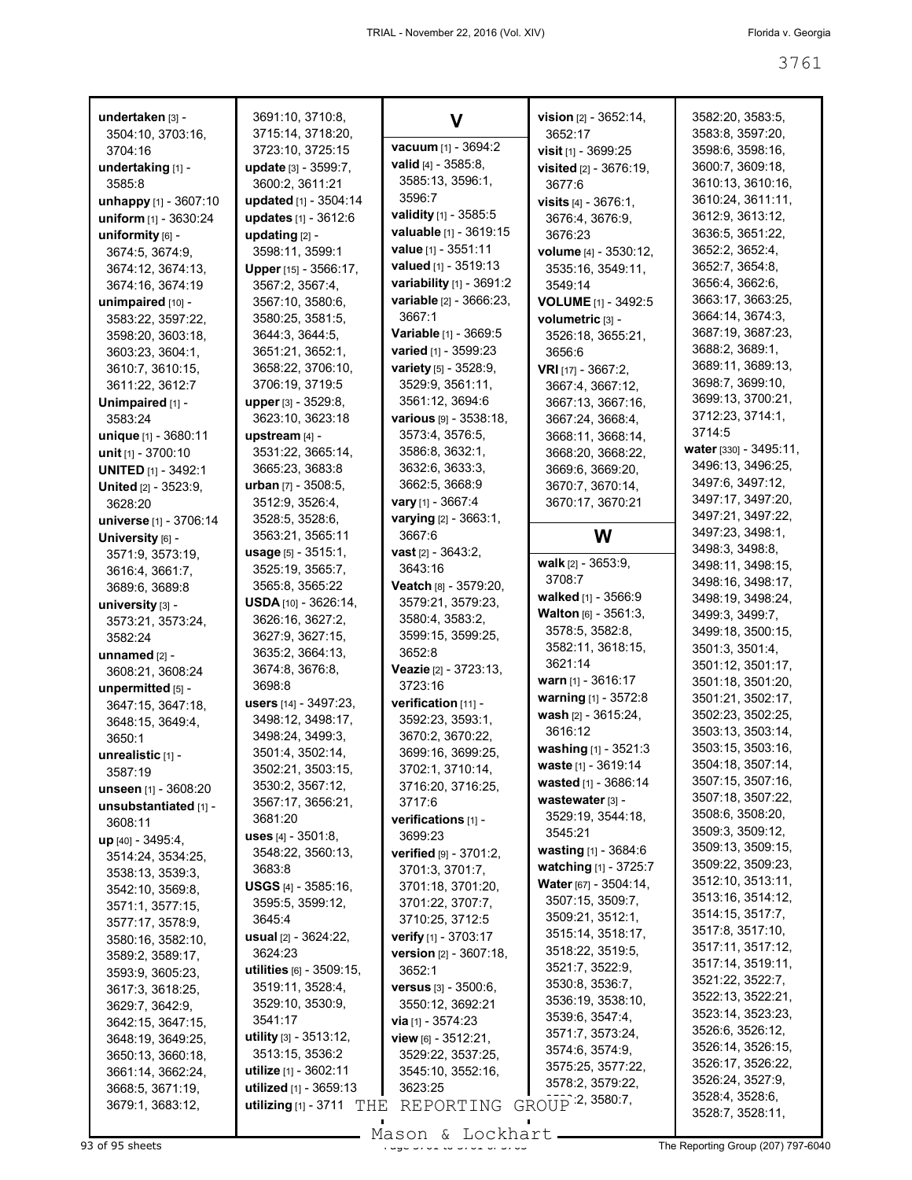| undertaken [3] -            | 3691:10, 3710:8,               |                                | vision $[2] - 3652:14$ ,           | 3582:20, 3583:5,       |
|-----------------------------|--------------------------------|--------------------------------|------------------------------------|------------------------|
| 3504:10, 3703:16,           | 3715:14, 3718:20,              | V                              | 3652:17                            | 3583:8, 3597:20,       |
| 3704:16                     | 3723:10, 3725:15               | vacuum [1] - 3694:2            | visit [1] - 3699:25                | 3598:6, 3598:16,       |
| undertaking [1] -           | update [3] - 3599:7,           | valid [4] - 3585:8,            | visited [2] - 3676:19,             | 3600:7, 3609:18,       |
| 3585:8                      | 3600:2, 3611:21                | 3585:13, 3596:1,               | 3677:6                             | 3610:13, 3610:16,      |
| unhappy $[1] - 3607:10$     | updated [1] - 3504:14          | 3596:7                         | <b>visits</b> $[4] - 3676:1$ ,     | 3610:24, 3611:11,      |
| uniform [1] - 3630:24       | updates [1] - 3612:6           | validity [1] - 3585:5          | 3676:4, 3676:9,                    | 3612:9, 3613:12,       |
| uniformity $[6]$ -          | updating [2] -                 | valuable [1] - 3619:15         | 3676:23                            | 3636:5, 3651:22,       |
| 3674:5, 3674:9,             | 3598:11, 3599:1                | value [1] - 3551:11            | volume [4] - 3530:12,              | 3652:2, 3652:4,        |
| 3674:12, 3674:13,           | Upper [15] - 3566:17,          | valued [1] - 3519:13           |                                    | 3652:7, 3654:8,        |
| 3674:16, 3674:19            | 3567:2, 3567:4,                | variability [1] - 3691:2       | 3535:16, 3549:11,<br>3549:14       | 3656:4, 3662:6,        |
| unimpaired [10] -           | 3567:10, 3580:6,               | variable [2] - 3666:23,        | VOLUME [1] - 3492:5                | 3663:17, 3663:25,      |
|                             | 3580:25, 3581:5,               | 3667:1                         |                                    | 3664:14, 3674:3,       |
| 3583:22, 3597:22,           | 3644:3, 3644:5,                | <b>Variable</b> $[1]$ - 3669:5 | volumetric [3] -                   | 3687:19, 3687:23,      |
| 3598:20, 3603:18,           |                                | varied [1] - 3599:23           | 3526:18, 3655:21,                  | 3688:2, 3689:1,        |
| 3603:23, 3604:1,            | 3651:21, 3652:1,               | variety [5] - 3528:9,          | 3656:6                             | 3689:11, 3689:13,      |
| 3610:7, 3610:15,            | 3658:22, 3706:10,              | 3529:9, 3561:11,               | <b>VRI</b> [17] - 3667:2,          | 3698:7, 3699:10,       |
| 3611:22, 3612:7             | 3706:19, 3719:5                | 3561:12, 3694:6                | 3667:4, 3667:12,                   | 3699:13, 3700:21,      |
| Unimpaired [1] -            | <b>upper</b> [3] - 3529:8,     |                                | 3667:13, 3667:16,                  | 3712:23, 3714:1,       |
| 3583:24                     | 3623:10, 3623:18               | <b>various</b> $[9] - 3538:18$ | 3667:24, 3668:4,                   | 3714:5                 |
| unique [1] - 3680:11        | upstream [4] -                 | 3573:4, 3576:5,                | 3668:11, 3668:14,                  | water [330] - 3495:11, |
| unit $[1] - 3700:10$        | 3531:22, 3665:14,              | 3586:8, 3632:1,                | 3668:20, 3668:22,                  | 3496:13, 3496:25,      |
| <b>UNITED [1] - 3492:1</b>  | 3665:23, 3683:8                | 3632:6, 3633:3,                | 3669:6, 3669:20,                   | 3497:6, 3497:12,       |
| <b>United [2] - 3523:9.</b> | <b>urban</b> [7] - 3508:5,     | 3662:5, 3668:9                 | 3670:7, 3670:14,                   | 3497:17, 3497:20,      |
| 3628:20                     | 3512:9, 3526:4,                | vary [1] - 3667:4              | 3670:17, 3670:21                   | 3497:21, 3497:22,      |
| universe [1] - 3706:14      | 3528:5, 3528:6,                | varying [2] - 3663:1,          |                                    | 3497:23, 3498:1,       |
| University [6] -            | 3563:21, 3565:11               | 3667:6                         | W                                  | 3498:3, 3498:8,        |
| 3571:9, 3573:19,            | usage [5] - 3515:1,            | <b>vast</b> $[2] - 3643:2$ ,   | walk [2] - 3653:9,                 | 3498:11, 3498:15,      |
| 3616:4, 3661:7,             | 3525:19, 3565:7,               | 3643:16                        | 3708:7                             | 3498:16, 3498:17,      |
| 3689:6, 3689:8              | 3565:8, 3565:22                | Veatch [8] - 3579:20,          | walked [1] - 3566:9                | 3498:19, 3498:24,      |
| university [3] -            | $USDA$ [10] - 3626:14,         | 3579:21, 3579:23,              | <b>Walton</b> $[6] - 3561:3$       | 3499:3, 3499:7,        |
| 3573:21, 3573:24,           | 3626:16, 3627:2,               | 3580:4, 3583:2,                | 3578:5, 3582:8,                    | 3499:18, 3500:15,      |
| 3582:24                     | 3627:9, 3627:15,               | 3599:15, 3599:25,              | 3582:11, 3618:15,                  | 3501:3, 3501:4,        |
| unnamed $[2]$ -             | 3635:2, 3664:13,               | 3652:8                         | 3621:14                            | 3501:12, 3501:17,      |
| 3608:21, 3608:24            | 3674:8, 3676:8,                | Veazie [2] - 3723:13,          | <b>warn</b> [1] - 3616:17          | 3501:18, 3501:20,      |
| unpermitted [5] -           | 3698:8                         | 3723:16                        | warning [1] - 3572:8               | 3501:21, 3502:17,      |
| 3647:15, 3647:18,           | users [14] - 3497:23,          | verification [11] -            | wash [2] - 3615:24,                | 3502:23, 3502:25,      |
| 3648:15, 3649:4,            | 3498:12, 3498:17,              | 3592:23, 3593:1,               | 3616:12                            | 3503:13, 3503:14,      |
| 3650:1                      | 3498:24, 3499:3,               | 3670:2, 3670:22,               | washing $[1]$ - 3521:3             | 3503:15, 3503:16,      |
| unrealistic [1] -           | 3501:4, 3502:14,               | 3699:16, 3699:25,              | waste [1] - 3619:14                | 3504:18, 3507:14,      |
| 3587:19                     | 3502:21, 3503:15,              | 3702:1, 3710:14,               | wasted [1] - 3686:14               | 3507:15, 3507:16,      |
| unseen [1] - 3608:20        | 3530:2, 3567:12,               | 3716:20, 3716:25,              | wastewater [3] -                   | 3507:18, 3507:22,      |
| unsubstantiated [1] -       | 3567:17, 3656:21,              | 3717:6                         | 3529:19, 3544:18,                  | 3508:6, 3508:20,       |
| 3608:11                     | 3681:20                        | verifications [1] -            | 3545:21                            | 3509:3, 3509:12,       |
| up [40] - 3495:4,           | <b>uses</b> $[4]$ - $3501:8$ , | 3699:23                        | <b>wasting</b> $[1] - 3684:6$      | 3509:13, 3509:15,      |
| 3514:24, 3534:25,           | 3548:22, 3560:13,              | verified [9] - 3701:2,         | watching [1] - 3725:7              | 3509:22, 3509:23,      |
| 3538:13, 3539:3,            | 3683:8                         | 3701:3, 3701:7,                | Water [67] - 3504:14,              | 3512:10, 3513:11,      |
| 3542:10, 3569:8,            | <b>USGS</b> [4] - 3585:16,     | 3701:18, 3701:20,              | 3507:15, 3509:7,                   | 3513:16, 3514:12,      |
| 3571:1, 3577:15,            | 3595:5, 3599:12,               | 3701:22, 3707:7,               | 3509:21, 3512:1,                   | 3514:15, 3517:7,       |
| 3577:17, 3578:9,            | 3645:4                         | 3710:25, 3712:5                | 3515:14, 3518:17,                  | 3517:8, 3517:10,       |
| 3580:16, 3582:10,           | <b>usual</b> $[2] - 3624:22$   | verify [1] - 3703:17           | 3518:22, 3519:5,                   | 3517:11, 3517:12,      |
| 3589:2, 3589:17,            | 3624:23                        | version [2] - 3607:18,         |                                    | 3517:14, 3519:11,      |
| 3593:9, 3605:23,            | utilities [6] - 3509:15,       | 3652:1                         | 3521:7, 3522:9,<br>3530:8, 3536:7, | 3521:22, 3522:7,       |
| 3617:3, 3618:25,            | 3519:11, 3528:4,               | <b>versus</b> $[3] - 3500:6$ , | 3536:19, 3538:10,                  | 3522:13, 3522:21,      |
| 3629:7, 3642:9,             | 3529:10, 3530:9,               | 3550:12, 3692:21               | 3539:6, 3547:4,                    | 3523:14, 3523:23,      |
| 3642:15, 3647:15,           | 3541:17                        | <b>via</b> $[1] - 3574:23$     | 3571:7, 3573:24,                   | 3526:6, 3526:12,       |
| 3648:19, 3649:25,           | <b>utility</b> [3] - 3513:12,  | view $[6] - 3512:21$ ,         | 3574:6, 3574:9,                    | 3526:14, 3526:15,      |
| 3650:13, 3660:18,           | 3513:15, 3536:2                | 3529:22, 3537:25,              | 3575:25, 3577:22,                  | 3526:17, 3526:22,      |
| 3661:14, 3662:24,           | <b>utilize</b> [1] - 3602:11   | 3545:10, 3552:16,              | 3578:2, 3579:22,                   | 3526:24, 3527:9,       |
| 3668:5, 3671:19,            | utilized [1] - 3659:13         | 3623:25                        |                                    | 3528:4, 3528:6,        |
| 3679:1, 3683:12,            | utilizing $[1]$ - 3711<br>THE  | REPORTING                      | GROUP 2, 3580:7,                   | 3528:7, 3528:11,       |

93 of 95 sheets **Page 3761 of 3761 to 3761 of 3761 to 3761 of 3761 to 3761 of 3763** The Reporting Group (207) 797-6040 Mason & Lockhart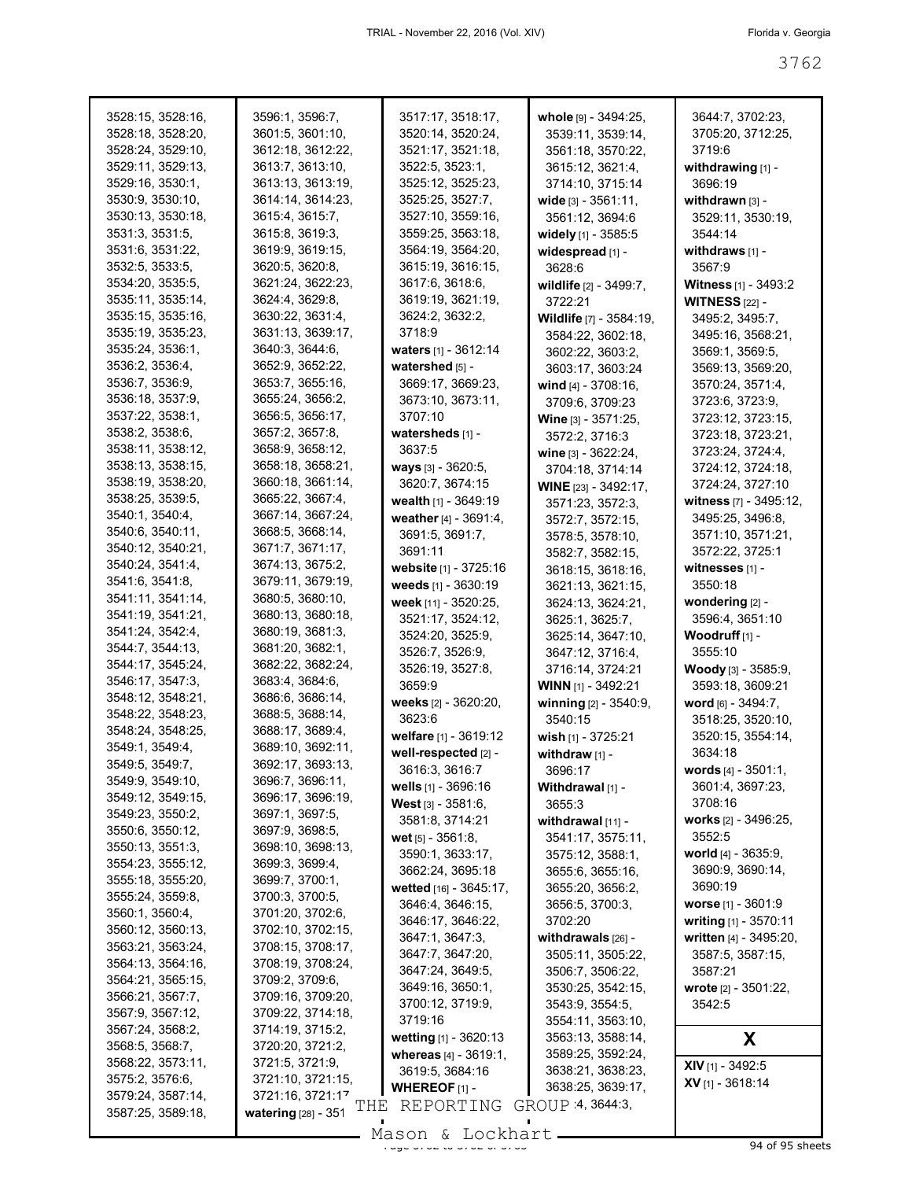| 3528:15, 3528:16, | 3596:1, 3596:7,            | 3517:17, 3518:17,                          | whole [9] - 3494:25,                   | 3644:7, 3702:23,                                  |
|-------------------|----------------------------|--------------------------------------------|----------------------------------------|---------------------------------------------------|
| 3528:18, 3528:20, | 3601:5, 3601:10,           | 3520:14, 3520:24,                          | 3539:11, 3539:14,                      | 3705:20, 3712:25,                                 |
| 3528:24, 3529:10, | 3612:18, 3612:22,          | 3521:17, 3521:18,                          | 3561:18, 3570:22,                      | 3719:6                                            |
| 3529:11, 3529:13, | 3613:7, 3613:10,           | 3522:5, 3523:1,                            | 3615:12, 3621:4,                       | withdrawing $[1]$ -                               |
| 3529:16, 3530:1,  | 3613:13, 3613:19,          | 3525:12, 3525:23,                          | 3714:10, 3715:14                       | 3696:19                                           |
| 3530:9, 3530:10,  | 3614:14, 3614:23,          | 3525:25, 3527:7,                           | wide [3] - 3561:11,                    | withdrawn $[3]$ -                                 |
| 3530:13, 3530:18, | 3615:4, 3615:7,            | 3527:10, 3559:16,                          | 3561:12, 3694:6                        | 3529:11, 3530:19,                                 |
| 3531:3, 3531:5,   | 3615:8, 3619:3,            | 3559:25, 3563:18,                          | widely [1] - 3585:5                    | 3544:14                                           |
| 3531:6, 3531:22,  | 3619:9, 3619:15,           | 3564:19, 3564:20,                          | widespread [1] -                       | withdraws [1] -                                   |
| 3532:5, 3533:5,   | 3620:5, 3620:8,            | 3615:19, 3616:15,                          | 3628:6                                 | 3567.9                                            |
| 3534:20, 3535:5,  | 3621:24, 3622:23,          | 3617:6, 3618:6,                            | wildlife [2] - 3499:7,                 | Witness [1] - 3493:2                              |
| 3535:11, 3535:14, | 3624:4, 3629:8,            | 3619:19, 3621:19,                          | 3722:21                                | <b>WITNESS</b> [22] -                             |
| 3535:15, 3535:16, | 3630:22, 3631:4,           | 3624:2, 3632:2,                            | Wildlife [7] - 3584:19,                | 3495:2, 3495:7,                                   |
| 3535:19, 3535:23, | 3631:13, 3639:17,          | 3718:9                                     | 3584:22, 3602:18,                      | 3495:16, 3568:21,                                 |
| 3535:24, 3536:1,  | 3640:3, 3644:6,            |                                            | 3602:22, 3603:2,                       | 3569:1, 3569:5,                                   |
| 3536:2, 3536:4,   | 3652:9, 3652:22,           | watershed [5] -                            | 3603:17, 3603:24                       | 3569:13, 3569:20,                                 |
| 3536:7, 3536:9,   | 3653:7, 3655:16,           | 3669:17, 3669:23,                          | wind $[4] - 3708:16$ ,                 | 3570:24, 3571:4,                                  |
| 3536:18, 3537:9,  | 3655:24, 3656:2,           | 3673:10, 3673:11,                          | 3709:6, 3709:23                        | 3723:6, 3723:9,                                   |
| 3537:22, 3538:1,  | 3656:5, 3656:17,           | 3707:10                                    | Wine [3] - 3571:25,                    | 3723:12, 3723:15,                                 |
| 3538:2, 3538:6,   | 3657:2, 3657:8,            | watersheds [1] -                           | 3572:2, 3716:3                         | 3723:18, 3723:21,                                 |
| 3538:11, 3538:12, | 3658:9, 3658:12,           | 3637:5                                     |                                        | 3723:24, 3724:4,                                  |
| 3538:13, 3538:15, | 3658:18, 3658:21,          | ways [3] - 3620:5,                         | wine [3] - 3622:24,                    | 3724:12, 3724:18,                                 |
| 3538:19, 3538:20, | 3660:18, 3661:14,          | 3620:7, 3674:15                            | 3704:18, 3714:14                       | 3724:24, 3727:10                                  |
| 3538:25, 3539:5,  | 3665:22, 3667:4,           | wealth $[1] - 3649:19$                     | WINE [23] - 3492:17,                   | witness [7] - 3495:12,                            |
| 3540:1, 3540:4,   | 3667:14, 3667:24,          | weather [4] - 3691:4,                      | 3571:23, 3572:3,                       | 3495:25, 3496:8,                                  |
| 3540:6, 3540:11,  | 3668:5, 3668:14,           |                                            | 3572:7, 3572:15,                       |                                                   |
| 3540:12, 3540:21, | 3671:7, 3671:17,           | 3691:5, 3691:7,<br>3691:11                 | 3578:5, 3578:10,                       | 3571:10, 3571:21,                                 |
| 3540:24, 3541:4,  | 3674:13, 3675:2,           | website [1] - 3725:16                      | 3582:7, 3582:15,                       | 3572:22, 3725:1<br>witnesses [1] -                |
| 3541:6, 3541:8,   | 3679:11, 3679:19,          | weeds [1] - 3630:19                        | 3618:15, 3618:16,                      |                                                   |
| 3541:11, 3541:14, | 3680:5, 3680:10,           |                                            | 3621:13, 3621:15,                      | 3550:18                                           |
| 3541:19, 3541:21, | 3680:13, 3680:18,          | week [11] - 3520:25,                       | 3624:13, 3624:21,                      | wondering [2] -<br>3596:4, 3651:10                |
| 3541:24, 3542:4,  | 3680:19, 3681:3,           | 3521:17, 3524:12,                          | 3625:1, 3625:7,                        | Woodruff <sub>[1]</sub> -                         |
| 3544:7, 3544:13,  | 3681:20, 3682:1,           | 3524:20, 3525:9,                           | 3625:14, 3647:10,                      | 3555:10                                           |
| 3544:17, 3545:24, | 3682:22, 3682:24,          | 3526:7, 3526:9,                            | 3647:12, 3716:4,                       |                                                   |
| 3546:17, 3547:3,  | 3683:4, 3684:6,            | 3526:19, 3527:8,<br>3659:9                 | 3716:14, 3724:21                       | <b>Woody</b> [3] - 3585:9,                        |
| 3548:12, 3548:21, | 3686:6, 3686:14,           | weeks [2] - 3620:20,                       | <b>WINN</b> $[1]$ - 3492:21            | 3593:18, 3609:21<br>word [6] - 3494:7,            |
| 3548:22, 3548:23, | 3688:5, 3688:14,           | 3623:6                                     | winning [2] - 3540:9,                  |                                                   |
| 3548:24, 3548:25, | 3688:17, 3689:4,           |                                            | 3540:15                                | 3518:25, 3520:10,                                 |
| 3549:1, 3549:4,   | 3689:10, 3692:11,          | welfare [1] - 3619:12                      | wish [1] - 3725:21                     | 3520:15, 3554:14,<br>3634:18                      |
| 3549:5, 3549:7,   | 3692:17, 3693:13,          | well-respected [2] -<br>3616:3, 3616:7     | withdraw $[1]$ -                       |                                                   |
| 3549:9, 3549:10,  | 3696:7, 3696:11,           |                                            | 3696:17                                | words [4] - 3501:1,                               |
| 3549:12, 3549:15, | 3696:17, 3696:19,          | wells [1] - 3696:16                        | Withdrawal [1] -                       | 3601:4, 3697:23,<br>3708:16                       |
| 3549:23, 3550:2,  | 3697:1, 3697:5,            | West [3] - 3581:6,<br>3581:8, 3714:21      | 3655:3                                 |                                                   |
| 3550:6, 3550:12,  | 3697:9, 3698:5,            |                                            | withdrawal [11] -                      | <b>works</b> $[2] - 3496:25$ ,<br>3552:5          |
| 3550:13, 3551:3,  | 3698:10, 3698:13,          | wet $[5] - 3561.8$ ,                       | 3541:17, 3575:11,                      | world [4] - 3635:9,                               |
| 3554:23, 3555:12, | 3699:3, 3699:4,            | 3590:1, 3633:17,                           | 3575:12, 3588:1,                       | 3690:9, 3690:14,                                  |
| 3555:18, 3555:20, | 3699:7, 3700:1,            | 3662:24, 3695:18                           | 3655:6, 3655:16,                       | 3690:19                                           |
| 3555:24, 3559:8,  | 3700:3, 3700:5,            | wetted [16] - 3645:17,<br>3646:4, 3646:15, | 3655:20, 3656:2,                       |                                                   |
| 3560:1, 3560:4,   | 3701:20, 3702:6,           | 3646:17, 3646:22,                          | 3656:5, 3700:3,<br>3702:20             | worse $[1] - 3601:9$                              |
| 3560:12, 3560:13, | 3702:10, 3702:15,          |                                            |                                        | writing $[1] - 3570:11$<br>written [4] - 3495:20, |
| 3563:21, 3563:24, | 3708:15, 3708:17,          | 3647:1, 3647:3,<br>3647:7, 3647:20,        | withdrawals [26] -                     | 3587:5, 3587:15,                                  |
| 3564:13, 3564:16, | 3708:19, 3708:24,          |                                            | 3505:11, 3505:22,                      |                                                   |
| 3564:21, 3565:15, | 3709:2, 3709:6,            | 3647:24, 3649:5,<br>3649:16, 3650:1,       | 3506:7, 3506:22,<br>3530:25, 3542:15,  | 3587:21                                           |
| 3566:21, 3567:7,  | 3709:16, 3709:20,          |                                            |                                        | wrote [2] - 3501:22,                              |
| 3567:9, 3567:12,  | 3709:22, 3714:18,          | 3700:12, 3719:9,<br>3719:16                | 3543:9, 3554:5,                        | 3542:5                                            |
| 3567:24, 3568:2,  | 3714:19, 3715:2,           |                                            | 3554:11, 3563:10,                      |                                                   |
| 3568:5, 3568:7,   | 3720:20, 3721:2,           | wetting [1] - 3620:13                      | 3563:13, 3588:14,                      | X                                                 |
| 3568:22, 3573:11, | 3721:5, 3721:9,            | whereas [4] - 3619:1,                      | 3589:25, 3592:24,<br>3638:21, 3638:23, | XIV [1] - 3492:5                                  |
| 3575:2, 3576:6,   | 3721:10, 3721:15,          | 3619:5, 3684:16                            | 3638:25, 3639:17,                      | $XV$ [1] - 3618:14                                |
| 3579:24, 3587:14, | 3721:16, 3721:17           | <b>WHEREOF</b> $[1]$ -                     | GROUP 4, 3644:3,                       |                                                   |
| 3587:25, 3589:18, | THE<br>watering [28] - 351 | REPORTING                                  |                                        |                                                   |
|                   |                            | Mason & Lockhart                           |                                        |                                                   |

Mason & Lockhart <u>external and the 34 of 95 sheets</u>